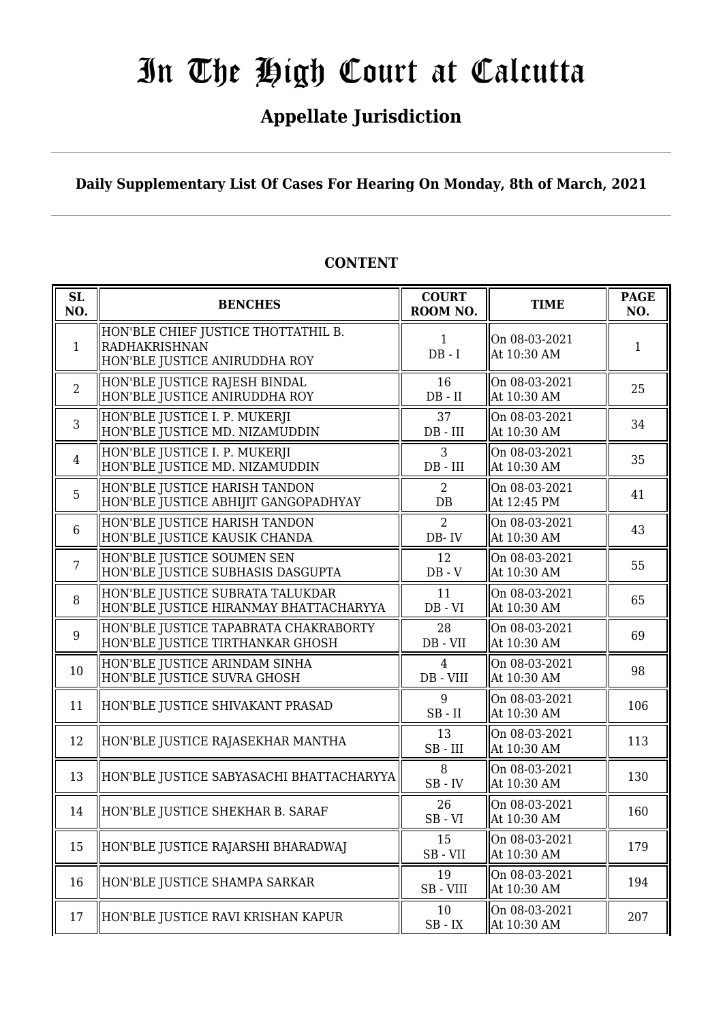## **Appellate Jurisdiction**

**Daily Supplementary List Of Cases For Hearing On Monday, 8th of March, 2021**

| SL<br>NO.      | <b>BENCHES</b>                                                                        | <b>COURT</b><br>ROOM NO.        | <b>TIME</b>                  | <b>PAGE</b><br>NO. |
|----------------|---------------------------------------------------------------------------------------|---------------------------------|------------------------------|--------------------|
| 1              | HON'BLE CHIEF JUSTICE THOTTATHIL B.<br>RADHAKRISHNAN<br>HON'BLE JUSTICE ANIRUDDHA ROY | $\mathbf{1}$<br>$DB - I$        | On 08-03-2021<br>At 10:30 AM | 1                  |
| $\overline{2}$ | HON'BLE JUSTICE RAJESH BINDAL<br>HON'BLE JUSTICE ANIRUDDHA ROY                        | 16<br>$DB - II$                 | On 08-03-2021<br>At 10:30 AM | 25                 |
| $\overline{3}$ | HON'BLE JUSTICE I. P. MUKERJI<br>HON'BLE JUSTICE MD. NIZAMUDDIN                       | 37<br>$DB$ - $III$              | On 08-03-2021<br>At 10:30 AM | 34                 |
| $\overline{4}$ | HON'BLE JUSTICE I. P. MUKERJI<br>HON'BLE JUSTICE MD. NIZAMUDDIN                       | 3<br>$DB$ - $III$               | On 08-03-2021<br>At 10:30 AM | 35                 |
| 5              | HON'BLE JUSTICE HARISH TANDON<br>HON'BLE JUSTICE ABHIJIT GANGOPADHYAY                 | 2<br>DB                         | On 08-03-2021<br>At 12:45 PM | 41                 |
| 6              | HON'BLE JUSTICE HARISH TANDON<br>HON'BLE JUSTICE KAUSIK CHANDA                        | $\overline{2}$<br>DB-IV         | On 08-03-2021<br>At 10:30 AM | 43                 |
| $\overline{7}$ | HON'BLE JUSTICE SOUMEN SEN<br>HON'BLE JUSTICE SUBHASIS DASGUPTA                       | 12<br>$DB - V$                  | On 08-03-2021<br>At 10:30 AM | 55                 |
| 8              | HON'BLE JUSTICE SUBRATA TALUKDAR<br>HON'BLE JUSTICE HIRANMAY BHATTACHARYYA            | 11<br>$DB - VI$                 | On 08-03-2021<br>At 10:30 AM | 65                 |
| 9              | HON'BLE JUSTICE TAPABRATA CHAKRABORTY<br>HON'BLE JUSTICE TIRTHANKAR GHOSH             | 28<br>DB - VII                  | On 08-03-2021<br>At 10:30 AM | 69                 |
| 10             | HON'BLE JUSTICE ARINDAM SINHA<br>HON'BLE JUSTICE SUVRA GHOSH                          | 4<br>DB - VIII                  | On 08-03-2021<br>At 10:30 AM | 98                 |
| 11             | HON'BLE JUSTICE SHIVAKANT PRASAD                                                      | 9<br>$SB$ - $II$                | On 08-03-2021<br>At 10:30 AM | 106                |
| 12             | HON'BLE JUSTICE RAJASEKHAR MANTHA                                                     | 13<br>$SB$ - $III$              | On 08-03-2021<br>At 10:30 AM | 113                |
| 13             | HON'BLE JUSTICE SABYASACHI BHATTACHARYYA                                              | 8<br>$SB$ - $IV$                | On 08-03-2021<br>At 10:30 AM | 130                |
| 14             | HON'BLE JUSTICE SHEKHAR B. SARAF                                                      | 26<br>$SB - VI$                 | On 08-03-2021<br>At 10:30 AM | 160                |
| 15             | HON'BLE JUSTICE RAJARSHI BHARADWAJ                                                    | 15<br>SB-VII                    | On 08-03-2021<br>At 10:30 AM | 179                |
| 16             | HON'BLE JUSTICE SHAMPA SARKAR                                                         | 19<br>SB-VIII                   | On 08-03-2021<br>At 10:30 AM | 194                |
| 17             | HON'BLE JUSTICE RAVI KRISHAN KAPUR                                                    | 10<br>$\text{SB}$ - $\text{IX}$ | On 08-03-2021<br>At 10:30 AM | 207                |

#### **CONTENT**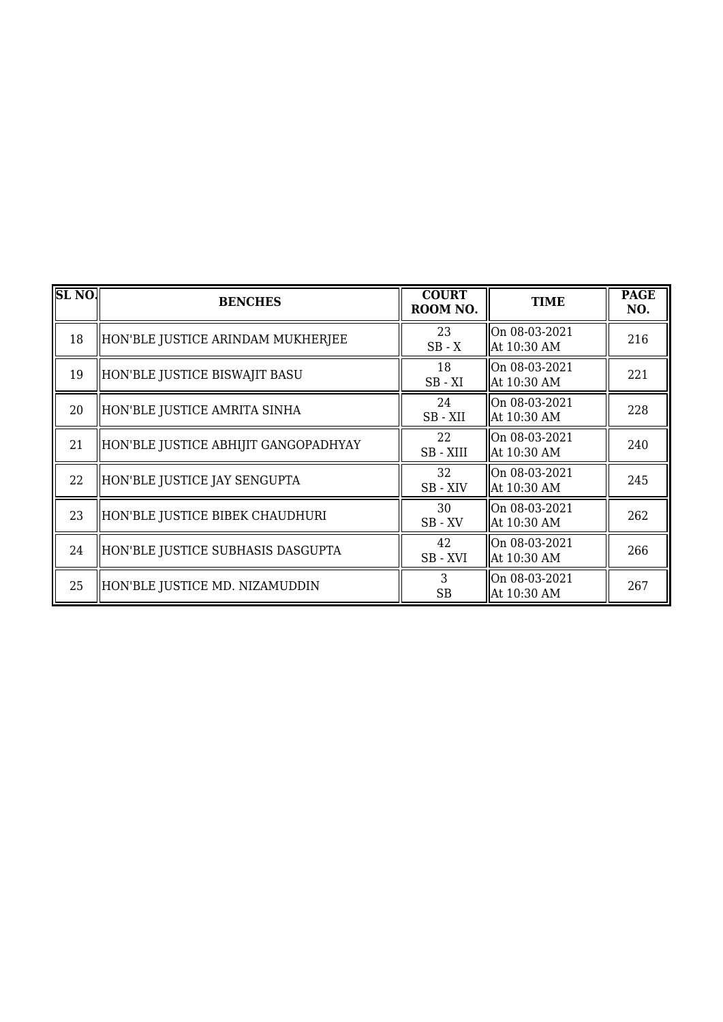| SL <sub>NO</sub> . | <b>BENCHES</b>                       | <b>COURT</b><br>ROOM NO. | <b>TIME</b>                    | <b>PAGE</b><br>NO. |
|--------------------|--------------------------------------|--------------------------|--------------------------------|--------------------|
| 18                 | HON'BLE JUSTICE ARINDAM MUKHERJEE    | 23<br>$SB - X$           | On 08-03-2021<br>At 10:30 AM   | 216                |
| 19                 | HON'BLE JUSTICE BISWAJIT BASU        | 18<br>$SB - XI$          | On 08-03-2021<br>At 10:30 AM   | 221                |
| 20                 | HON'BLE JUSTICE AMRITA SINHA         | 24<br>SB-XII             | On 08-03-2021<br>At 10:30 AM   | 228                |
| 21                 | HON'BLE JUSTICE ABHIJIT GANGOPADHYAY | 22<br>SB-XIII            | On 08-03-2021<br>  At 10:30 AM | 240                |
| 22                 | HON'BLE JUSTICE JAY SENGUPTA         | 32<br>SB - XIV           | On 08-03-2021<br>At 10:30 AM   | 245                |
| 23                 | HON'BLE JUSTICE BIBEK CHAUDHURI      | 30<br>$SB$ - $XV$        | On 08-03-2021<br>At 10:30 AM   | 262                |
| 24                 | HON'BLE JUSTICE SUBHASIS DASGUPTA    | 42<br>SB-XVI             | On 08-03-2021<br>At 10:30 AM   | 266                |
| 25                 | HON'BLE JUSTICE MD. NIZAMUDDIN       | 3<br><b>SB</b>           | On 08-03-2021<br>At 10:30 AM   | 267                |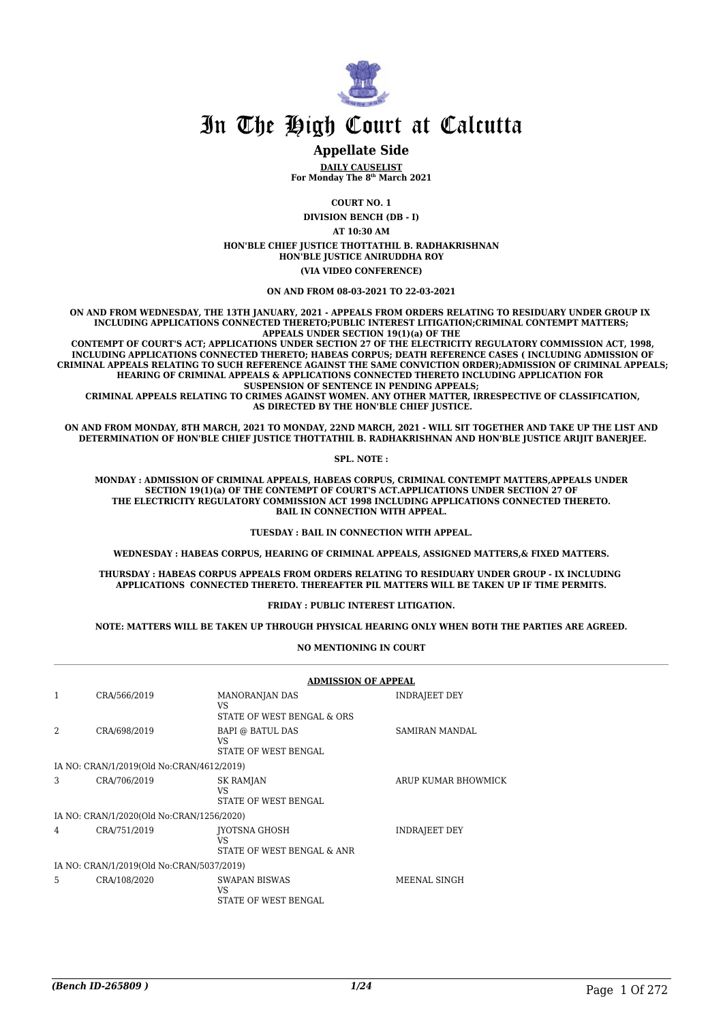

#### **Appellate Side**

**DAILY CAUSELIST For Monday The 8th March 2021**

**COURT NO. 1**

**DIVISION BENCH (DB - I) AT 10:30 AM HON'BLE CHIEF JUSTICE THOTTATHIL B. RADHAKRISHNAN HON'BLE JUSTICE ANIRUDDHA ROY (VIA VIDEO CONFERENCE)**

**ON AND FROM 08-03-2021 TO 22-03-2021**

**ON AND FROM WEDNESDAY, THE 13TH JANUARY, 2021 - APPEALS FROM ORDERS RELATING TO RESIDUARY UNDER GROUP IX INCLUDING APPLICATIONS CONNECTED THERETO;PUBLIC INTEREST LITIGATION;CRIMINAL CONTEMPT MATTERS; APPEALS UNDER SECTION 19(1)(a) OF THE**

 **CONTEMPT OF COURT'S ACT; APPLICATIONS UNDER SECTION 27 OF THE ELECTRICITY REGULATORY COMMISSION ACT, 1998, INCLUDING APPLICATIONS CONNECTED THERETO; HABEAS CORPUS; DEATH REFERENCE CASES ( INCLUDING ADMISSION OF CRIMINAL APPEALS RELATING TO SUCH REFERENCE AGAINST THE SAME CONVICTION ORDER);ADMISSION OF CRIMINAL APPEALS; HEARING OF CRIMINAL APPEALS & APPLICATIONS CONNECTED THERETO INCLUDING APPLICATION FOR SUSPENSION OF SENTENCE IN PENDING APPEALS;**

 **CRIMINAL APPEALS RELATING TO CRIMES AGAINST WOMEN. ANY OTHER MATTER, IRRESPECTIVE OF CLASSIFICATION, AS DIRECTED BY THE HON'BLE CHIEF JUSTICE.**

**ON AND FROM MONDAY, 8TH MARCH, 2021 TO MONDAY, 22ND MARCH, 2021 - WILL SIT TOGETHER AND TAKE UP THE LIST AND DETERMINATION OF HON'BLE CHIEF JUSTICE THOTTATHIL B. RADHAKRISHNAN AND HON'BLE JUSTICE ARIJIT BANERJEE.**

**SPL. NOTE :**

**MONDAY : ADMISSION OF CRIMINAL APPEALS, HABEAS CORPUS, CRIMINAL CONTEMPT MATTERS,APPEALS UNDER SECTION 19(1)(a) OF THE CONTEMPT OF COURT'S ACT.APPLICATIONS UNDER SECTION 27 OF THE ELECTRICITY REGULATORY COMMISSION ACT 1998 INCLUDING APPLICATIONS CONNECTED THERETO. BAIL IN CONNECTION WITH APPEAL.**

#### **TUESDAY : BAIL IN CONNECTION WITH APPEAL.**

**WEDNESDAY : HABEAS CORPUS, HEARING OF CRIMINAL APPEALS, ASSIGNED MATTERS,& FIXED MATTERS.**

**THURSDAY : HABEAS CORPUS APPEALS FROM ORDERS RELATING TO RESIDUARY UNDER GROUP - IX INCLUDING APPLICATIONS CONNECTED THERETO. THEREAFTER PIL MATTERS WILL BE TAKEN UP IF TIME PERMITS.**

**FRIDAY : PUBLIC INTEREST LITIGATION.**

**NOTE: MATTERS WILL BE TAKEN UP THROUGH PHYSICAL HEARING ONLY WHEN BOTH THE PARTIES ARE AGREED.**

**NO MENTIONING IN COURT**

|   |                                           |                                                           | <b>ADMISSION OF APPEAL</b> |  |  |
|---|-------------------------------------------|-----------------------------------------------------------|----------------------------|--|--|
| 1 | CRA/566/2019                              | <b>MANORANJAN DAS</b><br>VS<br>STATE OF WEST BENGAL & ORS | <b>INDRAJEET DEY</b>       |  |  |
| 2 | CRA/698/2019                              | <b>BAPI @ BATUL DAS</b><br>VS<br>STATE OF WEST BENGAL     | <b>SAMIRAN MANDAL</b>      |  |  |
|   | IA NO: CRAN/1/2019(Old No:CRAN/4612/2019) |                                                           |                            |  |  |
| 3 | CRA/706/2019                              | <b>SK RAMJAN</b><br>VS<br>STATE OF WEST BENGAL            | ARUP KUMAR BHOWMICK        |  |  |
|   | IA NO: CRAN/1/2020(Old No:CRAN/1256/2020) |                                                           |                            |  |  |
| 4 | CRA/751/2019                              | <b>IYOTSNA GHOSH</b><br>VS<br>STATE OF WEST BENGAL & ANR  | <b>INDRAJEET DEY</b>       |  |  |
|   | IA NO: CRAN/1/2019(Old No:CRAN/5037/2019) |                                                           |                            |  |  |
| 5 | CRA/108/2020                              | SWAPAN BISWAS<br>VS<br>STATE OF WEST BENGAL               | MEENAL SINGH               |  |  |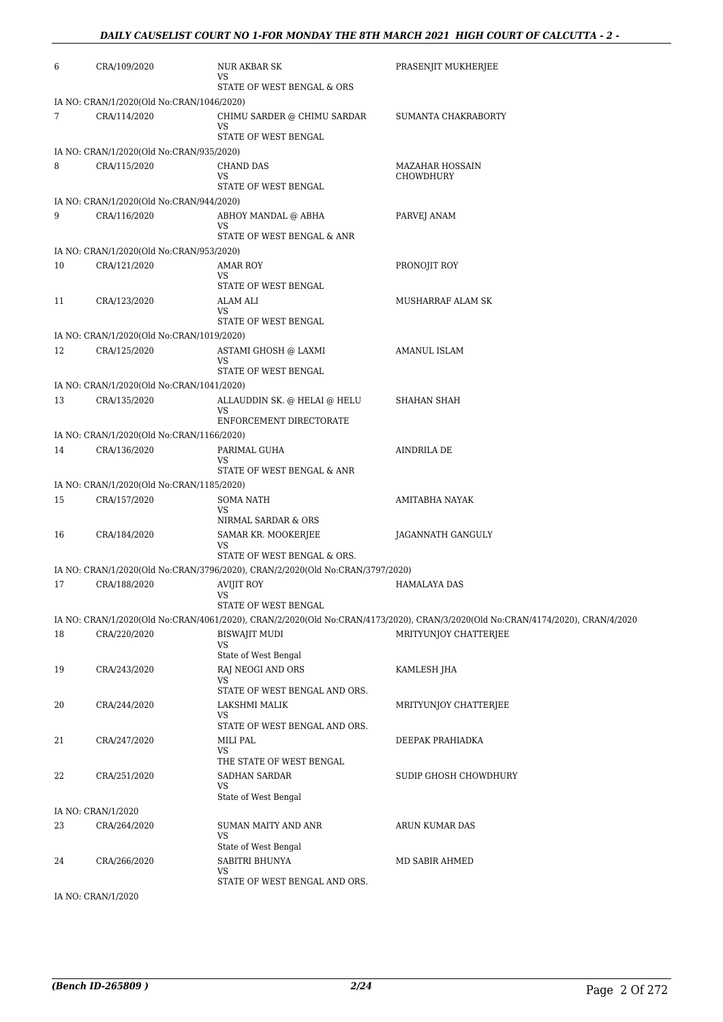| 6  | CRA/109/2020                              | NUR AKBAR SK<br>VS                                                            | PRASENJIT MUKHERJEE                                                                                                            |
|----|-------------------------------------------|-------------------------------------------------------------------------------|--------------------------------------------------------------------------------------------------------------------------------|
|    |                                           | STATE OF WEST BENGAL & ORS                                                    |                                                                                                                                |
|    | IA NO: CRAN/1/2020(Old No:CRAN/1046/2020) |                                                                               |                                                                                                                                |
| 7  | CRA/114/2020                              | CHIMU SARDER @ CHIMU SARDAR<br>VS                                             | SUMANTA CHAKRABORTY                                                                                                            |
|    | IA NO: CRAN/1/2020(Old No:CRAN/935/2020)  | STATE OF WEST BENGAL                                                          |                                                                                                                                |
| 8  | CRA/115/2020                              | <b>CHAND DAS</b>                                                              | <b>MAZAHAR HOSSAIN</b>                                                                                                         |
|    |                                           | VS                                                                            | CHOWDHURY                                                                                                                      |
|    |                                           | STATE OF WEST BENGAL                                                          |                                                                                                                                |
|    | IA NO: CRAN/1/2020(Old No:CRAN/944/2020)  |                                                                               |                                                                                                                                |
| 9  | CRA/116/2020                              | ABHOY MANDAL @ ABHA<br>VS<br>STATE OF WEST BENGAL & ANR                       | PARVEJ ANAM                                                                                                                    |
|    | IA NO: CRAN/1/2020(Old No:CRAN/953/2020)  |                                                                               |                                                                                                                                |
| 10 | CRA/121/2020                              | AMAR ROY                                                                      | PRONOJIT ROY                                                                                                                   |
|    |                                           | VS                                                                            |                                                                                                                                |
|    |                                           | STATE OF WEST BENGAL                                                          |                                                                                                                                |
| 11 | CRA/123/2020                              | ALAM ALI<br>VS                                                                | MUSHARRAF ALAM SK                                                                                                              |
|    |                                           | STATE OF WEST BENGAL                                                          |                                                                                                                                |
|    | IA NO: CRAN/1/2020(Old No:CRAN/1019/2020) |                                                                               |                                                                                                                                |
| 12 | CRA/125/2020                              | ASTAMI GHOSH @ LAXMI<br>VS                                                    | <b>AMANUL ISLAM</b>                                                                                                            |
|    |                                           | STATE OF WEST BENGAL                                                          |                                                                                                                                |
|    | IA NO: CRAN/1/2020(Old No:CRAN/1041/2020) |                                                                               |                                                                                                                                |
| 13 | CRA/135/2020                              | ALLAUDDIN SK. @ HELAI @ HELU<br>VS                                            | SHAHAN SHAH                                                                                                                    |
|    |                                           | ENFORCEMENT DIRECTORATE                                                       |                                                                                                                                |
|    | IA NO: CRAN/1/2020(Old No:CRAN/1166/2020) |                                                                               |                                                                                                                                |
| 14 | CRA/136/2020                              | PARIMAL GUHA                                                                  | AINDRILA DE                                                                                                                    |
|    |                                           | VS<br>STATE OF WEST BENGAL & ANR                                              |                                                                                                                                |
|    | IA NO: CRAN/1/2020(Old No:CRAN/1185/2020) |                                                                               |                                                                                                                                |
| 15 | CRA/157/2020                              | <b>SOMA NATH</b>                                                              | AMITABHA NAYAK                                                                                                                 |
|    |                                           | VS                                                                            |                                                                                                                                |
|    |                                           | NIRMAL SARDAR & ORS                                                           |                                                                                                                                |
| 16 | CRA/184/2020                              | SAMAR KR. MOOKERJEE<br>VS                                                     | JAGANNATH GANGULY                                                                                                              |
|    |                                           | STATE OF WEST BENGAL & ORS.                                                   |                                                                                                                                |
|    |                                           | IA NO: CRAN/1/2020(Old No:CRAN/3796/2020), CRAN/2/2020(Old No:CRAN/3797/2020) |                                                                                                                                |
| 17 | CRA/188/2020                              | <b>AVIJIT ROY</b><br>VS                                                       | <b>HAMALAYA DAS</b>                                                                                                            |
|    |                                           | STATE OF WEST BENGAL                                                          |                                                                                                                                |
|    |                                           |                                                                               | IA NO: CRAN/1/2020(Old No:CRAN/4061/2020), CRAN/2/2020(Old No:CRAN/4173/2020), CRAN/3/2020(Old No:CRAN/4174/2020), CRAN/4/2020 |
| 18 | CRA/220/2020                              | <b>BISWAJIT MUDI</b>                                                          | MRITYUNJOY CHATTERJEE                                                                                                          |
|    |                                           | VS<br>State of West Bengal                                                    |                                                                                                                                |
| 19 | CRA/243/2020                              | RAJ NEOGI AND ORS                                                             | KAMLESH JHA                                                                                                                    |
|    |                                           | VS                                                                            |                                                                                                                                |
|    |                                           | STATE OF WEST BENGAL AND ORS.                                                 |                                                                                                                                |
| 20 | CRA/244/2020                              | LAKSHMI MALIK<br>VS                                                           | MRITYUNJOY CHATTERJEE                                                                                                          |
|    |                                           | STATE OF WEST BENGAL AND ORS.                                                 |                                                                                                                                |
| 21 | CRA/247/2020                              | MILI PAL                                                                      | DEEPAK PRAHIADKA                                                                                                               |
|    |                                           | VS<br>THE STATE OF WEST BENGAL                                                |                                                                                                                                |
| 22 | CRA/251/2020                              | SADHAN SARDAR                                                                 | SUDIP GHOSH CHOWDHURY                                                                                                          |
|    |                                           | VS                                                                            |                                                                                                                                |
|    |                                           | State of West Bengal                                                          |                                                                                                                                |
| 23 | IA NO: CRAN/1/2020<br>CRA/264/2020        | SUMAN MAITY AND ANR                                                           | ARUN KUMAR DAS                                                                                                                 |
|    |                                           | VS                                                                            |                                                                                                                                |
|    |                                           | State of West Bengal                                                          |                                                                                                                                |
| 24 | CRA/266/2020                              | SABITRI BHUNYA<br>VS                                                          | MD SABIR AHMED                                                                                                                 |
|    |                                           | STATE OF WEST BENGAL AND ORS.                                                 |                                                                                                                                |
|    | IA NO: CRAN/1/2020                        |                                                                               |                                                                                                                                |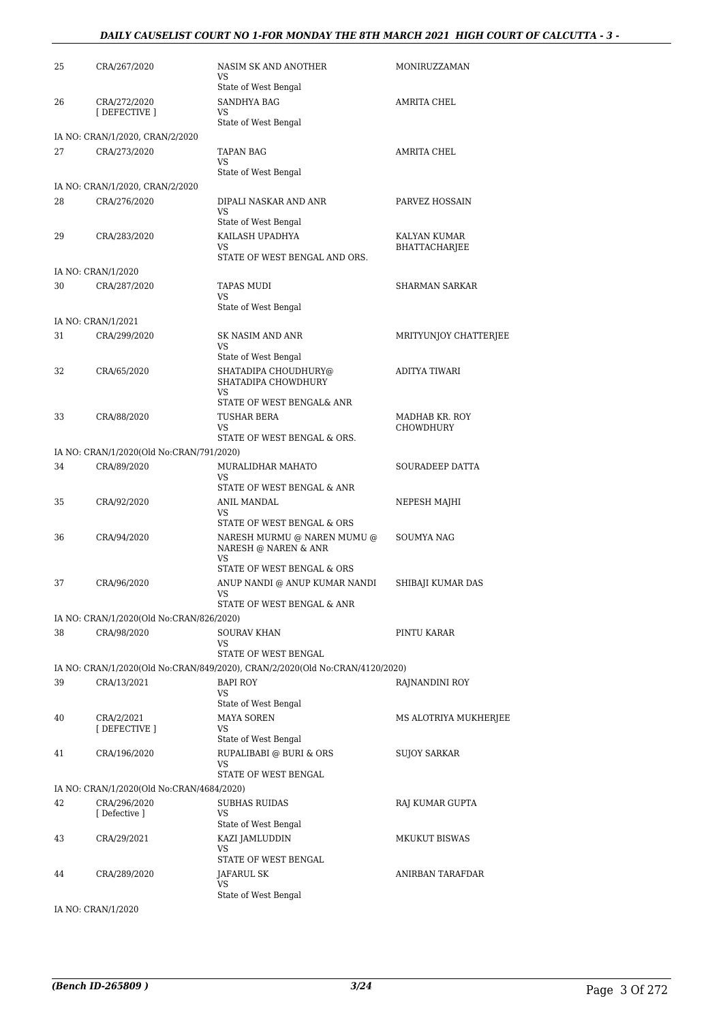#### *DAILY CAUSELIST COURT NO 1-FOR MONDAY THE 8TH MARCH 2021 HIGH COURT OF CALCUTTA - 3 -*

| 25 | CRA/267/2020                              | NASIM SK AND ANOTHER<br>VS<br>State of West Bengal                           | MONIRUZZAMAN          |
|----|-------------------------------------------|------------------------------------------------------------------------------|-----------------------|
| 26 | CRA/272/2020<br>[DEFECTIVE ]              | SANDHYA BAG<br>VS<br>State of West Bengal                                    | <b>AMRITA CHEL</b>    |
|    | IA NO: CRAN/1/2020, CRAN/2/2020           |                                                                              |                       |
| 27 | CRA/273/2020                              | TAPAN BAG<br><b>VS</b>                                                       | AMRITA CHEL           |
|    |                                           | State of West Bengal                                                         |                       |
|    | IA NO: CRAN/1/2020, CRAN/2/2020           |                                                                              |                       |
| 28 | CRA/276/2020                              | DIPALI NASKAR AND ANR<br>VS                                                  | PARVEZ HOSSAIN        |
|    |                                           | State of West Bengal                                                         |                       |
| 29 | CRA/283/2020                              | KAILASH UPADHYA                                                              | KALYAN KUMAR          |
|    |                                           | VS<br>STATE OF WEST BENGAL AND ORS.                                          | <b>BHATTACHARJEE</b>  |
|    | IA NO: CRAN/1/2020                        |                                                                              |                       |
| 30 | CRA/287/2020                              | TAPAS MUDI                                                                   | SHARMAN SARKAR        |
|    |                                           | VS.                                                                          |                       |
|    |                                           | State of West Bengal                                                         |                       |
|    | IA NO: CRAN/1/2021                        |                                                                              |                       |
| 31 | CRA/299/2020                              | SK NASIM AND ANR<br>VS<br>State of West Bengal                               | MRITYUNJOY CHATTERJEE |
| 32 | CRA/65/2020                               | SHATADIPA CHOUDHURY@<br>SHATADIPA CHOWDHURY                                  | ADITYA TIWARI         |
|    |                                           | VS<br>STATE OF WEST BENGAL& ANR                                              |                       |
| 33 | CRA/88/2020                               | TUSHAR BERA                                                                  | MADHAB KR. ROY        |
|    |                                           | VS.                                                                          | CHOWDHURY             |
|    |                                           | STATE OF WEST BENGAL & ORS.                                                  |                       |
|    | IA NO: CRAN/1/2020(Old No:CRAN/791/2020)  |                                                                              |                       |
| 34 | CRA/89/2020                               | MURALIDHAR MAHATO<br>VS<br>STATE OF WEST BENGAL & ANR                        | SOURADEEP DATTA       |
| 35 | CRA/92/2020                               | ANIL MANDAL<br>VS                                                            | NEPESH MAJHI          |
|    |                                           | STATE OF WEST BENGAL & ORS                                                   |                       |
| 36 | CRA/94/2020                               | NARESH MURMU @ NAREN MUMU @<br>NARESH @ NAREN & ANR<br>VS                    | <b>SOUMYA NAG</b>     |
|    |                                           | STATE OF WEST BENGAL & ORS                                                   |                       |
| 37 | CRA/96/2020                               | ANUP NANDI @ ANUP KUMAR NANDI<br>VS<br>STATE OF WEST BENGAL & ANR            | SHIBAJI KUMAR DAS     |
|    | IA NO: CRAN/1/2020(Old No:CRAN/826/2020)  |                                                                              |                       |
| 38 | CRA/98/2020                               | <b>SOURAV KHAN</b><br>VS                                                     | PINTU KARAR           |
|    |                                           | STATE OF WEST BENGAL                                                         |                       |
|    |                                           | IA NO: CRAN/1/2020(Old No:CRAN/849/2020), CRAN/2/2020(Old No:CRAN/4120/2020) |                       |
| 39 | CRA/13/2021                               | BAPI ROY<br><b>VS</b><br>State of West Bengal                                | RAJNANDINI ROY        |
| 40 | CRA/2/2021                                | MAYA SOREN                                                                   | MS ALOTRIYA MUKHERJEE |
|    | [DEFECTIVE ]                              | VS<br>State of West Bengal                                                   |                       |
| 41 | CRA/196/2020                              | RUPALIBABI @ BURI & ORS<br>VS                                                | SUJOY SARKAR          |
|    |                                           | STATE OF WEST BENGAL                                                         |                       |
|    | IA NO: CRAN/1/2020(Old No:CRAN/4684/2020) |                                                                              |                       |
| 42 | CRA/296/2020<br>[Defective ]              | <b>SUBHAS RUIDAS</b><br>VS                                                   | RAJ KUMAR GUPTA       |
|    |                                           | State of West Bengal                                                         |                       |
| 43 | CRA/29/2021                               | KAZI JAMLUDDIN                                                               | MKUKUT BISWAS         |
|    |                                           | VS<br>STATE OF WEST BENGAL                                                   |                       |
| 44 | CRA/289/2020                              | JAFARUL SK                                                                   | ANIRBAN TARAFDAR      |
|    |                                           | VS                                                                           |                       |
|    |                                           | State of West Bengal                                                         |                       |
|    | IA NO: CRAN/1/2020                        |                                                                              |                       |

*(Bench ID-265809 ) 3/24* Page 3 Of 272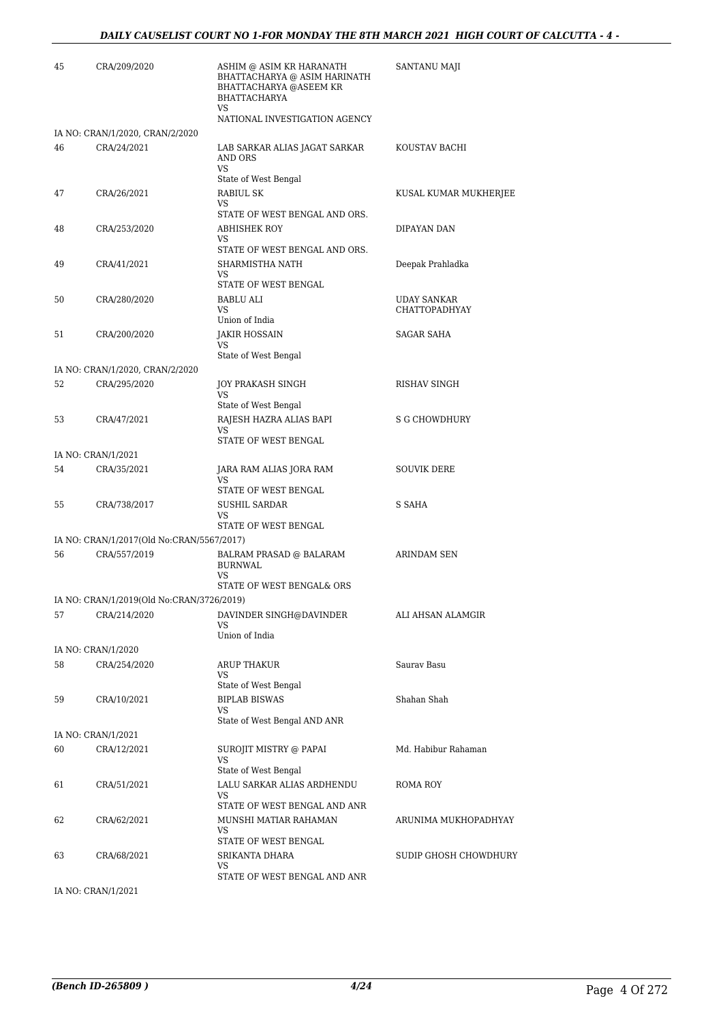#### *DAILY CAUSELIST COURT NO 1-FOR MONDAY THE 8TH MARCH 2021 HIGH COURT OF CALCUTTA - 4 -*

| 45 | CRA/209/2020                              | ASHIM @ ASIM KR HARANATH<br>BHATTACHARYA @ ASIM HARINATH<br><b>BHATTACHARYA @ASEEM KR</b><br><b>BHATTACHARYA</b><br>VS | SANTANU MAJI          |
|----|-------------------------------------------|------------------------------------------------------------------------------------------------------------------------|-----------------------|
|    |                                           | NATIONAL INVESTIGATION AGENCY                                                                                          |                       |
|    | IA NO: CRAN/1/2020, CRAN/2/2020           |                                                                                                                        |                       |
| 46 | CRA/24/2021                               | LAB SARKAR ALIAS JAGAT SARKAR<br>AND ORS<br>VS<br>State of West Bengal                                                 | KOUSTAV BACHI         |
| 47 | CRA/26/2021                               | RABIUL SK                                                                                                              | KUSAL KUMAR MUKHERJEE |
|    |                                           | VS<br>STATE OF WEST BENGAL AND ORS.                                                                                    |                       |
| 48 | CRA/253/2020                              | <b>ABHISHEK ROY</b><br>VS                                                                                              | DIPAYAN DAN           |
|    |                                           | STATE OF WEST BENGAL AND ORS.                                                                                          |                       |
| 49 | CRA/41/2021                               | SHARMISTHA NATH<br>VS<br>STATE OF WEST BENGAL                                                                          | Deepak Prahladka      |
| 50 | CRA/280/2020                              | BABLU ALI                                                                                                              | UDAY SANKAR           |
|    |                                           | VS<br>Union of India                                                                                                   | <b>CHATTOPADHYAY</b>  |
| 51 | CRA/200/2020                              | JAKIR HOSSAIN<br>VS                                                                                                    | <b>SAGAR SAHA</b>     |
|    |                                           | State of West Bengal                                                                                                   |                       |
|    | IA NO: CRAN/1/2020, CRAN/2/2020           |                                                                                                                        |                       |
| 52 | CRA/295/2020                              | JOY PRAKASH SINGH<br>VS<br>State of West Bengal                                                                        | RISHAV SINGH          |
| 53 | CRA/47/2021                               | RAJESH HAZRA ALIAS BAPI                                                                                                | <b>S G CHOWDHURY</b>  |
|    |                                           | VS<br>STATE OF WEST BENGAL                                                                                             |                       |
|    | IA NO: CRAN/1/2021                        |                                                                                                                        |                       |
| 54 | CRA/35/2021                               | JARA RAM ALIAS JORA RAM<br>VS<br>STATE OF WEST BENGAL                                                                  | <b>SOUVIK DERE</b>    |
| 55 | CRA/738/2017                              | SUSHIL SARDAR                                                                                                          | S SAHA                |
|    |                                           | VS.<br>STATE OF WEST BENGAL                                                                                            |                       |
|    | IA NO: CRAN/1/2017(Old No:CRAN/5567/2017) |                                                                                                                        |                       |
| 56 | CRA/557/2019                              | BALRAM PRASAD @ BALARAM<br><b>BURNWAL</b><br>VS.                                                                       | <b>ARINDAM SEN</b>    |
|    |                                           | STATE OF WEST BENGAL& ORS                                                                                              |                       |
|    | IA NO: CRAN/1/2019(Old No:CRAN/3726/2019) |                                                                                                                        |                       |
| 57 | CRA/214/2020                              | DAVINDER SINGH@DAVINDER<br>VS<br>Union of India                                                                        | ALI AHSAN ALAMGIR     |
|    | IA NO: CRAN/1/2020                        |                                                                                                                        |                       |
| 58 | CRA/254/2020                              | <b>ARUP THAKUR</b>                                                                                                     | Saurav Basu           |
|    |                                           | VS<br>State of West Bengal                                                                                             |                       |
| 59 | CRA/10/2021                               | <b>BIPLAB BISWAS</b><br>VS                                                                                             | Shahan Shah           |
|    |                                           | State of West Bengal AND ANR                                                                                           |                       |
|    | IA NO: CRAN/1/2021                        |                                                                                                                        |                       |
| 60 | CRA/12/2021                               | SUROJIT MISTRY @ PAPAI<br>VS<br>State of West Bengal                                                                   | Md. Habibur Rahaman   |
| 61 | CRA/51/2021                               | LALU SARKAR ALIAS ARDHENDU                                                                                             | ROMA ROY              |
|    |                                           | VS<br>STATE OF WEST BENGAL AND ANR                                                                                     |                       |
| 62 | CRA/62/2021                               | MUNSHI MATIAR RAHAMAN                                                                                                  | ARUNIMA MUKHOPADHYAY  |
|    |                                           | VS<br>STATE OF WEST BENGAL                                                                                             |                       |
| 63 | CRA/68/2021                               | SRIKANTA DHARA                                                                                                         | SUDIP GHOSH CHOWDHURY |
|    |                                           | VS<br>STATE OF WEST BENGAL AND ANR                                                                                     |                       |
|    | IA NO: CRAN/1/2021                        |                                                                                                                        |                       |
|    |                                           |                                                                                                                        |                       |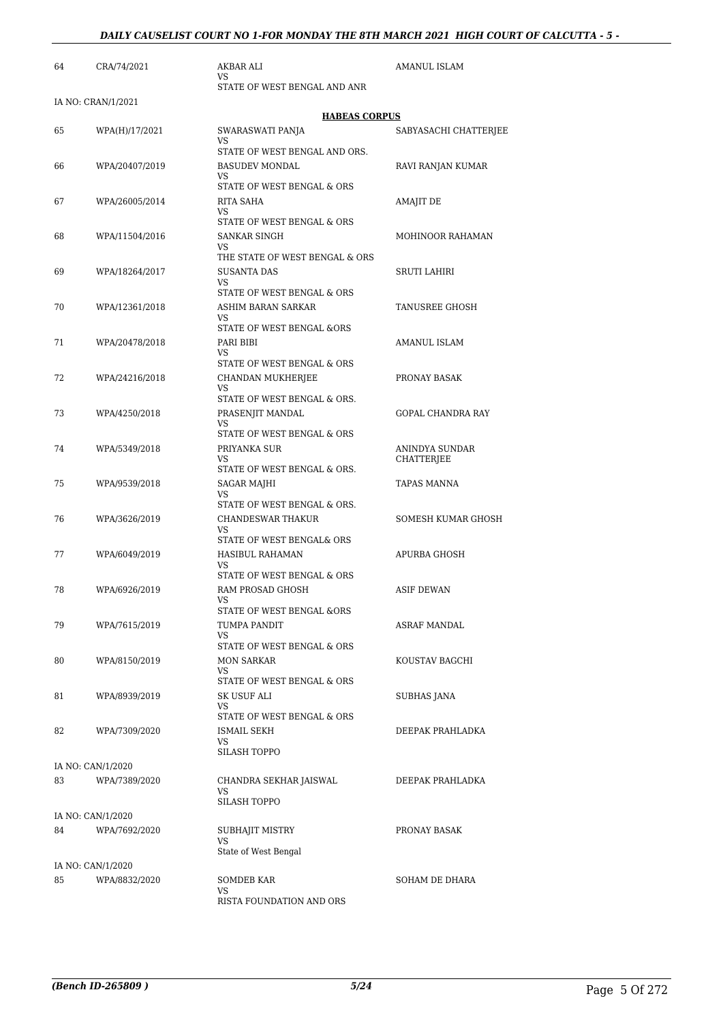| 64 | CRA/74/2021        | AKBAR ALI<br>VS                              | AMANUL ISLAM          |
|----|--------------------|----------------------------------------------|-----------------------|
|    | IA NO: CRAN/1/2021 | STATE OF WEST BENGAL AND ANR                 |                       |
|    |                    | <b>HABEAS CORPUS</b>                         |                       |
| 65 | WPA(H)/17/2021     | SWARASWATI PANJA                             | SABYASACHI CHATTERJEE |
|    |                    | VS<br>STATE OF WEST BENGAL AND ORS.          |                       |
| 66 | WPA/20407/2019     | <b>BASUDEV MONDAL</b>                        | RAVI RANJAN KUMAR     |
|    |                    | VS<br>STATE OF WEST BENGAL & ORS             |                       |
| 67 | WPA/26005/2014     | RITA SAHA                                    | AMAJIT DE             |
|    |                    | VS                                           |                       |
|    |                    | STATE OF WEST BENGAL & ORS                   |                       |
| 68 | WPA/11504/2016     | <b>SANKAR SINGH</b><br>VS                    | MOHINOOR RAHAMAN      |
|    |                    | THE STATE OF WEST BENGAL & ORS               |                       |
| 69 | WPA/18264/2017     | <b>SUSANTA DAS</b>                           | SRUTI LAHIRI          |
|    |                    | VS<br>STATE OF WEST BENGAL & ORS             |                       |
| 70 | WPA/12361/2018     | ASHIM BARAN SARKAR                           | TANUSREE GHOSH        |
|    |                    | VS<br>STATE OF WEST BENGAL &ORS              |                       |
| 71 | WPA/20478/2018     | PARI BIBI                                    | AMANUL ISLAM          |
|    |                    | VS                                           |                       |
|    |                    | STATE OF WEST BENGAL & ORS                   |                       |
| 72 | WPA/24216/2018     | CHANDAN MUKHERJEE<br>VS                      | PRONAY BASAK          |
|    |                    | STATE OF WEST BENGAL & ORS.                  |                       |
| 73 | WPA/4250/2018      | PRASENJIT MANDAL<br>VS                       | GOPAL CHANDRA RAY     |
|    |                    | STATE OF WEST BENGAL & ORS                   |                       |
| 74 | WPA/5349/2018      | PRIYANKA SUR                                 | ANINDYA SUNDAR        |
|    |                    | VS<br>STATE OF WEST BENGAL & ORS.            | <b>CHATTERJEE</b>     |
| 75 | WPA/9539/2018      | SAGAR MAJHI                                  | TAPAS MANNA           |
|    |                    | VS<br>STATE OF WEST BENGAL & ORS.            |                       |
| 76 | WPA/3626/2019      | CHANDESWAR THAKUR                            | SOMESH KUMAR GHOSH    |
|    |                    | VS                                           |                       |
| 77 | WPA/6049/2019      | STATE OF WEST BENGAL& ORS<br>HASIBUL RAHAMAN | APURBA GHOSH          |
|    |                    | VS                                           |                       |
|    |                    | STATE OF WEST BENGAL & ORS                   |                       |
| 78 | WPA/6926/2019      | RAM PROSAD GHOSH<br>VS                       | ASIF DEWAN            |
|    |                    | STATE OF WEST BENGAL &ORS                    |                       |
| 79 | WPA/7615/2019      | TUMPA PANDIT                                 | ASRAF MANDAL          |
|    |                    | VS<br>STATE OF WEST BENGAL & ORS             |                       |
| 80 | WPA/8150/2019      | <b>MON SARKAR</b>                            | KOUSTAV BAGCHI        |
|    |                    | VS<br>STATE OF WEST BENGAL & ORS             |                       |
| 81 | WPA/8939/2019      | SK USUF ALI                                  | SUBHAS JANA           |
|    |                    | VS                                           |                       |
|    |                    | STATE OF WEST BENGAL & ORS                   |                       |
| 82 | WPA/7309/2020      | ISMAIL SEKH<br>VS                            | DEEPAK PRAHLADKA      |
|    |                    | SILASH TOPPO                                 |                       |
|    | IA NO: CAN/1/2020  |                                              |                       |
| 83 | WPA/7389/2020      | CHANDRA SEKHAR JAISWAL<br>VS                 | DEEPAK PRAHLADKA      |
|    |                    | SILASH TOPPO                                 |                       |
|    | IA NO: CAN/1/2020  |                                              |                       |
| 84 | WPA/7692/2020      | SUBHAJIT MISTRY<br>VS                        | PRONAY BASAK          |
|    |                    | State of West Bengal                         |                       |
|    | IA NO: CAN/1/2020  |                                              |                       |
| 85 | WPA/8832/2020      | <b>SOMDEB KAR</b>                            | SOHAM DE DHARA        |
|    |                    | VS<br>RISTA FOUNDATION AND ORS               |                       |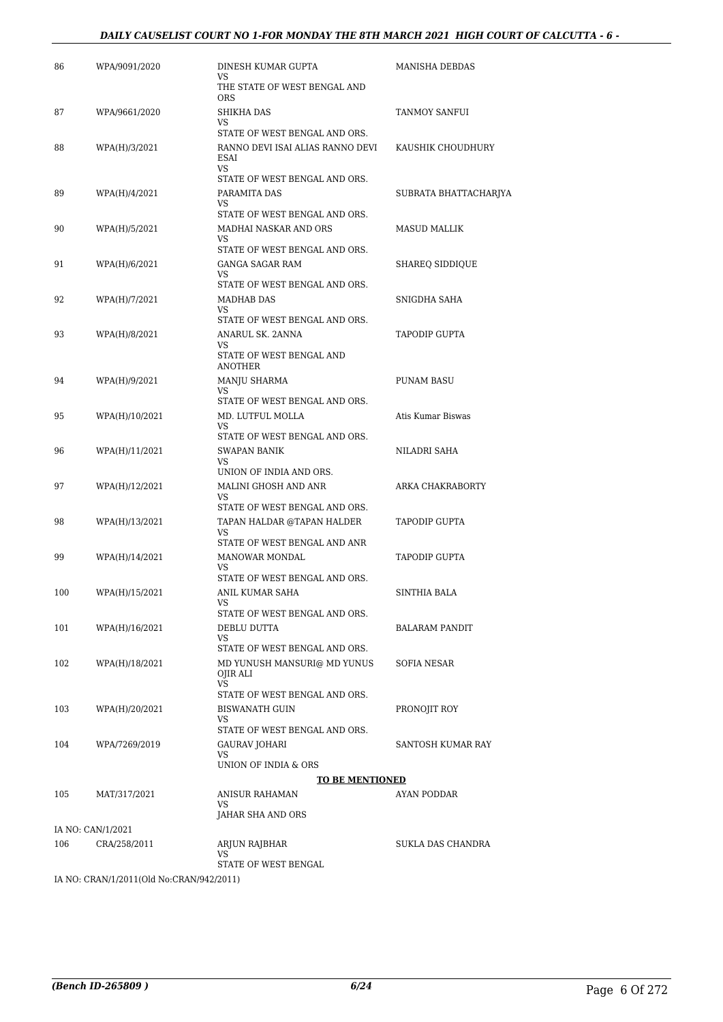#### DAILY CAUSELIST COURT NO 1-FOR MONDAY THE 8TH MARCH 2021 HIGH COURT OF CALCUTTA - 6 -

| THE STATE OF WEST BENGAL AND<br><b>ORS</b><br>87<br>WPA/9661/2020<br>SHIKHA DAS<br>TANMOY SANFUI<br>VS.<br>STATE OF WEST BENGAL AND ORS.<br>88<br>RANNO DEVI ISAI ALIAS RANNO DEVI<br>KAUSHIK CHOUDHURY<br>WPA(H)/3/2021<br>ESAI<br><b>VS</b><br>STATE OF WEST BENGAL AND ORS.<br>89<br>WPA(H)/4/2021<br>PARAMITA DAS<br>SUBRATA BHATTACHARJYA<br>VS<br>STATE OF WEST BENGAL AND ORS.<br>90<br>WPA(H)/5/2021<br>MADHAI NASKAR AND ORS<br><b>MASUD MALLIK</b><br>VS.<br>STATE OF WEST BENGAL AND ORS.<br>91<br><b>GANGA SAGAR RAM</b><br>WPA(H)/6/2021<br>SHAREQ SIDDIQUE<br>VS<br>STATE OF WEST BENGAL AND ORS.<br>92<br><b>MADHAB DAS</b><br>WPA(H)/7/2021<br>SNIGDHA SAHA<br>VS<br>STATE OF WEST BENGAL AND ORS.<br>93<br>ANARUL SK. 2ANNA<br><b>TAPODIP GUPTA</b><br>WPA(H)/8/2021<br>VS.<br>STATE OF WEST BENGAL AND<br><b>ANOTHER</b><br>94<br>MANJU SHARMA<br><b>PUNAM BASU</b><br>WPA(H)/9/2021<br>VS<br>STATE OF WEST BENGAL AND ORS.<br>MD. LUTFUL MOLLA<br>Atis Kumar Biswas<br>95<br>WPA(H)/10/2021<br>VS<br>STATE OF WEST BENGAL AND ORS.<br>96<br>WPA(H)/11/2021<br><b>SWAPAN BANIK</b><br>NILADRI SAHA<br>VS.<br>UNION OF INDIA AND ORS.<br>97<br>MALINI GHOSH AND ANR<br>ARKA CHAKRABORTY<br>WPA(H)/12/2021<br>VS<br>STATE OF WEST BENGAL AND ORS.<br>98<br>WPA(H)/13/2021<br>TAPAN HALDAR @TAPAN HALDER<br>TAPODIP GUPTA<br>VS<br>STATE OF WEST BENGAL AND ANR<br>99<br><b>MANOWAR MONDAL</b><br><b>TAPODIP GUPTA</b><br>WPA(H)/14/2021<br>VS<br>STATE OF WEST BENGAL AND ORS.<br>100<br>WPA(H)/15/2021<br>ANIL KUMAR SAHA<br>SINTHIA BALA<br>VS.<br>STATE OF WEST BENGAL AND ORS.<br>101<br>DEBLU DUTTA<br>WPA(H)/16/2021<br><b>BALARAM PANDIT</b><br>VS<br>STATE OF WEST BENGAL AND ORS.<br>MD YUNUSH MANSURI@ MD YUNUS<br>SOFIA NESAR<br>102<br>WPA(H)/18/2021<br>OJIR ALI<br><b>VS</b><br>STATE OF WEST BENGAL AND ORS.<br>103<br>PRONOJIT ROY<br>WPA(H)/20/2021<br><b>BISWANATH GUIN</b><br>VS<br>STATE OF WEST BENGAL AND ORS.<br>104<br>WPA/7269/2019<br>GAURAV JOHARI<br>SANTOSH KUMAR RAY<br>VS<br>UNION OF INDIA & ORS<br><b>TO BE MENTIONED</b><br><b>ANISUR RAHAMAN</b><br>105<br>MAT/317/2021<br>AYAN PODDAR<br>VS<br>JAHAR SHA AND ORS<br>IA NO: CAN/1/2021<br>106<br>ARJUN RAJBHAR<br>CRA/258/2011<br>SUKLA DAS CHANDRA<br>VS.<br>STATE OF WEST BENGAL | 86 | WPA/9091/2020 | DINESH KUMAR GUPTA | MANISHA DEBDAS |
|---------------------------------------------------------------------------------------------------------------------------------------------------------------------------------------------------------------------------------------------------------------------------------------------------------------------------------------------------------------------------------------------------------------------------------------------------------------------------------------------------------------------------------------------------------------------------------------------------------------------------------------------------------------------------------------------------------------------------------------------------------------------------------------------------------------------------------------------------------------------------------------------------------------------------------------------------------------------------------------------------------------------------------------------------------------------------------------------------------------------------------------------------------------------------------------------------------------------------------------------------------------------------------------------------------------------------------------------------------------------------------------------------------------------------------------------------------------------------------------------------------------------------------------------------------------------------------------------------------------------------------------------------------------------------------------------------------------------------------------------------------------------------------------------------------------------------------------------------------------------------------------------------------------------------------------------------------------------------------------------------------------------------------------------------------------------------------------------------------------------------------------------------------------------------------------------------------------------------------------------------------------------------------------|----|---------------|--------------------|----------------|
|                                                                                                                                                                                                                                                                                                                                                                                                                                                                                                                                                                                                                                                                                                                                                                                                                                                                                                                                                                                                                                                                                                                                                                                                                                                                                                                                                                                                                                                                                                                                                                                                                                                                                                                                                                                                                                                                                                                                                                                                                                                                                                                                                                                                                                                                                       |    |               | VS.                |                |
|                                                                                                                                                                                                                                                                                                                                                                                                                                                                                                                                                                                                                                                                                                                                                                                                                                                                                                                                                                                                                                                                                                                                                                                                                                                                                                                                                                                                                                                                                                                                                                                                                                                                                                                                                                                                                                                                                                                                                                                                                                                                                                                                                                                                                                                                                       |    |               |                    |                |
|                                                                                                                                                                                                                                                                                                                                                                                                                                                                                                                                                                                                                                                                                                                                                                                                                                                                                                                                                                                                                                                                                                                                                                                                                                                                                                                                                                                                                                                                                                                                                                                                                                                                                                                                                                                                                                                                                                                                                                                                                                                                                                                                                                                                                                                                                       |    |               |                    |                |
|                                                                                                                                                                                                                                                                                                                                                                                                                                                                                                                                                                                                                                                                                                                                                                                                                                                                                                                                                                                                                                                                                                                                                                                                                                                                                                                                                                                                                                                                                                                                                                                                                                                                                                                                                                                                                                                                                                                                                                                                                                                                                                                                                                                                                                                                                       |    |               |                    |                |
|                                                                                                                                                                                                                                                                                                                                                                                                                                                                                                                                                                                                                                                                                                                                                                                                                                                                                                                                                                                                                                                                                                                                                                                                                                                                                                                                                                                                                                                                                                                                                                                                                                                                                                                                                                                                                                                                                                                                                                                                                                                                                                                                                                                                                                                                                       |    |               |                    |                |
|                                                                                                                                                                                                                                                                                                                                                                                                                                                                                                                                                                                                                                                                                                                                                                                                                                                                                                                                                                                                                                                                                                                                                                                                                                                                                                                                                                                                                                                                                                                                                                                                                                                                                                                                                                                                                                                                                                                                                                                                                                                                                                                                                                                                                                                                                       |    |               |                    |                |
|                                                                                                                                                                                                                                                                                                                                                                                                                                                                                                                                                                                                                                                                                                                                                                                                                                                                                                                                                                                                                                                                                                                                                                                                                                                                                                                                                                                                                                                                                                                                                                                                                                                                                                                                                                                                                                                                                                                                                                                                                                                                                                                                                                                                                                                                                       |    |               |                    |                |
|                                                                                                                                                                                                                                                                                                                                                                                                                                                                                                                                                                                                                                                                                                                                                                                                                                                                                                                                                                                                                                                                                                                                                                                                                                                                                                                                                                                                                                                                                                                                                                                                                                                                                                                                                                                                                                                                                                                                                                                                                                                                                                                                                                                                                                                                                       |    |               |                    |                |
|                                                                                                                                                                                                                                                                                                                                                                                                                                                                                                                                                                                                                                                                                                                                                                                                                                                                                                                                                                                                                                                                                                                                                                                                                                                                                                                                                                                                                                                                                                                                                                                                                                                                                                                                                                                                                                                                                                                                                                                                                                                                                                                                                                                                                                                                                       |    |               |                    |                |
|                                                                                                                                                                                                                                                                                                                                                                                                                                                                                                                                                                                                                                                                                                                                                                                                                                                                                                                                                                                                                                                                                                                                                                                                                                                                                                                                                                                                                                                                                                                                                                                                                                                                                                                                                                                                                                                                                                                                                                                                                                                                                                                                                                                                                                                                                       |    |               |                    |                |
|                                                                                                                                                                                                                                                                                                                                                                                                                                                                                                                                                                                                                                                                                                                                                                                                                                                                                                                                                                                                                                                                                                                                                                                                                                                                                                                                                                                                                                                                                                                                                                                                                                                                                                                                                                                                                                                                                                                                                                                                                                                                                                                                                                                                                                                                                       |    |               |                    |                |
|                                                                                                                                                                                                                                                                                                                                                                                                                                                                                                                                                                                                                                                                                                                                                                                                                                                                                                                                                                                                                                                                                                                                                                                                                                                                                                                                                                                                                                                                                                                                                                                                                                                                                                                                                                                                                                                                                                                                                                                                                                                                                                                                                                                                                                                                                       |    |               |                    |                |
|                                                                                                                                                                                                                                                                                                                                                                                                                                                                                                                                                                                                                                                                                                                                                                                                                                                                                                                                                                                                                                                                                                                                                                                                                                                                                                                                                                                                                                                                                                                                                                                                                                                                                                                                                                                                                                                                                                                                                                                                                                                                                                                                                                                                                                                                                       |    |               |                    |                |
|                                                                                                                                                                                                                                                                                                                                                                                                                                                                                                                                                                                                                                                                                                                                                                                                                                                                                                                                                                                                                                                                                                                                                                                                                                                                                                                                                                                                                                                                                                                                                                                                                                                                                                                                                                                                                                                                                                                                                                                                                                                                                                                                                                                                                                                                                       |    |               |                    |                |
|                                                                                                                                                                                                                                                                                                                                                                                                                                                                                                                                                                                                                                                                                                                                                                                                                                                                                                                                                                                                                                                                                                                                                                                                                                                                                                                                                                                                                                                                                                                                                                                                                                                                                                                                                                                                                                                                                                                                                                                                                                                                                                                                                                                                                                                                                       |    |               |                    |                |
|                                                                                                                                                                                                                                                                                                                                                                                                                                                                                                                                                                                                                                                                                                                                                                                                                                                                                                                                                                                                                                                                                                                                                                                                                                                                                                                                                                                                                                                                                                                                                                                                                                                                                                                                                                                                                                                                                                                                                                                                                                                                                                                                                                                                                                                                                       |    |               |                    |                |
|                                                                                                                                                                                                                                                                                                                                                                                                                                                                                                                                                                                                                                                                                                                                                                                                                                                                                                                                                                                                                                                                                                                                                                                                                                                                                                                                                                                                                                                                                                                                                                                                                                                                                                                                                                                                                                                                                                                                                                                                                                                                                                                                                                                                                                                                                       |    |               |                    |                |
|                                                                                                                                                                                                                                                                                                                                                                                                                                                                                                                                                                                                                                                                                                                                                                                                                                                                                                                                                                                                                                                                                                                                                                                                                                                                                                                                                                                                                                                                                                                                                                                                                                                                                                                                                                                                                                                                                                                                                                                                                                                                                                                                                                                                                                                                                       |    |               |                    |                |
|                                                                                                                                                                                                                                                                                                                                                                                                                                                                                                                                                                                                                                                                                                                                                                                                                                                                                                                                                                                                                                                                                                                                                                                                                                                                                                                                                                                                                                                                                                                                                                                                                                                                                                                                                                                                                                                                                                                                                                                                                                                                                                                                                                                                                                                                                       |    |               |                    |                |
|                                                                                                                                                                                                                                                                                                                                                                                                                                                                                                                                                                                                                                                                                                                                                                                                                                                                                                                                                                                                                                                                                                                                                                                                                                                                                                                                                                                                                                                                                                                                                                                                                                                                                                                                                                                                                                                                                                                                                                                                                                                                                                                                                                                                                                                                                       |    |               |                    |                |
|                                                                                                                                                                                                                                                                                                                                                                                                                                                                                                                                                                                                                                                                                                                                                                                                                                                                                                                                                                                                                                                                                                                                                                                                                                                                                                                                                                                                                                                                                                                                                                                                                                                                                                                                                                                                                                                                                                                                                                                                                                                                                                                                                                                                                                                                                       |    |               |                    |                |
|                                                                                                                                                                                                                                                                                                                                                                                                                                                                                                                                                                                                                                                                                                                                                                                                                                                                                                                                                                                                                                                                                                                                                                                                                                                                                                                                                                                                                                                                                                                                                                                                                                                                                                                                                                                                                                                                                                                                                                                                                                                                                                                                                                                                                                                                                       |    |               |                    |                |
|                                                                                                                                                                                                                                                                                                                                                                                                                                                                                                                                                                                                                                                                                                                                                                                                                                                                                                                                                                                                                                                                                                                                                                                                                                                                                                                                                                                                                                                                                                                                                                                                                                                                                                                                                                                                                                                                                                                                                                                                                                                                                                                                                                                                                                                                                       |    |               |                    |                |
|                                                                                                                                                                                                                                                                                                                                                                                                                                                                                                                                                                                                                                                                                                                                                                                                                                                                                                                                                                                                                                                                                                                                                                                                                                                                                                                                                                                                                                                                                                                                                                                                                                                                                                                                                                                                                                                                                                                                                                                                                                                                                                                                                                                                                                                                                       |    |               |                    |                |
|                                                                                                                                                                                                                                                                                                                                                                                                                                                                                                                                                                                                                                                                                                                                                                                                                                                                                                                                                                                                                                                                                                                                                                                                                                                                                                                                                                                                                                                                                                                                                                                                                                                                                                                                                                                                                                                                                                                                                                                                                                                                                                                                                                                                                                                                                       |    |               |                    |                |
|                                                                                                                                                                                                                                                                                                                                                                                                                                                                                                                                                                                                                                                                                                                                                                                                                                                                                                                                                                                                                                                                                                                                                                                                                                                                                                                                                                                                                                                                                                                                                                                                                                                                                                                                                                                                                                                                                                                                                                                                                                                                                                                                                                                                                                                                                       |    |               |                    |                |
|                                                                                                                                                                                                                                                                                                                                                                                                                                                                                                                                                                                                                                                                                                                                                                                                                                                                                                                                                                                                                                                                                                                                                                                                                                                                                                                                                                                                                                                                                                                                                                                                                                                                                                                                                                                                                                                                                                                                                                                                                                                                                                                                                                                                                                                                                       |    |               |                    |                |
|                                                                                                                                                                                                                                                                                                                                                                                                                                                                                                                                                                                                                                                                                                                                                                                                                                                                                                                                                                                                                                                                                                                                                                                                                                                                                                                                                                                                                                                                                                                                                                                                                                                                                                                                                                                                                                                                                                                                                                                                                                                                                                                                                                                                                                                                                       |    |               |                    |                |
|                                                                                                                                                                                                                                                                                                                                                                                                                                                                                                                                                                                                                                                                                                                                                                                                                                                                                                                                                                                                                                                                                                                                                                                                                                                                                                                                                                                                                                                                                                                                                                                                                                                                                                                                                                                                                                                                                                                                                                                                                                                                                                                                                                                                                                                                                       |    |               |                    |                |
|                                                                                                                                                                                                                                                                                                                                                                                                                                                                                                                                                                                                                                                                                                                                                                                                                                                                                                                                                                                                                                                                                                                                                                                                                                                                                                                                                                                                                                                                                                                                                                                                                                                                                                                                                                                                                                                                                                                                                                                                                                                                                                                                                                                                                                                                                       |    |               |                    |                |
|                                                                                                                                                                                                                                                                                                                                                                                                                                                                                                                                                                                                                                                                                                                                                                                                                                                                                                                                                                                                                                                                                                                                                                                                                                                                                                                                                                                                                                                                                                                                                                                                                                                                                                                                                                                                                                                                                                                                                                                                                                                                                                                                                                                                                                                                                       |    |               |                    |                |
|                                                                                                                                                                                                                                                                                                                                                                                                                                                                                                                                                                                                                                                                                                                                                                                                                                                                                                                                                                                                                                                                                                                                                                                                                                                                                                                                                                                                                                                                                                                                                                                                                                                                                                                                                                                                                                                                                                                                                                                                                                                                                                                                                                                                                                                                                       |    |               |                    |                |
|                                                                                                                                                                                                                                                                                                                                                                                                                                                                                                                                                                                                                                                                                                                                                                                                                                                                                                                                                                                                                                                                                                                                                                                                                                                                                                                                                                                                                                                                                                                                                                                                                                                                                                                                                                                                                                                                                                                                                                                                                                                                                                                                                                                                                                                                                       |    |               |                    |                |
|                                                                                                                                                                                                                                                                                                                                                                                                                                                                                                                                                                                                                                                                                                                                                                                                                                                                                                                                                                                                                                                                                                                                                                                                                                                                                                                                                                                                                                                                                                                                                                                                                                                                                                                                                                                                                                                                                                                                                                                                                                                                                                                                                                                                                                                                                       |    |               |                    |                |
|                                                                                                                                                                                                                                                                                                                                                                                                                                                                                                                                                                                                                                                                                                                                                                                                                                                                                                                                                                                                                                                                                                                                                                                                                                                                                                                                                                                                                                                                                                                                                                                                                                                                                                                                                                                                                                                                                                                                                                                                                                                                                                                                                                                                                                                                                       |    |               |                    |                |
|                                                                                                                                                                                                                                                                                                                                                                                                                                                                                                                                                                                                                                                                                                                                                                                                                                                                                                                                                                                                                                                                                                                                                                                                                                                                                                                                                                                                                                                                                                                                                                                                                                                                                                                                                                                                                                                                                                                                                                                                                                                                                                                                                                                                                                                                                       |    |               |                    |                |
|                                                                                                                                                                                                                                                                                                                                                                                                                                                                                                                                                                                                                                                                                                                                                                                                                                                                                                                                                                                                                                                                                                                                                                                                                                                                                                                                                                                                                                                                                                                                                                                                                                                                                                                                                                                                                                                                                                                                                                                                                                                                                                                                                                                                                                                                                       |    |               |                    |                |
|                                                                                                                                                                                                                                                                                                                                                                                                                                                                                                                                                                                                                                                                                                                                                                                                                                                                                                                                                                                                                                                                                                                                                                                                                                                                                                                                                                                                                                                                                                                                                                                                                                                                                                                                                                                                                                                                                                                                                                                                                                                                                                                                                                                                                                                                                       |    |               |                    |                |
|                                                                                                                                                                                                                                                                                                                                                                                                                                                                                                                                                                                                                                                                                                                                                                                                                                                                                                                                                                                                                                                                                                                                                                                                                                                                                                                                                                                                                                                                                                                                                                                                                                                                                                                                                                                                                                                                                                                                                                                                                                                                                                                                                                                                                                                                                       |    |               |                    |                |
|                                                                                                                                                                                                                                                                                                                                                                                                                                                                                                                                                                                                                                                                                                                                                                                                                                                                                                                                                                                                                                                                                                                                                                                                                                                                                                                                                                                                                                                                                                                                                                                                                                                                                                                                                                                                                                                                                                                                                                                                                                                                                                                                                                                                                                                                                       |    |               |                    |                |
|                                                                                                                                                                                                                                                                                                                                                                                                                                                                                                                                                                                                                                                                                                                                                                                                                                                                                                                                                                                                                                                                                                                                                                                                                                                                                                                                                                                                                                                                                                                                                                                                                                                                                                                                                                                                                                                                                                                                                                                                                                                                                                                                                                                                                                                                                       |    |               |                    |                |
|                                                                                                                                                                                                                                                                                                                                                                                                                                                                                                                                                                                                                                                                                                                                                                                                                                                                                                                                                                                                                                                                                                                                                                                                                                                                                                                                                                                                                                                                                                                                                                                                                                                                                                                                                                                                                                                                                                                                                                                                                                                                                                                                                                                                                                                                                       |    |               |                    |                |
|                                                                                                                                                                                                                                                                                                                                                                                                                                                                                                                                                                                                                                                                                                                                                                                                                                                                                                                                                                                                                                                                                                                                                                                                                                                                                                                                                                                                                                                                                                                                                                                                                                                                                                                                                                                                                                                                                                                                                                                                                                                                                                                                                                                                                                                                                       |    |               |                    |                |
|                                                                                                                                                                                                                                                                                                                                                                                                                                                                                                                                                                                                                                                                                                                                                                                                                                                                                                                                                                                                                                                                                                                                                                                                                                                                                                                                                                                                                                                                                                                                                                                                                                                                                                                                                                                                                                                                                                                                                                                                                                                                                                                                                                                                                                                                                       |    |               |                    |                |
|                                                                                                                                                                                                                                                                                                                                                                                                                                                                                                                                                                                                                                                                                                                                                                                                                                                                                                                                                                                                                                                                                                                                                                                                                                                                                                                                                                                                                                                                                                                                                                                                                                                                                                                                                                                                                                                                                                                                                                                                                                                                                                                                                                                                                                                                                       |    |               |                    |                |

IA NO: CRAN/1/2011(Old No:CRAN/942/2011)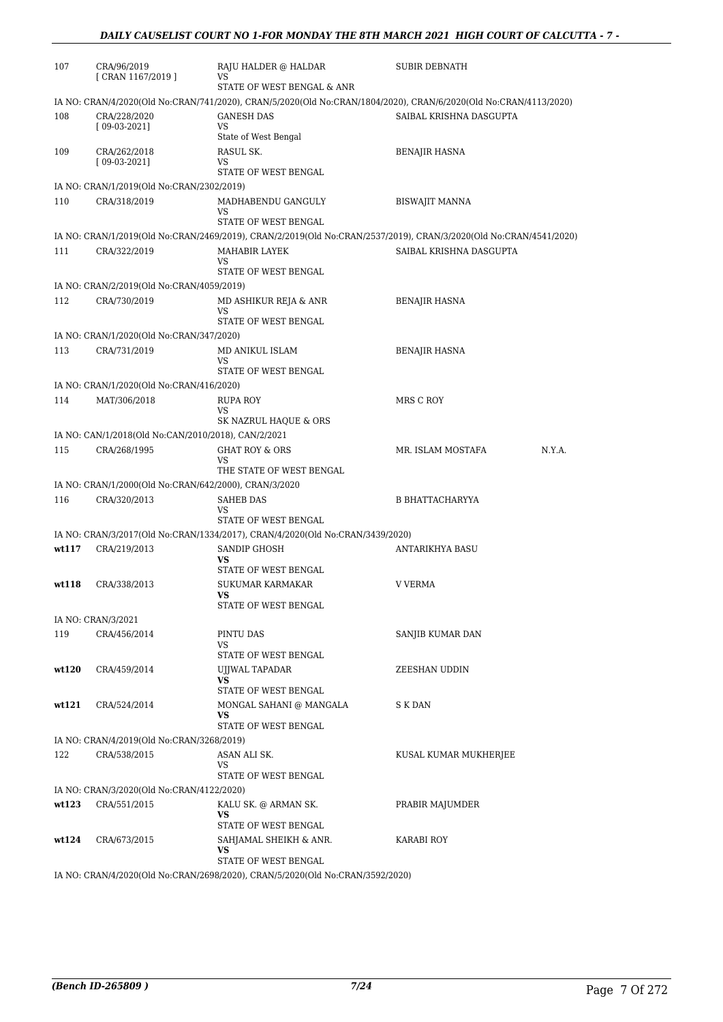| 107   | CRA/96/2019<br>[ CRAN 1167/2019 ]                         | RAJU HALDER @ HALDAR<br>VS                                                                            | <b>SUBIR DEBNATH</b>                                                                                              |
|-------|-----------------------------------------------------------|-------------------------------------------------------------------------------------------------------|-------------------------------------------------------------------------------------------------------------------|
|       |                                                           | STATE OF WEST BENGAL & ANR                                                                            |                                                                                                                   |
|       |                                                           |                                                                                                       | IA NO: CRAN/4/2020(Old No:CRAN/741/2020), CRAN/5/2020(Old No:CRAN/1804/2020), CRAN/6/2020(Old No:CRAN/4113/2020)  |
| 108   | CRA/228/2020<br>$[09-03-2021]$                            | <b>GANESH DAS</b><br>VS<br>State of West Bengal                                                       | SAIBAL KRISHNA DASGUPTA                                                                                           |
| 109   | CRA/262/2018                                              | RASUL SK.                                                                                             | BENAJIR HASNA                                                                                                     |
|       | $[09-03-2021]$                                            | VS                                                                                                    |                                                                                                                   |
|       |                                                           | STATE OF WEST BENGAL                                                                                  |                                                                                                                   |
| 110   | IA NO: CRAN/1/2019(Old No:CRAN/2302/2019)<br>CRA/318/2019 | MADHABENDU GANGULY                                                                                    | <b>BISWAJIT MANNA</b>                                                                                             |
|       |                                                           | VS<br>STATE OF WEST BENGAL                                                                            |                                                                                                                   |
|       |                                                           |                                                                                                       | IA NO: CRAN/1/2019(Old No:CRAN/2469/2019), CRAN/2/2019(Old No:CRAN/2537/2019), CRAN/3/2020(Old No:CRAN/4541/2020) |
| 111   | CRA/322/2019                                              | MAHABIR LAYEK                                                                                         | SAIBAL KRISHNA DASGUPTA                                                                                           |
|       |                                                           | VS<br>STATE OF WEST BENGAL                                                                            |                                                                                                                   |
|       | IA NO: CRAN/2/2019(Old No:CRAN/4059/2019)                 |                                                                                                       |                                                                                                                   |
| 112   | CRA/730/2019                                              | MD ASHIKUR REJA & ANR                                                                                 | <b>BENAJIR HASNA</b>                                                                                              |
|       |                                                           | VS                                                                                                    |                                                                                                                   |
|       |                                                           | STATE OF WEST BENGAL                                                                                  |                                                                                                                   |
| 113   | IA NO: CRAN/1/2020(Old No:CRAN/347/2020)                  | MD ANIKUL ISLAM                                                                                       |                                                                                                                   |
|       | CRA/731/2019                                              | VS                                                                                                    | <b>BENAJIR HASNA</b>                                                                                              |
|       |                                                           | STATE OF WEST BENGAL                                                                                  |                                                                                                                   |
|       | IA NO: CRAN/1/2020(Old No:CRAN/416/2020)                  |                                                                                                       |                                                                                                                   |
| 114   | MAT/306/2018                                              | RUPA ROY<br>VS                                                                                        | MRS C ROY                                                                                                         |
|       |                                                           | SK NAZRUL HAQUE & ORS                                                                                 |                                                                                                                   |
|       | IA NO: CAN/1/2018(Old No:CAN/2010/2018), CAN/2/2021       |                                                                                                       |                                                                                                                   |
| 115   | CRA/268/1995                                              | <b>GHAT ROY &amp; ORS</b>                                                                             | N.Y.A.<br>MR. ISLAM MOSTAFA                                                                                       |
|       |                                                           | VS<br>THE STATE OF WEST BENGAL                                                                        |                                                                                                                   |
|       | IA NO: CRAN/1/2000(Old No:CRAN/642/2000), CRAN/3/2020     |                                                                                                       |                                                                                                                   |
| 116   | CRA/320/2013                                              | <b>SAHEB DAS</b>                                                                                      | B BHATTACHARYYA                                                                                                   |
|       |                                                           | VS                                                                                                    |                                                                                                                   |
|       |                                                           | STATE OF WEST BENGAL<br>IA NO: CRAN/3/2017(Old No:CRAN/1334/2017), CRAN/4/2020(Old No:CRAN/3439/2020) |                                                                                                                   |
| wt117 | CRA/219/2013                                              | SANDIP GHOSH                                                                                          | ANTARIKHYA BASU                                                                                                   |
|       |                                                           | VS<br>STATE OF WEST BENGAL                                                                            |                                                                                                                   |
| wt118 | CRA/338/2013                                              | <b>SUKUMAR KARMAKAR</b>                                                                               | <b>V VERMA</b>                                                                                                    |
|       |                                                           | VS<br>STATE OF WEST BENGAL                                                                            |                                                                                                                   |
|       | IA NO: CRAN/3/2021                                        |                                                                                                       |                                                                                                                   |
| 119   | CRA/456/2014                                              | PINTU DAS                                                                                             | SANJIB KUMAR DAN                                                                                                  |
|       |                                                           | VS                                                                                                    |                                                                                                                   |
|       |                                                           | STATE OF WEST BENGAL                                                                                  |                                                                                                                   |
| wt120 | CRA/459/2014                                              | UIJWAL TAPADAR<br>VS                                                                                  | ZEESHAN UDDIN                                                                                                     |
|       |                                                           | STATE OF WEST BENGAL                                                                                  |                                                                                                                   |
| wt121 | CRA/524/2014                                              | MONGAL SAHANI @ MANGALA                                                                               | S K DAN                                                                                                           |
|       |                                                           | VS<br>STATE OF WEST BENGAL                                                                            |                                                                                                                   |
|       | IA NO: CRAN/4/2019(Old No:CRAN/3268/2019)                 |                                                                                                       |                                                                                                                   |
| 122   | CRA/538/2015                                              | ASAN ALI SK.                                                                                          | KUSAL KUMAR MUKHERJEE                                                                                             |
|       |                                                           | VS<br>STATE OF WEST BENGAL                                                                            |                                                                                                                   |
|       | IA NO: CRAN/3/2020(Old No:CRAN/4122/2020)                 |                                                                                                       |                                                                                                                   |
| wt123 | CRA/551/2015                                              | KALU SK. @ ARMAN SK.                                                                                  | PRABIR MAJUMDER                                                                                                   |
|       |                                                           | VS                                                                                                    |                                                                                                                   |
|       |                                                           | STATE OF WEST BENGAL                                                                                  |                                                                                                                   |
| wt124 | CRA/673/2015                                              | SAHJAMAL SHEIKH & ANR.<br>VS                                                                          | KARABI ROY                                                                                                        |
|       |                                                           | STATE OF WEST BENGAL                                                                                  |                                                                                                                   |
|       |                                                           |                                                                                                       |                                                                                                                   |

IA NO: CRAN/4/2020(Old No:CRAN/2698/2020), CRAN/5/2020(Old No:CRAN/3592/2020)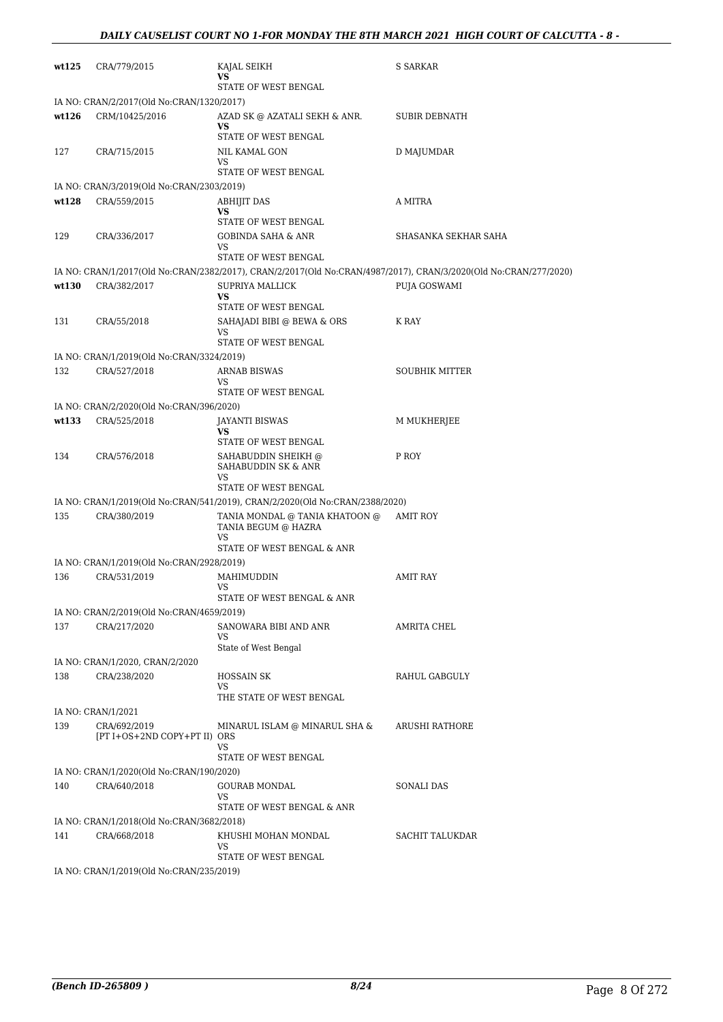| wt125 | CRA/779/2015                                 | KAJAL SEIKH<br>VS<br>STATE OF WEST BENGAL                                    | S SARKAR                                                                                                         |
|-------|----------------------------------------------|------------------------------------------------------------------------------|------------------------------------------------------------------------------------------------------------------|
|       | IA NO: CRAN/2/2017(Old No:CRAN/1320/2017)    |                                                                              |                                                                                                                  |
| wt126 | CRM/10425/2016                               | AZAD SK @ AZATALI SEKH & ANR.<br>VS                                          | SUBIR DEBNATH                                                                                                    |
|       |                                              | STATE OF WEST BENGAL                                                         |                                                                                                                  |
| 127   | CRA/715/2015                                 | NIL KAMAL GON<br>VS<br>STATE OF WEST BENGAL                                  | D MAJUMDAR                                                                                                       |
|       | IA NO: CRAN/3/2019(Old No:CRAN/2303/2019)    |                                                                              |                                                                                                                  |
| wt128 | CRA/559/2015                                 | ABHIJIT DAS                                                                  | A MITRA                                                                                                          |
|       |                                              | VS<br>STATE OF WEST BENGAL                                                   |                                                                                                                  |
| 129   | CRA/336/2017                                 | GOBINDA SAHA & ANR<br>VS<br>STATE OF WEST BENGAL                             | SHASANKA SEKHAR SAHA                                                                                             |
|       |                                              |                                                                              | IA NO: CRAN/1/2017(Old No:CRAN/2382/2017), CRAN/2/2017(Old No:CRAN/4987/2017), CRAN/3/2020(Old No:CRAN/277/2020) |
| wt130 | CRA/382/2017                                 | SUPRIYA MALLICK                                                              | PUJA GOSWAMI                                                                                                     |
|       |                                              | <b>VS</b><br>STATE OF WEST BENGAL                                            |                                                                                                                  |
| 131   | CRA/55/2018                                  | SAHAJADI BIBI @ BEWA & ORS                                                   | K RAY                                                                                                            |
|       |                                              | VS<br>STATE OF WEST BENGAL                                                   |                                                                                                                  |
|       | IA NO: CRAN/1/2019(Old No:CRAN/3324/2019)    |                                                                              |                                                                                                                  |
| 132   | CRA/527/2018                                 | ARNAB BISWAS<br>VS                                                           | <b>SOUBHIK MITTER</b>                                                                                            |
|       |                                              | STATE OF WEST BENGAL                                                         |                                                                                                                  |
|       | IA NO: CRAN/2/2020(Old No:CRAN/396/2020)     |                                                                              |                                                                                                                  |
| wt133 | CRA/525/2018                                 | JAYANTI BISWAS<br>VS                                                         | M MUKHERJEE                                                                                                      |
|       |                                              | STATE OF WEST BENGAL                                                         |                                                                                                                  |
| 134   | CRA/576/2018                                 | SAHABUDDIN SHEIKH @<br>SAHABUDDIN SK & ANR<br>VS<br>STATE OF WEST BENGAL     | P ROY                                                                                                            |
|       |                                              | IA NO: CRAN/1/2019(Old No:CRAN/541/2019), CRAN/2/2020(Old No:CRAN/2388/2020) |                                                                                                                  |
| 135   | CRA/380/2019                                 | TANIA MONDAL @ TANIA KHATOON @                                               | AMIT ROY                                                                                                         |
|       |                                              | TANIA BEGUM @ HAZRA<br>VS                                                    |                                                                                                                  |
|       |                                              | STATE OF WEST BENGAL & ANR                                                   |                                                                                                                  |
|       | IA NO: CRAN/1/2019(Old No:CRAN/2928/2019)    |                                                                              |                                                                                                                  |
| 136   | CRA/531/2019                                 | MAHIMUDDIN<br>VS<br>STATE OF WEST BENGAL & ANR                               | <b>AMIT RAY</b>                                                                                                  |
|       | IA NO: CRAN/2/2019(Old No:CRAN/4659/2019)    |                                                                              |                                                                                                                  |
| 137   | CRA/217/2020                                 | SANOWARA BIBI AND ANR<br>VS                                                  | AMRITA CHEL                                                                                                      |
|       |                                              | State of West Bengal                                                         |                                                                                                                  |
|       | IA NO: CRAN/1/2020, CRAN/2/2020              |                                                                              |                                                                                                                  |
| 138   | CRA/238/2020                                 | <b>HOSSAIN SK</b><br>VS.                                                     | RAHUL GABGULY                                                                                                    |
|       |                                              | THE STATE OF WEST BENGAL                                                     |                                                                                                                  |
|       | IA NO: CRAN/1/2021                           |                                                                              |                                                                                                                  |
| 139   | CRA/692/2019<br>[PT I+OS+2ND COPY+PT II) ORS | MINARUL ISLAM @ MINARUL SHA &<br>VS.<br>STATE OF WEST BENGAL                 | ARUSHI RATHORE                                                                                                   |
|       | IA NO: CRAN/1/2020(Old No:CRAN/190/2020)     |                                                                              |                                                                                                                  |
| 140   | CRA/640/2018                                 | <b>GOURAB MONDAL</b><br>VS                                                   | SONALI DAS                                                                                                       |
|       |                                              | STATE OF WEST BENGAL & ANR                                                   |                                                                                                                  |
|       | IA NO: CRAN/1/2018(Old No:CRAN/3682/2018)    |                                                                              |                                                                                                                  |
| 141   | CRA/668/2018                                 | KHUSHI MOHAN MONDAL<br>VS<br>STATE OF WEST BENGAL                            | SACHIT TALUKDAR                                                                                                  |
|       | IA NO: CRAN/1/2019(Old No:CRAN/235/2019)     |                                                                              |                                                                                                                  |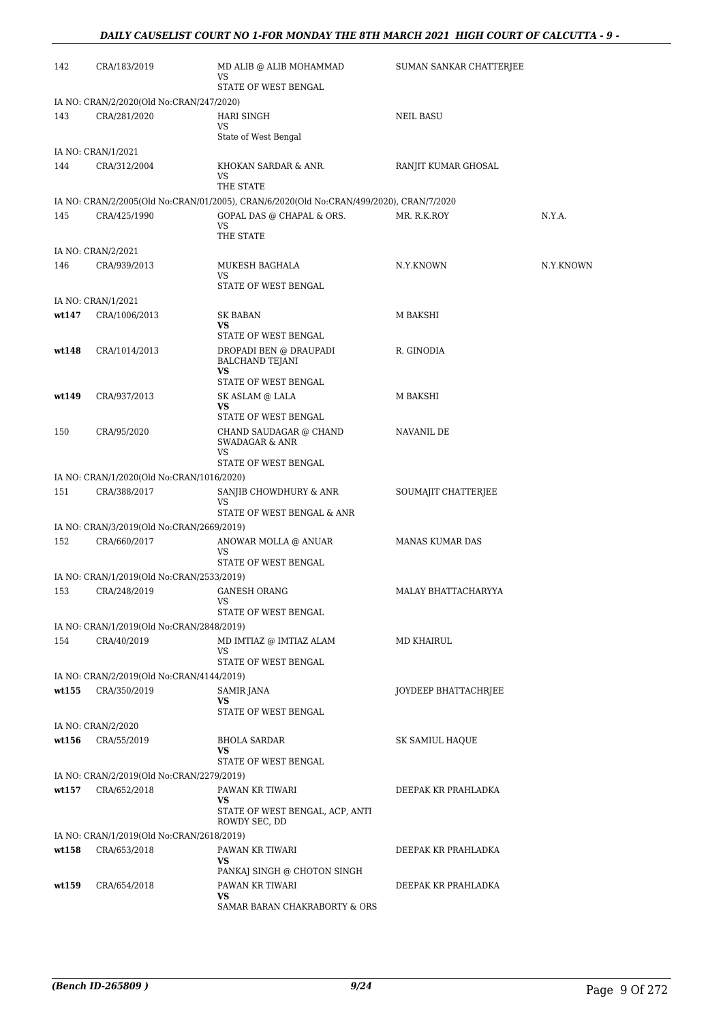| 142   | CRA/183/2019                              | MD ALIB @ ALIB MOHAMMAD<br>VS<br>STATE OF WEST BENGAL                                   | SUMAN SANKAR CHATTERJEE |           |
|-------|-------------------------------------------|-----------------------------------------------------------------------------------------|-------------------------|-----------|
|       | IA NO: CRAN/2/2020(Old No:CRAN/247/2020)  |                                                                                         |                         |           |
| 143   | CRA/281/2020                              | <b>HARI SINGH</b><br>VS                                                                 | NEIL BASU               |           |
|       |                                           | State of West Bengal                                                                    |                         |           |
|       | IA NO: CRAN/1/2021                        |                                                                                         |                         |           |
| 144   | CRA/312/2004                              | KHOKAN SARDAR & ANR.<br>VS<br>THE STATE                                                 | RANJIT KUMAR GHOSAL     |           |
|       |                                           | IA NO: CRAN/2/2005(Old No:CRAN/01/2005), CRAN/6/2020(Old No:CRAN/499/2020), CRAN/7/2020 |                         |           |
| 145   | CRA/425/1990                              | GOPAL DAS @ CHAPAL & ORS.                                                               | MR. R.K.ROY             | N.Y.A.    |
|       |                                           | VS<br>THE STATE                                                                         |                         |           |
|       | IA NO: CRAN/2/2021                        |                                                                                         |                         |           |
| 146   | CRA/939/2013                              | MUKESH BAGHALA<br>VS<br>STATE OF WEST BENGAL                                            | N.Y.KNOWN               | N.Y.KNOWN |
|       | IA NO: CRAN/1/2021                        |                                                                                         |                         |           |
| wt147 | CRA/1006/2013                             | SK BABAN<br>VS                                                                          | M BAKSHI                |           |
|       |                                           | STATE OF WEST BENGAL                                                                    |                         |           |
| wt148 | CRA/1014/2013                             | DROPADI BEN @ DRAUPADI<br><b>BALCHAND TEJANI</b><br>VS                                  | R. GINODIA              |           |
|       |                                           | STATE OF WEST BENGAL                                                                    |                         |           |
| wt149 | CRA/937/2013                              | SK ASLAM @ LALA                                                                         | M BAKSHI                |           |
|       |                                           | VS<br>STATE OF WEST BENGAL                                                              |                         |           |
| 150   | CRA/95/2020                               | CHAND SAUDAGAR @ CHAND<br><b>SWADAGAR &amp; ANR</b>                                     | NAVANIL DE              |           |
|       |                                           | <b>VS</b><br>STATE OF WEST BENGAL                                                       |                         |           |
|       | IA NO: CRAN/1/2020(Old No:CRAN/1016/2020) |                                                                                         |                         |           |
| 151   | CRA/388/2017                              | SANJIB CHOWDHURY & ANR                                                                  | SOUMAJIT CHATTERJEE     |           |
|       |                                           | VS<br>STATE OF WEST BENGAL & ANR                                                        |                         |           |
|       | IA NO: CRAN/3/2019(Old No:CRAN/2669/2019) |                                                                                         |                         |           |
| 152   | CRA/660/2017                              | ANOWAR MOLLA @ ANUAR<br>VS<br>STATE OF WEST BENGAL                                      | <b>MANAS KUMAR DAS</b>  |           |
|       | IA NO: CRAN/1/2019(Old No:CRAN/2533/2019) |                                                                                         |                         |           |
| 153   | CRA/248/2019                              | <b>GANESH ORANG</b>                                                                     | MALAY BHATTACHARYYA     |           |
|       |                                           | vs                                                                                      |                         |           |
|       |                                           | STATE OF WEST BENGAL                                                                    |                         |           |
|       | IA NO: CRAN/1/2019(Old No:CRAN/2848/2019) |                                                                                         |                         |           |
| 154   | CRA/40/2019                               | MD IMTIAZ @ IMTIAZ ALAM<br>VS<br>STATE OF WEST BENGAL                                   | MD KHAIRUL              |           |
|       | IA NO: CRAN/2/2019(Old No:CRAN/4144/2019) |                                                                                         |                         |           |
| wt155 | CRA/350/2019                              | SAMIR JANA                                                                              | JOYDEEP BHATTACHRJEE    |           |
|       |                                           | VS<br>STATE OF WEST BENGAL                                                              |                         |           |
|       | IA NO: CRAN/2/2020                        |                                                                                         |                         |           |
| wt156 | CRA/55/2019                               | <b>BHOLA SARDAR</b><br>VS<br>STATE OF WEST BENGAL                                       | SK SAMIUL HAQUE         |           |
|       | IA NO: CRAN/2/2019(Old No:CRAN/2279/2019) |                                                                                         |                         |           |
| wt157 | CRA/652/2018                              | PAWAN KR TIWARI                                                                         | DEEPAK KR PRAHLADKA     |           |
|       |                                           | VS<br>STATE OF WEST BENGAL, ACP, ANTI<br>ROWDY SEC, DD                                  |                         |           |
|       | IA NO: CRAN/1/2019(Old No:CRAN/2618/2019) |                                                                                         |                         |           |
| wt158 | CRA/653/2018                              | PAWAN KR TIWARI                                                                         | DEEPAK KR PRAHLADKA     |           |
|       |                                           | VS<br>PANKAJ SINGH @ CHOTON SINGH                                                       |                         |           |
| wt159 | CRA/654/2018                              | PAWAN KR TIWARI                                                                         | DEEPAK KR PRAHLADKA     |           |
|       |                                           | VS<br>SAMAR BARAN CHAKRABORTY & ORS                                                     |                         |           |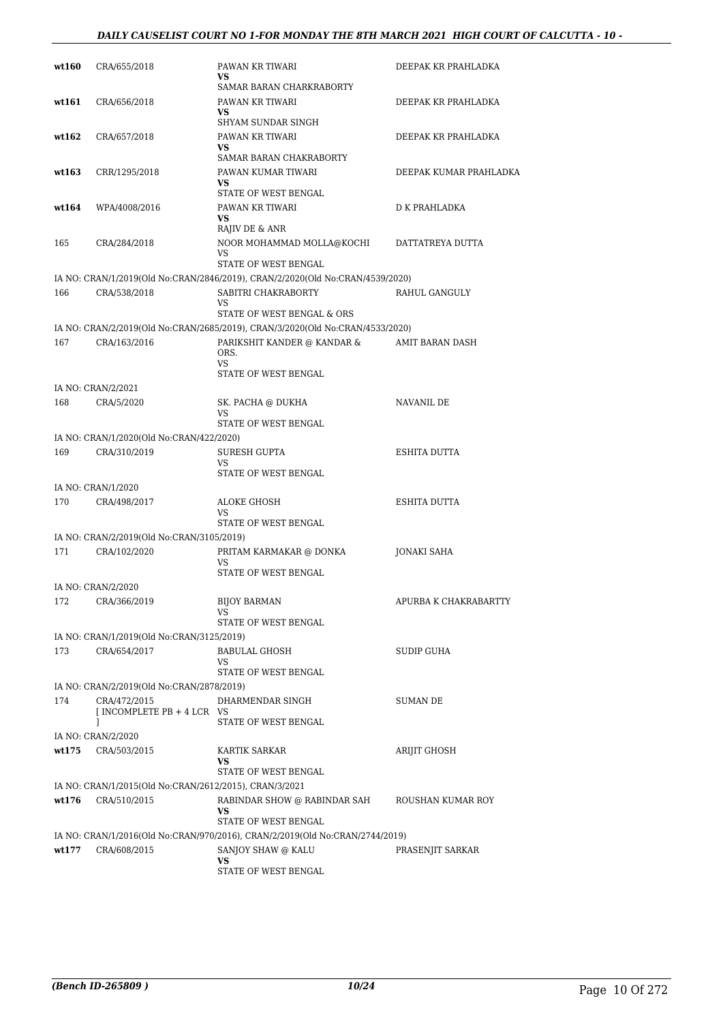#### *DAILY CAUSELIST COURT NO 1-FOR MONDAY THE 8TH MARCH 2021 HIGH COURT OF CALCUTTA - 10 -*

| wt160 | CRA/655/2018                                           | PAWAN KR TIWARI<br>VS.                                                        | DEEPAK KR PRAHLADKA    |
|-------|--------------------------------------------------------|-------------------------------------------------------------------------------|------------------------|
| wt161 | CRA/656/2018                                           | SAMAR BARAN CHARKRABORTY<br>PAWAN KR TIWARI<br>VS                             | DEEPAK KR PRAHLADKA    |
| wt162 | CRA/657/2018                                           | SHYAM SUNDAR SINGH<br>PAWAN KR TIWARI<br><b>VS</b>                            | DEEPAK KR PRAHLADKA    |
| wt163 | CRR/1295/2018                                          | SAMAR BARAN CHAKRABORTY<br>PAWAN KUMAR TIWARI<br>VS                           | DEEPAK KUMAR PRAHLADKA |
| wt164 | WPA/4008/2016                                          | STATE OF WEST BENGAL<br>PAWAN KR TIWARI                                       | D K PRAHLADKA          |
| 165   | CRA/284/2018                                           | VS<br>RAJIV DE & ANR<br>NOOR MOHAMMAD MOLLA@KOCHI<br>VS                       | DATTATREYA DUTTA       |
|       |                                                        | STATE OF WEST BENGAL                                                          |                        |
|       |                                                        | IA NO: CRAN/1/2019(Old No:CRAN/2846/2019), CRAN/2/2020(Old No:CRAN/4539/2020) |                        |
| 166   | CRA/538/2018                                           | SABITRI CHAKRABORTY<br>VS<br>STATE OF WEST BENGAL & ORS                       | RAHUL GANGULY          |
|       |                                                        | IA NO: CRAN/2/2019(Old No:CRAN/2685/2019), CRAN/3/2020(Old No:CRAN/4533/2020) |                        |
| 167   | CRA/163/2016                                           | PARIKSHIT KANDER @ KANDAR &<br>ORS.<br>VS.<br>STATE OF WEST BENGAL            | AMIT BARAN DASH        |
|       | IA NO: CRAN/2/2021                                     |                                                                               |                        |
| 168   | CRA/5/2020                                             | SK. PACHA @ DUKHA<br>VS                                                       | NAVANIL DE             |
|       |                                                        | STATE OF WEST BENGAL                                                          |                        |
|       | IA NO: CRAN/1/2020(Old No:CRAN/422/2020)               |                                                                               |                        |
| 169   | CRA/310/2019                                           | <b>SURESH GUPTA</b><br>VS<br>STATE OF WEST BENGAL                             | ESHITA DUTTA           |
|       | IA NO: CRAN/1/2020                                     |                                                                               |                        |
| 170   | CRA/498/2017                                           | ALOKE GHOSH<br>VS<br>STATE OF WEST BENGAL                                     | ESHITA DUTTA           |
|       | IA NO: CRAN/2/2019(Old No:CRAN/3105/2019)              |                                                                               |                        |
| 171   | CRA/102/2020                                           | PRITAM KARMAKAR @ DONKA<br>VS<br>STATE OF WEST BENGAL                         | JONAKI SAHA            |
|       | IA NO: CRAN/2/2020                                     |                                                                               |                        |
| 172   | CRA/366/2019                                           | <b>BIJOY BARMAN</b><br>VS<br>STATE OF WEST BENGAL                             | APURBA K CHAKRABARTTY  |
|       | IA NO: CRAN/1/2019(Old No:CRAN/3125/2019)              |                                                                               |                        |
| 173   | CRA/654/2017                                           | <b>BABULAL GHOSH</b><br>VS                                                    | SUDIP GUHA             |
|       | IA NO: CRAN/2/2019(Old No:CRAN/2878/2019)              | STATE OF WEST BENGAL                                                          |                        |
| 174   | CRA/472/2015<br>[ INCOMPLETE PB + 4 LCR VS             | DHARMENDAR SINGH                                                              | SUMAN DE               |
|       | 1<br>IA NO: CRAN/2/2020                                | STATE OF WEST BENGAL                                                          |                        |
| wt175 | CRA/503/2015                                           | <b>KARTIK SARKAR</b><br>VS<br>STATE OF WEST BENGAL                            | ARIJIT GHOSH           |
|       | IA NO: CRAN/1/2015(Old No:CRAN/2612/2015), CRAN/3/2021 |                                                                               |                        |
| wt176 | CRA/510/2015                                           | RABINDAR SHOW @ RABINDAR SAH<br>VS.<br>STATE OF WEST BENGAL                   | ROUSHAN KUMAR ROY      |
|       |                                                        | IA NO: CRAN/1/2016(Old No:CRAN/970/2016), CRAN/2/2019(Old No:CRAN/2744/2019)  |                        |
| wt177 | CRA/608/2015                                           | SANJOY SHAW @ KALU<br>VS<br>STATE OF WEST BENGAL                              | PRASENJIT SARKAR       |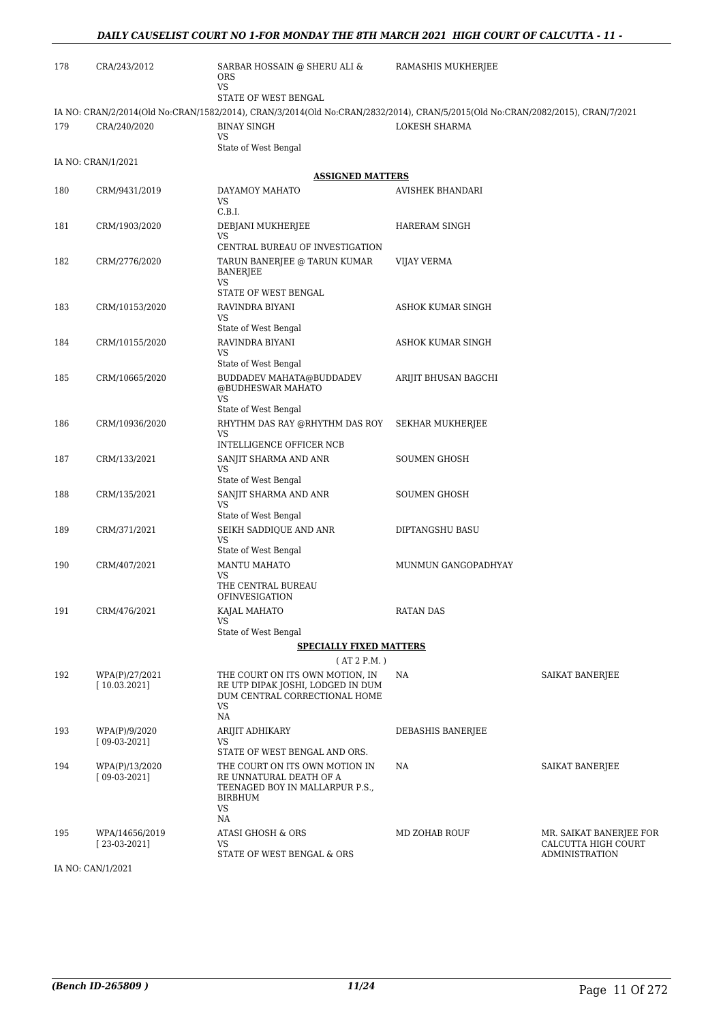| 178 | CRA/243/2012                     | SARBAR HOSSAIN @ SHERU ALI &<br>ORS<br>VS                                                                                      | RAMASHIS MUKHERJEE       |                                                                         |
|-----|----------------------------------|--------------------------------------------------------------------------------------------------------------------------------|--------------------------|-------------------------------------------------------------------------|
|     |                                  | STATE OF WEST BENGAL                                                                                                           |                          |                                                                         |
|     |                                  | IA NO: CRAN/2/2014(Old No:CRAN/1582/2014), CRAN/3/2014(Old No:CRAN/2832/2014), CRAN/5/2015(Old No:CRAN/2082/2015), CRAN/7/2021 |                          |                                                                         |
| 179 | CRA/240/2020                     | <b>BINAY SINGH</b><br>VS<br>State of West Bengal                                                                               | LOKESH SHARMA            |                                                                         |
|     | IA NO: CRAN/1/2021               |                                                                                                                                |                          |                                                                         |
|     |                                  | <b>ASSIGNED MATTERS</b>                                                                                                        |                          |                                                                         |
| 180 | CRM/9431/2019                    | DAYAMOY MAHATO                                                                                                                 | <b>AVISHEK BHANDARI</b>  |                                                                         |
|     |                                  | VS<br>C.B.I.                                                                                                                   |                          |                                                                         |
| 181 | CRM/1903/2020                    | DEBJANI MUKHERJEE<br>VS                                                                                                        | HARERAM SINGH            |                                                                         |
|     |                                  | CENTRAL BUREAU OF INVESTIGATION                                                                                                |                          |                                                                         |
| 182 | CRM/2776/2020                    | TARUN BANERJEE @ TARUN KUMAR<br><b>BANERJEE</b><br>VS                                                                          | VIJAY VERMA              |                                                                         |
|     |                                  | STATE OF WEST BENGAL                                                                                                           |                          |                                                                         |
| 183 | CRM/10153/2020                   | RAVINDRA BIYANI                                                                                                                | ASHOK KUMAR SINGH        |                                                                         |
|     |                                  | VS<br>State of West Bengal                                                                                                     |                          |                                                                         |
| 184 | CRM/10155/2020                   | RAVINDRA BIYANI                                                                                                                | <b>ASHOK KUMAR SINGH</b> |                                                                         |
|     |                                  | VS<br>State of West Bengal                                                                                                     |                          |                                                                         |
| 185 | CRM/10665/2020                   | BUDDADEV MAHATA@BUDDADEV<br>@BUDHESWAR MAHATO<br>VS                                                                            | ARIJIT BHUSAN BAGCHI     |                                                                         |
|     |                                  | State of West Bengal                                                                                                           |                          |                                                                         |
| 186 | CRM/10936/2020                   | RHYTHM DAS RAY @RHYTHM DAS ROY<br>VS                                                                                           | SEKHAR MUKHERJEE         |                                                                         |
| 187 | CRM/133/2021                     | INTELLIGENCE OFFICER NCB<br>SANJIT SHARMA AND ANR                                                                              | <b>SOUMEN GHOSH</b>      |                                                                         |
|     |                                  | VS                                                                                                                             |                          |                                                                         |
|     |                                  | State of West Bengal                                                                                                           |                          |                                                                         |
| 188 | CRM/135/2021                     | SANJIT SHARMA AND ANR<br>VS                                                                                                    | <b>SOUMEN GHOSH</b>      |                                                                         |
|     |                                  | State of West Bengal                                                                                                           |                          |                                                                         |
| 189 | CRM/371/2021                     | SEIKH SADDIQUE AND ANR<br>VS                                                                                                   | DIPTANGSHU BASU          |                                                                         |
|     |                                  | State of West Bengal                                                                                                           |                          |                                                                         |
| 190 | CRM/407/2021                     | <b>MANTU MAHATO</b><br>VS                                                                                                      | MUNMUN GANGOPADHYAY      |                                                                         |
|     |                                  | THE CENTRAL BUREAU<br><b>OFINVESIGATION</b>                                                                                    |                          |                                                                         |
| 191 | CRM/476/2021                     | KAJAL MAHATO                                                                                                                   | <b>RATAN DAS</b>         |                                                                         |
|     |                                  | VS<br>State of West Bengal                                                                                                     |                          |                                                                         |
|     |                                  | <b>SPECIALLY FIXED MATTERS</b>                                                                                                 |                          |                                                                         |
|     |                                  | (AT 2 P.M.)                                                                                                                    |                          |                                                                         |
| 192 | WPA(P)/27/2021<br>[10.03.2021]   | THE COURT ON ITS OWN MOTION, IN<br>RE UTP DIPAK JOSHI, LODGED IN DUM<br>DUM CENTRAL CORRECTIONAL HOME<br>VS<br>NA              | NA                       | SAIKAT BANERJEE                                                         |
| 193 | WPA(P)/9/2020                    | ARIJIT ADHIKARY                                                                                                                | DEBASHIS BANERJEE        |                                                                         |
|     | $[09-03-2021]$                   | VS                                                                                                                             |                          |                                                                         |
| 194 | WPA(P)/13/2020                   | STATE OF WEST BENGAL AND ORS.<br>THE COURT ON ITS OWN MOTION IN                                                                | NA                       | SAIKAT BANERJEE                                                         |
|     | $[09-03-2021]$                   | RE UNNATURAL DEATH OF A<br>TEENAGED BOY IN MALLARPUR P.S.,<br><b>BIRBHUM</b><br>VS                                             |                          |                                                                         |
|     |                                  | NA.                                                                                                                            |                          |                                                                         |
| 195 | WPA/14656/2019<br>$[23-03-2021]$ | ATASI GHOSH & ORS<br>VS<br>STATE OF WEST BENGAL & ORS                                                                          | MD ZOHAB ROUF            | MR. SAIKAT BANERJEE FOF<br>CALCUTTA HIGH COURT<br><b>ADMINISTRATION</b> |
|     |                                  |                                                                                                                                |                          |                                                                         |

IA NO: CAN/1/2021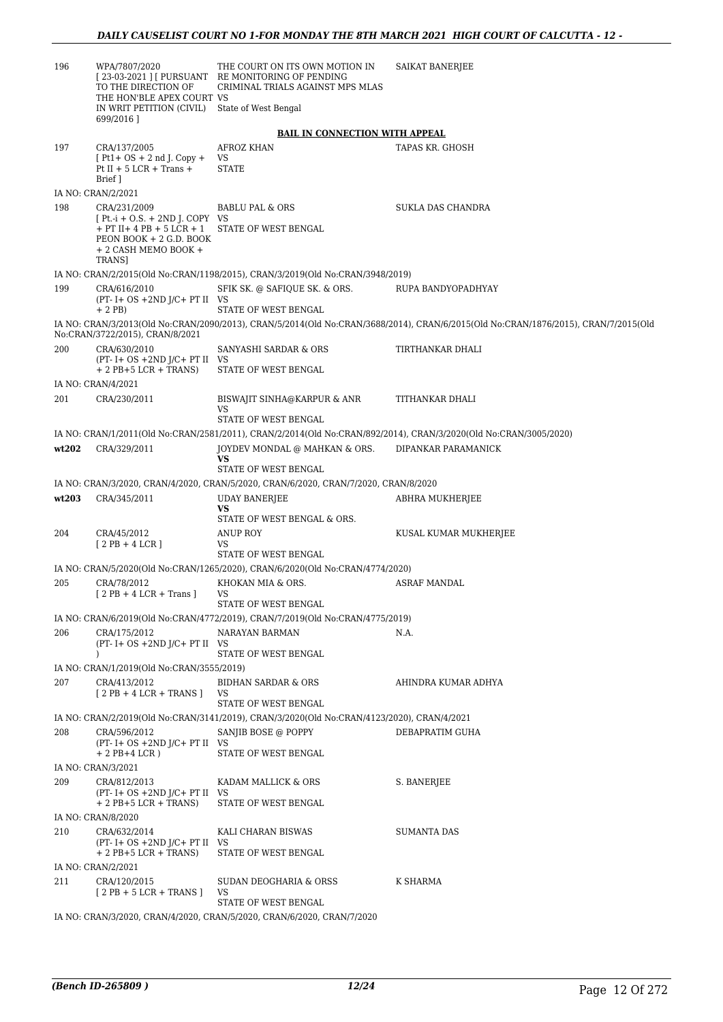| 196   | WPA/7807/2020<br>TO THE DIRECTION OF<br>THE HON'BLE APEX COURT VS<br>IN WRIT PETITION (CIVIL)<br>699/2016]                                           | THE COURT ON ITS OWN MOTION IN<br>[23-03-2021 ] [ PURSUANT RE MONITORING OF PENDING<br>CRIMINAL TRIALS AGAINST MPS MLAS<br>State of West Bengal | SAIKAT BANERJEE                                                                                                                    |
|-------|------------------------------------------------------------------------------------------------------------------------------------------------------|-------------------------------------------------------------------------------------------------------------------------------------------------|------------------------------------------------------------------------------------------------------------------------------------|
|       |                                                                                                                                                      | <b>BAIL IN CONNECTION WITH APPEAL</b>                                                                                                           |                                                                                                                                    |
| 197   | CRA/137/2005<br>$[Pt1+OS + 2nd]$ . Copy +<br>Pt II + 5 LCR + Trans +<br>Brief 1                                                                      | <b>AFROZ KHAN</b><br>VS<br><b>STATE</b>                                                                                                         | TAPAS KR. GHOSH                                                                                                                    |
|       | IA NO: CRAN/2/2021                                                                                                                                   |                                                                                                                                                 |                                                                                                                                    |
| 198   | CRA/231/2009<br>$[Pt.-i + O.S. + 2ND J. COPY VS]$<br>$+$ PT II $+$ 4 PB $+$ 5 LCR $+$ 1<br>PEON BOOK + 2 G.D. BOOK<br>+ 2 CASH MEMO BOOK +<br>TRANS] | <b>BABLU PAL &amp; ORS</b><br>STATE OF WEST BENGAL                                                                                              | SUKLA DAS CHANDRA                                                                                                                  |
|       |                                                                                                                                                      | IA NO: CRAN/2/2015(Old No:CRAN/1198/2015), CRAN/3/2019(Old No:CRAN/3948/2019)                                                                   |                                                                                                                                    |
| 199   | CRA/616/2010<br>$(PT - I + OS + 2ND J/C + PT II$ VS<br>$+2$ PB)                                                                                      | SFIK SK. @ SAFIQUE SK. & ORS.<br><b>STATE OF WEST BENGAL</b>                                                                                    | RUPA BANDYOPADHYAY                                                                                                                 |
|       | No:CRAN/3722/2015), CRAN/8/2021                                                                                                                      |                                                                                                                                                 | IA NO: CRAN/3/2013(Old No:CRAN/2090/2013), CRAN/5/2014(Old No:CRAN/3688/2014), CRAN/6/2015(Old No:CRAN/1876/2015), CRAN/7/2015(Old |
| 200   | CRA/630/2010<br>$(PT - I + OS + 2ND J/C + PT II$ VS<br>$+ 2$ PB $+ 5$ LCR $+$ TRANS)                                                                 | SANYASHI SARDAR & ORS<br>STATE OF WEST BENGAL                                                                                                   | TIRTHANKAR DHALI                                                                                                                   |
|       | IA NO: CRAN/4/2021                                                                                                                                   |                                                                                                                                                 |                                                                                                                                    |
| 201   | CRA/230/2011                                                                                                                                         | BISWAJIT SINHA@KARPUR & ANR<br>VS<br>STATE OF WEST BENGAL                                                                                       | TITHANKAR DHALI                                                                                                                    |
|       |                                                                                                                                                      |                                                                                                                                                 | IA NO: CRAN/1/2011(Old No:CRAN/2581/2011), CRAN/2/2014(Old No:CRAN/892/2014), CRAN/3/2020(Old No:CRAN/3005/2020)                   |
| wt202 | CRA/329/2011                                                                                                                                         | JOYDEV MONDAL @ MAHKAN & ORS.<br>VS<br>STATE OF WEST BENGAL                                                                                     | DIPANKAR PARAMANICK                                                                                                                |
|       |                                                                                                                                                      | IA NO: CRAN/3/2020, CRAN/4/2020, CRAN/5/2020, CRAN/6/2020, CRAN/7/2020, CRAN/8/2020                                                             |                                                                                                                                    |
| wt203 | CRA/345/2011                                                                                                                                         | <b>UDAY BANERJEE</b><br>VS<br>STATE OF WEST BENGAL & ORS.                                                                                       | ABHRA MUKHERJEE                                                                                                                    |
| 204   | CRA/45/2012                                                                                                                                          | <b>ANUP ROY</b>                                                                                                                                 | KUSAL KUMAR MUKHERJEE                                                                                                              |
|       | $[2PB+4LCR]$                                                                                                                                         | VS<br>STATE OF WEST BENGAL                                                                                                                      |                                                                                                                                    |
|       |                                                                                                                                                      | IA NO: CRAN/5/2020(Old No:CRAN/1265/2020), CRAN/6/2020(Old No:CRAN/4774/2020)                                                                   |                                                                                                                                    |
| 205   | CRA/78/2012<br>$[2PB + 4 LCR + Trans]$                                                                                                               | KHOKAN MIA & ORS.<br>VS<br>STATE OF WEST BENGAL                                                                                                 | ASRAF MANDAL                                                                                                                       |
|       |                                                                                                                                                      | IA NO: CRAN/6/2019(Old No:CRAN/4772/2019), CRAN/7/2019(Old No:CRAN/4775/2019)                                                                   |                                                                                                                                    |
| 206   | CRA/175/2012<br>$(PT - I + OS + 2ND J/C + PT II$ VS<br>$\lambda$                                                                                     | NARAYAN BARMAN<br>STATE OF WEST BENGAL                                                                                                          | N.A.                                                                                                                               |
|       | IA NO: CRAN/1/2019(Old No:CRAN/3555/2019)                                                                                                            |                                                                                                                                                 |                                                                                                                                    |
| 207   | CRA/413/2012<br>$[2PB + 4LCR + TRANS]$                                                                                                               | BIDHAN SARDAR & ORS<br>VS                                                                                                                       | AHINDRA KUMAR ADHYA                                                                                                                |
|       |                                                                                                                                                      | STATE OF WEST BENGAL<br>IA NO: CRAN/2/2019(Old No:CRAN/3141/2019), CRAN/3/2020(Old No:CRAN/4123/2020), CRAN/4/2021                              |                                                                                                                                    |
| 208   | CRA/596/2012<br>$(PT - I + OS + 2ND J/C + PT II$ VS                                                                                                  | SANJIB BOSE @ POPPY                                                                                                                             | DEBAPRATIM GUHA                                                                                                                    |
|       | $+ 2$ PB+4 LCR)                                                                                                                                      | STATE OF WEST BENGAL                                                                                                                            |                                                                                                                                    |
| 209   | IA NO: CRAN/3/2021<br>CRA/812/2013                                                                                                                   | KADAM MALLICK & ORS                                                                                                                             | S. BANERJEE                                                                                                                        |
|       | $(PT - I + OS + 2ND J/C + PT II$ VS<br>$+ 2$ PB $+ 5$ LCR $+$ TRANS)                                                                                 | STATE OF WEST BENGAL                                                                                                                            |                                                                                                                                    |
|       | IA NO: CRAN/8/2020                                                                                                                                   |                                                                                                                                                 |                                                                                                                                    |
| 210   | CRA/632/2014<br>$(PT - I + OS + 2ND J/C + PT II$ VS<br>$+ 2$ PB $+ 5$ LCR $+$ TRANS)                                                                 | KALI CHARAN BISWAS<br>STATE OF WEST BENGAL                                                                                                      | <b>SUMANTA DAS</b>                                                                                                                 |
|       | IA NO: CRAN/2/2021                                                                                                                                   |                                                                                                                                                 |                                                                                                                                    |
| 211   | CRA/120/2015<br>$[2PB + 5LCR + TRANS]$                                                                                                               | SUDAN DEOGHARIA & ORSS<br>VS<br>STATE OF WEST BENGAL                                                                                            | K SHARMA                                                                                                                           |
|       |                                                                                                                                                      | IA NO: CRAN/3/2020, CRAN/4/2020, CRAN/5/2020, CRAN/6/2020, CRAN/7/2020                                                                          |                                                                                                                                    |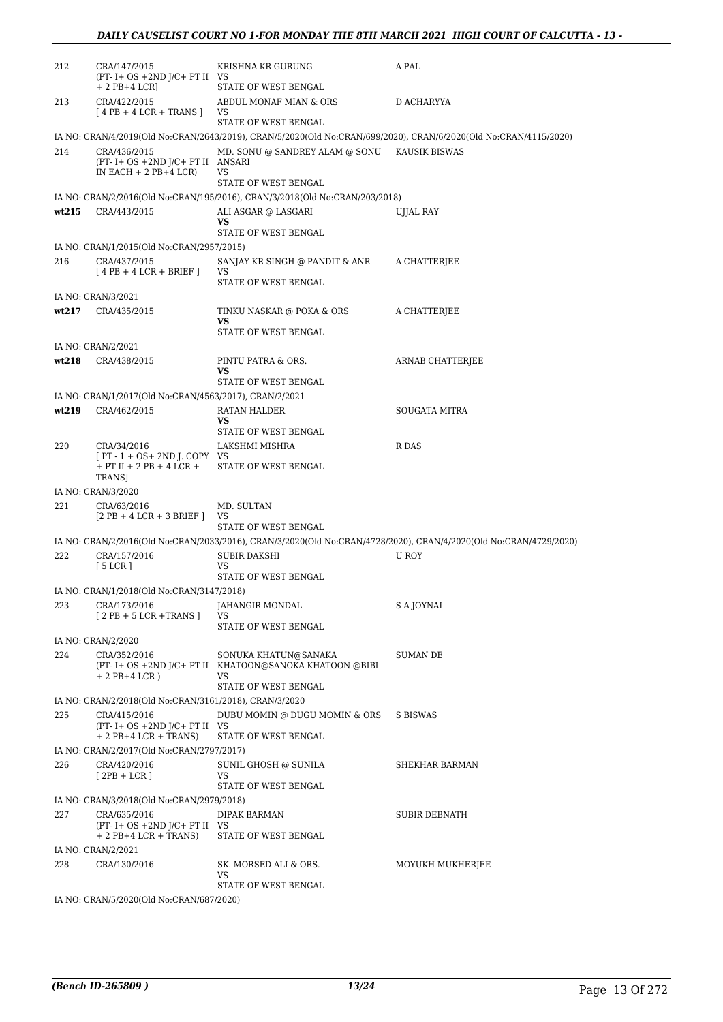| 212   | CRA/147/2015<br>$(PT - I + OS + 2ND J/C + PT II$ VS<br>$+ 2$ PB $+ 4$ LCR]                   | KRISHNA KR GURUNG<br>STATE OF WEST BENGAL                                                           | A PAL                                                                                                             |
|-------|----------------------------------------------------------------------------------------------|-----------------------------------------------------------------------------------------------------|-------------------------------------------------------------------------------------------------------------------|
| 213   | CRA/422/2015<br>$[4PB + 4LCR + TRANS]$                                                       | ABDUL MONAF MIAN & ORS<br>VS                                                                        | D ACHARYYA                                                                                                        |
|       |                                                                                              | STATE OF WEST BENGAL                                                                                | IA NO: CRAN/4/2019(Old No:CRAN/2643/2019), CRAN/5/2020(Old No:CRAN/699/2020), CRAN/6/2020(Old No:CRAN/4115/2020)  |
| 214   | CRA/436/2015<br>(PT- I+ OS +2ND J/C+ PT II ANSARI<br>IN EACH $+ 2$ PB $+ 4$ LCR)             | MD. SONU @ SANDREY ALAM @ SONU KAUSIK BISWAS<br>VS                                                  |                                                                                                                   |
|       |                                                                                              | STATE OF WEST BENGAL<br>IA NO: CRAN/2/2016(Old No:CRAN/195/2016), CRAN/3/2018(Old No:CRAN/203/2018) |                                                                                                                   |
| wt215 | CRA/443/2015                                                                                 | ALI ASGAR @ LASGARI                                                                                 | UJJAL RAY                                                                                                         |
|       |                                                                                              | VS<br>STATE OF WEST BENGAL                                                                          |                                                                                                                   |
|       | IA NO: CRAN/1/2015(Old No:CRAN/2957/2015)                                                    |                                                                                                     |                                                                                                                   |
| 216   | CRA/437/2015<br>$[4PB + 4LCR + BRIEF]$                                                       | SANJAY KR SINGH @ PANDIT & ANR<br>VS<br>STATE OF WEST BENGAL                                        | A CHATTERJEE                                                                                                      |
|       | IA NO: CRAN/3/2021                                                                           |                                                                                                     |                                                                                                                   |
| wt217 | CRA/435/2015                                                                                 | TINKU NASKAR @ POKA & ORS<br>VS                                                                     | A CHATTERJEE                                                                                                      |
|       |                                                                                              | STATE OF WEST BENGAL                                                                                |                                                                                                                   |
| wt218 | IA NO: CRAN/2/2021<br>CRA/438/2015                                                           | PINTU PATRA & ORS.                                                                                  | ARNAB CHATTERJEE                                                                                                  |
|       |                                                                                              | VS                                                                                                  |                                                                                                                   |
|       |                                                                                              | STATE OF WEST BENGAL                                                                                |                                                                                                                   |
|       | IA NO: CRAN/1/2017(Old No:CRAN/4563/2017), CRAN/2/2021                                       |                                                                                                     |                                                                                                                   |
| wt219 | CRA/462/2015                                                                                 | RATAN HALDER<br>VS                                                                                  | SOUGATA MITRA                                                                                                     |
|       |                                                                                              | STATE OF WEST BENGAL                                                                                |                                                                                                                   |
| 220   | CRA/34/2016<br>$[PT - 1 + OS + 2ND]$ . COPY VS<br>$+$ PT II $+$ 2 PB $+$ 4 LCR $+$<br>TRANS] | LAKSHMI MISHRA<br>STATE OF WEST BENGAL                                                              | R DAS                                                                                                             |
|       |                                                                                              |                                                                                                     |                                                                                                                   |
|       |                                                                                              |                                                                                                     |                                                                                                                   |
| 221   | IA NO: CRAN/3/2020<br>CRA/63/2016<br>$[2PB + 4LCR + 3BRIEF]$                                 | MD. SULTAN<br>VS                                                                                    |                                                                                                                   |
|       |                                                                                              | STATE OF WEST BENGAL                                                                                |                                                                                                                   |
|       |                                                                                              |                                                                                                     | IA NO: CRAN/2/2016(Old No:CRAN/2033/2016), CRAN/3/2020(Old No:CRAN/4728/2020), CRAN/4/2020(Old No:CRAN/4729/2020) |
| 222   | CRA/157/2016<br>[5 LCR]                                                                      | SUBIR DAKSHI<br>VS                                                                                  | U ROY                                                                                                             |
|       | IA NO: CRAN/1/2018(Old No:CRAN/3147/2018)                                                    | STATE OF WEST BENGAL                                                                                |                                                                                                                   |
| 223   | CRA/173/2016<br>$[2PB + 5 LCR + TRANS]$                                                      | JAHANGIR MONDAL<br>VS                                                                               | S A JOYNAL                                                                                                        |
|       |                                                                                              | STATE OF WEST BENGAL                                                                                |                                                                                                                   |
|       | IA NO: CRAN/2/2020                                                                           |                                                                                                     |                                                                                                                   |
| 224   | CRA/352/2016<br>$+ 2$ PB+4 LCR)                                                              | SONUKA KHATUN@SANAKA<br>(PT- I+ OS +2ND J/C+ PT II KHATOON@SANOKA KHATOON @BIBI<br>VS               | SUMAN DE                                                                                                          |
|       |                                                                                              | STATE OF WEST BENGAL                                                                                |                                                                                                                   |
|       | IA NO: CRAN/2/2018(Old No:CRAN/3161/2018), CRAN/3/2020                                       |                                                                                                     |                                                                                                                   |
| 225   | CRA/415/2016<br>$(PT - I + OS + 2ND J/C + PT II$ VS<br>$+ 2$ PB+4 LCR + TRANS)               | DUBU MOMIN @ DUGU MOMIN & ORS<br>STATE OF WEST BENGAL                                               | S BISWAS                                                                                                          |
|       | IA NO: CRAN/2/2017(Old No:CRAN/2797/2017)                                                    |                                                                                                     |                                                                                                                   |
| 226   | CRA/420/2016<br>$[2PB + LCR]$                                                                | SUNIL GHOSH @ SUNILA<br>VS.<br>STATE OF WEST BENGAL                                                 | SHEKHAR BARMAN                                                                                                    |
|       | IA NO: CRAN/3/2018(Old No:CRAN/2979/2018)                                                    |                                                                                                     |                                                                                                                   |
| 227   | CRA/635/2016                                                                                 | DIPAK BARMAN                                                                                        | SUBIR DEBNATH                                                                                                     |
|       | $(PT - I + OS + 2ND J/C + PT II$ VS<br>$+ 2$ PB+4 LCR + TRANS)                               | STATE OF WEST BENGAL                                                                                |                                                                                                                   |
|       | IA NO: CRAN/2/2021                                                                           |                                                                                                     |                                                                                                                   |
| 228   | CRA/130/2016                                                                                 | SK. MORSED ALI & ORS.<br>VS                                                                         | MOYUKH MUKHERJEE                                                                                                  |
|       | IA NO: CRAN/5/2020(Old No:CRAN/687/2020)                                                     | STATE OF WEST BENGAL                                                                                |                                                                                                                   |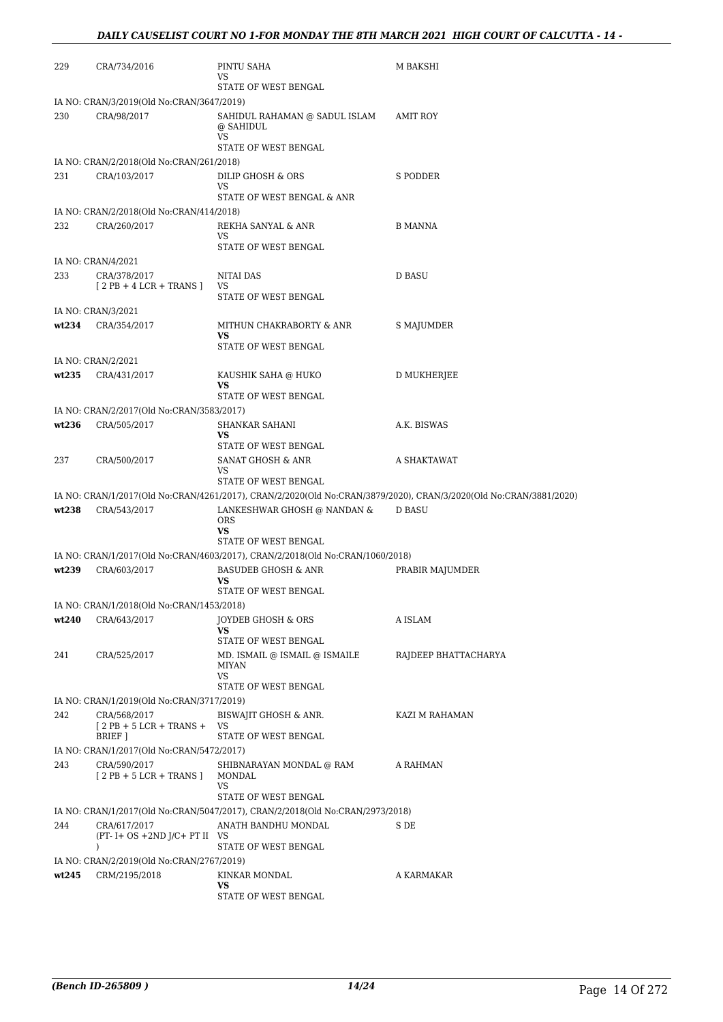| 229   | CRA/734/2016                                              | PINTU SAHA<br>VS                                                              | M BAKSHI                                                                                                          |  |
|-------|-----------------------------------------------------------|-------------------------------------------------------------------------------|-------------------------------------------------------------------------------------------------------------------|--|
|       |                                                           | STATE OF WEST BENGAL                                                          |                                                                                                                   |  |
|       | IA NO: CRAN/3/2019(Old No:CRAN/3647/2019)                 |                                                                               |                                                                                                                   |  |
| 230   | CRA/98/2017                                               | SAHIDUL RAHAMAN @ SADUL ISLAM<br>@ SAHIDUL<br>VS                              | AMIT ROY                                                                                                          |  |
|       | IA NO: CRAN/2/2018(Old No:CRAN/261/2018)                  | STATE OF WEST BENGAL                                                          |                                                                                                                   |  |
| 231   | CRA/103/2017                                              | DILIP GHOSH & ORS                                                             | S PODDER                                                                                                          |  |
|       |                                                           | VS<br>STATE OF WEST BENGAL & ANR                                              |                                                                                                                   |  |
|       | IA NO: CRAN/2/2018(Old No:CRAN/414/2018)                  |                                                                               |                                                                                                                   |  |
| 232   | CRA/260/2017                                              | REKHA SANYAL & ANR<br>VS                                                      | B MANNA                                                                                                           |  |
|       |                                                           | STATE OF WEST BENGAL                                                          |                                                                                                                   |  |
|       | IA NO: CRAN/4/2021                                        |                                                                               |                                                                                                                   |  |
| 233   | CRA/378/2017<br>$[2PB + 4 LCR + TRANS]$                   | NITAI DAS<br>VS                                                               | D BASU                                                                                                            |  |
|       |                                                           | STATE OF WEST BENGAL                                                          |                                                                                                                   |  |
|       | IA NO: CRAN/3/2021                                        |                                                                               |                                                                                                                   |  |
| wt234 | CRA/354/2017                                              | MITHUN CHAKRABORTY & ANR<br>VS<br>STATE OF WEST BENGAL                        | S MAJUMDER                                                                                                        |  |
|       | IA NO: CRAN/2/2021                                        |                                                                               |                                                                                                                   |  |
| wt235 | CRA/431/2017                                              | KAUSHIK SAHA @ HUKO                                                           | D MUKHERJEE                                                                                                       |  |
|       |                                                           | VS                                                                            |                                                                                                                   |  |
|       |                                                           | STATE OF WEST BENGAL                                                          |                                                                                                                   |  |
| wt236 | IA NO: CRAN/2/2017(Old No:CRAN/3583/2017)<br>CRA/505/2017 | SHANKAR SAHANI                                                                | A.K. BISWAS                                                                                                       |  |
|       |                                                           | VS<br>STATE OF WEST BENGAL                                                    |                                                                                                                   |  |
| 237   | CRA/500/2017                                              | SANAT GHOSH & ANR                                                             | A SHAKTAWAT                                                                                                       |  |
|       |                                                           | VS<br>STATE OF WEST BENGAL                                                    |                                                                                                                   |  |
|       |                                                           |                                                                               | IA NO: CRAN/1/2017(Old No:CRAN/4261/2017), CRAN/2/2020(Old No:CRAN/3879/2020), CRAN/3/2020(Old No:CRAN/3881/2020) |  |
| wt238 | CRA/543/2017                                              | LANKESHWAR GHOSH @ NANDAN &<br>ORS                                            | D BASU                                                                                                            |  |
|       |                                                           | <b>VS</b><br>STATE OF WEST BENGAL                                             |                                                                                                                   |  |
|       |                                                           | IA NO: CRAN/1/2017(Old No:CRAN/4603/2017), CRAN/2/2018(Old No:CRAN/1060/2018) |                                                                                                                   |  |
| wt239 | CRA/603/2017                                              | <b>BASUDEB GHOSH &amp; ANR</b>                                                | PRABIR MAJUMDER                                                                                                   |  |
|       |                                                           | VS<br>STATE OF WEST BENGAL                                                    |                                                                                                                   |  |
|       | IA NO: CRAN/1/2018(Old No:CRAN/1453/2018)                 |                                                                               |                                                                                                                   |  |
| wt240 | CRA/643/2017                                              | <b>JOYDEB GHOSH &amp; ORS</b>                                                 | A ISLAM                                                                                                           |  |
|       |                                                           | VS                                                                            |                                                                                                                   |  |
|       |                                                           | STATE OF WEST BENGAL                                                          |                                                                                                                   |  |
| 241   | CRA/525/2017                                              | MD. ISMAIL @ ISMAIL @ ISMAILE<br><b>MIYAN</b><br>VS                           | RAJDEEP BHATTACHARYA                                                                                              |  |
|       |                                                           | STATE OF WEST BENGAL                                                          |                                                                                                                   |  |
|       | IA NO: CRAN/1/2019(Old No:CRAN/3717/2019)                 |                                                                               |                                                                                                                   |  |
| 242   | CRA/568/2017<br>$[2PB + 5 LCR + TRANS +$                  | BISWAJIT GHOSH & ANR.<br>VS                                                   | KAZI M RAHAMAN                                                                                                    |  |
|       | BRIEF ]                                                   | STATE OF WEST BENGAL                                                          |                                                                                                                   |  |
|       | IA NO: CRAN/1/2017(Old No:CRAN/5472/2017)                 |                                                                               |                                                                                                                   |  |
| 243   | CRA/590/2017<br>$[2PB + 5LCR + TRANS]$                    | SHIBNARAYAN MONDAL @ RAM<br>MONDAL<br>VS                                      | A RAHMAN                                                                                                          |  |
|       |                                                           | STATE OF WEST BENGAL                                                          |                                                                                                                   |  |
|       |                                                           | IA NO: CRAN/1/2017(Old No:CRAN/5047/2017), CRAN/2/2018(Old No:CRAN/2973/2018) |                                                                                                                   |  |
| 244   | CRA/617/2017<br>$(PT - I + OS + 2ND J/C + PT II$ VS       | ANATH BANDHU MONDAL                                                           | S DE                                                                                                              |  |
|       | $\lambda$                                                 | STATE OF WEST BENGAL                                                          |                                                                                                                   |  |
|       | IA NO: CRAN/2/2019(Old No:CRAN/2767/2019)                 |                                                                               |                                                                                                                   |  |
| wt245 | CRM/2195/2018                                             | KINKAR MONDAL<br>VS                                                           | A KARMAKAR                                                                                                        |  |
|       |                                                           | STATE OF WEST BENGAL                                                          |                                                                                                                   |  |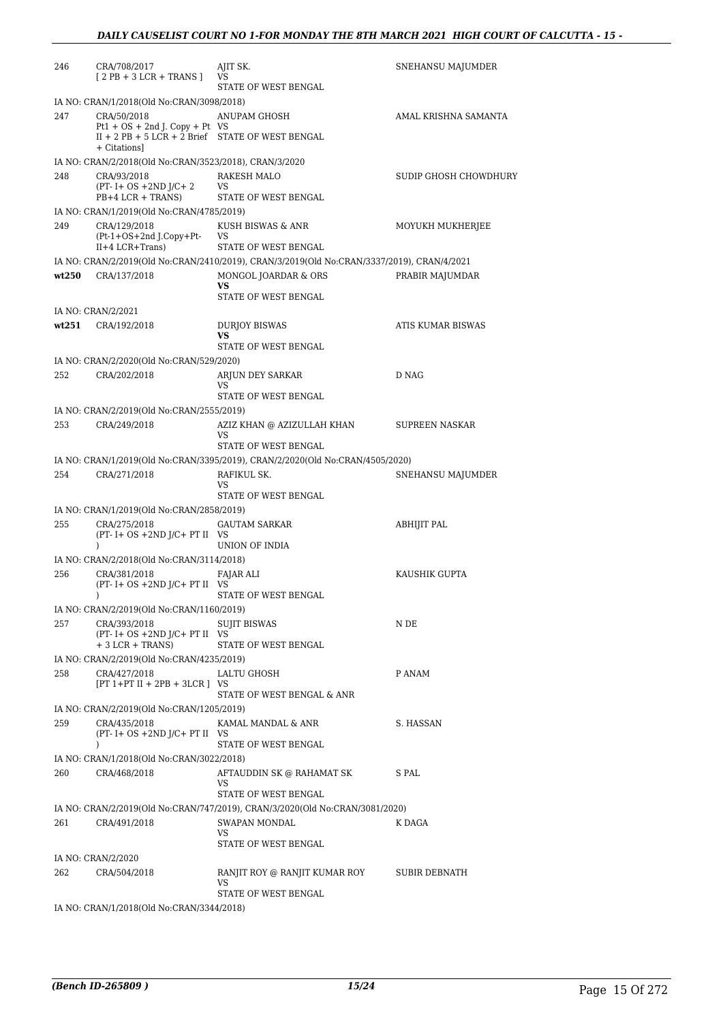| 246   | CRA/708/2017<br>$[2PB + 3LCR + TRANS]$                             | AJIT SK.<br>VS                                                                             | SNEHANSU MAJUMDER     |
|-------|--------------------------------------------------------------------|--------------------------------------------------------------------------------------------|-----------------------|
|       |                                                                    | STATE OF WEST BENGAL                                                                       |                       |
|       | IA NO: CRAN/1/2018(Old No:CRAN/3098/2018)                          |                                                                                            |                       |
| 247   | CRA/50/2018<br>$Pt1 + OS + 2nd J$ . Copy + Pt VS                   | ANUPAM GHOSH                                                                               | AMAL KRISHNA SAMANTA  |
|       | $II + 2 PB + 5 LCR + 2 Brief$ STATE OF WEST BENGAL<br>+ Citationsl |                                                                                            |                       |
|       | IA NO: CRAN/2/2018(Old No:CRAN/3523/2018), CRAN/3/2020             |                                                                                            |                       |
| 248   | CRA/93/2018<br>$(PT - I + OS + 2ND J/C + 2)$<br>$PB+4 LCR + TRANS$ | RAKESH MALO<br>VS<br>STATE OF WEST BENGAL                                                  | SUDIP GHOSH CHOWDHURY |
|       | IA NO: CRAN/1/2019(Old No:CRAN/4785/2019)                          |                                                                                            |                       |
| 249   | CRA/129/2018<br>(Pt-1+OS+2nd J.Copy+Pt-                            | KUSH BISWAS & ANR<br>VS                                                                    | MOYUKH MUKHERJEE      |
|       | $II+4 LCR+Trans$                                                   | STATE OF WEST BENGAL                                                                       |                       |
|       |                                                                    | IA NO: CRAN/2/2019(Old No:CRAN/2410/2019), CRAN/3/2019(Old No:CRAN/3337/2019), CRAN/4/2021 |                       |
| wt250 | CRA/137/2018                                                       | MONGOL JOARDAR & ORS<br>VS                                                                 | PRABIR MAJUMDAR       |
|       |                                                                    | STATE OF WEST BENGAL                                                                       |                       |
|       | IA NO: CRAN/2/2021                                                 |                                                                                            |                       |
| wt251 | CRA/192/2018                                                       | <b>DURIOY BISWAS</b>                                                                       | ATIS KUMAR BISWAS     |
|       |                                                                    | VS<br>STATE OF WEST BENGAL                                                                 |                       |
|       | IA NO: CRAN/2/2020(Old No:CRAN/529/2020)                           |                                                                                            |                       |
| 252   | CRA/202/2018                                                       | ARJUN DEY SARKAR                                                                           | D NAG                 |
|       |                                                                    | VS                                                                                         |                       |
|       |                                                                    | STATE OF WEST BENGAL                                                                       |                       |
|       | IA NO: CRAN/2/2019(Old No:CRAN/2555/2019)                          |                                                                                            |                       |
| 253   | CRA/249/2018                                                       | AZIZ KHAN @ AZIZULLAH KHAN<br>VS<br>STATE OF WEST BENGAL                                   | SUPREEN NASKAR        |
|       |                                                                    | IA NO: CRAN/1/2019(Old No:CRAN/3395/2019), CRAN/2/2020(Old No:CRAN/4505/2020)              |                       |
| 254   | CRA/271/2018                                                       | RAFIKUL SK.                                                                                | SNEHANSU MAJUMDER     |
|       |                                                                    | VS                                                                                         |                       |
|       |                                                                    | STATE OF WEST BENGAL                                                                       |                       |
|       | IA NO: CRAN/1/2019(Old No:CRAN/2858/2019)                          |                                                                                            |                       |
| 255   | CRA/275/2018<br>$(PT - I + OS + 2ND J/C + PT II$ VS<br>$\lambda$   | <b>GAUTAM SARKAR</b><br>UNION OF INDIA                                                     | ABHIJIT PAL           |
|       | IA NO: CRAN/2/2018(Old No:CRAN/3114/2018)                          |                                                                                            |                       |
| 256   | CRA/381/2018                                                       | FAJAR ALI                                                                                  | KAUSHIK GUPTA         |
|       | $(PT - I + OS + 2ND J/C + PT II$ VS<br>$\mathcal{L}$               | STATE OF WEST BENGAL                                                                       |                       |
|       | IA NO: CRAN/2/2019(Old No:CRAN/1160/2019)                          |                                                                                            |                       |
| 257   | CRA/393/2018                                                       | <b>SUJIT BISWAS</b>                                                                        | N DE                  |
|       | $(PT - I + OS + 2ND J/C + PT II$ VS<br>$+3$ LCR + TRANS)           | STATE OF WEST BENGAL                                                                       |                       |
|       | IA NO: CRAN/2/2019(Old No:CRAN/4235/2019)                          |                                                                                            |                       |
| 258   | CRA/427/2018                                                       | LALTU GHOSH                                                                                | P ANAM                |
|       | $[PT 1+PT II + 2PB + 3LCR]$ VS                                     |                                                                                            |                       |
|       |                                                                    | STATE OF WEST BENGAL & ANR                                                                 |                       |
|       | IA NO: CRAN/2/2019(Old No:CRAN/1205/2019)                          |                                                                                            |                       |
| 259   | CRA/435/2018<br>$(PT - I + OS + 2ND J/C + PT II$ VS<br>$\lambda$   | KAMAL MANDAL & ANR<br>STATE OF WEST BENGAL                                                 | S. HASSAN             |
|       | IA NO: CRAN/1/2018(Old No:CRAN/3022/2018)                          |                                                                                            |                       |
| 260   | CRA/468/2018                                                       | AFTAUDDIN SK @ RAHAMAT SK                                                                  | S PAL                 |
|       |                                                                    | VS<br>STATE OF WEST BENGAL                                                                 |                       |
|       |                                                                    |                                                                                            |                       |
|       |                                                                    | IA NO: CRAN/2/2019(Old No:CRAN/747/2019), CRAN/3/2020(Old No:CRAN/3081/2020)               |                       |
| 261   | CRA/491/2018                                                       | SWAPAN MONDAL<br>VS                                                                        | K DAGA                |
|       |                                                                    | STATE OF WEST BENGAL                                                                       |                       |
|       | IA NO: CRAN/2/2020                                                 |                                                                                            |                       |
| 262   | CRA/504/2018                                                       | RANJIT ROY @ RANJIT KUMAR ROY<br>VS                                                        | SUBIR DEBNATH         |
|       |                                                                    | STATE OF WEST BENGAL                                                                       |                       |
|       | IA NO: CRAN/1/2018(Old No:CRAN/3344/2018)                          |                                                                                            |                       |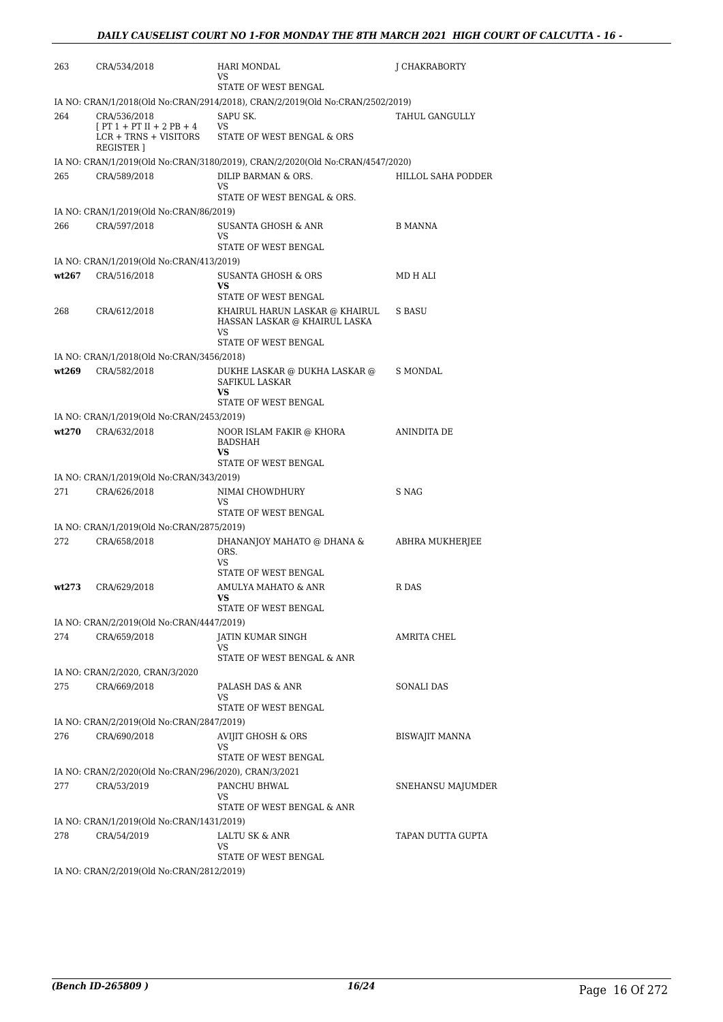| 263   | CRA/534/2018                                          | HARI MONDAL<br>VS                                                             | J CHAKRABORTY      |
|-------|-------------------------------------------------------|-------------------------------------------------------------------------------|--------------------|
|       |                                                       | STATE OF WEST BENGAL                                                          |                    |
|       |                                                       | IA NO: CRAN/1/2018(Old No:CRAN/2914/2018), CRAN/2/2019(Old No:CRAN/2502/2019) |                    |
| 264   | CRA/536/2018<br>$[PT 1 + PT II + 2 PB + 4]$           | SAPU SK.<br>VS                                                                | TAHUL GANGULLY     |
|       | $LCR + TRNS + VISITORS$                               | STATE OF WEST BENGAL & ORS                                                    |                    |
|       | <b>REGISTER</b> 1                                     |                                                                               |                    |
|       |                                                       | IA NO: CRAN/1/2019(Old No:CRAN/3180/2019), CRAN/2/2020(Old No:CRAN/4547/2020) |                    |
| 265   | CRA/589/2018                                          | DILIP BARMAN & ORS.                                                           | HILLOL SAHA PODDER |
|       |                                                       | VS<br>STATE OF WEST BENGAL & ORS.                                             |                    |
|       | IA NO: CRAN/1/2019(Old No:CRAN/86/2019)               |                                                                               |                    |
| 266   | CRA/597/2018                                          | SUSANTA GHOSH & ANR                                                           | <b>B MANNA</b>     |
|       |                                                       | VS.                                                                           |                    |
|       |                                                       | STATE OF WEST BENGAL                                                          |                    |
|       | IA NO: CRAN/1/2019(Old No:CRAN/413/2019)              |                                                                               |                    |
| wt267 | CRA/516/2018                                          | SUSANTA GHOSH & ORS                                                           | MD H ALI           |
|       |                                                       | VS<br>STATE OF WEST BENGAL                                                    |                    |
| 268   | CRA/612/2018                                          | KHAIRUL HARUN LASKAR @ KHAIRUL                                                | S BASU             |
|       |                                                       | HASSAN LASKAR @ KHAIRUL LASKA                                                 |                    |
|       |                                                       | VS                                                                            |                    |
|       |                                                       | STATE OF WEST BENGAL                                                          |                    |
|       | IA NO: CRAN/1/2018(Old No:CRAN/3456/2018)             |                                                                               |                    |
| wt269 | CRA/582/2018                                          | DUKHE LASKAR @ DUKHA LASKAR @<br>SAFIKUL LASKAR                               | S MONDAL           |
|       |                                                       | VS                                                                            |                    |
|       |                                                       | STATE OF WEST BENGAL                                                          |                    |
|       | IA NO: CRAN/1/2019(Old No:CRAN/2453/2019)             |                                                                               |                    |
| wt270 | CRA/632/2018                                          | NOOR ISLAM FAKIR @ KHORA                                                      | ANINDITA DE        |
|       |                                                       | BADSHAH<br>VS                                                                 |                    |
|       |                                                       | STATE OF WEST BENGAL                                                          |                    |
|       | IA NO: CRAN/1/2019(Old No:CRAN/343/2019)              |                                                                               |                    |
| 271   | CRA/626/2018                                          | NIMAI CHOWDHURY                                                               | S NAG              |
|       |                                                       | VS<br>STATE OF WEST BENGAL                                                    |                    |
|       | IA NO: CRAN/1/2019(Old No:CRAN/2875/2019)             |                                                                               |                    |
| 272   | CRA/658/2018                                          | DHANANJOY MAHATO @ DHANA &                                                    | ABHRA MUKHERJEE    |
|       |                                                       | ORS.                                                                          |                    |
|       |                                                       | VS                                                                            |                    |
|       |                                                       | STATE OF WEST BENGAL                                                          |                    |
| wt273 | CRA/629/2018                                          | AMULYA MAHATO & ANR<br>VS                                                     | R DAS              |
|       |                                                       | STATE OF WEST BENGAL                                                          |                    |
|       | IA NO: CRAN/2/2019(Old No:CRAN/4447/2019)             |                                                                               |                    |
| 274   | CRA/659/2018                                          | JATIN KUMAR SINGH                                                             | AMRITA CHEL        |
|       |                                                       | VS<br>STATE OF WEST BENGAL & ANR                                              |                    |
|       | IA NO: CRAN/2/2020, CRAN/3/2020                       |                                                                               |                    |
| 275   | CRA/669/2018                                          | PALASH DAS & ANR                                                              | <b>SONALI DAS</b>  |
|       |                                                       | VS                                                                            |                    |
|       |                                                       | STATE OF WEST BENGAL                                                          |                    |
|       | IA NO: CRAN/2/2019(Old No:CRAN/2847/2019)             |                                                                               |                    |
| 276   | CRA/690/2018                                          | <b>AVIJIT GHOSH &amp; ORS</b>                                                 | BISWAJIT MANNA     |
|       |                                                       | VS<br>STATE OF WEST BENGAL                                                    |                    |
|       | IA NO: CRAN/2/2020(Old No:CRAN/296/2020), CRAN/3/2021 |                                                                               |                    |
| 277   | CRA/53/2019                                           | PANCHU BHWAL                                                                  | SNEHANSU MAJUMDER  |
|       |                                                       | VS                                                                            |                    |
|       |                                                       | STATE OF WEST BENGAL & ANR                                                    |                    |
|       | IA NO: CRAN/1/2019(Old No:CRAN/1431/2019)             |                                                                               |                    |
| 278   | CRA/54/2019                                           | LALTU SK & ANR<br>VS                                                          | TAPAN DUTTA GUPTA  |
|       |                                                       | STATE OF WEST BENGAL                                                          |                    |
|       | IA NO: CRAN/2/2019(Old No:CRAN/2812/2019)             |                                                                               |                    |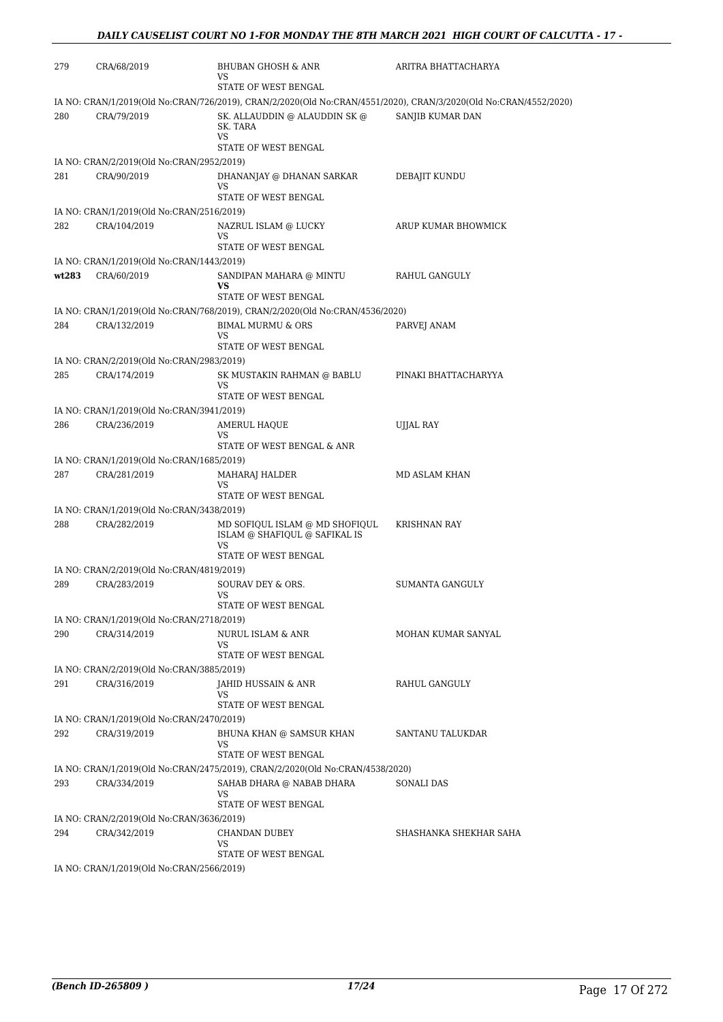| 279   | CRA/68/2019                                               | BHUBAN GHOSH & ANR<br>VS                                                                                                                                                   | ARITRA BHATTACHARYA    |
|-------|-----------------------------------------------------------|----------------------------------------------------------------------------------------------------------------------------------------------------------------------------|------------------------|
|       |                                                           | STATE OF WEST BENGAL                                                                                                                                                       |                        |
| 280   | CRA/79/2019                                               | IA NO: CRAN/1/2019(Old No:CRAN/726/2019), CRAN/2/2020(Old No:CRAN/4551/2020), CRAN/3/2020(Old No:CRAN/4552/2020)<br>SK. ALLAUDDIN @ ALAUDDIN SK @<br>SK. TARA<br><b>VS</b> | SANJIB KUMAR DAN       |
|       |                                                           | STATE OF WEST BENGAL                                                                                                                                                       |                        |
| 281   | IA NO: CRAN/2/2019(Old No:CRAN/2952/2019)<br>CRA/90/2019  | DHANANJAY @ DHANAN SARKAR                                                                                                                                                  |                        |
|       |                                                           | VS<br>STATE OF WEST BENGAL                                                                                                                                                 | DEBAJIT KUNDU          |
|       | IA NO: CRAN/1/2019(Old No:CRAN/2516/2019)                 |                                                                                                                                                                            |                        |
| 282   | CRA/104/2019                                              | NAZRUL ISLAM @ LUCKY<br>VS                                                                                                                                                 | ARUP KUMAR BHOWMICK    |
|       | IA NO: CRAN/1/2019(Old No:CRAN/1443/2019)                 | STATE OF WEST BENGAL                                                                                                                                                       |                        |
| wt283 | CRA/60/2019                                               | SANDIPAN MAHARA @ MINTU                                                                                                                                                    | RAHUL GANGULY          |
|       |                                                           | VS<br>STATE OF WEST BENGAL                                                                                                                                                 |                        |
|       |                                                           | IA NO: CRAN/1/2019(Old No:CRAN/768/2019), CRAN/2/2020(Old No:CRAN/4536/2020)                                                                                               |                        |
| 284   | CRA/132/2019                                              | <b>BIMAL MURMU &amp; ORS</b><br>VS<br>STATE OF WEST BENGAL                                                                                                                 | PARVEJ ANAM            |
|       | IA NO: CRAN/2/2019(Old No:CRAN/2983/2019)                 |                                                                                                                                                                            |                        |
| 285   | CRA/174/2019                                              | SK MUSTAKIN RAHMAN @ BABLU                                                                                                                                                 | PINAKI BHATTACHARYYA   |
|       |                                                           | VS<br>STATE OF WEST BENGAL                                                                                                                                                 |                        |
|       | IA NO: CRAN/1/2019(Old No:CRAN/3941/2019)                 |                                                                                                                                                                            |                        |
| 286   | CRA/236/2019                                              | AMERUL HAQUE<br>VS<br>STATE OF WEST BENGAL & ANR                                                                                                                           | UJJAL RAY              |
|       | IA NO: CRAN/1/2019(Old No:CRAN/1685/2019)                 |                                                                                                                                                                            |                        |
| 287   | CRA/281/2019                                              | MAHARAJ HALDER<br>VS                                                                                                                                                       | MD ASLAM KHAN          |
|       |                                                           | STATE OF WEST BENGAL                                                                                                                                                       |                        |
| 288   | IA NO: CRAN/1/2019(Old No:CRAN/3438/2019)<br>CRA/282/2019 | MD SOFIQUL ISLAM @ MD SHOFIQUL                                                                                                                                             | <b>KRISHNAN RAY</b>    |
|       |                                                           | ISLAM @ SHAFIQUL @ SAFIKAL IS<br>VS                                                                                                                                        |                        |
|       | IA NO: CRAN/2/2019(Old No:CRAN/4819/2019)                 | STATE OF WEST BENGAL                                                                                                                                                       |                        |
| 289   | CRA/283/2019                                              | SOURAV DEY & ORS.<br>VS                                                                                                                                                    | SUMANTA GANGULY        |
|       |                                                           | STATE OF WEST BENGAL                                                                                                                                                       |                        |
|       | IA NO: CRAN/1/2019(Old No:CRAN/2718/2019)                 |                                                                                                                                                                            |                        |
| 290   | CRA/314/2019                                              | NURUL ISLAM & ANR<br>VS<br>STATE OF WEST BENGAL                                                                                                                            | MOHAN KUMAR SANYAL     |
|       | IA NO: CRAN/2/2019(Old No:CRAN/3885/2019)                 |                                                                                                                                                                            |                        |
| 291   | CRA/316/2019                                              | <b>JAHID HUSSAIN &amp; ANR</b><br>VS                                                                                                                                       | RAHUL GANGULY          |
|       |                                                           | STATE OF WEST BENGAL                                                                                                                                                       |                        |
|       | IA NO: CRAN/1/2019(Old No:CRAN/2470/2019)                 |                                                                                                                                                                            |                        |
| 292   | CRA/319/2019                                              | BHUNA KHAN @ SAMSUR KHAN<br>VS<br>STATE OF WEST BENGAL                                                                                                                     | SANTANU TALUKDAR       |
|       |                                                           | IA NO: CRAN/1/2019(Old No:CRAN/2475/2019), CRAN/2/2020(Old No:CRAN/4538/2020)                                                                                              |                        |
| 293   | CRA/334/2019                                              | SAHAB DHARA @ NABAB DHARA<br>VS                                                                                                                                            | SONALI DAS             |
|       | IA NO: CRAN/2/2019(Old No:CRAN/3636/2019)                 | STATE OF WEST BENGAL                                                                                                                                                       |                        |
| 294   | CRA/342/2019                                              | CHANDAN DUBEY<br>VS                                                                                                                                                        | SHASHANKA SHEKHAR SAHA |
|       |                                                           | STATE OF WEST BENGAL                                                                                                                                                       |                        |
|       | IA NO: CRAN/1/2019(Old No:CRAN/2566/2019)                 |                                                                                                                                                                            |                        |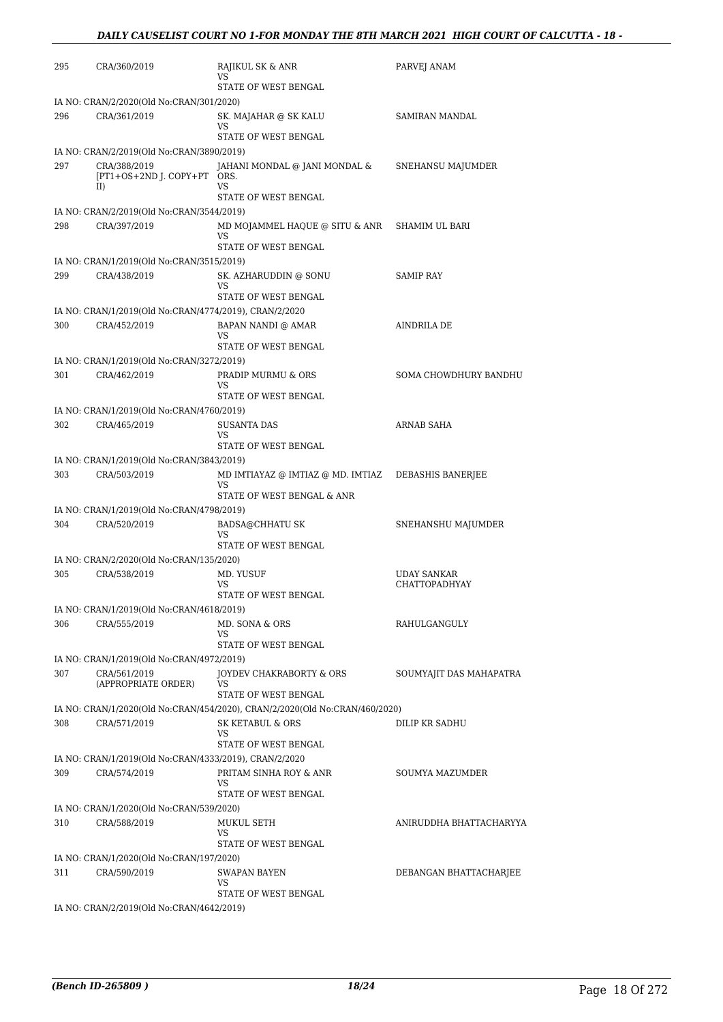| 295 | CRA/360/2019                                           | RAJIKUL SK & ANR<br>VS                                                      | PARVEJ ANAM             |
|-----|--------------------------------------------------------|-----------------------------------------------------------------------------|-------------------------|
|     |                                                        | STATE OF WEST BENGAL                                                        |                         |
|     | IA NO: CRAN/2/2020(Old No:CRAN/301/2020)               |                                                                             |                         |
| 296 | CRA/361/2019                                           | SK. MAJAHAR @ SK KALU<br>VS                                                 | SAMIRAN MANDAL          |
|     |                                                        | STATE OF WEST BENGAL                                                        |                         |
|     | IA NO: CRAN/2/2019(Old No:CRAN/3890/2019)              |                                                                             |                         |
| 297 | CRA/388/2019<br>[PT1+OS+2ND J. COPY+PT ORS.<br>II)     | JAHANI MONDAL @ JANI MONDAL &<br>VS                                         | SNEHANSU MAJUMDER       |
|     |                                                        | STATE OF WEST BENGAL                                                        |                         |
|     | IA NO: CRAN/2/2019(Old No:CRAN/3544/2019)              |                                                                             |                         |
| 298 | CRA/397/2019                                           | MD MOJAMMEL HAQUE @ SITU & ANR                                              | SHAMIM UL BARI          |
|     |                                                        | VS<br>STATE OF WEST BENGAL                                                  |                         |
|     | IA NO: CRAN/1/2019(Old No:CRAN/3515/2019)              |                                                                             |                         |
| 299 | CRA/438/2019                                           | SK. AZHARUDDIN @ SONU                                                       | <b>SAMIP RAY</b>        |
|     |                                                        | VS                                                                          |                         |
|     |                                                        | STATE OF WEST BENGAL                                                        |                         |
|     | IA NO: CRAN/1/2019(Old No:CRAN/4774/2019), CRAN/2/2020 |                                                                             |                         |
| 300 | CRA/452/2019                                           | BAPAN NANDI @ AMAR                                                          | AINDRILA DE             |
|     |                                                        | VS<br>STATE OF WEST BENGAL                                                  |                         |
|     | IA NO: CRAN/1/2019(Old No:CRAN/3272/2019)              |                                                                             |                         |
| 301 | CRA/462/2019                                           | PRADIP MURMU & ORS                                                          | SOMA CHOWDHURY BANDHU   |
|     |                                                        | VS<br>STATE OF WEST BENGAL                                                  |                         |
|     | IA NO: CRAN/1/2019(Old No:CRAN/4760/2019)              |                                                                             |                         |
| 302 | CRA/465/2019                                           | SUSANTA DAS                                                                 | ARNAB SAHA              |
|     |                                                        | VS                                                                          |                         |
|     |                                                        | STATE OF WEST BENGAL                                                        |                         |
|     | IA NO: CRAN/1/2019(Old No:CRAN/3843/2019)              |                                                                             |                         |
| 303 | CRA/503/2019                                           | MD IMTIAYAZ @ IMTIAZ @ MD. IMTIAZ                                           | DEBASHIS BANERJEE       |
|     |                                                        | VS<br>STATE OF WEST BENGAL & ANR                                            |                         |
|     | IA NO: CRAN/1/2019(Old No:CRAN/4798/2019)              |                                                                             |                         |
| 304 |                                                        |                                                                             |                         |
|     | CRA/520/2019                                           | <b>BADSA@CHHATU SK</b><br>VS                                                | SNEHANSHU MAJUMDER      |
|     |                                                        | STATE OF WEST BENGAL                                                        |                         |
|     | IA NO: CRAN/2/2020(Old No:CRAN/135/2020)               |                                                                             |                         |
| 305 | CRA/538/2019                                           | MD. YUSUF                                                                   | <b>UDAY SANKAR</b>      |
|     |                                                        | VS                                                                          | <b>CHATTOPADHYAY</b>    |
|     |                                                        | STATE OF WEST BENGAL                                                        |                         |
|     | IA NO: CRAN/1/2019(Old No:CRAN/4618/2019)              |                                                                             |                         |
| 306 | CRA/555/2019                                           | MD. SONA & ORS<br>VS                                                        | RAHULGANGULY            |
|     |                                                        | STATE OF WEST BENGAL                                                        |                         |
|     | IA NO: CRAN/1/2019(Old No:CRAN/4972/2019)              |                                                                             |                         |
| 307 | CRA/561/2019                                           | JOYDEV CHAKRABORTY & ORS                                                    | SOUMYAJIT DAS MAHAPATRA |
|     | (APPROPRIATE ORDER)                                    | VS                                                                          |                         |
|     |                                                        | STATE OF WEST BENGAL                                                        |                         |
|     |                                                        | IA NO: CRAN/1/2020(Old No:CRAN/454/2020), CRAN/2/2020(Old No:CRAN/460/2020) |                         |
| 308 | CRA/571/2019                                           | SK KETABUL & ORS<br>VS                                                      | DILIP KR SADHU          |
|     |                                                        | STATE OF WEST BENGAL                                                        |                         |
|     | IA NO: CRAN/1/2019(Old No:CRAN/4333/2019), CRAN/2/2020 |                                                                             |                         |
| 309 | CRA/574/2019                                           | PRITAM SINHA ROY & ANR                                                      | SOUMYA MAZUMDER         |
|     |                                                        | VS                                                                          |                         |
|     |                                                        | STATE OF WEST BENGAL                                                        |                         |
|     | IA NO: CRAN/1/2020(Old No:CRAN/539/2020)               |                                                                             |                         |
| 310 | CRA/588/2019                                           | MUKUL SETH                                                                  | ANIRUDDHA BHATTACHARYYA |
|     |                                                        | VS<br>STATE OF WEST BENGAL                                                  |                         |
|     | IA NO: CRAN/1/2020(Old No:CRAN/197/2020)               |                                                                             |                         |
| 311 | CRA/590/2019                                           | <b>SWAPAN BAYEN</b>                                                         | DEBANGAN BHATTACHARJEE  |
|     |                                                        | VS                                                                          |                         |
|     |                                                        | STATE OF WEST BENGAL                                                        |                         |
|     | IA NO: CRAN/2/2019(Old No:CRAN/4642/2019)              |                                                                             |                         |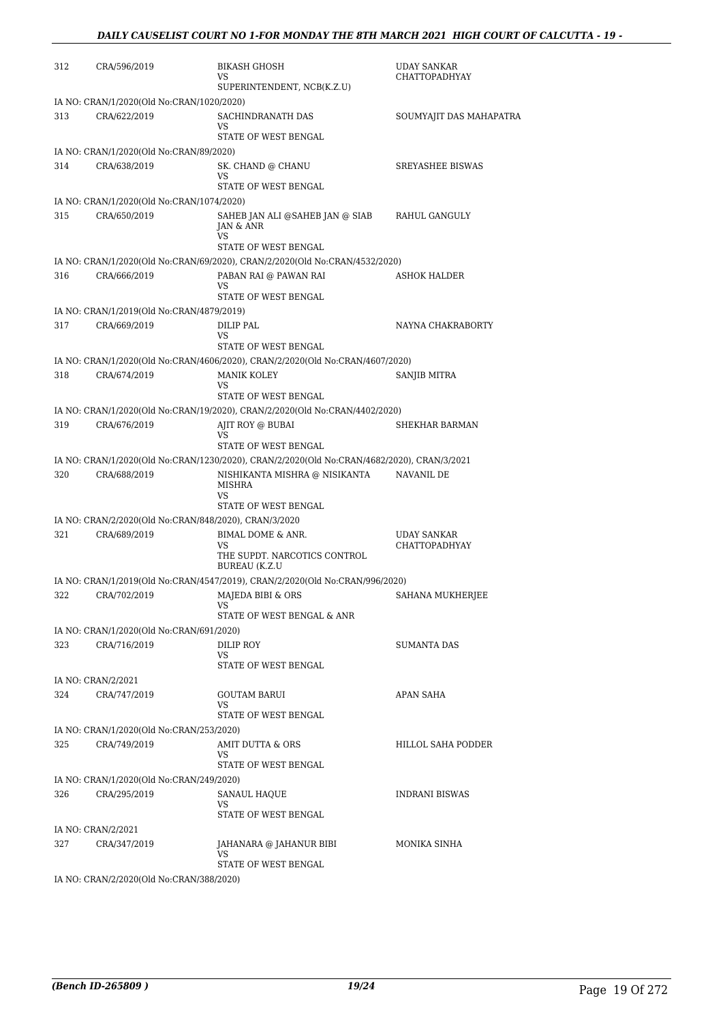| 312 | CRA/596/2019                                              | <b>BIKASH GHOSH</b><br>VS                                                                  | UDAY SANKAR<br><b>CHATTOPADHYAY</b> |
|-----|-----------------------------------------------------------|--------------------------------------------------------------------------------------------|-------------------------------------|
|     |                                                           | SUPERINTENDENT, NCB(K.Z.U)                                                                 |                                     |
| 313 | IA NO: CRAN/1/2020(Old No:CRAN/1020/2020)<br>CRA/622/2019 | SACHINDRANATH DAS<br>VS                                                                    | SOUMYAJIT DAS MAHAPATRA             |
|     |                                                           | STATE OF WEST BENGAL                                                                       |                                     |
|     | IA NO: CRAN/1/2020(Old No:CRAN/89/2020)                   |                                                                                            |                                     |
| 314 | CRA/638/2019                                              | SK. CHAND @ CHANU<br>VS                                                                    | <b>SREYASHEE BISWAS</b>             |
|     |                                                           | STATE OF WEST BENGAL                                                                       |                                     |
|     | IA NO: CRAN/1/2020(Old No:CRAN/1074/2020)                 |                                                                                            |                                     |
| 315 | CRA/650/2019                                              | SAHEB JAN ALI @SAHEB JAN @ SIAB<br>JAN & ANR<br>VS                                         | RAHUL GANGULY                       |
|     |                                                           | STATE OF WEST BENGAL                                                                       |                                     |
|     |                                                           | IA NO: CRAN/1/2020(Old No:CRAN/69/2020), CRAN/2/2020(Old No:CRAN/4532/2020)                |                                     |
| 316 | CRA/666/2019                                              | PABAN RAI @ PAWAN RAI<br>VS<br>STATE OF WEST BENGAL                                        | ASHOK HALDER                        |
|     | IA NO: CRAN/1/2019(Old No:CRAN/4879/2019)                 |                                                                                            |                                     |
| 317 | CRA/669/2019                                              | DILIP PAL                                                                                  | NAYNA CHAKRABORTY                   |
|     |                                                           | VS                                                                                         |                                     |
|     |                                                           | STATE OF WEST BENGAL                                                                       |                                     |
|     |                                                           | IA NO: CRAN/1/2020(Old No:CRAN/4606/2020), CRAN/2/2020(Old No:CRAN/4607/2020)              |                                     |
| 318 | CRA/674/2019                                              | MANIK KOLEY<br>VS                                                                          | SANJIB MITRA                        |
|     |                                                           | STATE OF WEST BENGAL                                                                       |                                     |
|     |                                                           | IA NO: CRAN/1/2020(Old No:CRAN/19/2020), CRAN/2/2020(Old No:CRAN/4402/2020)                |                                     |
| 319 | CRA/676/2019                                              | AJIT ROY @ BUBAI                                                                           | SHEKHAR BARMAN                      |
|     |                                                           | VS<br>STATE OF WEST BENGAL                                                                 |                                     |
|     |                                                           | IA NO: CRAN/1/2020(Old No:CRAN/1230/2020), CRAN/2/2020(Old No:CRAN/4682/2020), CRAN/3/2021 |                                     |
| 320 | CRA/688/2019                                              | NISHIKANTA MISHRA @ NISIKANTA<br>MISHRA<br>VS<br>STATE OF WEST BENGAL                      | NAVANIL DE                          |
|     | IA NO: CRAN/2/2020(Old No:CRAN/848/2020), CRAN/3/2020     |                                                                                            |                                     |
| 321 | CRA/689/2019                                              | BIMAL DOME & ANR.                                                                          | <b>UDAY SANKAR</b>                  |
|     |                                                           | VS<br>THE SUPDT. NARCOTICS CONTROL<br><b>BUREAU (K.Z.U</b>                                 | <b>CHATTOPADHYAY</b>                |
|     |                                                           | IA NO: CRAN/1/2019(Old No:CRAN/4547/2019), CRAN/2/2020(Old No:CRAN/996/2020)               |                                     |
| 322 | CRA/702/2019                                              | MAJEDA BIBI & ORS<br>VS                                                                    | SAHANA MUKHERJEE                    |
|     |                                                           | STATE OF WEST BENGAL & ANR                                                                 |                                     |
| 323 | IA NO: CRAN/1/2020(Old No:CRAN/691/2020)<br>CRA/716/2019  | DILIP ROY                                                                                  | SUMANTA DAS                         |
|     |                                                           | VS<br>STATE OF WEST BENGAL                                                                 |                                     |
|     | IA NO: CRAN/2/2021                                        |                                                                                            |                                     |
| 324 | CRA/747/2019                                              | <b>GOUTAM BARUI</b><br>VS.                                                                 | APAN SAHA                           |
|     |                                                           | STATE OF WEST BENGAL                                                                       |                                     |
|     | IA NO: CRAN/1/2020(Old No:CRAN/253/2020)                  |                                                                                            |                                     |
| 325 | CRA/749/2019                                              | AMIT DUTTA & ORS<br>VS<br>STATE OF WEST BENGAL                                             | HILLOL SAHA PODDER                  |
|     | IA NO: CRAN/1/2020(Old No:CRAN/249/2020)                  |                                                                                            |                                     |
| 326 | CRA/295/2019                                              | <b>SANAUL HAQUE</b>                                                                        | <b>INDRANI BISWAS</b>               |
|     |                                                           | VS<br>STATE OF WEST BENGAL                                                                 |                                     |
|     | IA NO: CRAN/2/2021                                        |                                                                                            |                                     |
| 327 | CRA/347/2019                                              | JAHANARA @ JAHANUR BIBI<br>VS.                                                             | MONIKA SINHA                        |
|     | IA NO: CRAN/2/2020(Old No:CRAN/388/2020)                  | STATE OF WEST BENGAL                                                                       |                                     |
|     |                                                           |                                                                                            |                                     |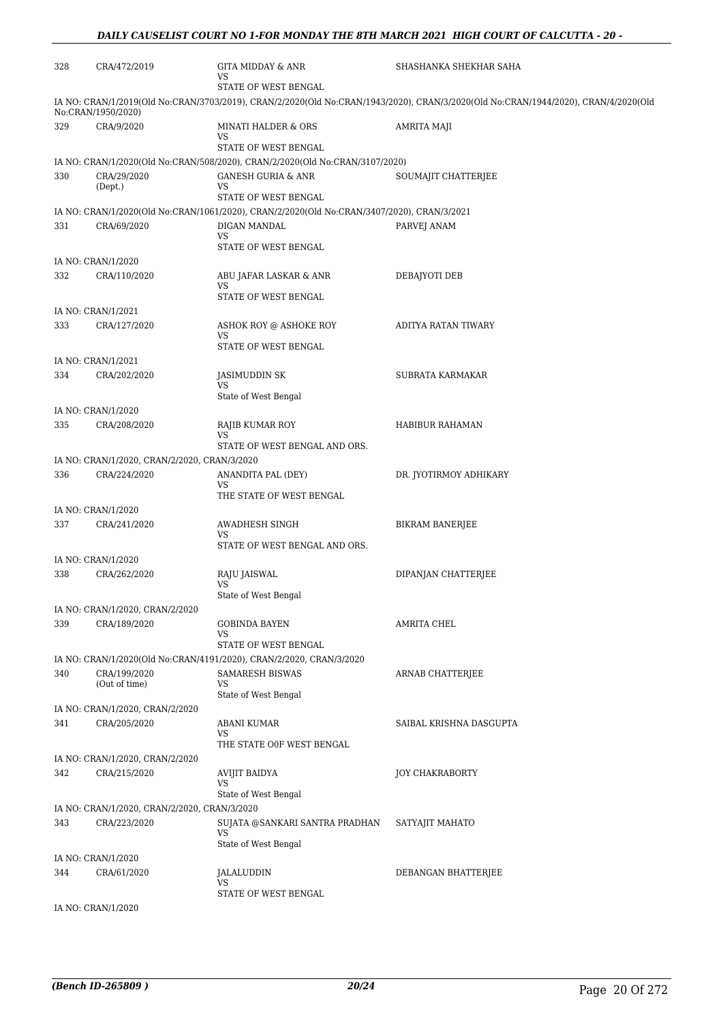| 328 | CRA/472/2019                                 | GITA MIDDAY & ANR<br>VS<br>STATE OF WEST BENGAL                                            | SHASHANKA SHEKHAR SAHA                                                                                                             |
|-----|----------------------------------------------|--------------------------------------------------------------------------------------------|------------------------------------------------------------------------------------------------------------------------------------|
|     | No:CRAN/1950/2020)                           |                                                                                            | IA NO: CRAN/1/2019(Old No:CRAN/3703/2019), CRAN/2/2020(Old No:CRAN/1943/2020), CRAN/3/2020(Old No:CRAN/1944/2020), CRAN/4/2020(Old |
| 329 | CRA/9/2020                                   | MINATI HALDER & ORS<br>VS                                                                  | AMRITA MAJI                                                                                                                        |
|     |                                              | STATE OF WEST BENGAL                                                                       |                                                                                                                                    |
|     |                                              | IA NO: CRAN/1/2020(Old No:CRAN/508/2020), CRAN/2/2020(Old No:CRAN/3107/2020)               |                                                                                                                                    |
| 330 | CRA/29/2020<br>(Dept.)                       | <b>GANESH GURIA &amp; ANR</b><br>VS<br>STATE OF WEST BENGAL                                | SOUMAJIT CHATTERJEE                                                                                                                |
|     |                                              | IA NO: CRAN/1/2020(Old No:CRAN/1061/2020), CRAN/2/2020(Old No:CRAN/3407/2020), CRAN/3/2021 |                                                                                                                                    |
| 331 | CRA/69/2020                                  | DIGAN MANDAL                                                                               | PARVEJ ANAM                                                                                                                        |
|     |                                              | VS<br>STATE OF WEST BENGAL                                                                 |                                                                                                                                    |
|     | IA NO: CRAN/1/2020                           |                                                                                            |                                                                                                                                    |
| 332 | CRA/110/2020                                 | ABU JAFAR LASKAR & ANR<br>VS                                                               | DEBAJYOTI DEB                                                                                                                      |
|     |                                              | STATE OF WEST BENGAL                                                                       |                                                                                                                                    |
|     | IA NO: CRAN/1/2021                           |                                                                                            |                                                                                                                                    |
| 333 | CRA/127/2020                                 | ASHOK ROY @ ASHOKE ROY<br>VS<br>STATE OF WEST BENGAL                                       | ADITYA RATAN TIWARY                                                                                                                |
|     | IA NO: CRAN/1/2021                           |                                                                                            |                                                                                                                                    |
| 334 | CRA/202/2020                                 | <b>JASIMUDDIN SK</b>                                                                       | SUBRATA KARMAKAR                                                                                                                   |
|     |                                              | VS<br>State of West Bengal                                                                 |                                                                                                                                    |
|     | IA NO: CRAN/1/2020                           |                                                                                            |                                                                                                                                    |
| 335 | CRA/208/2020                                 | RAJIB KUMAR ROY<br>VS                                                                      | HABIBUR RAHAMAN                                                                                                                    |
|     |                                              | STATE OF WEST BENGAL AND ORS.                                                              |                                                                                                                                    |
|     | IA NO: CRAN/1/2020, CRAN/2/2020, CRAN/3/2020 |                                                                                            |                                                                                                                                    |
| 336 | CRA/224/2020                                 | ANANDITA PAL (DEY)<br>VS<br>THE STATE OF WEST BENGAL                                       | DR. JYOTIRMOY ADHIKARY                                                                                                             |
|     | IA NO: CRAN/1/2020                           |                                                                                            |                                                                                                                                    |
| 337 | CRA/241/2020                                 | <b>AWADHESH SINGH</b>                                                                      | BIKRAM BANERJEE                                                                                                                    |
|     |                                              | VS                                                                                         |                                                                                                                                    |
|     |                                              | STATE OF WEST BENGAL AND ORS.                                                              |                                                                                                                                    |
|     | IA NO: CRAN/1/2020                           |                                                                                            |                                                                                                                                    |
| 338 | CRA/262/2020                                 | RAJU JAISWAL<br>VS                                                                         | DIPANJAN CHATTERJEE                                                                                                                |
|     |                                              | State of West Bengal                                                                       |                                                                                                                                    |
|     | IA NO: CRAN/1/2020, CRAN/2/2020              |                                                                                            |                                                                                                                                    |
| 339 | CRA/189/2020                                 | GOBINDA BAYEN<br>VS<br>STATE OF WEST BENGAL                                                | AMRITA CHEL                                                                                                                        |
|     |                                              | IA NO: CRAN/1/2020(Old No:CRAN/4191/2020), CRAN/2/2020, CRAN/3/2020                        |                                                                                                                                    |
| 340 | CRA/199/2020                                 | SAMARESH BISWAS                                                                            | <b>ARNAB CHATTERJEE</b>                                                                                                            |
|     | (Out of time)                                | VS<br>State of West Bengal                                                                 |                                                                                                                                    |
|     | IA NO: CRAN/1/2020, CRAN/2/2020              |                                                                                            |                                                                                                                                    |
| 341 | CRA/205/2020                                 | <b>ABANI KUMAR</b><br>VS                                                                   | SAIBAL KRISHNA DASGUPTA                                                                                                            |
|     |                                              | THE STATE OOF WEST BENGAL                                                                  |                                                                                                                                    |
|     | IA NO: CRAN/1/2020, CRAN/2/2020              |                                                                                            |                                                                                                                                    |
| 342 | CRA/215/2020                                 | AVIJIT BAIDYA<br>VS<br>State of West Bengal                                                | JOY CHAKRABORTY                                                                                                                    |
|     | IA NO: CRAN/1/2020, CRAN/2/2020, CRAN/3/2020 |                                                                                            |                                                                                                                                    |
| 343 | CRA/223/2020                                 | SUJATA @SANKARI SANTRA PRADHAN<br>VS                                                       | SATYAJIT MAHATO                                                                                                                    |
|     |                                              | State of West Bengal                                                                       |                                                                                                                                    |
|     | IA NO: CRAN/1/2020                           |                                                                                            |                                                                                                                                    |
| 344 | CRA/61/2020                                  | JALALUDDIN<br>VS                                                                           | DEBANGAN BHATTERJEE                                                                                                                |
|     |                                              | STATE OF WEST BENGAL                                                                       |                                                                                                                                    |
|     | IA NO: CRAN/1/2020                           |                                                                                            |                                                                                                                                    |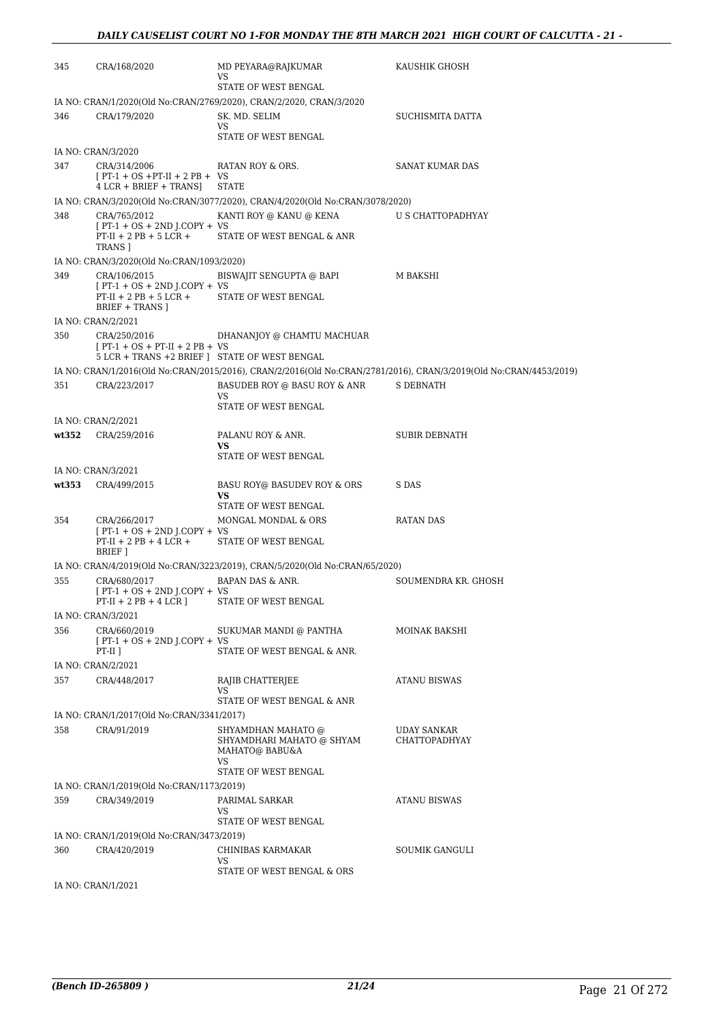| 345   | CRA/168/2020                                                               | MD PEYARA@RAJKUMAR<br>VS<br>STATE OF WEST BENGAL                              | KAUSHIK GHOSH                                                                                                     |
|-------|----------------------------------------------------------------------------|-------------------------------------------------------------------------------|-------------------------------------------------------------------------------------------------------------------|
|       |                                                                            | IA NO: CRAN/1/2020(Old No:CRAN/2769/2020), CRAN/2/2020, CRAN/3/2020           |                                                                                                                   |
| 346   | CRA/179/2020                                                               | SK. MD. SELIM                                                                 | SUCHISMITA DATTA                                                                                                  |
|       |                                                                            | VS.<br>STATE OF WEST BENGAL                                                   |                                                                                                                   |
|       | IA NO: CRAN/3/2020                                                         |                                                                               |                                                                                                                   |
|       |                                                                            |                                                                               |                                                                                                                   |
| 347   | CRA/314/2006<br>$[PT-1 + OS + PT-II + 2 PB + VS$<br>4 LCR + BRIEF + TRANS] | RATAN ROY & ORS.<br><b>STATE</b>                                              | SANAT KUMAR DAS                                                                                                   |
|       |                                                                            | IA NO: CRAN/3/2020(Old No:CRAN/3077/2020), CRAN/4/2020(Old No:CRAN/3078/2020) |                                                                                                                   |
|       |                                                                            |                                                                               |                                                                                                                   |
| 348   | CRA/765/2012<br>$[PT-1 + OS + 2ND J. COPY + VS$                            | KANTI ROY @ KANU @ KENA                                                       | U S CHATTOPADHYAY                                                                                                 |
|       | $PT-II + 2 PB + 5 LCR +$<br>TRANS 1                                        | STATE OF WEST BENGAL & ANR                                                    |                                                                                                                   |
|       | IA NO: CRAN/3/2020(Old No:CRAN/1093/2020)                                  |                                                                               |                                                                                                                   |
| 349   | CRA/106/2015<br>$[PT-1 + OS + 2ND J.COPY + VS$                             | BISWAJIT SENGUPTA @ BAPI                                                      | M BAKSHI                                                                                                          |
|       | $PT-II + 2 PB + 5 LCR +$<br>BRIEF + TRANS ]                                | STATE OF WEST BENGAL                                                          |                                                                                                                   |
|       | IA NO: CRAN/2/2021                                                         |                                                                               |                                                                                                                   |
|       |                                                                            |                                                                               |                                                                                                                   |
| 350   | CRA/250/2016<br>$[PT-1 + OS + PT-II + 2 PB + VS]$                          | DHANANJOY @ CHAMTU MACHUAR                                                    |                                                                                                                   |
|       | 5 LCR + TRANS +2 BRIEF ] STATE OF WEST BENGAL                              |                                                                               |                                                                                                                   |
|       |                                                                            |                                                                               | IA NO: CRAN/1/2016(Old No:CRAN/2015/2016), CRAN/2/2016(Old No:CRAN/2781/2016), CRAN/3/2019(Old No:CRAN/4453/2019) |
| 351   | CRA/223/2017                                                               | BASUDEB ROY @ BASU ROY & ANR                                                  | S DEBNATH                                                                                                         |
|       |                                                                            | VS<br>STATE OF WEST BENGAL                                                    |                                                                                                                   |
|       | IA NO: CRAN/2/2021                                                         |                                                                               |                                                                                                                   |
| wt352 | CRA/259/2016                                                               | PALANU ROY & ANR.                                                             | <b>SUBIR DEBNATH</b>                                                                                              |
|       |                                                                            | VS                                                                            |                                                                                                                   |
|       |                                                                            | STATE OF WEST BENGAL                                                          |                                                                                                                   |
|       | IA NO: CRAN/3/2021                                                         |                                                                               |                                                                                                                   |
| wt353 | CRA/499/2015                                                               | BASU ROY@ BASUDEV ROY & ORS<br>VS                                             | S DAS                                                                                                             |
|       |                                                                            | STATE OF WEST BENGAL                                                          |                                                                                                                   |
| 354   | CRA/266/2017                                                               | MONGAL MONDAL & ORS                                                           | RATAN DAS                                                                                                         |
|       | $[PT-1 + OS + 2ND J.COPY + VS$<br>$PT-II + 2 PB + 4 LCR +$                 | STATE OF WEST BENGAL                                                          |                                                                                                                   |
|       | BRIEF 1                                                                    |                                                                               |                                                                                                                   |
|       |                                                                            | IA NO: CRAN/4/2019(Old No:CRAN/3223/2019), CRAN/5/2020(Old No:CRAN/65/2020)   |                                                                                                                   |
| 355   | CRA/680/2017                                                               | BAPAN DAS & ANR.                                                              | SOUMENDRA KR. GHOSH                                                                                               |
|       | $[PT-1 + OS + 2ND J.COPY + VS$<br>$PT-II + 2 PB + 4 LCR$ ]                 | STATE OF WEST BENGAL                                                          |                                                                                                                   |
|       |                                                                            |                                                                               |                                                                                                                   |
|       | IA NO: CRAN/3/2021                                                         |                                                                               |                                                                                                                   |
| 356   | CRA/660/2019<br>$[PT-1 + OS + 2ND J. COPY + VS$                            | SUKUMAR MANDI @ PANTHA                                                        | MOINAK BAKSHI                                                                                                     |
|       | $PT-II$ 1                                                                  | STATE OF WEST BENGAL & ANR.                                                   |                                                                                                                   |
|       | IA NO: CRAN/2/2021                                                         |                                                                               |                                                                                                                   |
| 357   | CRA/448/2017                                                               | RAJIB CHATTERJEE                                                              | <b>ATANU BISWAS</b>                                                                                               |
|       |                                                                            | VS                                                                            |                                                                                                                   |
|       |                                                                            | STATE OF WEST BENGAL & ANR                                                    |                                                                                                                   |
|       | IA NO: CRAN/1/2017(Old No:CRAN/3341/2017)                                  |                                                                               |                                                                                                                   |
| 358   | CRA/91/2019                                                                | SHYAMDHAN MAHATO @                                                            | UDAY SANKAR                                                                                                       |
|       |                                                                            | SHYAMDHARI MAHATO @ SHYAM<br>MAHATO@ BABU&A<br>VS                             | CHATTOPADHYAY                                                                                                     |
|       |                                                                            | STATE OF WEST BENGAL                                                          |                                                                                                                   |
|       | IA NO: CRAN/1/2019(Old No:CRAN/1173/2019)                                  |                                                                               |                                                                                                                   |
| 359   | CRA/349/2019                                                               | PARIMAL SARKAR<br>VS                                                          | ATANU BISWAS                                                                                                      |
|       |                                                                            | STATE OF WEST BENGAL                                                          |                                                                                                                   |
|       | IA NO: CRAN/1/2019(Old No:CRAN/3473/2019)                                  |                                                                               |                                                                                                                   |
| 360   | CRA/420/2019                                                               | CHINIBAS KARMAKAR                                                             | SOUMIK GANGULI                                                                                                    |
|       |                                                                            | VS                                                                            |                                                                                                                   |
|       |                                                                            | STATE OF WEST BENGAL & ORS                                                    |                                                                                                                   |
|       | IA NO: CRAN/1/2021                                                         |                                                                               |                                                                                                                   |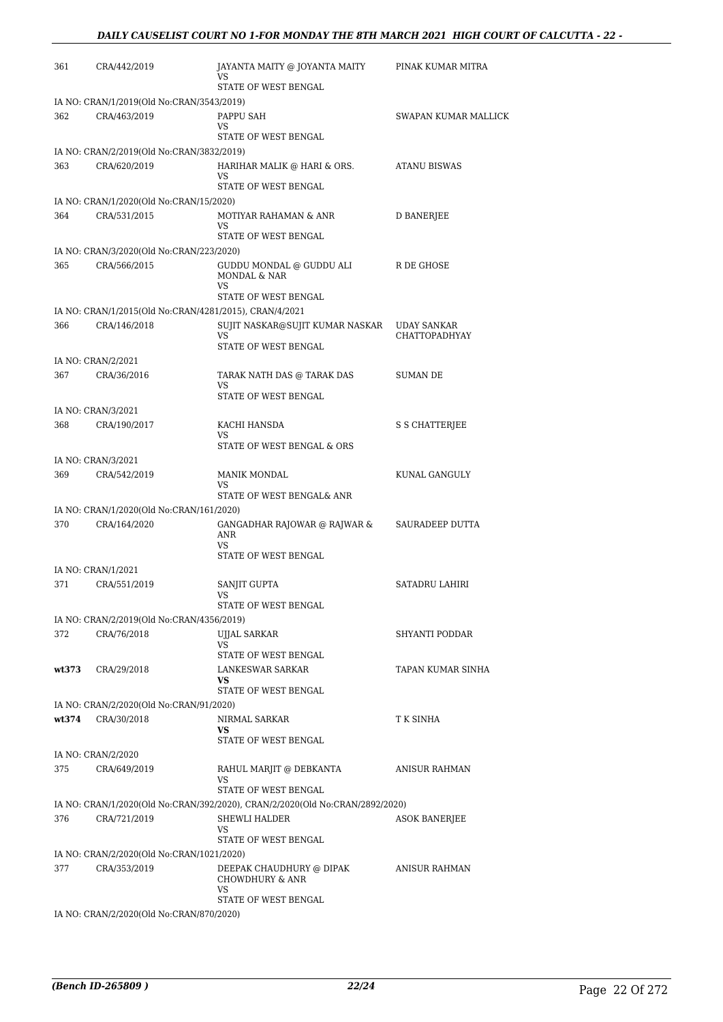| 361   | CRA/442/2019                              | JAYANTA MAITY @ JOYANTA MAITY<br>VS<br>STATE OF WEST BENGAL                  | PINAK KUMAR MITRA                          |
|-------|-------------------------------------------|------------------------------------------------------------------------------|--------------------------------------------|
|       | IA NO: CRAN/1/2019(Old No:CRAN/3543/2019) |                                                                              |                                            |
| 362   | CRA/463/2019                              | PAPPU SAH<br>VS                                                              | SWAPAN KUMAR MALLICK                       |
|       |                                           | STATE OF WEST BENGAL                                                         |                                            |
|       | IA NO: CRAN/2/2019(Old No:CRAN/3832/2019) |                                                                              |                                            |
| 363   | CRA/620/2019                              | HARIHAR MALIK @ HARI & ORS.<br>VS<br>STATE OF WEST BENGAL                    | <b>ATANU BISWAS</b>                        |
|       | IA NO: CRAN/1/2020(Old No:CRAN/15/2020)   |                                                                              |                                            |
| 364   | CRA/531/2015                              | MOTIYAR RAHAMAN & ANR<br>VS                                                  | D BANERJEE                                 |
|       |                                           | STATE OF WEST BENGAL                                                         |                                            |
|       | IA NO: CRAN/3/2020(Old No:CRAN/223/2020)  |                                                                              |                                            |
| 365   | CRA/566/2015                              | GUDDU MONDAL @ GUDDU ALI<br>MONDAL & NAR<br>VS                               | R DE GHOSE                                 |
|       |                                           | STATE OF WEST BENGAL                                                         |                                            |
|       |                                           | IA NO: CRAN/1/2015(Old No:CRAN/4281/2015), CRAN/4/2021                       |                                            |
| 366   | CRA/146/2018                              | SUJIT NASKAR@SUJIT KUMAR NASKAR<br>VS<br>STATE OF WEST BENGAL                | <b>UDAY SANKAR</b><br><b>CHATTOPADHYAY</b> |
|       | IA NO: CRAN/2/2021                        |                                                                              |                                            |
| 367   | CRA/36/2016                               | TARAK NATH DAS @ TARAK DAS<br>VS                                             | SUMAN DE                                   |
|       |                                           | STATE OF WEST BENGAL                                                         |                                            |
|       | IA NO: CRAN/3/2021                        |                                                                              |                                            |
| 368   | CRA/190/2017                              | KACHI HANSDA<br>VS.<br>STATE OF WEST BENGAL & ORS                            | S S CHATTERJEE                             |
|       | IA NO: CRAN/3/2021                        |                                                                              |                                            |
| 369   | CRA/542/2019                              | <b>MANIK MONDAL</b>                                                          | KUNAL GANGULY                              |
|       |                                           | VS                                                                           |                                            |
|       |                                           | STATE OF WEST BENGAL& ANR                                                    |                                            |
|       | IA NO: CRAN/1/2020(Old No:CRAN/161/2020)  |                                                                              |                                            |
| 370   | CRA/164/2020                              | GANGADHAR RAJOWAR @ RAJWAR &<br><b>ANR</b><br>VS<br>STATE OF WEST BENGAL     | SAURADEEP DUTTA                            |
|       | IA NO: CRAN/1/2021                        |                                                                              |                                            |
| 371   | CRA/551/2019                              | SANJIT GUPTA                                                                 | SATADRU LAHIRI                             |
|       |                                           | VS                                                                           |                                            |
|       |                                           | STATE OF WEST BENGAL                                                         |                                            |
|       | IA NO: CRAN/2/2019(Old No:CRAN/4356/2019) |                                                                              |                                            |
| 372   | CRA/76/2018                               | UJJAL SARKAR<br>VS                                                           | SHYANTI PODDAR                             |
|       |                                           | STATE OF WEST BENGAL                                                         |                                            |
| wt373 | CRA/29/2018                               | <b>LANKESWAR SARKAR</b><br>VS<br>STATE OF WEST BENGAL                        | TAPAN KUMAR SINHA                          |
|       | IA NO: CRAN/2/2020(Old No:CRAN/91/2020)   |                                                                              |                                            |
| wt374 | CRA/30/2018                               | NIRMAL SARKAR                                                                | T K SINHA                                  |
|       |                                           | VS<br>STATE OF WEST BENGAL                                                   |                                            |
|       | IA NO: CRAN/2/2020                        |                                                                              |                                            |
| 375   | CRA/649/2019                              | RAHUL MARJIT @ DEBKANTA                                                      | ANISUR RAHMAN                              |
|       |                                           | VS<br>STATE OF WEST BENGAL                                                   |                                            |
|       |                                           | IA NO: CRAN/1/2020(Old No:CRAN/392/2020), CRAN/2/2020(Old No:CRAN/2892/2020) |                                            |
| 376   | CRA/721/2019                              | SHEWLI HALDER<br>VS<br>STATE OF WEST BENGAL                                  | <b>ASOK BANERJEE</b>                       |
|       | IA NO: CRAN/2/2020(Old No:CRAN/1021/2020) |                                                                              |                                            |
| 377   | CRA/353/2019                              | DEEPAK CHAUDHURY @ DIPAK<br><b>CHOWDHURY &amp; ANR</b><br>VS                 | ANISUR RAHMAN                              |
|       | IA NO: CRAN/2/2020(Old No:CRAN/870/2020)  | STATE OF WEST BENGAL                                                         |                                            |
|       |                                           |                                                                              |                                            |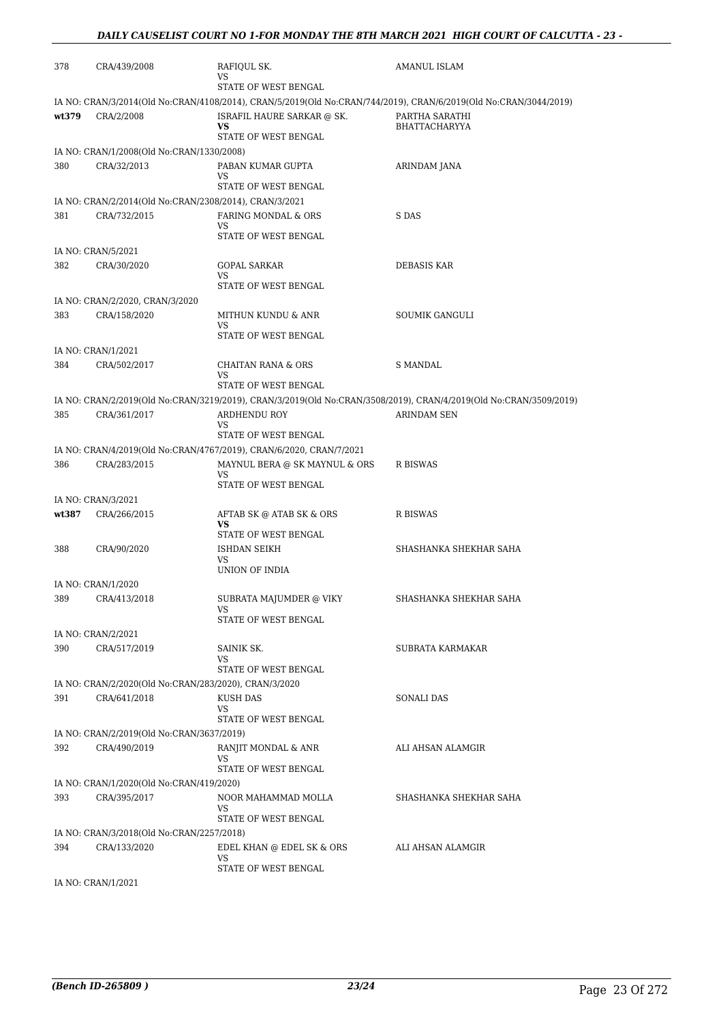| 378   | CRA/439/2008                                           | RAFIQUL SK.<br>VS                                                   | AMANUL ISLAM                                                                                                      |
|-------|--------------------------------------------------------|---------------------------------------------------------------------|-------------------------------------------------------------------------------------------------------------------|
|       |                                                        | STATE OF WEST BENGAL                                                |                                                                                                                   |
|       |                                                        |                                                                     | IA NO: CRAN/3/2014(Old No:CRAN/4108/2014), CRAN/5/2019(Old No:CRAN/744/2019), CRAN/6/2019(Old No:CRAN/3044/2019)  |
| wt379 | CRA/2/2008                                             | ISRAFIL HAURE SARKAR @ SK.<br>VS                                    | PARTHA SARATHI<br>BHATTACHARYYA                                                                                   |
|       |                                                        | STATE OF WEST BENGAL                                                |                                                                                                                   |
|       | IA NO: CRAN/1/2008(Old No:CRAN/1330/2008)              |                                                                     |                                                                                                                   |
| 380   | CRA/32/2013                                            | PABAN KUMAR GUPTA<br>VS                                             | ARINDAM JANA                                                                                                      |
|       |                                                        | STATE OF WEST BENGAL                                                |                                                                                                                   |
|       | IA NO: CRAN/2/2014(Old No:CRAN/2308/2014), CRAN/3/2021 |                                                                     |                                                                                                                   |
| 381   | CRA/732/2015                                           | FARING MONDAL & ORS<br>VS                                           | S DAS                                                                                                             |
|       |                                                        | STATE OF WEST BENGAL                                                |                                                                                                                   |
|       | IA NO: CRAN/5/2021                                     |                                                                     |                                                                                                                   |
| 382   | CRA/30/2020                                            | <b>GOPAL SARKAR</b>                                                 | DEBASIS KAR                                                                                                       |
|       |                                                        | VS<br>STATE OF WEST BENGAL                                          |                                                                                                                   |
|       | IA NO: CRAN/2/2020, CRAN/3/2020                        |                                                                     |                                                                                                                   |
| 383   | CRA/158/2020                                           | MITHUN KUNDU & ANR<br>VS                                            | SOUMIK GANGULI                                                                                                    |
|       |                                                        | STATE OF WEST BENGAL                                                |                                                                                                                   |
|       | IA NO: CRAN/1/2021                                     |                                                                     |                                                                                                                   |
| 384   | CRA/502/2017                                           | <b>CHAITAN RANA &amp; ORS</b><br>VS                                 | <b>S MANDAL</b>                                                                                                   |
|       |                                                        | STATE OF WEST BENGAL                                                |                                                                                                                   |
|       |                                                        |                                                                     | IA NO: CRAN/2/2019(Old No:CRAN/3219/2019), CRAN/3/2019(Old No:CRAN/3508/2019), CRAN/4/2019(Old No:CRAN/3509/2019) |
| 385   | CRA/361/2017                                           | ARDHENDU ROY<br>VS                                                  | <b>ARINDAM SEN</b>                                                                                                |
|       |                                                        | STATE OF WEST BENGAL                                                |                                                                                                                   |
|       |                                                        | IA NO: CRAN/4/2019(Old No:CRAN/4767/2019), CRAN/6/2020, CRAN/7/2021 |                                                                                                                   |
| 386   | CRA/283/2015                                           | MAYNUL BERA @ SK MAYNUL & ORS                                       | R BISWAS                                                                                                          |
|       |                                                        | VS<br>STATE OF WEST BENGAL                                          |                                                                                                                   |
|       | IA NO: CRAN/3/2021                                     |                                                                     |                                                                                                                   |
| wt387 | CRA/266/2015                                           | AFTAB SK @ ATAB SK & ORS                                            | R BISWAS                                                                                                          |
|       |                                                        | VS<br>STATE OF WEST BENGAL                                          |                                                                                                                   |
| 388   | CRA/90/2020                                            | ISHDAN SEIKH                                                        | SHASHANKA SHEKHAR SAHA                                                                                            |
|       |                                                        | VS                                                                  |                                                                                                                   |
|       | IA NO: CRAN/1/2020                                     | UNION OF INDIA                                                      |                                                                                                                   |
| 389   | CRA/413/2018                                           | SUBRATA MAJUMDER @ VIKY                                             | SHASHANKA SHEKHAR SAHA                                                                                            |
|       |                                                        | VS                                                                  |                                                                                                                   |
|       |                                                        | STATE OF WEST BENGAL                                                |                                                                                                                   |
|       | IA NO: CRAN/2/2021<br>CRA/517/2019                     |                                                                     | SUBRATA KARMAKAR                                                                                                  |
| 390   |                                                        | SAINIK SK.<br>VS                                                    |                                                                                                                   |
|       |                                                        | STATE OF WEST BENGAL                                                |                                                                                                                   |
|       | IA NO: CRAN/2/2020(Old No:CRAN/283/2020), CRAN/3/2020  |                                                                     |                                                                                                                   |
| 391   | CRA/641/2018                                           | KUSH DAS<br>VS                                                      | <b>SONALI DAS</b>                                                                                                 |
|       |                                                        | STATE OF WEST BENGAL                                                |                                                                                                                   |
|       | IA NO: CRAN/2/2019(Old No:CRAN/3637/2019)              |                                                                     |                                                                                                                   |
| 392   | CRA/490/2019                                           | RANJIT MONDAL & ANR<br>VS                                           | ALI AHSAN ALAMGIR                                                                                                 |
|       |                                                        | STATE OF WEST BENGAL                                                |                                                                                                                   |
|       | IA NO: CRAN/1/2020(Old No:CRAN/419/2020)               |                                                                     |                                                                                                                   |
| 393   | CRA/395/2017                                           | NOOR MAHAMMAD MOLLA<br>VS                                           | SHASHANKA SHEKHAR SAHA                                                                                            |
|       |                                                        | STATE OF WEST BENGAL                                                |                                                                                                                   |
|       | IA NO: CRAN/3/2018(Old No:CRAN/2257/2018)              |                                                                     |                                                                                                                   |
| 394   | CRA/133/2020                                           | EDEL KHAN @ EDEL SK & ORS<br>VS                                     | ALI AHSAN ALAMGIR                                                                                                 |
|       |                                                        | STATE OF WEST BENGAL                                                |                                                                                                                   |
|       | IA NO: CRAN/1/2021                                     |                                                                     |                                                                                                                   |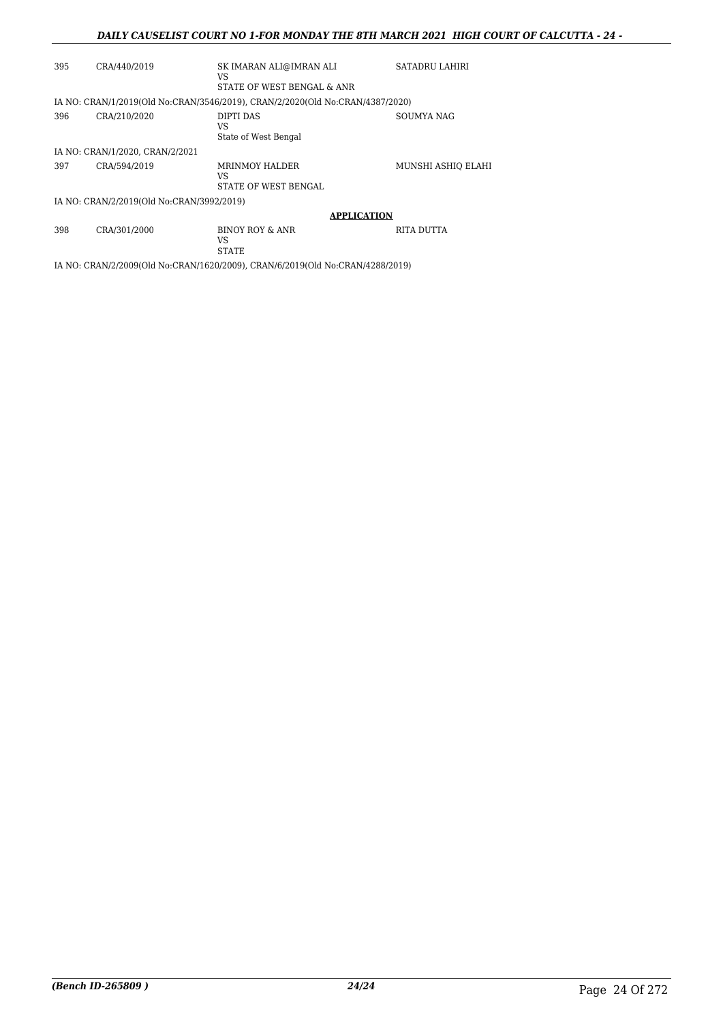#### *DAILY CAUSELIST COURT NO 1-FOR MONDAY THE 8TH MARCH 2021 HIGH COURT OF CALCUTTA - 24 -*

| 395 | CRA/440/2019                              | SK IMARAN ALI@IMRAN ALI<br>VS<br>STATE OF WEST BENGAL & ANR                   | SATADRU LAHIRI     |
|-----|-------------------------------------------|-------------------------------------------------------------------------------|--------------------|
|     |                                           | IA NO: CRAN/1/2019(Old No:CRAN/3546/2019), CRAN/2/2020(Old No:CRAN/4387/2020) |                    |
| 396 | CRA/210/2020                              | DIPTI DAS<br>VS<br>State of West Bengal                                       | SOUMYA NAG         |
|     | IA NO: CRAN/1/2020. CRAN/2/2021           |                                                                               |                    |
| 397 | CRA/594/2019                              | <b>MRINMOY HALDER</b><br>VS<br>STATE OF WEST BENGAL                           | MUNSHI ASHIQ ELAHI |
|     | IA NO: CRAN/2/2019(Old No:CRAN/3992/2019) |                                                                               |                    |
|     |                                           | <b>APPLICATION</b>                                                            |                    |
| 398 | CRA/301/2000                              | BINOY ROY & ANR<br>VS<br>STATE                                                | RITA DUTTA         |

IA NO: CRAN/2/2009(Old No:CRAN/1620/2009), CRAN/6/2019(Old No:CRAN/4288/2019)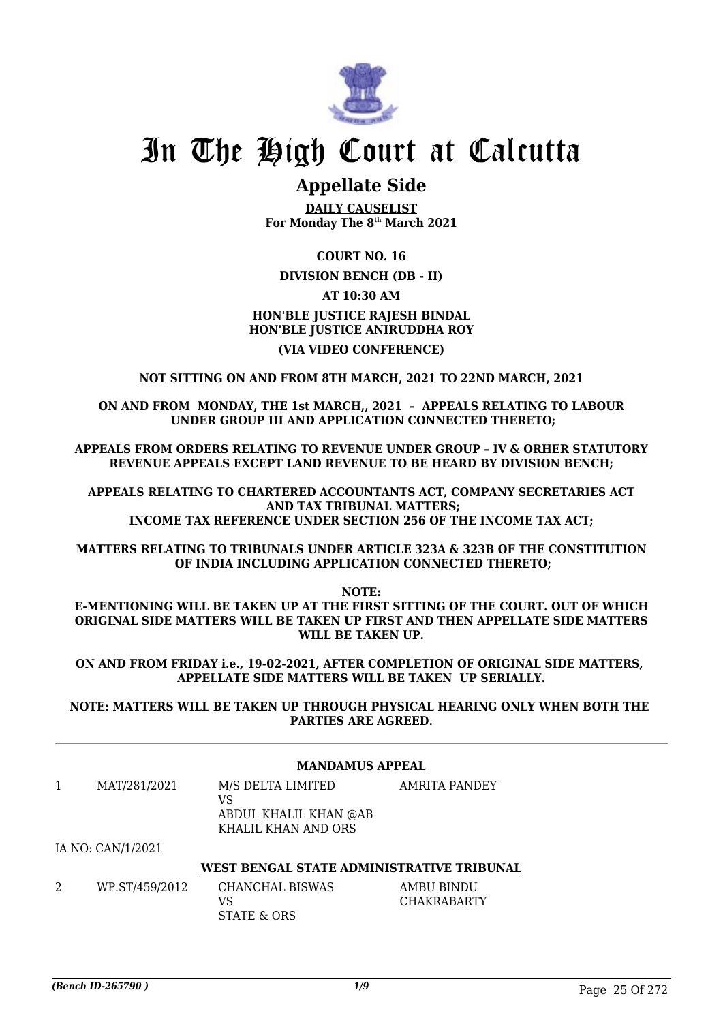

## **Appellate Side**

**DAILY CAUSELIST For Monday The 8th March 2021**

#### **COURT NO. 16**

#### **DIVISION BENCH (DB - II)**

#### **AT 10:30 AM**

### **HON'BLE JUSTICE RAJESH BINDAL HON'BLE JUSTICE ANIRUDDHA ROY**

#### **(VIA VIDEO CONFERENCE)**

#### **NOT SITTING ON AND FROM 8TH MARCH, 2021 TO 22ND MARCH, 2021**

**ON AND FROM MONDAY, THE 1st MARCH,, 2021 – APPEALS RELATING TO LABOUR UNDER GROUP III AND APPLICATION CONNECTED THERETO;**

**APPEALS FROM ORDERS RELATING TO REVENUE UNDER GROUP – IV & ORHER STATUTORY REVENUE APPEALS EXCEPT LAND REVENUE TO BE HEARD BY DIVISION BENCH;**

**APPEALS RELATING TO CHARTERED ACCOUNTANTS ACT, COMPANY SECRETARIES ACT AND TAX TRIBUNAL MATTERS; INCOME TAX REFERENCE UNDER SECTION 256 OF THE INCOME TAX ACT;**

**MATTERS RELATING TO TRIBUNALS UNDER ARTICLE 323A & 323B OF THE CONSTITUTION OF INDIA INCLUDING APPLICATION CONNECTED THERETO;**

**NOTE:**

**E-MENTIONING WILL BE TAKEN UP AT THE FIRST SITTING OF THE COURT. OUT OF WHICH ORIGINAL SIDE MATTERS WILL BE TAKEN UP FIRST AND THEN APPELLATE SIDE MATTERS WILL BE TAKEN UP.**

**ON AND FROM FRIDAY i.e., 19-02-2021, AFTER COMPLETION OF ORIGINAL SIDE MATTERS, APPELLATE SIDE MATTERS WILL BE TAKEN UP SERIALLY.**

**NOTE: MATTERS WILL BE TAKEN UP THROUGH PHYSICAL HEARING ONLY WHEN BOTH THE PARTIES ARE AGREED.**

#### **MANDAMUS APPEAL**

| MAT/281/2021                                                                                           | M/S DELTA LIMITED<br>VS<br>ABDUL KHALIL KHAN @AB | AMRITA PANDEY |
|--------------------------------------------------------------------------------------------------------|--------------------------------------------------|---------------|
|                                                                                                        | KHALIL KHAN AND ORS                              |               |
| $T_A$ $\overline{M}$ $\cap$ $\overline{M}$ $\overline{M}$ $\overline{M}$ $\overline{M}$ $\overline{M}$ |                                                  |               |

#### IA NO: CAN/1/2021

#### **WEST BENGAL STATE ADMINISTRATIVE TRIBUNAL**

2 WP.ST/459/2012 CHANCHAL BISWAS VS STATE & ORS AMBU BINDU CHAKRABARTY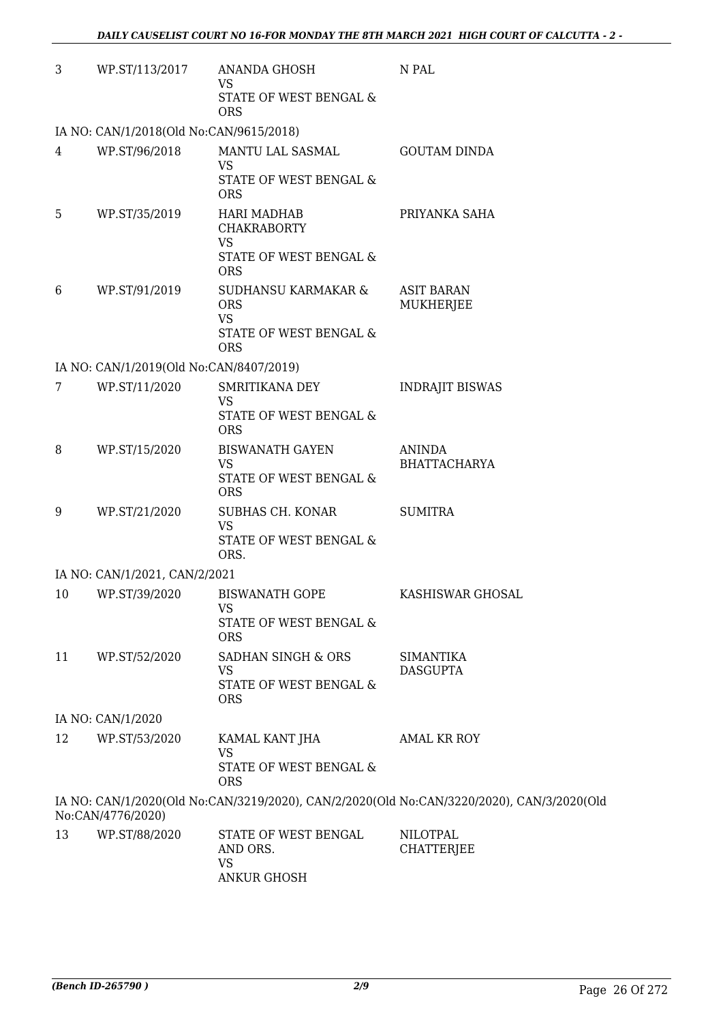| 3  | WP.ST/113/2017                          | ANANDA GHOSH<br><b>VS</b>                                                | N PAL                                                                                     |
|----|-----------------------------------------|--------------------------------------------------------------------------|-------------------------------------------------------------------------------------------|
|    |                                         | STATE OF WEST BENGAL &<br><b>ORS</b>                                     |                                                                                           |
|    | IA NO: CAN/1/2018(Old No:CAN/9615/2018) |                                                                          |                                                                                           |
| 4  | WP.ST/96/2018                           | MANTU LAL SASMAL<br><b>VS</b><br>STATE OF WEST BENGAL &                  | <b>GOUTAM DINDA</b>                                                                       |
|    |                                         | <b>ORS</b>                                                               |                                                                                           |
| 5  | WP.ST/35/2019                           | HARI MADHAB<br><b>CHAKRABORTY</b><br><b>VS</b>                           | PRIYANKA SAHA                                                                             |
|    |                                         | STATE OF WEST BENGAL &<br><b>ORS</b>                                     |                                                                                           |
| 6  | WP.ST/91/2019                           | SUDHANSU KARMAKAR &<br><b>ORS</b><br><b>VS</b><br>STATE OF WEST BENGAL & | <b>ASIT BARAN</b><br>MUKHERJEE                                                            |
|    |                                         | <b>ORS</b>                                                               |                                                                                           |
|    | IA NO: CAN/1/2019(Old No:CAN/8407/2019) |                                                                          |                                                                                           |
| 7  | WP.ST/11/2020                           | SMRITIKANA DEY                                                           | <b>INDRAJIT BISWAS</b>                                                                    |
|    |                                         | <b>VS</b><br>STATE OF WEST BENGAL &<br><b>ORS</b>                        |                                                                                           |
| 8  | WP.ST/15/2020                           | <b>BISWANATH GAYEN</b>                                                   | <b>ANINDA</b>                                                                             |
|    |                                         | <b>VS</b><br>STATE OF WEST BENGAL &<br><b>ORS</b>                        | <b>BHATTACHARYA</b>                                                                       |
| 9  | WP.ST/21/2020                           | SUBHAS CH. KONAR<br><b>VS</b>                                            | <b>SUMITRA</b>                                                                            |
|    |                                         | STATE OF WEST BENGAL &<br>ORS.                                           |                                                                                           |
|    | IA NO: CAN/1/2021, CAN/2/2021           |                                                                          |                                                                                           |
| 10 | WP.ST/39/2020                           | <b>BISWANATH GOPE</b><br>VS                                              | KASHISWAR GHOSAL                                                                          |
|    |                                         | STATE OF WEST BENGAL &<br><b>ORS</b>                                     |                                                                                           |
| 11 | WP.ST/52/2020                           | SADHAN SINGH & ORS                                                       | <b>SIMANTIKA</b>                                                                          |
|    |                                         | <b>VS</b><br>STATE OF WEST BENGAL &<br><b>ORS</b>                        | <b>DASGUPTA</b>                                                                           |
|    | IA NO: CAN/1/2020                       |                                                                          |                                                                                           |
| 12 | WP.ST/53/2020                           | KAMAL KANT JHA                                                           | <b>AMAL KR ROY</b>                                                                        |
|    |                                         | <b>VS</b><br>STATE OF WEST BENGAL &<br><b>ORS</b>                        |                                                                                           |
|    | No:CAN/4776/2020)                       |                                                                          | IA NO: CAN/1/2020(Old No:CAN/3219/2020), CAN/2/2020(Old No:CAN/3220/2020), CAN/3/2020(Old |
| 13 | WP.ST/88/2020                           | STATE OF WEST BENGAL<br>AND ORS.<br><b>VS</b>                            | <b>NILOTPAL</b><br><b>CHATTERJEE</b>                                                      |

ANKUR GHOSH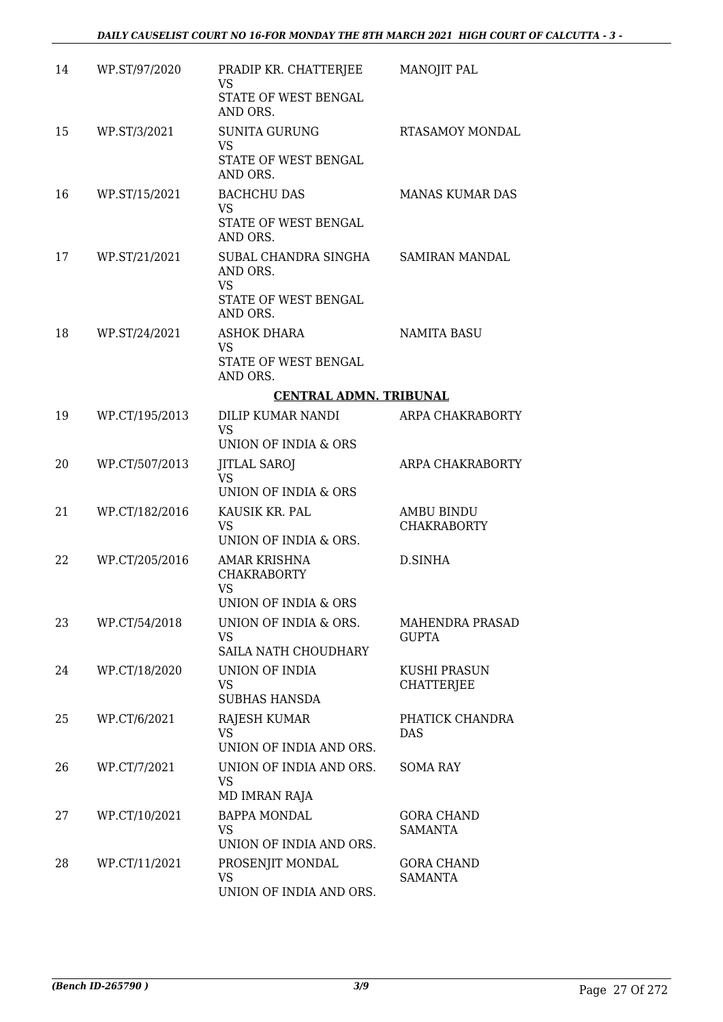| 14 | WP.ST/97/2020  | PRADIP KR. CHATTERJEE<br><b>VS</b><br>STATE OF WEST BENGAL<br>AND ORS.            | <b>MANOJIT PAL</b>                       |
|----|----------------|-----------------------------------------------------------------------------------|------------------------------------------|
| 15 | WP.ST/3/2021   | <b>SUNITA GURUNG</b><br><b>VS</b><br>STATE OF WEST BENGAL<br>AND ORS.             | <b>RTASAMOY MONDAL</b>                   |
| 16 | WP.ST/15/2021  | <b>BACHCHU DAS</b><br><b>VS</b><br>STATE OF WEST BENGAL<br>AND ORS.               | <b>MANAS KUMAR DAS</b>                   |
| 17 | WP.ST/21/2021  | SUBAL CHANDRA SINGHA<br>AND ORS.<br><b>VS</b><br>STATE OF WEST BENGAL<br>AND ORS. | <b>SAMIRAN MANDAL</b>                    |
| 18 | WP.ST/24/2021  | <b>ASHOK DHARA</b><br><b>VS</b><br>STATE OF WEST BENGAL<br>AND ORS.               | <b>NAMITA BASU</b>                       |
|    |                | <b>CENTRAL ADMN. TRIBUNAL</b>                                                     |                                          |
| 19 | WP.CT/195/2013 | DILIP KUMAR NANDI<br><b>VS</b><br>UNION OF INDIA & ORS                            | ARPA CHAKRABORTY                         |
| 20 | WP.CT/507/2013 | <b>JITLAL SAROJ</b><br><b>VS</b><br>UNION OF INDIA & ORS                          | ARPA CHAKRABORTY                         |
| 21 | WP.CT/182/2016 | KAUSIK KR. PAL<br><b>VS</b><br>UNION OF INDIA & ORS.                              | <b>AMBU BINDU</b><br><b>CHAKRABORTY</b>  |
| 22 | WP.CT/205/2016 | AMAR KRISHNA<br><b>CHAKRABORTY</b><br>VS<br>UNION OF INDIA & ORS                  | D.SINHA                                  |
| 23 | WP.CT/54/2018  | UNION OF INDIA & ORS.<br>VS.<br>SAILA NATH CHOUDHARY                              | MAHENDRA PRASAD<br><b>GUPTA</b>          |
| 24 | WP.CT/18/2020  | UNION OF INDIA<br>VS<br><b>SUBHAS HANSDA</b>                                      | <b>KUSHI PRASUN</b><br><b>CHATTERJEE</b> |
| 25 | WP.CT/6/2021   | RAJESH KUMAR<br><b>VS</b><br>UNION OF INDIA AND ORS.                              | PHATICK CHANDRA<br><b>DAS</b>            |
| 26 | WP.CT/7/2021   | UNION OF INDIA AND ORS.<br><b>VS</b><br>MD IMRAN RAJA                             | <b>SOMA RAY</b>                          |
| 27 | WP.CT/10/2021  | <b>BAPPA MONDAL</b><br><b>VS</b><br>UNION OF INDIA AND ORS.                       | <b>GORA CHAND</b><br><b>SAMANTA</b>      |
| 28 | WP.CT/11/2021  | PROSENJIT MONDAL<br>VS<br>UNION OF INDIA AND ORS.                                 | <b>GORA CHAND</b><br>SAMANTA             |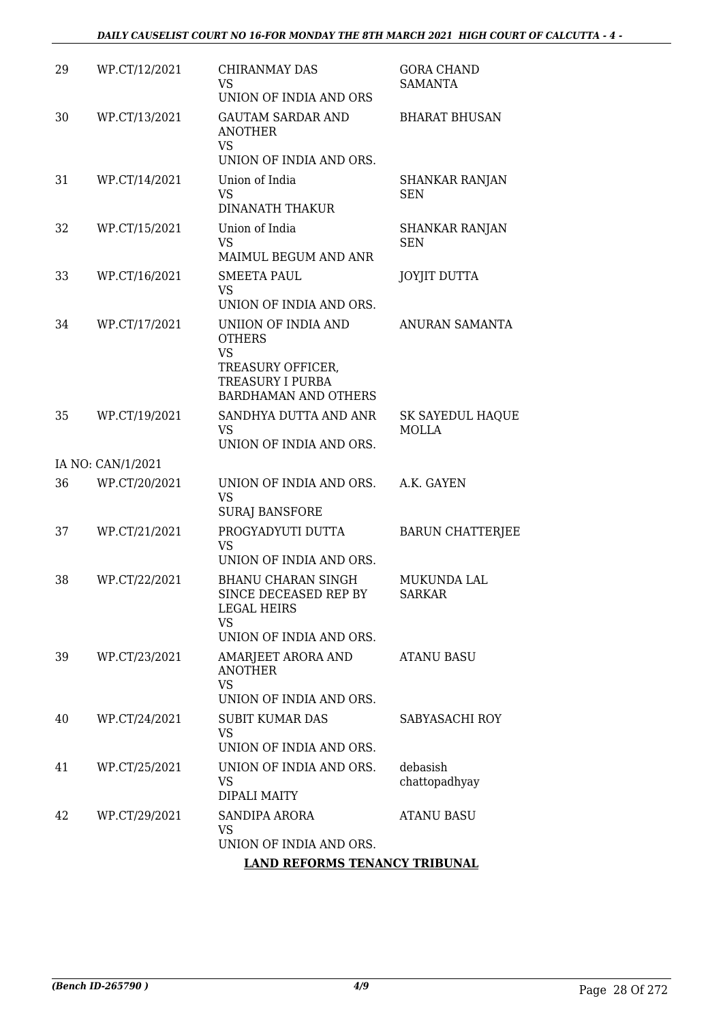| 29 | WP.CT/12/2021     | <b>CHIRANMAY DAS</b><br>VS.<br>UNION OF INDIA AND ORS                                                                            | <b>GORA CHAND</b><br><b>SAMANTA</b> |
|----|-------------------|----------------------------------------------------------------------------------------------------------------------------------|-------------------------------------|
| 30 | WP.CT/13/2021     | <b>GAUTAM SARDAR AND</b><br><b>ANOTHER</b><br><b>VS</b><br>UNION OF INDIA AND ORS.                                               | <b>BHARAT BHUSAN</b>                |
| 31 | WP.CT/14/2021     | Union of India<br><b>VS</b><br><b>DINANATH THAKUR</b>                                                                            | <b>SHANKAR RANJAN</b><br>SEN        |
| 32 | WP.CT/15/2021     | Union of India<br><b>VS</b><br>MAIMUL BEGUM AND ANR                                                                              | SHANKAR RANJAN<br><b>SEN</b>        |
| 33 | WP.CT/16/2021     | <b>SMEETA PAUL</b><br><b>VS</b><br>UNION OF INDIA AND ORS.                                                                       | <b>JOYJIT DUTTA</b>                 |
| 34 | WP.CT/17/2021     | UNIION OF INDIA AND<br><b>OTHERS</b><br><b>VS</b><br>TREASURY OFFICER,<br><b>TREASURY I PURBA</b><br><b>BARDHAMAN AND OTHERS</b> | ANURAN SAMANTA                      |
| 35 | WP.CT/19/2021     | SANDHYA DUTTA AND ANR<br>VS<br>UNION OF INDIA AND ORS.                                                                           | SK SAYEDUL HAQUE<br>MOLLA           |
|    | IA NO: CAN/1/2021 |                                                                                                                                  |                                     |
| 36 | WP.CT/20/2021     | UNION OF INDIA AND ORS.<br><b>VS</b><br><b>SURAJ BANSFORE</b>                                                                    | A.K. GAYEN                          |
| 37 | WP.CT/21/2021     | PROGYADYUTI DUTTA<br><b>VS</b><br>UNION OF INDIA AND ORS.                                                                        | <b>BARUN CHATTERJEE</b>             |
| 38 | WP.CT/22/2021     | <b>BHANU CHARAN SINGH</b><br>SINCE DECEASED REP BY<br><b>LEGAL HEIRS</b><br>VS<br>UNION OF INDIA AND ORS.                        | <b>MUKUNDA LAL</b><br><b>SARKAR</b> |
| 39 | WP.CT/23/2021     | AMARJEET ARORA AND<br><b>ANOTHER</b><br><b>VS</b><br>UNION OF INDIA AND ORS.                                                     | <b>ATANU BASU</b>                   |
| 40 | WP.CT/24/2021     | <b>SUBIT KUMAR DAS</b><br><b>VS</b><br>UNION OF INDIA AND ORS.                                                                   | SABYASACHI ROY                      |
| 41 | WP.CT/25/2021     | UNION OF INDIA AND ORS.<br>VS<br>DIPALI MAITY                                                                                    | debasish<br>chattopadhyay           |
| 42 | WP.CT/29/2021     | SANDIPA ARORA<br>VS<br>UNION OF INDIA AND ORS.                                                                                   | ATANU BASU                          |
|    |                   | <b>LAND REFORMS TENANCY TRIBUNAL</b>                                                                                             |                                     |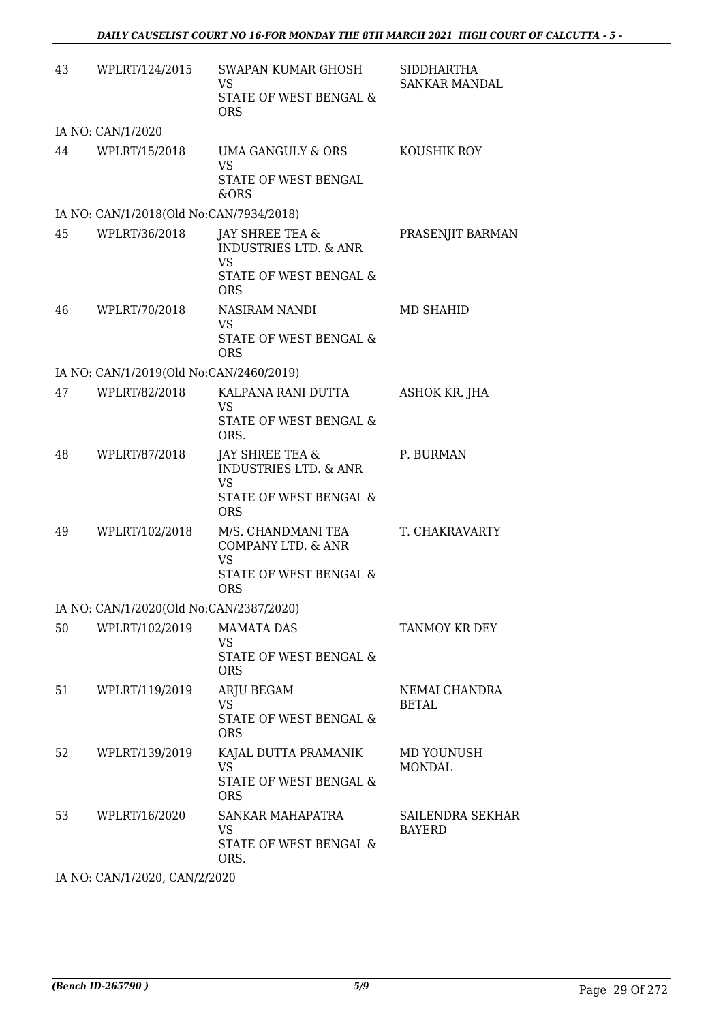| 43 | WPLRT/124/2015                          | SWAPAN KUMAR GHOSH<br>VS.<br>STATE OF WEST BENGAL &<br><b>ORS</b>                                        | SIDDHARTHA<br>SANKAR MANDAL       |
|----|-----------------------------------------|----------------------------------------------------------------------------------------------------------|-----------------------------------|
|    | IA NO: CAN/1/2020                       |                                                                                                          |                                   |
| 44 | WPLRT/15/2018                           | UMA GANGULY & ORS<br><b>VS</b><br>STATE OF WEST BENGAL<br>&ORS                                           | KOUSHIK ROY                       |
|    | IA NO: CAN/1/2018(Old No:CAN/7934/2018) |                                                                                                          |                                   |
| 45 | WPLRT/36/2018                           | JAY SHREE TEA &<br><b>INDUSTRIES LTD. &amp; ANR</b><br><b>VS</b><br>STATE OF WEST BENGAL &<br><b>ORS</b> | PRASENJIT BARMAN                  |
| 46 | WPLRT/70/2018                           | NASIRAM NANDI<br>VS<br>STATE OF WEST BENGAL &<br><b>ORS</b>                                              | MD SHAHID                         |
|    | IA NO: CAN/1/2019(Old No:CAN/2460/2019) |                                                                                                          |                                   |
| 47 | WPLRT/82/2018                           | KALPANA RANI DUTTA<br>VS<br>STATE OF WEST BENGAL &<br>ORS.                                               | ASHOK KR. JHA                     |
| 48 | WPLRT/87/2018                           | JAY SHREE TEA &<br><b>INDUSTRIES LTD. &amp; ANR</b><br><b>VS</b><br>STATE OF WEST BENGAL &<br><b>ORS</b> | P. BURMAN                         |
| 49 | WPLRT/102/2018                          | M/S. CHANDMANI TEA<br>COMPANY LTD. & ANR<br><b>VS</b><br>STATE OF WEST BENGAL &<br><b>ORS</b>            | T. CHAKRAVARTY                    |
|    | IA NO: CAN/1/2020(Old No:CAN/2387/2020) |                                                                                                          |                                   |
| 50 | WPLRT/102/2019                          | <b>MAMATA DAS</b><br><b>VS</b><br>STATE OF WEST BENGAL &<br><b>ORS</b>                                   | TANMOY KR DEY                     |
| 51 | WPLRT/119/2019                          | ARJU BEGAM<br>VS<br>STATE OF WEST BENGAL &<br><b>ORS</b>                                                 | NEMAI CHANDRA<br><b>BETAL</b>     |
| 52 | WPLRT/139/2019                          | KAJAL DUTTA PRAMANIK<br><b>VS</b><br>STATE OF WEST BENGAL &<br><b>ORS</b>                                | MD YOUNUSH<br><b>MONDAL</b>       |
| 53 | WPLRT/16/2020                           | SANKAR MAHAPATRA<br>VS.<br>STATE OF WEST BENGAL &<br>ORS.                                                | SAILENDRA SEKHAR<br><b>BAYERD</b> |

IA NO: CAN/1/2020, CAN/2/2020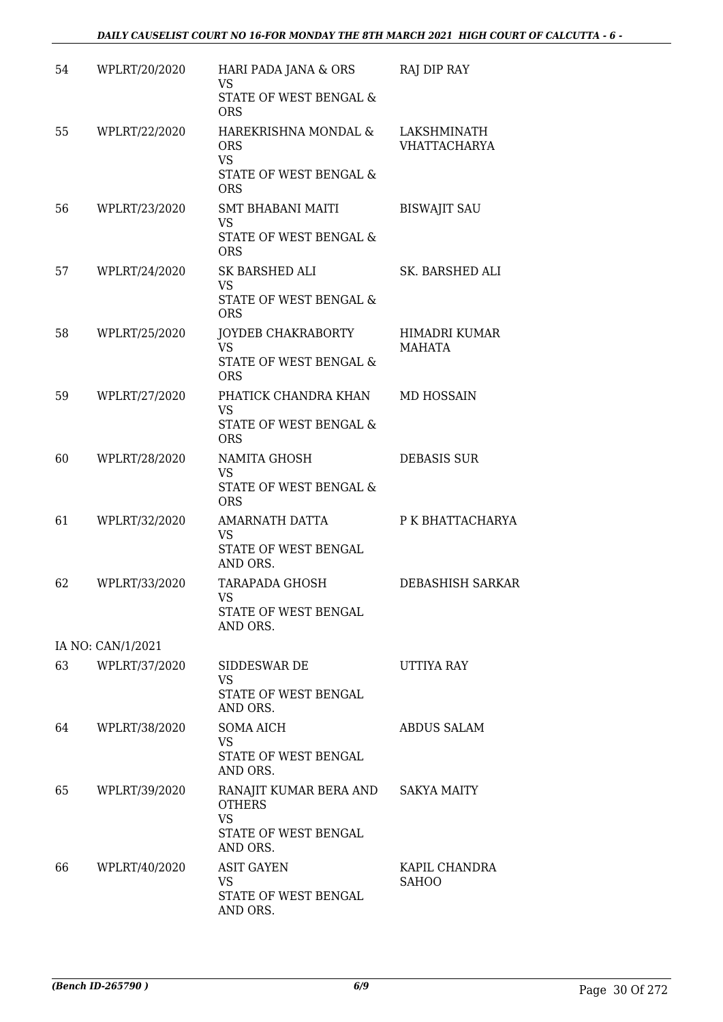| 54 | WPLRT/20/2020     | HARI PADA JANA & ORS<br>VS<br>STATE OF WEST BENGAL &                                                  | RAJ DIP RAY                        |
|----|-------------------|-------------------------------------------------------------------------------------------------------|------------------------------------|
| 55 | WPLRT/22/2020     | <b>ORS</b><br>HAREKRISHNA MONDAL &<br><b>ORS</b><br><b>VS</b><br>STATE OF WEST BENGAL &<br><b>ORS</b> | LAKSHMINATH<br><b>VHATTACHARYA</b> |
| 56 | WPLRT/23/2020     | SMT BHABANI MAITI<br><b>VS</b><br>STATE OF WEST BENGAL &<br><b>ORS</b>                                | <b>BISWAJIT SAU</b>                |
| 57 | WPLRT/24/2020     | SK BARSHED ALI<br><b>VS</b><br>STATE OF WEST BENGAL &<br><b>ORS</b>                                   | SK. BARSHED ALI                    |
| 58 | WPLRT/25/2020     | JOYDEB CHAKRABORTY<br><b>VS</b><br>STATE OF WEST BENGAL &<br><b>ORS</b>                               | HIMADRI KUMAR<br>MAHATA            |
| 59 | WPLRT/27/2020     | PHATICK CHANDRA KHAN<br><b>VS</b><br>STATE OF WEST BENGAL &<br><b>ORS</b>                             | MD HOSSAIN                         |
| 60 | WPLRT/28/2020     | NAMITA GHOSH<br><b>VS</b><br>STATE OF WEST BENGAL &<br><b>ORS</b>                                     | <b>DEBASIS SUR</b>                 |
| 61 | WPLRT/32/2020     | AMARNATH DATTA<br>VS<br>STATE OF WEST BENGAL<br>AND ORS.                                              | P K BHATTACHARYA                   |
| 62 | WPLRT/33/2020     | TARAPADA GHOSH<br><b>VS</b><br>STATE OF WEST BENGAL<br>AND ORS.                                       | DEBASHISH SARKAR                   |
|    | IA NO: CAN/1/2021 |                                                                                                       |                                    |
| 63 | WPLRT/37/2020     | SIDDESWAR DE<br>VS<br>STATE OF WEST BENGAL<br>AND ORS.                                                | UTTIYA RAY                         |
| 64 | WPLRT/38/2020     | SOMA AICH<br>VS.<br>STATE OF WEST BENGAL<br>AND ORS.                                                  | <b>ABDUS SALAM</b>                 |
| 65 | WPLRT/39/2020     | RANAJIT KUMAR BERA AND<br><b>OTHERS</b><br><b>VS</b><br>STATE OF WEST BENGAL<br>AND ORS.              | <b>SAKYA MAITY</b>                 |
| 66 | WPLRT/40/2020     | <b>ASIT GAYEN</b><br>VS.<br>STATE OF WEST BENGAL<br>AND ORS.                                          | KAPIL CHANDRA<br><b>SAHOO</b>      |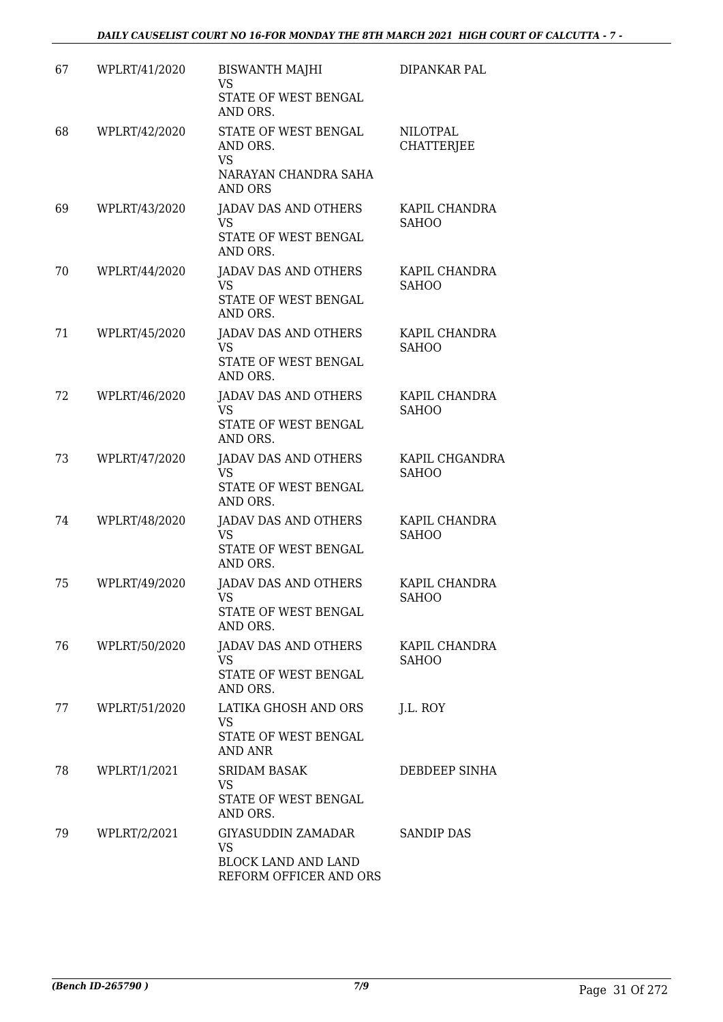| 67 | WPLRT/41/2020 | <b>BISWANTH MAJHI</b><br><b>VS</b><br>STATE OF WEST BENGAL                                          | DIPANKAR PAL                         |
|----|---------------|-----------------------------------------------------------------------------------------------------|--------------------------------------|
| 68 | WPLRT/42/2020 | AND ORS.<br>STATE OF WEST BENGAL<br>AND ORS.<br><b>VS</b><br>NARAYAN CHANDRA SAHA<br><b>AND ORS</b> | <b>NILOTPAL</b><br><b>CHATTERJEE</b> |
| 69 | WPLRT/43/2020 | <b>JADAV DAS AND OTHERS</b><br><b>VS</b><br>STATE OF WEST BENGAL<br>AND ORS.                        | KAPIL CHANDRA<br><b>SAHOO</b>        |
| 70 | WPLRT/44/2020 | <b>JADAV DAS AND OTHERS</b><br><b>VS</b><br>STATE OF WEST BENGAL<br>AND ORS.                        | KAPIL CHANDRA<br><b>SAHOO</b>        |
| 71 | WPLRT/45/2020 | <b>JADAV DAS AND OTHERS</b><br><b>VS</b><br>STATE OF WEST BENGAL<br>AND ORS.                        | KAPIL CHANDRA<br><b>SAHOO</b>        |
| 72 | WPLRT/46/2020 | <b>JADAV DAS AND OTHERS</b><br><b>VS</b><br>STATE OF WEST BENGAL<br>AND ORS.                        | KAPIL CHANDRA<br><b>SAHOO</b>        |
| 73 | WPLRT/47/2020 | <b>JADAV DAS AND OTHERS</b><br><b>VS</b><br>STATE OF WEST BENGAL<br>AND ORS.                        | KAPIL CHGANDRA<br><b>SAHOO</b>       |
| 74 | WPLRT/48/2020 | <b>JADAV DAS AND OTHERS</b><br><b>VS</b><br>STATE OF WEST BENGAL<br>AND ORS.                        | KAPIL CHANDRA<br><b>SAHOO</b>        |
| 75 | WPLRT/49/2020 | <b>JADAV DAS AND OTHERS</b><br>VS<br><b>STATE OF WEST BENGAL</b><br>AND ORS.                        | KAPIL CHANDRA<br><b>SAHOO</b>        |
| 76 | WPLRT/50/2020 | JADAV DAS AND OTHERS<br>VS.<br>STATE OF WEST BENGAL<br>AND ORS.                                     | KAPIL CHANDRA<br><b>SAHOO</b>        |
| 77 | WPLRT/51/2020 | LATIKA GHOSH AND ORS<br><b>VS</b><br>STATE OF WEST BENGAL<br>AND ANR                                | J.L. ROY                             |
| 78 | WPLRT/1/2021  | <b>SRIDAM BASAK</b><br><b>VS</b><br>STATE OF WEST BENGAL<br>AND ORS.                                | DEBDEEP SINHA                        |
| 79 | WPLRT/2/2021  | GIYASUDDIN ZAMADAR<br>VS<br><b>BLOCK LAND AND LAND</b><br>REFORM OFFICER AND ORS                    | <b>SANDIP DAS</b>                    |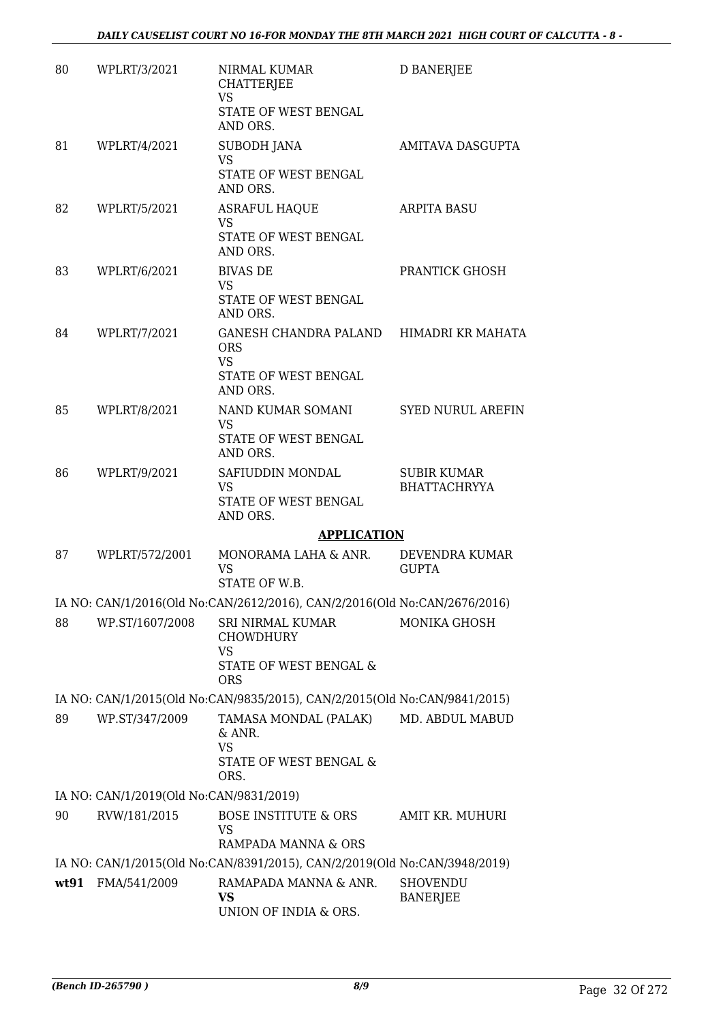| 80 | WPLRT/3/2021                            | NIRMAL KUMAR<br><b>CHATTERJEE</b><br><b>VS</b><br>STATE OF WEST BENGAL         | <b>D BANERJEE</b>                         |
|----|-----------------------------------------|--------------------------------------------------------------------------------|-------------------------------------------|
|    |                                         | AND ORS.                                                                       |                                           |
| 81 | WPLRT/4/2021                            | SUBODH JANA<br><b>VS</b>                                                       | AMITAVA DASGUPTA                          |
|    |                                         | STATE OF WEST BENGAL<br>AND ORS.                                               |                                           |
| 82 | WPLRT/5/2021                            | <b>ASRAFUL HAQUE</b><br><b>VS</b><br>STATE OF WEST BENGAL                      | <b>ARPITA BASU</b>                        |
| 83 | WPLRT/6/2021                            | AND ORS.<br><b>BIVAS DE</b>                                                    | PRANTICK GHOSH                            |
|    |                                         | <b>VS</b><br>STATE OF WEST BENGAL<br>AND ORS.                                  |                                           |
| 84 | WPLRT/7/2021                            | GANESH CHANDRA PALAND HIMADRI KR MAHATA<br><b>ORS</b>                          |                                           |
|    |                                         | <b>VS</b><br>STATE OF WEST BENGAL<br>AND ORS.                                  |                                           |
| 85 | WPLRT/8/2021                            | NAND KUMAR SOMANI<br><b>VS</b><br>STATE OF WEST BENGAL                         | <b>SYED NURUL AREFIN</b>                  |
|    |                                         | AND ORS.                                                                       |                                           |
| 86 | WPLRT/9/2021                            | SAFIUDDIN MONDAL<br>VS<br>STATE OF WEST BENGAL<br>AND ORS.                     | <b>SUBIR KUMAR</b><br><b>BHATTACHRYYA</b> |
|    |                                         | <b>APPLICATION</b>                                                             |                                           |
| 87 | WPLRT/572/2001                          | MONORAMA LAHA & ANR.<br><b>VS</b><br>STATE OF W.B.                             | DEVENDRA KUMAR<br><b>GUPTA</b>            |
|    |                                         | IA NO: CAN/1/2016(Old No:CAN/2612/2016), CAN/2/2016(Old No:CAN/2676/2016)      |                                           |
| 88 | WP.ST/1607/2008                         | SRI NIRMAL KUMAR<br><b>CHOWDHURY</b>                                           | MONIKA GHOSH                              |
|    |                                         | <b>VS</b><br>STATE OF WEST BENGAL &<br><b>ORS</b>                              |                                           |
|    |                                         | IA NO: CAN/1/2015(Old No:CAN/9835/2015), CAN/2/2015(Old No:CAN/9841/2015)      |                                           |
| 89 | WP.ST/347/2009                          | TAMASA MONDAL (PALAK)<br>& ANR.<br><b>VS</b><br>STATE OF WEST BENGAL &<br>ORS. | MD. ABDUL MABUD                           |
|    | IA NO: CAN/1/2019(Old No:CAN/9831/2019) |                                                                                |                                           |
| 90 | RVW/181/2015                            | <b>BOSE INSTITUTE &amp; ORS</b><br>VS                                          | AMIT KR. MUHURI                           |
|    |                                         | RAMPADA MANNA & ORS                                                            |                                           |
|    |                                         | IA NO: CAN/1/2015(Old No:CAN/8391/2015), CAN/2/2019(Old No:CAN/3948/2019)      |                                           |
|    | wt91 FMA/541/2009                       | RAMAPADA MANNA & ANR.<br>VS<br>UNION OF INDIA & ORS.                           | <b>SHOVENDU</b><br><b>BANERJEE</b>        |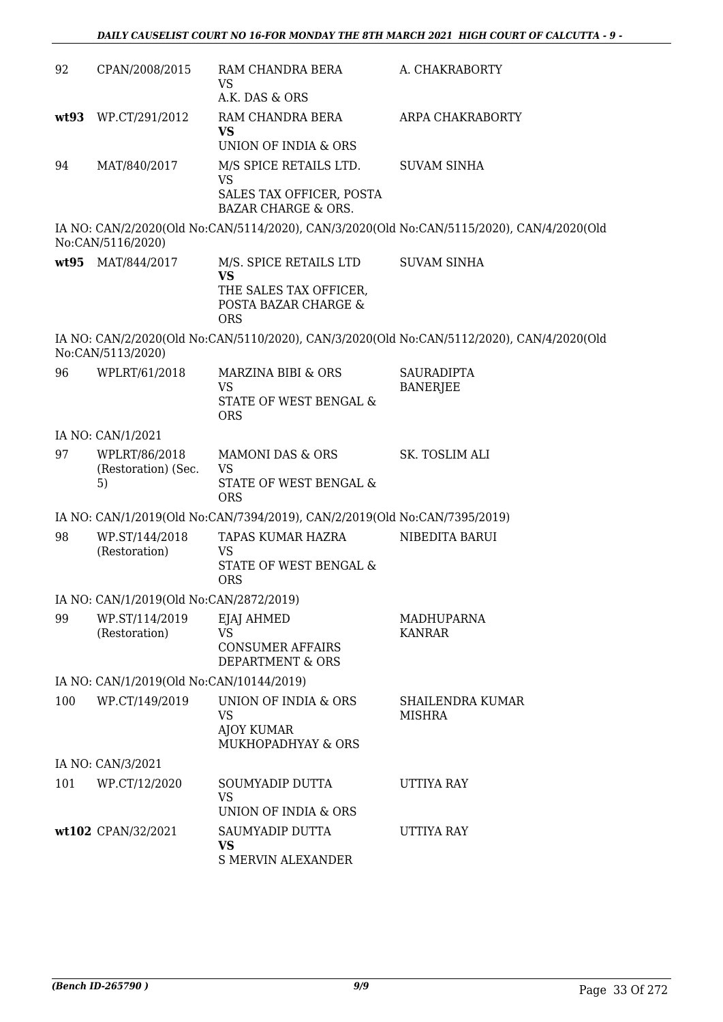| 92   | CPAN/2008/2015                             | RAM CHANDRA BERA<br><b>VS</b><br>A.K. DAS & ORS                                                     | A. CHAKRABORTY                                                                            |
|------|--------------------------------------------|-----------------------------------------------------------------------------------------------------|-------------------------------------------------------------------------------------------|
| wt93 | WP.CT/291/2012                             | RAM CHANDRA BERA<br><b>VS</b><br>UNION OF INDIA & ORS                                               | ARPA CHAKRABORTY                                                                          |
| 94   | MAT/840/2017                               | M/S SPICE RETAILS LTD.<br><b>VS</b><br>SALES TAX OFFICER, POSTA<br><b>BAZAR CHARGE &amp; ORS.</b>   | <b>SUVAM SINHA</b>                                                                        |
|      | No:CAN/5116/2020)                          |                                                                                                     | IA NO: CAN/2/2020(Old No:CAN/5114/2020), CAN/3/2020(Old No:CAN/5115/2020), CAN/4/2020(Old |
|      | wt95 MAT/844/2017                          | M/S. SPICE RETAILS LTD<br><b>VS</b><br>THE SALES TAX OFFICER,<br>POSTA BAZAR CHARGE &<br><b>ORS</b> | <b>SUVAM SINHA</b>                                                                        |
|      | No:CAN/5113/2020)                          |                                                                                                     | IA NO: CAN/2/2020(Old No:CAN/5110/2020), CAN/3/2020(Old No:CAN/5112/2020), CAN/4/2020(Old |
| 96   | WPLRT/61/2018                              | MARZINA BIBI & ORS<br><b>VS</b><br>STATE OF WEST BENGAL &<br><b>ORS</b>                             | <b>SAURADIPTA</b><br><b>BANERJEE</b>                                                      |
|      | IA NO: CAN/1/2021                          |                                                                                                     |                                                                                           |
| 97   | WPLRT/86/2018<br>(Restoration) (Sec.<br>5) | <b>MAMONI DAS &amp; ORS</b><br><b>VS</b><br>STATE OF WEST BENGAL &<br><b>ORS</b>                    | SK. TOSLIM ALI                                                                            |
|      |                                            | IA NO: CAN/1/2019(Old No:CAN/7394/2019), CAN/2/2019(Old No:CAN/7395/2019)                           |                                                                                           |
| 98   | WP.ST/144/2018<br>(Restoration)            | TAPAS KUMAR HAZRA<br>VS<br>STATE OF WEST BENGAL &<br><b>ORS</b>                                     | NIBEDITA BARUI                                                                            |
|      | IA NO: CAN/1/2019(Old No:CAN/2872/2019)    |                                                                                                     |                                                                                           |
| 99   | WP.ST/114/2019<br>(Restoration)            | EJAJ AHMED<br><b>VS</b><br><b>CONSUMER AFFAIRS</b><br>DEPARTMENT & ORS                              | MADHUPARNA<br><b>KANRAR</b>                                                               |
|      | IA NO: CAN/1/2019(Old No:CAN/10144/2019)   |                                                                                                     |                                                                                           |
| 100  | WP.CT/149/2019                             | UNION OF INDIA & ORS<br>VS<br><b>AJOY KUMAR</b><br>MUKHOPADHYAY & ORS                               | SHAILENDRA KUMAR<br><b>MISHRA</b>                                                         |
|      | IA NO: CAN/3/2021                          |                                                                                                     |                                                                                           |
| 101  | WP.CT/12/2020                              | SOUMYADIP DUTTA<br><b>VS</b>                                                                        | UTTIYA RAY                                                                                |
|      |                                            | UNION OF INDIA & ORS                                                                                |                                                                                           |
|      | wt102 CPAN/32/2021                         | SAUMYADIP DUTTA<br>VS<br><b>S MERVIN ALEXANDER</b>                                                  | UTTIYA RAY                                                                                |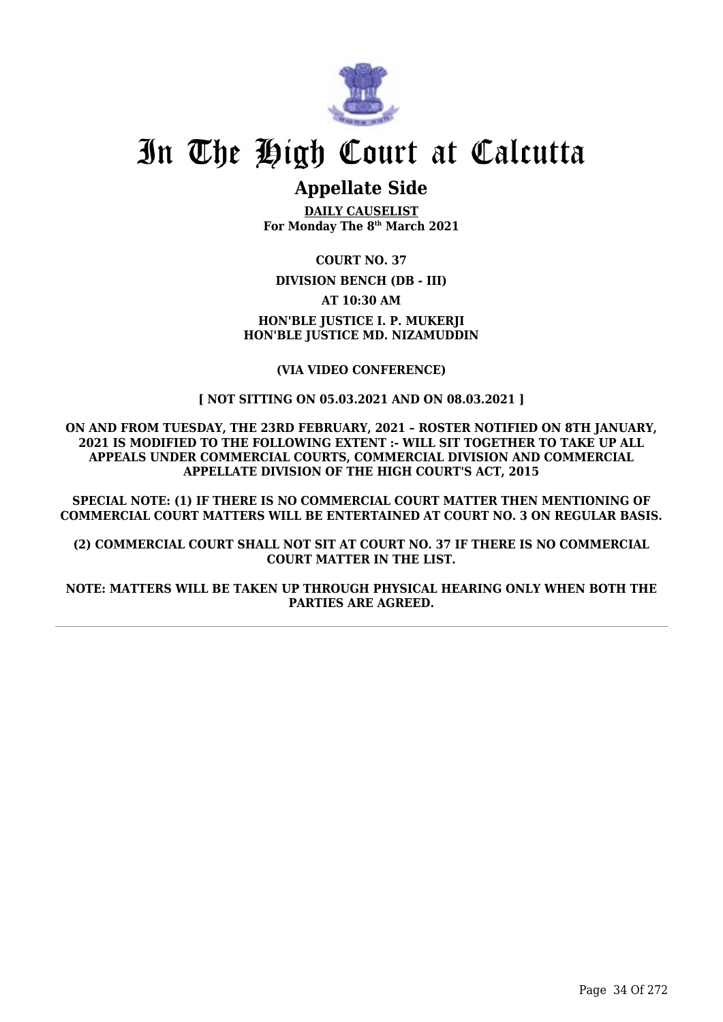

## **Appellate Side**

**DAILY CAUSELIST For Monday The 8th March 2021**

**COURT NO. 37 DIVISION BENCH (DB - III) AT 10:30 AM HON'BLE JUSTICE I. P. MUKERJI HON'BLE JUSTICE MD. NIZAMUDDIN**

#### **(VIA VIDEO CONFERENCE)**

#### **[ NOT SITTING ON 05.03.2021 AND ON 08.03.2021 ]**

**ON AND FROM TUESDAY, THE 23RD FEBRUARY, 2021 – ROSTER NOTIFIED ON 8TH JANUARY, 2021 IS MODIFIED TO THE FOLLOWING EXTENT :- WILL SIT TOGETHER TO TAKE UP ALL APPEALS UNDER COMMERCIAL COURTS, COMMERCIAL DIVISION AND COMMERCIAL APPELLATE DIVISION OF THE HIGH COURT'S ACT, 2015**

**SPECIAL NOTE: (1) IF THERE IS NO COMMERCIAL COURT MATTER THEN MENTIONING OF COMMERCIAL COURT MATTERS WILL BE ENTERTAINED AT COURT NO. 3 ON REGULAR BASIS.**

**(2) COMMERCIAL COURT SHALL NOT SIT AT COURT NO. 37 IF THERE IS NO COMMERCIAL COURT MATTER IN THE LIST.**

**NOTE: MATTERS WILL BE TAKEN UP THROUGH PHYSICAL HEARING ONLY WHEN BOTH THE PARTIES ARE AGREED.**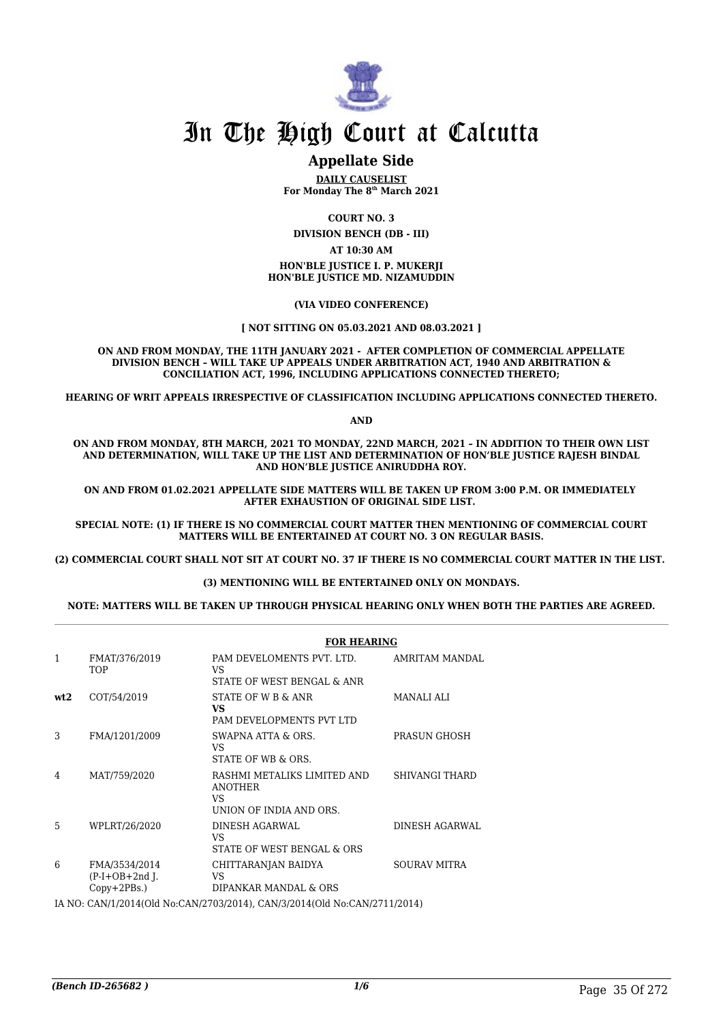

## **Appellate Side**

**DAILY CAUSELIST For Monday The 8th March 2021**

**COURT NO. 3**

**DIVISION BENCH (DB - III) AT 10:30 AM**

**HON'BLE JUSTICE I. P. MUKERJI HON'BLE JUSTICE MD. NIZAMUDDIN**

**(VIA VIDEO CONFERENCE)**

#### **[ NOT SITTING ON 05.03.2021 AND 08.03.2021 ]**

**ON AND FROM MONDAY, THE 11TH JANUARY 2021 - AFTER COMPLETION OF COMMERCIAL APPELLATE DIVISION BENCH – WILL TAKE UP APPEALS UNDER ARBITRATION ACT, 1940 AND ARBITRATION & CONCILIATION ACT, 1996, INCLUDING APPLICATIONS CONNECTED THERETO;**

**HEARING OF WRIT APPEALS IRRESPECTIVE OF CLASSIFICATION INCLUDING APPLICATIONS CONNECTED THERETO.**

**AND**

**ON AND FROM MONDAY, 8TH MARCH, 2021 TO MONDAY, 22ND MARCH, 2021 – IN ADDITION TO THEIR OWN LIST AND DETERMINATION, WILL TAKE UP THE LIST AND DETERMINATION OF HON'BLE JUSTICE RAJESH BINDAL AND HON'BLE JUSTICE ANIRUDDHA ROY.**

**ON AND FROM 01.02.2021 APPELLATE SIDE MATTERS WILL BE TAKEN UP FROM 3:00 P.M. OR IMMEDIATELY AFTER EXHAUSTION OF ORIGINAL SIDE LIST.** 

**SPECIAL NOTE: (1) IF THERE IS NO COMMERCIAL COURT MATTER THEN MENTIONING OF COMMERCIAL COURT MATTERS WILL BE ENTERTAINED AT COURT NO. 3 ON REGULAR BASIS.**

**(2) COMMERCIAL COURT SHALL NOT SIT AT COURT NO. 37 IF THERE IS NO COMMERCIAL COURT MATTER IN THE LIST.** 

#### **(3) MENTIONING WILL BE ENTERTAINED ONLY ON MONDAYS.**

**NOTE: MATTERS WILL BE TAKEN UP THROUGH PHYSICAL HEARING ONLY WHEN BOTH THE PARTIES ARE AGREED.**

|                 |                                                     | <b>FOR HEARING</b>                                                             |                       |
|-----------------|-----------------------------------------------------|--------------------------------------------------------------------------------|-----------------------|
| 1               | FMAT/376/2019<br>TOP                                | PAM DEVELOMENTS PVT. LTD.<br>VS<br>STATE OF WEST BENGAL & ANR                  | AMRITAM MANDAL        |
| wt <sub>2</sub> | COT/54/2019                                         | STATE OF W B & ANR<br>VS.<br>PAM DEVELOPMENTS PVT LTD                          | <b>MANALI ALI</b>     |
| 3               | FMA/1201/2009                                       | SWAPNA ATTA & ORS.<br>VS<br>STATE OF WB & ORS.                                 | PRASUN GHOSH          |
| 4               | MAT/759/2020                                        | RASHMI METALIKS LIMITED AND<br><b>ANOTHER</b><br>VS<br>UNION OF INDIA AND ORS. | <b>SHIVANGI THARD</b> |
| 5               | WPLRT/26/2020                                       | DINESH AGARWAL<br>VS<br>STATE OF WEST BENGAL & ORS                             | DINESH AGARWAL        |
| 6               | FMA/3534/2014<br>$(P-I+OB+2nd I.$<br>$Copy+2PBs.$ ) | CHITTARANJAN BAIDYA<br>VS<br>DIPANKAR MANDAL & ORS                             | <b>SOURAV MITRA</b>   |
|                 |                                                     | IA NO: CAN/1/2014(Old No:CAN/2703/2014), CAN/3/2014(Old No:CAN/2711/2014)      |                       |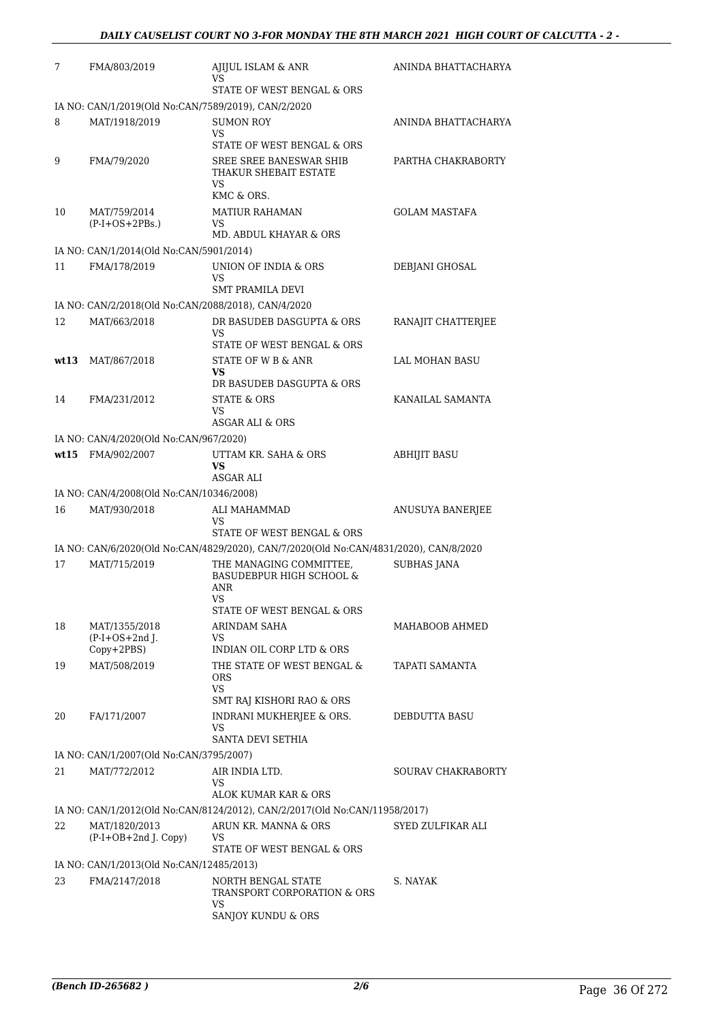| 7    | FMA/803/2019                                            | AJIJUL ISLAM & ANR<br>VS                                                                                            | ANINDA BHATTACHARYA  |
|------|---------------------------------------------------------|---------------------------------------------------------------------------------------------------------------------|----------------------|
|      |                                                         | STATE OF WEST BENGAL & ORS                                                                                          |                      |
|      | IA NO: CAN/1/2019(Old No:CAN/7589/2019), CAN/2/2020     |                                                                                                                     |                      |
| 8    | MAT/1918/2019                                           | <b>SUMON ROY</b><br><b>VS</b>                                                                                       | ANINDA BHATTACHARYA  |
|      |                                                         | STATE OF WEST BENGAL & ORS                                                                                          |                      |
| 9    | FMA/79/2020                                             | SREE SREE BANESWAR SHIB<br>THAKUR SHEBAIT ESTATE                                                                    | PARTHA CHAKRABORTY   |
|      |                                                         | VS.<br>KMC & ORS.                                                                                                   |                      |
| 10   | MAT/759/2014                                            | <b>MATIUR RAHAMAN</b>                                                                                               | <b>GOLAM MASTAFA</b> |
|      | $(P-I+OS+2PBs.)$                                        | VS.<br>MD. ABDUL KHAYAR & ORS                                                                                       |                      |
|      | IA NO: CAN/1/2014(Old No:CAN/5901/2014)                 |                                                                                                                     |                      |
| 11   | FMA/178/2019                                            | UNION OF INDIA & ORS                                                                                                | DEBJANI GHOSAL       |
|      |                                                         | VS<br><b>SMT PRAMILA DEVI</b>                                                                                       |                      |
|      | IA NO: CAN/2/2018(Old No:CAN/2088/2018), CAN/4/2020     |                                                                                                                     |                      |
| 12   | MAT/663/2018                                            | DR BASUDEB DASGUPTA & ORS                                                                                           | RANAJIT CHATTERJEE   |
|      |                                                         | VS<br>STATE OF WEST BENGAL & ORS                                                                                    |                      |
| wt13 | MAT/867/2018                                            | STATE OF W B & ANR                                                                                                  | LAL MOHAN BASU       |
|      |                                                         | VS                                                                                                                  |                      |
|      |                                                         | DR BASUDEB DASGUPTA & ORS                                                                                           | KANAILAL SAMANTA     |
| 14   | FMA/231/2012                                            | STATE & ORS<br><b>VS</b>                                                                                            |                      |
|      |                                                         | <b>ASGAR ALI &amp; ORS</b>                                                                                          |                      |
|      | IA NO: CAN/4/2020(Old No:CAN/967/2020)                  |                                                                                                                     |                      |
| wt15 | FMA/902/2007                                            | UTTAM KR. SAHA & ORS<br>VS<br>ASGAR ALI                                                                             | <b>ABHIJIT BASU</b>  |
|      | IA NO: CAN/4/2008(Old No:CAN/10346/2008)                |                                                                                                                     |                      |
| 16   | MAT/930/2018                                            | ALI MAHAMMAD                                                                                                        | ANUSUYA BANERJEE     |
|      |                                                         | VS                                                                                                                  |                      |
|      |                                                         | STATE OF WEST BENGAL & ORS<br>IA NO: CAN/6/2020(Old No:CAN/4829/2020), CAN/7/2020(Old No:CAN/4831/2020), CAN/8/2020 |                      |
| 17   | MAT/715/2019                                            | THE MANAGING COMMITTEE,                                                                                             | <b>SUBHAS JANA</b>   |
|      |                                                         | <b>BASUDEBPUR HIGH SCHOOL &amp;</b><br>ANR<br><b>VS</b>                                                             |                      |
|      |                                                         | STATE OF WEST BENGAL & ORS                                                                                          |                      |
| 18   | MAT/1355/2018                                           | ARINDAM SAHA                                                                                                        | MAHABOOB AHMED       |
|      | $(P-I+OS+2nd)$ .<br>Copy+2PBS)                          | VS<br>INDIAN OIL CORP LTD & ORS                                                                                     |                      |
| 19   | MAT/508/2019                                            | THE STATE OF WEST BENGAL &                                                                                          | TAPATI SAMANTA       |
|      |                                                         | <b>ORS</b><br>VS.                                                                                                   |                      |
|      |                                                         | SMT RAJ KISHORI RAO & ORS                                                                                           |                      |
| 20   | FA/171/2007                                             | INDRANI MUKHERJEE & ORS.<br>VS.                                                                                     | DEBDUTTA BASU        |
|      |                                                         | <b>SANTA DEVI SETHIA</b>                                                                                            |                      |
| 21   | IA NO: CAN/1/2007(Old No:CAN/3795/2007)<br>MAT/772/2012 | AIR INDIA LTD.                                                                                                      | SOURAV CHAKRABORTY   |
|      |                                                         | VS.                                                                                                                 |                      |
|      |                                                         | ALOK KUMAR KAR & ORS                                                                                                |                      |
|      |                                                         | IA NO: CAN/1/2012(Old No:CAN/8124/2012), CAN/2/2017(Old No:CAN/11958/2017)                                          |                      |
| 22   | MAT/1820/2013<br>(P-I+OB+2nd J. Copy)                   | ARUN KR. MANNA & ORS<br>VS                                                                                          | SYED ZULFIKAR ALI    |
|      |                                                         | STATE OF WEST BENGAL & ORS                                                                                          |                      |
|      | IA NO: CAN/1/2013(Old No:CAN/12485/2013)                |                                                                                                                     |                      |
| 23   | FMA/2147/2018                                           | NORTH BENGAL STATE<br>TRANSPORT CORPORATION & ORS<br>VS                                                             | S. NAYAK             |
|      |                                                         | SANJOY KUNDU & ORS                                                                                                  |                      |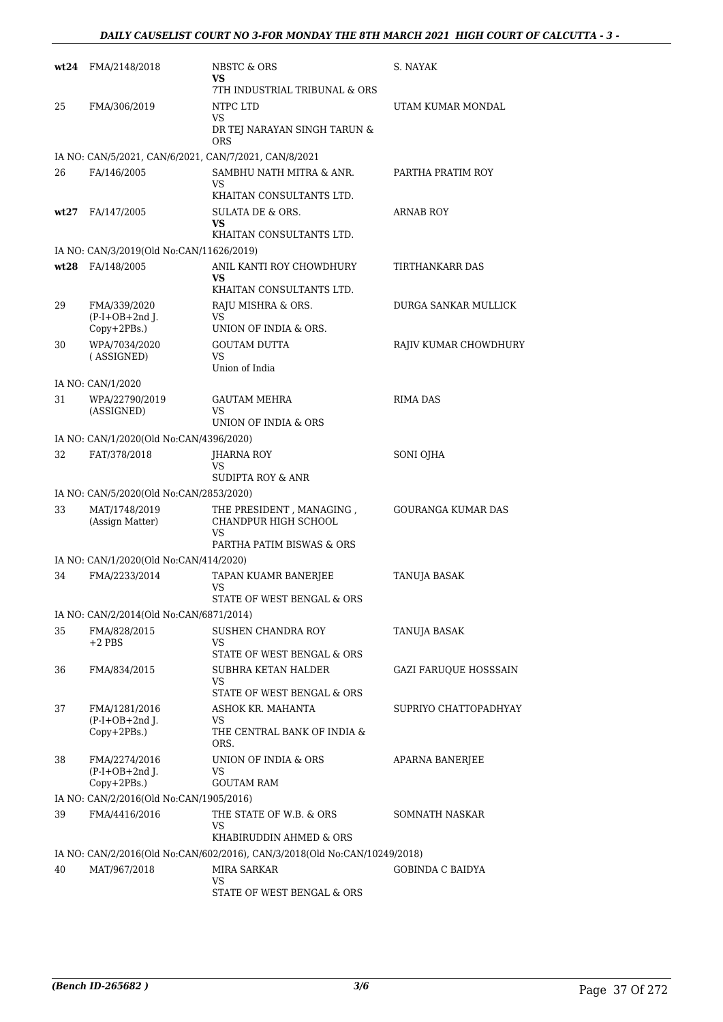| wt24 | FMA/2148/2018                                         | NBSTC & ORS<br>VS.<br>7TH INDUSTRIAL TRIBUNAL & ORS                       | S. NAYAK                     |
|------|-------------------------------------------------------|---------------------------------------------------------------------------|------------------------------|
| 25   | FMA/306/2019                                          | NTPC LTD<br>VS<br>DR TEJ NARAYAN SINGH TARUN &<br><b>ORS</b>              | UTAM KUMAR MONDAL            |
|      | IA NO: CAN/5/2021, CAN/6/2021, CAN/7/2021, CAN/8/2021 |                                                                           |                              |
| 26   | FA/146/2005                                           | SAMBHU NATH MITRA & ANR.<br>VS<br>KHAITAN CONSULTANTS LTD.                | PARTHA PRATIM ROY            |
| wt27 | FA/147/2005                                           | SULATA DE & ORS.<br>VS.<br>KHAITAN CONSULTANTS LTD.                       | <b>ARNAB ROY</b>             |
|      | IA NO: CAN/3/2019(Old No:CAN/11626/2019)              |                                                                           |                              |
| wt28 | FA/148/2005                                           | ANIL KANTI ROY CHOWDHURY<br>VS.<br>KHAITAN CONSULTANTS LTD.               | TIRTHANKARR DAS              |
| 29   | FMA/339/2020<br>$(P-I+OB+2nd J.$<br>$Copy+2PBs.$ )    | RAJU MISHRA & ORS.<br>VS<br>UNION OF INDIA & ORS.                         | DURGA SANKAR MULLICK         |
| 30   | WPA/7034/2020<br>(ASSIGNED)                           | <b>GOUTAM DUTTA</b><br>VS<br>Union of India                               | RAJIV KUMAR CHOWDHURY        |
|      | IA NO: CAN/1/2020                                     |                                                                           |                              |
| 31   | WPA/22790/2019<br>(ASSIGNED)                          | <b>GAUTAM MEHRA</b><br><b>VS</b><br>UNION OF INDIA & ORS                  | <b>RIMA DAS</b>              |
|      | IA NO: CAN/1/2020(Old No:CAN/4396/2020)               |                                                                           |                              |
| 32   | FAT/378/2018                                          | JHARNA ROY<br>VS<br>SUDIPTA ROY & ANR                                     | SONI OJHA                    |
|      | IA NO: CAN/5/2020(Old No:CAN/2853/2020)               |                                                                           |                              |
| 33   | MAT/1748/2019<br>(Assign Matter)                      | THE PRESIDENT, MANAGING,<br>CHANDPUR HIGH SCHOOL<br>VS                    | <b>GOURANGA KUMAR DAS</b>    |
|      |                                                       | PARTHA PATIM BISWAS & ORS                                                 |                              |
|      | IA NO: CAN/1/2020(Old No:CAN/414/2020)                |                                                                           |                              |
| 34   | FMA/2233/2014                                         | TAPAN KUAMR BANERJEE<br>VS<br>STATE OF WEST BENGAL & ORS                  | <b>TANUJA BASAK</b>          |
|      | IA NO: CAN/2/2014(Old No:CAN/6871/2014)               |                                                                           |                              |
| 35   | FMA/828/2015<br>$+2$ PBS                              | SUSHEN CHANDRA ROY<br>VS<br>STATE OF WEST BENGAL & ORS                    | TANUJA BASAK                 |
| 36   | FMA/834/2015                                          | SUBHRA KETAN HALDER<br><b>VS</b><br>STATE OF WEST BENGAL & ORS            | <b>GAZI FARUQUE HOSSSAIN</b> |
| 37   | FMA/1281/2016<br>$(P-I+OB+2nd J.$<br>Copy+2PBs.)      | ASHOK KR. MAHANTA<br>VS<br>THE CENTRAL BANK OF INDIA &                    | SUPRIYO CHATTOPADHYAY        |
| 38   | FMA/2274/2016<br>$(P-I+OB+2nd$ J.<br>Copy+2PBs.)      | ORS.<br>UNION OF INDIA & ORS<br>VS<br><b>GOUTAM RAM</b>                   | <b>APARNA BANERJEE</b>       |
|      | IA NO: CAN/2/2016(Old No:CAN/1905/2016)               |                                                                           |                              |
| 39   | FMA/4416/2016                                         | THE STATE OF W.B. & ORS<br>VS<br>KHABIRUDDIN AHMED & ORS                  | SOMNATH NASKAR               |
|      |                                                       | IA NO: CAN/2/2016(Old No:CAN/602/2016), CAN/3/2018(Old No:CAN/10249/2018) |                              |
| 40   | MAT/967/2018                                          | MIRA SARKAR<br>VS<br>STATE OF WEST BENGAL & ORS                           | <b>GOBINDA C BAIDYA</b>      |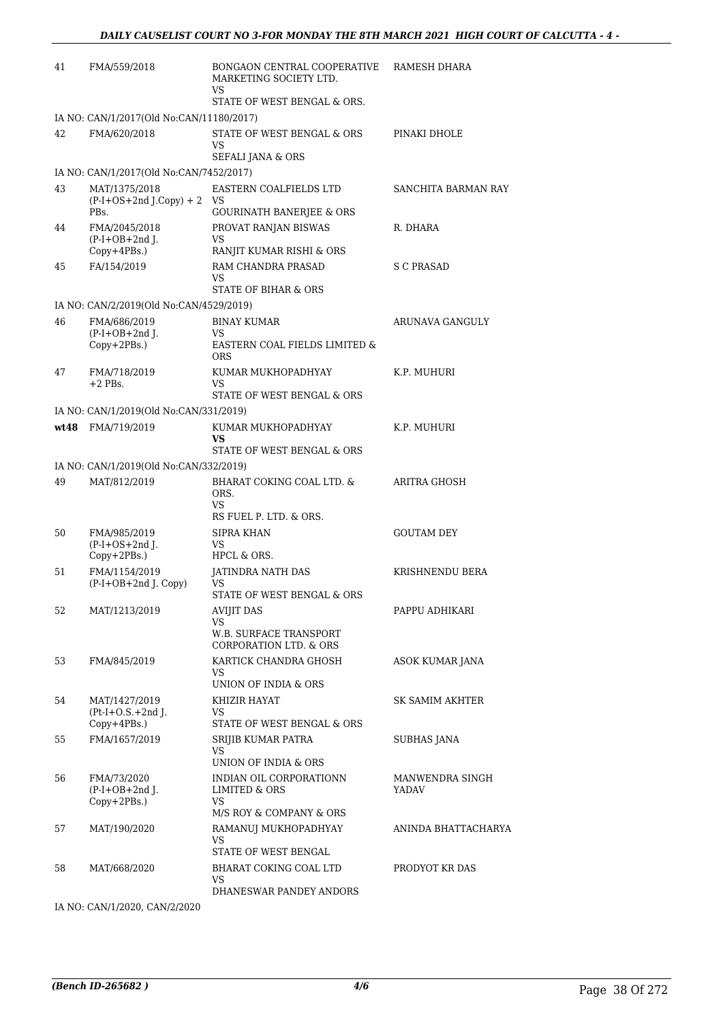| 41   | FMA/559/2018                                     | BONGAON CENTRAL COOPERATIVE<br>MARKETING SOCIETY LTD.<br>VS                      | RAMESH DHARA             |
|------|--------------------------------------------------|----------------------------------------------------------------------------------|--------------------------|
|      |                                                  | STATE OF WEST BENGAL & ORS.                                                      |                          |
|      | IA NO: CAN/1/2017(Old No:CAN/11180/2017)         |                                                                                  |                          |
| 42   | FMA/620/2018                                     | STATE OF WEST BENGAL & ORS<br>VS                                                 | PINAKI DHOLE             |
|      |                                                  | <b>SEFALI JANA &amp; ORS</b>                                                     |                          |
|      | IA NO: CAN/1/2017(Old No:CAN/7452/2017)          |                                                                                  |                          |
| 43   | MAT/1375/2018<br>$(P-I+OS+2nd J.Copy) + 2$       | EASTERN COALFIELDS LTD<br>VS.                                                    | SANCHITA BARMAN RAY      |
|      | PBs.                                             | <b>GOURINATH BANERJEE &amp; ORS</b>                                              |                          |
| 44   | FMA/2045/2018<br>$(P-I+OB+2nd$ ].<br>Copy+4PBs.) | PROVAT RANJAN BISWAS<br><b>VS</b><br>RANJIT KUMAR RISHI & ORS                    | R. DHARA                 |
| 45   | FA/154/2019                                      | RAM CHANDRA PRASAD<br>VS                                                         | S C PRASAD               |
|      |                                                  | STATE OF BIHAR & ORS                                                             |                          |
|      | IA NO: CAN/2/2019(Old No:CAN/4529/2019)          |                                                                                  |                          |
| 46   | FMA/686/2019                                     | <b>BINAY KUMAR</b>                                                               | ARUNAVA GANGULY          |
|      | $(P-I+OB+2nd I.$<br>Copy+2PBs.)                  | VS.<br>EASTERN COAL FIELDS LIMITED &<br><b>ORS</b>                               |                          |
| 47   | FMA/718/2019<br>$+2$ PBs.                        | KUMAR MUKHOPADHYAY<br>VS                                                         | K.P. MUHURI              |
|      |                                                  | STATE OF WEST BENGAL & ORS                                                       |                          |
|      | IA NO: CAN/1/2019(Old No:CAN/331/2019)           |                                                                                  |                          |
| wt48 | FMA/719/2019                                     | KUMAR MUKHOPADHYAY<br>VS<br>STATE OF WEST BENGAL & ORS                           | K.P. MUHURI              |
|      | IA NO: CAN/1/2019(Old No:CAN/332/2019)           |                                                                                  |                          |
| 49   | MAT/812/2019                                     | BHARAT COKING COAL LTD. &<br>ORS.<br>VS                                          | ARITRA GHOSH             |
|      |                                                  | RS FUEL P. LTD. & ORS.                                                           |                          |
| 50   | FMA/985/2019<br>$(P-I+OS+2nd$ J.                 | SIPRA KHAN<br><b>VS</b>                                                          | <b>GOUTAM DEY</b>        |
|      | Copy+2PBs.)                                      | HPCL & ORS.                                                                      |                          |
| 51   | FMA/1154/2019<br>(P-I+OB+2nd J. Copy)            | JATINDRA NATH DAS<br>VS                                                          | KRISHNENDU BERA          |
|      |                                                  | STATE OF WEST BENGAL & ORS                                                       |                          |
| 52   | MAT/1213/2019                                    | <b>AVIJIT DAS</b><br>VS                                                          | PAPPU ADHIKARI           |
|      |                                                  | <b>W.B. SURFACE TRANSPORT</b><br><b>CORPORATION LTD. &amp; ORS</b>               |                          |
| 53   | FMA/845/2019                                     | KARTICK CHANDRA GHOSH                                                            | ASOK KUMAR JANA          |
|      |                                                  | VS<br>UNION OF INDIA & ORS                                                       |                          |
| 54   | MAT/1427/2019                                    | KHIZIR HAYAT                                                                     | SK SAMIM AKHTER          |
|      | $(Pt-I+O.S.+2nd J.$<br>$Copy+4PBs.$ )            | VS.<br>STATE OF WEST BENGAL & ORS                                                |                          |
| 55   | FMA/1657/2019                                    | SRIJIB KUMAR PATRA                                                               | SUBHAS JANA              |
|      |                                                  | VS<br>UNION OF INDIA & ORS                                                       |                          |
| 56   | FMA/73/2020<br>$(P-I+OB+2nd$ J.<br>Copy+2PBs.)   | INDIAN OIL CORPORATIONN<br>LIMITED & ORS<br>VS.<br>M/S ROY & COMPANY & ORS       | MANWENDRA SINGH<br>YADAV |
| 57   | MAT/190/2020                                     | RAMANUJ MUKHOPADHYAY<br>VS                                                       | ANINDA BHATTACHARYA      |
| 58   | MAT/668/2020                                     | STATE OF WEST BENGAL<br>BHARAT COKING COAL LTD<br>VS.<br>DHANESWAR PANDEY ANDORS | PRODYOT KR DAS           |

IA NO: CAN/1/2020, CAN/2/2020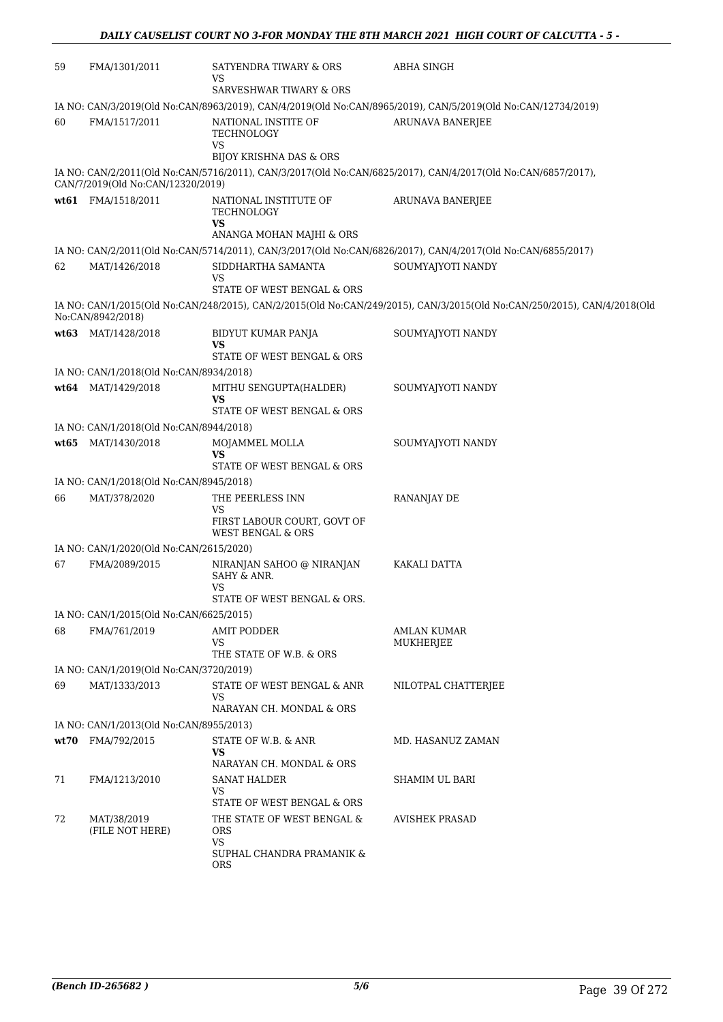| 59 | FMA/1301/2011                           | SATYENDRA TIWARY & ORS<br>VS                                                       | ABHA SINGH                                                                                                               |
|----|-----------------------------------------|------------------------------------------------------------------------------------|--------------------------------------------------------------------------------------------------------------------------|
|    |                                         | <b>SARVESHWAR TIWARY &amp; ORS</b>                                                 |                                                                                                                          |
|    |                                         |                                                                                    | IA NO: CAN/3/2019(Old No:CAN/8963/2019), CAN/4/2019(Old No:CAN/8965/2019), CAN/5/2019(Old No:CAN/12734/2019)             |
| 60 | FMA/1517/2011                           | NATIONAL INSTITE OF<br>TECHNOLOGY<br>VS<br><b>BIJOY KRISHNA DAS &amp; ORS</b>      | <b>ARUNAVA BANERJEE</b>                                                                                                  |
|    | CAN/7/2019(Old No:CAN/12320/2019)       |                                                                                    | IA NO: CAN/2/2011(Old No:CAN/5716/2011), CAN/3/2017(Old No:CAN/6825/2017), CAN/4/2017(Old No:CAN/6857/2017),             |
|    | wt61 FMA/1518/2011                      | NATIONAL INSTITUTE OF<br>TECHNOLOGY<br><b>VS</b>                                   | <b>ARUNAVA BANERJEE</b>                                                                                                  |
|    |                                         | ANANGA MOHAN MAJHI & ORS                                                           |                                                                                                                          |
|    |                                         |                                                                                    | IA NO: CAN/2/2011(Old No:CAN/5714/2011), CAN/3/2017(Old No:CAN/6826/2017), CAN/4/2017(Old No:CAN/6855/2017)              |
| 62 | MAT/1426/2018                           | SIDDHARTHA SAMANTA<br>VS                                                           | SOUMYAJYOTI NANDY                                                                                                        |
|    |                                         | STATE OF WEST BENGAL & ORS                                                         |                                                                                                                          |
|    | No:CAN/8942/2018)                       |                                                                                    | IA NO: CAN/1/2015(Old No:CAN/248/2015), CAN/2/2015(Old No:CAN/249/2015), CAN/3/2015(Old No:CAN/250/2015), CAN/4/2018(Old |
|    | wt63 MAT/1428/2018                      | BIDYUT KUMAR PANJA<br>VS                                                           | SOUMYAJYOTI NANDY                                                                                                        |
|    |                                         | STATE OF WEST BENGAL & ORS                                                         |                                                                                                                          |
|    | IA NO: CAN/1/2018(Old No:CAN/8934/2018) |                                                                                    |                                                                                                                          |
|    | wt64 MAT/1429/2018                      | MITHU SENGUPTA(HALDER)<br>VS<br>STATE OF WEST BENGAL & ORS                         | SOUMYAJYOTI NANDY                                                                                                        |
|    | IA NO: CAN/1/2018(Old No:CAN/8944/2018) |                                                                                    |                                                                                                                          |
|    | wt65 MAT/1430/2018                      | MOJAMMEL MOLLA                                                                     | SOUMYAJYOTI NANDY                                                                                                        |
|    |                                         | <b>VS</b><br>STATE OF WEST BENGAL & ORS                                            |                                                                                                                          |
|    | IA NO: CAN/1/2018(Old No:CAN/8945/2018) |                                                                                    |                                                                                                                          |
| 66 | MAT/378/2020                            | THE PEERLESS INN<br>VS                                                             | RANANJAY DE                                                                                                              |
|    |                                         | FIRST LABOUR COURT, GOVT OF<br><b>WEST BENGAL &amp; ORS</b>                        |                                                                                                                          |
|    | IA NO: CAN/1/2020(Old No:CAN/2615/2020) |                                                                                    |                                                                                                                          |
| 67 | FMA/2089/2015                           | NIRANJAN SAHOO @ NIRANJAN<br>SAHY & ANR.<br>VS<br>STATE OF WEST BENGAL & ORS       | KAKALI DATTA                                                                                                             |
|    | IA NO: CAN/1/2015(Old No:CAN/6625/2015) |                                                                                    |                                                                                                                          |
| 68 | FMA/761/2019                            | <b>AMIT PODDER</b><br>VS<br>THE STATE OF W.B. & ORS                                | <b>AMLAN KUMAR</b><br>MUKHERJEE                                                                                          |
|    | IA NO: CAN/1/2019(Old No:CAN/3720/2019) |                                                                                    |                                                                                                                          |
| 69 | MAT/1333/2013                           | STATE OF WEST BENGAL & ANR<br>VS                                                   | NILOTPAL CHATTERJEE                                                                                                      |
|    |                                         | NARAYAN CH. MONDAL & ORS                                                           |                                                                                                                          |
|    | IA NO: CAN/1/2013(Old No:CAN/8955/2013) |                                                                                    |                                                                                                                          |
|    | wt70 FMA/792/2015                       | STATE OF W.B. & ANR<br>VS                                                          | MD. HASANUZ ZAMAN                                                                                                        |
|    |                                         | NARAYAN CH. MONDAL & ORS                                                           |                                                                                                                          |
| 71 | FMA/1213/2010                           | <b>SANAT HALDER</b><br>VS                                                          | SHAMIM UL BARI                                                                                                           |
|    |                                         | STATE OF WEST BENGAL & ORS                                                         |                                                                                                                          |
| 72 | MAT/38/2019<br>(FILE NOT HERE)          | THE STATE OF WEST BENGAL &<br><b>ORS</b><br><b>VS</b><br>SUPHAL CHANDRA PRAMANIK & | AVISHEK PRASAD                                                                                                           |
|    |                                         | <b>ORS</b>                                                                         |                                                                                                                          |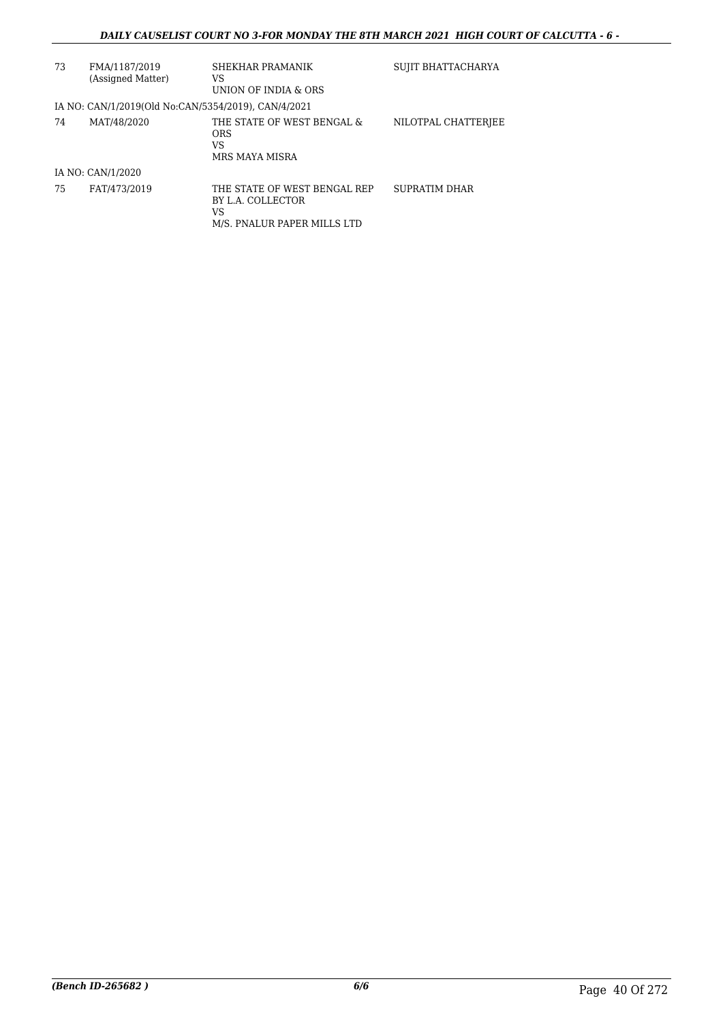| 73 | FMA/1187/2019<br>(Assigned Matter)                  | SHEKHAR PRAMANIK<br>VS<br>UNION OF INDIA & ORS                                         | SUJIT BHATTACHARYA   |
|----|-----------------------------------------------------|----------------------------------------------------------------------------------------|----------------------|
|    | IA NO: CAN/1/2019(Old No:CAN/5354/2019), CAN/4/2021 |                                                                                        |                      |
| 74 | MAT/48/2020                                         | THE STATE OF WEST BENGAL &<br><b>ORS</b><br>VS<br>MRS MAYA MISRA                       | NILOTPAL CHATTERJEE  |
|    | IA NO: CAN/1/2020                                   |                                                                                        |                      |
| 75 | FAT/473/2019                                        | THE STATE OF WEST BENGAL REP<br>BY L.A. COLLECTOR<br>VS<br>M/S. PNALUR PAPER MILLS LTD | <b>SUPRATIM DHAR</b> |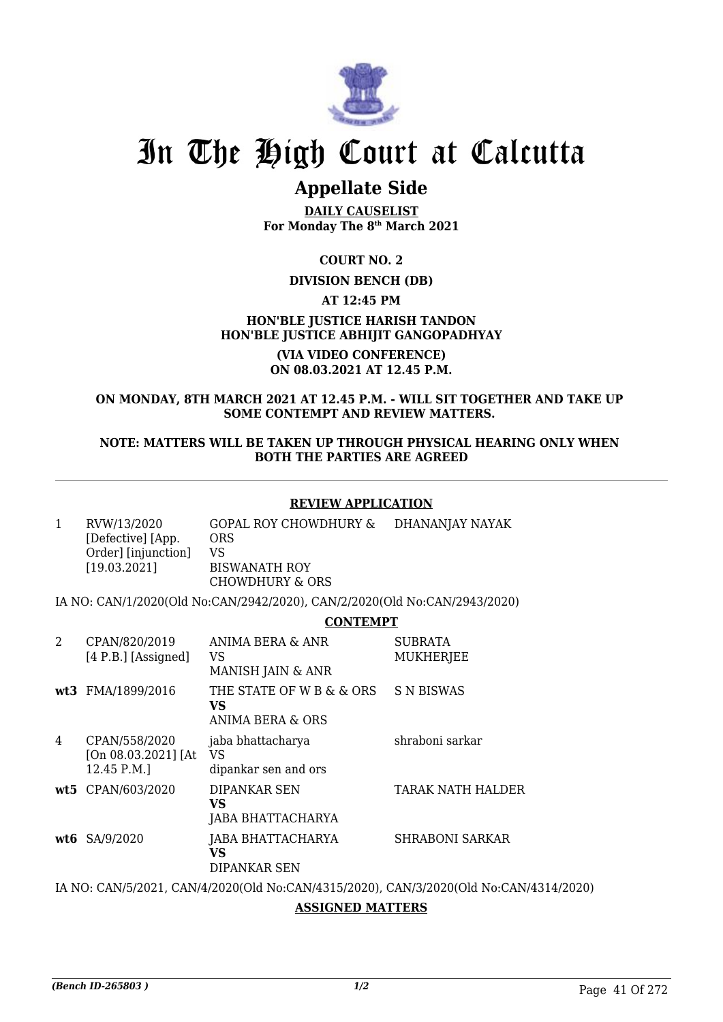

## **Appellate Side**

**DAILY CAUSELIST For Monday The 8th March 2021**

**COURT NO. 2**

## **DIVISION BENCH (DB)**

**AT 12:45 PM**

**HON'BLE JUSTICE HARISH TANDON HON'BLE JUSTICE ABHIJIT GANGOPADHYAY**

> **(VIA VIDEO CONFERENCE) ON 08.03.2021 AT 12.45 P.M.**

## **ON MONDAY, 8TH MARCH 2021 AT 12.45 P.M. - WILL SIT TOGETHER AND TAKE UP SOME CONTEMPT AND REVIEW MATTERS.**

## **NOTE: MATTERS WILL BE TAKEN UP THROUGH PHYSICAL HEARING ONLY WHEN BOTH THE PARTIES ARE AGREED**

## **REVIEW APPLICATION**

| RVW/13/2020<br>[Defective] [App.<br>Order] [injunction]<br>[19.03.2021] | GOPAL ROY CHOWDHURY &<br><b>ORS</b><br>VS<br><b>BISWANATH ROY</b><br>CHOWDHURY & ORS | DHANANJAY NAYAK |
|-------------------------------------------------------------------------|--------------------------------------------------------------------------------------|-----------------|
|-------------------------------------------------------------------------|--------------------------------------------------------------------------------------|-----------------|

IA NO: CAN/1/2020(Old No:CAN/2942/2020), CAN/2/2020(Old No:CAN/2943/2020)

## **CONTEMPT**

| 2 | CPAN/820/2019<br>$[4 P.B.]$ [Assigned]              | ANIMA BERA & ANR<br>VS<br>MANISH JAIN & ANR        | <b>SUBRATA</b><br><b>MUKHERJEE</b> |
|---|-----------------------------------------------------|----------------------------------------------------|------------------------------------|
|   | wt3 FMA/1899/2016                                   | THE STATE OF W B & & ORS<br>VS<br>ANIMA BERA & ORS | <b>S N BISWAS</b>                  |
| 4 | CPAN/558/2020<br>[On 08.03.2021] [At<br>12.45 P.M.] | jaba bhattacharya<br>VS<br>dipankar sen and ors    | shraboni sarkar                    |
|   | wt5 CPAN/603/2020                                   | DIPANKAR SEN<br>VS<br>JABA BHATTACHARYA            | TARAK NATH HALDER                  |
|   | $wt6$ SA/9/2020                                     | JABA BHATTACHARYA<br>VS<br>DIPANKAR SEN            | <b>SHRABONI SARKAR</b>             |

IA NO: CAN/5/2021, CAN/4/2020(Old No:CAN/4315/2020), CAN/3/2020(Old No:CAN/4314/2020)

## **ASSIGNED MATTERS**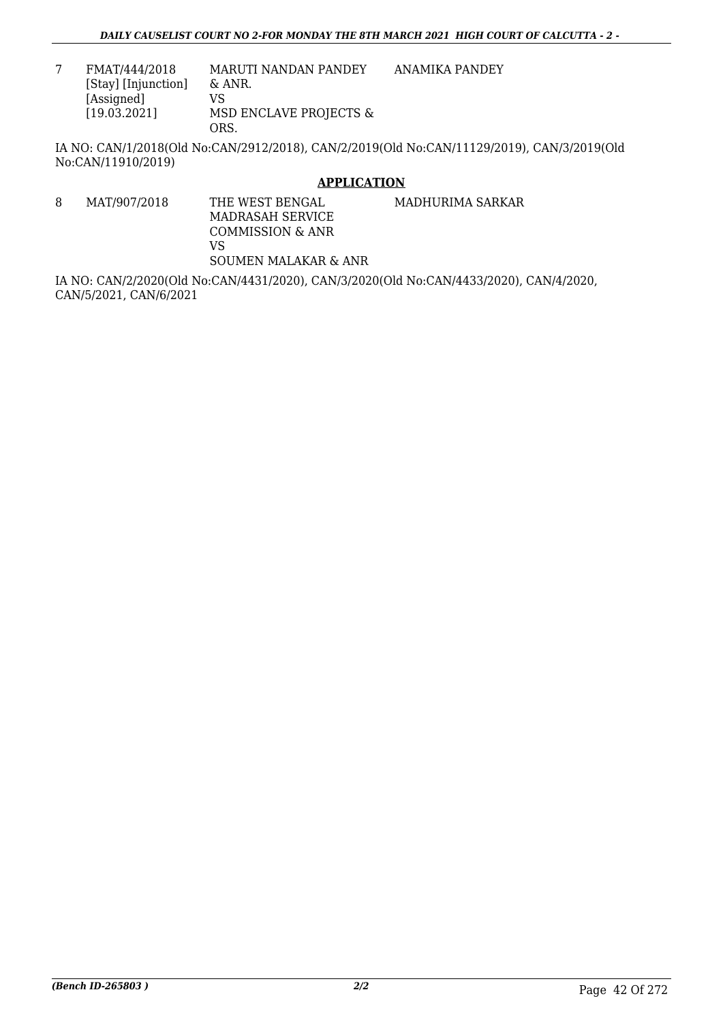7 FMAT/444/2018 [Stay] [Injunction] [Assigned] [19.03.2021] MARUTI NANDAN PANDEY & ANR. VS MSD ENCLAVE PROJECTS & ORS. ANAMIKA PANDEY

IA NO: CAN/1/2018(Old No:CAN/2912/2018), CAN/2/2019(Old No:CAN/11129/2019), CAN/3/2019(Old No:CAN/11910/2019)

## **APPLICATION**

8 MAT/907/2018 THE WEST BENGAL MADRASAH SERVICE COMMISSION & ANR VS SOUMEN MALAKAR & ANR MADHURIMA SARKAR

IA NO: CAN/2/2020(Old No:CAN/4431/2020), CAN/3/2020(Old No:CAN/4433/2020), CAN/4/2020, CAN/5/2021, CAN/6/2021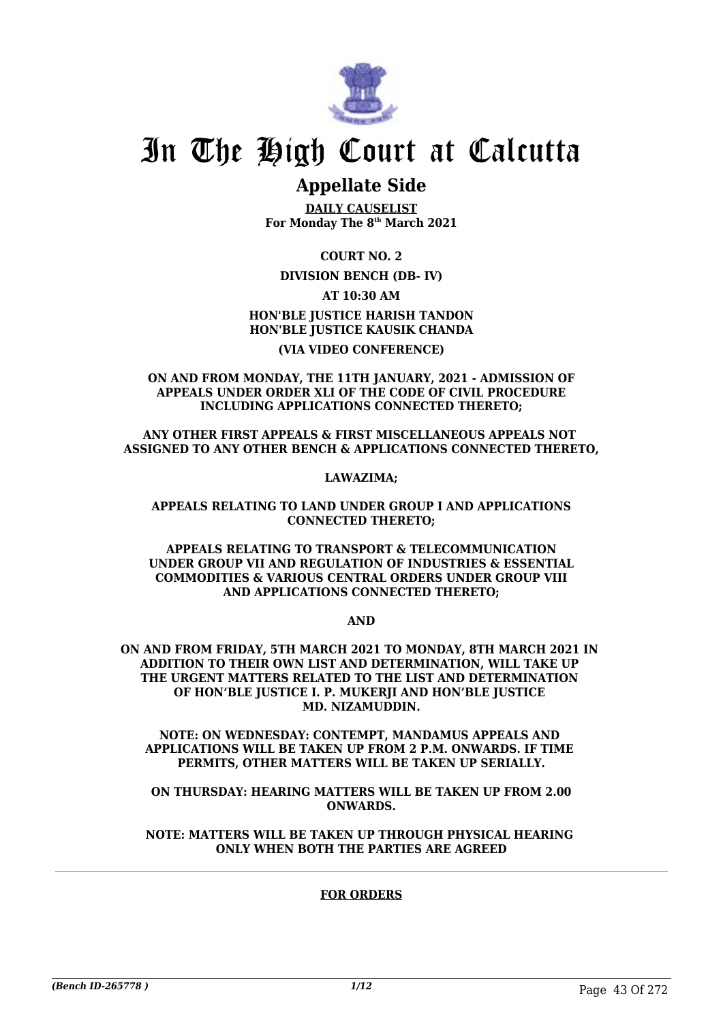

## **Appellate Side**

**DAILY CAUSELIST For Monday The 8th March 2021**

**COURT NO. 2**

**DIVISION BENCH (DB- IV)**

**AT 10:30 AM HON'BLE JUSTICE HARISH TANDON HON'BLE JUSTICE KAUSIK CHANDA**

## **(VIA VIDEO CONFERENCE)**

**ON AND FROM MONDAY, THE 11TH JANUARY, 2021 - ADMISSION OF APPEALS UNDER ORDER XLI OF THE CODE OF CIVIL PROCEDURE INCLUDING APPLICATIONS CONNECTED THERETO;**

**ANY OTHER FIRST APPEALS & FIRST MISCELLANEOUS APPEALS NOT ASSIGNED TO ANY OTHER BENCH & APPLICATIONS CONNECTED THERETO,**

**LAWAZIMA;**

**APPEALS RELATING TO LAND UNDER GROUP I AND APPLICATIONS CONNECTED THERETO;**

**APPEALS RELATING TO TRANSPORT & TELECOMMUNICATION UNDER GROUP VII AND REGULATION OF INDUSTRIES & ESSENTIAL COMMODITIES & VARIOUS CENTRAL ORDERS UNDER GROUP VIII AND APPLICATIONS CONNECTED THERETO;**

**AND**

**ON AND FROM FRIDAY, 5TH MARCH 2021 TO MONDAY, 8TH MARCH 2021 IN ADDITION TO THEIR OWN LIST AND DETERMINATION, WILL TAKE UP THE URGENT MATTERS RELATED TO THE LIST AND DETERMINATION OF HON'BLE JUSTICE I. P. MUKERJI AND HON'BLE JUSTICE MD. NIZAMUDDIN.**

**NOTE: ON WEDNESDAY: CONTEMPT, MANDAMUS APPEALS AND APPLICATIONS WILL BE TAKEN UP FROM 2 P.M. ONWARDS. IF TIME PERMITS, OTHER MATTERS WILL BE TAKEN UP SERIALLY.**

**ON THURSDAY: HEARING MATTERS WILL BE TAKEN UP FROM 2.00 ONWARDS.**

**NOTE: MATTERS WILL BE TAKEN UP THROUGH PHYSICAL HEARING ONLY WHEN BOTH THE PARTIES ARE AGREED**

## **FOR ORDERS**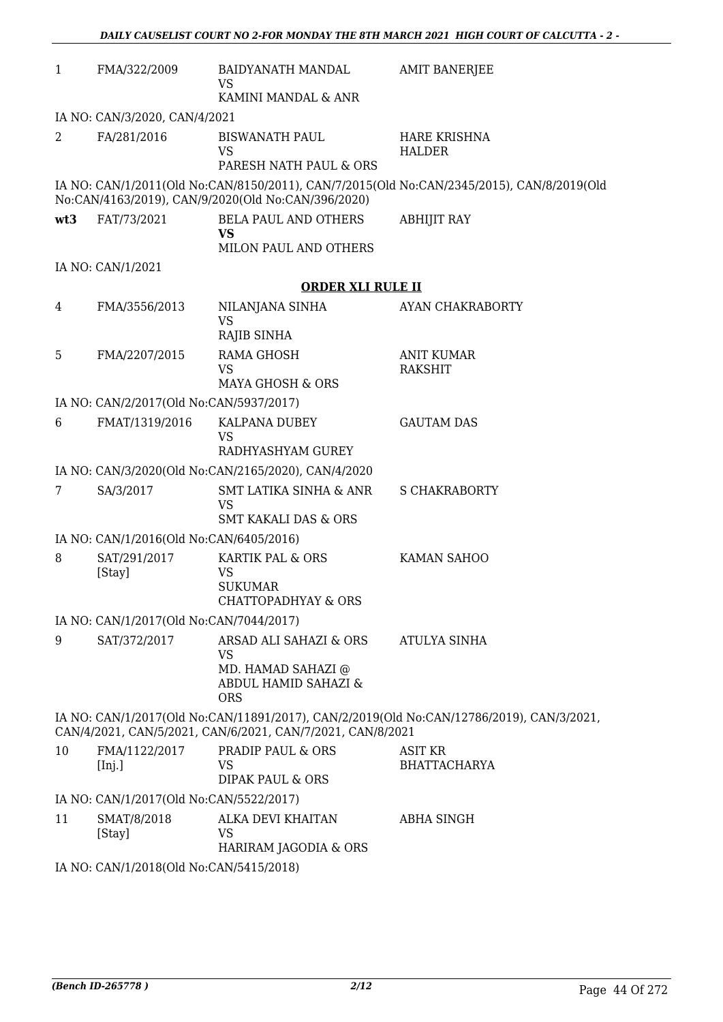| $\mathbf{1}$                                                                                                                                           | FMA/322/2009                            | BAIDYANATH MANDAL<br><b>VS</b><br>KAMINI MANDAL & ANR                                           | <b>AMIT BANERJEE</b>                                                                      |  |
|--------------------------------------------------------------------------------------------------------------------------------------------------------|-----------------------------------------|-------------------------------------------------------------------------------------------------|-------------------------------------------------------------------------------------------|--|
| IA NO: CAN/3/2020, CAN/4/2021                                                                                                                          |                                         |                                                                                                 |                                                                                           |  |
| 2                                                                                                                                                      | FA/281/2016                             | <b>BISWANATH PAUL</b>                                                                           | <b>HARE KRISHNA</b>                                                                       |  |
|                                                                                                                                                        |                                         | <b>VS</b><br>PARESH NATH PAUL & ORS                                                             | <b>HALDER</b>                                                                             |  |
|                                                                                                                                                        |                                         | No:CAN/4163/2019), CAN/9/2020(Old No:CAN/396/2020)                                              | IA NO: CAN/1/2011(Old No:CAN/8150/2011), CAN/7/2015(Old No:CAN/2345/2015), CAN/8/2019(Old |  |
| wt3                                                                                                                                                    | FAT/73/2021                             | <b>BELA PAUL AND OTHERS</b><br><b>VS</b><br>MILON PAUL AND OTHERS                               | <b>ABHIJIT RAY</b>                                                                        |  |
|                                                                                                                                                        | IA NO: CAN/1/2021                       |                                                                                                 |                                                                                           |  |
|                                                                                                                                                        |                                         | <b>ORDER XLI RULE II</b>                                                                        |                                                                                           |  |
| 4                                                                                                                                                      | FMA/3556/2013                           | NILANJANA SINHA                                                                                 | AYAN CHAKRABORTY                                                                          |  |
|                                                                                                                                                        |                                         | <b>VS</b>                                                                                       |                                                                                           |  |
|                                                                                                                                                        |                                         | RAJIB SINHA                                                                                     |                                                                                           |  |
| 5                                                                                                                                                      | FMA/2207/2015                           | <b>RAMA GHOSH</b><br><b>VS</b>                                                                  | <b>ANIT KUMAR</b><br><b>RAKSHIT</b>                                                       |  |
|                                                                                                                                                        |                                         | <b>MAYA GHOSH &amp; ORS</b>                                                                     |                                                                                           |  |
|                                                                                                                                                        | IA NO: CAN/2/2017(Old No:CAN/5937/2017) |                                                                                                 |                                                                                           |  |
| 6                                                                                                                                                      | FMAT/1319/2016                          | KALPANA DUBEY<br><b>VS</b><br>RADHYASHYAM GUREY                                                 | <b>GAUTAM DAS</b>                                                                         |  |
|                                                                                                                                                        |                                         | IA NO: CAN/3/2020(Old No:CAN/2165/2020), CAN/4/2020                                             |                                                                                           |  |
| 7                                                                                                                                                      | SA/3/2017                               | <b>SMT LATIKA SINHA &amp; ANR</b><br><b>VS</b><br><b>SMT KAKALI DAS &amp; ORS</b>               | <b>S CHAKRABORTY</b>                                                                      |  |
|                                                                                                                                                        | IA NO: CAN/1/2016(Old No:CAN/6405/2016) |                                                                                                 |                                                                                           |  |
| 8                                                                                                                                                      | SAT/291/2017<br>[Stay]                  | KARTIK PAL & ORS<br><b>VS</b><br><b>SUKUMAR</b><br><b>CHATTOPADHYAY &amp; ORS</b>               | KAMAN SAHOO                                                                               |  |
|                                                                                                                                                        | IA NO: CAN/1/2017(Old No:CAN/7044/2017) |                                                                                                 |                                                                                           |  |
| 9                                                                                                                                                      | SAT/372/2017                            | ARSAD ALI SAHAZI & ORS<br><b>VS</b><br>MD. HAMAD SAHAZI @<br>ABDUL HAMID SAHAZI &<br><b>ORS</b> | <b>ATULYA SINHA</b>                                                                       |  |
| IA NO: CAN/1/2017(Old No:CAN/11891/2017), CAN/2/2019(Old No:CAN/12786/2019), CAN/3/2021,<br>CAN/4/2021, CAN/5/2021, CAN/6/2021, CAN/7/2021, CAN/8/2021 |                                         |                                                                                                 |                                                                                           |  |
| 10                                                                                                                                                     | FMA/1122/2017<br>[Inj.]                 | PRADIP PAUL & ORS<br>VS<br><b>DIPAK PAUL &amp; ORS</b>                                          | ASIT KR<br><b>BHATTACHARYA</b>                                                            |  |
|                                                                                                                                                        | IA NO: CAN/1/2017(Old No:CAN/5522/2017) |                                                                                                 |                                                                                           |  |
| 11                                                                                                                                                     | SMAT/8/2018<br>[Stay]                   | ALKA DEVI KHAITAN<br>VS<br>HARIRAM JAGODIA & ORS                                                | <b>ABHA SINGH</b>                                                                         |  |
|                                                                                                                                                        |                                         | 0(011M <sub>0</sub> 0)                                                                          |                                                                                           |  |

IA NO: CAN/1/2018(Old No:CAN/5415/2018)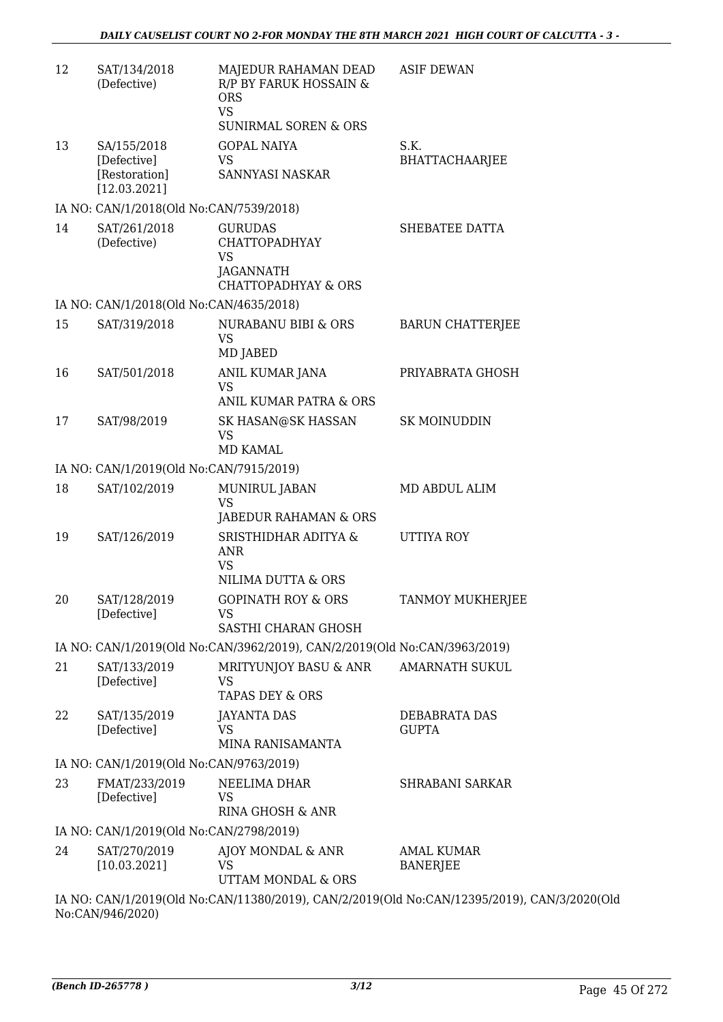| 12 | SAT/134/2018<br>(Defective)                                 | MAJEDUR RAHAMAN DEAD<br>R/P BY FARUK HOSSAIN &<br><b>ORS</b><br><b>VS</b><br><b>SUNIRMAL SOREN &amp; ORS</b> | <b>ASIF DEWAN</b>                    |
|----|-------------------------------------------------------------|--------------------------------------------------------------------------------------------------------------|--------------------------------------|
| 13 | SA/155/2018<br>[Defective]<br>[Restoration]<br>[12.03.2021] | <b>GOPAL NAIYA</b><br><b>VS</b><br>SANNYASI NASKAR                                                           | S.K.<br><b>BHATTACHAARJEE</b>        |
|    | IA NO: CAN/1/2018(Old No:CAN/7539/2018)                     |                                                                                                              |                                      |
| 14 | SAT/261/2018<br>(Defective)                                 | <b>GURUDAS</b><br><b>CHATTOPADHYAY</b><br><b>VS</b><br>JAGANNATH<br><b>CHATTOPADHYAY &amp; ORS</b>           | SHEBATEE DATTA                       |
|    | IA NO: CAN/1/2018(Old No:CAN/4635/2018)                     |                                                                                                              |                                      |
| 15 | SAT/319/2018                                                | NURABANU BIBI & ORS<br><b>VS</b><br>MD JABED                                                                 | <b>BARUN CHATTERJEE</b>              |
| 16 | SAT/501/2018                                                | ANIL KUMAR JANA<br><b>VS</b><br>ANIL KUMAR PATRA & ORS                                                       | PRIYABRATA GHOSH                     |
| 17 | SAT/98/2019                                                 | SK HASAN@SK HASSAN<br><b>VS</b><br>MD KAMAL                                                                  | <b>SK MOINUDDIN</b>                  |
|    | IA NO: CAN/1/2019(Old No:CAN/7915/2019)                     |                                                                                                              |                                      |
| 18 | SAT/102/2019                                                | MUNIRUL JABAN<br><b>VS</b><br>JABEDUR RAHAMAN & ORS                                                          | MD ABDUL ALIM                        |
| 19 | SAT/126/2019                                                | SRISTHIDHAR ADITYA &<br><b>ANR</b><br>VS<br>NILIMA DUTTA & ORS                                               | <b>UTTIYA ROY</b>                    |
| 20 | SAT/128/2019<br>[Defective]                                 | <b>GOPINATH ROY &amp; ORS</b><br>VS<br>SASTHI CHARAN GHOSH                                                   | <b>TANMOY MUKHERJEE</b>              |
|    |                                                             | IA NO: CAN/1/2019(Old No:CAN/3962/2019), CAN/2/2019(Old No:CAN/3963/2019)                                    |                                      |
| 21 | SAT/133/2019<br>[Defective]                                 | MRITYUNJOY BASU & ANR<br>VS<br><b>TAPAS DEY &amp; ORS</b>                                                    | <b>AMARNATH SUKUL</b>                |
| 22 | SAT/135/2019<br>[Defective]                                 | <b>JAYANTA DAS</b><br>VS<br>MINA RANISAMANTA                                                                 | DEBABRATA DAS<br><b>GUPTA</b>        |
|    | IA NO: CAN/1/2019(Old No:CAN/9763/2019)                     |                                                                                                              |                                      |
| 23 | FMAT/233/2019<br>[Defective]                                | NEELIMA DHAR<br>VS<br>RINA GHOSH & ANR                                                                       | <b>SHRABANI SARKAR</b>               |
|    | IA NO: CAN/1/2019(Old No:CAN/2798/2019)                     |                                                                                                              |                                      |
| 24 | SAT/270/2019<br>[10.03.2021]                                | AJOY MONDAL & ANR<br><b>VS</b><br>UTTAM MONDAL & ORS                                                         | <b>AMAL KUMAR</b><br><b>BANERJEE</b> |
|    | 1.37                                                        |                                                                                                              |                                      |

IA NO: CAN/1/2019(Old No:CAN/11380/2019), CAN/2/2019(Old No:CAN/12395/2019), CAN/3/2020(Old No:CAN/946/2020)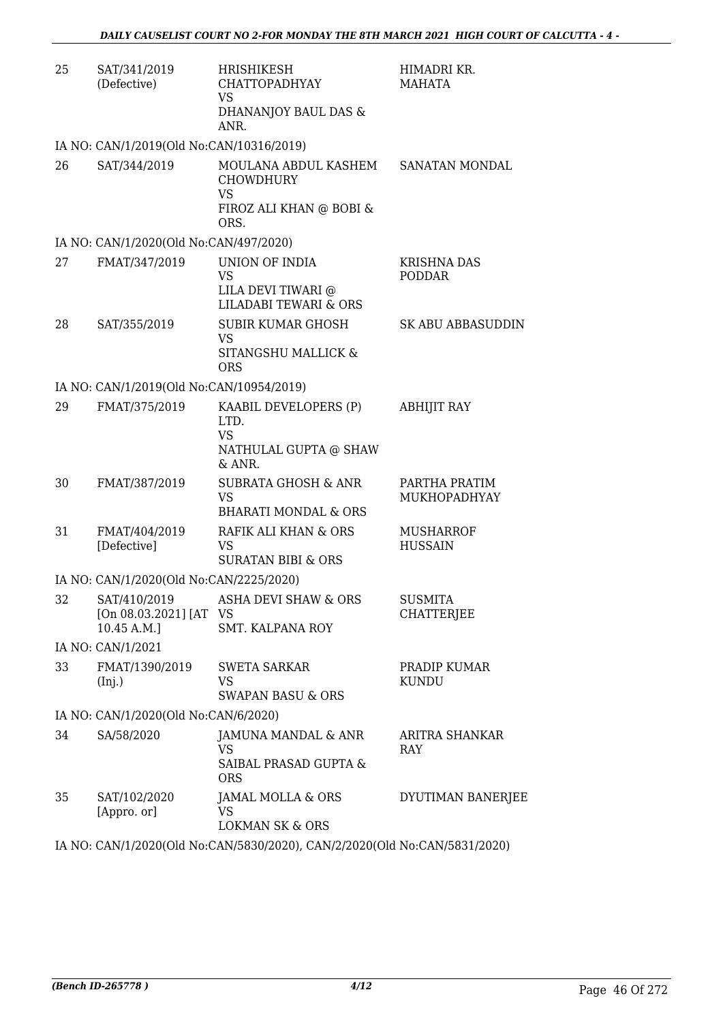| 25 | SAT/341/2019<br>(Defective)              | HRISHIKESH<br>CHATTOPADHYAY<br><b>VS</b><br>DHANANJOY BAUL DAS &<br>ANR.                 | HIMADRI KR.<br>MAHATA               |
|----|------------------------------------------|------------------------------------------------------------------------------------------|-------------------------------------|
|    | IA NO: CAN/1/2019(Old No:CAN/10316/2019) |                                                                                          |                                     |
| 26 | SAT/344/2019                             | MOULANA ABDUL KASHEM<br><b>CHOWDHURY</b><br><b>VS</b><br>FIROZ ALI KHAN @ BOBI &<br>ORS. | SANATAN MONDAL                      |
|    | IA NO: CAN/1/2020(Old No:CAN/497/2020)   |                                                                                          |                                     |
| 27 | FMAT/347/2019                            | UNION OF INDIA<br><b>VS</b><br>LILA DEVI TIWARI @<br><b>LILADABI TEWARI &amp; ORS</b>    | <b>KRISHNA DAS</b><br><b>PODDAR</b> |
| 28 | SAT/355/2019                             | <b>SUBIR KUMAR GHOSH</b><br><b>VS</b><br>SITANGSHU MALLICK &<br><b>ORS</b>               | SK ABU ABBASUDDIN                   |
|    | IA NO: CAN/1/2019(Old No:CAN/10954/2019) |                                                                                          |                                     |
| 29 | FMAT/375/2019                            | KAABIL DEVELOPERS (P)<br>LTD.<br><b>VS</b><br>NATHULAL GUPTA @ SHAW<br>& ANR.            | <b>ABHIJIT RAY</b>                  |
| 30 | FMAT/387/2019                            | <b>SUBRATA GHOSH &amp; ANR</b><br><b>VS</b><br><b>BHARATI MONDAL &amp; ORS</b>           | PARTHA PRATIM<br>MUKHOPADHYAY       |
| 31 | FMAT/404/2019<br>[Defective]             | RAFIK ALI KHAN & ORS<br>VS.<br><b>SURATAN BIBI &amp; ORS</b>                             | <b>MUSHARROF</b><br><b>HUSSAIN</b>  |
|    | IA NO: CAN/1/2020(Old No:CAN/2225/2020)  |                                                                                          |                                     |
| 32 | [On 08.03.2021] [AT VS<br>10.45 A.M.]    | SAT/410/2019 ASHA DEVI SHAW & ORS<br>SMT. KALPANA ROY                                    | <b>SUSMITA</b><br><b>CHATTERJEE</b> |
|    | IA NO: CAN/1/2021                        |                                                                                          |                                     |
| 33 | FMAT/1390/2019<br>(Inj.)                 | <b>SWETA SARKAR</b><br>VS<br><b>SWAPAN BASU &amp; ORS</b>                                | PRADIP KUMAR<br><b>KUNDU</b>        |
|    | IA NO: CAN/1/2020(Old No:CAN/6/2020)     |                                                                                          |                                     |
| 34 | SA/58/2020                               | JAMUNA MANDAL & ANR<br>VS<br>SAIBAL PRASAD GUPTA &<br><b>ORS</b>                         | ARITRA SHANKAR<br>RAY               |
| 35 | SAT/102/2020<br>[Appro. or]              | JAMAL MOLLA & ORS<br>VS.<br><b>LOKMAN SK &amp; ORS</b>                                   | DYUTIMAN BANERJEE                   |
|    |                                          | IA NO. CANII 12020(OIJ No. CANIE 02012020) CANI2 12020(OIJ No. CANIE 021 12020)          |                                     |

IA NO: CAN/1/2020(Old No:CAN/5830/2020), CAN/2/2020(Old No:CAN/5831/2020)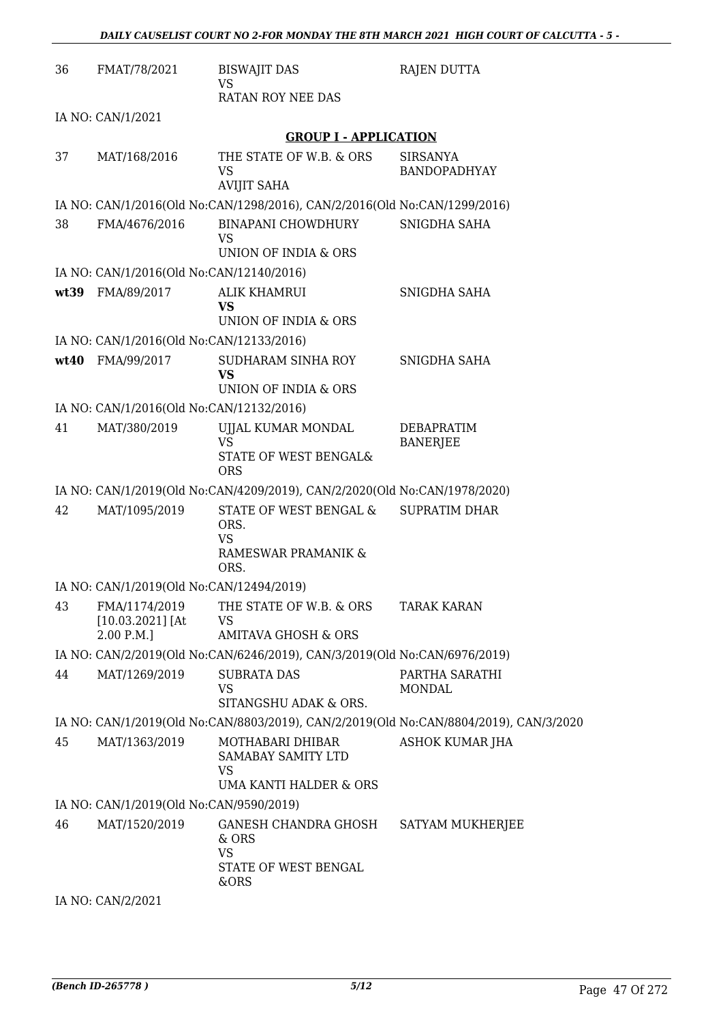| 36 | FMAT/78/2021                                      | <b>BISWAJIT DAS</b><br><b>VS</b>                                              | RAJEN DUTTA                                                                           |
|----|---------------------------------------------------|-------------------------------------------------------------------------------|---------------------------------------------------------------------------------------|
|    |                                                   | RATAN ROY NEE DAS                                                             |                                                                                       |
|    | IA NO: CAN/1/2021                                 |                                                                               |                                                                                       |
|    |                                                   | <b>GROUP I - APPLICATION</b>                                                  |                                                                                       |
| 37 | MAT/168/2016                                      | THE STATE OF W.B. & ORS<br><b>VS</b><br><b>AVIJIT SAHA</b>                    | <b>SIRSANYA</b><br><b>BANDOPADHYAY</b>                                                |
|    |                                                   | IA NO: CAN/1/2016(Old No:CAN/1298/2016), CAN/2/2016(Old No:CAN/1299/2016)     |                                                                                       |
| 38 | FMA/4676/2016                                     | BINAPANI CHOWDHURY<br><b>VS</b>                                               | SNIGDHA SAHA                                                                          |
|    |                                                   | UNION OF INDIA & ORS                                                          |                                                                                       |
|    | IA NO: CAN/1/2016(Old No:CAN/12140/2016)          |                                                                               |                                                                                       |
|    | wt39 FMA/89/2017                                  | <b>ALIK KHAMRUI</b><br>VS<br>UNION OF INDIA & ORS                             | SNIGDHA SAHA                                                                          |
|    | IA NO: CAN/1/2016(Old No:CAN/12133/2016)          |                                                                               |                                                                                       |
|    | wt40 FMA/99/2017                                  | SUDHARAM SINHA ROY<br><b>VS</b><br>UNION OF INDIA & ORS                       | SNIGDHA SAHA                                                                          |
|    | IA NO: CAN/1/2016(Old No:CAN/12132/2016)          |                                                                               |                                                                                       |
| 41 | MAT/380/2019                                      | UJJAL KUMAR MONDAL<br><b>VS</b><br>STATE OF WEST BENGAL&<br><b>ORS</b>        | <b>DEBAPRATIM</b><br><b>BANERJEE</b>                                                  |
|    |                                                   | IA NO: CAN/1/2019(Old No:CAN/4209/2019), CAN/2/2020(Old No:CAN/1978/2020)     |                                                                                       |
| 42 | MAT/1095/2019                                     | STATE OF WEST BENGAL &<br>ORS.<br><b>VS</b><br>RAMESWAR PRAMANIK &<br>ORS.    | <b>SUPRATIM DHAR</b>                                                                  |
|    | IA NO: CAN/1/2019(Old No:CAN/12494/2019)          |                                                                               |                                                                                       |
| 43 | FMA/1174/2019<br>$[10.03.2021]$ [At<br>2.00 P.M.] | THE STATE OF W.B. & ORS<br><b>VS</b><br><b>AMITAVA GHOSH &amp; ORS</b>        | <b>TARAK KARAN</b>                                                                    |
|    |                                                   | IA NO: CAN/2/2019(Old No:CAN/6246/2019), CAN/3/2019(Old No:CAN/6976/2019)     |                                                                                       |
| 44 | MAT/1269/2019                                     | <b>SUBRATA DAS</b><br>VS<br>SITANGSHU ADAK & ORS.                             | PARTHA SARATHI<br><b>MONDAL</b>                                                       |
|    |                                                   |                                                                               | IA NO: CAN/1/2019(Old No:CAN/8803/2019), CAN/2/2019(Old No:CAN/8804/2019), CAN/3/2020 |
| 45 | MAT/1363/2019                                     | MOTHABARI DHIBAR<br>SAMABAY SAMITY LTD<br><b>VS</b><br>UMA KANTI HALDER & ORS | <b>ASHOK KUMAR JHA</b>                                                                |
|    | IA NO: CAN/1/2019(Old No:CAN/9590/2019)           |                                                                               |                                                                                       |
| 46 | MAT/1520/2019                                     | GANESH CHANDRA GHOSH<br>& ORS<br><b>VS</b><br>STATE OF WEST BENGAL<br>&ORS    | SATYAM MUKHERJEE                                                                      |

IA NO: CAN/2/2021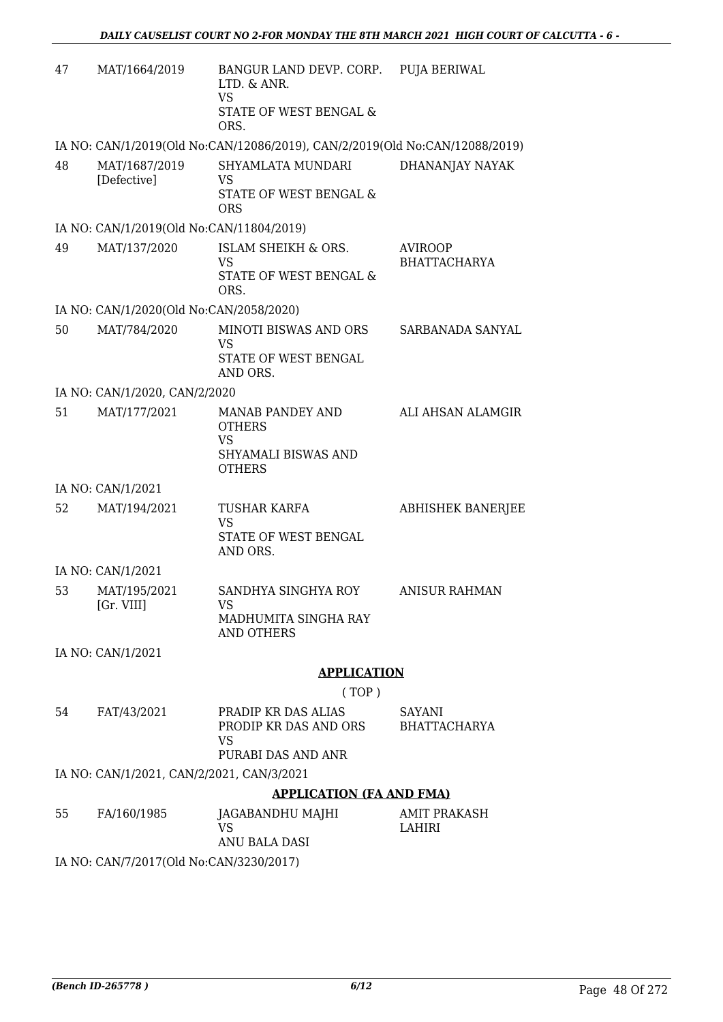| 47 | MAT/1664/2019                             | BANGUR LAND DEVP. CORP. PUJA BERIWAL<br>LTD. & ANR.<br><b>VS</b><br>STATE OF WEST BENGAL &<br>ORS. |                                |
|----|-------------------------------------------|----------------------------------------------------------------------------------------------------|--------------------------------|
|    |                                           | IA NO: CAN/1/2019(Old No:CAN/12086/2019), CAN/2/2019(Old No:CAN/12088/2019)                        |                                |
| 48 | MAT/1687/2019<br>[Defective]              | SHYAMLATA MUNDARI<br>VS<br>STATE OF WEST BENGAL &<br><b>ORS</b>                                    | DHANANJAY NAYAK                |
|    | IA NO: CAN/1/2019(Old No:CAN/11804/2019)  |                                                                                                    |                                |
| 49 | MAT/137/2020                              | ISLAM SHEIKH & ORS.<br><b>VS</b><br>STATE OF WEST BENGAL &<br>ORS.                                 | <b>AVIROOP</b><br>BHATTACHARYA |
|    | IA NO: CAN/1/2020(Old No:CAN/2058/2020)   |                                                                                                    |                                |
| 50 | MAT/784/2020                              | MINOTI BISWAS AND ORS<br><b>VS</b><br>STATE OF WEST BENGAL<br>AND ORS.                             | SARBANADA SANYAL               |
|    | IA NO: CAN/1/2020, CAN/2/2020             |                                                                                                    |                                |
| 51 | MAT/177/2021                              | MANAB PANDEY AND<br><b>OTHERS</b><br><b>VS</b><br>SHYAMALI BISWAS AND<br><b>OTHERS</b>             | ALI AHSAN ALAMGIR              |
|    | IA NO: CAN/1/2021                         |                                                                                                    |                                |
| 52 | MAT/194/2021                              | <b>TUSHAR KARFA</b><br><b>VS</b><br>STATE OF WEST BENGAL<br>AND ORS.                               | <b>ABHISHEK BANERJEE</b>       |
|    | IA NO: CAN/1/2021                         |                                                                                                    |                                |
| 53 | MAT/195/2021<br>[Gr. VIII]                | SANDHYA SINGHYA ROY<br>VS.<br>MADHUMITA SINGHA RAY<br>AND OTHERS                                   | <b>ANISUR RAHMAN</b>           |
|    | IA NO: CAN/1/2021                         |                                                                                                    |                                |
|    |                                           | <b>APPLICATION</b>                                                                                 |                                |
|    |                                           | (TOP)                                                                                              |                                |
| 54 | FAT/43/2021                               | PRADIP KR DAS ALIAS<br>PRODIP KR DAS AND ORS<br><b>VS</b>                                          | SAYANI<br><b>BHATTACHARYA</b>  |
|    |                                           | PURABI DAS AND ANR                                                                                 |                                |
|    | IA NO: CAN/1/2021, CAN/2/2021, CAN/3/2021 |                                                                                                    |                                |
|    |                                           | <b>APPLICATION (FA AND FMA)</b>                                                                    |                                |
| 55 | FA/160/1985                               | JAGABANDHU MAJHI<br><b>VS</b><br>ANU BALA DASI                                                     | AMIT PRAKASH<br>LAHIRI         |

IA NO: CAN/7/2017(Old No:CAN/3230/2017)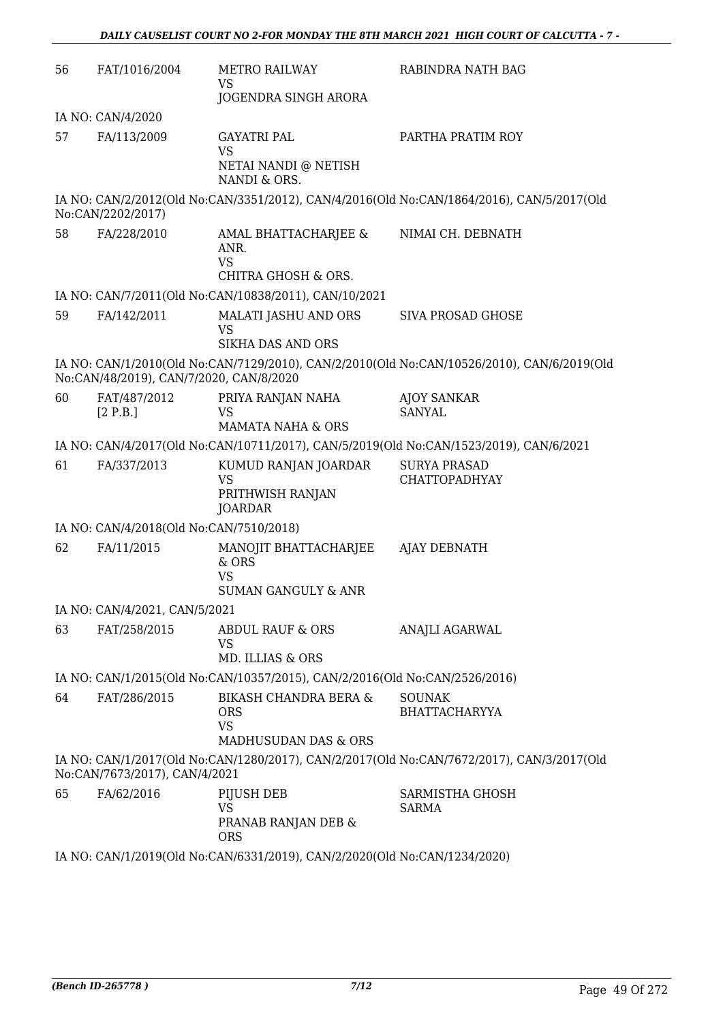| 56 | FAT/1016/2004                           | <b>METRO RAILWAY</b><br>VS<br>JOGENDRA SINGH ARORA                                  | RABINDRA NATH BAG                                                                          |
|----|-----------------------------------------|-------------------------------------------------------------------------------------|--------------------------------------------------------------------------------------------|
|    | IA NO: CAN/4/2020                       |                                                                                     |                                                                                            |
| 57 | FA/113/2009                             | <b>GAYATRI PAL</b><br><b>VS</b>                                                     | PARTHA PRATIM ROY                                                                          |
|    |                                         | NETAI NANDI @ NETISH<br>NANDI & ORS.                                                |                                                                                            |
|    | No:CAN/2202/2017)                       |                                                                                     | IA NO: CAN/2/2012(Old No:CAN/3351/2012), CAN/4/2016(Old No:CAN/1864/2016), CAN/5/2017(Old  |
| 58 | FA/228/2010                             | AMAL BHATTACHARJEE &<br>ANR.<br><b>VS</b><br><b>CHITRA GHOSH &amp; ORS.</b>         | NIMAI CH. DEBNATH                                                                          |
|    |                                         | IA NO: CAN/7/2011(Old No:CAN/10838/2011), CAN/10/2021                               |                                                                                            |
| 59 | FA/142/2011                             | MALATI JASHU AND ORS<br><b>VS</b><br><b>SIKHA DAS AND ORS</b>                       | SIVA PROSAD GHOSE                                                                          |
|    | No:CAN/48/2019), CAN/7/2020, CAN/8/2020 |                                                                                     | IA NO: CAN/1/2010(Old No:CAN/7129/2010), CAN/2/2010(Old No:CAN/10526/2010), CAN/6/2019(Old |
| 60 | FAT/487/2012<br>[2 P.B.]                | PRIYA RANJAN NAHA<br><b>VS</b><br><b>MAMATA NAHA &amp; ORS</b>                      | <b>AJOY SANKAR</b><br><b>SANYAL</b>                                                        |
|    |                                         |                                                                                     | IA NO: CAN/4/2017(Old No:CAN/10711/2017), CAN/5/2019(Old No:CAN/1523/2019), CAN/6/2021     |
| 61 | FA/337/2013                             | KUMUD RANJAN JOARDAR<br><b>VS</b><br>PRITHWISH RANJAN<br>JOARDAR                    | <b>SURYA PRASAD</b><br><b>CHATTOPADHYAY</b>                                                |
|    | IA NO: CAN/4/2018(Old No:CAN/7510/2018) |                                                                                     |                                                                                            |
| 62 | FA/11/2015                              | MANOJIT BHATTACHARJEE<br>& ORS<br><b>VS</b><br><b>SUMAN GANGULY &amp; ANR</b>       | <b>AJAY DEBNATH</b>                                                                        |
|    | IA NO: CAN/4/2021, CAN/5/2021           |                                                                                     |                                                                                            |
| 63 | FAT/258/2015                            | ABDUL RAUF & ORS<br>VS<br>MD. ILLIAS & ORS                                          | ANAJLI AGARWAL                                                                             |
|    |                                         | IA NO: CAN/1/2015(Old No:CAN/10357/2015), CAN/2/2016(Old No:CAN/2526/2016)          |                                                                                            |
| 64 | FAT/286/2015                            | <b>BIKASH CHANDRA BERA &amp;</b><br><b>ORS</b><br><b>VS</b><br>MADHUSUDAN DAS & ORS | <b>SOUNAK</b><br><b>BHATTACHARYYA</b>                                                      |
|    | No:CAN/7673/2017), CAN/4/2021           |                                                                                     | IA NO: CAN/1/2017(Old No:CAN/1280/2017), CAN/2/2017(Old No:CAN/7672/2017), CAN/3/2017(Old  |
| 65 | FA/62/2016                              | PIJUSH DEB<br>VS<br>PRANAB RANJAN DEB &<br><b>ORS</b>                               | SARMISTHA GHOSH<br><b>SARMA</b>                                                            |
|    |                                         |                                                                                     |                                                                                            |

IA NO: CAN/1/2019(Old No:CAN/6331/2019), CAN/2/2020(Old No:CAN/1234/2020)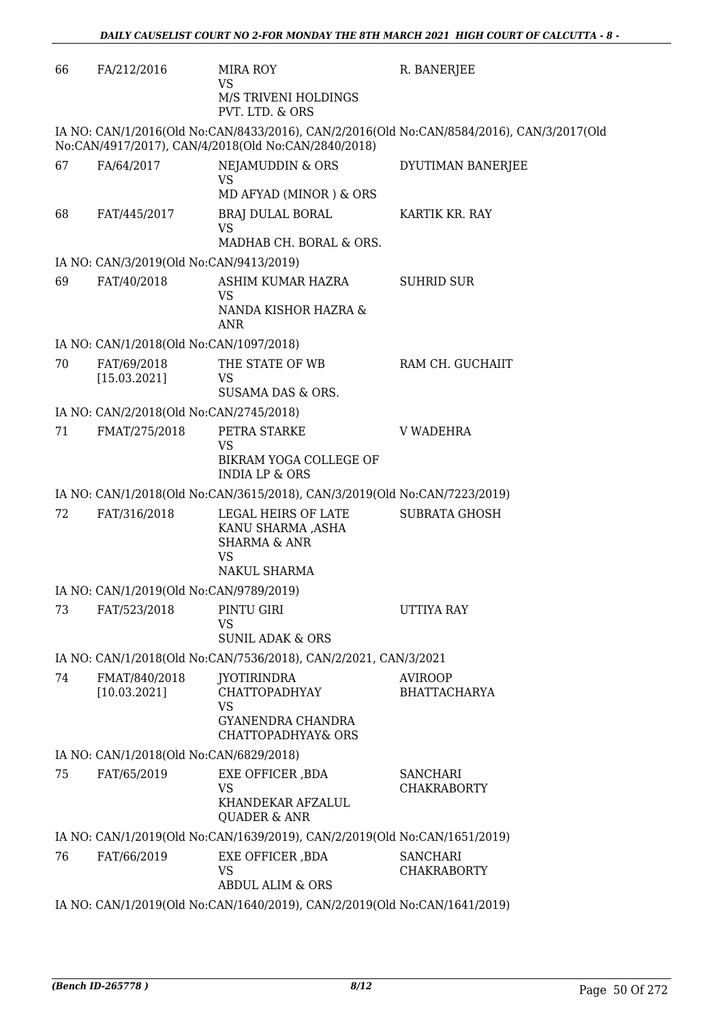| PVT. LTD. & ORS<br>IA NO: CAN/1/2016(Old No:CAN/8433/2016), CAN/2/2016(Old No:CAN/8584/2016), CAN/3/2017(Old<br>No:CAN/4917/2017), CAN/4/2018(Old No:CAN/2840/2018)<br>FA/64/2017<br>NEJAMUDDIN & ORS<br>DYUTIMAN BANERJEE<br><b>VS</b><br>MD AFYAD (MINOR) & ORS<br>68<br>FAT/445/2017<br><b>BRAJ DULAL BORAL</b><br>KARTIK KR. RAY<br><b>VS</b><br>MADHAB CH. BORAL & ORS.<br>IA NO: CAN/3/2019(Old No:CAN/9413/2019)<br>FAT/40/2018<br>ASHIM KUMAR HAZRA<br><b>SUHRID SUR</b><br>VS<br>NANDA KISHOR HAZRA &<br>ANR<br>IA NO: CAN/1/2018(Old No:CAN/1097/2018)<br>70<br>THE STATE OF WB<br>FAT/69/2018<br>RAM CH. GUCHAIIT<br>[15.03.2021]<br>VS<br>SUSAMA DAS & ORS.<br>IA NO: CAN/2/2018(Old No:CAN/2745/2018)<br>71<br>PETRA STARKE<br>FMAT/275/2018<br>V WADEHRA<br><b>VS</b><br>BIKRAM YOGA COLLEGE OF<br><b>INDIA LP &amp; ORS</b><br>IA NO: CAN/1/2018(Old No:CAN/3615/2018), CAN/3/2019(Old No:CAN/7223/2019)<br>FAT/316/2018<br>72<br>LEGAL HEIRS OF LATE<br><b>SUBRATA GHOSH</b><br>KANU SHARMA ,ASHA<br><b>SHARMA &amp; ANR</b><br><b>VS</b><br>NAKUL SHARMA<br>IA NO: CAN/1/2019(Old No:CAN/9789/2019)<br>FAT/523/2018<br>PINTU GIRI<br>73<br>UTTIYA RAY<br>VS<br><b>SUNIL ADAK &amp; ORS</b><br>IA NO: CAN/1/2018(Old No:CAN/7536/2018), CAN/2/2021, CAN/3/2021<br>74<br>FMAT/840/2018<br><b>JYOTIRINDRA</b><br><b>AVIROOP</b><br>[10.03.2021]<br><b>CHATTOPADHYAY</b><br><b>BHATTACHARYA</b><br><b>VS</b><br><b>GYANENDRA CHANDRA</b><br><b>CHATTOPADHYAY&amp; ORS</b><br>IA NO: CAN/1/2018(Old No:CAN/6829/2018)<br>75<br>FAT/65/2019<br>EXE OFFICER , BDA<br><b>SANCHARI</b><br><b>VS</b><br><b>CHAKRABORTY</b><br>KHANDEKAR AFZALUL<br><b>QUADER &amp; ANR</b><br>IA NO: CAN/1/2019(Old No:CAN/1639/2019), CAN/2/2019(Old No:CAN/1651/2019)<br>EXE OFFICER , BDA<br>76<br>FAT/66/2019<br><b>SANCHARI</b><br>VS<br><b>CHAKRABORTY</b><br><b>ABDUL ALIM &amp; ORS</b><br>IA NO: CAN/1/2019(Old No:CAN/1640/2019), CAN/2/2019(Old No:CAN/1641/2019) | 66 | FA/212/2016 | <b>MIRA ROY</b><br><b>VS</b><br>M/S TRIVENI HOLDINGS | R. BANERJEE |
|---------------------------------------------------------------------------------------------------------------------------------------------------------------------------------------------------------------------------------------------------------------------------------------------------------------------------------------------------------------------------------------------------------------------------------------------------------------------------------------------------------------------------------------------------------------------------------------------------------------------------------------------------------------------------------------------------------------------------------------------------------------------------------------------------------------------------------------------------------------------------------------------------------------------------------------------------------------------------------------------------------------------------------------------------------------------------------------------------------------------------------------------------------------------------------------------------------------------------------------------------------------------------------------------------------------------------------------------------------------------------------------------------------------------------------------------------------------------------------------------------------------------------------------------------------------------------------------------------------------------------------------------------------------------------------------------------------------------------------------------------------------------------------------------------------------------------------------------------------------------------------------------------------------------------------------------------------------------|----|-------------|------------------------------------------------------|-------------|
|                                                                                                                                                                                                                                                                                                                                                                                                                                                                                                                                                                                                                                                                                                                                                                                                                                                                                                                                                                                                                                                                                                                                                                                                                                                                                                                                                                                                                                                                                                                                                                                                                                                                                                                                                                                                                                                                                                                                                                     |    |             |                                                      |             |
|                                                                                                                                                                                                                                                                                                                                                                                                                                                                                                                                                                                                                                                                                                                                                                                                                                                                                                                                                                                                                                                                                                                                                                                                                                                                                                                                                                                                                                                                                                                                                                                                                                                                                                                                                                                                                                                                                                                                                                     |    |             |                                                      |             |
|                                                                                                                                                                                                                                                                                                                                                                                                                                                                                                                                                                                                                                                                                                                                                                                                                                                                                                                                                                                                                                                                                                                                                                                                                                                                                                                                                                                                                                                                                                                                                                                                                                                                                                                                                                                                                                                                                                                                                                     | 67 |             |                                                      |             |
|                                                                                                                                                                                                                                                                                                                                                                                                                                                                                                                                                                                                                                                                                                                                                                                                                                                                                                                                                                                                                                                                                                                                                                                                                                                                                                                                                                                                                                                                                                                                                                                                                                                                                                                                                                                                                                                                                                                                                                     |    |             |                                                      |             |
|                                                                                                                                                                                                                                                                                                                                                                                                                                                                                                                                                                                                                                                                                                                                                                                                                                                                                                                                                                                                                                                                                                                                                                                                                                                                                                                                                                                                                                                                                                                                                                                                                                                                                                                                                                                                                                                                                                                                                                     |    |             |                                                      |             |
|                                                                                                                                                                                                                                                                                                                                                                                                                                                                                                                                                                                                                                                                                                                                                                                                                                                                                                                                                                                                                                                                                                                                                                                                                                                                                                                                                                                                                                                                                                                                                                                                                                                                                                                                                                                                                                                                                                                                                                     |    |             |                                                      |             |
|                                                                                                                                                                                                                                                                                                                                                                                                                                                                                                                                                                                                                                                                                                                                                                                                                                                                                                                                                                                                                                                                                                                                                                                                                                                                                                                                                                                                                                                                                                                                                                                                                                                                                                                                                                                                                                                                                                                                                                     | 69 |             |                                                      |             |
|                                                                                                                                                                                                                                                                                                                                                                                                                                                                                                                                                                                                                                                                                                                                                                                                                                                                                                                                                                                                                                                                                                                                                                                                                                                                                                                                                                                                                                                                                                                                                                                                                                                                                                                                                                                                                                                                                                                                                                     |    |             |                                                      |             |
|                                                                                                                                                                                                                                                                                                                                                                                                                                                                                                                                                                                                                                                                                                                                                                                                                                                                                                                                                                                                                                                                                                                                                                                                                                                                                                                                                                                                                                                                                                                                                                                                                                                                                                                                                                                                                                                                                                                                                                     |    |             |                                                      |             |
|                                                                                                                                                                                                                                                                                                                                                                                                                                                                                                                                                                                                                                                                                                                                                                                                                                                                                                                                                                                                                                                                                                                                                                                                                                                                                                                                                                                                                                                                                                                                                                                                                                                                                                                                                                                                                                                                                                                                                                     |    |             |                                                      |             |
|                                                                                                                                                                                                                                                                                                                                                                                                                                                                                                                                                                                                                                                                                                                                                                                                                                                                                                                                                                                                                                                                                                                                                                                                                                                                                                                                                                                                                                                                                                                                                                                                                                                                                                                                                                                                                                                                                                                                                                     |    |             |                                                      |             |
|                                                                                                                                                                                                                                                                                                                                                                                                                                                                                                                                                                                                                                                                                                                                                                                                                                                                                                                                                                                                                                                                                                                                                                                                                                                                                                                                                                                                                                                                                                                                                                                                                                                                                                                                                                                                                                                                                                                                                                     |    |             |                                                      |             |
|                                                                                                                                                                                                                                                                                                                                                                                                                                                                                                                                                                                                                                                                                                                                                                                                                                                                                                                                                                                                                                                                                                                                                                                                                                                                                                                                                                                                                                                                                                                                                                                                                                                                                                                                                                                                                                                                                                                                                                     |    |             |                                                      |             |
|                                                                                                                                                                                                                                                                                                                                                                                                                                                                                                                                                                                                                                                                                                                                                                                                                                                                                                                                                                                                                                                                                                                                                                                                                                                                                                                                                                                                                                                                                                                                                                                                                                                                                                                                                                                                                                                                                                                                                                     |    |             |                                                      |             |
|                                                                                                                                                                                                                                                                                                                                                                                                                                                                                                                                                                                                                                                                                                                                                                                                                                                                                                                                                                                                                                                                                                                                                                                                                                                                                                                                                                                                                                                                                                                                                                                                                                                                                                                                                                                                                                                                                                                                                                     |    |             |                                                      |             |
|                                                                                                                                                                                                                                                                                                                                                                                                                                                                                                                                                                                                                                                                                                                                                                                                                                                                                                                                                                                                                                                                                                                                                                                                                                                                                                                                                                                                                                                                                                                                                                                                                                                                                                                                                                                                                                                                                                                                                                     |    |             |                                                      |             |
|                                                                                                                                                                                                                                                                                                                                                                                                                                                                                                                                                                                                                                                                                                                                                                                                                                                                                                                                                                                                                                                                                                                                                                                                                                                                                                                                                                                                                                                                                                                                                                                                                                                                                                                                                                                                                                                                                                                                                                     |    |             |                                                      |             |
|                                                                                                                                                                                                                                                                                                                                                                                                                                                                                                                                                                                                                                                                                                                                                                                                                                                                                                                                                                                                                                                                                                                                                                                                                                                                                                                                                                                                                                                                                                                                                                                                                                                                                                                                                                                                                                                                                                                                                                     |    |             |                                                      |             |
|                                                                                                                                                                                                                                                                                                                                                                                                                                                                                                                                                                                                                                                                                                                                                                                                                                                                                                                                                                                                                                                                                                                                                                                                                                                                                                                                                                                                                                                                                                                                                                                                                                                                                                                                                                                                                                                                                                                                                                     |    |             |                                                      |             |
|                                                                                                                                                                                                                                                                                                                                                                                                                                                                                                                                                                                                                                                                                                                                                                                                                                                                                                                                                                                                                                                                                                                                                                                                                                                                                                                                                                                                                                                                                                                                                                                                                                                                                                                                                                                                                                                                                                                                                                     |    |             |                                                      |             |
|                                                                                                                                                                                                                                                                                                                                                                                                                                                                                                                                                                                                                                                                                                                                                                                                                                                                                                                                                                                                                                                                                                                                                                                                                                                                                                                                                                                                                                                                                                                                                                                                                                                                                                                                                                                                                                                                                                                                                                     |    |             |                                                      |             |
|                                                                                                                                                                                                                                                                                                                                                                                                                                                                                                                                                                                                                                                                                                                                                                                                                                                                                                                                                                                                                                                                                                                                                                                                                                                                                                                                                                                                                                                                                                                                                                                                                                                                                                                                                                                                                                                                                                                                                                     |    |             |                                                      |             |
|                                                                                                                                                                                                                                                                                                                                                                                                                                                                                                                                                                                                                                                                                                                                                                                                                                                                                                                                                                                                                                                                                                                                                                                                                                                                                                                                                                                                                                                                                                                                                                                                                                                                                                                                                                                                                                                                                                                                                                     |    |             |                                                      |             |
|                                                                                                                                                                                                                                                                                                                                                                                                                                                                                                                                                                                                                                                                                                                                                                                                                                                                                                                                                                                                                                                                                                                                                                                                                                                                                                                                                                                                                                                                                                                                                                                                                                                                                                                                                                                                                                                                                                                                                                     |    |             |                                                      |             |
|                                                                                                                                                                                                                                                                                                                                                                                                                                                                                                                                                                                                                                                                                                                                                                                                                                                                                                                                                                                                                                                                                                                                                                                                                                                                                                                                                                                                                                                                                                                                                                                                                                                                                                                                                                                                                                                                                                                                                                     |    |             |                                                      |             |
|                                                                                                                                                                                                                                                                                                                                                                                                                                                                                                                                                                                                                                                                                                                                                                                                                                                                                                                                                                                                                                                                                                                                                                                                                                                                                                                                                                                                                                                                                                                                                                                                                                                                                                                                                                                                                                                                                                                                                                     |    |             |                                                      |             |
|                                                                                                                                                                                                                                                                                                                                                                                                                                                                                                                                                                                                                                                                                                                                                                                                                                                                                                                                                                                                                                                                                                                                                                                                                                                                                                                                                                                                                                                                                                                                                                                                                                                                                                                                                                                                                                                                                                                                                                     |    |             |                                                      |             |
|                                                                                                                                                                                                                                                                                                                                                                                                                                                                                                                                                                                                                                                                                                                                                                                                                                                                                                                                                                                                                                                                                                                                                                                                                                                                                                                                                                                                                                                                                                                                                                                                                                                                                                                                                                                                                                                                                                                                                                     |    |             |                                                      |             |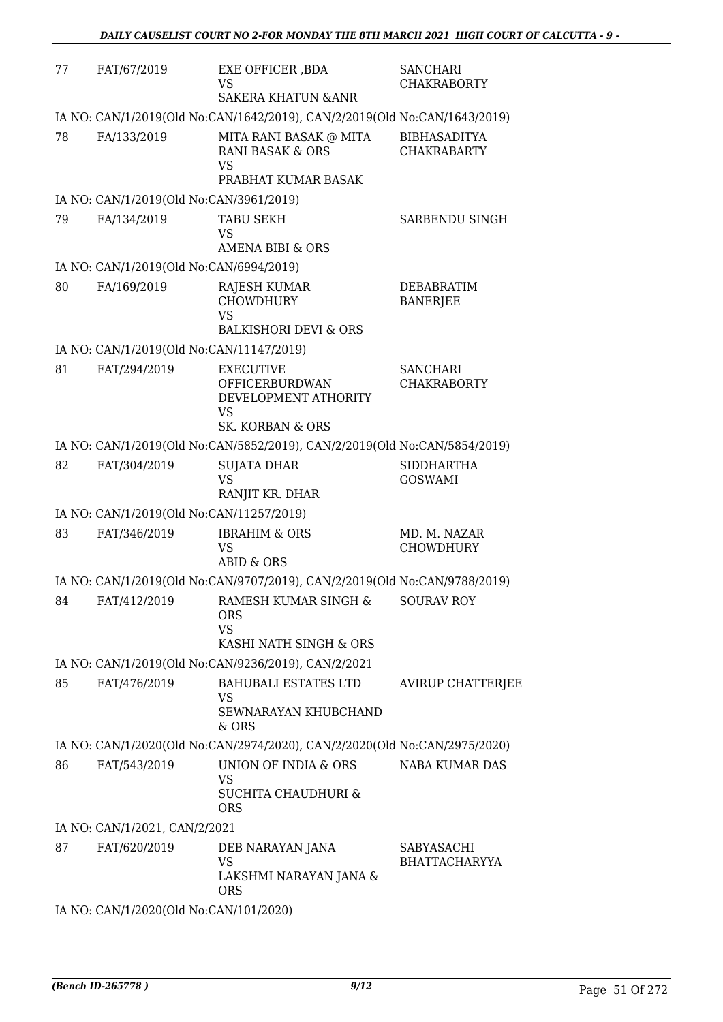| 77 | FAT/67/2019                              | EXE OFFICER, BDA<br>VS<br><b>SAKERA KHATUN &amp; ANR</b>                                                      | <b>SANCHARI</b><br><b>CHAKRABORTY</b>     |
|----|------------------------------------------|---------------------------------------------------------------------------------------------------------------|-------------------------------------------|
|    |                                          | IA NO: CAN/1/2019(Old No:CAN/1642/2019), CAN/2/2019(Old No:CAN/1643/2019)                                     |                                           |
| 78 | FA/133/2019                              | MITA RANI BASAK @ MITA<br>RANI BASAK & ORS<br><b>VS</b>                                                       | <b>BIBHASADITYA</b><br><b>CHAKRABARTY</b> |
|    |                                          | PRABHAT KUMAR BASAK                                                                                           |                                           |
|    | IA NO: CAN/1/2019(Old No:CAN/3961/2019)  |                                                                                                               |                                           |
| 79 | FA/134/2019                              | <b>TABU SEKH</b><br>VS<br>AMENA BIBI & ORS                                                                    | SARBENDU SINGH                            |
|    | IA NO: CAN/1/2019(Old No:CAN/6994/2019)  |                                                                                                               |                                           |
| 80 | FA/169/2019                              | <b>RAJESH KUMAR</b><br><b>CHOWDHURY</b><br>VS<br><b>BALKISHORI DEVI &amp; ORS</b>                             | DEBABRATIM<br><b>BANERJEE</b>             |
|    | IA NO: CAN/1/2019(Old No:CAN/11147/2019) |                                                                                                               |                                           |
| 81 | FAT/294/2019                             | <b>EXECUTIVE</b><br><b>OFFICERBURDWAN</b><br>DEVELOPMENT ATHORITY<br><b>VS</b><br><b>SK. KORBAN &amp; ORS</b> | <b>SANCHARI</b><br><b>CHAKRABORTY</b>     |
|    |                                          | IA NO: CAN/1/2019(Old No:CAN/5852/2019), CAN/2/2019(Old No:CAN/5854/2019)                                     |                                           |
| 82 | FAT/304/2019                             | <b>SUJATA DHAR</b><br><b>VS</b><br>RANJIT KR. DHAR                                                            | <b>SIDDHARTHA</b><br><b>GOSWAMI</b>       |
|    | IA NO: CAN/1/2019(Old No:CAN/11257/2019) |                                                                                                               |                                           |
| 83 | FAT/346/2019                             | <b>IBRAHIM &amp; ORS</b><br>VS<br><b>ABID &amp; ORS</b>                                                       | MD. M. NAZAR<br><b>CHOWDHURY</b>          |
|    |                                          | IA NO: CAN/1/2019(Old No:CAN/9707/2019), CAN/2/2019(Old No:CAN/9788/2019)                                     |                                           |
| 84 |                                          | FAT/412/2019 RAMESH KUMAR SINGH & SOURAV ROY<br><b>ORS</b><br><b>VS</b><br>KASHI NATH SINGH & ORS             |                                           |
|    |                                          | IA NO: CAN/1/2019(Old No:CAN/9236/2019), CAN/2/2021                                                           |                                           |
| 85 | FAT/476/2019                             | BAHUBALI ESTATES LTD<br>VS.<br>SEWNARAYAN KHUBCHAND<br>& ORS                                                  | <b>AVIRUP CHATTERJEE</b>                  |
|    |                                          | IA NO: CAN/1/2020(Old No:CAN/2974/2020), CAN/2/2020(Old No:CAN/2975/2020)                                     |                                           |
| 86 | FAT/543/2019                             | UNION OF INDIA & ORS<br>VS<br><b>SUCHITA CHAUDHURI &amp;</b><br><b>ORS</b>                                    | NABA KUMAR DAS                            |
|    | IA NO: CAN/1/2021, CAN/2/2021            |                                                                                                               |                                           |
| 87 | FAT/620/2019                             | DEB NARAYAN JANA<br><b>VS</b><br>LAKSHMI NARAYAN JANA &<br><b>ORS</b>                                         | SABYASACHI<br><b>BHATTACHARYYA</b>        |
|    | IA NO: CAN/1/2020(Old No:CAN/101/2020)   |                                                                                                               |                                           |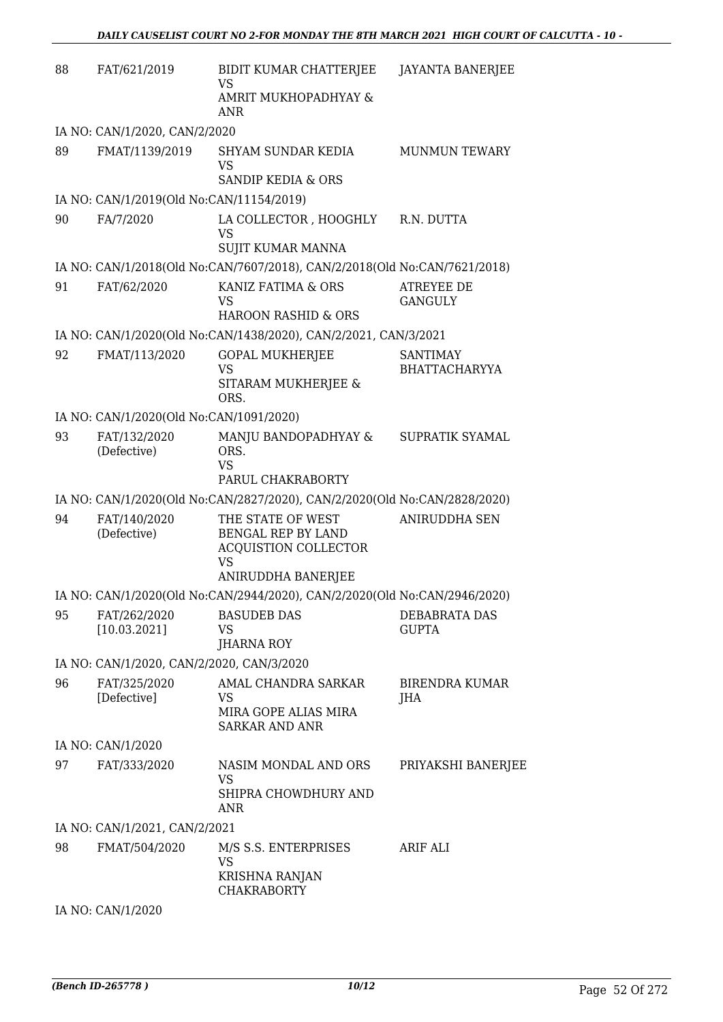| 88 | FAT/621/2019                              | BIDIT KUMAR CHATTERJEE<br>VS                                                      | <b>JAYANTA BANERJEE</b>                 |
|----|-------------------------------------------|-----------------------------------------------------------------------------------|-----------------------------------------|
|    |                                           | AMRIT MUKHOPADHYAY &<br><b>ANR</b>                                                |                                         |
|    | IA NO: CAN/1/2020, CAN/2/2020             |                                                                                   |                                         |
| 89 | FMAT/1139/2019                            | SHYAM SUNDAR KEDIA<br><b>VS</b>                                                   | <b>MUNMUN TEWARY</b>                    |
|    |                                           | <b>SANDIP KEDIA &amp; ORS</b>                                                     |                                         |
|    | IA NO: CAN/1/2019(Old No:CAN/11154/2019)  |                                                                                   |                                         |
| 90 | FA/7/2020                                 | LA COLLECTOR , HOOGHLY<br><b>VS</b><br><b>SUJIT KUMAR MANNA</b>                   | R.N. DUTTA                              |
|    |                                           | IA NO: CAN/1/2018(Old No:CAN/7607/2018), CAN/2/2018(Old No:CAN/7621/2018)         |                                         |
| 91 | FAT/62/2020                               | KANIZ FATIMA & ORS<br><b>VS</b><br>HAROON RASHID & ORS                            | ATREYEE DE<br><b>GANGULY</b>            |
|    |                                           | IA NO: CAN/1/2020(Old No:CAN/1438/2020), CAN/2/2021, CAN/3/2021                   |                                         |
| 92 | FMAT/113/2020                             | <b>GOPAL MUKHERJEE</b><br><b>VS</b><br>SITARAM MUKHERJEE &<br>ORS.                | <b>SANTIMAY</b><br><b>BHATTACHARYYA</b> |
|    | IA NO: CAN/1/2020(Old No:CAN/1091/2020)   |                                                                                   |                                         |
| 93 | FAT/132/2020<br>(Defective)               | MANJU BANDOPADHYAY &<br>ORS.<br><b>VS</b><br>PARUL CHAKRABORTY                    | SUPRATIK SYAMAL                         |
|    |                                           | IA NO: CAN/1/2020(Old No:CAN/2827/2020), CAN/2/2020(Old No:CAN/2828/2020)         |                                         |
| 94 | FAT/140/2020                              | THE STATE OF WEST                                                                 | <b>ANIRUDDHA SEN</b>                    |
|    | (Defective)                               | BENGAL REP BY LAND<br><b>ACQUISTION COLLECTOR</b><br>VS<br>ANIRUDDHA BANERJEE     |                                         |
|    |                                           | IA NO: CAN/1/2020(Old No:CAN/2944/2020), CAN/2/2020(Old No:CAN/2946/2020)         |                                         |
| 95 | FAT/262/2020                              | <b>BASUDEB DAS</b>                                                                | DEBABRATA DAS                           |
|    | [10.03.2021]                              | VS<br><b>JHARNA ROY</b>                                                           | <b>GUPTA</b>                            |
|    | IA NO: CAN/1/2020, CAN/2/2020, CAN/3/2020 |                                                                                   |                                         |
| 96 | FAT/325/2020<br>[Defective]               | AMAL CHANDRA SARKAR<br><b>VS</b><br>MIRA GOPE ALIAS MIRA<br><b>SARKAR AND ANR</b> | <b>BIRENDRA KUMAR</b><br>JHA            |
|    | IA NO: CAN/1/2020                         |                                                                                   |                                         |
| 97 | FAT/333/2020                              | NASIM MONDAL AND ORS<br>VS<br>SHIPRA CHOWDHURY AND<br>ANR                         | PRIYAKSHI BANERJEE                      |
|    | IA NO: CAN/1/2021, CAN/2/2021             |                                                                                   |                                         |
| 98 | FMAT/504/2020                             | M/S S.S. ENTERPRISES<br>VS<br><b>KRISHNA RANJAN</b><br><b>CHAKRABORTY</b>         | ARIF ALI                                |
|    | IA NO: CAN/1/2020                         |                                                                                   |                                         |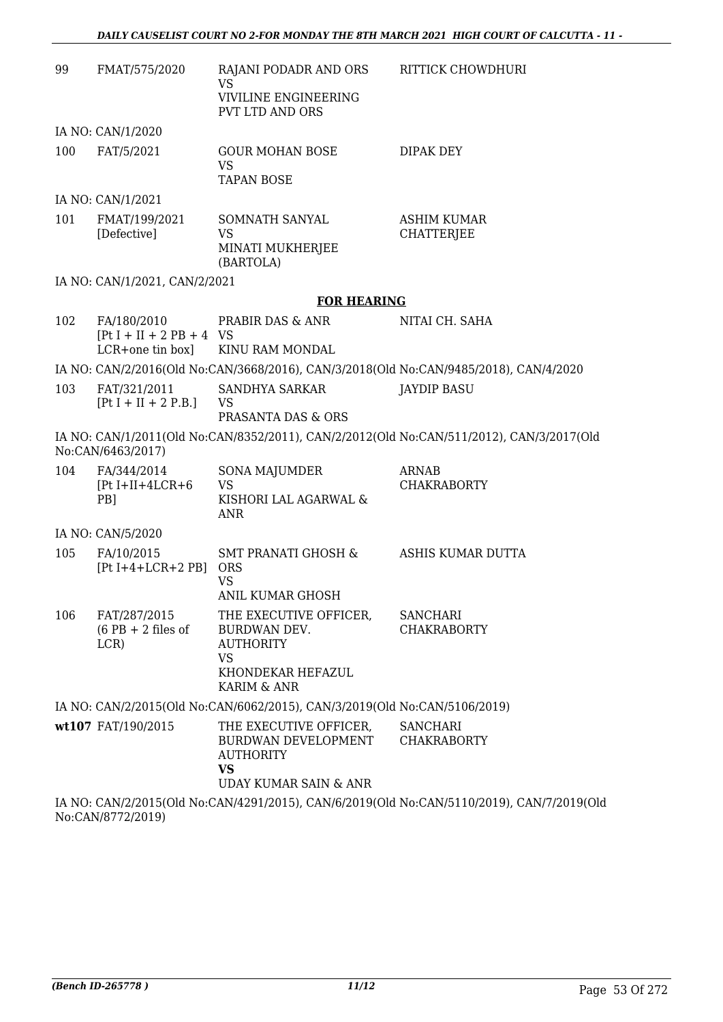| 99  | FMAT/575/2020                                | RAJANI PODADR AND ORS<br>VS                                                                                         | RITTICK CHOWDHURI                                                                                           |
|-----|----------------------------------------------|---------------------------------------------------------------------------------------------------------------------|-------------------------------------------------------------------------------------------------------------|
|     |                                              | VIVILINE ENGINEERING<br><b>PVT LTD AND ORS</b>                                                                      |                                                                                                             |
|     | IA NO: CAN/1/2020                            |                                                                                                                     |                                                                                                             |
| 100 | FAT/5/2021                                   | <b>GOUR MOHAN BOSE</b><br>VS.<br><b>TAPAN BOSE</b>                                                                  | DIPAK DEY                                                                                                   |
|     | IA NO: CAN/1/2021                            |                                                                                                                     |                                                                                                             |
| 101 | FMAT/199/2021<br>[Defective]                 | SOMNATH SANYAL<br><b>VS</b><br>MINATI MUKHERJEE<br>(BARTOLA)                                                        | <b>ASHIM KUMAR</b><br><b>CHATTERJEE</b>                                                                     |
|     | IA NO: CAN/1/2021, CAN/2/2021                |                                                                                                                     |                                                                                                             |
|     |                                              | <b>FOR HEARING</b>                                                                                                  |                                                                                                             |
| 102 | FA/180/2010<br>$[Pt I + II + 2 PB + 4 VS]$   | PRABIR DAS & ANR                                                                                                    | NITAI CH. SAHA                                                                                              |
|     | $LCR+one$ tin box]                           | KINU RAM MONDAL                                                                                                     |                                                                                                             |
| 103 | FAT/321/2011                                 | SANDHYA SARKAR                                                                                                      | IA NO: CAN/2/2016(Old No:CAN/3668/2016), CAN/3/2018(Old No:CAN/9485/2018), CAN/4/2020<br><b>JAYDIP BASU</b> |
|     | $[Pt I + II + 2 P.B.]$                       | VS<br>PRASANTA DAS & ORS                                                                                            |                                                                                                             |
|     | No:CAN/6463/2017)                            |                                                                                                                     | IA NO: CAN/1/2011(Old No:CAN/8352/2011), CAN/2/2012(Old No:CAN/511/2012), CAN/3/2017(Old                    |
| 104 | FA/344/2014<br>$[Pt I+II+4LCR+6]$<br>PB]     | SONA MAJUMDER<br><b>VS</b><br>KISHORI LAL AGARWAL &<br>ANR                                                          | ARNAB<br><b>CHAKRABORTY</b>                                                                                 |
|     | IA NO: CAN/5/2020                            |                                                                                                                     |                                                                                                             |
| 105 | FA/10/2015<br>$[Pt I+4+LCR+2 PB]$            | <b>SMT PRANATI GHOSH &amp;</b><br><b>ORS</b><br><b>VS</b>                                                           | ASHIS KUMAR DUTTA                                                                                           |
|     |                                              | ANIL KUMAR GHOSH                                                                                                    |                                                                                                             |
| 106 | FAT/287/2015<br>$(6$ PB + 2 files of<br>LCR) | THE EXECUTIVE OFFICER,<br>BURDWAN DEV.<br><b>AUTHORITY</b><br><b>VS</b><br>KHONDEKAR HEFAZUL<br>KARIM & ANR         | <b>SANCHARI</b><br><b>CHAKRABORTY</b>                                                                       |
|     |                                              | IA NO: CAN/2/2015(Old No:CAN/6062/2015), CAN/3/2019(Old No:CAN/5106/2019)                                           |                                                                                                             |
|     | wt107 FAT/190/2015                           | THE EXECUTIVE OFFICER,<br>BURDWAN DEVELOPMENT CHAKRABORTY<br><b>AUTHORITY</b><br><b>VS</b><br>UDAY KUMAR SAIN & ANR | <b>SANCHARI</b>                                                                                             |
|     |                                              |                                                                                                                     | IA NO: CAN/2/2015(Old No:CAN/4291/2015) CAN/6/2019(Old No:CAN/5110/2019) CAN/7/2019(Old                     |

IA NO: CAN/2/2015(Old No:CAN/4291/2015), CAN/6/2019(Old No:CAN/5110/2019), CAN/7/2019(Old No:CAN/8772/2019)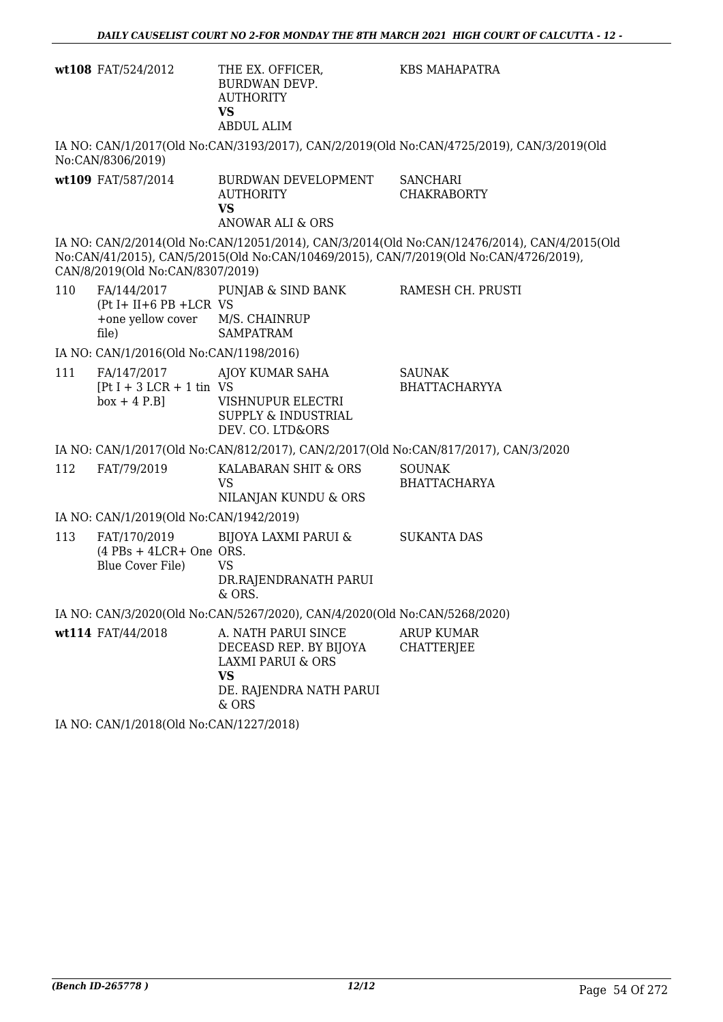|     | wt108 FAT/524/2012                                                         | THE EX. OFFICER,<br>BURDWAN DEVP.<br><b>AUTHORITY</b><br><b>VS</b><br><b>ABDUL ALIM</b>                                        | <b>KBS MAHAPATRA</b>                                                                                                                                                                 |
|-----|----------------------------------------------------------------------------|--------------------------------------------------------------------------------------------------------------------------------|--------------------------------------------------------------------------------------------------------------------------------------------------------------------------------------|
|     | No:CAN/8306/2019)                                                          |                                                                                                                                | IA NO: CAN/1/2017(Old No:CAN/3193/2017), CAN/2/2019(Old No:CAN/4725/2019), CAN/3/2019(Old                                                                                            |
|     | wt109 FAT/587/2014                                                         | BURDWAN DEVELOPMENT<br><b>AUTHORITY</b><br><b>VS</b><br><b>ANOWAR ALI &amp; ORS</b>                                            | <b>SANCHARI</b><br><b>CHAKRABORTY</b>                                                                                                                                                |
|     | CAN/8/2019(Old No:CAN/8307/2019)                                           |                                                                                                                                | IA NO: CAN/2/2014(Old No:CAN/12051/2014), CAN/3/2014(Old No:CAN/12476/2014), CAN/4/2015(Old<br>No:CAN/41/2015), CAN/5/2015(Old No:CAN/10469/2015), CAN/7/2019(Old No:CAN/4726/2019), |
| 110 | FA/144/2017<br>$(Pt I + II + 6 PB + LCR VS)$<br>+one yellow cover<br>file) | PUNJAB & SIND BANK<br>M/S. CHAINRUP<br><b>SAMPATRAM</b>                                                                        | RAMESH CH. PRUSTI                                                                                                                                                                    |
|     | IA NO: CAN/1/2016(Old No:CAN/1198/2016)                                    |                                                                                                                                |                                                                                                                                                                                      |
| 111 | FA/147/2017<br>$[Pt I + 3 LCR + 1 tin VS]$<br>$box + 4 P.B]$               | AJOY KUMAR SAHA<br>VISHNUPUR ELECTRI<br><b>SUPPLY &amp; INDUSTRIAL</b><br>DEV. CO. LTD&ORS                                     | <b>SAUNAK</b><br><b>BHATTACHARYYA</b>                                                                                                                                                |
|     |                                                                            | IA NO: CAN/1/2017(Old No:CAN/812/2017), CAN/2/2017(Old No:CAN/817/2017), CAN/3/2020                                            |                                                                                                                                                                                      |
| 112 | FAT/79/2019                                                                | KALABARAN SHIT & ORS<br><b>VS</b><br>NILANJAN KUNDU & ORS                                                                      | <b>SOUNAK</b><br><b>BHATTACHARYA</b>                                                                                                                                                 |
|     | IA NO: CAN/1/2019(Old No:CAN/1942/2019)                                    |                                                                                                                                |                                                                                                                                                                                      |
| 113 | FAT/170/2019<br>$(4$ PBs + 4LCR+ One ORS.<br>Blue Cover File)              | BIJOYA LAXMI PARUI &<br><b>VS</b><br>DR.RAJENDRANATH PARUI<br>& ORS.                                                           | <b>SUKANTA DAS</b>                                                                                                                                                                   |
|     |                                                                            | IA NO: CAN/3/2020(Old No:CAN/5267/2020), CAN/4/2020(Old No:CAN/5268/2020)                                                      |                                                                                                                                                                                      |
|     | wt114 FAT/44/2018                                                          | A. NATH PARUI SINCE<br>DECEASD REP. BY BIJOYA<br><b>LAXMI PARUI &amp; ORS</b><br><b>VS</b><br>DE. RAJENDRA NATH PARUI<br>& ORS | <b>ARUP KUMAR</b><br><b>CHATTERJEE</b>                                                                                                                                               |
|     | IA NO: CAN/1/2018(Old No:CAN/1227/2018)                                    |                                                                                                                                |                                                                                                                                                                                      |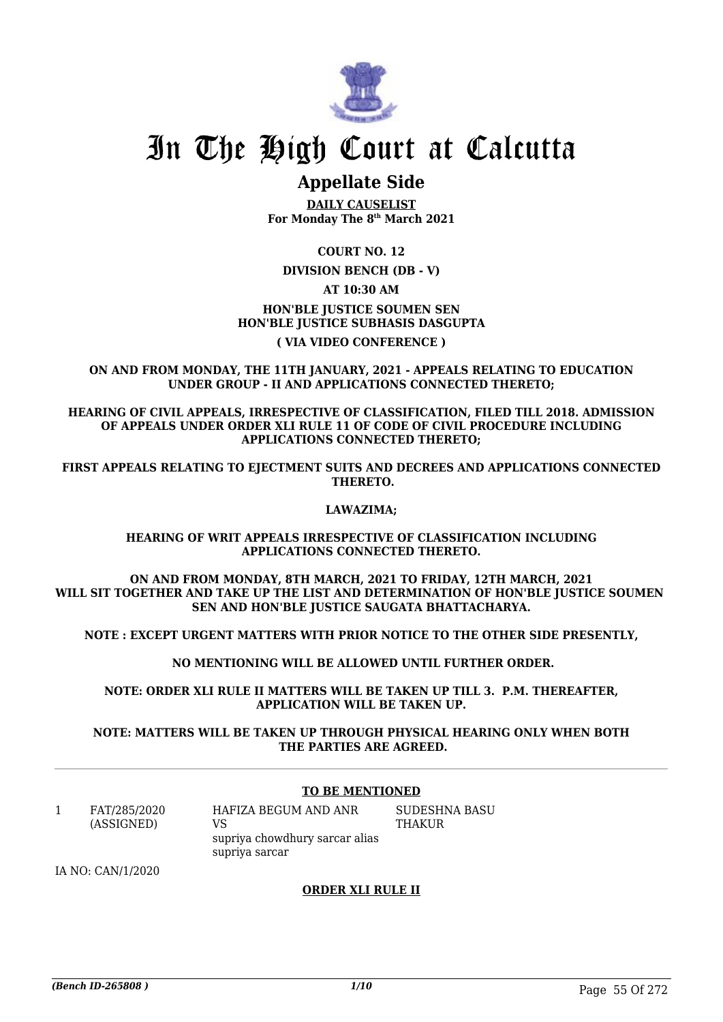

## **Appellate Side**

**DAILY CAUSELIST For Monday The 8th March 2021**

**COURT NO. 12**

**DIVISION BENCH (DB - V)**

**AT 10:30 AM**

**HON'BLE JUSTICE SOUMEN SEN**

## **HON'BLE JUSTICE SUBHASIS DASGUPTA ( VIA VIDEO CONFERENCE )**

## **ON AND FROM MONDAY, THE 11TH JANUARY, 2021 - APPEALS RELATING TO EDUCATION UNDER GROUP - II AND APPLICATIONS CONNECTED THERETO;**

**HEARING OF CIVIL APPEALS, IRRESPECTIVE OF CLASSIFICATION, FILED TILL 2018. ADMISSION OF APPEALS UNDER ORDER XLI RULE 11 OF CODE OF CIVIL PROCEDURE INCLUDING APPLICATIONS CONNECTED THERETO;**

**FIRST APPEALS RELATING TO EJECTMENT SUITS AND DECREES AND APPLICATIONS CONNECTED THERETO.**

## **LAWAZIMA;**

#### **HEARING OF WRIT APPEALS IRRESPECTIVE OF CLASSIFICATION INCLUDING APPLICATIONS CONNECTED THERETO.**

**ON AND FROM MONDAY, 8TH MARCH, 2021 TO FRIDAY, 12TH MARCH, 2021 WILL SIT TOGETHER AND TAKE UP THE LIST AND DETERMINATION OF HON'BLE JUSTICE SOUMEN SEN AND HON'BLE JUSTICE SAUGATA BHATTACHARYA.**

**NOTE : EXCEPT URGENT MATTERS WITH PRIOR NOTICE TO THE OTHER SIDE PRESENTLY,**

 **NO MENTIONING WILL BE ALLOWED UNTIL FURTHER ORDER.**

**NOTE: ORDER XLI RULE II MATTERS WILL BE TAKEN UP TILL 3. P.M. THEREAFTER, APPLICATION WILL BE TAKEN UP.**

**NOTE: MATTERS WILL BE TAKEN UP THROUGH PHYSICAL HEARING ONLY WHEN BOTH THE PARTIES ARE AGREED.**

## **TO BE MENTIONED**

1 FAT/285/2020 (ASSIGNED) HAFIZA BEGUM AND ANR VS supriya chowdhury sarcar alias supriya sarcar

SUDESHNA BASU THAKUR

IA NO: CAN/1/2020

## **ORDER XLI RULE II**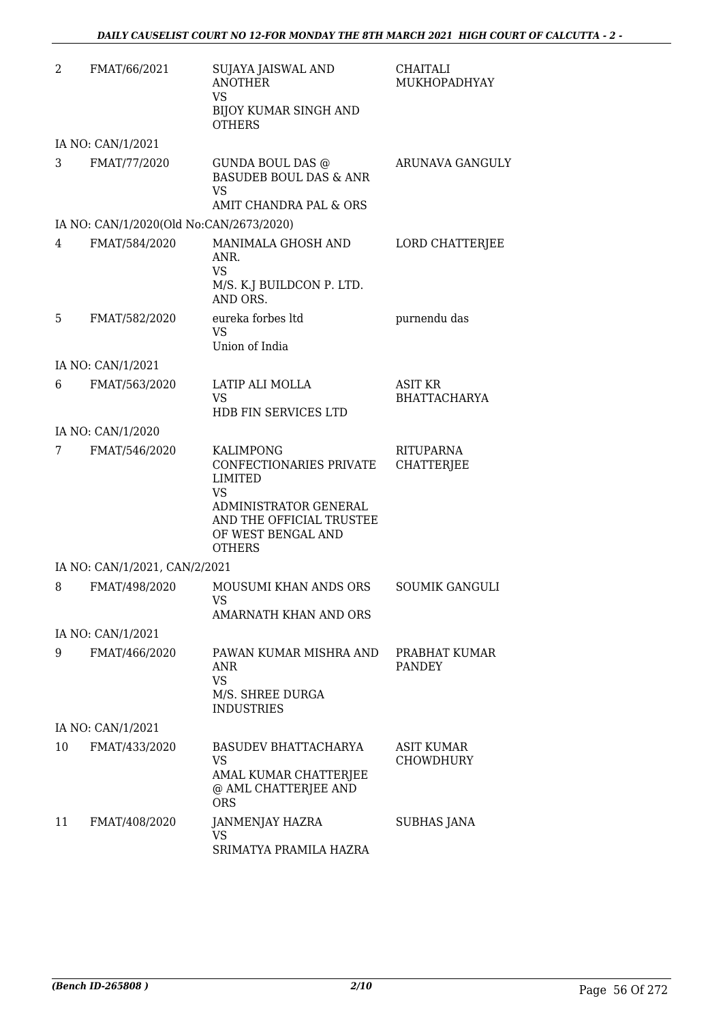| 2  | FMAT/66/2021                            | <b>SUJAYA JAISWAL AND</b><br><b>ANOTHER</b><br><b>VS</b>                                            | CHAITALI<br>MUKHOPADHYAY       |
|----|-----------------------------------------|-----------------------------------------------------------------------------------------------------|--------------------------------|
|    |                                         | <b>BIJOY KUMAR SINGH AND</b><br><b>OTHERS</b>                                                       |                                |
|    | IA NO: CAN/1/2021                       |                                                                                                     |                                |
| 3  | FMAT/77/2020                            | GUNDA BOUL DAS @<br><b>BASUDEB BOUL DAS &amp; ANR</b><br><b>VS</b>                                  | ARUNAVA GANGULY                |
|    |                                         | AMIT CHANDRA PAL & ORS                                                                              |                                |
|    | IA NO: CAN/1/2020(Old No:CAN/2673/2020) |                                                                                                     |                                |
| 4  | FMAT/584/2020                           | MANIMALA GHOSH AND<br>ANR.<br><b>VS</b>                                                             | LORD CHATTERJEE                |
|    |                                         | M/S. K.J BUILDCON P. LTD.<br>AND ORS.                                                               |                                |
| 5  | FMAT/582/2020                           | eureka forbes ltd<br><b>VS</b><br>Union of India                                                    | purnendu das                   |
|    | IA NO: CAN/1/2021                       |                                                                                                     |                                |
| 6  | FMAT/563/2020                           | LATIP ALI MOLLA                                                                                     | <b>ASIT KR</b>                 |
|    |                                         | <b>VS</b><br><b>HDB FIN SERVICES LTD</b>                                                            | <b>BHATTACHARYA</b>            |
|    | IA NO: CAN/1/2020                       |                                                                                                     |                                |
| 7  | FMAT/546/2020                           | <b>KALIMPONG</b><br>CONFECTIONARIES PRIVATE<br><b>LIMITED</b><br><b>VS</b><br>ADMINISTRATOR GENERAL | RITUPARNA<br><b>CHATTERJEE</b> |
|    |                                         | AND THE OFFICIAL TRUSTEE<br>OF WEST BENGAL AND<br><b>OTHERS</b>                                     |                                |
|    | IA NO: CAN/1/2021, CAN/2/2021           |                                                                                                     |                                |
| 8  | FMAT/498/2020                           | MOUSUMI KHAN ANDS ORS<br>VS.<br>AMARNATH KHAN AND ORS                                               | <b>SOUMIK GANGULI</b>          |
|    | IA NO: CAN/1/2021                       |                                                                                                     |                                |
| 9  | FMAT/466/2020                           | PAWAN KUMAR MISHRA AND                                                                              | PRABHAT KUMAR                  |
|    |                                         | <b>ANR</b><br><b>VS</b>                                                                             | <b>PANDEY</b>                  |
|    |                                         | M/S. SHREE DURGA<br><b>INDUSTRIES</b>                                                               |                                |
|    | IA NO: CAN/1/2021                       |                                                                                                     |                                |
| 10 | FMAT/433/2020                           | BASUDEV BHATTACHARYA<br><b>VS</b>                                                                   | ASIT KUMAR<br><b>CHOWDHURY</b> |
|    |                                         | AMAL KUMAR CHATTERJEE<br>@ AML CHATTERJEE AND<br><b>ORS</b>                                         |                                |
| 11 | FMAT/408/2020                           | <b>JANMENJAY HAZRA</b><br><b>VS</b><br>SRIMATYA PRAMILA HAZRA                                       | SUBHAS JANA                    |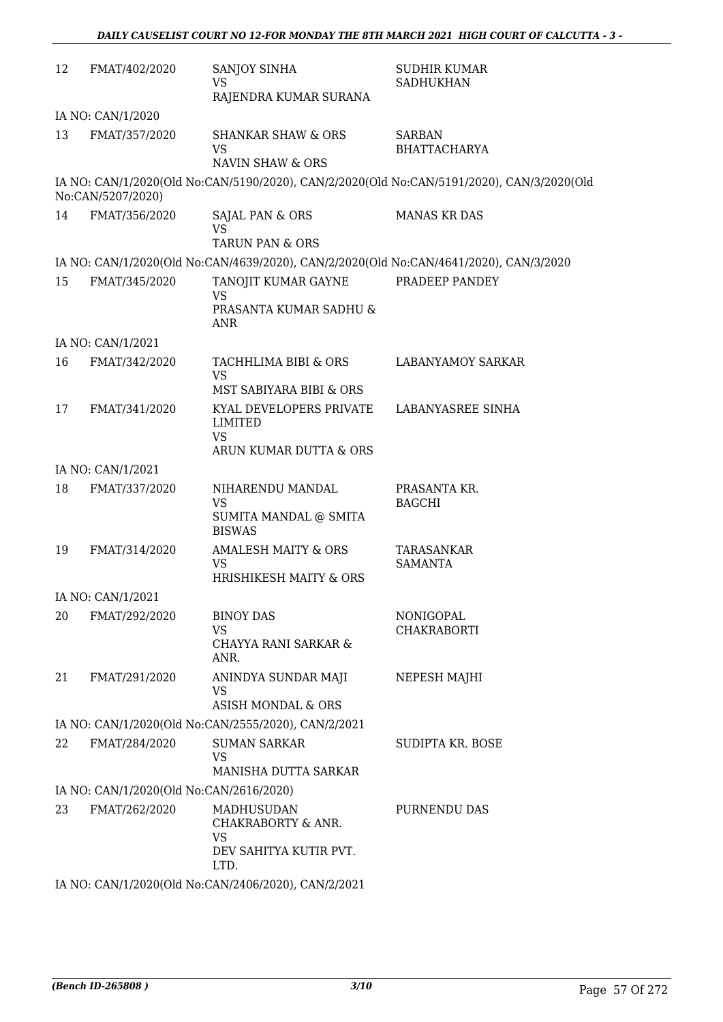| 12 | FMAT/402/2020                           | SANJOY SINHA<br>VS.<br>RAJENDRA KUMAR SURANA                                                                 | <b>SUDHIR KUMAR</b><br><b>SADHUKHAN</b>                                                   |
|----|-----------------------------------------|--------------------------------------------------------------------------------------------------------------|-------------------------------------------------------------------------------------------|
|    | IA NO: CAN/1/2020                       |                                                                                                              |                                                                                           |
| 13 | FMAT/357/2020                           | <b>SHANKAR SHAW &amp; ORS</b><br><b>VS</b><br>NAVIN SHAW & ORS                                               | <b>SARBAN</b><br><b>BHATTACHARYA</b>                                                      |
|    | No:CAN/5207/2020)                       |                                                                                                              | IA NO: CAN/1/2020(Old No:CAN/5190/2020), CAN/2/2020(Old No:CAN/5191/2020), CAN/3/2020(Old |
| 14 | FMAT/356/2020                           | SAJAL PAN & ORS<br>VS.                                                                                       | <b>MANAS KR DAS</b>                                                                       |
|    |                                         | <b>TARUN PAN &amp; ORS</b>                                                                                   |                                                                                           |
| 15 | FMAT/345/2020                           | IA NO: CAN/1/2020(Old No:CAN/4639/2020), CAN/2/2020(Old No:CAN/4641/2020), CAN/3/2020<br>TANOJIT KUMAR GAYNE | PRADEEP PANDEY                                                                            |
|    |                                         | <b>VS</b><br>PRASANTA KUMAR SADHU &                                                                          |                                                                                           |
|    |                                         | ANR                                                                                                          |                                                                                           |
|    | IA NO: CAN/1/2021                       |                                                                                                              |                                                                                           |
| 16 | FMAT/342/2020                           | TACHHLIMA BIBI & ORS<br><b>VS</b>                                                                            | <b>LABANYAMOY SARKAR</b>                                                                  |
|    |                                         | MST SABIYARA BIBI & ORS                                                                                      |                                                                                           |
| 17 | FMAT/341/2020                           | KYAL DEVELOPERS PRIVATE<br>LIMITED<br><b>VS</b>                                                              | LABANYASREE SINHA                                                                         |
|    |                                         | ARUN KUMAR DUTTA & ORS                                                                                       |                                                                                           |
|    | IA NO: CAN/1/2021                       |                                                                                                              |                                                                                           |
| 18 | FMAT/337/2020                           | NIHARENDU MANDAL<br><b>VS</b><br>SUMITA MANDAL @ SMITA                                                       | PRASANTA KR.<br><b>BAGCHI</b>                                                             |
|    |                                         | <b>BISWAS</b>                                                                                                |                                                                                           |
| 19 | FMAT/314/2020                           | <b>AMALESH MAITY &amp; ORS</b><br>VS.<br><b>HRISHIKESH MAITY &amp; ORS</b>                                   | TARASANKAR<br><b>SAMANTA</b>                                                              |
|    | IA NO: CAN/1/2021                       |                                                                                                              |                                                                                           |
| 20 | FMAT/292/2020                           | <b>BINOY DAS</b>                                                                                             | NONIGOPAL                                                                                 |
|    |                                         | <b>VS</b><br>CHAYYA RANI SARKAR &<br>ANR.                                                                    | <b>CHAKRABORTI</b>                                                                        |
| 21 | FMAT/291/2020                           | ANINDYA SUNDAR MAJI<br>VS<br><b>ASISH MONDAL &amp; ORS</b>                                                   | NEPESH MAJHI                                                                              |
|    |                                         | IA NO: CAN/1/2020(Old No:CAN/2555/2020), CAN/2/2021                                                          |                                                                                           |
| 22 | FMAT/284/2020                           | <b>SUMAN SARKAR</b>                                                                                          |                                                                                           |
|    |                                         | VS.<br>MANISHA DUTTA SARKAR                                                                                  | SUDIPTA KR. BOSE                                                                          |
|    | IA NO: CAN/1/2020(Old No:CAN/2616/2020) |                                                                                                              |                                                                                           |
| 23 | FMAT/262/2020                           | MADHUSUDAN<br>CHAKRABORTY & ANR.<br><b>VS</b><br>DEV SAHITYA KUTIR PVT.<br>LTD.                              | PURNENDU DAS                                                                              |
|    |                                         | $CANU10000001dN2 CANU2100000000010100001$                                                                    |                                                                                           |

IA NO: CAN/1/2020(Old No:CAN/2406/2020), CAN/2/2021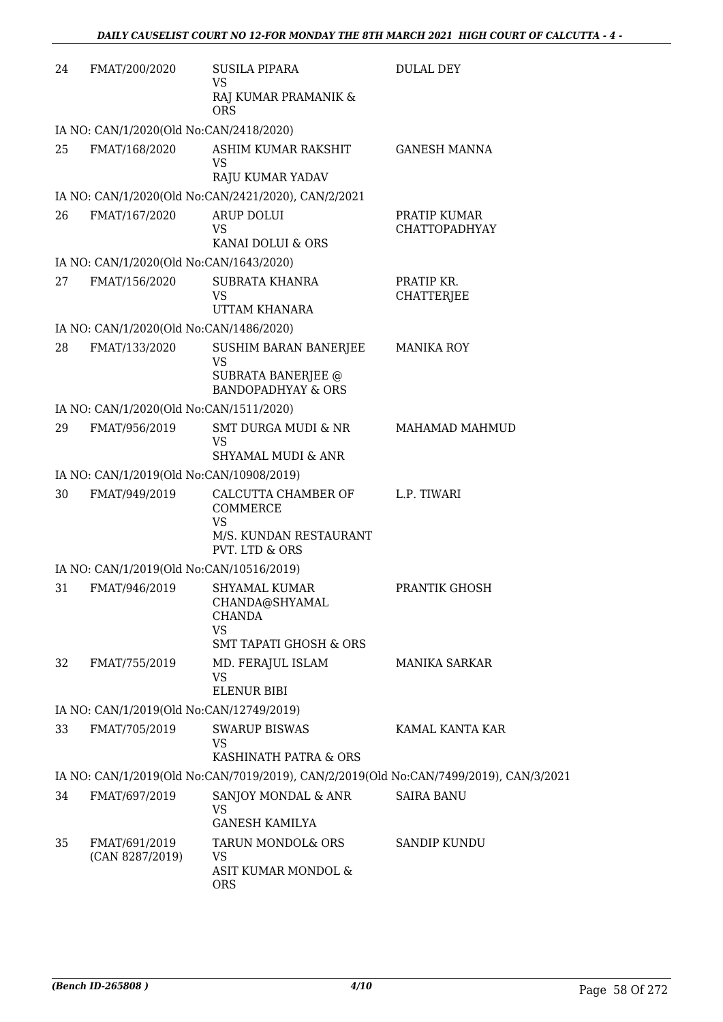| 24 | FMAT/200/2020                            | SUSILA PIPARA                                                         | <b>DULAL DEY</b>                                                                      |
|----|------------------------------------------|-----------------------------------------------------------------------|---------------------------------------------------------------------------------------|
|    |                                          | <b>VS</b><br>RAJ KUMAR PRAMANIK &<br><b>ORS</b>                       |                                                                                       |
|    | IA NO: CAN/1/2020(Old No:CAN/2418/2020)  |                                                                       |                                                                                       |
| 25 | FMAT/168/2020                            | ASHIM KUMAR RAKSHIT<br><b>VS</b><br>RAJU KUMAR YADAV                  | <b>GANESH MANNA</b>                                                                   |
|    |                                          | IA NO: CAN/1/2020(Old No:CAN/2421/2020), CAN/2/2021                   |                                                                                       |
| 26 | FMAT/167/2020                            | ARUP DOLUI                                                            | PRATIP KUMAR                                                                          |
|    |                                          | <b>VS</b>                                                             | <b>CHATTOPADHYAY</b>                                                                  |
|    |                                          | KANAI DOLUI & ORS                                                     |                                                                                       |
|    | IA NO: CAN/1/2020(Old No:CAN/1643/2020)  |                                                                       |                                                                                       |
| 27 | FMAT/156/2020                            | SUBRATA KHANRA<br><b>VS</b><br>UTTAM KHANARA                          | PRATIP KR.<br><b>CHATTERJEE</b>                                                       |
|    | IA NO: CAN/1/2020(Old No:CAN/1486/2020)  |                                                                       |                                                                                       |
| 28 | FMAT/133/2020                            | SUSHIM BARAN BANERJEE<br><b>VS</b><br><b>SUBRATA BANERJEE @</b>       | <b>MANIKA ROY</b>                                                                     |
|    |                                          | <b>BANDOPADHYAY &amp; ORS</b>                                         |                                                                                       |
|    | IA NO: CAN/1/2020(Old No:CAN/1511/2020)  |                                                                       |                                                                                       |
| 29 | FMAT/956/2019                            | <b>SMT DURGA MUDI &amp; NR</b><br>VS<br><b>SHYAMAL MUDI &amp; ANR</b> | <b>MAHAMAD MAHMUD</b>                                                                 |
|    | IA NO: CAN/1/2019(Old No:CAN/10908/2019) |                                                                       |                                                                                       |
| 30 | FMAT/949/2019                            | CALCUTTA CHAMBER OF                                                   | L.P. TIWARI                                                                           |
|    |                                          | COMMERCE<br><b>VS</b>                                                 |                                                                                       |
|    |                                          | M/S. KUNDAN RESTAURANT<br>PVT. LTD & ORS                              |                                                                                       |
|    | IA NO: CAN/1/2019(Old No:CAN/10516/2019) |                                                                       |                                                                                       |
| 31 | FMAT/946/2019                            | <b>SHYAMAL KUMAR</b><br>CHANDA@SHYAMAL<br><b>CHANDA</b><br><b>VS</b>  | PRANTIK GHOSH                                                                         |
|    |                                          | <b>SMT TAPATI GHOSH &amp; ORS</b>                                     |                                                                                       |
| 32 | FMAT/755/2019                            | MD. FERAJUL ISLAM<br><b>VS</b>                                        | <b>MANIKA SARKAR</b>                                                                  |
|    |                                          | <b>ELENUR BIBI</b>                                                    |                                                                                       |
|    | IA NO: CAN/1/2019(Old No:CAN/12749/2019) |                                                                       |                                                                                       |
| 33 | FMAT/705/2019                            | <b>SWARUP BISWAS</b><br><b>VS</b><br>KASHINATH PATRA & ORS            | KAMAL KANTA KAR                                                                       |
|    |                                          |                                                                       | IA NO: CAN/1/2019(Old No:CAN/7019/2019), CAN/2/2019(Old No:CAN/7499/2019), CAN/3/2021 |
| 34 | FMAT/697/2019                            | SANJOY MONDAL & ANR<br><b>VS</b><br><b>GANESH KAMILYA</b>             | <b>SAIRA BANU</b>                                                                     |
| 35 | FMAT/691/2019                            | TARUN MONDOL& ORS                                                     | <b>SANDIP KUNDU</b>                                                                   |
|    | (CAN 8287/2019)                          | <b>VS</b><br>ASIT KUMAR MONDOL &                                      |                                                                                       |
|    |                                          | <b>ORS</b>                                                            |                                                                                       |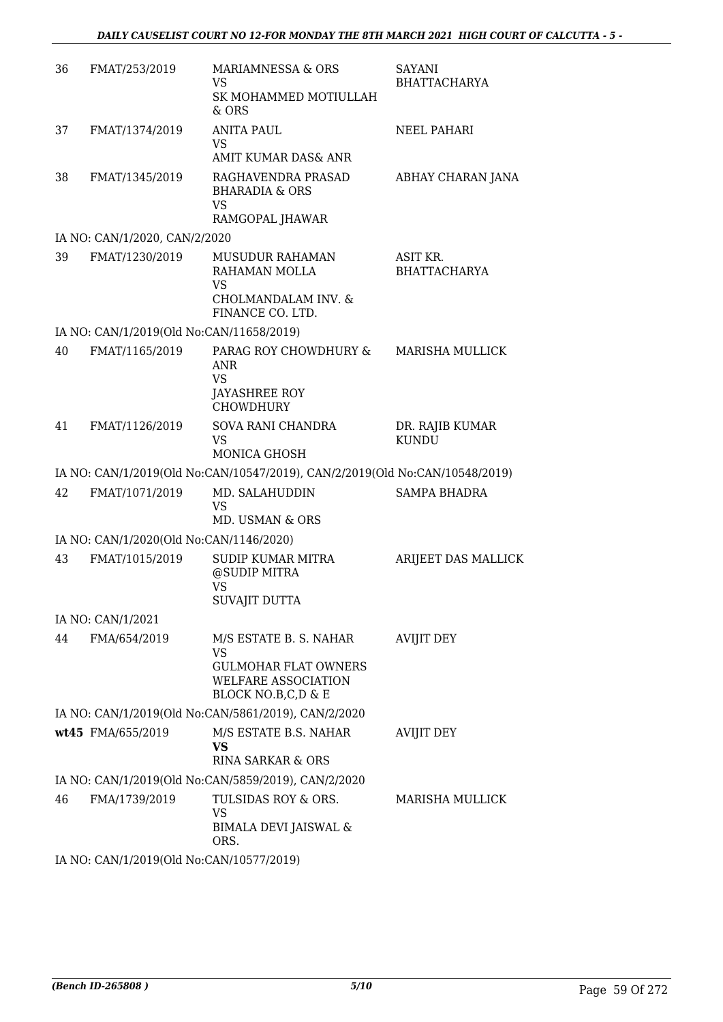| 36 | FMAT/253/2019                                       | MARIAMNESSA & ORS<br>VS.<br>SK MOHAMMED MOTIULLAH<br>$&$ ORS                                 | SAYANI<br><b>BHATTACHARYA</b>   |  |  |  |
|----|-----------------------------------------------------|----------------------------------------------------------------------------------------------|---------------------------------|--|--|--|
| 37 | FMAT/1374/2019                                      | <b>ANITA PAUL</b><br><b>VS</b><br>AMIT KUMAR DAS& ANR                                        | NEEL PAHARI                     |  |  |  |
| 38 | FMAT/1345/2019                                      | RAGHAVENDRA PRASAD<br><b>BHARADIA &amp; ORS</b><br><b>VS</b>                                 | ABHAY CHARAN JANA               |  |  |  |
|    |                                                     | RAMGOPAL JHAWAR                                                                              |                                 |  |  |  |
|    | IA NO: CAN/1/2020, CAN/2/2020                       |                                                                                              |                                 |  |  |  |
| 39 | FMAT/1230/2019                                      | MUSUDUR RAHAMAN<br>RAHAMAN MOLLA<br><b>VS</b><br>CHOLMANDALAM INV. &<br>FINANCE CO. LTD.     | ASIT KR.<br><b>BHATTACHARYA</b> |  |  |  |
|    | IA NO: CAN/1/2019(Old No:CAN/11658/2019)            |                                                                                              |                                 |  |  |  |
| 40 | FMAT/1165/2019                                      | PARAG ROY CHOWDHURY &<br><b>ANR</b><br><b>VS</b><br><b>JAYASHREE ROY</b><br><b>CHOWDHURY</b> | <b>MARISHA MULLICK</b>          |  |  |  |
| 41 | FMAT/1126/2019                                      | SOVA RANI CHANDRA<br><b>VS</b><br><b>MONICA GHOSH</b>                                        | DR. RAJIB KUMAR<br><b>KUNDU</b> |  |  |  |
|    |                                                     | IA NO: CAN/1/2019(Old No:CAN/10547/2019), CAN/2/2019(Old No:CAN/10548/2019)                  |                                 |  |  |  |
| 42 | FMAT/1071/2019                                      | MD. SALAHUDDIN<br>VS<br>MD. USMAN & ORS                                                      | <b>SAMPA BHADRA</b>             |  |  |  |
|    | IA NO: CAN/1/2020(Old No:CAN/1146/2020)             |                                                                                              |                                 |  |  |  |
| 43 | FMAT/1015/2019                                      | <b>SUDIP KUMAR MITRA</b><br>@SUDIP MITRA<br>VS<br><b>SUVAJIT DUTTA</b>                       | ARIJEET DAS MALLICK             |  |  |  |
|    | IA NO: CAN/1/2021                                   |                                                                                              |                                 |  |  |  |
| 44 | FMA/654/2019                                        | M/S ESTATE B. S. NAHAR<br><b>VS</b>                                                          | <b>AVIJIT DEY</b>               |  |  |  |
|    |                                                     | <b>GULMOHAR FLAT OWNERS</b><br>WELFARE ASSOCIATION<br>BLOCK NO.B,C,D & E                     |                                 |  |  |  |
|    | IA NO: CAN/1/2019(Old No:CAN/5861/2019), CAN/2/2020 |                                                                                              |                                 |  |  |  |
|    | wt45 FMA/655/2019                                   | M/S ESTATE B.S. NAHAR<br><b>VS</b><br><b>RINA SARKAR &amp; ORS</b>                           | <b>AVIJIT DEY</b>               |  |  |  |
|    |                                                     | IA NO: CAN/1/2019(Old No:CAN/5859/2019), CAN/2/2020                                          |                                 |  |  |  |
| 46 |                                                     |                                                                                              |                                 |  |  |  |
|    | FMA/1739/2019                                       | TULSIDAS ROY & ORS.<br>VS<br><b>BIMALA DEVI JAISWAL &amp;</b><br>ORS.                        | MARISHA MULLICK                 |  |  |  |

IA NO: CAN/1/2019(Old No:CAN/10577/2019)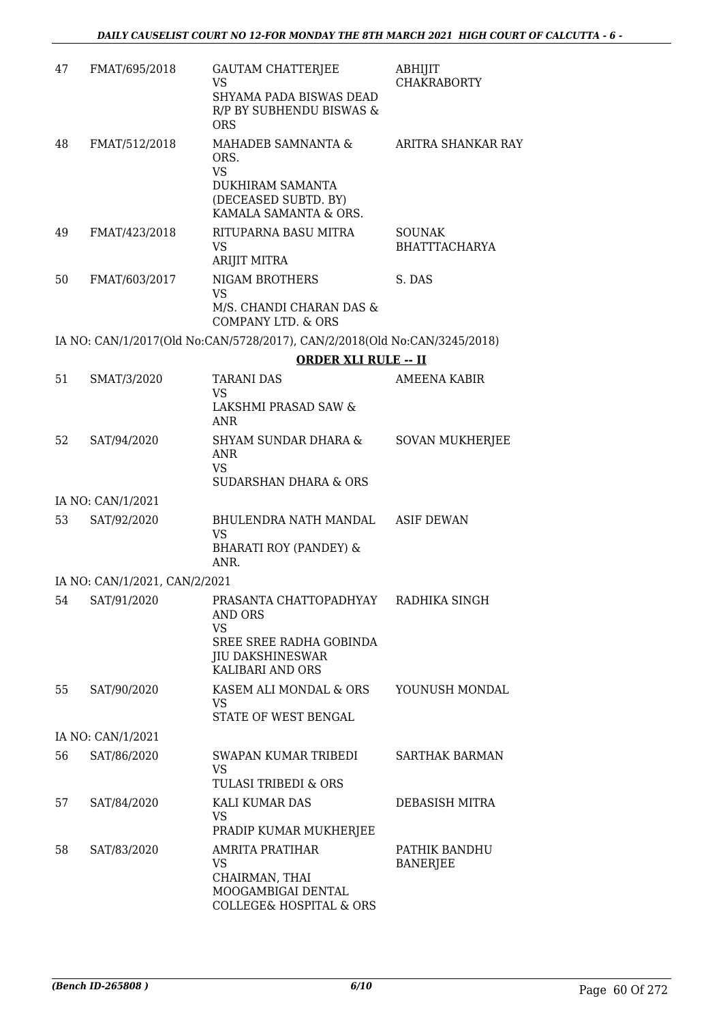| 47 | FMAT/695/2018                 | <b>GAUTAM CHATTERIEE</b><br><b>VS</b><br>SHYAMA PADA BISWAS DEAD<br>R/P BY SUBHENDU BISWAS &<br><b>ORS</b>                           | ABHIJIT<br><b>CHAKRABORTY</b>         |
|----|-------------------------------|--------------------------------------------------------------------------------------------------------------------------------------|---------------------------------------|
| 48 | FMAT/512/2018                 | MAHADEB SAMNANTA &<br>ORS.<br><b>VS</b><br>DUKHIRAM SAMANTA<br>(DECEASED SUBTD. BY)<br>KAMALA SAMANTA & ORS.                         | ARITRA SHANKAR RAY                    |
| 49 | FMAT/423/2018                 | RITUPARNA BASU MITRA<br><b>VS</b><br><b>ARIJIT MITRA</b>                                                                             | <b>SOUNAK</b><br><b>BHATTTACHARYA</b> |
| 50 | FMAT/603/2017                 | NIGAM BROTHERS<br><b>VS</b><br>M/S. CHANDI CHARAN DAS &<br><b>COMPANY LTD. &amp; ORS</b>                                             | S. DAS                                |
|    |                               | IA NO: CAN/1/2017(Old No:CAN/5728/2017), CAN/2/2018(Old No:CAN/3245/2018)                                                            |                                       |
|    |                               | <b>ORDER XLI RULE -- II</b>                                                                                                          |                                       |
| 51 | SMAT/3/2020                   | <b>TARANI DAS</b><br><b>VS</b><br>LAKSHMI PRASAD SAW &<br><b>ANR</b>                                                                 | <b>AMEENA KABIR</b>                   |
| 52 | SAT/94/2020                   | <b>SHYAM SUNDAR DHARA &amp;</b><br><b>ANR</b><br><b>VS</b><br><b>SUDARSHAN DHARA &amp; ORS</b>                                       | <b>SOVAN MUKHERJEE</b>                |
|    | IA NO: CAN/1/2021             |                                                                                                                                      |                                       |
| 53 | SAT/92/2020                   | BHULENDRA NATH MANDAL<br><b>VS</b><br><b>BHARATI ROY (PANDEY) &amp;</b><br>ANR.                                                      | <b>ASIF DEWAN</b>                     |
|    | IA NO: CAN/1/2021, CAN/2/2021 |                                                                                                                                      |                                       |
| 54 |                               | SAT/91/2020 PRASANTA CHATTOPADHYAY<br>AND ORS<br><b>VS</b><br>SREE SREE RADHA GOBINDA<br><b>JIU DAKSHINESWAR</b><br>KALIBARI AND ORS | RADHIKA SINGH                         |
| 55 | SAT/90/2020                   | KASEM ALI MONDAL & ORS<br>VS.<br>STATE OF WEST BENGAL                                                                                | YOUNUSH MONDAL                        |
|    | IA NO: CAN/1/2021             |                                                                                                                                      |                                       |
| 56 | SAT/86/2020                   | SWAPAN KUMAR TRIBEDI<br><b>VS</b><br>TULASI TRIBEDI & ORS                                                                            | <b>SARTHAK BARMAN</b>                 |
| 57 | SAT/84/2020                   | KALI KUMAR DAS<br>VS<br>PRADIP KUMAR MUKHERJEE                                                                                       | DEBASISH MITRA                        |
| 58 | SAT/83/2020                   | <b>AMRITA PRATIHAR</b><br><b>VS</b><br>CHAIRMAN, THAI<br>MOOGAMBIGAI DENTAL<br><b>COLLEGE&amp; HOSPITAL &amp; ORS</b>                | PATHIK BANDHU<br><b>BANERJEE</b>      |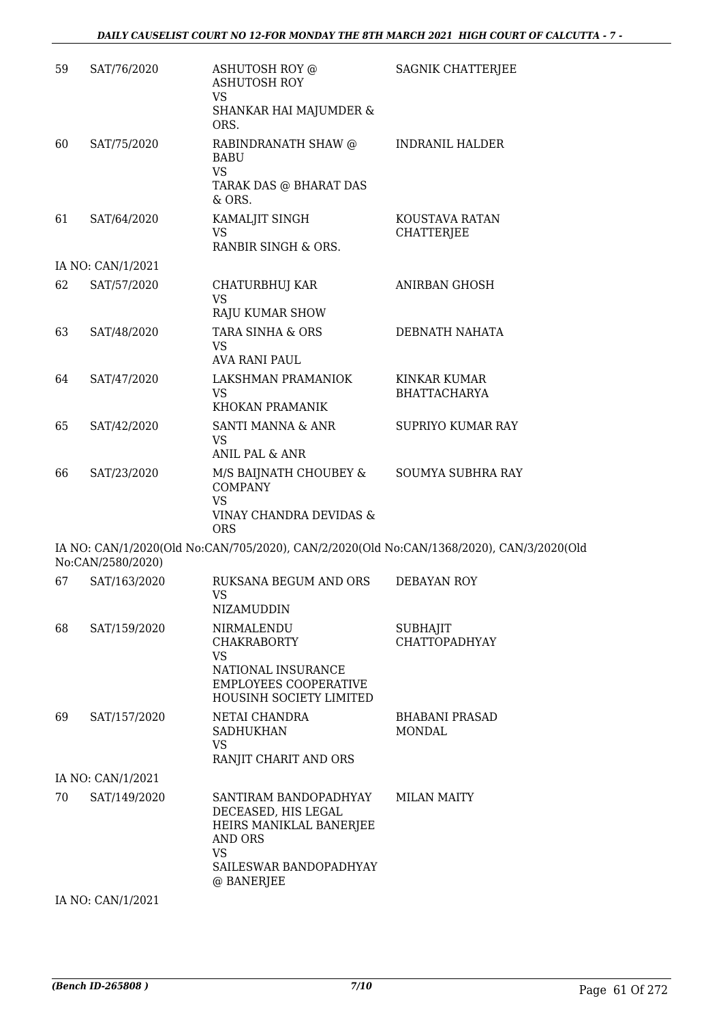| 59 | SAT/76/2020       | ASHUTOSH ROY @<br><b>ASHUTOSH ROY</b><br><b>VS</b>                                             | SAGNIK CHATTERJEE                                                                        |
|----|-------------------|------------------------------------------------------------------------------------------------|------------------------------------------------------------------------------------------|
|    |                   | SHANKAR HAI MAJUMDER &<br>ORS.                                                                 |                                                                                          |
| 60 | SAT/75/2020       | RABINDRANATH SHAW @<br><b>BABU</b><br><b>VS</b><br>TARAK DAS @ BHARAT DAS<br>$&$ ORS.          | <b>INDRANIL HALDER</b>                                                                   |
| 61 | SAT/64/2020       | KAMALJIT SINGH<br>VS.<br>RANBIR SINGH & ORS.                                                   | KOUSTAVA RATAN<br><b>CHATTERJEE</b>                                                      |
|    | IA NO: CAN/1/2021 |                                                                                                |                                                                                          |
| 62 | SAT/57/2020       | CHATURBHUJ KAR<br><b>VS</b><br><b>RAJU KUMAR SHOW</b>                                          | ANIRBAN GHOSH                                                                            |
| 63 | SAT/48/2020       | TARA SINHA & ORS<br>VS.<br>AVA RANI PAUL                                                       | DEBNATH NAHATA                                                                           |
| 64 | SAT/47/2020       | LAKSHMAN PRAMANIOK<br>VS<br>KHOKAN PRAMANIK                                                    | <b>KINKAR KUMAR</b><br><b>BHATTACHARYA</b>                                               |
| 65 | SAT/42/2020       | SANTI MANNA & ANR<br><b>VS</b><br><b>ANIL PAL &amp; ANR</b>                                    | <b>SUPRIYO KUMAR RAY</b>                                                                 |
| 66 | SAT/23/2020       | M/S BAIJNATH CHOUBEY &<br><b>COMPANY</b><br><b>VS</b><br>VINAY CHANDRA DEVIDAS &<br><b>ORS</b> | SOUMYA SUBHRA RAY                                                                        |
|    | No:CAN/2580/2020) |                                                                                                | IA NO: CAN/1/2020(Old No:CAN/705/2020), CAN/2/2020(Old No:CAN/1368/2020), CAN/3/2020(Old |
| 67 | SAT/163/2020      | RUKSANA BEGUM AND ORS<br><b>VS</b><br>NIZAMUDDIN                                               | DEBAYAN ROY                                                                              |
| 68 | SAT/159/2020      | NIRMALENDU<br><b>CHAKRABORTY</b><br>VS.                                                        | <b>SUBHAJIT</b><br><b>CHATTOPADHYAY</b>                                                  |
|    |                   | NATIONAL INSURANCE<br><b>EMPLOYEES COOPERATIVE</b><br>HOUSINH SOCIETY LIMITED                  |                                                                                          |
| 69 | SAT/157/2020      | NETAI CHANDRA<br><b>SADHUKHAN</b><br>VS.<br>RANJIT CHARIT AND ORS                              | <b>BHABANI PRASAD</b><br>MONDAL                                                          |
|    | IA NO: CAN/1/2021 |                                                                                                |                                                                                          |
| 70 | SAT/149/2020      | SANTIRAM BANDOPADHYAY<br>DECEASED, HIS LEGAL<br>HEIRS MANIKLAL BANERJEE<br>AND ORS<br>VS       | <b>MILAN MAITY</b>                                                                       |
|    |                   | SAILESWAR BANDOPADHYAY<br>@ BANERJEE                                                           |                                                                                          |
|    | IA NO: CAN/1/2021 |                                                                                                |                                                                                          |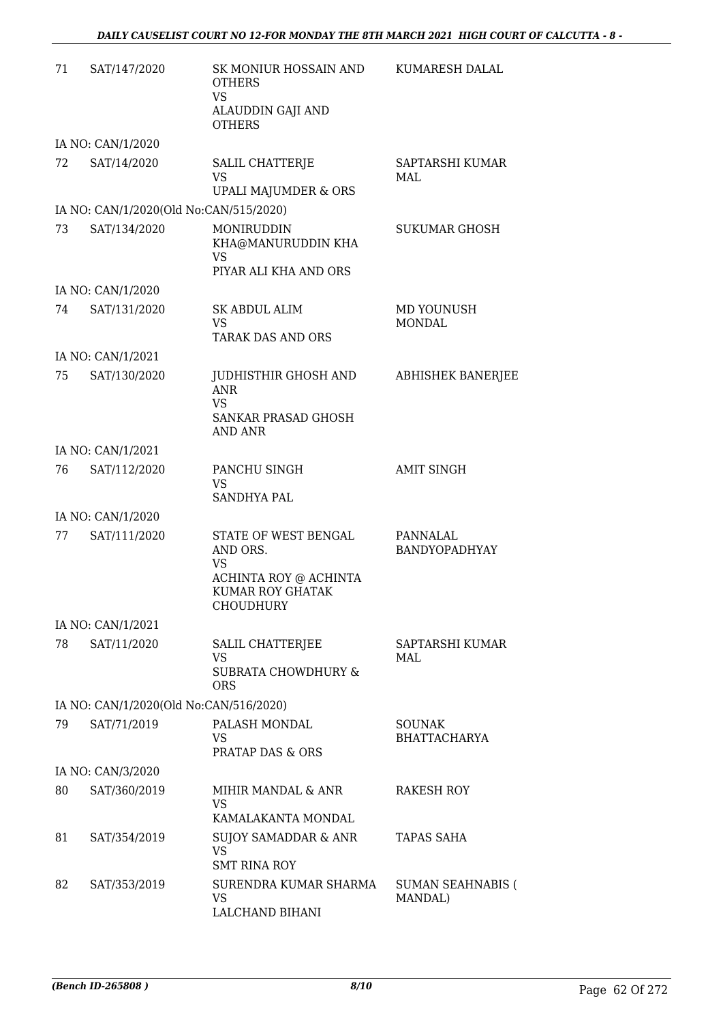| 71 | SAT/147/2020                           | SK MONIUR HOSSAIN AND<br><b>OTHERS</b><br><b>VS</b><br>ALAUDDIN GAJI AND                         | KUMARESH DALAL                       |
|----|----------------------------------------|--------------------------------------------------------------------------------------------------|--------------------------------------|
|    |                                        | <b>OTHERS</b>                                                                                    |                                      |
|    | IA NO: CAN/1/2020                      |                                                                                                  |                                      |
| 72 | SAT/14/2020                            | SALIL CHATTERJE<br><b>VS</b><br>UPALI MAJUMDER & ORS                                             | SAPTARSHI KUMAR<br>MAL               |
|    | IA NO: CAN/1/2020(Old No:CAN/515/2020) |                                                                                                  |                                      |
| 73 | SAT/134/2020                           | MONIRUDDIN<br>KHA@MANURUDDIN KHA<br><b>VS</b><br>PIYAR ALI KHA AND ORS                           | <b>SUKUMAR GHOSH</b>                 |
|    | IA NO: CAN/1/2020                      |                                                                                                  |                                      |
| 74 | SAT/131/2020                           | <b>SK ABDUL ALIM</b><br><b>VS</b><br><b>TARAK DAS AND ORS</b>                                    | MD YOUNUSH<br><b>MONDAL</b>          |
|    | IA NO: CAN/1/2021                      |                                                                                                  |                                      |
| 75 | SAT/130/2020                           | JUDHISTHIR GHOSH AND<br><b>ANR</b><br><b>VS</b><br>SANKAR PRASAD GHOSH<br><b>AND ANR</b>         | <b>ABHISHEK BANERJEE</b>             |
|    | IA NO: CAN/1/2021                      |                                                                                                  |                                      |
| 76 | SAT/112/2020                           | PANCHU SINGH<br><b>VS</b><br><b>SANDHYA PAL</b>                                                  | <b>AMIT SINGH</b>                    |
|    | IA NO: CAN/1/2020                      |                                                                                                  |                                      |
| 77 | SAT/111/2020                           | STATE OF WEST BENGAL<br>AND ORS.<br>VS<br>ACHINTA ROY @ ACHINTA<br>KUMAR ROY GHATAK<br>CHOUDHURY | PANNALAL<br>BANDYOPADHYAY            |
|    | IA NO: CAN/1/2021                      |                                                                                                  |                                      |
| 78 | SAT/11/2020                            | SALIL CHATTERJEE<br>VS<br><b>SUBRATA CHOWDHURY &amp;</b><br><b>ORS</b>                           | SAPTARSHI KUMAR<br>MAL               |
|    | IA NO: CAN/1/2020(Old No:CAN/516/2020) |                                                                                                  |                                      |
| 79 | SAT/71/2019                            | PALASH MONDAL<br>VS.<br><b>PRATAP DAS &amp; ORS</b>                                              | <b>SOUNAK</b><br><b>BHATTACHARYA</b> |
|    | IA NO: CAN/3/2020                      |                                                                                                  |                                      |
| 80 | SAT/360/2019                           | MIHIR MANDAL & ANR<br><b>VS</b><br>KAMALAKANTA MONDAL                                            | RAKESH ROY                           |
| 81 | SAT/354/2019                           | <b>SUJOY SAMADDAR &amp; ANR</b><br><b>VS</b><br><b>SMT RINA ROY</b>                              | TAPAS SAHA                           |
| 82 | SAT/353/2019                           | SURENDRA KUMAR SHARMA<br>VS.<br>LALCHAND BIHANI                                                  | <b>SUMAN SEAHNABIS (</b><br>MANDAL)  |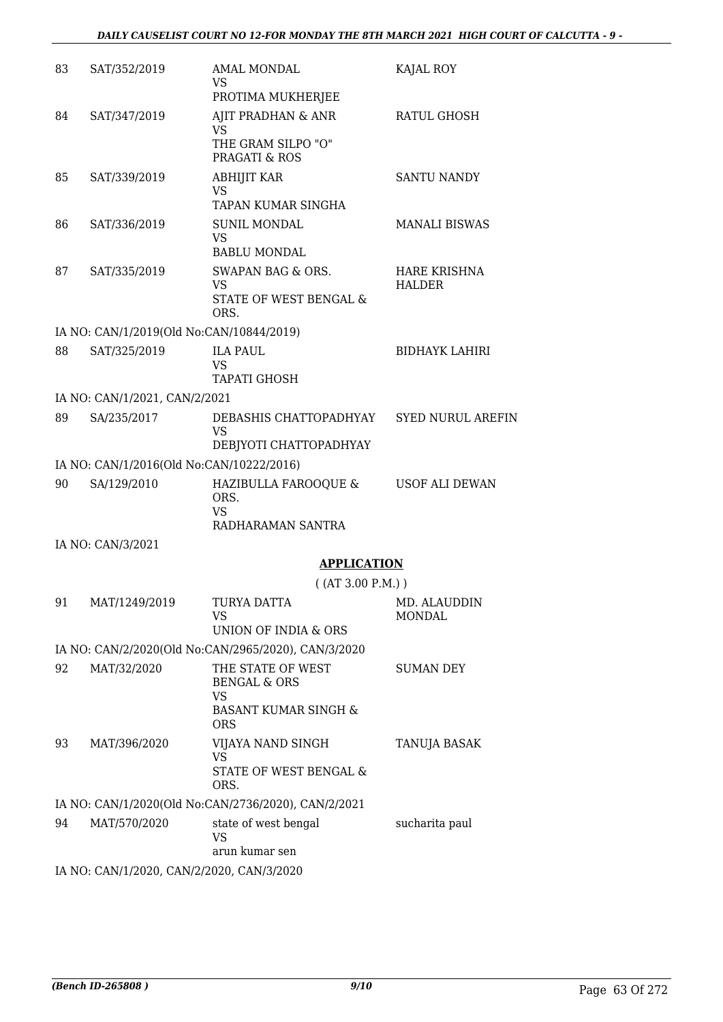| 83 | SAT/352/2019                             | <b>AMAL MONDAL</b><br><b>VS</b>                      | KAJAL ROY                            |
|----|------------------------------------------|------------------------------------------------------|--------------------------------------|
|    |                                          | PROTIMA MUKHERJEE                                    |                                      |
| 84 | SAT/347/2019                             | AJIT PRADHAN & ANR<br>VS.                            | RATUL GHOSH                          |
|    |                                          | THE GRAM SILPO "O"<br>PRAGATI & ROS                  |                                      |
| 85 | SAT/339/2019                             | <b>ABHIJIT KAR</b><br><b>VS</b>                      | <b>SANTU NANDY</b>                   |
|    |                                          | TAPAN KUMAR SINGHA                                   |                                      |
| 86 | SAT/336/2019                             | <b>SUNIL MONDAL</b><br>VS.                           | <b>MANALI BISWAS</b>                 |
|    |                                          | <b>BABLU MONDAL</b>                                  |                                      |
| 87 | SAT/335/2019                             | SWAPAN BAG & ORS.<br>VS<br>STATE OF WEST BENGAL &    | <b>HARE KRISHNA</b><br><b>HALDER</b> |
|    |                                          | ORS.                                                 |                                      |
|    | IA NO: CAN/1/2019(Old No:CAN/10844/2019) |                                                      |                                      |
| 88 | SAT/325/2019                             | <b>ILA PAUL</b><br><b>VS</b><br><b>TAPATI GHOSH</b>  | <b>BIDHAYK LAHIRI</b>                |
|    | IA NO: CAN/1/2021, CAN/2/2021            |                                                      |                                      |
| 89 | SA/235/2017                              | DEBASHIS CHATTOPADHYAY                               | <b>SYED NURUL AREFIN</b>             |
|    |                                          | <b>VS</b><br>DEBIYOTI CHATTOPADHYAY                  |                                      |
|    | IA NO: CAN/1/2016(Old No:CAN/10222/2016) |                                                      |                                      |
| 90 | SA/129/2010                              | HAZIBULLA FAROOQUE &<br>ORS.                         | <b>USOF ALI DEWAN</b>                |
|    |                                          | <b>VS</b><br>RADHARAMAN SANTRA                       |                                      |
|    | IA NO: CAN/3/2021                        |                                                      |                                      |
|    |                                          | <b>APPLICATION</b>                                   |                                      |
|    |                                          | ( (AT 3.00 P.M.) )                                   |                                      |
| 91 | MAT/1249/2019                            | TURYA DATTA                                          | MD. ALAUDDIN                         |
|    |                                          | VS.<br><b>UNION OF INDIA &amp; ORS</b>               | <b>MONDAL</b>                        |
|    |                                          | IA NO: CAN/2/2020(Old No:CAN/2965/2020), CAN/3/2020  |                                      |
| 92 | MAT/32/2020                              | THE STATE OF WEST<br><b>BENGAL &amp; ORS</b>         | SUMAN DEY                            |
|    |                                          | VS.<br><b>BASANT KUMAR SINGH &amp;</b><br><b>ORS</b> |                                      |
| 93 | MAT/396/2020                             | VIJAYA NAND SINGH                                    | TANUJA BASAK                         |
|    |                                          | VS                                                   |                                      |
|    |                                          | STATE OF WEST BENGAL &<br>ORS.                       |                                      |
|    |                                          | IA NO: CAN/1/2020(Old No:CAN/2736/2020), CAN/2/2021  |                                      |
| 94 | MAT/570/2020                             | state of west bengal<br>VS<br>arun kumar sen         | sucharita paul                       |
|    |                                          |                                                      |                                      |

IA NO: CAN/1/2020, CAN/2/2020, CAN/3/2020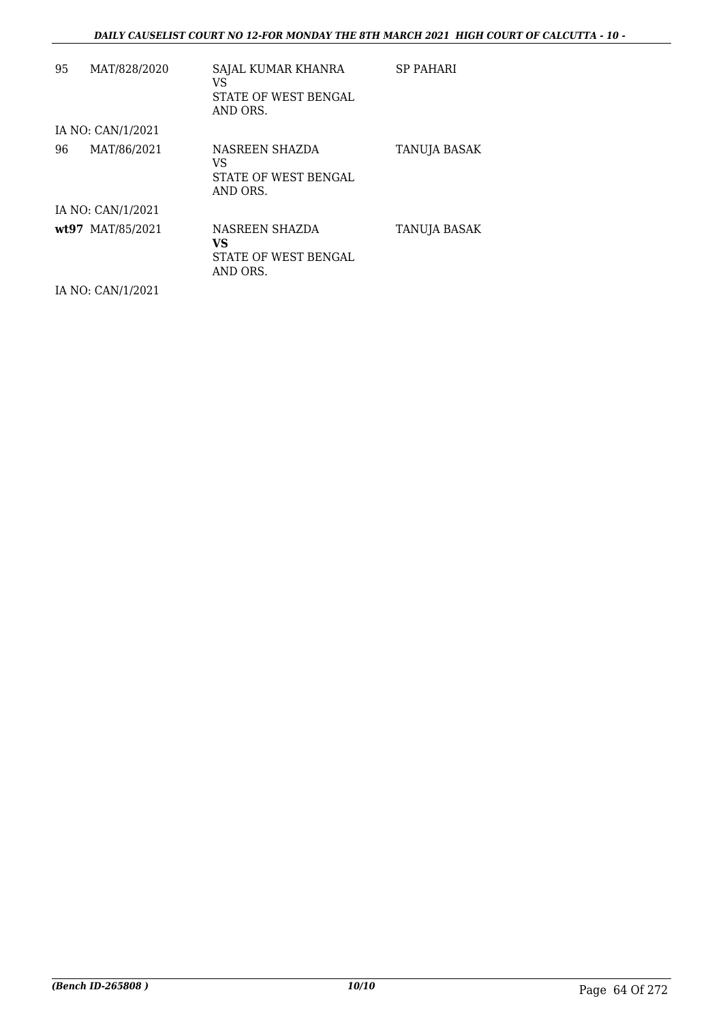| 95 | MAT/828/2020      | SAJAL KUMAR KHANRA<br>VS<br><b>STATE OF WEST BENGAL</b><br>AND ORS. | <b>SP PAHARI</b> |
|----|-------------------|---------------------------------------------------------------------|------------------|
|    | IA NO: CAN/1/2021 |                                                                     |                  |
| 96 | MAT/86/2021       | NASREEN SHAZDA<br>VS<br>STATE OF WEST BENGAL<br>AND ORS.            | TANUJA BASAK     |
|    | IA NO: CAN/1/2021 |                                                                     |                  |
|    | wt97 MAT/85/2021  | NASREEN SHAZDA<br>VS<br>STATE OF WEST BENGAL<br>AND ORS.            | TANUJA BASAK     |
|    | IA NO: CAN/1/2021 |                                                                     |                  |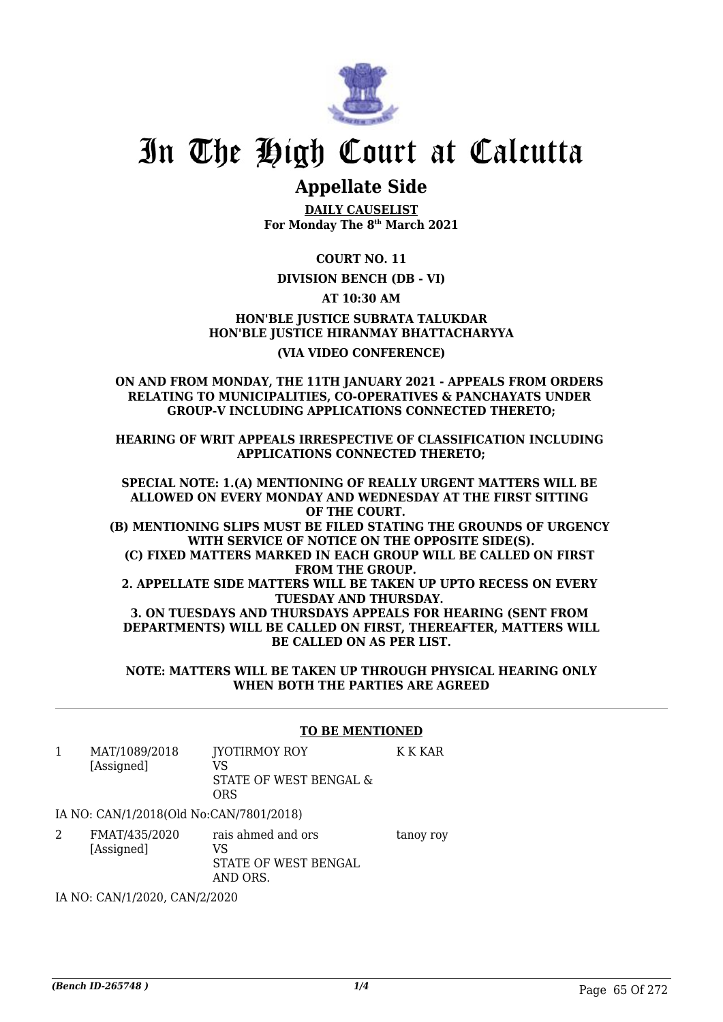

## **Appellate Side**

**DAILY CAUSELIST For Monday The 8th March 2021**

**COURT NO. 11**

## **DIVISION BENCH (DB - VI)**

**AT 10:30 AM**

**HON'BLE JUSTICE SUBRATA TALUKDAR HON'BLE JUSTICE HIRANMAY BHATTACHARYYA (VIA VIDEO CONFERENCE)**

### **ON AND FROM MONDAY, THE 11TH JANUARY 2021 - APPEALS FROM ORDERS RELATING TO MUNICIPALITIES, CO-OPERATIVES & PANCHAYATS UNDER GROUP-V INCLUDING APPLICATIONS CONNECTED THERETO;**

**HEARING OF WRIT APPEALS IRRESPECTIVE OF CLASSIFICATION INCLUDING APPLICATIONS CONNECTED THERETO;**

**SPECIAL NOTE: 1.(A) MENTIONING OF REALLY URGENT MATTERS WILL BE ALLOWED ON EVERY MONDAY AND WEDNESDAY AT THE FIRST SITTING OF THE COURT. (B) MENTIONING SLIPS MUST BE FILED STATING THE GROUNDS OF URGENCY WITH SERVICE OF NOTICE ON THE OPPOSITE SIDE(S). (C) FIXED MATTERS MARKED IN EACH GROUP WILL BE CALLED ON FIRST FROM THE GROUP. 2. APPELLATE SIDE MATTERS WILL BE TAKEN UP UPTO RECESS ON EVERY TUESDAY AND THURSDAY. 3. ON TUESDAYS AND THURSDAYS APPEALS FOR HEARING (SENT FROM DEPARTMENTS) WILL BE CALLED ON FIRST, THEREAFTER, MATTERS WILL BE CALLED ON AS PER LIST.**

**NOTE: MATTERS WILL BE TAKEN UP THROUGH PHYSICAL HEARING ONLY WHEN BOTH THE PARTIES ARE AGREED**

|   |                                         | <b>TO BE MENTIONED</b>                                       |           |
|---|-----------------------------------------|--------------------------------------------------------------|-----------|
| 1 | MAT/1089/2018<br>[Assigned]             | JYOTIRMOY ROY<br>VS<br>STATE OF WEST BENGAL &<br><b>ORS</b>  | K K KAR   |
|   | IA NO: CAN/1/2018(Old No:CAN/7801/2018) |                                                              |           |
|   | FMAT/435/2020<br>[Assigned]             | rais ahmed and ors<br>VS<br>STATE OF WEST BENGAL<br>AND ORS. | tanoy roy |

IA NO: CAN/1/2020, CAN/2/2020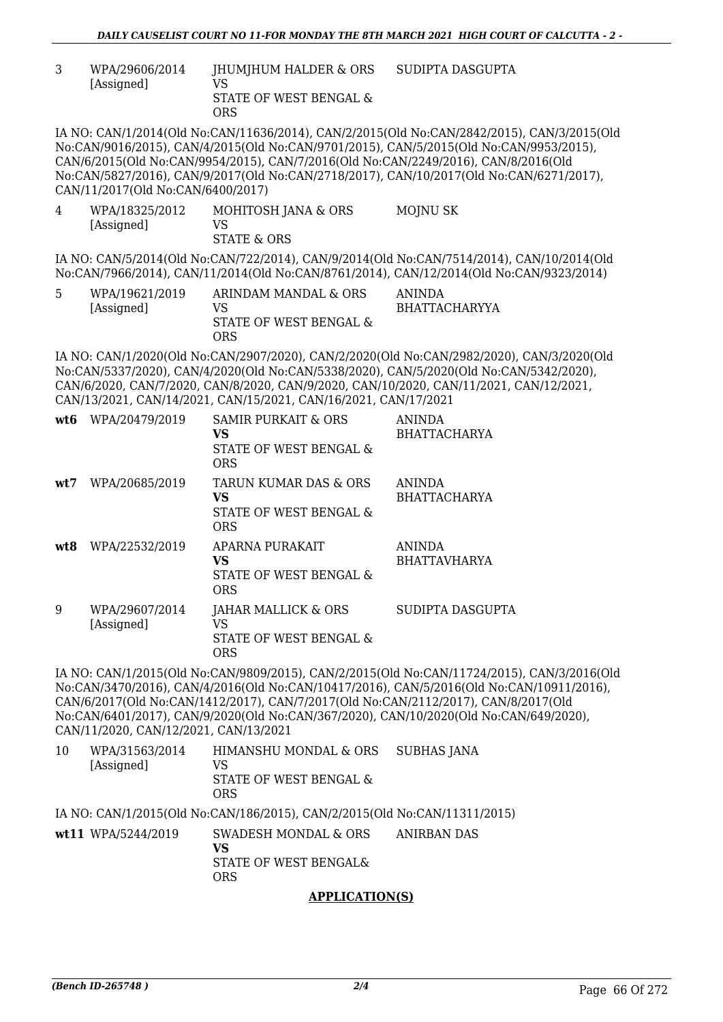3 WPA/29606/2014 [Assigned] JHUMJHUM HALDER & ORS VS STATE OF WEST BENGAL & ORS SUDIPTA DASGUPTA

IA NO: CAN/1/2014(Old No:CAN/11636/2014), CAN/2/2015(Old No:CAN/2842/2015), CAN/3/2015(Old No:CAN/9016/2015), CAN/4/2015(Old No:CAN/9701/2015), CAN/5/2015(Old No:CAN/9953/2015), CAN/6/2015(Old No:CAN/9954/2015), CAN/7/2016(Old No:CAN/2249/2016), CAN/8/2016(Old No:CAN/5827/2016), CAN/9/2017(Old No:CAN/2718/2017), CAN/10/2017(Old No:CAN/6271/2017), CAN/11/2017(Old No:CAN/6400/2017)

4 WPA/18325/2012 [Assigned] MOHITOSH JANA & ORS VS STATE & ORS MOJNU SK

IA NO: CAN/5/2014(Old No:CAN/722/2014), CAN/9/2014(Old No:CAN/7514/2014), CAN/10/2014(Old No:CAN/7966/2014), CAN/11/2014(Old No:CAN/8761/2014), CAN/12/2014(Old No:CAN/9323/2014)

5 WPA/19621/2019 [Assigned] ARINDAM MANDAL & ORS VS STATE OF WEST BENGAL & ORS ANINDA BHATTACHARYYA

IA NO: CAN/1/2020(Old No:CAN/2907/2020), CAN/2/2020(Old No:CAN/2982/2020), CAN/3/2020(Old No:CAN/5337/2020), CAN/4/2020(Old No:CAN/5338/2020), CAN/5/2020(Old No:CAN/5342/2020), CAN/6/2020, CAN/7/2020, CAN/8/2020, CAN/9/2020, CAN/10/2020, CAN/11/2021, CAN/12/2021, CAN/13/2021, CAN/14/2021, CAN/15/2021, CAN/16/2021, CAN/17/2021

| wt6 | WPA/20479/2019               | SAMIR PURKAIT & ORS<br>VS<br>STATE OF WEST BENGAL &<br><b>ORS</b>   | <b>ANINDA</b><br><b>BHATTACHARYA</b> |
|-----|------------------------------|---------------------------------------------------------------------|--------------------------------------|
| wt7 | WPA/20685/2019               | TARUN KUMAR DAS & ORS<br>VS<br>STATE OF WEST BENGAL &<br><b>ORS</b> | <b>ANINDA</b><br><b>BHATTACHARYA</b> |
| wt8 | WPA/22532/2019               | APARNA PURAKAIT<br>VS<br>STATE OF WEST BENGAL &<br><b>ORS</b>       | <b>ANINDA</b><br><b>BHATTAVHARYA</b> |
| 9   | WPA/29607/2014<br>[Assigned] | JAHAR MALLICK & ORS<br>VS<br>STATE OF WEST BENGAL &<br><b>ORS</b>   | SUDIPTA DASGUPTA                     |

IA NO: CAN/1/2015(Old No:CAN/9809/2015), CAN/2/2015(Old No:CAN/11724/2015), CAN/3/2016(Old No:CAN/3470/2016), CAN/4/2016(Old No:CAN/10417/2016), CAN/5/2016(Old No:CAN/10911/2016), CAN/6/2017(Old No:CAN/1412/2017), CAN/7/2017(Old No:CAN/2112/2017), CAN/8/2017(Old No:CAN/6401/2017), CAN/9/2020(Old No:CAN/367/2020), CAN/10/2020(Old No:CAN/649/2020), CAN/11/2020, CAN/12/2021, CAN/13/2021

10 WPA/31563/2014 [Assigned] HIMANSHU MONDAL & ORS VS STATE OF WEST BENGAL & ORS SUBHAS JANA

IA NO: CAN/1/2015(Old No:CAN/186/2015), CAN/2/2015(Old No:CAN/11311/2015)

**wt11** WPA/5244/2019 SWADESH MONDAL & ORS **VS** STATE OF WEST BENGAL& ORS ANIRBAN DAS

## **APPLICATION(S)**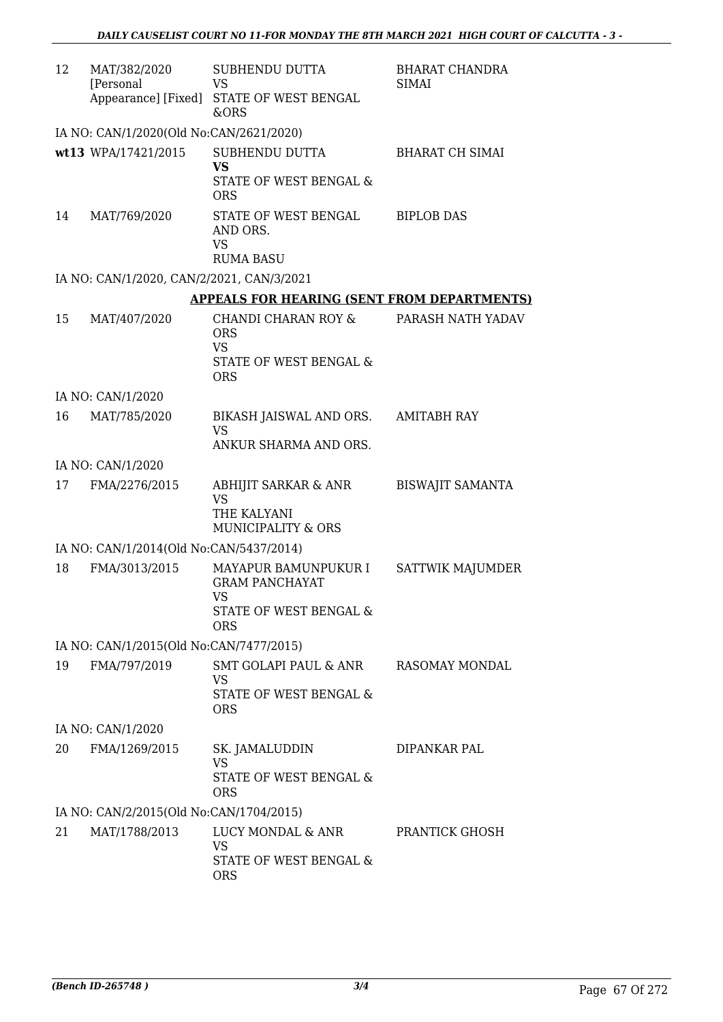| 12 | MAT/382/2020<br>[Personal                 | SUBHENDU DUTTA<br><b>VS</b>                                                                  | <b>BHARAT CHANDRA</b><br><b>SIMAI</b> |
|----|-------------------------------------------|----------------------------------------------------------------------------------------------|---------------------------------------|
|    |                                           | Appearance] [Fixed] STATE OF WEST BENGAL<br><b>&amp;ORS</b>                                  |                                       |
|    | IA NO: CAN/1/2020(Old No:CAN/2621/2020)   |                                                                                              |                                       |
|    | wt13 WPA/17421/2015                       | SUBHENDU DUTTA<br><b>VS</b><br><b>STATE OF WEST BENGAL &amp;</b><br><b>ORS</b>               | <b>BHARAT CH SIMAI</b>                |
| 14 | MAT/769/2020                              | STATE OF WEST BENGAL<br>AND ORS.<br><b>VS</b><br><b>RUMA BASU</b>                            | <b>BIPLOB DAS</b>                     |
|    | IA NO: CAN/1/2020, CAN/2/2021, CAN/3/2021 |                                                                                              |                                       |
|    |                                           | <b>APPEALS FOR HEARING (SENT FROM DEPARTMENTS)</b>                                           |                                       |
| 15 | MAT/407/2020                              | CHANDI CHARAN ROY &<br><b>ORS</b><br><b>VS</b><br><b>STATE OF WEST BENGAL &amp;</b>          | PARASH NATH YADAV                     |
|    |                                           | <b>ORS</b>                                                                                   |                                       |
|    | IA NO: CAN/1/2020                         |                                                                                              |                                       |
| 16 | MAT/785/2020                              | BIKASH JAISWAL AND ORS.<br><b>VS</b><br>ANKUR SHARMA AND ORS.                                | AMITABH RAY                           |
|    | IA NO: CAN/1/2020                         |                                                                                              |                                       |
| 17 | FMA/2276/2015                             | ABHIJIT SARKAR & ANR<br><b>VS</b><br>THE KALYANI                                             | <b>BISWAJIT SAMANTA</b>               |
|    |                                           | <b>MUNICIPALITY &amp; ORS</b>                                                                |                                       |
|    | IA NO: CAN/1/2014(Old No:CAN/5437/2014)   |                                                                                              |                                       |
| 18 | FMA/3013/2015                             | MAYAPUR BAMUNPUKUR I<br><b>GRAM PANCHAYAT</b><br>VS.<br>STATE OF WEST BENGAL &<br><b>ORS</b> | <b>SATTWIK MAJUMDER</b>               |
|    | IA NO: CAN/1/2015(Old No:CAN/7477/2015)   |                                                                                              |                                       |
| 19 | FMA/797/2019                              | SMT GOLAPI PAUL & ANR<br><b>VS</b><br>STATE OF WEST BENGAL &<br><b>ORS</b>                   | RASOMAY MONDAL                        |
|    | IA NO: CAN/1/2020                         |                                                                                              |                                       |
| 20 | FMA/1269/2015                             | SK. JAMALUDDIN                                                                               | DIPANKAR PAL                          |
|    |                                           | <b>VS</b><br>STATE OF WEST BENGAL &<br><b>ORS</b>                                            |                                       |
|    | IA NO: CAN/2/2015(Old No:CAN/1704/2015)   |                                                                                              |                                       |
| 21 | MAT/1788/2013                             | LUCY MONDAL & ANR<br><b>VS</b><br>STATE OF WEST BENGAL &<br><b>ORS</b>                       | PRANTICK GHOSH                        |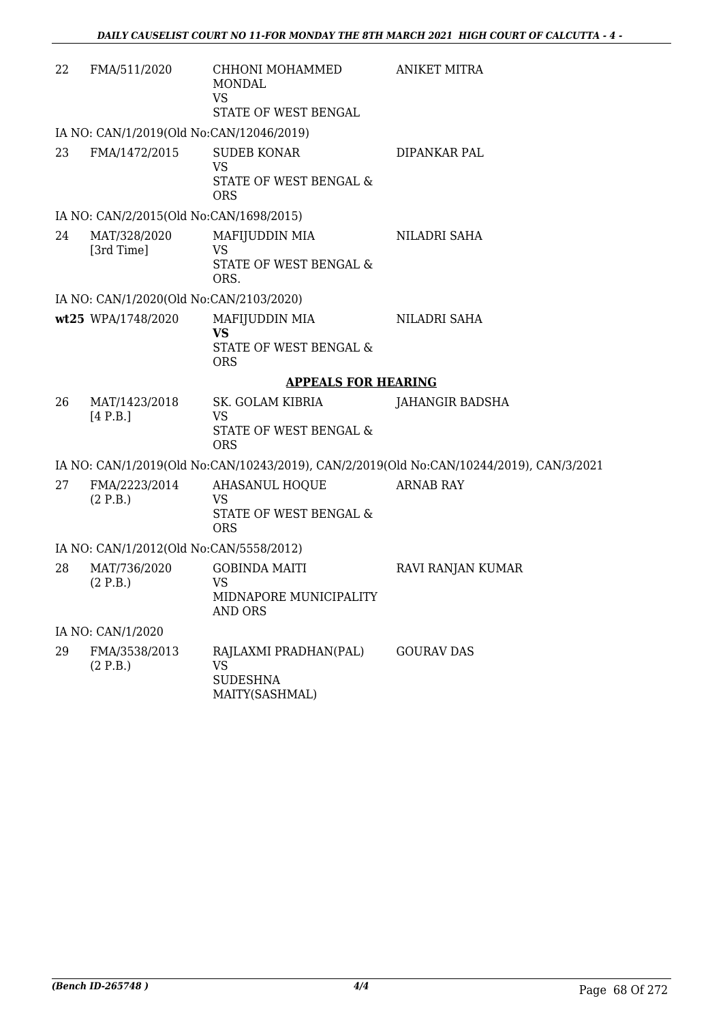| 22                                      | FMA/511/2020                             | CHHONI MOHAMMED<br><b>MONDAL</b><br><b>VS</b><br>STATE OF WEST BENGAL   | <b>ANIKET MITRA</b>                                                                     |  |
|-----------------------------------------|------------------------------------------|-------------------------------------------------------------------------|-----------------------------------------------------------------------------------------|--|
|                                         | IA NO: CAN/1/2019(Old No:CAN/12046/2019) |                                                                         |                                                                                         |  |
| 23                                      | FMA/1472/2015                            | <b>SUDEB KONAR</b><br><b>VS</b><br>STATE OF WEST BENGAL &<br><b>ORS</b> | DIPANKAR PAL                                                                            |  |
|                                         | IA NO: CAN/2/2015(Old No:CAN/1698/2015)  |                                                                         |                                                                                         |  |
| 24                                      | MAT/328/2020<br>[3rd Time]               | MAFIJUDDIN MIA<br><b>VS</b><br>STATE OF WEST BENGAL &<br>ORS.           | NILADRI SAHA                                                                            |  |
|                                         | IA NO: CAN/1/2020(Old No:CAN/2103/2020)  |                                                                         |                                                                                         |  |
|                                         | wt25 WPA/1748/2020                       | MAFIJUDDIN MIA<br><b>VS</b><br>STATE OF WEST BENGAL &<br><b>ORS</b>     | NILADRI SAHA                                                                            |  |
|                                         |                                          | <b>APPEALS FOR HEARING</b>                                              |                                                                                         |  |
| 26                                      | MAT/1423/2018<br>[4 P.B.]                | SK. GOLAM KIBRIA<br><b>VS</b><br>STATE OF WEST BENGAL &<br><b>ORS</b>   | JAHANGIR BADSHA                                                                         |  |
|                                         |                                          |                                                                         | IA NO: CAN/1/2019(Old No:CAN/10243/2019), CAN/2/2019(Old No:CAN/10244/2019), CAN/3/2021 |  |
| 27                                      | FMA/2223/2014<br>(2 P.B.)                | AHASANUL HOQUE<br><b>VS</b><br>STATE OF WEST BENGAL &<br><b>ORS</b>     | <b>ARNAB RAY</b>                                                                        |  |
| IA NO: CAN/1/2012(Old No:CAN/5558/2012) |                                          |                                                                         |                                                                                         |  |
| 28                                      | MAT/736/2020<br>(2 P.B.)                 | <b>GOBINDA MAITI</b><br><b>VS</b><br>MIDNAPORE MUNICIPALITY<br>AND ORS  | RAVI RANJAN KUMAR                                                                       |  |
| IA NO: CAN/1/2020                       |                                          |                                                                         |                                                                                         |  |
| 29                                      | FMA/3538/2013<br>(2 P.B.)                | RAJLAXMI PRADHAN(PAL)<br><b>VS</b><br><b>SUDESHNA</b><br>MAITY(SASHMAL) | <b>GOURAV DAS</b>                                                                       |  |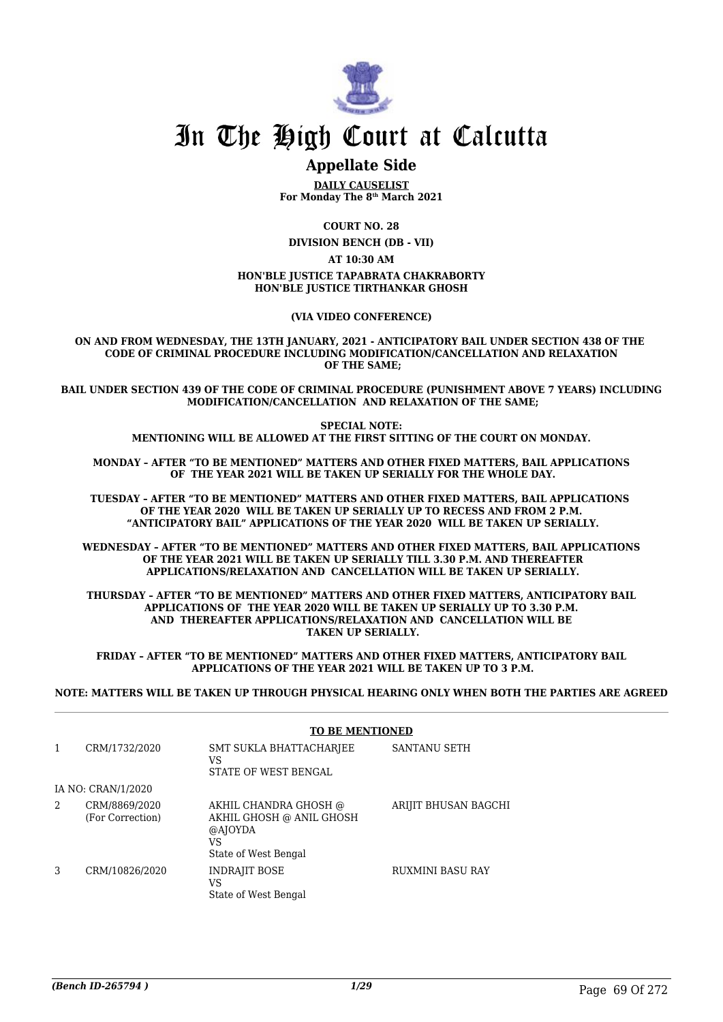

## **Appellate Side**

**DAILY CAUSELIST For Monday The 8th March 2021**

**COURT NO. 28**

**DIVISION BENCH (DB - VII)**

**AT 10:30 AM**

#### **HON'BLE JUSTICE TAPABRATA CHAKRABORTY HON'BLE JUSTICE TIRTHANKAR GHOSH**

**(VIA VIDEO CONFERENCE)**

**ON AND FROM WEDNESDAY, THE 13TH JANUARY, 2021 - ANTICIPATORY BAIL UNDER SECTION 438 OF THE CODE OF CRIMINAL PROCEDURE INCLUDING MODIFICATION/CANCELLATION AND RELAXATION OF THE SAME;**

**BAIL UNDER SECTION 439 OF THE CODE OF CRIMINAL PROCEDURE (PUNISHMENT ABOVE 7 YEARS) INCLUDING MODIFICATION/CANCELLATION AND RELAXATION OF THE SAME;**

> **SPECIAL NOTE: MENTIONING WILL BE ALLOWED AT THE FIRST SITTING OF THE COURT ON MONDAY.**

**MONDAY – AFTER "TO BE MENTIONED" MATTERS AND OTHER FIXED MATTERS, BAIL APPLICATIONS OF THE YEAR 2021 WILL BE TAKEN UP SERIALLY FOR THE WHOLE DAY.**

**TUESDAY – AFTER "TO BE MENTIONED" MATTERS AND OTHER FIXED MATTERS, BAIL APPLICATIONS OF THE YEAR 2020 WILL BE TAKEN UP SERIALLY UP TO RECESS AND FROM 2 P.M. "ANTICIPATORY BAIL" APPLICATIONS OF THE YEAR 2020 WILL BE TAKEN UP SERIALLY.**

**WEDNESDAY – AFTER "TO BE MENTIONED" MATTERS AND OTHER FIXED MATTERS, BAIL APPLICATIONS OF THE YEAR 2021 WILL BE TAKEN UP SERIALLY TILL 3.30 P.M. AND THEREAFTER APPLICATIONS/RELAXATION AND CANCELLATION WILL BE TAKEN UP SERIALLY.**

**THURSDAY – AFTER "TO BE MENTIONED" MATTERS AND OTHER FIXED MATTERS, ANTICIPATORY BAIL APPLICATIONS OF THE YEAR 2020 WILL BE TAKEN UP SERIALLY UP TO 3.30 P.M. AND THEREAFTER APPLICATIONS/RELAXATION AND CANCELLATION WILL BE TAKEN UP SERIALLY.**

**FRIDAY – AFTER "TO BE MENTIONED" MATTERS AND OTHER FIXED MATTERS, ANTICIPATORY BAIL APPLICATIONS OF THE YEAR 2021 WILL BE TAKEN UP TO 3 P.M.**

**NOTE: MATTERS WILL BE TAKEN UP THROUGH PHYSICAL HEARING ONLY WHEN BOTH THE PARTIES ARE AGREED**

|   |                                   | <b>TO BE MENTIONED</b>                                                                     |                         |
|---|-----------------------------------|--------------------------------------------------------------------------------------------|-------------------------|
| 1 | CRM/1732/2020                     | SMT SUKLA BHATTACHARJEE<br>VS<br>STATE OF WEST BENGAL                                      | <b>SANTANU SETH</b>     |
|   | IA NO: CRAN/1/2020                |                                                                                            |                         |
| 2 | CRM/8869/2020<br>(For Correction) | AKHIL CHANDRA GHOSH @<br>AKHIL GHOSH @ ANIL GHOSH<br>@AJOYDA<br>VS<br>State of West Bengal | ARIJIT BHUSAN BAGCHI    |
| 3 | CRM/10826/2020                    | <b>INDRAJIT BOSE</b><br>VS<br>State of West Bengal                                         | <b>RUXMINI BASU RAY</b> |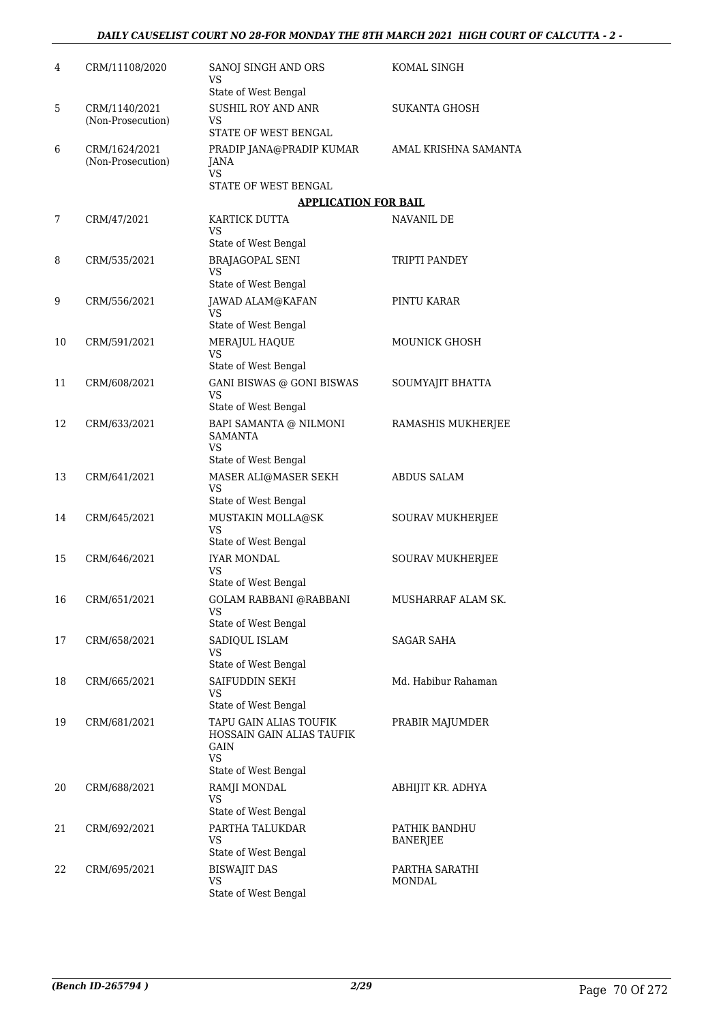| 4  | CRM/11108/2020                     | SANOJ SINGH AND ORS<br>VS                                 | KOMAL SINGH                      |
|----|------------------------------------|-----------------------------------------------------------|----------------------------------|
|    |                                    | State of West Bengal                                      |                                  |
| 5  | CRM/1140/2021<br>(Non-Prosecution) | SUSHIL ROY AND ANR<br>VS<br>STATE OF WEST BENGAL          | <b>SUKANTA GHOSH</b>             |
|    |                                    |                                                           |                                  |
| 6  | CRM/1624/2021<br>(Non-Prosecution) | PRADIP JANA@PRADIP KUMAR<br>JANA<br><b>VS</b>             | AMAL KRISHNA SAMANTA             |
|    |                                    | STATE OF WEST BENGAL                                      |                                  |
|    |                                    | <b>APPLICATION FOR BAIL</b>                               |                                  |
| 7  | CRM/47/2021                        | KARTICK DUTTA<br>VS                                       | NAVANIL DE                       |
|    |                                    | State of West Bengal                                      |                                  |
| 8  | CRM/535/2021                       | <b>BRAJAGOPAL SENI</b><br>VS                              | TRIPTI PANDEY                    |
|    |                                    | State of West Bengal                                      |                                  |
| 9  | CRM/556/2021                       | JAWAD ALAM@KAFAN<br>VS                                    | PINTU KARAR                      |
|    |                                    | State of West Bengal                                      |                                  |
| 10 | CRM/591/2021                       | MERAJUL HAQUE<br>VS<br>State of West Bengal               | <b>MOUNICK GHOSH</b>             |
| 11 | CRM/608/2021                       | <b>GANI BISWAS @ GONI BISWAS</b>                          |                                  |
|    |                                    | <b>VS</b><br>State of West Bengal                         | SOUMYAJIT BHATTA                 |
| 12 | CRM/633/2021                       | BAPI SAMANTA @ NILMONI                                    | RAMASHIS MUKHERJEE               |
|    |                                    | <b>SAMANTA</b><br>VS                                      |                                  |
|    |                                    | State of West Bengal                                      |                                  |
| 13 | CRM/641/2021                       | MASER ALI@MASER SEKH<br><b>VS</b><br>State of West Bengal | <b>ABDUS SALAM</b>               |
| 14 | CRM/645/2021                       | MUSTAKIN MOLLA@SK                                         | SOURAV MUKHERJEE                 |
|    |                                    | VS<br>State of West Bengal                                |                                  |
| 15 | CRM/646/2021                       | <b>IYAR MONDAL</b><br>VS                                  | SOURAV MUKHERJEE                 |
|    |                                    | State of West Bengal                                      |                                  |
| 16 | CRM/651/2021                       | GOLAM RABBANI @RABBANI<br>VS                              | MUSHARRAF ALAM SK.               |
|    |                                    | State of West Bengal                                      |                                  |
| 17 | CRM/658/2021                       | SADIQUL ISLAM<br>VS                                       | SAGAR SAHA                       |
|    |                                    | State of West Bengal                                      |                                  |
| 18 | CRM/665/2021                       | SAIFUDDIN SEKH<br>VS<br>State of West Bengal              | Md. Habibur Rahaman              |
| 19 | CRM/681/2021                       | TAPU GAIN ALIAS TOUFIK                                    | PRABIR MAJUMDER                  |
|    |                                    | HOSSAIN GAIN ALIAS TAUFIK<br>GAIN<br><b>VS</b>            |                                  |
|    |                                    | State of West Bengal                                      |                                  |
| 20 | CRM/688/2021                       | RAMJI MONDAL<br>VS.                                       | ABHIJIT KR. ADHYA                |
|    |                                    | State of West Bengal                                      |                                  |
| 21 | CRM/692/2021                       | PARTHA TALUKDAR<br><b>VS</b><br>State of West Bengal      | PATHIK BANDHU<br><b>BANERJEE</b> |
| 22 | CRM/695/2021                       | <b>BISWAJIT DAS</b>                                       | PARTHA SARATHI                   |
|    |                                    | <b>VS</b><br>State of West Bengal                         | MONDAL                           |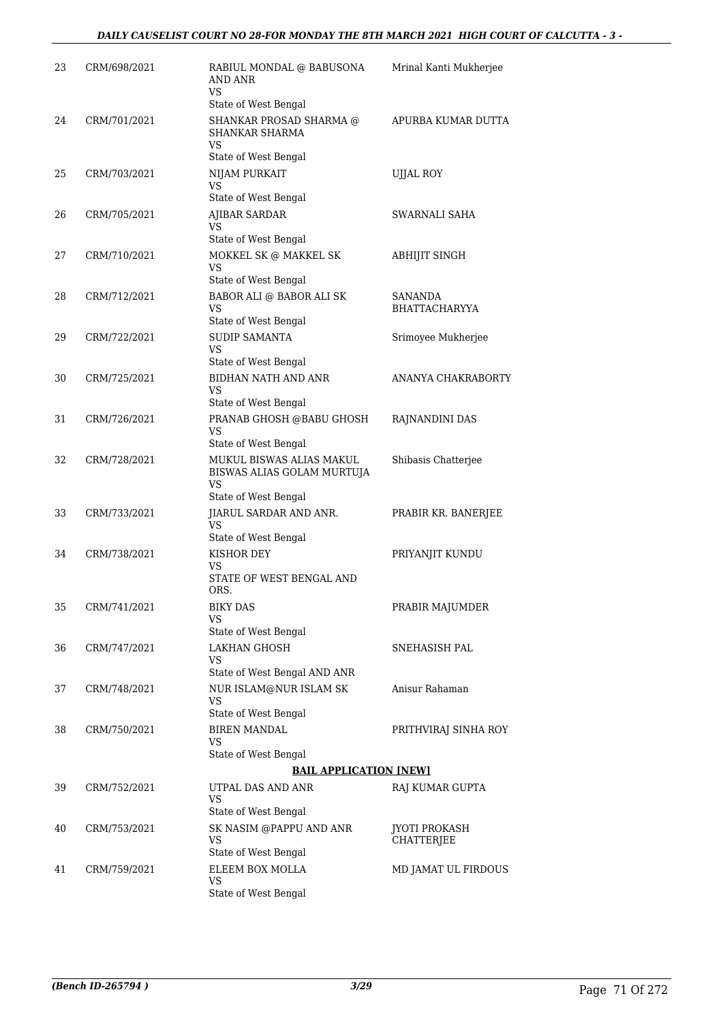| 23 | CRM/698/2021 | RABIUL MONDAL @ BABUSONA<br><b>AND ANR</b><br>VS                                     | Mrinal Kanti Mukherjee |
|----|--------------|--------------------------------------------------------------------------------------|------------------------|
| 24 | CRM/701/2021 | State of West Bengal<br>SHANKAR PROSAD SHARMA @<br><b>SHANKAR SHARMA</b>             | APURBA KUMAR DUTTA     |
|    |              | VS<br>State of West Bengal                                                           |                        |
| 25 | CRM/703/2021 | NIJAM PURKAIT<br>VS                                                                  | <b>UJJAL ROY</b>       |
| 26 | CRM/705/2021 | State of West Bengal<br><b>AJIBAR SARDAR</b>                                         | SWARNALI SAHA          |
|    |              | VS                                                                                   |                        |
| 27 | CRM/710/2021 | State of West Bengal<br>MOKKEL SK @ MAKKEL SK                                        | ABHIJIT SINGH          |
|    |              | VS                                                                                   |                        |
| 28 | CRM/712/2021 | State of West Bengal<br>BABOR ALI @ BABOR ALI SK                                     | SANANDA                |
|    |              | <b>VS</b><br>State of West Bengal                                                    | BHATTACHARYYA          |
| 29 | CRM/722/2021 | <b>SUDIP SAMANTA</b><br>VS                                                           | Srimoyee Mukherjee     |
| 30 | CRM/725/2021 | State of West Bengal<br>BIDHAN NATH AND ANR                                          | ANANYA CHAKRABORTY     |
|    |              | VS                                                                                   |                        |
| 31 | CRM/726/2021 | State of West Bengal<br>PRANAB GHOSH @BABU GHOSH                                     | RAJNANDINI DAS         |
|    |              | VS<br>State of West Bengal                                                           |                        |
| 32 | CRM/728/2021 | MUKUL BISWAS ALIAS MAKUL<br>BISWAS ALIAS GOLAM MURTUJA<br>VS<br>State of West Bengal | Shibasis Chatterjee    |
| 33 | CRM/733/2021 | JIARUL SARDAR AND ANR.                                                               | PRABIR KR. BANERJEE    |
|    |              | <b>VS</b>                                                                            |                        |
| 34 | CRM/738/2021 | State of West Bengal<br>KISHOR DEY                                                   | PRIYANJIT KUNDU        |
|    |              | VS                                                                                   |                        |
|    |              | STATE OF WEST BENGAL AND<br>ORS.                                                     |                        |
| 35 | CRM/741/2021 | <b>BIKY DAS</b>                                                                      | PRABIR MAJUMDER        |
|    |              | VS<br>State of West Bengal                                                           |                        |
| 36 | CRM/747/2021 | LAKHAN GHOSH                                                                         | SNEHASISH PAL          |
|    |              | VS<br>State of West Bengal AND ANR                                                   |                        |
| 37 | CRM/748/2021 | NUR ISLAM@NUR ISLAM SK                                                               | Anisur Rahaman         |
|    |              | VS                                                                                   |                        |
| 38 | CRM/750/2021 | State of West Bengal<br><b>BIREN MANDAL</b>                                          | PRITHVIRAJ SINHA ROY   |
|    |              | VS                                                                                   |                        |
|    |              | State of West Bengal                                                                 |                        |
|    |              | <b>BAIL APPLICATION [NEW]</b>                                                        |                        |
| 39 | CRM/752/2021 | UTPAL DAS AND ANR<br><b>VS</b><br>State of West Bengal                               | RAJ KUMAR GUPTA        |
| 40 | CRM/753/2021 | SK NASIM @PAPPU AND ANR                                                              | JYOTI PROKASH          |
|    |              | <b>VS</b><br>State of West Bengal                                                    | CHATTERJEE             |
| 41 | CRM/759/2021 | ELEEM BOX MOLLA                                                                      | MD JAMAT UL FIRDOUS    |
|    |              | VS<br>State of West Bengal                                                           |                        |
|    |              |                                                                                      |                        |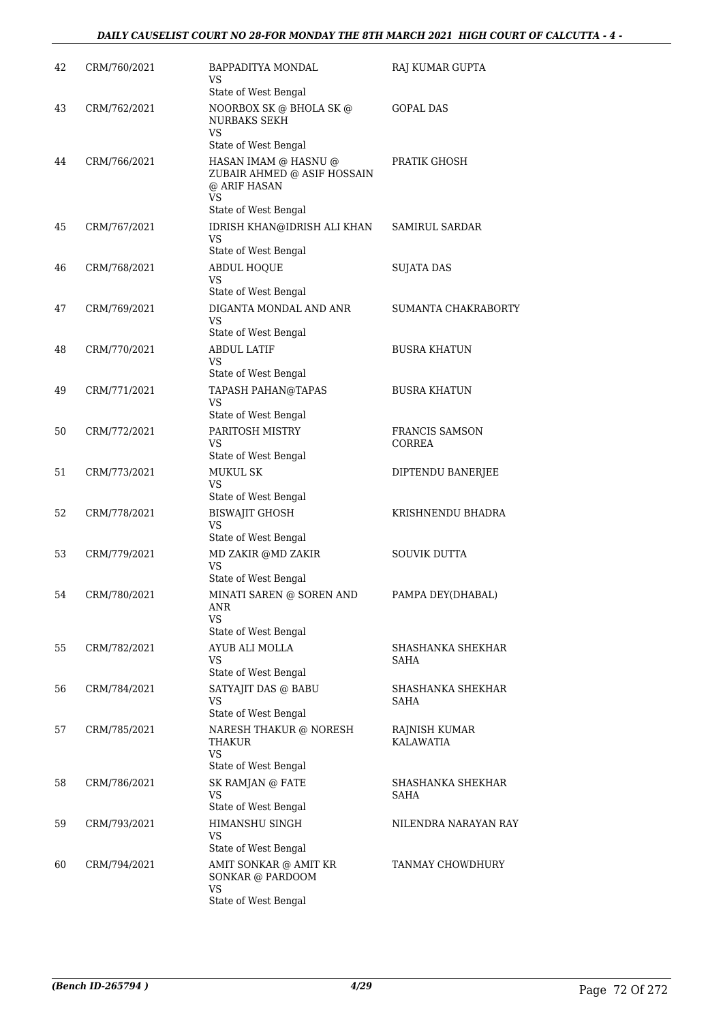| 42 | CRM/760/2021 | BAPPADITYA MONDAL<br>VS<br>State of West Bengal                                                          | RAJ KUMAR GUPTA                   |
|----|--------------|----------------------------------------------------------------------------------------------------------|-----------------------------------|
| 43 | CRM/762/2021 | NOORBOX SK @ BHOLA SK @<br><b>NURBAKS SEKH</b><br><b>VS</b>                                              | GOPAL DAS                         |
| 44 | CRM/766/2021 | State of West Bengal<br>HASAN IMAM @ HASNU @<br>ZUBAIR AHMED @ ASIF HOSSAIN<br>@ ARIF HASAN<br><b>VS</b> | PRATIK GHOSH                      |
| 45 | CRM/767/2021 | State of West Bengal<br>IDRISH KHAN@IDRISH ALI KHAN<br><b>VS</b><br>State of West Bengal                 | <b>SAMIRUL SARDAR</b>             |
| 46 | CRM/768/2021 | <b>ABDUL HOQUE</b><br><b>VS</b><br>State of West Bengal                                                  | <b>SUJATA DAS</b>                 |
| 47 | CRM/769/2021 | DIGANTA MONDAL AND ANR<br>VS<br>State of West Bengal                                                     | SUMANTA CHAKRABORTY               |
| 48 | CRM/770/2021 | <b>ABDUL LATIF</b><br><b>VS</b><br>State of West Bengal                                                  | <b>BUSRA KHATUN</b>               |
| 49 | CRM/771/2021 | TAPASH PAHAN@TAPAS<br><b>VS</b><br>State of West Bengal                                                  | <b>BUSRA KHATUN</b>               |
| 50 | CRM/772/2021 | PARITOSH MISTRY<br><b>VS</b><br>State of West Bengal                                                     | <b>FRANCIS SAMSON</b><br>CORREA   |
| 51 | CRM/773/2021 | <b>MUKUL SK</b><br>VS<br>State of West Bengal                                                            | DIPTENDU BANERJEE                 |
| 52 | CRM/778/2021 | <b>BISWAJIT GHOSH</b><br><b>VS</b><br>State of West Bengal                                               | KRISHNENDU BHADRA                 |
| 53 | CRM/779/2021 | MD ZAKIR @MD ZAKIR<br><b>VS</b><br>State of West Bengal                                                  | <b>SOUVIK DUTTA</b>               |
| 54 | CRM/780/2021 | MINATI SAREN @ SOREN AND<br><b>ANR</b><br>VS.<br>State of West Bengal                                    | PAMPA DEY(DHABAL)                 |
| 55 | CRM/782/2021 | AYUB ALI MOLLA<br>VS<br>State of West Bengal                                                             | SHASHANKA SHEKHAR<br>SAHA         |
| 56 | CRM/784/2021 | SATYAJIT DAS @ BABU<br>VS<br>State of West Bengal                                                        | SHASHANKA SHEKHAR<br>SAHA         |
| 57 | CRM/785/2021 | NARESH THAKUR @ NORESH<br>THAKUR<br>VS.<br>State of West Bengal                                          | RAINISH KUMAR<br><b>KALAWATIA</b> |
| 58 | CRM/786/2021 | SK RAMJAN @ FATE<br>VS<br>State of West Bengal                                                           | SHASHANKA SHEKHAR<br>SAHA         |
| 59 | CRM/793/2021 | HIMANSHU SINGH<br>VS<br>State of West Bengal                                                             | NILENDRA NARAYAN RAY              |
| 60 | CRM/794/2021 | AMIT SONKAR @ AMIT KR<br>SONKAR @ PARDOOM<br>VS<br>State of West Bengal                                  | TANMAY CHOWDHURY                  |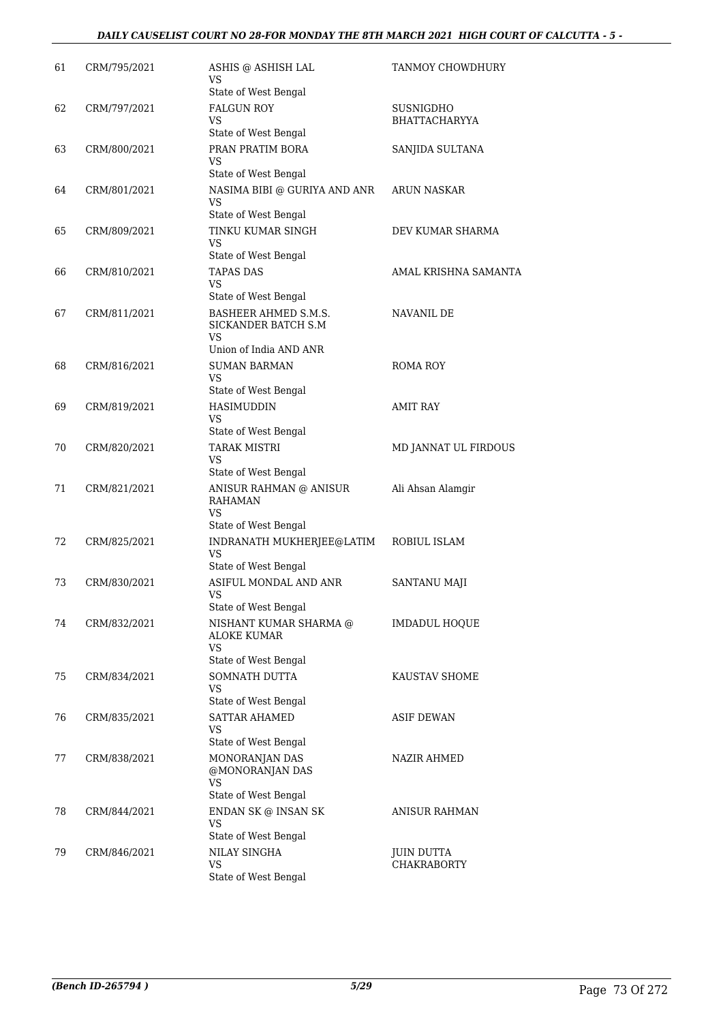### *DAILY CAUSELIST COURT NO 28-FOR MONDAY THE 8TH MARCH 2021 HIGH COURT OF CALCUTTA - 5 -*

| 61 | CRM/795/2021 | ASHIS @ ASHISH LAL<br>VS<br>State of West Bengal                                   | TANMOY CHOWDHURY                  |
|----|--------------|------------------------------------------------------------------------------------|-----------------------------------|
| 62 | CRM/797/2021 | <b>FALGUN ROY</b><br><b>VS</b><br>State of West Bengal                             | SUSNIGDHO<br><b>BHATTACHARYYA</b> |
| 63 | CRM/800/2021 | PRAN PRATIM BORA<br>VS<br>State of West Bengal                                     | SANJIDA SULTANA                   |
| 64 | CRM/801/2021 | NASIMA BIBI @ GURIYA AND ANR<br>VS<br>State of West Bengal                         | ARUN NASKAR                       |
| 65 | CRM/809/2021 | TINKU KUMAR SINGH<br>VS<br>State of West Bengal                                    | DEV KUMAR SHARMA                  |
| 66 | CRM/810/2021 | <b>TAPAS DAS</b><br><b>VS</b><br>State of West Bengal                              | AMAL KRISHNA SAMANTA              |
| 67 | CRM/811/2021 | <b>BASHEER AHMED S.M.S.</b><br>SICKANDER BATCH S.M<br>VS<br>Union of India AND ANR | NAVANIL DE                        |
| 68 | CRM/816/2021 | <b>SUMAN BARMAN</b><br>VS<br>State of West Bengal                                  | ROMA ROY                          |
| 69 | CRM/819/2021 | <b>HASIMUDDIN</b><br>VS<br>State of West Bengal                                    | <b>AMIT RAY</b>                   |
| 70 | CRM/820/2021 | <b>TARAK MISTRI</b><br>VS<br>State of West Bengal                                  | MD JANNAT UL FIRDOUS              |
| 71 | CRM/821/2021 | ANISUR RAHMAN @ ANISUR<br><b>RAHAMAN</b><br>VS<br>State of West Bengal             | Ali Ahsan Alamgir                 |
| 72 | CRM/825/2021 | INDRANATH MUKHERJEE@LATIM<br>VS<br>State of West Bengal                            | ROBIUL ISLAM                      |
| 73 | CRM/830/2021 | ASIFUL MONDAL AND ANR<br><b>VS</b><br>State of West Bengal                         | SANTANU MAJI                      |
| 74 | CRM/832/2021 | NISHANT KUMAR SHARMA @<br>ALOKE KUMAR<br>VS<br>State of West Bengal                | IMDADUL HOQUE                     |
| 75 | CRM/834/2021 | SOMNATH DUTTA<br>VS<br>State of West Bengal                                        | KAUSTAV SHOME                     |
| 76 | CRM/835/2021 | <b>SATTAR AHAMED</b><br>VS<br>State of West Bengal                                 | ASIF DEWAN                        |
| 77 | CRM/838/2021 | MONORANJAN DAS<br>@MONORANJAN DAS<br><b>VS</b><br>State of West Bengal             | NAZIR AHMED                       |
| 78 | CRM/844/2021 | ENDAN SK @ INSAN SK<br>VS<br>State of West Bengal                                  | ANISUR RAHMAN                     |
| 79 | CRM/846/2021 | NILAY SINGHA<br><b>VS</b><br>State of West Bengal                                  | JUIN DUTTA<br><b>CHAKRABORTY</b>  |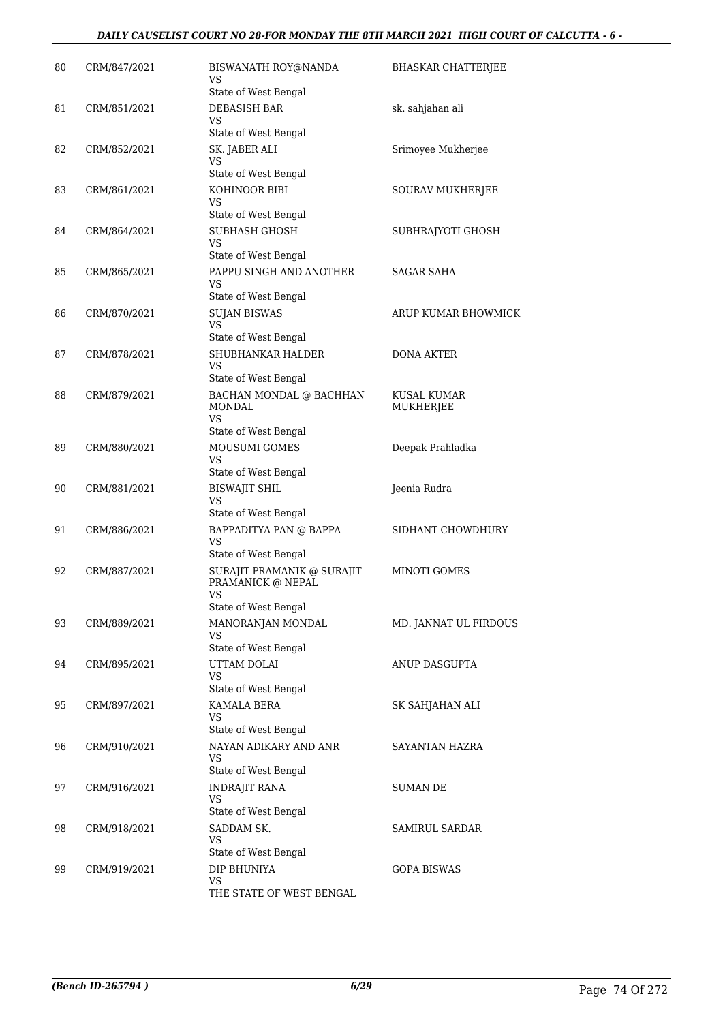| 80 | CRM/847/2021 | BISWANATH ROY@NANDA<br>VS<br>State of West Bengal                                     | <b>BHASKAR CHATTERJEE</b>       |
|----|--------------|---------------------------------------------------------------------------------------|---------------------------------|
| 81 | CRM/851/2021 | DEBASISH BAR<br>VS<br>State of West Bengal                                            | sk. sahjahan ali                |
| 82 | CRM/852/2021 | SK. JABER ALI<br>VS                                                                   | Srimoyee Mukherjee              |
| 83 | CRM/861/2021 | State of West Bengal<br>KOHINOOR BIBI<br>VS                                           | SOURAV MUKHERJEE                |
| 84 | CRM/864/2021 | State of West Bengal<br><b>SUBHASH GHOSH</b><br>VS                                    | SUBHRAJYOTI GHOSH               |
| 85 | CRM/865/2021 | State of West Bengal<br>PAPPU SINGH AND ANOTHER<br><b>VS</b>                          | SAGAR SAHA                      |
| 86 | CRM/870/2021 | State of West Bengal<br><b>SUJAN BISWAS</b><br><b>VS</b>                              | ARUP KUMAR BHOWMICK             |
| 87 | CRM/878/2021 | State of West Bengal<br><b>SHUBHANKAR HALDER</b><br><b>VS</b><br>State of West Bengal | <b>DONA AKTER</b>               |
| 88 | CRM/879/2021 | BACHAN MONDAL @ BACHHAN<br><b>MONDAL</b><br>VS                                        | <b>KUSAL KUMAR</b><br>MUKHERJEE |
| 89 | CRM/880/2021 | State of West Bengal<br><b>MOUSUMI GOMES</b><br>VS                                    | Deepak Prahladka                |
| 90 | CRM/881/2021 | State of West Bengal<br><b>BISWAJIT SHIL</b><br>VS                                    | Jeenia Rudra                    |
| 91 | CRM/886/2021 | State of West Bengal<br>BAPPADITYA PAN @ BAPPA<br><b>VS</b>                           | SIDHANT CHOWDHURY               |
| 92 | CRM/887/2021 | State of West Bengal<br>SURAJIT PRAMANIK @ SURAJIT<br>PRAMANICK @ NEPAL<br><b>VS</b>  | MINOTI GOMES                    |
| 93 | CRM/889/2021 | State of West Bengal<br>MANORANJAN MONDAL<br>VS                                       | MD. JANNAT UL FIRDOUS           |
| 94 | CRM/895/2021 | State of West Bengal<br>UTTAM DOLAI<br>VS                                             | ANUP DASGUPTA                   |
| 95 | CRM/897/2021 | State of West Bengal<br>KAMALA BERA<br>VS<br>State of West Bengal                     | SK SAHJAHAN ALI                 |
| 96 | CRM/910/2021 | NAYAN ADIKARY AND ANR<br>VS<br>State of West Bengal                                   | SAYANTAN HAZRA                  |
| 97 | CRM/916/2021 | <b>INDRAJIT RANA</b><br><b>VS</b><br>State of West Bengal                             | SUMAN DE                        |
| 98 | CRM/918/2021 | SADDAM SK.<br><b>VS</b><br>State of West Bengal                                       | <b>SAMIRUL SARDAR</b>           |
| 99 | CRM/919/2021 | DIP BHUNIYA<br><b>VS</b><br>THE STATE OF WEST BENGAL                                  | <b>GOPA BISWAS</b>              |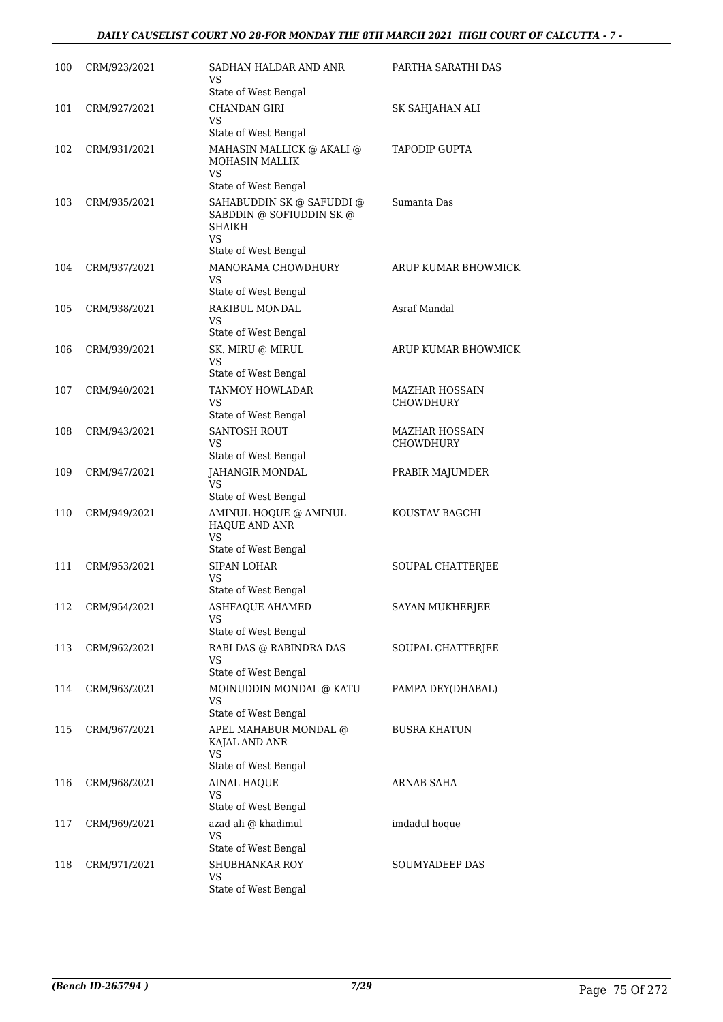### *DAILY CAUSELIST COURT NO 28-FOR MONDAY THE 8TH MARCH 2021 HIGH COURT OF CALCUTTA - 7 -*

| 100 | CRM/923/2021 | SADHAN HALDAR AND ANR<br>VS                                                         | PARTHA SARATHI DAS                 |
|-----|--------------|-------------------------------------------------------------------------------------|------------------------------------|
| 101 | CRM/927/2021 | State of West Bengal<br><b>CHANDAN GIRI</b><br><b>VS</b>                            | SK SAHJAHAN ALI                    |
|     |              | State of West Bengal                                                                |                                    |
| 102 | CRM/931/2021 | MAHASIN MALLICK @ AKALI @<br><b>MOHASIN MALLIK</b><br>VS.                           | <b>TAPODIP GUPTA</b>               |
|     |              | State of West Bengal                                                                |                                    |
| 103 | CRM/935/2021 | SAHABUDDIN SK @ SAFUDDI @<br>SABDDIN @ SOFIUDDIN SK @<br><b>SHAIKH</b><br><b>VS</b> | Sumanta Das                        |
|     |              | State of West Bengal                                                                |                                    |
| 104 | CRM/937/2021 | MANORAMA CHOWDHURY<br>VS                                                            | ARUP KUMAR BHOWMICK                |
|     |              | State of West Bengal                                                                |                                    |
| 105 | CRM/938/2021 | RAKIBUL MONDAL<br><b>VS</b>                                                         | Asraf Mandal                       |
| 106 | CRM/939/2021 | State of West Bengal                                                                | ARUP KUMAR BHOWMICK                |
|     |              | SK. MIRU @ MIRUL<br>VS<br>State of West Bengal                                      |                                    |
| 107 | CRM/940/2021 | TANMOY HOWLADAR                                                                     | <b>MAZHAR HOSSAIN</b>              |
|     |              | VS                                                                                  | CHOWDHURY                          |
|     |              | State of West Bengal                                                                |                                    |
| 108 | CRM/943/2021 | <b>SANTOSH ROUT</b><br>VS<br>State of West Bengal                                   | MAZHAR HOSSAIN<br><b>CHOWDHURY</b> |
| 109 | CRM/947/2021 | JAHANGIR MONDAL<br>VS                                                               | PRABIR MAJUMDER                    |
|     |              | State of West Bengal                                                                |                                    |
| 110 | CRM/949/2021 | AMINUL HOQUE @ AMINUL<br>HAQUE AND ANR<br><b>VS</b>                                 | KOUSTAV BAGCHI                     |
|     | CRM/953/2021 | State of West Bengal<br><b>SIPAN LOHAR</b>                                          |                                    |
| 111 |              | VS<br>State of West Bengal                                                          | SOUPAL CHATTERJEE                  |
| 112 | CRM/954/2021 | ASHFAQUE AHAMED                                                                     | SAYAN MUKHERJEE                    |
|     |              | VS<br>State of West Bengal                                                          |                                    |
| 113 | CRM/962/2021 | RABI DAS @ RABINDRA DAS<br>VS<br>State of West Bengal                               | SOUPAL CHATTERJEE                  |
| 114 | CRM/963/2021 | MOINUDDIN MONDAL @ KATU                                                             | PAMPA DEY(DHABAL)                  |
|     |              | VS<br>State of West Bengal                                                          |                                    |
| 115 | CRM/967/2021 | APEL MAHABUR MONDAL @<br>KAJAL AND ANR                                              | <b>BUSRA KHATUN</b>                |
|     |              | VS<br>State of West Bengal                                                          |                                    |
| 116 | CRM/968/2021 | <b>AINAL HAQUE</b><br>VS                                                            | ARNAB SAHA                         |
|     |              | State of West Bengal                                                                |                                    |
| 117 | CRM/969/2021 | azad ali @ khadimul<br><b>VS</b>                                                    | imdadul hoque                      |
|     |              | State of West Bengal                                                                |                                    |
| 118 | CRM/971/2021 | SHUBHANKAR ROY<br>VS<br>State of West Bengal                                        | SOUMYADEEP DAS                     |
|     |              |                                                                                     |                                    |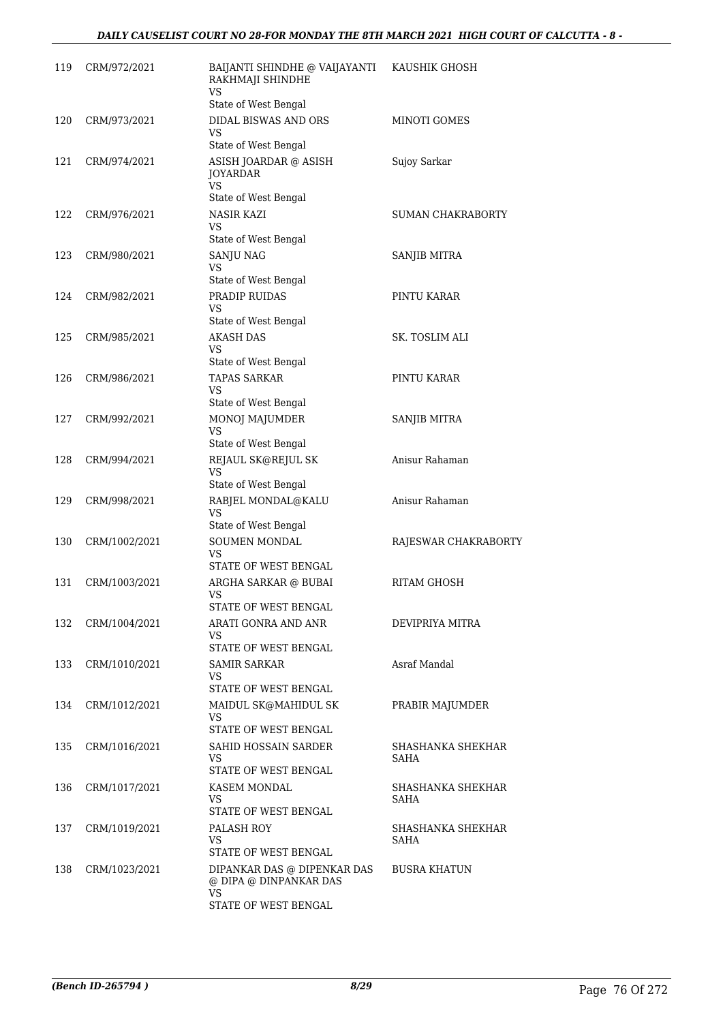| 119 | CRM/972/2021  | BAIJANTI SHINDHE @ VAIJAYANTI<br>RAKHMAJI SHINDHE<br><b>VS</b>                      | KAUSHIK GHOSH             |
|-----|---------------|-------------------------------------------------------------------------------------|---------------------------|
| 120 | CRM/973/2021  | State of West Bengal<br>DIDAL BISWAS AND ORS<br>VS                                  | MINOTI GOMES              |
| 121 | CRM/974/2021  | State of West Bengal<br>ASISH JOARDAR @ ASISH<br>JOYARDAR<br><b>VS</b>              | Sujoy Sarkar              |
| 122 | CRM/976/2021  | State of West Bengal<br><b>NASIR KAZI</b><br>VS                                     | <b>SUMAN CHAKRABORTY</b>  |
| 123 | CRM/980/2021  | State of West Bengal<br><b>SANJU NAG</b><br>VS                                      | SANJIB MITRA              |
| 124 | CRM/982/2021  | State of West Bengal<br>PRADIP RUIDAS<br><b>VS</b>                                  | PINTU KARAR               |
| 125 | CRM/985/2021  | State of West Bengal<br><b>AKASH DAS</b><br>VS                                      | SK. TOSLIM ALI            |
| 126 | CRM/986/2021  | State of West Bengal<br><b>TAPAS SARKAR</b><br>VS                                   | PINTU KARAR               |
| 127 | CRM/992/2021  | State of West Bengal<br>MONOJ MAJUMDER<br>VS                                        | SANJIB MITRA              |
| 128 | CRM/994/2021  | State of West Bengal<br>REJAUL SK@REJUL SK<br><b>VS</b>                             | Anisur Rahaman            |
| 129 | CRM/998/2021  | State of West Bengal<br>RABJEL MONDAL@KALU<br><b>VS</b><br>State of West Bengal     | Anisur Rahaman            |
| 130 | CRM/1002/2021 | SOUMEN MONDAL<br>VS<br>STATE OF WEST BENGAL                                         | RAJESWAR CHAKRABORTY      |
| 131 | CRM/1003/2021 | ARGHA SARKAR @ BUBAI<br><b>VS</b><br>STATE OF WEST BENGAL                           | RITAM GHOSH               |
| 132 | CRM/1004/2021 | ARATI GONRA AND ANR<br>VS<br>STATE OF WEST BENGAL                                   | DEVIPRIYA MITRA           |
| 133 | CRM/1010/2021 | <b>SAMIR SARKAR</b><br>VS<br>STATE OF WEST BENGAL                                   | Asraf Mandal              |
| 134 | CRM/1012/2021 | MAIDUL SK@MAHIDUL SK<br>VS.<br>STATE OF WEST BENGAL                                 | PRABIR MAJUMDER           |
| 135 | CRM/1016/2021 | SAHID HOSSAIN SARDER<br>VS<br>STATE OF WEST BENGAL                                  | SHASHANKA SHEKHAR<br>SAHA |
| 136 | CRM/1017/2021 | KASEM MONDAL<br>VS.<br>STATE OF WEST BENGAL                                         | SHASHANKA SHEKHAR<br>SAHA |
| 137 | CRM/1019/2021 | PALASH ROY<br>VS<br>STATE OF WEST BENGAL                                            | SHASHANKA SHEKHAR<br>SAHA |
| 138 | CRM/1023/2021 | DIPANKAR DAS @ DIPENKAR DAS<br>@ DIPA @ DINPANKAR DAS<br>VS<br>STATE OF WEST BENGAL | <b>BUSRA KHATUN</b>       |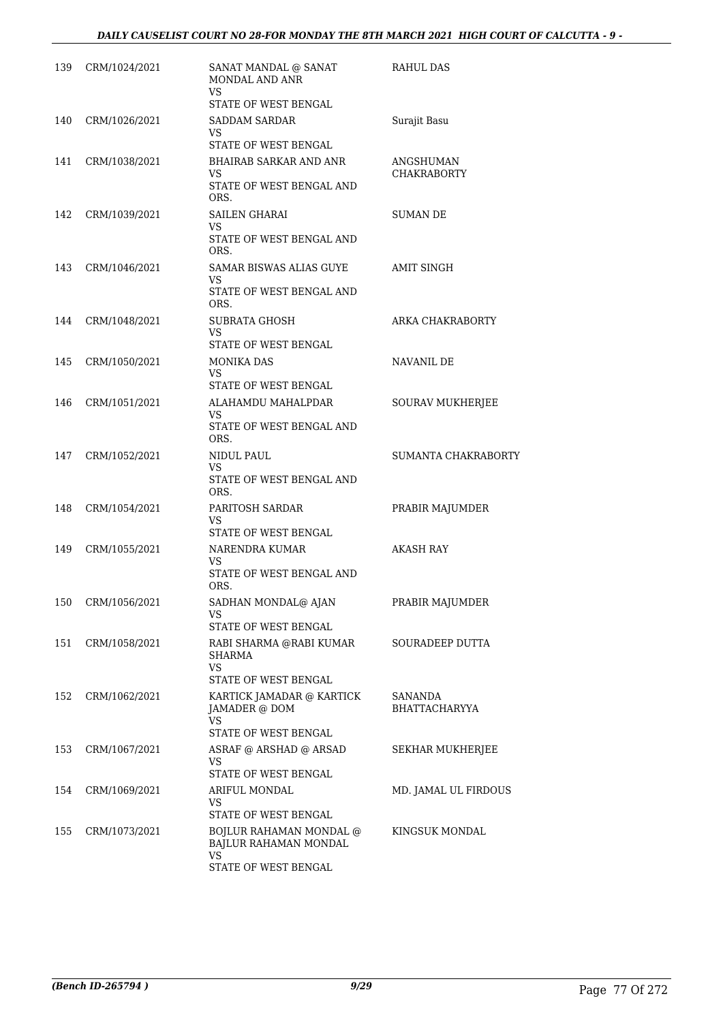| 139 | CRM/1024/2021     | SANAT MANDAL @ SANAT<br>MONDAL AND ANR<br><b>VS</b>                      | RAHUL DAS                       |
|-----|-------------------|--------------------------------------------------------------------------|---------------------------------|
| 140 | CRM/1026/2021     | STATE OF WEST BENGAL<br><b>SADDAM SARDAR</b><br>VS                       | Surajit Basu                    |
|     |                   | <b>STATE OF WEST BENGAL</b>                                              |                                 |
| 141 | CRM/1038/2021     | <b>BHAIRAB SARKAR AND ANR</b><br>VS.<br>STATE OF WEST BENGAL AND<br>ORS. | ANGSHUMAN<br><b>CHAKRABORTY</b> |
| 142 | CRM/1039/2021     | SAILEN GHARAI                                                            | SUMAN DE                        |
|     |                   | VS<br>STATE OF WEST BENGAL AND<br>ORS.                                   |                                 |
| 143 | CRM/1046/2021     | SAMAR BISWAS ALIAS GUYE                                                  | AMIT SINGH                      |
|     |                   | VS<br>STATE OF WEST BENGAL AND<br>ORS.                                   |                                 |
| 144 | CRM/1048/2021     | SUBRATA GHOSH                                                            | ARKA CHAKRABORTY                |
|     |                   | VS.<br>STATE OF WEST BENGAL                                              |                                 |
| 145 | CRM/1050/2021     | MONIKA DAS                                                               | NAVANIL DE                      |
|     |                   | <b>VS</b>                                                                |                                 |
|     |                   | STATE OF WEST BENGAL                                                     |                                 |
| 146 | CRM/1051/2021     | ALAHAMDU MAHALPDAR<br>VS                                                 | <b>SOURAV MUKHERJEE</b>         |
|     |                   | STATE OF WEST BENGAL AND<br>ORS.                                         |                                 |
| 147 | CRM/1052/2021     | NIDUL PAUL<br><b>VS</b>                                                  | SUMANTA CHAKRABORTY             |
|     |                   | STATE OF WEST BENGAL AND<br>ORS.                                         |                                 |
| 148 | CRM/1054/2021     | PARITOSH SARDAR<br>VS<br>STATE OF WEST BENGAL                            | PRABIR MAJUMDER                 |
| 149 | CRM/1055/2021     | NARENDRA KUMAR                                                           | <b>AKASH RAY</b>                |
|     |                   | VS<br>STATE OF WEST BENGAL AND<br>ORS.                                   |                                 |
|     | 150 CRM/1056/2021 | SADHAN MONDAL@ AJAN<br>VS                                                | PRABIR MAJUMDER                 |
|     |                   | STATE OF WEST BENGAL<br>RABI SHARMA @RABI KUMAR                          |                                 |
| 151 | CRM/1058/2021     | SHARMA<br>VS.                                                            | SOURADEEP DUTTA                 |
|     |                   | STATE OF WEST BENGAL                                                     |                                 |
| 152 | CRM/1062/2021     | KARTICK JAMADAR @ KARTICK<br><b>JAMADER</b> @ DOM<br>VS.                 | SANANDA<br><b>BHATTACHARYYA</b> |
|     |                   | STATE OF WEST BENGAL                                                     |                                 |
| 153 | CRM/1067/2021     | ASRAF @ ARSHAD @ ARSAD<br>VS<br>STATE OF WEST BENGAL                     | SEKHAR MUKHERJEE                |
| 154 | CRM/1069/2021     | ARIFUL MONDAL                                                            | MD. JAMAL UL FIRDOUS            |
|     |                   | VS.<br>STATE OF WEST BENGAL                                              |                                 |
| 155 | CRM/1073/2021     | <b>BOJLUR RAHAMAN MONDAL @</b><br>BAJLUR RAHAMAN MONDAL                  | KINGSUK MONDAL                  |
|     |                   | <b>VS</b><br>STATE OF WEST BENGAL                                        |                                 |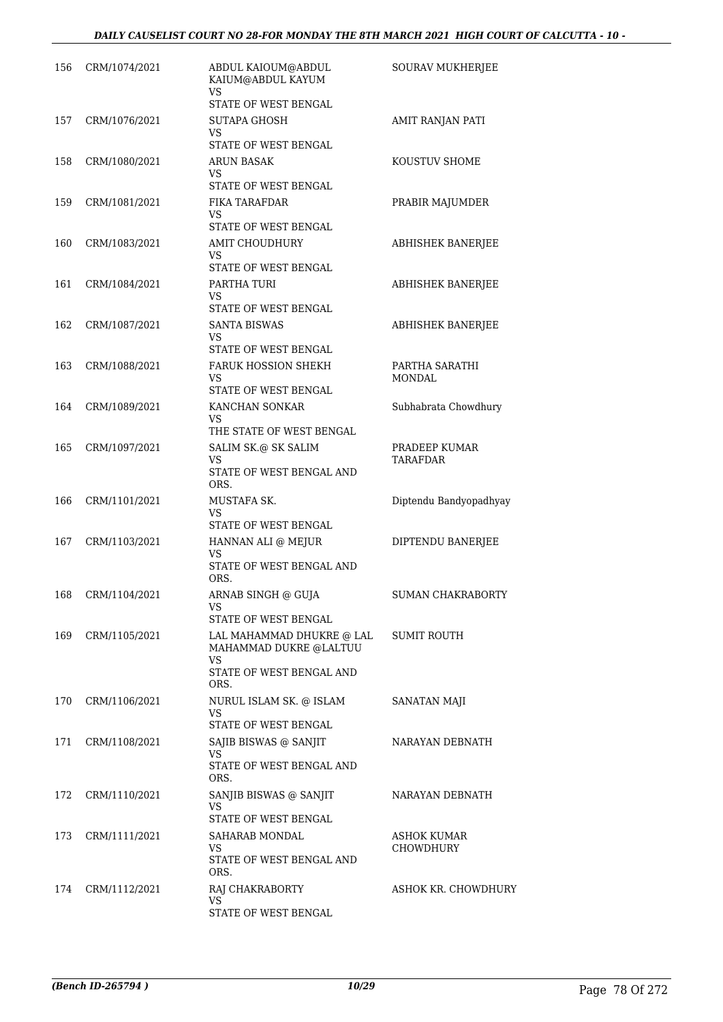| 156 | CRM/1074/2021 | ABDUL KAIOUM@ABDUL<br>KAIUM@ABDUL KAYUM<br>VS                                                 | SOURAV MUKHERJEE          |
|-----|---------------|-----------------------------------------------------------------------------------------------|---------------------------|
| 157 | CRM/1076/2021 | STATE OF WEST BENGAL<br><b>SUTAPA GHOSH</b><br>VS                                             | AMIT RANJAN PATI          |
| 158 | CRM/1080/2021 | STATE OF WEST BENGAL<br><b>ARUN BASAK</b><br>VS                                               | KOUSTUV SHOME             |
| 159 | CRM/1081/2021 | STATE OF WEST BENGAL<br>FIKA TARAFDAR<br>VS<br>STATE OF WEST BENGAL                           | PRABIR MAJUMDER           |
| 160 | CRM/1083/2021 | <b>AMIT CHOUDHURY</b><br>VS<br>STATE OF WEST BENGAL                                           | ABHISHEK BANERJEE         |
| 161 | CRM/1084/2021 | PARTHA TURI<br>VS<br>STATE OF WEST BENGAL                                                     | ABHISHEK BANERJEE         |
| 162 | CRM/1087/2021 | SANTA BISWAS<br>VS<br>STATE OF WEST BENGAL                                                    | ABHISHEK BANERJEE         |
| 163 | CRM/1088/2021 | <b>FARUK HOSSION SHEKH</b><br>VS<br>STATE OF WEST BENGAL                                      | PARTHA SARATHI<br>MONDAL  |
| 164 | CRM/1089/2021 | KANCHAN SONKAR<br>VS<br>THE STATE OF WEST BENGAL                                              | Subhabrata Chowdhury      |
| 165 | CRM/1097/2021 | SALIM SK.@ SK SALIM<br>VS<br>STATE OF WEST BENGAL AND<br>ORS.                                 | PRADEEP KUMAR<br>TARAFDAR |
| 166 | CRM/1101/2021 | MUSTAFA SK.<br>VS<br>STATE OF WEST BENGAL                                                     | Diptendu Bandyopadhyay    |
| 167 | CRM/1103/2021 | HANNAN ALI @ MEJUR<br>VS<br>STATE OF WEST BENGAL AND<br>ORS.                                  | DIPTENDU BANERJEE         |
| 168 | CRM/1104/2021 | ARNAB SINGH @ GUIA<br><b>VS</b><br>STATE OF WEST BENGAL                                       | <b>SUMAN CHAKRABORTY</b>  |
| 169 | CRM/1105/2021 | LAL MAHAMMAD DHUKRE @ LAL<br>MAHAMMAD DUKRE @LALTUU<br>VS<br>STATE OF WEST BENGAL AND<br>ORS. | <b>SUMIT ROUTH</b>        |
| 170 | CRM/1106/2021 | NURUL ISLAM SK. @ ISLAM<br>VS<br>STATE OF WEST BENGAL                                         | SANATAN MAJI              |
| 171 | CRM/1108/2021 | SAJIB BISWAS @ SANJIT<br>VS<br>STATE OF WEST BENGAL AND<br>ORS.                               | NARAYAN DEBNATH           |
| 172 | CRM/1110/2021 | SANJIB BISWAS @ SANJIT<br>VS<br>STATE OF WEST BENGAL                                          | NARAYAN DEBNATH           |
| 173 | CRM/1111/2021 | SAHARAB MONDAL<br>VS<br>STATE OF WEST BENGAL AND<br>ORS.                                      | ASHOK KUMAR<br>CHOWDHURY  |
| 174 | CRM/1112/2021 | RAJ CHAKRABORTY<br>VS<br>STATE OF WEST BENGAL                                                 | ASHOK KR. CHOWDHURY       |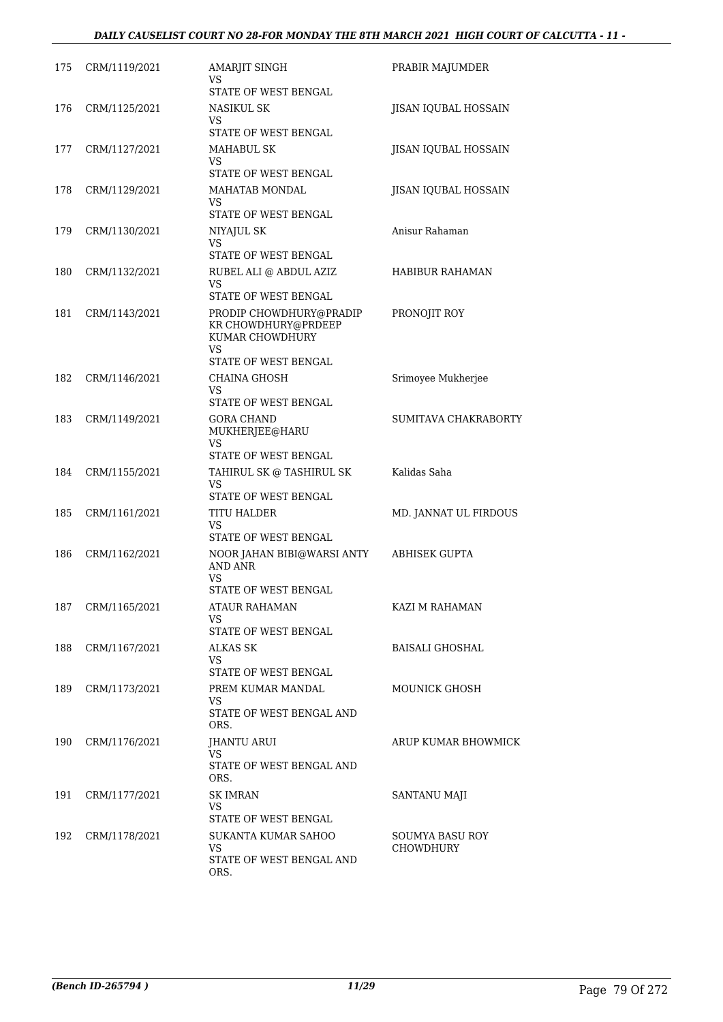| 175 | CRM/1119/2021 | AMARJIT SINGH<br>VS<br>STATE OF WEST BENGAL                                                     | PRABIR MAJUMDER              |
|-----|---------------|-------------------------------------------------------------------------------------------------|------------------------------|
| 176 | CRM/1125/2021 | NASIKUL SK<br>VS.<br>STATE OF WEST BENGAL                                                       | JISAN IQUBAL HOSSAIN         |
| 177 | CRM/1127/2021 | <b>MAHABUL SK</b><br><b>VS</b><br>STATE OF WEST BENGAL                                          | JISAN IQUBAL HOSSAIN         |
| 178 | CRM/1129/2021 | MAHATAB MONDAL<br>VS<br>STATE OF WEST BENGAL                                                    | <b>IISAN IOUBAL HOSSAIN</b>  |
| 179 | CRM/1130/2021 | NIYAJUL SK<br>VS.<br>STATE OF WEST BENGAL                                                       | Anisur Rahaman               |
| 180 | CRM/1132/2021 | RUBEL ALI @ ABDUL AZIZ<br>VS<br>STATE OF WEST BENGAL                                            | HABIBUR RAHAMAN              |
| 181 | CRM/1143/2021 | PRODIP CHOWDHURY@PRADIP<br>KR CHOWDHURY@PRDEEP<br>KUMAR CHOWDHURY<br>VS<br>STATE OF WEST BENGAL | PRONOJIT ROY                 |
| 182 | CRM/1146/2021 | CHAINA GHOSH<br>VS.<br>STATE OF WEST BENGAL                                                     | Srimoyee Mukherjee           |
| 183 | CRM/1149/2021 | <b>GORA CHAND</b><br>MUKHERJEE@HARU<br>VS<br>STATE OF WEST BENGAL                               | SUMITAVA CHAKRABORTY         |
| 184 | CRM/1155/2021 | TAHIRUL SK @ TASHIRUL SK<br>VS<br>STATE OF WEST BENGAL                                          | Kalidas Saha                 |
| 185 | CRM/1161/2021 | TITU HALDER<br><b>VS</b><br>STATE OF WEST BENGAL                                                | MD. JANNAT UL FIRDOUS        |
| 186 | CRM/1162/2021 | NOOR JAHAN BIBI@WARSI ANTY<br>AND ANR<br>VS<br>STATE OF WEST BENGAL                             | <b>ABHISEK GUPTA</b>         |
| 187 | CRM/1165/2021 | ATAUR RAHAMAN<br>VS<br>STATE OF WEST BENGAL                                                     | KAZI M RAHAMAN               |
| 188 | CRM/1167/2021 | ALKAS SK<br>VS<br>STATE OF WEST BENGAL                                                          | BAISALI GHOSHAL              |
| 189 | CRM/1173/2021 | PREM KUMAR MANDAL<br>VS.<br>STATE OF WEST BENGAL AND<br>ORS.                                    | MOUNICK GHOSH                |
| 190 | CRM/1176/2021 | JHANTU ARUI<br>VS.<br>STATE OF WEST BENGAL AND<br>ORS.                                          | ARUP KUMAR BHOWMICK          |
| 191 | CRM/1177/2021 | SK IMRAN<br>VS.<br>STATE OF WEST BENGAL                                                         | SANTANU MAJI                 |
| 192 | CRM/1178/2021 | SUKANTA KUMAR SAHOO<br>VS<br>STATE OF WEST BENGAL AND<br>ORS.                                   | SOUMYA BASU ROY<br>CHOWDHURY |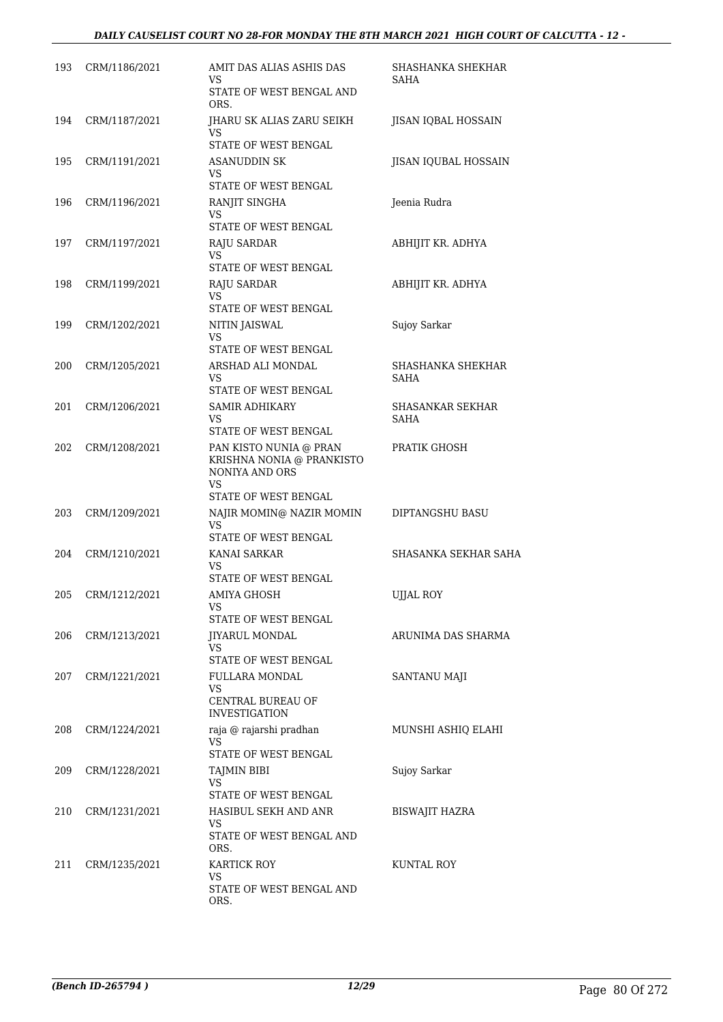| 193 | CRM/1186/2021 | AMIT DAS ALIAS ASHIS DAS<br>VS                                                     | SHASHANKA SHEKHAR<br>SAHA |
|-----|---------------|------------------------------------------------------------------------------------|---------------------------|
|     |               | STATE OF WEST BENGAL AND<br>ORS.                                                   |                           |
| 194 | CRM/1187/2021 | JHARU SK ALIAS ZARU SEIKH<br><b>VS</b><br>STATE OF WEST BENGAL                     | JISAN IQBAL HOSSAIN       |
| 195 | CRM/1191/2021 | ASANUDDIN SK                                                                       | JISAN IQUBAL HOSSAIN      |
|     |               | VS.<br>STATE OF WEST BENGAL                                                        |                           |
| 196 | CRM/1196/2021 | RANJIT SINGHA<br>VS                                                                | Jeenia Rudra              |
|     |               | STATE OF WEST BENGAL                                                               |                           |
| 197 | CRM/1197/2021 | RAJU SARDAR<br>VS.<br>STATE OF WEST BENGAL                                         | ABHIJIT KR. ADHYA         |
| 198 |               |                                                                                    |                           |
|     | CRM/1199/2021 | RAJU SARDAR<br>VS<br>STATE OF WEST BENGAL                                          | ABHIJIT KR. ADHYA         |
| 199 | CRM/1202/2021 | <b>NITIN JAISWAL</b>                                                               | Sujoy Sarkar              |
|     |               | <b>VS</b><br>STATE OF WEST BENGAL                                                  |                           |
| 200 | CRM/1205/2021 | ARSHAD ALI MONDAL                                                                  | SHASHANKA SHEKHAR         |
|     |               | VS<br>STATE OF WEST BENGAL                                                         | <b>SAHA</b>               |
| 201 | CRM/1206/2021 | SAMIR ADHIKARY                                                                     | SHASANKAR SEKHAR          |
|     |               | VS<br>STATE OF WEST BENGAL                                                         | SAHA                      |
| 202 | CRM/1208/2021 | PAN KISTO NUNIA @ PRAN<br>KRISHNA NONIA @ PRANKISTO<br>NONIYA AND ORS<br><b>VS</b> | PRATIK GHOSH              |
|     |               | STATE OF WEST BENGAL                                                               |                           |
| 203 | CRM/1209/2021 | NAJIR MOMIN@ NAZIR MOMIN<br><b>VS</b><br>STATE OF WEST BENGAL                      | DIPTANGSHU BASU           |
| 204 |               | KANAI SARKAR                                                                       | SHASANKA SEKHAR SAHA      |
|     | CRM/1210/2021 | VS<br>STATE OF WEST BENGAL                                                         |                           |
| 205 | CRM/1212/2021 | AMIYA GHOSH                                                                        | UJJAL ROY                 |
|     |               | VS                                                                                 |                           |
|     |               | STATE OF WEST BENGAL                                                               |                           |
| 206 | CRM/1213/2021 | <b>JIYARUL MONDAL</b><br>VS<br>STATE OF WEST BENGAL                                | ARUNIMA DAS SHARMA        |
| 207 | CRM/1221/2021 | FULLARA MONDAL                                                                     | SANTANU MAJI              |
|     |               | VS.<br>CENTRAL BUREAU OF<br><b>INVESTIGATION</b>                                   |                           |
| 208 | CRM/1224/2021 | raja @ rajarshi pradhan<br>VS                                                      | MUNSHI ASHIQ ELAHI        |
|     |               | STATE OF WEST BENGAL                                                               |                           |
| 209 | CRM/1228/2021 | <b>TAJMIN BIBI</b><br>VS                                                           | Sujoy Sarkar              |
|     |               | STATE OF WEST BENGAL                                                               |                           |
| 210 | CRM/1231/2021 | HASIBUL SEKH AND ANR                                                               | BISWAJIT HAZRA            |
|     |               | VS<br>STATE OF WEST BENGAL AND<br>ORS.                                             |                           |
| 211 | CRM/1235/2021 | KARTICK ROY<br>VS                                                                  | KUNTAL ROY                |
|     |               | STATE OF WEST BENGAL AND<br>ORS.                                                   |                           |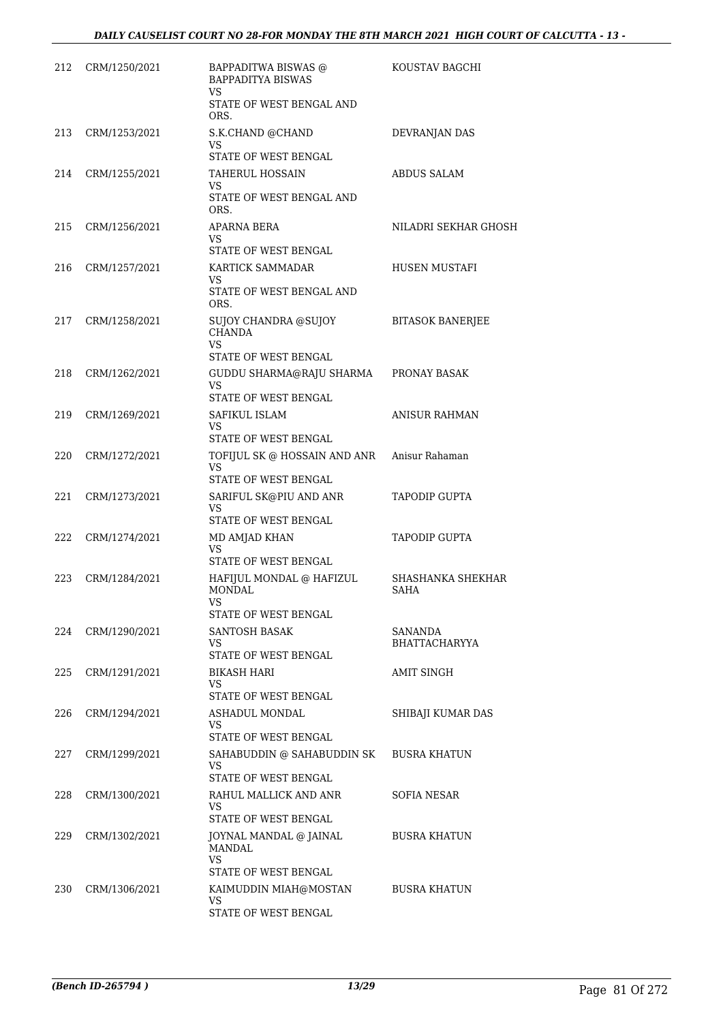| 212 | CRM/1250/2021 | BAPPADITWA BISWAS @<br><b>BAPPADITYA BISWAS</b><br><b>VS</b><br>STATE OF WEST BENGAL AND | KOUSTAV BAGCHI                   |
|-----|---------------|------------------------------------------------------------------------------------------|----------------------------------|
| 213 | CRM/1253/2021 | ORS.<br>S.K.CHAND @CHAND<br>VS                                                           | DEVRANJAN DAS                    |
| 214 | CRM/1255/2021 | STATE OF WEST BENGAL<br>TAHERUL HOSSAIN<br>VS.<br>STATE OF WEST BENGAL AND               | <b>ABDUS SALAM</b>               |
| 215 | CRM/1256/2021 | ORS.<br>APARNA BERA<br>VS.                                                               | NILADRI SEKHAR GHOSH             |
| 216 | CRM/1257/2021 | STATE OF WEST BENGAL<br>KARTICK SAMMADAR<br>VS<br>STATE OF WEST BENGAL AND<br>ORS.       | HUSEN MUSTAFI                    |
| 217 | CRM/1258/2021 | SUJOY CHANDRA @SUJOY<br><b>CHANDA</b><br>VS.                                             | <b>BITASOK BANERJEE</b>          |
| 218 | CRM/1262/2021 | STATE OF WEST BENGAL<br>GUDDU SHARMA@RAJU SHARMA<br><b>VS</b>                            | PRONAY BASAK                     |
| 219 | CRM/1269/2021 | STATE OF WEST BENGAL<br>SAFIKUL ISLAM<br><b>VS</b><br>STATE OF WEST BENGAL               | <b>ANISUR RAHMAN</b>             |
| 220 | CRM/1272/2021 | TOFIJUL SK @ HOSSAIN AND ANR<br><b>VS</b><br>STATE OF WEST BENGAL                        | Anisur Rahaman                   |
| 221 | CRM/1273/2021 | SARIFUL SK@PIU AND ANR<br>VS.<br>STATE OF WEST BENGAL                                    | TAPODIP GUPTA                    |
| 222 | CRM/1274/2021 | MD AMJAD KHAN<br>VS<br>STATE OF WEST BENGAL                                              | <b>TAPODIP GUPTA</b>             |
| 223 | CRM/1284/2021 | HAFIJUL MONDAL @ HAFIZUL<br><b>MONDAL</b><br>VS –<br>STATE OF WEST BENGAL                | SHASHANKA SHEKHAR<br><b>SAHA</b> |
| 224 | CRM/1290/2021 | <b>SANTOSH BASAK</b><br>VS<br>STATE OF WEST BENGAL                                       | SANANDA<br><b>BHATTACHARYYA</b>  |
| 225 | CRM/1291/2021 | BIKASH HARI<br>VS.<br>STATE OF WEST BENGAL                                               | <b>AMIT SINGH</b>                |
| 226 | CRM/1294/2021 | ASHADUL MONDAL<br>VS<br>STATE OF WEST BENGAL                                             | SHIBAJI KUMAR DAS                |
| 227 | CRM/1299/2021 | SAHABUDDIN @ SAHABUDDIN SK<br>VS<br>STATE OF WEST BENGAL                                 | <b>BUSRA KHATUN</b>              |
| 228 | CRM/1300/2021 | RAHUL MALLICK AND ANR<br>VS<br>STATE OF WEST BENGAL                                      | SOFIA NESAR                      |
| 229 | CRM/1302/2021 | JOYNAL MANDAL @ JAINAL<br>MANDAL<br>VS.<br>STATE OF WEST BENGAL                          | <b>BUSRA KHATUN</b>              |
| 230 | CRM/1306/2021 | KAIMUDDIN MIAH@MOSTAN<br>VS.<br>STATE OF WEST BENGAL                                     | <b>BUSRA KHATUN</b>              |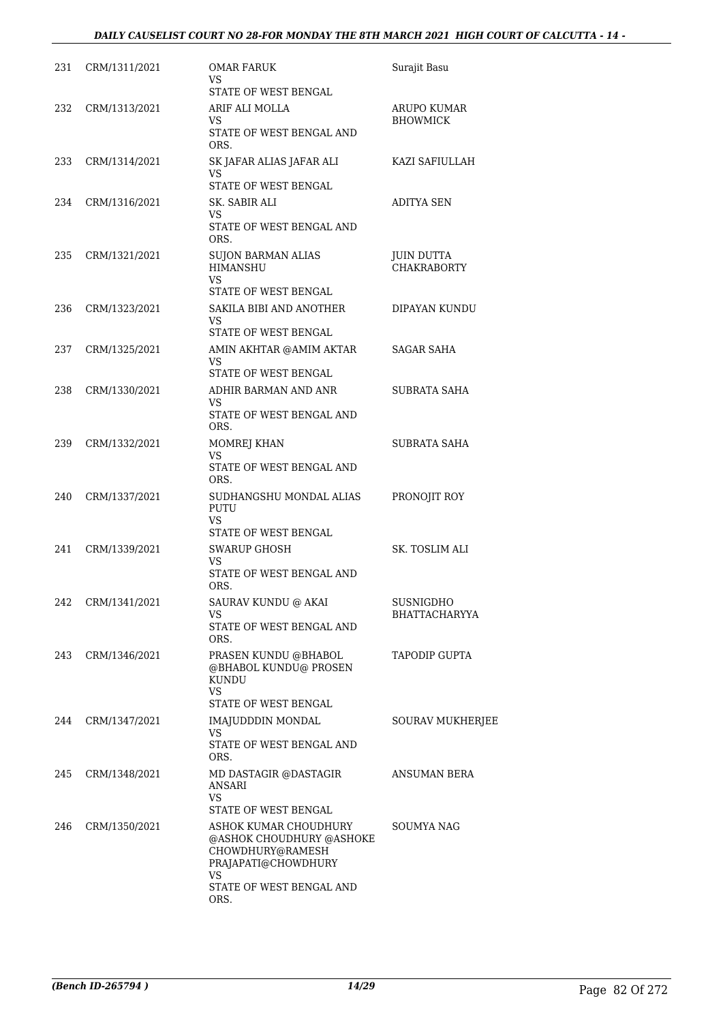| 231 | CRM/1311/2021     | OMAR FARUK<br>VS<br>STATE OF WEST BENGAL                                                                                                | Surajit Basu                            |
|-----|-------------------|-----------------------------------------------------------------------------------------------------------------------------------------|-----------------------------------------|
| 232 | CRM/1313/2021     | ARIF ALI MOLLA<br>VS<br>STATE OF WEST BENGAL AND<br>ORS.                                                                                | ARUPO KUMAR<br><b>BHOWMICK</b>          |
| 233 | CRM/1314/2021     | SK JAFAR ALIAS JAFAR ALI<br>VS<br>STATE OF WEST BENGAL                                                                                  | KAZI SAFIULLAH                          |
| 234 | CRM/1316/2021     | SK. SABIR ALI<br>VS.<br>STATE OF WEST BENGAL AND<br>ORS.                                                                                | ADITYA SEN                              |
| 235 | CRM/1321/2021     | <b>SUJON BARMAN ALIAS</b><br><b>HIMANSHU</b><br><b>VS</b><br>STATE OF WEST BENGAL                                                       | <b>JUIN DUTTA</b><br><b>CHAKRABORTY</b> |
| 236 | CRM/1323/2021     | SAKILA BIBI AND ANOTHER<br>VS<br>STATE OF WEST BENGAL                                                                                   | DIPAYAN KUNDU                           |
| 237 | CRM/1325/2021     | AMIN AKHTAR @AMIM AKTAR<br>VS.<br>STATE OF WEST BENGAL                                                                                  | SAGAR SAHA                              |
| 238 | CRM/1330/2021     | ADHIR BARMAN AND ANR<br>VS<br>STATE OF WEST BENGAL AND<br>ORS.                                                                          | SUBRATA SAHA                            |
| 239 | CRM/1332/2021     | MOMREJ KHAN<br>VS<br>STATE OF WEST BENGAL AND<br>ORS.                                                                                   | <b>SUBRATA SAHA</b>                     |
| 240 | CRM/1337/2021     | SUDHANGSHU MONDAL ALIAS<br>PUTU<br><b>VS</b><br>STATE OF WEST BENGAL                                                                    | PRONOJIT ROY                            |
| 241 | CRM/1339/2021     | <b>SWARUP GHOSH</b><br>VS<br>STATE OF WEST BENGAL AND<br>ORS.                                                                           | SK. TOSLIM ALI                          |
|     | 242 CRM/1341/2021 | SAURAV KUNDU @ AKAI<br>VS<br>STATE OF WEST BENGAL AND<br>ORS.                                                                           | SUSNIGDHO<br>BHATTACHARYYA              |
| 243 | CRM/1346/2021     | PRASEN KUNDU @BHABOL<br>@BHABOL KUNDU@ PROSEN<br>KUNDU<br>VS<br>STATE OF WEST BENGAL                                                    | TAPODIP GUPTA                           |
| 244 | CRM/1347/2021     | IMAJUDDDIN MONDAL<br>VS.<br>STATE OF WEST BENGAL AND<br>ORS.                                                                            | <b>SOURAV MUKHERJEE</b>                 |
| 245 | CRM/1348/2021     | MD DASTAGIR @DASTAGIR<br><b>ANSARI</b><br>VS.<br>STATE OF WEST BENGAL                                                                   | ANSUMAN BERA                            |
| 246 | CRM/1350/2021     | ASHOK KUMAR CHOUDHURY<br>@ASHOK CHOUDHURY @ASHOKE<br>CHOWDHURY@RAMESH<br>PRAJAPATI@CHOWDHURY<br>VS.<br>STATE OF WEST BENGAL AND<br>ORS. | SOUMYA NAG                              |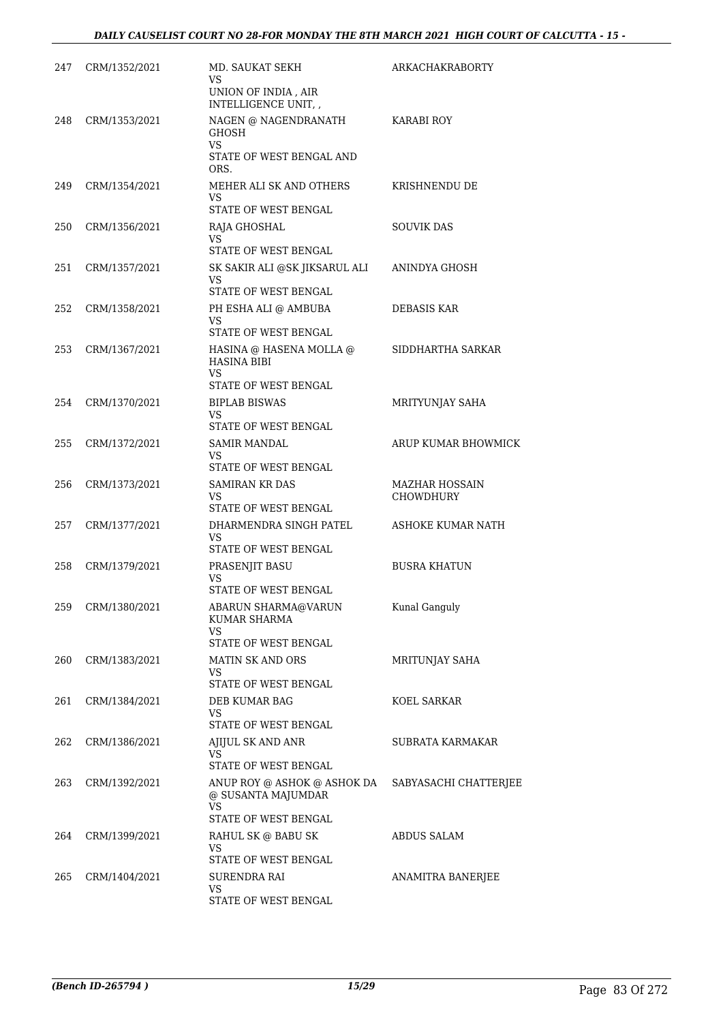| 247 | CRM/1352/2021 | MD. SAUKAT SEKH<br>VS<br>UNION OF INDIA, AIR<br>INTELLIGENCE UNIT,                     | <b>ARKACHAKRABORTY</b>                    |
|-----|---------------|----------------------------------------------------------------------------------------|-------------------------------------------|
| 248 | CRM/1353/2021 | NAGEN @ NAGENDRANATH<br><b>GHOSH</b><br>VS<br>STATE OF WEST BENGAL AND<br>ORS.         | <b>KARABI ROY</b>                         |
| 249 | CRM/1354/2021 | MEHER ALI SK AND OTHERS<br>VS<br>STATE OF WEST BENGAL                                  | KRISHNENDU DE                             |
| 250 | CRM/1356/2021 | RAJA GHOSHAL<br>VS<br>STATE OF WEST BENGAL                                             | <b>SOUVIK DAS</b>                         |
| 251 | CRM/1357/2021 | SK SAKIR ALI @SK JIKSARUL ALI<br>VS<br>STATE OF WEST BENGAL                            | ANINDYA GHOSH                             |
| 252 | CRM/1358/2021 | PH ESHA ALI @ AMBUBA<br>VS.<br>STATE OF WEST BENGAL                                    | DEBASIS KAR                               |
| 253 | CRM/1367/2021 | HASINA @ HASENA MOLLA @<br><b>HASINA BIBI</b><br>VS.<br>STATE OF WEST BENGAL           | SIDDHARTHA SARKAR                         |
| 254 | CRM/1370/2021 | <b>BIPLAB BISWAS</b><br>VS<br>STATE OF WEST BENGAL                                     | MRITYUNJAY SAHA                           |
| 255 | CRM/1372/2021 | SAMIR MANDAL<br>VS<br>STATE OF WEST BENGAL                                             | ARUP KUMAR BHOWMICK                       |
| 256 | CRM/1373/2021 | <b>SAMIRAN KR DAS</b><br>VS<br>STATE OF WEST BENGAL                                    | <b>MAZHAR HOSSAIN</b><br><b>CHOWDHURY</b> |
| 257 | CRM/1377/2021 | DHARMENDRA SINGH PATEL<br>VS.<br>STATE OF WEST BENGAL                                  | ASHOKE KUMAR NATH                         |
| 258 | CRM/1379/2021 | PRASENJIT BASU<br>VS<br>STATE OF WEST BENGAL                                           | <b>BUSRA KHATUN</b>                       |
| 259 | CRM/1380/2021 | ABARUN SHARMA@VARUN<br><b>KUMAR SHARMA</b><br>VS<br>STATE OF WEST BENGAL               | Kunal Ganguly                             |
| 260 | CRM/1383/2021 | <b>MATIN SK AND ORS</b><br>VS.<br>STATE OF WEST BENGAL                                 | MRITUNJAY SAHA                            |
| 261 | CRM/1384/2021 | DEB KUMAR BAG<br>VS<br>STATE OF WEST BENGAL                                            | KOEL SARKAR                               |
| 262 | CRM/1386/2021 | AJIJUL SK AND ANR<br>VS.<br>STATE OF WEST BENGAL                                       | SUBRATA KARMAKAR                          |
| 263 | CRM/1392/2021 | ANUP ROY @ ASHOK @ ASHOK DA<br>@ SUSANTA MAJUMDAR<br><b>VS</b><br>STATE OF WEST BENGAL | SABYASACHI CHATTERJEE                     |
| 264 | CRM/1399/2021 | RAHUL SK @ BABU SK<br>VS<br>STATE OF WEST BENGAL                                       | ABDUS SALAM                               |
| 265 | CRM/1404/2021 | SURENDRA RAI<br><b>VS</b><br>STATE OF WEST BENGAL                                      | ANAMITRA BANERJEE                         |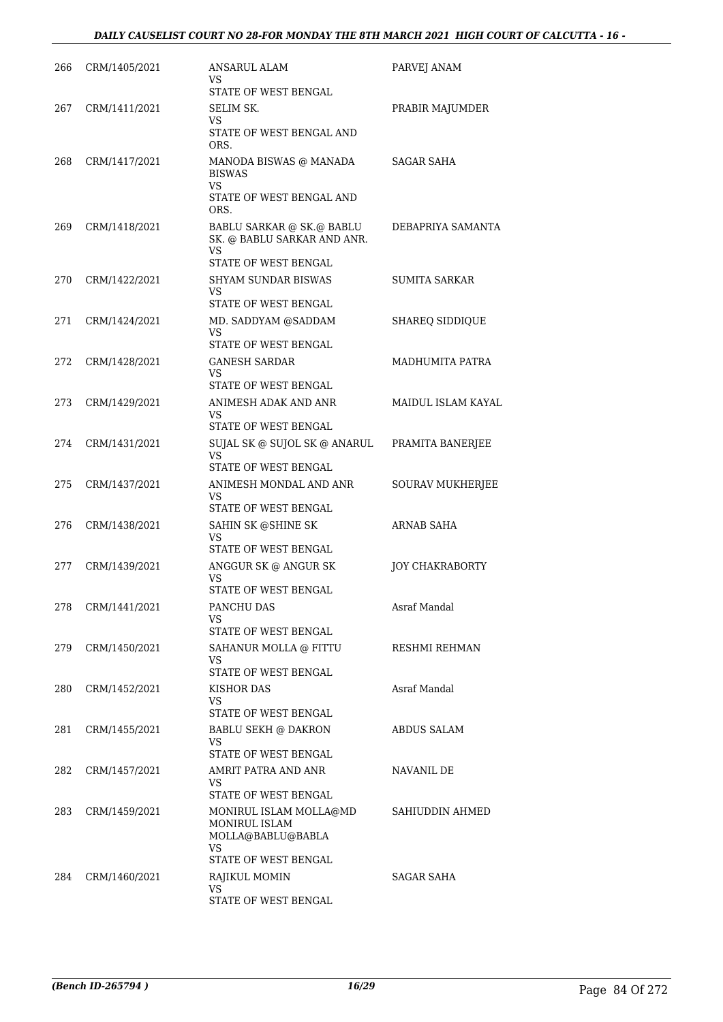| 266 | CRM/1405/2021 | ANSARUL ALAM<br>VS<br>STATE OF WEST BENGAL                                                  | PARVEJ ANAM            |
|-----|---------------|---------------------------------------------------------------------------------------------|------------------------|
| 267 | CRM/1411/2021 | SELIM SK.                                                                                   | PRABIR MAJUMDER        |
|     |               | VS<br>STATE OF WEST BENGAL AND<br>ORS.                                                      |                        |
| 268 | CRM/1417/2021 | MANODA BISWAS @ MANADA<br><b>BISWAS</b><br><b>VS</b><br>STATE OF WEST BENGAL AND<br>ORS.    | SAGAR SAHA             |
| 269 | CRM/1418/2021 | BABLU SARKAR @ SK.@ BABLU<br>SK. @ BABLU SARKAR AND ANR.<br>VS.<br>STATE OF WEST BENGAL     | DEBAPRIYA SAMANTA      |
| 270 | CRM/1422/2021 | <b>SHYAM SUNDAR BISWAS</b><br>VS.<br>STATE OF WEST BENGAL                                   | SUMITA SARKAR          |
| 271 | CRM/1424/2021 | MD. SADDYAM @SADDAM<br>VS<br>STATE OF WEST BENGAL                                           | SHAREQ SIDDIQUE        |
| 272 | CRM/1428/2021 | GANESH SARDAR<br>VS.                                                                        | MADHUMITA PATRA        |
|     |               | STATE OF WEST BENGAL                                                                        |                        |
| 273 | CRM/1429/2021 | ANIMESH ADAK AND ANR<br>VS.<br>STATE OF WEST BENGAL                                         | MAIDUL ISLAM KAYAL     |
| 274 | CRM/1431/2021 | SUJAL SK @ SUJOL SK @ ANARUL<br>VS.<br>STATE OF WEST BENGAL                                 | PRAMITA BANERJEE       |
| 275 | CRM/1437/2021 | ANIMESH MONDAL AND ANR<br>VS                                                                | SOURAV MUKHERJEE       |
|     |               | STATE OF WEST BENGAL                                                                        |                        |
| 276 | CRM/1438/2021 | SAHIN SK @SHINE SK<br>VS<br>STATE OF WEST BENGAL                                            | ARNAB SAHA             |
| 277 | CRM/1439/2021 | ANGGUR SK @ ANGUR SK<br>VS<br>STATE OF WEST BENGAL                                          | <b>JOY CHAKRABORTY</b> |
| 278 | CRM/1441/2021 | PANCHU DAS<br>VS                                                                            | Asraf Mandal           |
|     |               | STATE OF WEST BENGAL                                                                        |                        |
| 279 | CRM/1450/2021 | SAHANUR MOLLA @ FITTU<br>VS<br>STATE OF WEST BENGAL                                         | RESHMI REHMAN          |
| 280 | CRM/1452/2021 | KISHOR DAS<br>VS.<br>STATE OF WEST BENGAL                                                   | Asraf Mandal           |
| 281 | CRM/1455/2021 | <b>BABLU SEKH @ DAKRON</b><br>VS.<br>STATE OF WEST BENGAL                                   | <b>ABDUS SALAM</b>     |
| 282 | CRM/1457/2021 | AMRIT PATRA AND ANR<br>VS.                                                                  | NAVANIL DE             |
|     |               | STATE OF WEST BENGAL                                                                        |                        |
| 283 | CRM/1459/2021 | MONIRUL ISLAM MOLLA@MD<br>MONIRUL ISLAM<br>MOLLA@BABLU@BABLA<br>VS.<br>STATE OF WEST BENGAL | SAHIUDDIN AHMED        |
| 284 | CRM/1460/2021 | RAJIKUL MOMIN                                                                               | SAGAR SAHA             |
|     |               | VS.<br>STATE OF WEST BENGAL                                                                 |                        |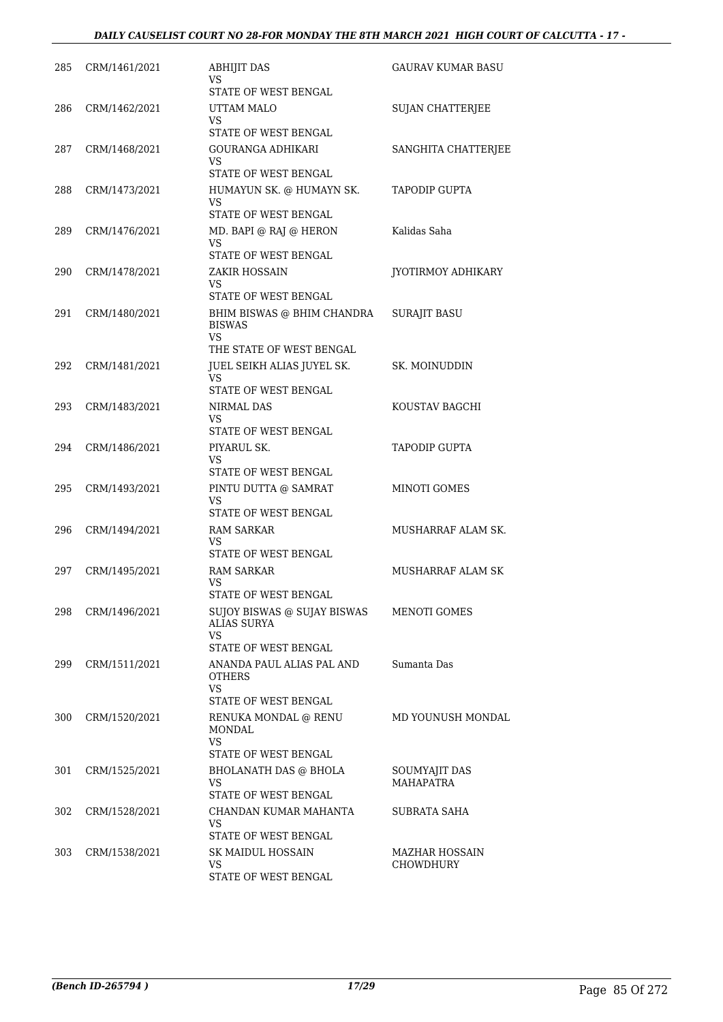| 285 | CRM/1461/2021 | <b>ABHIJIT DAS</b><br>VS                               | GAURAV KUMAR BASU         |
|-----|---------------|--------------------------------------------------------|---------------------------|
|     |               | STATE OF WEST BENGAL                                   |                           |
| 286 | CRM/1462/2021 | UTTAM MALO<br>VS.                                      | <b>SUJAN CHATTERJEE</b>   |
|     |               | STATE OF WEST BENGAL                                   |                           |
| 287 | CRM/1468/2021 | <b>GOURANGA ADHIKARI</b><br>VS<br>STATE OF WEST BENGAL | SANGHITA CHATTERJEE       |
|     |               | HUMAYUN SK. @ HUMAYN SK.                               | <b>TAPODIP GUPTA</b>      |
| 288 | CRM/1473/2021 | VS<br>STATE OF WEST BENGAL                             |                           |
| 289 | CRM/1476/2021 | MD. BAPI @ RAJ @ HERON                                 | Kalidas Saha              |
|     |               | VS<br>STATE OF WEST BENGAL                             |                           |
| 290 | CRM/1478/2021 | ZAKIR HOSSAIN                                          | <b>JYOTIRMOY ADHIKARY</b> |
|     |               | VS<br>STATE OF WEST BENGAL                             |                           |
| 291 | CRM/1480/2021 | BHIM BISWAS @ BHIM CHANDRA                             | <b>SURAJIT BASU</b>       |
|     |               | <b>BISWAS</b><br><b>VS</b><br>THE STATE OF WEST BENGAL |                           |
| 292 | CRM/1481/2021 |                                                        | SK. MOINUDDIN             |
|     |               | JUEL SEIKH ALIAS JUYEL SK.<br>VS                       |                           |
|     |               | STATE OF WEST BENGAL                                   |                           |
| 293 | CRM/1483/2021 | NIRMAL DAS                                             | KOUSTAV BAGCHI            |
|     |               | VS.<br>STATE OF WEST BENGAL                            |                           |
| 294 | CRM/1486/2021 | PIYARUL SK.                                            | <b>TAPODIP GUPTA</b>      |
|     |               | VS<br>STATE OF WEST BENGAL                             |                           |
| 295 | CRM/1493/2021 | PINTU DUTTA @ SAMRAT                                   | <b>MINOTI GOMES</b>       |
|     |               | VS<br>STATE OF WEST BENGAL                             |                           |
| 296 | CRM/1494/2021 | <b>RAM SARKAR</b>                                      | MUSHARRAF ALAM SK.        |
|     |               | VS                                                     |                           |
|     |               | STATE OF WEST BENGAL                                   |                           |
| 297 | CRM/1495/2021 | <b>RAM SARKAR</b><br>VS<br>STATE OF WEST BENGAL        | MUSHARRAF ALAM SK         |
| 298 | CRM/1496/2021 | SUJOY BISWAS @ SUJAY BISWAS                            | MENOTI GOMES              |
|     |               | <b>ALIAS SURYA</b><br><b>VS</b>                        |                           |
|     |               | STATE OF WEST BENGAL                                   |                           |
| 299 | CRM/1511/2021 | ANANDA PAUL ALIAS PAL AND<br><b>OTHERS</b>             | Sumanta Das               |
|     |               | <b>VS</b><br>STATE OF WEST BENGAL                      |                           |
| 300 | CRM/1520/2021 | RENUKA MONDAL @ RENU                                   | MD YOUNUSH MONDAL         |
|     |               | <b>MONDAL</b>                                          |                           |
|     |               | VS<br>STATE OF WEST BENGAL                             |                           |
| 301 | CRM/1525/2021 | <b>BHOLANATH DAS @ BHOLA</b>                           | SOUMYAJIT DAS             |
|     |               | VS.                                                    | <b>MAHAPATRA</b>          |
|     |               | STATE OF WEST BENGAL                                   |                           |
| 302 | CRM/1528/2021 | CHANDAN KUMAR MAHANTA<br>VS                            | <b>SUBRATA SAHA</b>       |
|     |               | STATE OF WEST BENGAL                                   |                           |
| 303 | CRM/1538/2021 | SK MAIDUL HOSSAIN                                      | MAZHAR HOSSAIN            |
|     |               | VS                                                     | <b>CHOWDHURY</b>          |
|     |               | STATE OF WEST BENGAL                                   |                           |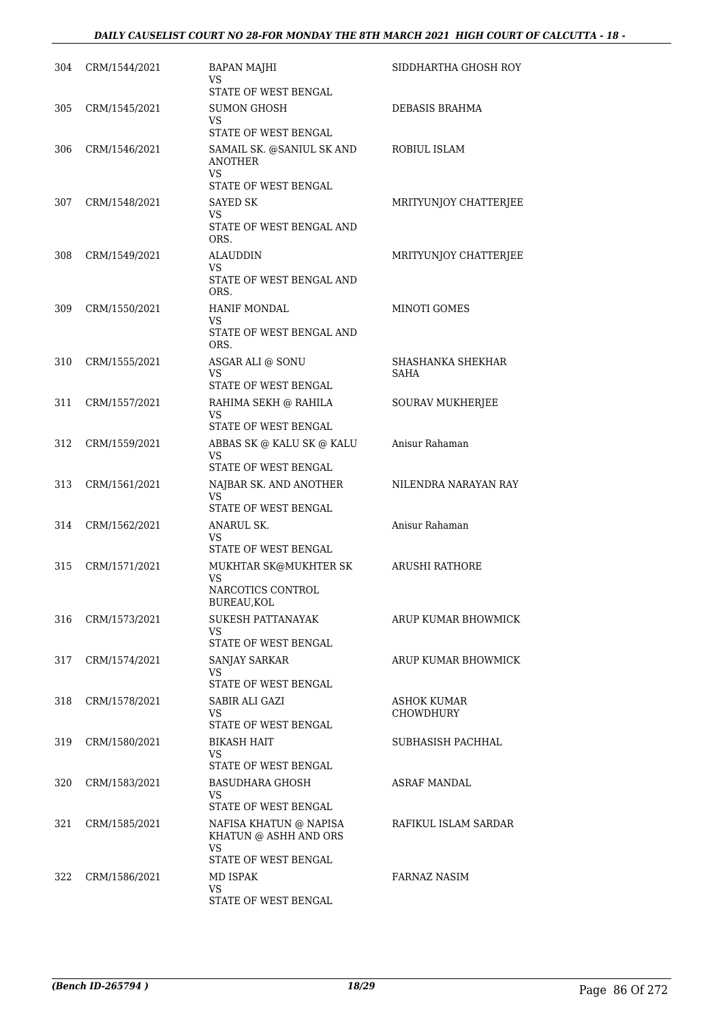| 304 | CRM/1544/2021 | <b>BAPAN MAJHI</b><br><b>VS</b><br>STATE OF WEST BENGAL                        | SIDDHARTHA GHOSH ROY            |
|-----|---------------|--------------------------------------------------------------------------------|---------------------------------|
| 305 | CRM/1545/2021 | <b>SUMON GHOSH</b><br>VS<br>STATE OF WEST BENGAL                               | DEBASIS BRAHMA                  |
| 306 | CRM/1546/2021 | SAMAIL SK. @SANIUL SK AND<br><b>ANOTHER</b><br>VS.                             | ROBIUL ISLAM                    |
| 307 | CRM/1548/2021 | STATE OF WEST BENGAL<br>SAYED SK                                               | MRITYUNJOY CHATTERJEE           |
|     |               | VS.<br>STATE OF WEST BENGAL AND<br>ORS.                                        |                                 |
| 308 | CRM/1549/2021 | ALAUDDIN<br>VS.<br>STATE OF WEST BENGAL AND<br>ORS.                            | MRITYUNJOY CHATTERJEE           |
| 309 | CRM/1550/2021 | HANIF MONDAL<br>VS<br>STATE OF WEST BENGAL AND                                 | MINOTI GOMES                    |
| 310 | CRM/1555/2021 | ORS.<br>ASGAR ALI @ SONU                                                       | SHASHANKA SHEKHAR               |
|     |               | VS<br>STATE OF WEST BENGAL                                                     | SAHA                            |
| 311 | CRM/1557/2021 | RAHIMA SEKH @ RAHILA<br>VS<br>STATE OF WEST BENGAL                             | <b>SOURAV MUKHERJEE</b>         |
| 312 | CRM/1559/2021 | ABBAS SK @ KALU SK @ KALU<br><b>VS</b>                                         | Anisur Rahaman                  |
|     |               | STATE OF WEST BENGAL                                                           |                                 |
| 313 | CRM/1561/2021 | NAJBAR SK. AND ANOTHER<br>VS.<br>STATE OF WEST BENGAL                          | NILENDRA NARAYAN RAY            |
| 314 | CRM/1562/2021 | ANARUL SK.<br>VS                                                               | Anisur Rahaman                  |
|     |               | STATE OF WEST BENGAL                                                           |                                 |
| 315 | CRM/1571/2021 | MUKHTAR SK@MUKHTER SK<br>VS<br>NARCOTICS CONTROL<br>BUREAU, KOL                | ARUSHI RATHORE                  |
| 316 | CRM/1573/2021 | SUKESH PATTANAYAK<br>VS.<br>STATE OF WEST BENGAL                               | ARUP KUMAR BHOWMICK             |
| 317 | CRM/1574/2021 | <b>SANJAY SARKAR</b><br>VS<br>STATE OF WEST BENGAL                             | ARUP KUMAR BHOWMICK             |
| 318 | CRM/1578/2021 | SABIR ALI GAZI<br>VS                                                           | ASHOK KUMAR<br><b>CHOWDHURY</b> |
|     |               | STATE OF WEST BENGAL                                                           |                                 |
| 319 | CRM/1580/2021 | <b>BIKASH HAIT</b><br>VS.<br>STATE OF WEST BENGAL                              | SUBHASISH PACHHAL               |
| 320 | CRM/1583/2021 | BASUDHARA GHOSH<br>VS.<br>STATE OF WEST BENGAL                                 | ASRAF MANDAL                    |
| 321 | CRM/1585/2021 | NAFISA KHATUN @ NAPISA<br>KHATUN @ ASHH AND ORS<br>VS.<br>STATE OF WEST BENGAL | RAFIKUL ISLAM SARDAR            |
| 322 | CRM/1586/2021 | MD ISPAK<br>VS<br>STATE OF WEST BENGAL                                         | FARNAZ NASIM                    |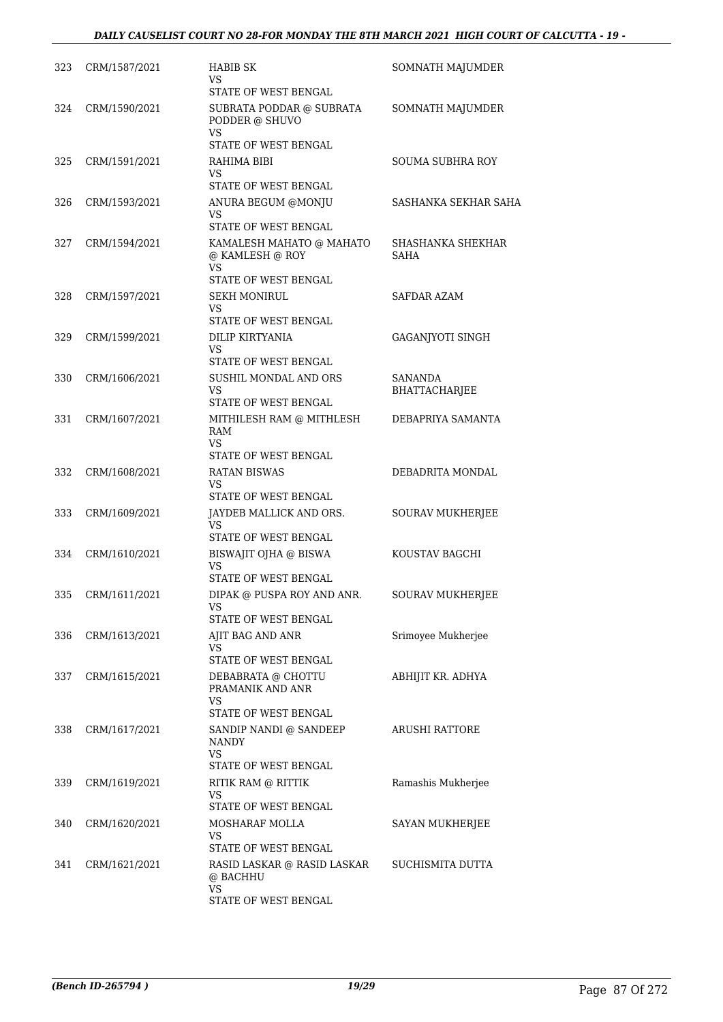| 323 | CRM/1587/2021 | HABIB SK<br>VS<br>STATE OF WEST BENGAL                               | SOMNATH MAJUMDER          |
|-----|---------------|----------------------------------------------------------------------|---------------------------|
| 324 | CRM/1590/2021 | SUBRATA PODDAR @ SUBRATA<br>PODDER @ SHUVO<br><b>VS</b>              | SOMNATH MAJUMDER          |
| 325 | CRM/1591/2021 | STATE OF WEST BENGAL<br>RAHIMA BIBI<br>VS                            | SOUMA SUBHRA ROY          |
|     |               | STATE OF WEST BENGAL                                                 |                           |
| 326 | CRM/1593/2021 | ANURA BEGUM @MONJU<br>VS                                             | SASHANKA SEKHAR SAHA      |
|     |               | STATE OF WEST BENGAL                                                 |                           |
| 327 | CRM/1594/2021 | KAMALESH MAHATO @ MAHATO<br>@ KAMLESH @ ROY<br>VS.                   | SHASHANKA SHEKHAR<br>SAHA |
|     |               | STATE OF WEST BENGAL                                                 |                           |
| 328 | CRM/1597/2021 | <b>SEKH MONIRUL</b><br>VS<br>STATE OF WEST BENGAL                    | SAFDAR AZAM               |
| 329 | CRM/1599/2021 | DILIP KIRTYANIA                                                      | GAGANJYOTI SINGH          |
|     |               | VS                                                                   |                           |
|     |               | STATE OF WEST BENGAL                                                 |                           |
| 330 | CRM/1606/2021 | SUSHIL MONDAL AND ORS<br><b>VS</b>                                   | <b>SANANDA</b>            |
|     |               | STATE OF WEST BENGAL                                                 | <b>BHATTACHARJEE</b>      |
| 331 | CRM/1607/2021 | MITHILESH RAM @ MITHLESH<br>RAM<br>VS                                | DEBAPRIYA SAMANTA         |
|     |               | STATE OF WEST BENGAL                                                 |                           |
| 332 | CRM/1608/2021 | <b>RATAN BISWAS</b>                                                  | DEBADRITA MONDAL          |
|     |               | VS<br>STATE OF WEST BENGAL                                           |                           |
| 333 | CRM/1609/2021 | JAYDEB MALLICK AND ORS.                                              | SOURAV MUKHERJEE          |
|     |               | VS<br>STATE OF WEST BENGAL                                           |                           |
| 334 | CRM/1610/2021 | BISWAJIT OJHA @ BISWA                                                | KOUSTAV BAGCHI            |
|     |               | <b>VS</b>                                                            |                           |
|     |               | STATE OF WEST BENGAL                                                 |                           |
| 335 | CRM/1611/2021 | DIPAK @ PUSPA ROY AND ANR.<br>VS                                     | <b>SOURAV MUKHERJEE</b>   |
|     |               | STATE OF WEST BENGAL                                                 |                           |
| 336 | CRM/1613/2021 | AJIT BAG AND ANR<br>VS                                               | Srimoyee Mukherjee        |
|     |               | STATE OF WEST BENGAL                                                 |                           |
| 337 | CRM/1615/2021 | DEBABRATA @ CHOTTU<br>PRAMANIK AND ANR<br>VS.                        | ABHIJIT KR. ADHYA         |
|     |               | STATE OF WEST BENGAL                                                 |                           |
| 338 | CRM/1617/2021 | SANDIP NANDI @ SANDEEP<br><b>NANDY</b><br>VS<br>STATE OF WEST BENGAL | ARUSHI RATTORE            |
| 339 | CRM/1619/2021 | RITIK RAM @ RITTIK                                                   | Ramashis Mukherjee        |
|     |               | VS<br>STATE OF WEST BENGAL                                           |                           |
| 340 | CRM/1620/2021 | MOSHARAF MOLLA                                                       | SAYAN MUKHERJEE           |
|     |               | VS                                                                   |                           |
|     |               | STATE OF WEST BENGAL                                                 |                           |
| 341 | CRM/1621/2021 | RASID LASKAR @ RASID LASKAR<br>@ BACHHU<br>VS                        | SUCHISMITA DUTTA          |
|     |               | STATE OF WEST BENGAL                                                 |                           |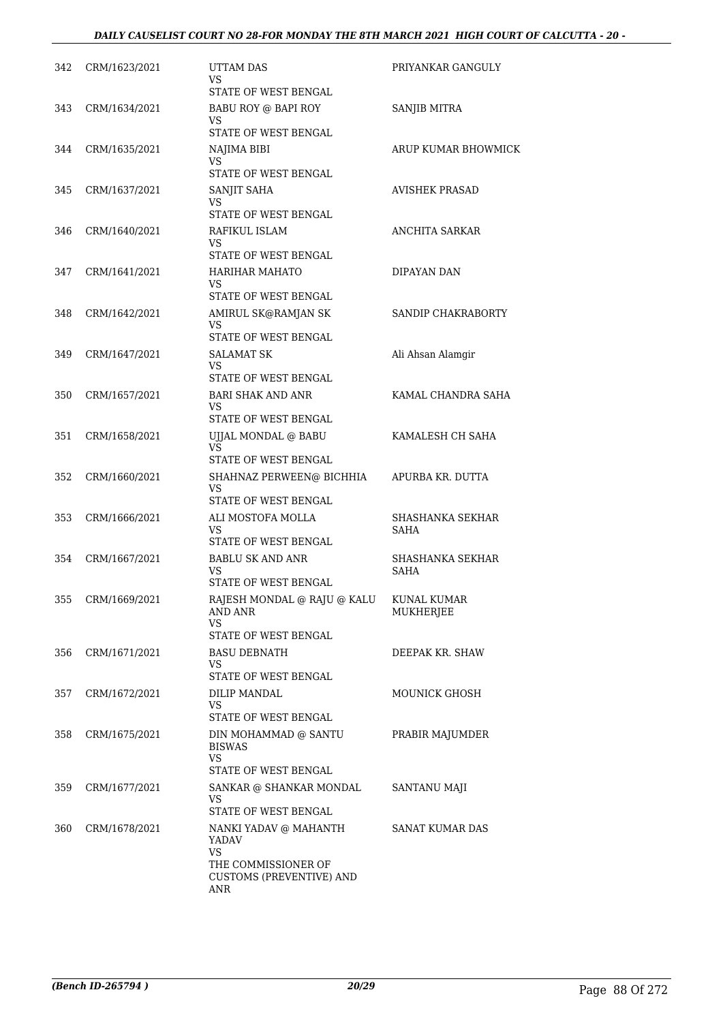| 342 | CRM/1623/2021 | <b>UTTAM DAS</b><br>VS.<br>STATE OF WEST BENGAL                                     | PRIYANKAR GANGULY               |
|-----|---------------|-------------------------------------------------------------------------------------|---------------------------------|
| 343 | CRM/1634/2021 | BABU ROY @ BAPI ROY<br><b>VS</b><br>STATE OF WEST BENGAL                            | SANJIB MITRA                    |
| 344 | CRM/1635/2021 | NAJIMA BIBI                                                                         | ARUP KUMAR BHOWMICK             |
|     |               | VS.<br>STATE OF WEST BENGAL                                                         |                                 |
| 345 | CRM/1637/2021 | SANJIT SAHA<br>VS<br>STATE OF WEST BENGAL                                           | <b>AVISHEK PRASAD</b>           |
| 346 | CRM/1640/2021 | RAFIKUL ISLAM<br>VS                                                                 | ANCHITA SARKAR                  |
|     |               | STATE OF WEST BENGAL                                                                |                                 |
| 347 | CRM/1641/2021 | <b>HARIHAR MAHATO</b><br><b>VS</b>                                                  | DIPAYAN DAN                     |
|     |               | STATE OF WEST BENGAL                                                                |                                 |
| 348 | CRM/1642/2021 | AMIRUL SK@RAMJAN SK<br><b>VS</b><br>STATE OF WEST BENGAL                            | SANDIP CHAKRABORTY              |
| 349 | CRM/1647/2021 | <b>SALAMAT SK</b>                                                                   | Ali Ahsan Alamgir               |
|     |               | VS<br>STATE OF WEST BENGAL                                                          |                                 |
| 350 | CRM/1657/2021 | <b>BARI SHAK AND ANR</b>                                                            | KAMAL CHANDRA SAHA              |
|     |               | VS.                                                                                 |                                 |
|     |               | STATE OF WEST BENGAL                                                                |                                 |
| 351 | CRM/1658/2021 | UJJAL MONDAL @ BABU<br><b>VS</b><br>STATE OF WEST BENGAL                            | KAMALESH CH SAHA                |
| 352 | CRM/1660/2021 | SHAHNAZ PERWEEN@ BICHHIA<br><b>VS</b><br>STATE OF WEST BENGAL                       | APURBA KR. DUTTA                |
| 353 | CRM/1666/2021 | ALI MOSTOFA MOLLA                                                                   | SHASHANKA SEKHAR                |
|     |               | <b>VS</b><br>STATE OF WEST BENGAL                                                   | <b>SAHA</b>                     |
| 354 | CRM/1667/2021 | <b>BABLU SK AND ANR</b>                                                             | SHASHANKA SEKHAR                |
|     |               | VS<br>STATE OF WEST BENGAL                                                          | <b>SAHA</b>                     |
| 355 | CRM/1669/2021 | RAJESH MONDAL @ RAJU @ KALU<br>AND ANR<br>VS                                        | KUNAL KUMAR<br><b>MUKHERJEE</b> |
| 356 | CRM/1671/2021 | STATE OF WEST BENGAL<br><b>BASU DEBNATH</b>                                         | DEEPAK KR. SHAW                 |
|     |               | VS<br>STATE OF WEST BENGAL                                                          |                                 |
| 357 | CRM/1672/2021 | DILIP MANDAL                                                                        | MOUNICK GHOSH                   |
|     |               | VS.<br>STATE OF WEST BENGAL                                                         |                                 |
| 358 | CRM/1675/2021 | DIN MOHAMMAD @ SANTU                                                                | PRABIR MAJUMDER                 |
|     |               | <b>BISWAS</b><br><b>VS</b>                                                          |                                 |
| 359 | CRM/1677/2021 | STATE OF WEST BENGAL<br>SANKAR @ SHANKAR MONDAL                                     |                                 |
|     |               | VS<br>STATE OF WEST BENGAL                                                          | SANTANU MAJI                    |
| 360 | CRM/1678/2021 | NANKI YADAV @ MAHANTH                                                               | SANAT KUMAR DAS                 |
|     |               | <b>YADAV</b><br><b>VS</b><br>THE COMMISSIONER OF<br><b>CUSTOMS (PREVENTIVE) AND</b> |                                 |
|     |               | <b>ANR</b>                                                                          |                                 |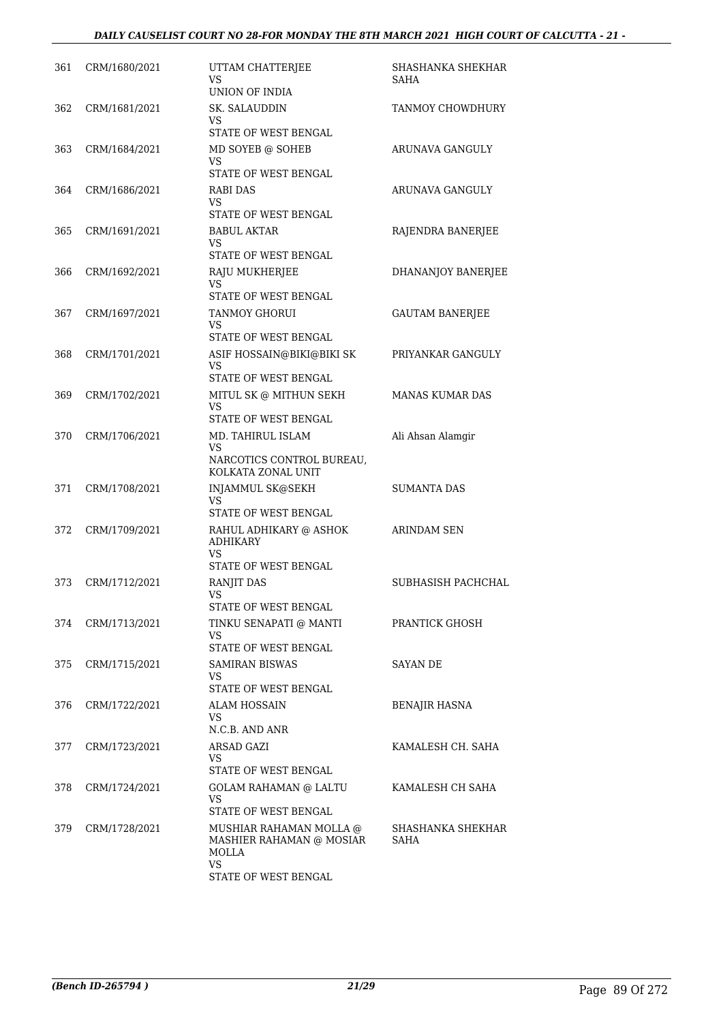### *DAILY CAUSELIST COURT NO 28-FOR MONDAY THE 8TH MARCH 2021 HIGH COURT OF CALCUTTA - 21 -*

| 361 | CRM/1680/2021 | UTTAM CHATTERJEE<br>VS<br>UNION OF INDIA                                                          | SHASHANKA SHEKHAR<br>SAHA        |
|-----|---------------|---------------------------------------------------------------------------------------------------|----------------------------------|
| 362 | CRM/1681/2021 | SK. SALAUDDIN<br>VS<br>STATE OF WEST BENGAL                                                       | TANMOY CHOWDHURY                 |
| 363 | CRM/1684/2021 | MD SOYEB @ SOHEB<br>VS<br>STATE OF WEST BENGAL                                                    | ARUNAVA GANGULY                  |
| 364 | CRM/1686/2021 | <b>RABI DAS</b><br>VS<br>STATE OF WEST BENGAL                                                     | ARUNAVA GANGULY                  |
| 365 | CRM/1691/2021 | BABUL AKTAR<br>VS<br>STATE OF WEST BENGAL                                                         | RAJENDRA BANERJEE                |
| 366 | CRM/1692/2021 | RAJU MUKHERJEE<br>VS                                                                              | DHANANJOY BANERJEE               |
| 367 | CRM/1697/2021 | STATE OF WEST BENGAL<br><b>TANMOY GHORUI</b><br>VS                                                | <b>GAUTAM BANERJEE</b>           |
| 368 | CRM/1701/2021 | STATE OF WEST BENGAL<br>ASIF HOSSAIN@BIKI@BIKI SK<br>VS                                           | PRIYANKAR GANGULY                |
| 369 | CRM/1702/2021 | STATE OF WEST BENGAL<br>MITUL SK @ MITHUN SEKH<br>VS                                              | <b>MANAS KUMAR DAS</b>           |
| 370 | CRM/1706/2021 | STATE OF WEST BENGAL<br>MD. TAHIRUL ISLAM<br><b>VS</b><br>NARCOTICS CONTROL BUREAU,               | Ali Ahsan Alamgir                |
| 371 | CRM/1708/2021 | KOLKATA ZONAL UNIT<br>INJAMMUL SK@SEKH<br>VS                                                      | <b>SUMANTA DAS</b>               |
| 372 | CRM/1709/2021 | STATE OF WEST BENGAL<br>RAHUL ADHIKARY @ ASHOK<br><b>ADHIKARY</b><br>VS                           | <b>ARINDAM SEN</b>               |
| 373 | CRM/1712/2021 | STATE OF WEST BENGAL<br><b>RANJIT DAS</b><br>VS<br>STATE OF WEST BENGAL                           | SUBHASISH PACHCHAL               |
| 374 | CRM/1713/2021 | TINKU SENAPATI @ MANTI<br>VS<br>STATE OF WEST BENGAL                                              | PRANTICK GHOSH                   |
| 375 | CRM/1715/2021 | SAMIRAN BISWAS<br>VS<br>STATE OF WEST BENGAL                                                      | <b>SAYAN DE</b>                  |
| 376 | CRM/1722/2021 | ALAM HOSSAIN<br>VS<br>N.C.B. AND ANR                                                              | <b>BENAJIR HASNA</b>             |
| 377 | CRM/1723/2021 | ARSAD GAZI<br>VS<br>STATE OF WEST BENGAL                                                          | KAMALESH CH. SAHA                |
| 378 | CRM/1724/2021 | <b>GOLAM RAHAMAN @ LALTU</b><br>VS<br>STATE OF WEST BENGAL                                        | KAMALESH CH SAHA                 |
| 379 | CRM/1728/2021 | MUSHIAR RAHAMAN MOLLA @<br>MASHIER RAHAMAN @ MOSIAR<br>MOLLA<br><b>VS</b><br>STATE OF WEST BENGAL | SHASHANKA SHEKHAR<br><b>SAHA</b> |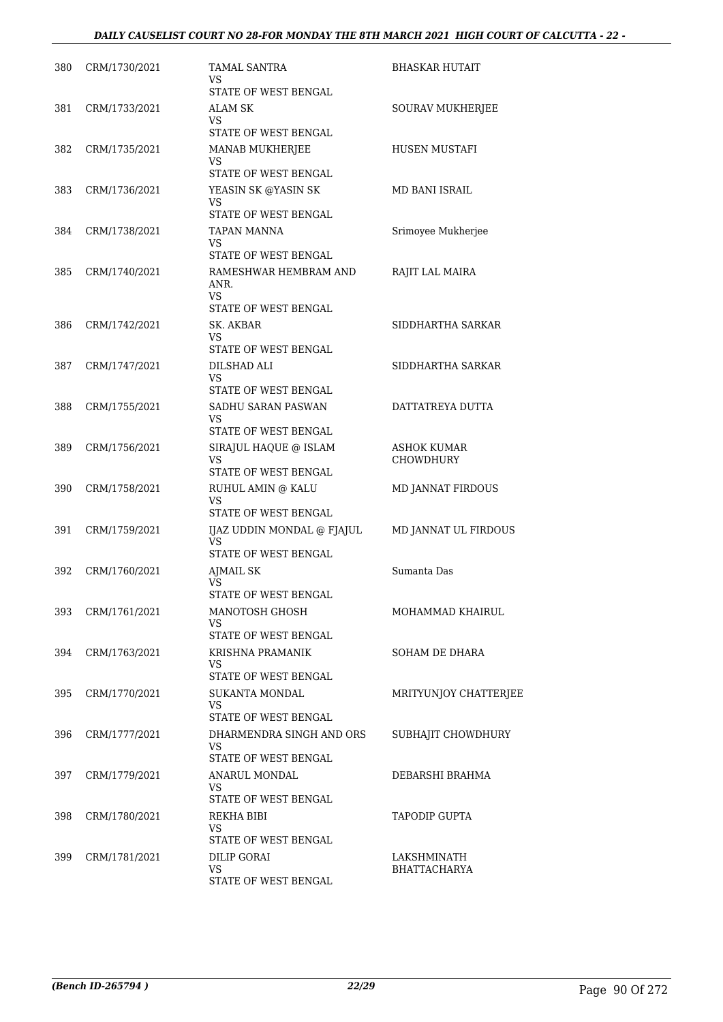| 380 | CRM/1730/2021 | <b>TAMAL SANTRA</b><br>VS<br>STATE OF WEST BENGAL                                    | BHASKAR HUTAIT                     |
|-----|---------------|--------------------------------------------------------------------------------------|------------------------------------|
| 381 | CRM/1733/2021 | ALAM SK<br>VS.<br>STATE OF WEST BENGAL                                               | SOURAV MUKHERJEE                   |
| 382 | CRM/1735/2021 | MANAB MUKHERJEE<br>VS<br>STATE OF WEST BENGAL                                        | HUSEN MUSTAFI                      |
| 383 | CRM/1736/2021 | YEASIN SK @YASIN SK<br>VS<br>STATE OF WEST BENGAL                                    | MD BANI ISRAIL                     |
| 384 | CRM/1738/2021 | TAPAN MANNA<br>VS.                                                                   | Srimoyee Mukherjee                 |
| 385 | CRM/1740/2021 | STATE OF WEST BENGAL<br>RAMESHWAR HEMBRAM AND<br>ANR.<br>VS.<br>STATE OF WEST BENGAL | RAJIT LAL MAIRA                    |
| 386 | CRM/1742/2021 | SK. AKBAR<br>VS<br>STATE OF WEST BENGAL                                              | SIDDHARTHA SARKAR                  |
| 387 | CRM/1747/2021 | DILSHAD ALI<br>VS<br>STATE OF WEST BENGAL                                            | SIDDHARTHA SARKAR                  |
| 388 | CRM/1755/2021 | SADHU SARAN PASWAN<br>VS<br>STATE OF WEST BENGAL                                     | DATTATREYA DUTTA                   |
| 389 | CRM/1756/2021 | SIRAJUL HAQUE @ ISLAM<br>VS.<br>STATE OF WEST BENGAL                                 | ASHOK KUMAR<br><b>CHOWDHURY</b>    |
| 390 | CRM/1758/2021 | RUHUL AMIN @ KALU<br>VS<br>STATE OF WEST BENGAL                                      | MD JANNAT FIRDOUS                  |
| 391 | CRM/1759/2021 | IJAZ UDDIN MONDAL @ FJAJUL<br>VS<br>STATE OF WEST BENGAL                             | MD JANNAT UL FIRDOUS               |
| 392 | CRM/1760/2021 | <b>AJMAIL SK</b><br>VS.<br>STATE OF WEST BENGAL                                      | Sumanta Das                        |
| 393 | CRM/1761/2021 | MANOTOSH GHOSH<br>VS.<br>STATE OF WEST BENGAL                                        | MOHAMMAD KHAIRUL                   |
| 394 | CRM/1763/2021 | KRISHNA PRAMANIK<br>VS<br>STATE OF WEST BENGAL                                       | SOHAM DE DHARA                     |
| 395 | CRM/1770/2021 | SUKANTA MONDAL<br>VS<br>STATE OF WEST BENGAL                                         | MRITYUNJOY CHATTERJEE              |
| 396 | CRM/1777/2021 | DHARMENDRA SINGH AND ORS<br>VS<br>STATE OF WEST BENGAL                               | SUBHAJIT CHOWDHURY                 |
| 397 | CRM/1779/2021 | ANARUL MONDAL<br>VS<br>STATE OF WEST BENGAL                                          | DEBARSHI BRAHMA                    |
| 398 | CRM/1780/2021 | REKHA BIBI<br>VS<br>STATE OF WEST BENGAL                                             | TAPODIP GUPTA                      |
| 399 | CRM/1781/2021 | <b>DILIP GORAI</b><br>VS<br>STATE OF WEST BENGAL                                     | LAKSHMINATH<br><b>BHATTACHARYA</b> |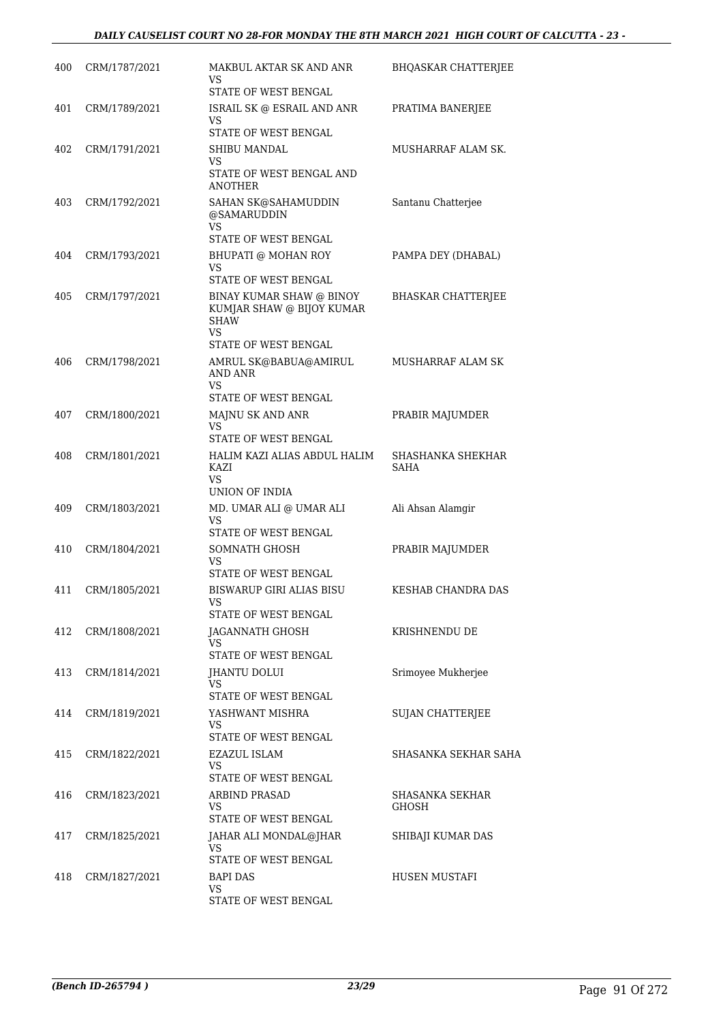| 400 | CRM/1787/2021 | MAKBUL AKTAR SK AND ANR<br>VS                                                                             | <b>BHQASKAR CHATTERJEE</b>      |
|-----|---------------|-----------------------------------------------------------------------------------------------------------|---------------------------------|
| 401 | CRM/1789/2021 | STATE OF WEST BENGAL<br>ISRAIL SK @ ESRAIL AND ANR<br>VS                                                  | PRATIMA BANERJEE                |
|     |               | STATE OF WEST BENGAL                                                                                      |                                 |
| 402 | CRM/1791/2021 | SHIBU MANDAL                                                                                              | MUSHARRAF ALAM SK.              |
|     |               | VS<br>STATE OF WEST BENGAL AND<br><b>ANOTHER</b>                                                          |                                 |
| 403 | CRM/1792/2021 | SAHAN SK@SAHAMUDDIN<br>@SAMARUDDIN<br>VS.                                                                 | Santanu Chatterjee              |
|     |               | STATE OF WEST BENGAL                                                                                      |                                 |
| 404 | CRM/1793/2021 | BHUPATI @ MOHAN ROY<br>VS                                                                                 | PAMPA DEY (DHABAL)              |
|     |               | STATE OF WEST BENGAL                                                                                      |                                 |
| 405 | CRM/1797/2021 | BINAY KUMAR SHAW @ BINOY<br>KUMJAR SHAW @ BIJOY KUMAR<br><b>SHAW</b><br><b>VS</b><br>STATE OF WEST BENGAL | <b>BHASKAR CHATTERJEE</b>       |
| 406 | CRM/1798/2021 | AMRUL SK@BABUA@AMIRUL<br>AND ANR                                                                          | MUSHARRAF ALAM SK               |
|     |               | <b>VS</b><br>STATE OF WEST BENGAL                                                                         |                                 |
| 407 | CRM/1800/2021 | MAJNU SK AND ANR                                                                                          | PRABIR MAJUMDER                 |
|     |               | VS.                                                                                                       |                                 |
|     |               | STATE OF WEST BENGAL                                                                                      |                                 |
| 408 | CRM/1801/2021 | HALIM KAZI ALIAS ABDUL HALIM<br>KAZI<br><b>VS</b>                                                         | SHASHANKA SHEKHAR<br>SAHA       |
|     |               | UNION OF INDIA                                                                                            |                                 |
| 409 | CRM/1803/2021 | MD. UMAR ALI @ UMAR ALI<br><b>VS</b><br>STATE OF WEST BENGAL                                              | Ali Ahsan Alamgir               |
| 410 | CRM/1804/2021 | SOMNATH GHOSH                                                                                             | PRABIR MAJUMDER                 |
|     |               | VS<br>STATE OF WEST BENGAL                                                                                |                                 |
| 411 | CRM/1805/2021 | BISWARUP GIRI ALIAS BISU                                                                                  | KESHAB CHANDRA DAS              |
|     |               | VS<br>STATE OF WEST BENGAL                                                                                |                                 |
| 412 | CRM/1808/2021 | JAGANNATH GHOSH                                                                                           | KRISHNENDU DE                   |
|     |               | VS.                                                                                                       |                                 |
| 413 | CRM/1814/2021 | STATE OF WEST BENGAL<br>JHANTU DOLUI                                                                      | Srimoyee Mukherjee              |
|     |               | VS<br>STATE OF WEST BENGAL                                                                                |                                 |
| 414 | CRM/1819/2021 | YASHWANT MISHRA                                                                                           | <b>SUJAN CHATTERJEE</b>         |
|     |               | VS<br>STATE OF WEST BENGAL                                                                                |                                 |
| 415 | CRM/1822/2021 | EZAZUL ISLAM                                                                                              | SHASANKA SEKHAR SAHA            |
|     |               | VS.                                                                                                       |                                 |
|     |               | STATE OF WEST BENGAL                                                                                      |                                 |
| 416 | CRM/1823/2021 | <b>ARBIND PRASAD</b><br>VS<br>STATE OF WEST BENGAL                                                        | <b>SHASANKA SEKHAR</b><br>GHOSH |
| 417 | CRM/1825/2021 | JAHAR ALI MONDAL@JHAR                                                                                     | SHIBAJI KUMAR DAS               |
|     |               | VS.<br>STATE OF WEST BENGAL                                                                               |                                 |
| 418 | CRM/1827/2021 | BAPI DAS                                                                                                  | HUSEN MUSTAFI                   |
|     |               | VS<br>STATE OF WEST BENGAL                                                                                |                                 |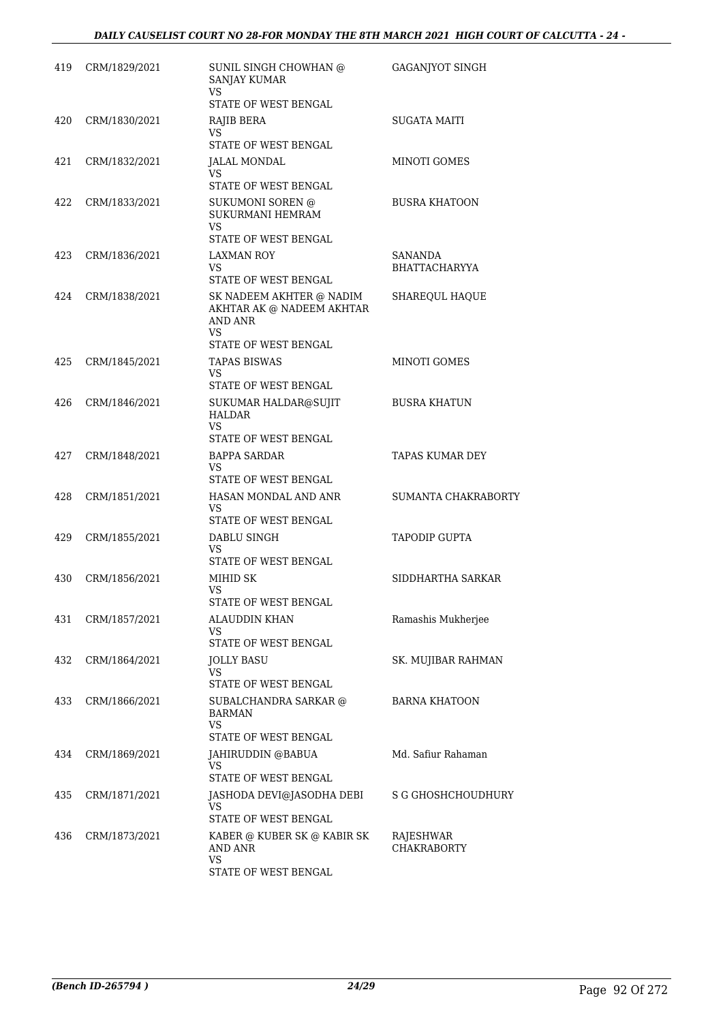| CRM/1829/2021 | SUNIL SINGH CHOWHAN @<br><b>SANJAY KUMAR</b><br><b>VS</b>                                          | <b>GAGANJYOT SINGH</b>                                                                                                                                                                                                                                                                          |
|---------------|----------------------------------------------------------------------------------------------------|-------------------------------------------------------------------------------------------------------------------------------------------------------------------------------------------------------------------------------------------------------------------------------------------------|
|               | STATE OF WEST BENGAL                                                                               |                                                                                                                                                                                                                                                                                                 |
| CRM/1830/2021 | RAJIB BERA<br>VS.<br>STATE OF WEST BENGAL                                                          | <b>SUGATA MAITI</b>                                                                                                                                                                                                                                                                             |
| CRM/1832/2021 | JALAL MONDAL                                                                                       | MINOTI GOMES                                                                                                                                                                                                                                                                                    |
|               | VS.<br>STATE OF WEST BENGAL                                                                        |                                                                                                                                                                                                                                                                                                 |
| CRM/1833/2021 | SUKUMONI SOREN @<br>SUKURMANI HEMRAM                                                               | <b>BUSRA KHATOON</b>                                                                                                                                                                                                                                                                            |
|               | STATE OF WEST BENGAL                                                                               |                                                                                                                                                                                                                                                                                                 |
| CRM/1836/2021 | LAXMAN ROY                                                                                         | SANANDA                                                                                                                                                                                                                                                                                         |
|               | VS.<br>STATE OF WEST BENGAL                                                                        | BHATTACHARYYA                                                                                                                                                                                                                                                                                   |
| CRM/1838/2021 | SK NADEEM AKHTER @ NADIM<br>AKHTAR AK @ NADEEM AKHTAR<br>AND ANR                                   | SHAREQUL HAQUE                                                                                                                                                                                                                                                                                  |
|               | STATE OF WEST BENGAL                                                                               |                                                                                                                                                                                                                                                                                                 |
| CRM/1845/2021 | <b>TAPAS BISWAS</b><br>VS.                                                                         | MINOTI GOMES                                                                                                                                                                                                                                                                                    |
|               |                                                                                                    |                                                                                                                                                                                                                                                                                                 |
|               | <b>HALDAR</b><br><b>VS</b>                                                                         | <b>BUSRA KHATUN</b>                                                                                                                                                                                                                                                                             |
|               |                                                                                                    | TAPAS KUMAR DEY                                                                                                                                                                                                                                                                                 |
|               | VS.<br>STATE OF WEST BENGAL                                                                        |                                                                                                                                                                                                                                                                                                 |
| CRM/1851/2021 | HASAN MONDAL AND ANR<br>VS.                                                                        | SUMANTA CHAKRABORTY                                                                                                                                                                                                                                                                             |
|               |                                                                                                    | <b>TAPODIP GUPTA</b>                                                                                                                                                                                                                                                                            |
|               | VS.<br>STATE OF WEST BENGAL                                                                        |                                                                                                                                                                                                                                                                                                 |
| CRM/1856/2021 | MIHID SK<br>VS                                                                                     | SIDDHARTHA SARKAR                                                                                                                                                                                                                                                                               |
|               |                                                                                                    |                                                                                                                                                                                                                                                                                                 |
| CRM/1857/2021 | ALAUDDIN KHAN<br>VS.<br>STATE OF WEST BENGAL                                                       | Ramashis Mukherjee                                                                                                                                                                                                                                                                              |
|               |                                                                                                    | SK. MUJIBAR RAHMAN                                                                                                                                                                                                                                                                              |
|               | VS<br>STATE OF WEST BENGAL                                                                         |                                                                                                                                                                                                                                                                                                 |
| CRM/1866/2021 | SUBALCHANDRA SARKAR @<br>BARMAN                                                                    | <b>BARNA KHATOON</b>                                                                                                                                                                                                                                                                            |
|               |                                                                                                    |                                                                                                                                                                                                                                                                                                 |
|               |                                                                                                    | Md. Safiur Rahaman                                                                                                                                                                                                                                                                              |
|               | VS.<br>STATE OF WEST BENGAL                                                                        |                                                                                                                                                                                                                                                                                                 |
| CRM/1871/2021 | JASHODA DEVI@JASODHA DEBI<br>VS.                                                                   | <b>S G GHOSHCHOUDHURY</b>                                                                                                                                                                                                                                                                       |
|               |                                                                                                    | RAJESHWAR                                                                                                                                                                                                                                                                                       |
|               | AND ANR                                                                                            | <b>CHAKRABORTY</b>                                                                                                                                                                                                                                                                              |
|               | CRM/1846/2021<br>CRM/1848/2021<br>CRM/1855/2021<br>CRM/1864/2021<br>CRM/1869/2021<br>CRM/1873/2021 | VS<br>VS.<br>STATE OF WEST BENGAL<br>SUKUMAR HALDAR@SUJIT<br>STATE OF WEST BENGAL<br><b>BAPPA SARDAR</b><br>STATE OF WEST BENGAL<br>DABLU SINGH<br>STATE OF WEST BENGAL<br>JOLLY BASU<br>VS<br>STATE OF WEST BENGAL<br>JAHIRUDDIN @BABUA<br>STATE OF WEST BENGAL<br>KABER @ KUBER SK @ KABIR SK |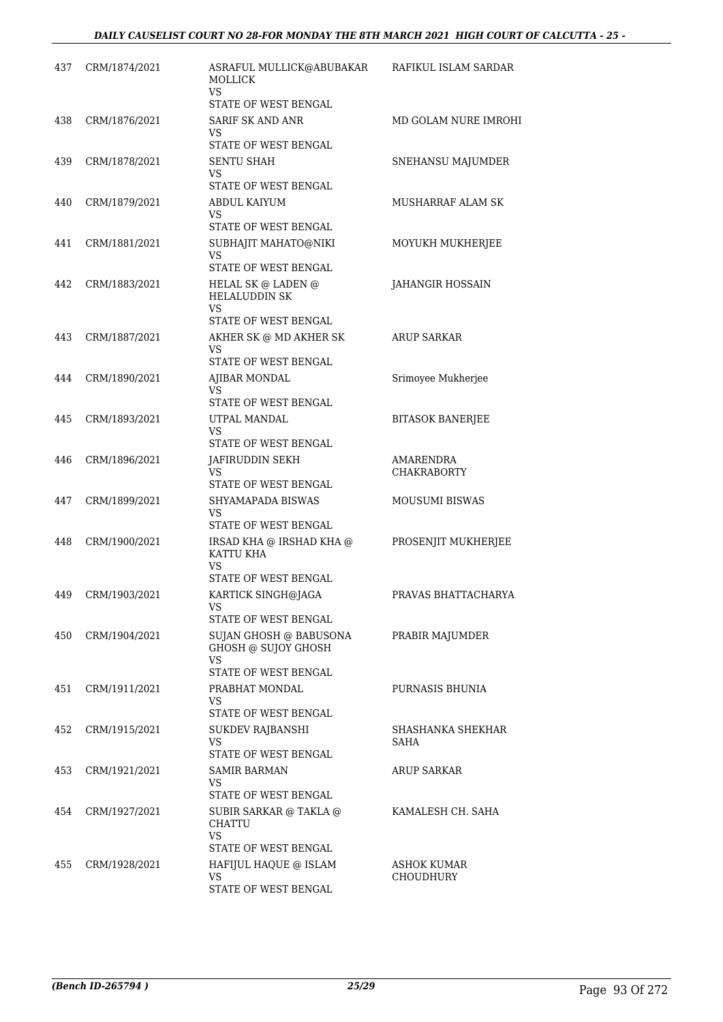| 437 | CRM/1874/2021 | ASRAFUL MULLICK@ABUBAKAR<br><b>MOLLICK</b><br>VS.                            | RAFIKUL ISLAM SARDAR            |
|-----|---------------|------------------------------------------------------------------------------|---------------------------------|
| 438 | CRM/1876/2021 | STATE OF WEST BENGAL<br>SARIF SK AND ANR<br>VS                               | MD GOLAM NURE IMROHI            |
| 439 | CRM/1878/2021 | STATE OF WEST BENGAL<br><b>SENTU SHAH</b><br>VS<br>STATE OF WEST BENGAL      | SNEHANSU MAJUMDER               |
| 440 | CRM/1879/2021 | ABDUL KAIYUM<br>VS<br>STATE OF WEST BENGAL                                   | MUSHARRAF ALAM SK               |
| 441 | CRM/1881/2021 | SUBHAJIT MAHATO@NIKI<br>VS<br>STATE OF WEST BENGAL                           | MOYUKH MUKHERJEE                |
| 442 | CRM/1883/2021 | HELAL SK @ LADEN @<br><b>HELALUDDIN SK</b><br>VS.                            | JAHANGIR HOSSAIN                |
| 443 | CRM/1887/2021 | STATE OF WEST BENGAL<br>AKHER SK @ MD AKHER SK<br>VS<br>STATE OF WEST BENGAL | <b>ARUP SARKAR</b>              |
| 444 | CRM/1890/2021 | AJIBAR MONDAL<br>VS<br>STATE OF WEST BENGAL                                  | Srimoyee Mukherjee              |
| 445 | CRM/1893/2021 | UTPAL MANDAL<br>VS.<br>STATE OF WEST BENGAL                                  | <b>BITASOK BANERJEE</b>         |
| 446 | CRM/1896/2021 | JAFIRUDDIN SEKH<br>VS<br>STATE OF WEST BENGAL                                | AMARENDRA<br><b>CHAKRABORTY</b> |
| 447 | CRM/1899/2021 | SHYAMAPADA BISWAS<br>VS<br>STATE OF WEST BENGAL                              | <b>MOUSUMI BISWAS</b>           |
| 448 | CRM/1900/2021 | IRSAD KHA @ IRSHAD KHA @<br>KATTU KHA<br>VS<br>STATE OF WEST BENGAL          | PROSENJIT MUKHERJEE             |
| 449 | CRM/1903/2021 | KARTICK SINGH@JAGA<br>VS<br>STATE OF WEST BENGAL                             | PRAVAS BHATTACHARYA             |
| 450 | CRM/1904/2021 | SUJAN GHOSH @ BABUSONA<br>GHOSH @ SUJOY GHOSH<br>VS.<br>STATE OF WEST BENGAL | PRABIR MAJUMDER                 |
| 451 | CRM/1911/2021 | PRABHAT MONDAL<br>VS.<br>STATE OF WEST BENGAL                                | PURNASIS BHUNIA                 |
| 452 | CRM/1915/2021 | <b>SUKDEV RAJBANSHI</b><br>VS<br>STATE OF WEST BENGAL                        | SHASHANKA SHEKHAR<br>SAHA       |
| 453 | CRM/1921/2021 | SAMIR BARMAN<br>VS.<br>STATE OF WEST BENGAL                                  | <b>ARUP SARKAR</b>              |
| 454 | CRM/1927/2021 | SUBIR SARKAR @ TAKLA @<br>CHATTU<br>VS<br>STATE OF WEST BENGAL               | KAMALESH CH. SAHA               |
| 455 | CRM/1928/2021 | HAFIJUL HAQUE @ ISLAM<br><b>VS</b><br>STATE OF WEST BENGAL                   | ASHOK KUMAR<br>CHOUDHURY        |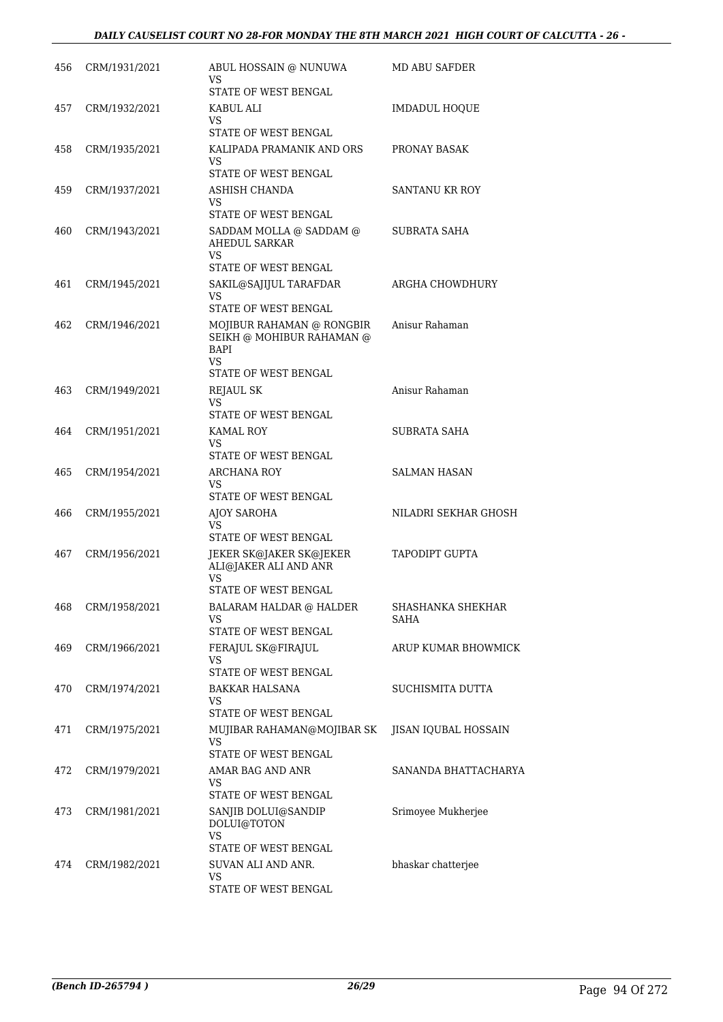| 456 | CRM/1931/2021 | ABUL HOSSAIN @ NUNUWA<br>VS                                           | <b>MD ABU SAFDER</b>             |
|-----|---------------|-----------------------------------------------------------------------|----------------------------------|
| 457 | CRM/1932/2021 | STATE OF WEST BENGAL<br>KABUL ALI                                     | <b>IMDADUL HOQUE</b>             |
|     |               | VS.<br>STATE OF WEST BENGAL                                           |                                  |
| 458 | CRM/1935/2021 | KALIPADA PRAMANIK AND ORS                                             | PRONAY BASAK                     |
|     |               | VS.<br>STATE OF WEST BENGAL                                           |                                  |
| 459 | CRM/1937/2021 | ASHISH CHANDA                                                         | <b>SANTANU KR ROY</b>            |
|     |               | VS<br>STATE OF WEST BENGAL                                            |                                  |
| 460 | CRM/1943/2021 | SADDAM MOLLA @ SADDAM @                                               | SUBRATA SAHA                     |
|     |               | AHEDUL SARKAR<br>VS.<br>STATE OF WEST BENGAL                          |                                  |
| 461 | CRM/1945/2021 | SAKIL@SAJIJUL TARAFDAR                                                | ARGHA CHOWDHURY                  |
|     |               | VS                                                                    |                                  |
|     |               | STATE OF WEST BENGAL                                                  |                                  |
| 462 | CRM/1946/2021 | MOJIBUR RAHAMAN @ RONGBIR<br>SEIKH @ MOHIBUR RAHAMAN @<br>BAPI<br>VS. | Anisur Rahaman                   |
|     |               | STATE OF WEST BENGAL                                                  |                                  |
| 463 | CRM/1949/2021 | REJAUL SK<br>VS.<br>STATE OF WEST BENGAL                              | Anisur Rahaman                   |
| 464 | CRM/1951/2021 | KAMAL ROY                                                             | SUBRATA SAHA                     |
|     |               | VS<br>STATE OF WEST BENGAL                                            |                                  |
| 465 | CRM/1954/2021 | ARCHANA ROY<br>VS                                                     | SALMAN HASAN                     |
|     |               | STATE OF WEST BENGAL                                                  |                                  |
| 466 | CRM/1955/2021 | AJOY SAROHA<br>VS.                                                    | NILADRI SEKHAR GHOSH             |
|     |               | STATE OF WEST BENGAL                                                  |                                  |
| 467 | CRM/1956/2021 | JEKER SK@JAKER SK@JEKER<br>ALI@JAKER ALI AND ANR<br>VS                | TAPODIPT GUPTA                   |
|     |               | STATE OF WEST BENGAL                                                  |                                  |
| 468 | CRM/1958/2021 | <b>BALARAM HALDAR @ HALDER</b><br>VS                                  | SHASHANKA SHEKHAR<br><b>SAHA</b> |
| 469 | CRM/1966/2021 | STATE OF WEST BENGAL                                                  | ARUP KUMAR BHOWMICK              |
|     |               | FERAJUL SK@FIRAJUL<br>VS.<br>STATE OF WEST BENGAL                     |                                  |
| 470 | CRM/1974/2021 | BAKKAR HALSANA                                                        | SUCHISMITA DUTTA                 |
|     |               | VS<br>STATE OF WEST BENGAL                                            |                                  |
| 471 | CRM/1975/2021 | MUJIBAR RAHAMAN@MOJIBAR SK                                            | JISAN IQUBAL HOSSAIN             |
|     |               | VS<br>STATE OF WEST BENGAL                                            |                                  |
| 472 | CRM/1979/2021 | AMAR BAG AND ANR                                                      | SANANDA BHATTACHARYA             |
|     |               | VS<br>STATE OF WEST BENGAL                                            |                                  |
| 473 | CRM/1981/2021 | SANJIB DOLUI@SANDIP<br>DOLUI@TOTON                                    | Srimoyee Mukherjee               |
|     |               | VS<br>STATE OF WEST BENGAL                                            |                                  |
| 474 | CRM/1982/2021 | SUVAN ALI AND ANR.                                                    | bhaskar chatterjee               |
|     |               | <b>VS</b><br>STATE OF WEST BENGAL                                     |                                  |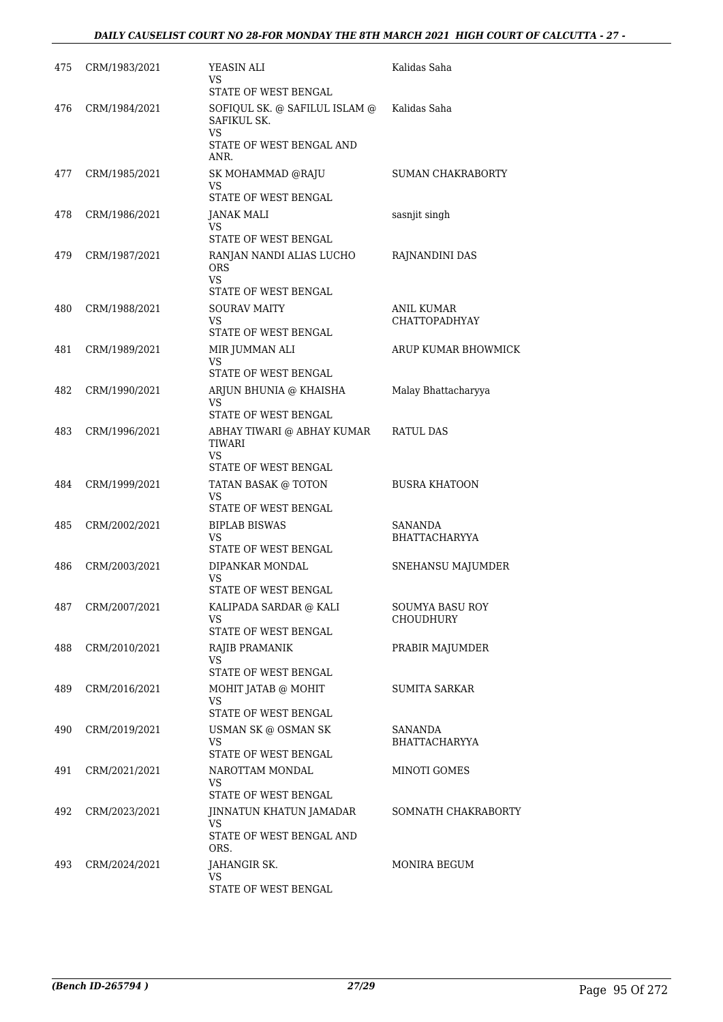| 475 | CRM/1983/2021 | YEASIN ALI<br>VS<br>STATE OF WEST BENGAL                                               | Kalidas Saha                              |
|-----|---------------|----------------------------------------------------------------------------------------|-------------------------------------------|
| 476 | CRM/1984/2021 | SOFIQUL SK. @ SAFILUL ISLAM @<br>SAFIKUL SK.<br>VS<br>STATE OF WEST BENGAL AND<br>ANR. | Kalidas Saha                              |
| 477 | CRM/1985/2021 | SK MOHAMMAD @RAJU<br>VS<br>STATE OF WEST BENGAL                                        | SUMAN CHAKRABORTY                         |
| 478 | CRM/1986/2021 | JANAK MALI<br>VS.<br>STATE OF WEST BENGAL                                              | sasnjit singh                             |
| 479 | CRM/1987/2021 | RANJAN NANDI ALIAS LUCHO<br><b>ORS</b><br><b>VS</b><br>STATE OF WEST BENGAL            | RAJNANDINI DAS                            |
| 480 | CRM/1988/2021 | <b>SOURAV MAITY</b><br>VS.<br>STATE OF WEST BENGAL                                     | <b>ANIL KUMAR</b><br><b>CHATTOPADHYAY</b> |
| 481 | CRM/1989/2021 | MIR JUMMAN ALI<br>VS.<br>STATE OF WEST BENGAL                                          | ARUP KUMAR BHOWMICK                       |
| 482 | CRM/1990/2021 | ARJUN BHUNIA @ KHAISHA<br>VS<br>STATE OF WEST BENGAL                                   | Malay Bhattacharyya                       |
| 483 | CRM/1996/2021 | ABHAY TIWARI @ ABHAY KUMAR<br>TIWARI<br><b>VS</b><br>STATE OF WEST BENGAL              | RATUL DAS                                 |
| 484 | CRM/1999/2021 | TATAN BASAK @ TOTON<br><b>VS</b><br>STATE OF WEST BENGAL                               | <b>BUSRA KHATOON</b>                      |
| 485 | CRM/2002/2021 | <b>BIPLAB BISWAS</b><br>VS.<br>STATE OF WEST BENGAL                                    | SANANDA<br><b>BHATTACHARYYA</b>           |
| 486 | CRM/2003/2021 | DIPANKAR MONDAL<br>VS<br>STATE OF WEST BENGAL                                          | SNEHANSU MAJUMDER                         |
| 487 | CRM/2007/2021 | KALIPADA SARDAR @ KALI<br>VS<br>STATE OF WEST BENGAL                                   | SOUMYA BASU ROY<br><b>CHOUDHURY</b>       |
| 488 | CRM/2010/2021 | RAJIB PRAMANIK<br>VS.<br>STATE OF WEST BENGAL                                          | PRABIR MAJUMDER                           |
| 489 | CRM/2016/2021 | MOHIT JATAB @ MOHIT<br>VS.<br>STATE OF WEST BENGAL                                     | SUMITA SARKAR                             |
| 490 | CRM/2019/2021 | USMAN SK @ OSMAN SK<br><b>VS</b><br>STATE OF WEST BENGAL                               | SANANDA<br><b>BHATTACHARYYA</b>           |
| 491 | CRM/2021/2021 | NAROTTAM MONDAL<br>VS.<br>STATE OF WEST BENGAL                                         | MINOTI GOMES                              |
| 492 | CRM/2023/2021 | JINNATUN KHATUN JAMADAR<br>VS.<br>STATE OF WEST BENGAL AND<br>ORS.                     | SOMNATH CHAKRABORTY                       |
| 493 | CRM/2024/2021 | JAHANGIR SK.<br>VS<br>STATE OF WEST BENGAL                                             | MONIRA BEGUM                              |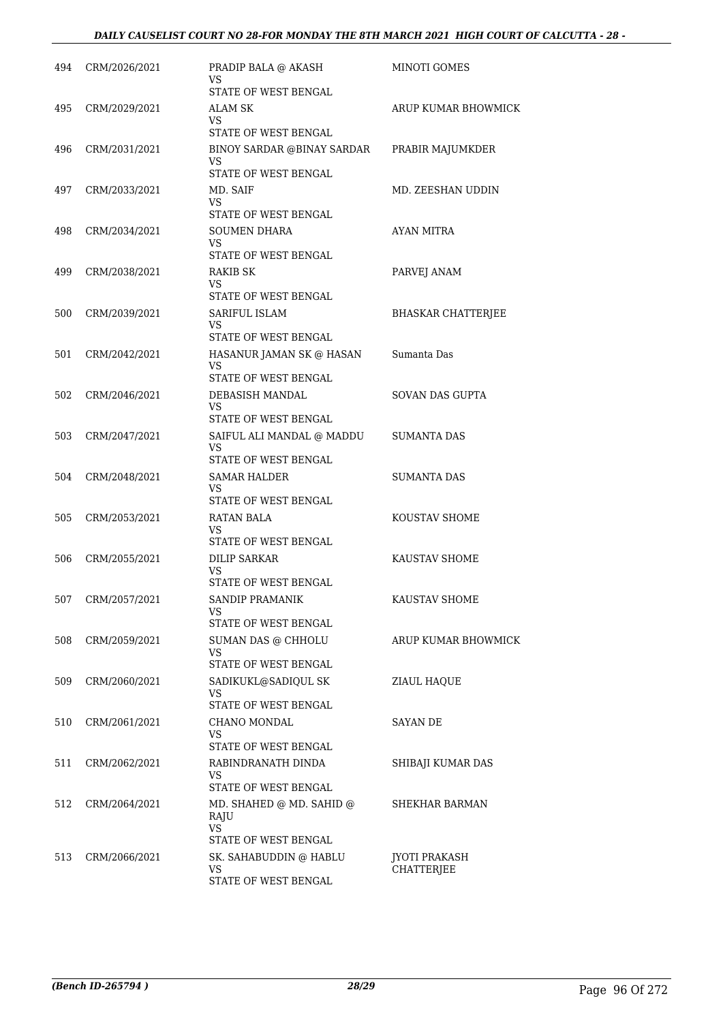| 494 | CRM/2026/2021 | PRADIP BALA @ AKASH<br>VS<br>STATE OF WEST BENGAL                                   | <b>MINOTI GOMES</b>                       |
|-----|---------------|-------------------------------------------------------------------------------------|-------------------------------------------|
| 495 | CRM/2029/2021 | ALAM SK<br>VS.                                                                      | ARUP KUMAR BHOWMICK                       |
| 496 | CRM/2031/2021 | STATE OF WEST BENGAL<br>BINOY SARDAR @BINAY SARDAR<br><b>VS</b>                     | PRABIR MAJUMKDER                          |
| 497 | CRM/2033/2021 | STATE OF WEST BENGAL<br>MD. SAIF<br>VS<br>STATE OF WEST BENGAL                      | MD. ZEESHAN UDDIN                         |
| 498 | CRM/2034/2021 | <b>SOUMEN DHARA</b><br><b>VS</b><br>STATE OF WEST BENGAL                            | AYAN MITRA                                |
| 499 | CRM/2038/2021 | RAKIB SK<br>VS<br>STATE OF WEST BENGAL                                              | PARVEJ ANAM                               |
| 500 | CRM/2039/2021 | SARIFUL ISLAM<br><b>VS</b><br>STATE OF WEST BENGAL                                  | <b>BHASKAR CHATTERJEE</b>                 |
| 501 | CRM/2042/2021 | HASANUR JAMAN SK @ HASAN<br><b>VS</b><br>STATE OF WEST BENGAL                       | Sumanta Das                               |
| 502 | CRM/2046/2021 | DEBASISH MANDAL<br><b>VS</b><br>STATE OF WEST BENGAL                                | SOVAN DAS GUPTA                           |
| 503 | CRM/2047/2021 | SAIFUL ALI MANDAL @ MADDU<br>VS<br>STATE OF WEST BENGAL                             | <b>SUMANTA DAS</b>                        |
| 504 | CRM/2048/2021 | SAMAR HALDER<br>VS<br>STATE OF WEST BENGAL                                          | SUMANTA DAS                               |
| 505 | CRM/2053/2021 | <b>RATAN BALA</b><br>VS<br>STATE OF WEST BENGAL                                     | KOUSTAV SHOME                             |
| 506 | CRM/2055/2021 | <b>DILIP SARKAR</b><br><b>VS</b><br>STATE OF WEST BENGAL                            | KAUSTAV SHOME                             |
| 507 | CRM/2057/2021 | SANDIP PRAMANIK<br>VS<br>STATE OF WEST BENGAL                                       | KAUSTAV SHOME                             |
| 508 | CRM/2059/2021 | SUMAN DAS @ CHHOLU<br><b>VS</b><br>STATE OF WEST BENGAL                             | ARUP KUMAR BHOWMICK                       |
| 509 | CRM/2060/2021 | SADIKUKL@SADIQUL SK<br><b>VS</b><br>STATE OF WEST BENGAL                            | ZIAUL HAQUE                               |
| 510 | CRM/2061/2021 | CHANO MONDAL<br>VS<br>STATE OF WEST BENGAL                                          | <b>SAYAN DE</b>                           |
| 511 | CRM/2062/2021 | RABINDRANATH DINDA<br>VS<br>STATE OF WEST BENGAL                                    | SHIBAJI KUMAR DAS                         |
| 512 | CRM/2064/2021 | MD. SHAHED @ MD. SAHID @<br>RAJU<br>VS                                              | SHEKHAR BARMAN                            |
| 513 | CRM/2066/2021 | STATE OF WEST BENGAL<br>SK. SAHABUDDIN @ HABLU<br><b>VS</b><br>STATE OF WEST BENGAL | <b>JYOTI PRAKASH</b><br><b>CHATTERJEE</b> |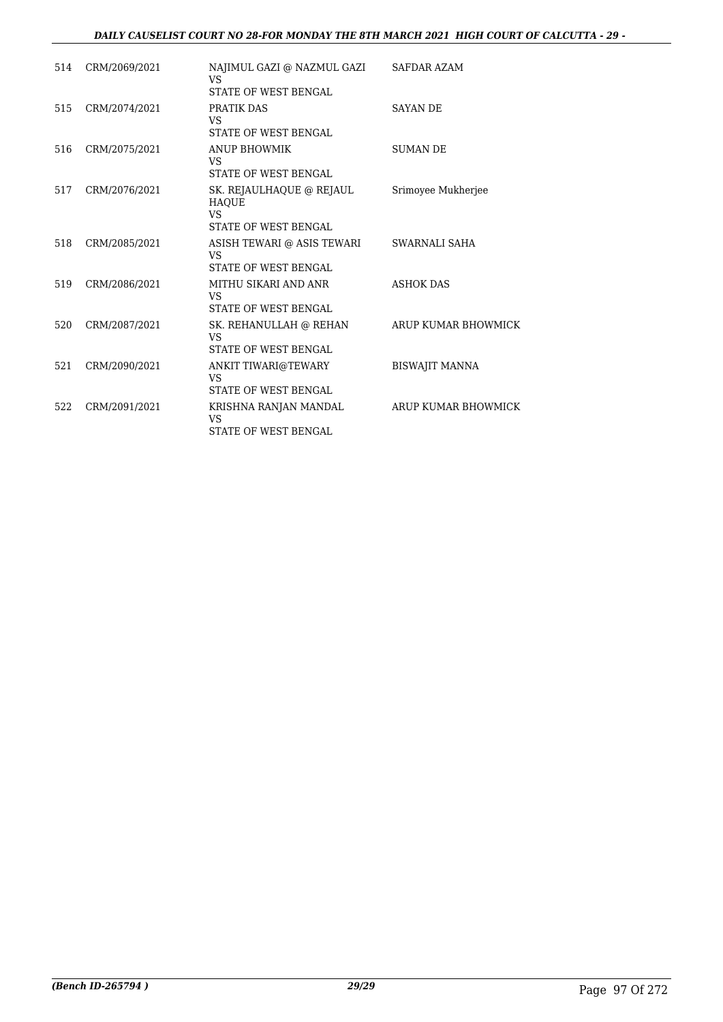### *DAILY CAUSELIST COURT NO 28-FOR MONDAY THE 8TH MARCH 2021 HIGH COURT OF CALCUTTA - 29 -*

| 514 | CRM/2069/2021 | NAJIMUL GAZI @ NAZMUL GAZI<br><b>VS</b><br>STATE OF WEST BENGAL                      | <b>SAFDAR AZAM</b>    |
|-----|---------------|--------------------------------------------------------------------------------------|-----------------------|
| 515 | CRM/2074/2021 | PRATIK DAS<br><b>VS</b><br>STATE OF WEST BENGAL                                      | <b>SAYAN DE</b>       |
| 516 | CRM/2075/2021 | <b>ANUP BHOWMIK</b><br><b>VS</b><br><b>STATE OF WEST BENGAL</b>                      | <b>SUMAN DE</b>       |
| 517 | CRM/2076/2021 | SK. REJAULHAQUE @ REJAUL<br><b>HAOUE</b><br><b>VS</b><br><b>STATE OF WEST BENGAL</b> | Srimoyee Mukherjee    |
| 518 | CRM/2085/2021 | ASISH TEWARI @ ASIS TEWARI<br><b>VS</b><br><b>STATE OF WEST BENGAL</b>               | SWARNALI SAHA         |
| 519 | CRM/2086/2021 | MITHU SIKARI AND ANR<br><b>VS</b><br><b>STATE OF WEST BENGAL</b>                     | <b>ASHOK DAS</b>      |
| 520 | CRM/2087/2021 | SK. REHANULLAH @ REHAN<br><b>VS</b><br><b>STATE OF WEST BENGAL</b>                   | ARUP KUMAR BHOWMICK   |
| 521 | CRM/2090/2021 | ANKIT TIWARI@TEWARY<br>VS<br><b>STATE OF WEST BENGAL</b>                             | <b>BISWAJIT MANNA</b> |
| 522 | CRM/2091/2021 | KRISHNA RANJAN MANDAL<br><b>VS</b><br><b>STATE OF WEST BENGAL</b>                    | ARUP KUMAR BHOWMICK   |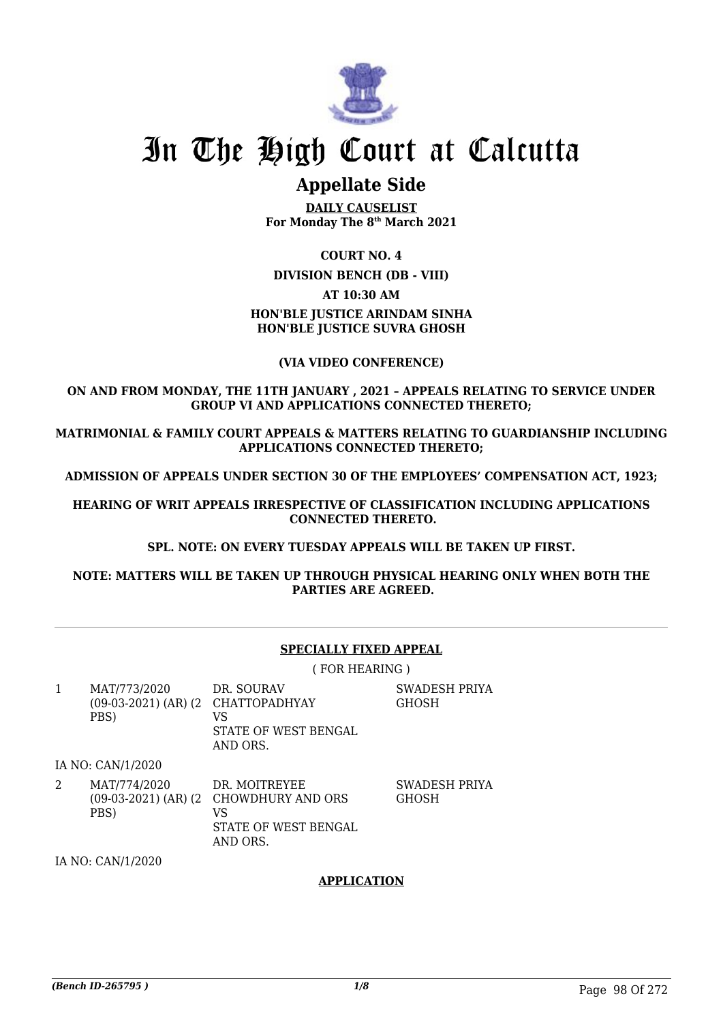

# In The High Court at Calcutta

# **Appellate Side**

**DAILY CAUSELIST For Monday The 8th March 2021**

### **COURT NO. 4**

#### **DIVISION BENCH (DB - VIII)**

### **AT 10:30 AM**

## **HON'BLE JUSTICE ARINDAM SINHA HON'BLE JUSTICE SUVRA GHOSH**

### **(VIA VIDEO CONFERENCE)**

### **ON AND FROM MONDAY, THE 11TH JANUARY , 2021 – APPEALS RELATING TO SERVICE UNDER GROUP VI AND APPLICATIONS CONNECTED THERETO;**

**MATRIMONIAL & FAMILY COURT APPEALS & MATTERS RELATING TO GUARDIANSHIP INCLUDING APPLICATIONS CONNECTED THERETO;**

**ADMISSION OF APPEALS UNDER SECTION 30 OF THE EMPLOYEES' COMPENSATION ACT, 1923;**

**HEARING OF WRIT APPEALS IRRESPECTIVE OF CLASSIFICATION INCLUDING APPLICATIONS CONNECTED THERETO.**

#### **SPL. NOTE: ON EVERY TUESDAY APPEALS WILL BE TAKEN UP FIRST.**

**NOTE: MATTERS WILL BE TAKEN UP THROUGH PHYSICAL HEARING ONLY WHEN BOTH THE PARTIES ARE AGREED.**

#### **SPECIALLY FIXED APPEAL**

( FOR HEARING )

1 MAT/773/2020 (09-03-2021) (AR) (2 CHATTOPADHYAY PBS) DR. SOURAV VS STATE OF WEST BENGAL AND ORS.

SWADESH PRIYA **GHOSH** 

IA NO: CAN/1/2020

2 MAT/774/2020 (09-03-2021) (AR) (2 CHOWDHURY AND ORS PBS) DR. MOITREYEE VS STATE OF WEST BENGAL AND ORS. SWADESH PRIYA GHOSH

IA NO: CAN/1/2020

## **APPLICATION**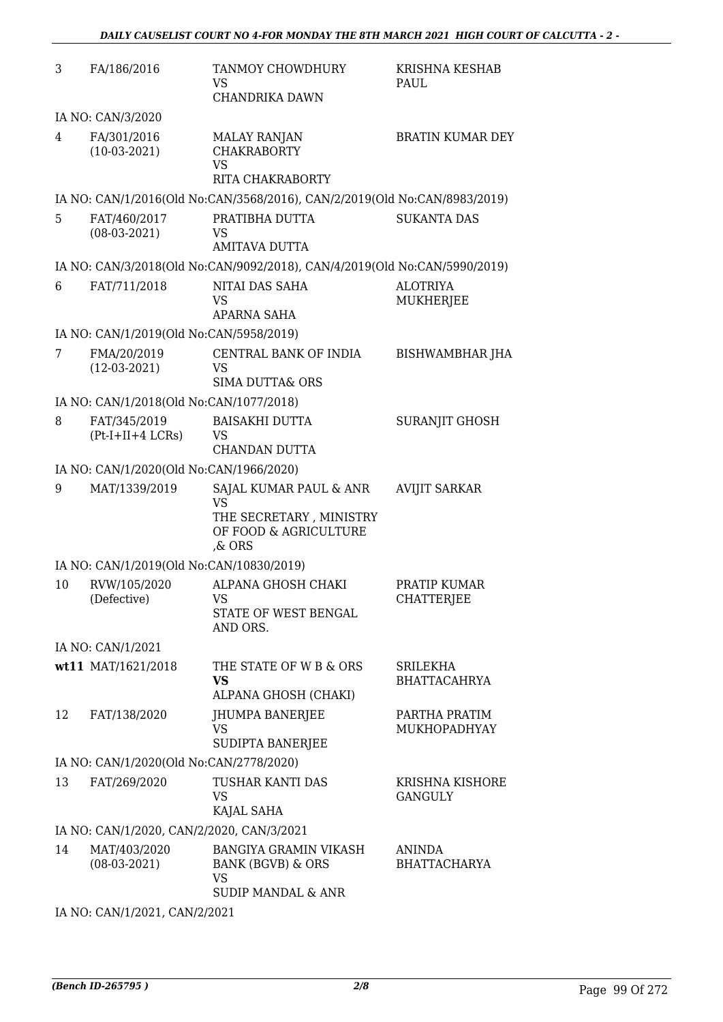| 3                                       | FA/186/2016                               | TANMOY CHOWDHURY<br>VS<br>CHANDRIKA DAWN                                                                   | <b>KRISHNA KESHAB</b><br>PAUL          |  |
|-----------------------------------------|-------------------------------------------|------------------------------------------------------------------------------------------------------------|----------------------------------------|--|
|                                         | IA NO: CAN/3/2020                         |                                                                                                            |                                        |  |
| 4                                       | FA/301/2016<br>$(10-03-2021)$             | <b>MALAY RANJAN</b><br><b>CHAKRABORTY</b><br>VS<br>RITA CHAKRABORTY                                        | <b>BRATIN KUMAR DEY</b>                |  |
|                                         |                                           | IA NO: CAN/1/2016(Old No:CAN/3568/2016), CAN/2/2019(Old No:CAN/8983/2019)                                  |                                        |  |
| 5.                                      | FAT/460/2017<br>$(08-03-2021)$            | PRATIBHA DUTTA<br>VS<br>AMITAVA DUTTA                                                                      | <b>SUKANTA DAS</b>                     |  |
|                                         |                                           | IA NO: CAN/3/2018(Old No:CAN/9092/2018), CAN/4/2019(Old No:CAN/5990/2019)                                  |                                        |  |
| 6                                       | FAT/711/2018                              | NITAI DAS SAHA<br><b>VS</b><br>APARNA SAHA                                                                 | <b>ALOTRIYA</b><br><b>MUKHERJEE</b>    |  |
|                                         | IA NO: CAN/1/2019(Old No:CAN/5958/2019)   |                                                                                                            |                                        |  |
| 7                                       | FMA/20/2019<br>$(12-03-2021)$             | CENTRAL BANK OF INDIA<br>VS<br><b>SIMA DUTTA&amp; ORS</b>                                                  | <b>BISHWAMBHAR JHA</b>                 |  |
|                                         | IA NO: CAN/1/2018(Old No:CAN/1077/2018)   |                                                                                                            |                                        |  |
| 8                                       | FAT/345/2019<br>$(Pt-I+II+4 LCRs)$        | <b>BAISAKHI DUTTA</b><br><b>VS</b><br>CHANDAN DUTTA                                                        | <b>SURANJIT GHOSH</b>                  |  |
|                                         | IA NO: CAN/1/2020(Old No:CAN/1966/2020)   |                                                                                                            |                                        |  |
| 9                                       | MAT/1339/2019                             | SAJAL KUMAR PAUL & ANR<br><b>VS</b><br>THE SECRETARY, MINISTRY<br>OF FOOD & AGRICULTURE<br>$\&$ ORS        | <b>AVIJIT SARKAR</b>                   |  |
|                                         | IA NO: CAN/1/2019(Old No:CAN/10830/2019)  |                                                                                                            |                                        |  |
| 10                                      | RVW/105/2020<br>(Defective)               | ALPANA GHOSH CHAKI<br>VS<br>STATE OF WEST BENGAL<br>AND ORS.                                               | PRATIP KUMAR<br><b>CHATTERJEE</b>      |  |
|                                         | IA NO: CAN/1/2021                         |                                                                                                            |                                        |  |
|                                         | wt11 MAT/1621/2018                        | THE STATE OF W B & ORS<br><b>VS</b><br>ALPANA GHOSH (CHAKI)                                                | <b>SRILEKHA</b><br><b>BHATTACAHRYA</b> |  |
| 12                                      | FAT/138/2020                              | JHUMPA BANERJEE<br><b>VS</b><br>SUDIPTA BANERJEE                                                           | PARTHA PRATIM<br>MUKHOPADHYAY          |  |
| IA NO: CAN/1/2020(Old No:CAN/2778/2020) |                                           |                                                                                                            |                                        |  |
| 13                                      | FAT/269/2020                              | TUSHAR KANTI DAS<br>VS<br>KAJAL SAHA                                                                       | KRISHNA KISHORE<br><b>GANGULY</b>      |  |
|                                         | IA NO: CAN/1/2020, CAN/2/2020, CAN/3/2021 |                                                                                                            |                                        |  |
| 14                                      | MAT/403/2020<br>$(08-03-2021)$            | <b>BANGIYA GRAMIN VIKASH</b><br><b>BANK (BGVB) &amp; ORS</b><br><b>VS</b><br><b>SUDIP MANDAL &amp; ANR</b> | <b>ANINDA</b><br><b>BHATTACHARYA</b>   |  |

IA NO: CAN/1/2021, CAN/2/2021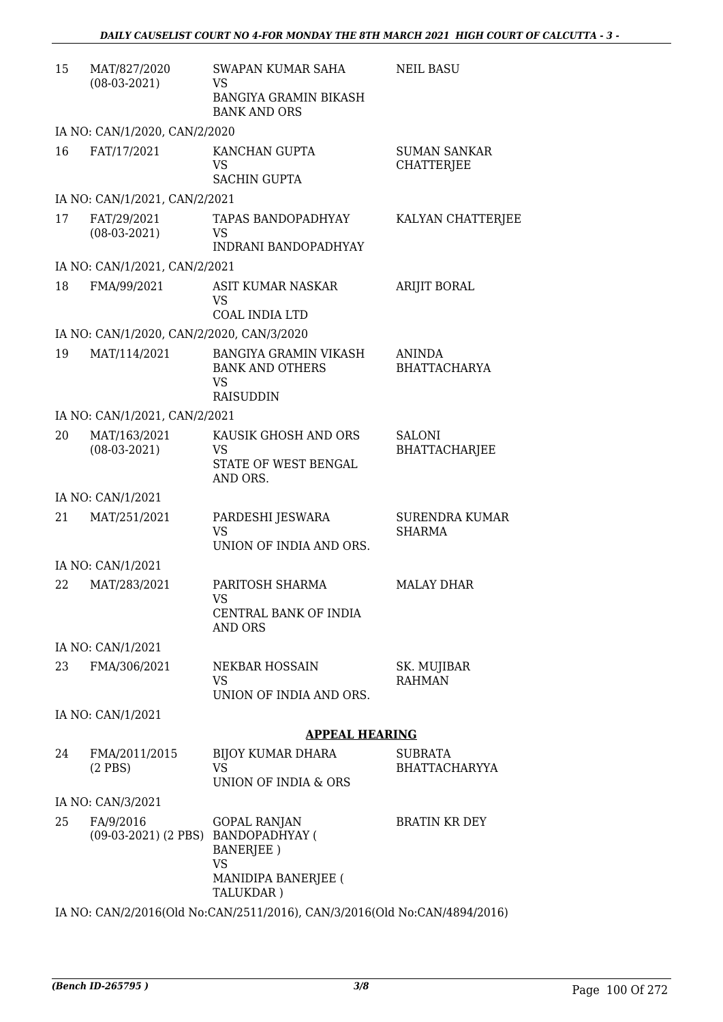| 15 | MAT/827/2020<br>$(08-03-2021)$                   | SWAPAN KUMAR SAHA<br>VS<br><b>BANGIYA GRAMIN BIKASH</b><br><b>BANK AND ORS</b>            | <b>NEIL BASU</b>                         |
|----|--------------------------------------------------|-------------------------------------------------------------------------------------------|------------------------------------------|
|    | IA NO: CAN/1/2020, CAN/2/2020                    |                                                                                           |                                          |
| 16 | FAT/17/2021                                      | KANCHAN GUPTA<br>VS<br><b>SACHIN GUPTA</b>                                                | <b>SUMAN SANKAR</b><br><b>CHATTERJEE</b> |
|    | IA NO: CAN/1/2021, CAN/2/2021                    |                                                                                           |                                          |
| 17 | FAT/29/2021<br>$(08-03-2021)$                    | <b>TAPAS BANDOPADHYAY</b><br>VS<br><b>INDRANI BANDOPADHYAY</b>                            | KALYAN CHATTERJEE                        |
|    | IA NO: CAN/1/2021, CAN/2/2021                    |                                                                                           |                                          |
| 18 | FMA/99/2021                                      | ASIT KUMAR NASKAR<br><b>VS</b><br>COAL INDIA LTD                                          | <b>ARIJIT BORAL</b>                      |
|    | IA NO: CAN/1/2020, CAN/2/2020, CAN/3/2020        |                                                                                           |                                          |
| 19 | MAT/114/2021                                     | <b>BANGIYA GRAMIN VIKASH</b><br><b>BANK AND OTHERS</b><br>VS<br><b>RAISUDDIN</b>          | ANINDA<br><b>BHATTACHARYA</b>            |
|    | IA NO: CAN/1/2021, CAN/2/2021                    |                                                                                           |                                          |
| 20 | MAT/163/2021<br>$(08-03-2021)$                   | KAUSIK GHOSH AND ORS<br>VS<br>STATE OF WEST BENGAL<br>AND ORS.                            | SALONI<br><b>BHATTACHARJEE</b>           |
|    | IA NO: CAN/1/2021                                |                                                                                           |                                          |
| 21 | MAT/251/2021                                     | PARDESHI JESWARA<br>VS<br>UNION OF INDIA AND ORS.                                         | <b>SURENDRA KUMAR</b><br><b>SHARMA</b>   |
|    | IA NO: CAN/1/2021                                |                                                                                           |                                          |
| 22 | MAT/283/2021                                     | PARITOSH SHARMA<br>VS<br>CENTRAL BANK OF INDIA<br>AND ORS                                 | <b>MALAY DHAR</b>                        |
|    | IA NO: CAN/1/2021                                |                                                                                           |                                          |
| 23 | FMA/306/2021                                     | NEKBAR HOSSAIN<br>VS<br>UNION OF INDIA AND ORS.                                           | SK. MUJIBAR<br><b>RAHMAN</b>             |
|    | IA NO: CAN/1/2021                                |                                                                                           |                                          |
|    |                                                  | <b>APPEAL HEARING</b>                                                                     |                                          |
| 24 | FMA/2011/2015<br>$(2$ PBS)                       | <b>BIJOY KUMAR DHARA</b><br>VS<br>UNION OF INDIA & ORS                                    | <b>SUBRATA</b><br><b>BHATTACHARYYA</b>   |
|    | IA NO: CAN/3/2021                                |                                                                                           |                                          |
| 25 | FA/9/2016<br>(09-03-2021) (2 PBS) BANDOPADHYAY ( | <b>GOPAL RANJAN</b><br><b>BANERJEE</b> )<br><b>VS</b><br>MANIDIPA BANERJEE (<br>TALUKDAR) | <b>BRATIN KR DEY</b>                     |

IA NO: CAN/2/2016(Old No:CAN/2511/2016), CAN/3/2016(Old No:CAN/4894/2016)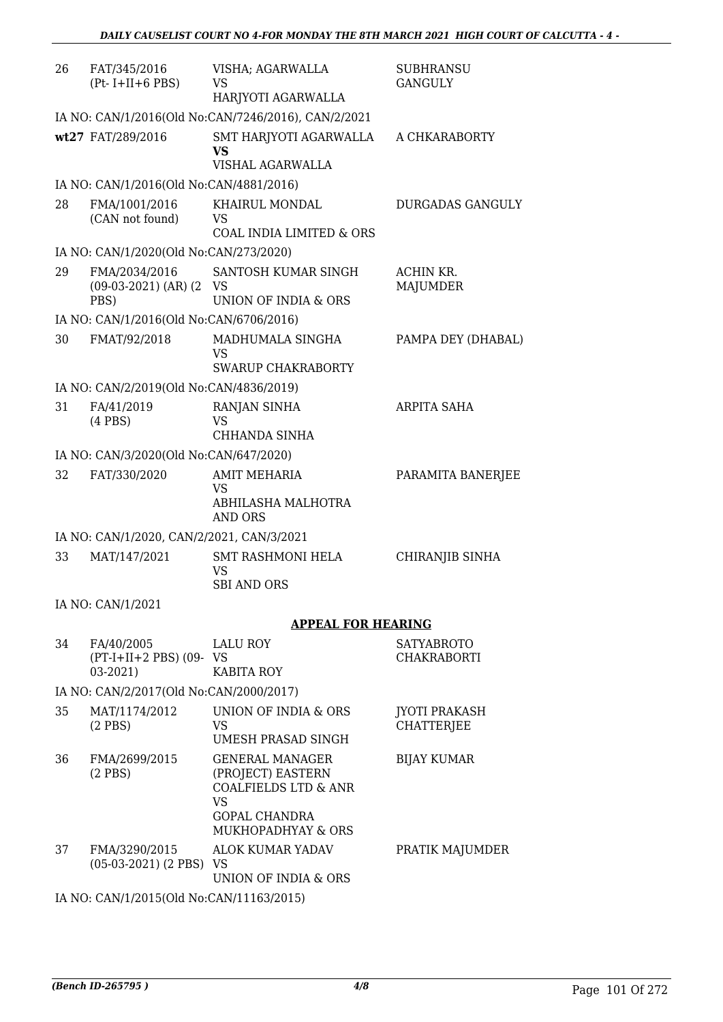| 26 | FAT/345/2016<br>$(Pt-I+II+6 PBS)$                    | VISHA; AGARWALLA<br>VS.<br>HARJYOTI AGARWALLA                                                                                                            | <b>SUBHRANSU</b><br><b>GANGULY</b>        |
|----|------------------------------------------------------|----------------------------------------------------------------------------------------------------------------------------------------------------------|-------------------------------------------|
|    |                                                      | IA NO: CAN/1/2016(Old No:CAN/7246/2016), CAN/2/2021                                                                                                      |                                           |
|    | wt27 FAT/289/2016                                    | SMT HARJYOTI AGARWALLA<br><b>VS</b><br>VISHAL AGARWALLA                                                                                                  | A CHKARABORTY                             |
|    | IA NO: CAN/1/2016(Old No:CAN/4881/2016)              |                                                                                                                                                          |                                           |
| 28 | FMA/1001/2016<br>(CAN not found)                     | KHAIRUL MONDAL<br>VS<br><b>COAL INDIA LIMITED &amp; ORS</b>                                                                                              | DURGADAS GANGULY                          |
|    | IA NO: CAN/1/2020(Old No:CAN/273/2020)               |                                                                                                                                                          |                                           |
| 29 | FMA/2034/2016<br>$(09-03-2021)$ (AR) $(2$ VS<br>PBS) | SANTOSH KUMAR SINGH<br>UNION OF INDIA & ORS                                                                                                              | ACHIN KR.<br><b>MAJUMDER</b>              |
|    | IA NO: CAN/1/2016(Old No:CAN/6706/2016)              |                                                                                                                                                          |                                           |
| 30 | FMAT/92/2018                                         | MADHUMALA SINGHA<br>VS<br><b>SWARUP CHAKRABORTY</b>                                                                                                      | PAMPA DEY (DHABAL)                        |
|    | IA NO: CAN/2/2019(Old No:CAN/4836/2019)              |                                                                                                                                                          |                                           |
| 31 | FA/41/2019<br>$(4$ PBS $)$                           | <b>RANJAN SINHA</b><br>VS<br>CHHANDA SINHA                                                                                                               | ARPITA SAHA                               |
|    | IA NO: CAN/3/2020(Old No:CAN/647/2020)               |                                                                                                                                                          |                                           |
| 32 | FAT/330/2020                                         | <b>AMIT MEHARIA</b><br>VS<br>ABHILASHA MALHOTRA                                                                                                          | PARAMITA BANERJEE                         |
|    |                                                      | AND ORS                                                                                                                                                  |                                           |
|    | IA NO: CAN/1/2020, CAN/2/2021, CAN/3/2021            |                                                                                                                                                          |                                           |
| 33 | MAT/147/2021                                         | <b>SMT RASHMONI HELA</b><br><b>VS</b><br><b>SBI AND ORS</b>                                                                                              | CHIRANJIB SINHA                           |
|    | IA NO: CAN/1/2021                                    |                                                                                                                                                          |                                           |
|    |                                                      | <b>APPEAL FOR HEARING</b>                                                                                                                                |                                           |
| 34 | FA/40/2005<br>$(PT-I+II+2 PBS) (09-VS)$<br>03-2021)  | <b>LALU ROY</b><br><b>KABITA ROY</b>                                                                                                                     | <b>SATYABROTO</b><br><b>CHAKRABORTI</b>   |
|    | IA NO: CAN/2/2017(Old No:CAN/2000/2017)              |                                                                                                                                                          |                                           |
| 35 | MAT/1174/2012<br>$(2$ PBS)                           | UNION OF INDIA & ORS<br><b>VS</b>                                                                                                                        | <b>JYOTI PRAKASH</b><br><b>CHATTERJEE</b> |
| 36 | FMA/2699/2015<br>$(2$ PBS)                           | UMESH PRASAD SINGH<br><b>GENERAL MANAGER</b><br>(PROJECT) EASTERN<br><b>COALFIELDS LTD &amp; ANR</b><br><b>VS</b><br>GOPAL CHANDRA<br>MUKHOPADHYAY & ORS | <b>BIJAY KUMAR</b>                        |
| 37 | FMA/3290/2015<br>$(05-03-2021)$ $(2$ PBS) VS         | ALOK KUMAR YADAV<br>UNION OF INDIA & ORS                                                                                                                 | PRATIK MAJUMDER                           |
|    | IA NO: CAN/1/2015(Old No:CAN/11163/2015)             |                                                                                                                                                          |                                           |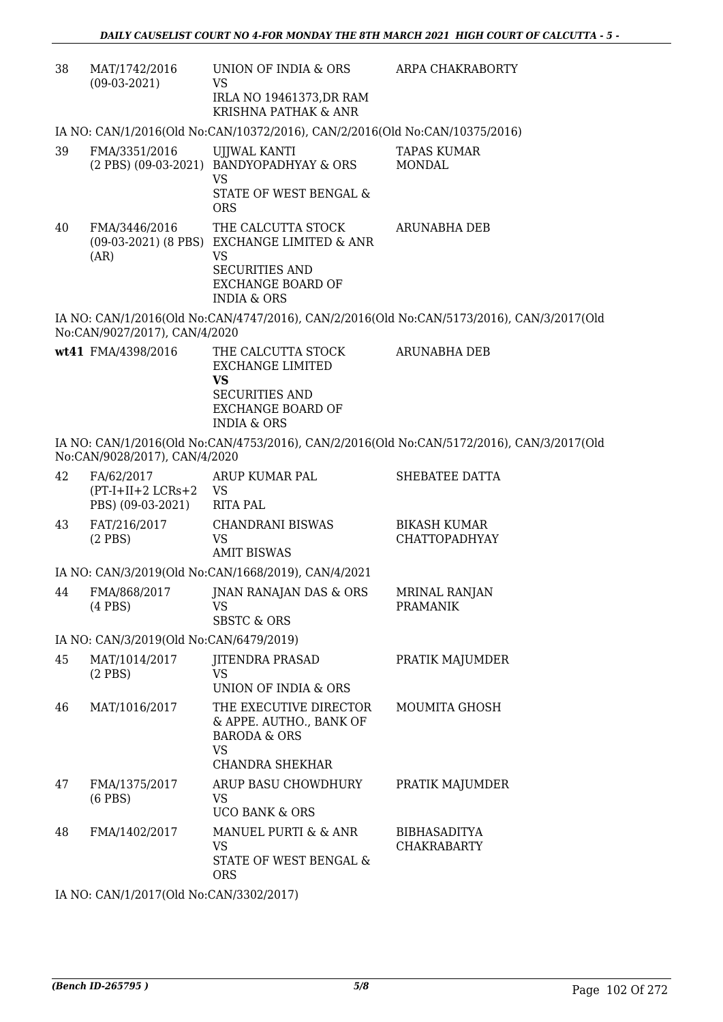| 38 | MAT/1742/2016<br>$(09-03-2021)$                        | UNION OF INDIA & ORS<br>VS<br>IRLA NO 19461373, DR RAM<br>KRISHNA PATHAK & ANR                                                                         | ARPA CHAKRABORTY                                                                          |
|----|--------------------------------------------------------|--------------------------------------------------------------------------------------------------------------------------------------------------------|-------------------------------------------------------------------------------------------|
|    |                                                        | IA NO: CAN/1/2016(Old No:CAN/10372/2016), CAN/2/2016(Old No:CAN/10375/2016)                                                                            |                                                                                           |
| 39 | FMA/3351/2016                                          | UJJWAL KANTI<br>(2 PBS) (09-03-2021) BANDYOPADHYAY & ORS<br><b>VS</b><br>STATE OF WEST BENGAL &<br><b>ORS</b>                                          | <b>TAPAS KUMAR</b><br><b>MONDAL</b>                                                       |
| 40 | FMA/3446/2016<br>(AR)                                  | THE CALCUTTA STOCK<br>(09-03-2021) (8 PBS) EXCHANGE LIMITED & ANR<br>VS<br><b>SECURITIES AND</b><br><b>EXCHANGE BOARD OF</b><br><b>INDIA &amp; ORS</b> | <b>ARUNABHA DEB</b>                                                                       |
|    | No:CAN/9027/2017), CAN/4/2020                          |                                                                                                                                                        | IA NO: CAN/1/2016(Old No:CAN/4747/2016), CAN/2/2016(Old No:CAN/5173/2016), CAN/3/2017(Old |
|    | wt41 FMA/4398/2016                                     | THE CALCUTTA STOCK<br><b>EXCHANGE LIMITED</b><br><b>VS</b><br><b>SECURITIES AND</b><br><b>EXCHANGE BOARD OF</b><br><b>INDIA &amp; ORS</b>              | <b>ARUNABHA DEB</b>                                                                       |
|    | No:CAN/9028/2017), CAN/4/2020                          |                                                                                                                                                        | IA NO: CAN/1/2016(Old No:CAN/4753/2016), CAN/2/2016(Old No:CAN/5172/2016), CAN/3/2017(Old |
| 42 | FA/62/2017<br>$(PT-I+II+2 LCRs+2$<br>PBS) (09-03-2021) | ARUP KUMAR PAL<br>VS<br><b>RITA PAL</b>                                                                                                                | SHEBATEE DATTA                                                                            |
| 43 | FAT/216/2017<br>$(2$ PBS)                              | <b>CHANDRANI BISWAS</b><br>VS<br><b>AMIT BISWAS</b>                                                                                                    | <b>BIKASH KUMAR</b><br><b>CHATTOPADHYAY</b>                                               |
|    |                                                        | IA NO: CAN/3/2019(Old No:CAN/1668/2019), CAN/4/2021                                                                                                    |                                                                                           |
| 44 | FMA/868/2017<br>$(4$ PBS)                              | JNAN RANAJAN DAS & ORS<br>VS<br><b>SBSTC &amp; ORS</b>                                                                                                 | <b>MRINAL RANJAN</b><br>PRAMANIK                                                          |
|    | IA NO: CAN/3/2019(Old No:CAN/6479/2019)                |                                                                                                                                                        |                                                                                           |
| 45 | MAT/1014/2017<br>$(2$ PBS)                             | <b>JITENDRA PRASAD</b><br>VS<br>UNION OF INDIA & ORS                                                                                                   | PRATIK MAJUMDER                                                                           |
| 46 | MAT/1016/2017                                          | THE EXECUTIVE DIRECTOR<br>& APPE. AUTHO., BANK OF<br><b>BARODA &amp; ORS</b><br><b>VS</b><br>CHANDRA SHEKHAR                                           | MOUMITA GHOSH                                                                             |
| 47 | FMA/1375/2017<br>$(6$ PBS $)$                          | ARUP BASU CHOWDHURY<br>VS<br><b>UCO BANK &amp; ORS</b>                                                                                                 | PRATIK MAJUMDER                                                                           |
| 48 | FMA/1402/2017                                          | MANUEL PURTI & & ANR<br>VS<br>STATE OF WEST BENGAL &<br><b>ORS</b>                                                                                     | <b>BIBHASADITYA</b><br><b>CHAKRABARTY</b>                                                 |

IA NO: CAN/1/2017(Old No:CAN/3302/2017)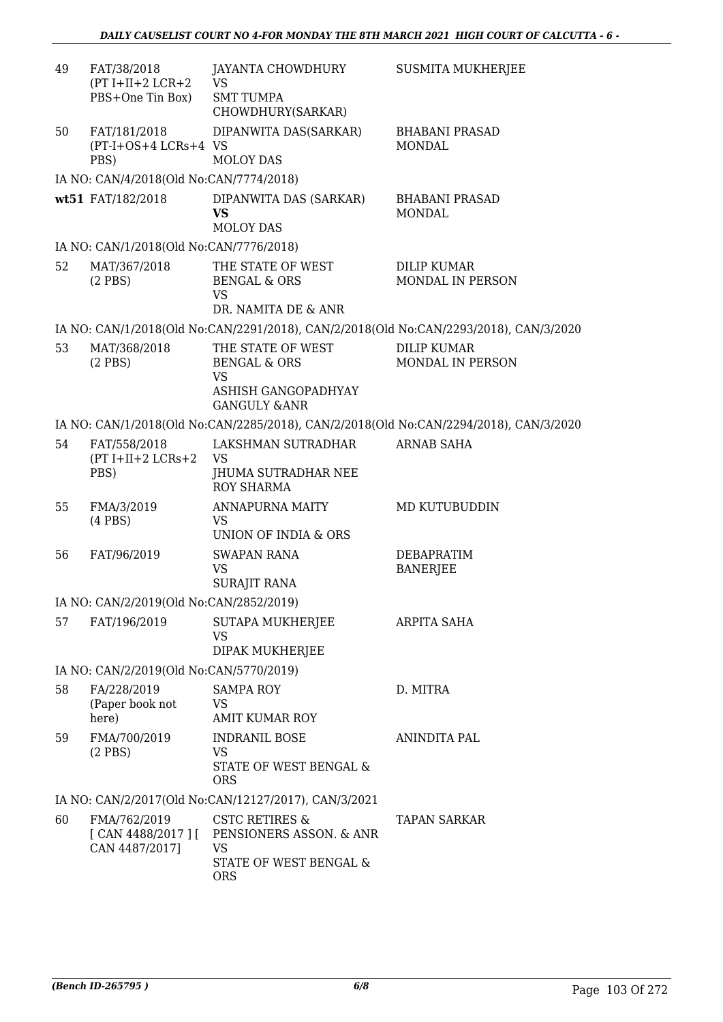| 49 | FAT/38/2018<br>$(PT I+II+2 LCR+2$<br>PBS+One Tin Box)       | JAYANTA CHOWDHURY<br><b>VS</b><br><b>SMT TUMPA</b><br>CHOWDHURY(SARKAR)                              | <b>SUSMITA MUKHERJEE</b>                                                              |
|----|-------------------------------------------------------------|------------------------------------------------------------------------------------------------------|---------------------------------------------------------------------------------------|
| 50 | FAT/181/2018<br>(PT-I+OS+4 LCRs+4 VS<br>PBS)                | DIPANWITA DAS(SARKAR)<br><b>MOLOY DAS</b>                                                            | <b>BHABANI PRASAD</b><br><b>MONDAL</b>                                                |
|    | IA NO: CAN/4/2018(Old No:CAN/7774/2018)                     |                                                                                                      |                                                                                       |
|    | wt51 FAT/182/2018                                           | DIPANWITA DAS (SARKAR)<br><b>VS</b><br>MOLOY DAS                                                     | <b>BHABANI PRASAD</b><br>MONDAL                                                       |
|    | IA NO: CAN/1/2018(Old No:CAN/7776/2018)                     |                                                                                                      |                                                                                       |
| 52 | MAT/367/2018<br>$(2$ PBS $)$                                | THE STATE OF WEST<br><b>BENGAL &amp; ORS</b><br><b>VS</b><br>DR. NAMITA DE & ANR                     | DILIP KUMAR<br>MONDAL IN PERSON                                                       |
|    |                                                             |                                                                                                      | IA NO: CAN/1/2018(Old No:CAN/2291/2018), CAN/2/2018(Old No:CAN/2293/2018), CAN/3/2020 |
| 53 | MAT/368/2018<br>$(2$ PBS)                                   | THE STATE OF WEST<br><b>BENGAL &amp; ORS</b><br>VS<br>ASHISH GANGOPADHYAY<br><b>GANGULY &amp;ANR</b> | <b>DILIP KUMAR</b><br>MONDAL IN PERSON                                                |
|    |                                                             |                                                                                                      | IA NO: CAN/1/2018(Old No:CAN/2285/2018), CAN/2/2018(Old No:CAN/2294/2018), CAN/3/2020 |
| 54 | FAT/558/2018<br>$(PT I+II+2 LCRs+2$<br>PBS)                 | LAKSHMAN SUTRADHAR<br>VS<br>JHUMA SUTRADHAR NEE<br><b>ROY SHARMA</b>                                 | <b>ARNAB SAHA</b>                                                                     |
| 55 | FMA/3/2019<br>$(4$ PBS $)$                                  | ANNAPURNA MAITY<br>VS<br>UNION OF INDIA & ORS                                                        | MD KUTUBUDDIN                                                                         |
| 56 | FAT/96/2019                                                 | <b>SWAPAN RANA</b><br><b>VS</b><br><b>SURAJIT RANA</b>                                               | DEBAPRATIM<br><b>BANERJEE</b>                                                         |
|    | IA NO: CAN/2/2019(Old No:CAN/2852/2019)                     |                                                                                                      |                                                                                       |
| 57 | FAT/196/2019                                                | SUTAPA MUKHERJEE<br><b>VS</b><br>DIPAK MUKHERJEE                                                     | ARPITA SAHA                                                                           |
|    | IA NO: CAN/2/2019(Old No:CAN/5770/2019)                     |                                                                                                      |                                                                                       |
| 58 | FA/228/2019<br>(Paper book not<br>here)                     | <b>SAMPA ROY</b><br>VS<br><b>AMIT KUMAR ROY</b>                                                      | D. MITRA                                                                              |
| 59 | FMA/700/2019<br>$(2$ PBS)                                   | <b>INDRANIL BOSE</b><br>VS<br>STATE OF WEST BENGAL &<br><b>ORS</b>                                   | ANINDITA PAL                                                                          |
|    |                                                             | IA NO: CAN/2/2017(Old No:CAN/12127/2017), CAN/3/2021                                                 |                                                                                       |
| 60 | FMA/762/2019<br>$[$ CAN 4488/2017 $]$ $[$<br>CAN 4487/2017] | CSTC RETIRES &<br>PENSIONERS ASSON. & ANR<br><b>VS</b><br>STATE OF WEST BENGAL &                     | TAPAN SARKAR                                                                          |
|    |                                                             | <b>ORS</b>                                                                                           |                                                                                       |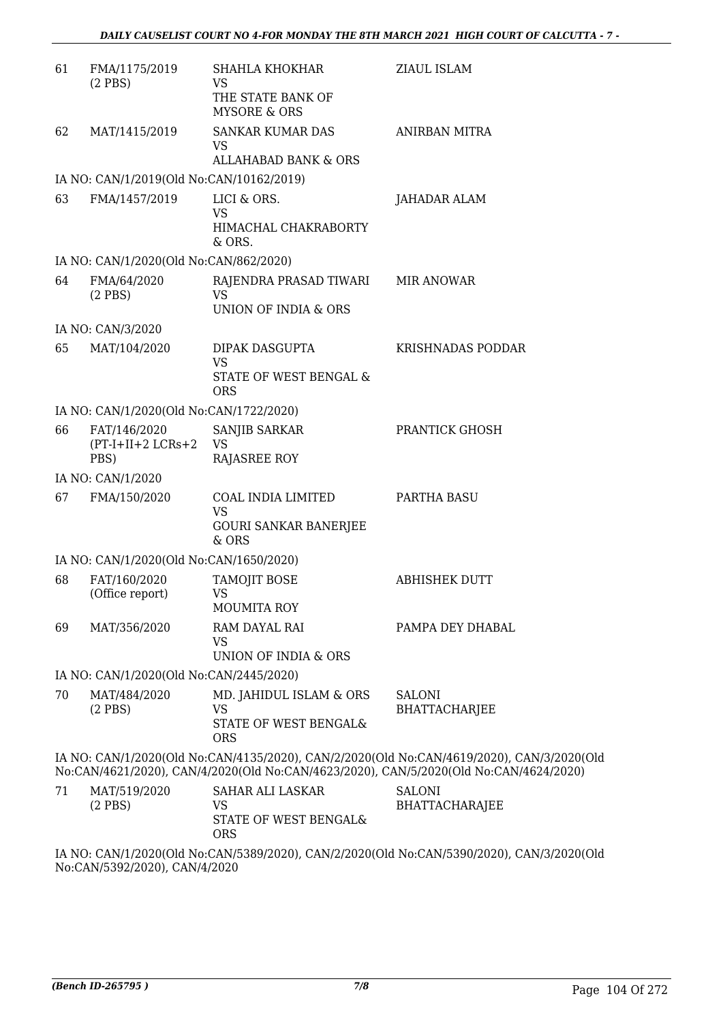| 61 | FMA/1175/2019<br>$(2$ PBS)               | <b>SHAHLA KHOKHAR</b><br><b>VS</b>                              | ZIAUL ISLAM                                                                                                                                                                        |
|----|------------------------------------------|-----------------------------------------------------------------|------------------------------------------------------------------------------------------------------------------------------------------------------------------------------------|
|    |                                          | THE STATE BANK OF<br><b>MYSORE &amp; ORS</b>                    |                                                                                                                                                                                    |
| 62 | MAT/1415/2019                            | <b>SANKAR KUMAR DAS</b><br>VS                                   | <b>ANIRBAN MITRA</b>                                                                                                                                                               |
|    |                                          | <b>ALLAHABAD BANK &amp; ORS</b>                                 |                                                                                                                                                                                    |
|    | IA NO: CAN/1/2019(Old No:CAN/10162/2019) |                                                                 |                                                                                                                                                                                    |
| 63 | FMA/1457/2019                            | LICI & ORS.<br>VS                                               | JAHADAR ALAM                                                                                                                                                                       |
|    |                                          | HIMACHAL CHAKRABORTY<br>& ORS.                                  |                                                                                                                                                                                    |
|    | IA NO: CAN/1/2020(Old No:CAN/862/2020)   |                                                                 |                                                                                                                                                                                    |
| 64 | FMA/64/2020<br>$(2$ PBS)                 | RAJENDRA PRASAD TIWARI<br><b>VS</b>                             | MIR ANOWAR                                                                                                                                                                         |
|    |                                          | UNION OF INDIA & ORS                                            |                                                                                                                                                                                    |
|    | IA NO: CAN/3/2020                        |                                                                 |                                                                                                                                                                                    |
| 65 | MAT/104/2020                             | DIPAK DASGUPTA<br><b>VS</b>                                     | <b>KRISHNADAS PODDAR</b>                                                                                                                                                           |
|    |                                          | STATE OF WEST BENGAL &<br><b>ORS</b>                            |                                                                                                                                                                                    |
|    | IA NO: CAN/1/2020(Old No:CAN/1722/2020)  |                                                                 |                                                                                                                                                                                    |
| 66 | FAT/146/2020<br>$(PT-I+II+2 LCRs+2)$     | SANJIB SARKAR<br>VS                                             | PRANTICK GHOSH                                                                                                                                                                     |
|    | PBS)                                     | <b>RAJASREE ROY</b>                                             |                                                                                                                                                                                    |
|    | IA NO: CAN/1/2020                        |                                                                 |                                                                                                                                                                                    |
| 67 | FMA/150/2020                             | COAL INDIA LIMITED<br><b>VS</b><br><b>GOURI SANKAR BANERJEE</b> | PARTHA BASU                                                                                                                                                                        |
|    |                                          | & ORS                                                           |                                                                                                                                                                                    |
|    | IA NO: CAN/1/2020(Old No:CAN/1650/2020)  |                                                                 |                                                                                                                                                                                    |
| 68 | FAT/160/2020<br>(Office report)          | <b>TAMOJIT BOSE</b><br>VS                                       | <b>ABHISHEK DUTT</b>                                                                                                                                                               |
|    |                                          | <b>MOUMITA ROY</b>                                              |                                                                                                                                                                                    |
| 69 | MAT/356/2020                             | RAM DAYAL RAI<br><b>VS</b>                                      | PAMPA DEY DHABAL                                                                                                                                                                   |
|    |                                          | UNION OF INDIA & ORS                                            |                                                                                                                                                                                    |
|    | IA NO: CAN/1/2020(Old No:CAN/2445/2020)  |                                                                 |                                                                                                                                                                                    |
| 70 | MAT/484/2020<br>$(2$ PBS)                | MD. JAHIDUL ISLAM & ORS<br><b>VS</b>                            | <b>SALONI</b><br><b>BHATTACHARJEE</b>                                                                                                                                              |
|    |                                          | STATE OF WEST BENGAL&<br><b>ORS</b>                             |                                                                                                                                                                                    |
|    |                                          |                                                                 | IA NO: CAN/1/2020(Old No:CAN/4135/2020), CAN/2/2020(Old No:CAN/4619/2020), CAN/3/2020(Old<br>No:CAN/4621/2020), CAN/4/2020(Old No:CAN/4623/2020), CAN/5/2020(Old No:CAN/4624/2020) |
| 71 | MAT/519/2020                             | <b>SAHAR ALI LASKAR</b>                                         | <b>SALONI</b>                                                                                                                                                                      |
|    | $(2$ PBS)                                | VS<br>STATE OF WEST BENGAL&                                     | <b>BHATTACHARAJEE</b>                                                                                                                                                              |
|    |                                          | <b>ORS</b>                                                      |                                                                                                                                                                                    |

IA NO: CAN/1/2020(Old No:CAN/5389/2020), CAN/2/2020(Old No:CAN/5390/2020), CAN/3/2020(Old No:CAN/5392/2020), CAN/4/2020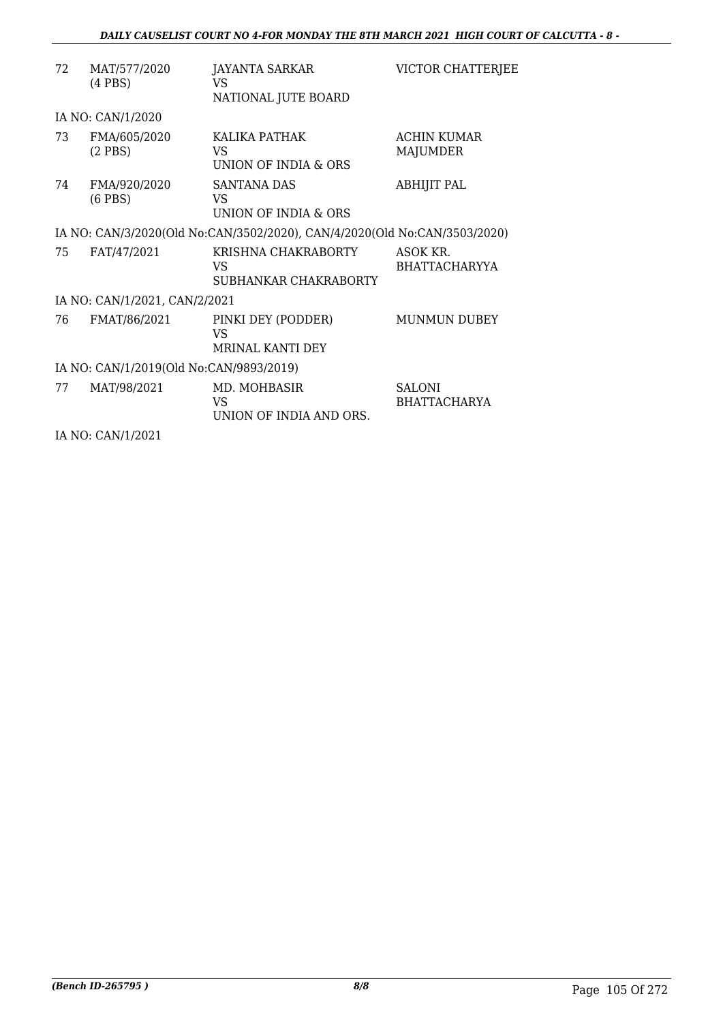| 72 | MAT/577/2020<br>$(4$ PBS $)$            | JAYANTA SARKAR<br>VS<br>NATIONAL JUTE BOARD                               | VICTOR CHATTERJEE                     |
|----|-----------------------------------------|---------------------------------------------------------------------------|---------------------------------------|
|    | IA NO: CAN/1/2020                       |                                                                           |                                       |
| 73 | FMA/605/2020<br>$(2$ PBS)               | KALIKA PATHAK<br>VS.<br>UNION OF INDIA & ORS                              | <b>ACHIN KUMAR</b><br><b>MAJUMDER</b> |
| 74 | FMA/920/2020<br>$(6$ PBS $)$            | SANTANA DAS<br>VS<br>UNION OF INDIA & ORS                                 | <b>ABHIJIT PAL</b>                    |
|    |                                         | IA NO: CAN/3/2020(Old No:CAN/3502/2020), CAN/4/2020(Old No:CAN/3503/2020) |                                       |
| 75 | FAT/47/2021                             | KRISHNA CHAKRABORTY<br>VS<br>SUBHANKAR CHAKRABORTY                        | ASOK KR.<br><b>BHATTACHARYYA</b>      |
|    | IA NO: CAN/1/2021, CAN/2/2021           |                                                                           |                                       |
| 76 | FMAT/86/2021                            | PINKI DEY (PODDER)<br>VS<br>MRINAL KANTI DEY                              | <b>MUNMUN DUBEY</b>                   |
|    | IA NO: CAN/1/2019(Old No:CAN/9893/2019) |                                                                           |                                       |
| 77 | MAT/98/2021                             | MD. MOHBASIR<br>VS<br>UNION OF INDIA AND ORS.                             | <b>SALONI</b><br><b>BHATTACHARYA</b>  |
|    | .                                       |                                                                           |                                       |

IA NO: CAN/1/2021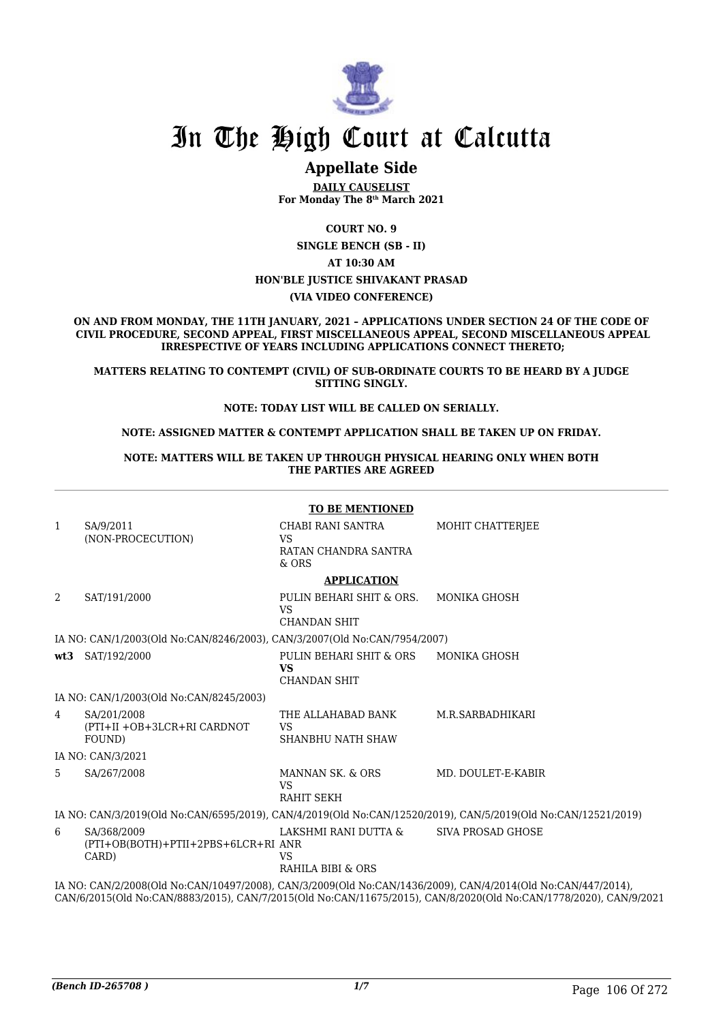

# In The High Court at Calcutta

# **Appellate Side**

**DAILY CAUSELIST For Monday The 8th March 2021**

**COURT NO. 9**

**SINGLE BENCH (SB - II)**

**AT 10:30 AM**

#### **HON'BLE JUSTICE SHIVAKANT PRASAD**

#### **(VIA VIDEO CONFERENCE)**

**ON AND FROM MONDAY, THE 11TH JANUARY, 2021 – APPLICATIONS UNDER SECTION 24 OF THE CODE OF CIVIL PROCEDURE, SECOND APPEAL, FIRST MISCELLANEOUS APPEAL, SECOND MISCELLANEOUS APPEAL IRRESPECTIVE OF YEARS INCLUDING APPLICATIONS CONNECT THERETO;**

**MATTERS RELATING TO CONTEMPT (CIVIL) OF SUB-ORDINATE COURTS TO BE HEARD BY A JUDGE SITTING SINGLY.**

#### **NOTE: TODAY LIST WILL BE CALLED ON SERIALLY.**

#### **NOTE: ASSIGNED MATTER & CONTEMPT APPLICATION SHALL BE TAKEN UP ON FRIDAY.**

**NOTE: MATTERS WILL BE TAKEN UP THROUGH PHYSICAL HEARING ONLY WHEN BOTH THE PARTIES ARE AGREED**

|              | <b>TO BE MENTIONED</b>                                                                                        |                                                              |                                                                                                                                                                                                                                   |  |
|--------------|---------------------------------------------------------------------------------------------------------------|--------------------------------------------------------------|-----------------------------------------------------------------------------------------------------------------------------------------------------------------------------------------------------------------------------------|--|
| $\mathbf{1}$ | SA/9/2011                                                                                                     | CHABI RANI SANTRA                                            | MOHIT CHATTERJEE                                                                                                                                                                                                                  |  |
|              | (NON-PROCECUTION)                                                                                             | <b>VS</b><br>RATAN CHANDRA SANTRA<br>$&$ ORS                 |                                                                                                                                                                                                                                   |  |
|              |                                                                                                               | <b>APPLICATION</b>                                           |                                                                                                                                                                                                                                   |  |
| 2            | SAT/191/2000                                                                                                  | PULIN BEHARI SHIT & ORS.<br><b>VS</b><br><b>CHANDAN SHIT</b> | MONIKA GHOSH                                                                                                                                                                                                                      |  |
|              | IA NO: CAN/1/2003(Old No:CAN/8246/2003), CAN/3/2007(Old No:CAN/7954/2007)                                     |                                                              |                                                                                                                                                                                                                                   |  |
|              | wt3 SAT/192/2000                                                                                              | PULIN BEHARI SHIT & ORS<br><b>VS</b><br><b>CHANDAN SHIT</b>  | <b>MONIKA GHOSH</b>                                                                                                                                                                                                               |  |
|              | IA NO: CAN/1/2003(Old No:CAN/8245/2003)                                                                       |                                                              |                                                                                                                                                                                                                                   |  |
| 4            | SA/201/2008<br>(PTI+II +OB+3LCR+RI CARDNOT<br>FOUND)                                                          | THE ALLAHABAD BANK<br>VS<br>SHANBHU NATH SHAW                | M.R.SARBADHIKARI                                                                                                                                                                                                                  |  |
|              | IA NO: CAN/3/2021                                                                                             |                                                              |                                                                                                                                                                                                                                   |  |
| 5.           | SA/267/2008                                                                                                   | MANNAN SK, & ORS<br><b>VS</b><br><b>RAHIT SEKH</b>           | MD. DOULET-E-KABIR                                                                                                                                                                                                                |  |
|              | IA NO: CAN/3/2019(Old No:CAN/6595/2019), CAN/4/2019(Old No:CAN/12520/2019), CAN/5/2019(Old No:CAN/12521/2019) |                                                              |                                                                                                                                                                                                                                   |  |
| 6            | SA/368/2009<br>(PTI+OB(BOTH)+PTII+2PBS+6LCR+RI ANR<br>CARD)                                                   | LAKSHMI RANI DUTTA &<br>VS<br>RAHILA BIBI & ORS              | SIVA PROSAD GHOSE                                                                                                                                                                                                                 |  |
|              |                                                                                                               |                                                              | IA NO: CAN/2/2008(Old No:CAN/10497/2008), CAN/3/2009(Old No:CAN/1436/2009), CAN/4/2014(Old No:CAN/447/2014),<br>CAN/6/2015(Old No:CAN/8883/2015), CAN/7/2015(Old No:CAN/11675/2015), CAN/8/2020(Old No:CAN/1778/2020), CAN/9/2021 |  |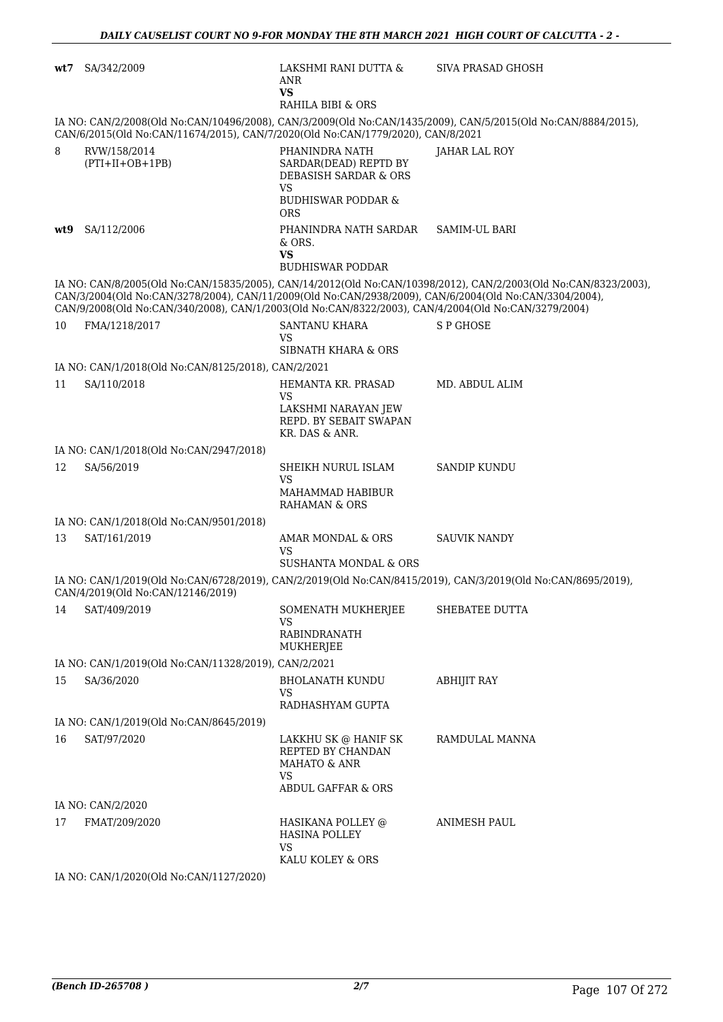| wt7 | SA/342/2009                                                                                                                                                                                                   | LAKSHMI RANI DUTTA &<br>ANR<br><b>VS</b><br>RAHILA BIBI & ORS                                                      | <b>SIVA PRASAD GHOSH</b>                                                                                        |
|-----|---------------------------------------------------------------------------------------------------------------------------------------------------------------------------------------------------------------|--------------------------------------------------------------------------------------------------------------------|-----------------------------------------------------------------------------------------------------------------|
|     | CAN/6/2015(Old No:CAN/11674/2015), CAN/7/2020(Old No:CAN/1779/2020), CAN/8/2021                                                                                                                               |                                                                                                                    | IA NO: CAN/2/2008(Old No:CAN/10496/2008), CAN/3/2009(Old No:CAN/1435/2009), CAN/5/2015(Old No:CAN/8884/2015),   |
| 8   | RVW/158/2014<br>$(PTI+II+OB+1PB)$                                                                                                                                                                             | PHANINDRA NATH<br>SARDAR(DEAD) REPTD BY<br><b>DEBASISH SARDAR &amp; ORS</b><br>VS<br><b>BUDHISWAR PODDAR &amp;</b> | JAHAR LAL ROY                                                                                                   |
|     | wt9 SA/112/2006                                                                                                                                                                                               | <b>ORS</b><br>PHANINDRA NATH SARDAR<br>$&$ ORS.<br><b>VS</b>                                                       | <b>SAMIM-UL BARI</b>                                                                                            |
|     |                                                                                                                                                                                                               | <b>BUDHISWAR PODDAR</b>                                                                                            |                                                                                                                 |
|     | CAN/3/2004(Old No:CAN/3278/2004), CAN/11/2009(Old No:CAN/2938/2009), CAN/6/2004(Old No:CAN/3304/2004),<br>CAN/9/2008(Old No:CAN/340/2008), CAN/1/2003(Old No:CAN/8322/2003), CAN/4/2004(Old No:CAN/3279/2004) |                                                                                                                    | IA NO: CAN/8/2005(Old No:CAN/15835/2005), CAN/14/2012(Old No:CAN/10398/2012), CAN/2/2003(Old No:CAN/8323/2003), |
| 10  | FMA/1218/2017                                                                                                                                                                                                 | <b>SANTANU KHARA</b><br><b>VS</b><br>SIBNATH KHARA & ORS                                                           | S P GHOSE                                                                                                       |
|     | IA NO: CAN/1/2018(Old No:CAN/8125/2018), CAN/2/2021                                                                                                                                                           |                                                                                                                    |                                                                                                                 |
| 11  | SA/110/2018                                                                                                                                                                                                   | HEMANTA KR. PRASAD                                                                                                 | MD. ABDUL ALIM                                                                                                  |
|     |                                                                                                                                                                                                               | <b>VS</b><br>LAKSHMI NARAYAN JEW<br>REPD. BY SEBAIT SWAPAN<br>KR. DAS & ANR.                                       |                                                                                                                 |
|     | IA NO: CAN/1/2018(Old No:CAN/2947/2018)                                                                                                                                                                       |                                                                                                                    |                                                                                                                 |
| 12  | SA/56/2019                                                                                                                                                                                                    | SHEIKH NURUL ISLAM<br>VS<br>MAHAMMAD HABIBUR                                                                       | <b>SANDIP KUNDU</b>                                                                                             |
|     |                                                                                                                                                                                                               | <b>RAHAMAN &amp; ORS</b>                                                                                           |                                                                                                                 |
|     | IA NO: CAN/1/2018(Old No:CAN/9501/2018)                                                                                                                                                                       |                                                                                                                    |                                                                                                                 |
| 13  | SAT/161/2019                                                                                                                                                                                                  | AMAR MONDAL & ORS<br>VS<br><b>SUSHANTA MONDAL &amp; ORS</b>                                                        | <b>SAUVIK NANDY</b>                                                                                             |
|     | CAN/4/2019(Old No:CAN/12146/2019)                                                                                                                                                                             |                                                                                                                    | IA NO: CAN/1/2019(Old No:CAN/6728/2019), CAN/2/2019(Old No:CAN/8415/2019), CAN/3/2019(Old No:CAN/8695/2019),    |
| 14  | SAT/409/2019                                                                                                                                                                                                  | SOMENATH MUKHERJEE<br>VS                                                                                           | SHEBATEE DUTTA                                                                                                  |
|     |                                                                                                                                                                                                               | <b>RABINDRANATH</b><br>MUKHERJEE                                                                                   |                                                                                                                 |
|     | IA NO: CAN/1/2019(Old No:CAN/11328/2019), CAN/2/2021                                                                                                                                                          |                                                                                                                    |                                                                                                                 |
| 15  | SA/36/2020                                                                                                                                                                                                    | <b>BHOLANATH KUNDU</b><br><b>VS</b>                                                                                | <b>ABHIJIT RAY</b>                                                                                              |
|     | IA NO: CAN/1/2019(Old No:CAN/8645/2019)                                                                                                                                                                       | RADHASHYAM GUPTA                                                                                                   |                                                                                                                 |
| 16  | SAT/97/2020                                                                                                                                                                                                   | LAKKHU SK @ HANIF SK                                                                                               | RAMDULAL MANNA                                                                                                  |
|     |                                                                                                                                                                                                               | REPTED BY CHANDAN<br>MAHATO & ANR<br>VS.<br><b>ABDUL GAFFAR &amp; ORS</b>                                          |                                                                                                                 |
|     | IA NO: CAN/2/2020                                                                                                                                                                                             |                                                                                                                    |                                                                                                                 |
| 17  | FMAT/209/2020                                                                                                                                                                                                 | HASIKANA POLLEY @<br><b>HASINA POLLEY</b><br>VS<br>KALU KOLEY & ORS                                                | <b>ANIMESH PAUL</b>                                                                                             |

IA NO: CAN/1/2020(Old No:CAN/1127/2020)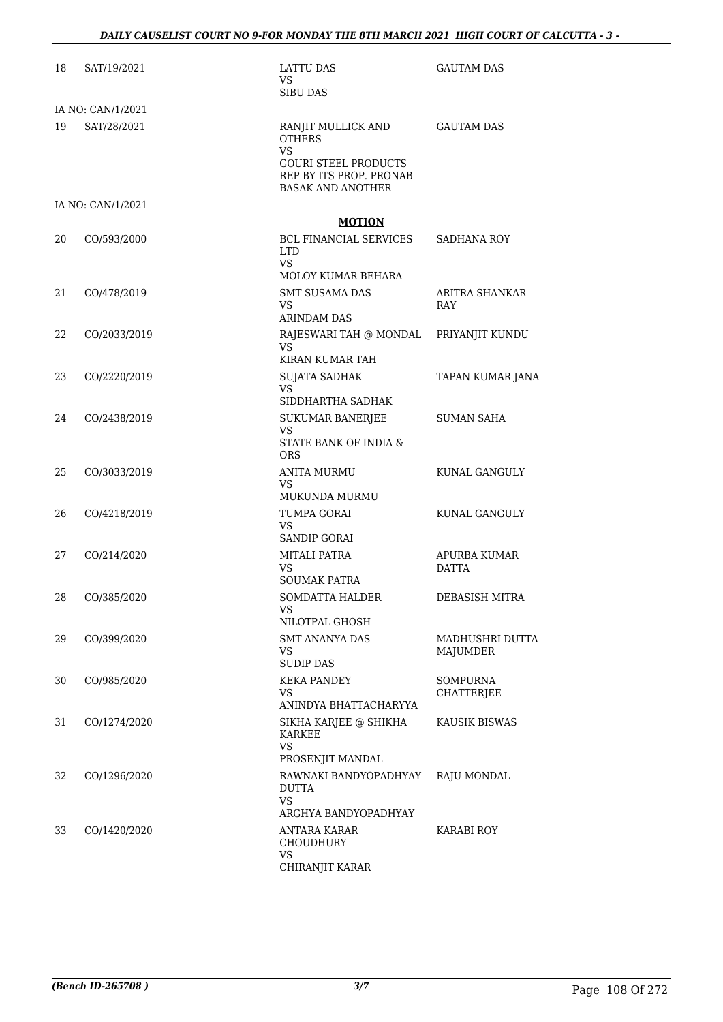| 18 | SAT/19/2021       | LATTU DAS<br><b>VS</b><br><b>SIBU DAS</b>                                                                                              | <b>GAUTAM DAS</b>             |
|----|-------------------|----------------------------------------------------------------------------------------------------------------------------------------|-------------------------------|
|    | IA NO: CAN/1/2021 |                                                                                                                                        |                               |
| 19 | SAT/28/2021       | RANJIT MULLICK AND<br><b>OTHERS</b><br><b>VS</b><br><b>GOURI STEEL PRODUCTS</b><br>REP BY ITS PROP. PRONAB<br><b>BASAK AND ANOTHER</b> | <b>GAUTAM DAS</b>             |
|    | IA NO: CAN/1/2021 |                                                                                                                                        |                               |
|    |                   | <b>MOTION</b>                                                                                                                          |                               |
| 20 | CO/593/2000       | BCL FINANCIAL SERVICES<br><b>LTD</b><br>VS.<br>MOLOY KUMAR BEHARA                                                                      | SADHANA ROY                   |
| 21 | CO/478/2019       | <b>SMT SUSAMA DAS</b><br>VS.<br>ARINDAM DAS                                                                                            | ARITRA SHANKAR<br>RAY         |
| 22 | CO/2033/2019      | RAJESWARI TAH @ MONDAL<br>VS.<br>KIRAN KUMAR TAH                                                                                       | PRIYANJIT KUNDU               |
| 23 | CO/2220/2019      | <b>SUJATA SADHAK</b><br>VS<br>SIDDHARTHA SADHAK                                                                                        | TAPAN KUMAR JANA              |
| 24 | CO/2438/2019      | SUKUMAR BANERJEE<br>VS.<br>STATE BANK OF INDIA &                                                                                       | <b>SUMAN SAHA</b>             |
|    |                   | <b>ORS</b>                                                                                                                             |                               |
| 25 | CO/3033/2019      | ANITA MURMU<br><b>VS</b><br>MUKUNDA MURMU                                                                                              | KUNAL GANGULY                 |
| 26 | CO/4218/2019      | TUMPA GORAI<br>VS.<br>SANDIP GORAI                                                                                                     | KUNAL GANGULY                 |
| 27 | CO/214/2020       | MITALI PATRA<br>VS.<br><b>SOUMAK PATRA</b>                                                                                             | APURBA KUMAR<br><b>DATTA</b>  |
| 28 | CO/385/2020       | SOMDATTA HALDER<br>VS.<br>NILOTPAL GHOSH                                                                                               | DEBASISH MITRA                |
| 29 | CO/399/2020       | SMT ANANYA DAS<br>VS<br><b>SUDIP DAS</b>                                                                                               | MADHUSHRI DUTTA<br>MAJUMDER   |
| 30 | CO/985/2020       | <b>KEKA PANDEY</b><br>VS.<br>ANINDYA BHATTACHARYYA                                                                                     | <b>SOMPURNA</b><br>CHATTERJEE |
| 31 | CO/1274/2020      | SIKHA KARJEE @ SHIKHA<br>KARKEE<br><b>VS</b><br>PROSENJIT MANDAL                                                                       | <b>KAUSIK BISWAS</b>          |
| 32 | CO/1296/2020      | RAWNAKI BANDYOPADHYAY<br><b>DUTTA</b><br><b>VS</b><br>ARGHYA BANDYOPADHYAY                                                             | RAJU MONDAL                   |
| 33 | CO/1420/2020      | ANTARA KARAR<br>CHOUDHURY<br>VS<br>CHIRANJIT KARAR                                                                                     | KARABI ROY                    |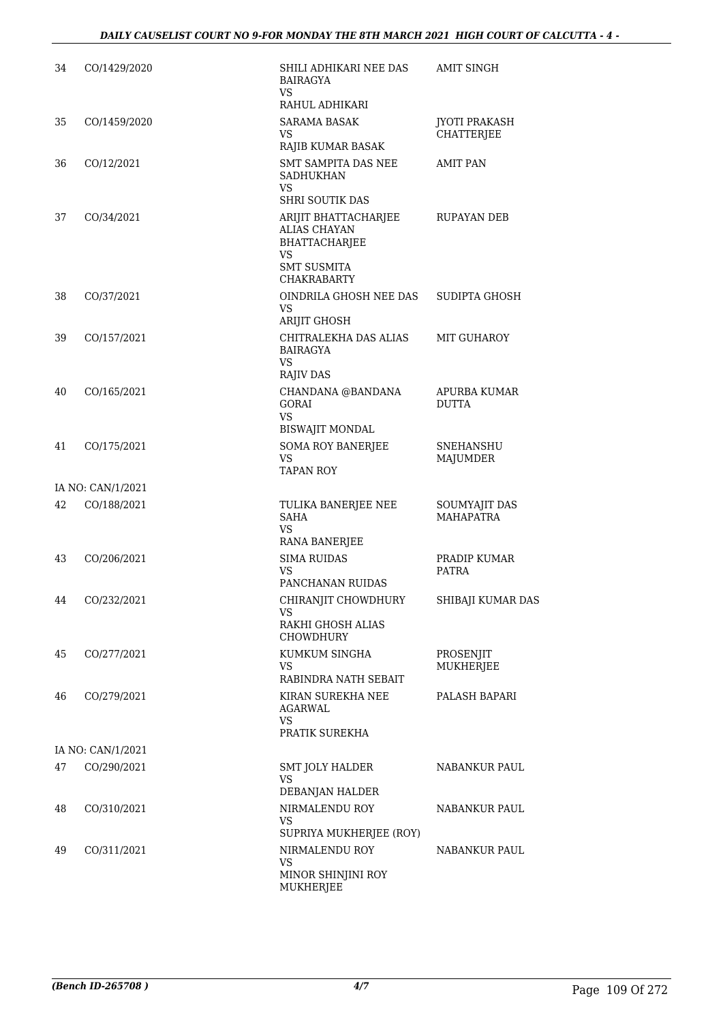| 34 | CO/1429/2020      | SHILI ADHIKARI NEE DAS<br><b>BAIRAGYA</b><br>VS                                                                              | <b>AMIT SINGH</b>                         |
|----|-------------------|------------------------------------------------------------------------------------------------------------------------------|-------------------------------------------|
|    |                   | RAHUL ADHIKARI                                                                                                               |                                           |
| 35 | CO/1459/2020      | <b>SARAMA BASAK</b><br>VS<br>RAJIB KUMAR BASAK                                                                               | <b>JYOTI PRAKASH</b><br><b>CHATTERJEE</b> |
| 36 | CO/12/2021        | SMT SAMPITA DAS NEE<br><b>SADHUKHAN</b><br>VS<br><b>SHRI SOUTIK DAS</b>                                                      | <b>AMIT PAN</b>                           |
| 37 | CO/34/2021        | ARIJIT BHATTACHARJEE<br><b>ALIAS CHAYAN</b><br><b>BHATTACHARJEE</b><br><b>VS</b><br><b>SMT SUSMITA</b><br><b>CHAKRABARTY</b> | RUPAYAN DEB                               |
| 38 | CO/37/2021        | OINDRILA GHOSH NEE DAS<br>VS<br><b>ARIJIT GHOSH</b>                                                                          | SUDIPTA GHOSH                             |
| 39 | CO/157/2021       | CHITRALEKHA DAS ALIAS<br><b>BAIRAGYA</b><br>VS<br>RAJIV DAS                                                                  | MIT GUHAROY                               |
| 40 | CO/165/2021       | CHANDANA @BANDANA<br>GORAI<br><b>VS</b><br><b>BISWAJIT MONDAL</b>                                                            | APURBA KUMAR<br><b>DUTTA</b>              |
| 41 | CO/175/2021       | <b>SOMA ROY BANERJEE</b><br>VS.<br><b>TAPAN ROY</b>                                                                          | SNEHANSHU<br>MAJUMDER                     |
|    | IA NO: CAN/1/2021 |                                                                                                                              |                                           |
| 42 | CO/188/2021       | TULIKA BANERJEE NEE<br><b>SAHA</b><br><b>VS</b><br>RANA BANERJEE                                                             | SOUMYAJIT DAS<br><b>MAHAPATRA</b>         |
| 43 | CO/206/2021       | <b>SIMA RUIDAS</b><br>VS<br>PANCHANAN RUIDAS                                                                                 | PRADIP KUMAR<br><b>PATRA</b>              |
| 44 | CO/232/2021       | CHIRANJIT CHOWDHURY<br>VS<br>RAKHI GHOSH ALIAS<br><b>CHOWDHURY</b>                                                           | SHIBAJI KUMAR DAS                         |
| 45 | CO/277/2021       | KUMKUM SINGHA<br>VS.                                                                                                         | PROSENJIT<br>MUKHERJEE                    |
|    |                   | RABINDRA NATH SEBAIT                                                                                                         |                                           |
| 46 | CO/279/2021       | KIRAN SUREKHA NEE<br>AGARWAL<br>VS                                                                                           | PALASH BAPARI                             |
|    |                   | PRATIK SUREKHA                                                                                                               |                                           |
|    | IA NO: CAN/1/2021 |                                                                                                                              |                                           |
| 47 | CO/290/2021       | SMT JOLY HALDER<br>VS.<br>DEBANJAN HALDER                                                                                    | NABANKUR PAUL                             |
| 48 | CO/310/2021       | NIRMALENDU ROY<br>VS<br>SUPRIYA MUKHERJEE (ROY)                                                                              | NABANKUR PAUL                             |
| 49 | CO/311/2021       | NIRMALENDU ROY<br><b>VS</b><br>MINOR SHINJINI ROY<br>MUKHERJEE                                                               | NABANKUR PAUL                             |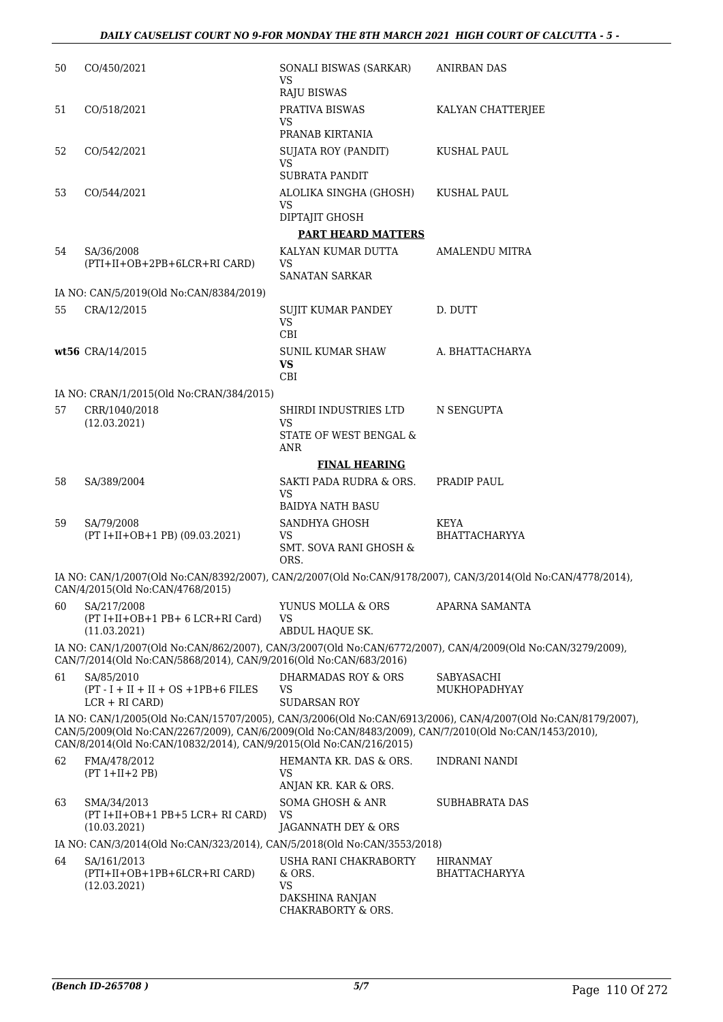| 50 | CO/450/2021                                                                                                                                                                 | SONALI BISWAS (SARKAR)<br><b>VS</b><br><b>RAJU BISWAS</b>                             | <b>ANIRBAN DAS</b>                                                                                            |
|----|-----------------------------------------------------------------------------------------------------------------------------------------------------------------------------|---------------------------------------------------------------------------------------|---------------------------------------------------------------------------------------------------------------|
| 51 | CO/518/2021                                                                                                                                                                 | PRATIVA BISWAS<br><b>VS</b><br>PRANAB KIRTANIA                                        | KALYAN CHATTERJEE                                                                                             |
| 52 | CO/542/2021                                                                                                                                                                 | <b>SUJATA ROY (PANDIT)</b><br><b>VS</b>                                               | KUSHAL PAUL                                                                                                   |
| 53 | CO/544/2021                                                                                                                                                                 | SUBRATA PANDIT<br>ALOLIKA SINGHA (GHOSH)<br>VS<br>DIPTAJIT GHOSH                      | KUSHAL PAUL                                                                                                   |
| 54 | SA/36/2008<br>(PTI+II+OB+2PB+6LCR+RI CARD)                                                                                                                                  | <b>PART HEARD MATTERS</b><br>KALYAN KUMAR DUTTA<br>VS<br><b>SANATAN SARKAR</b>        | <b>AMALENDU MITRA</b>                                                                                         |
|    | IA NO: CAN/5/2019(Old No:CAN/8384/2019)                                                                                                                                     |                                                                                       |                                                                                                               |
| 55 | CRA/12/2015                                                                                                                                                                 | SUJIT KUMAR PANDEY<br><b>VS</b><br>CBI                                                | D. DUTT                                                                                                       |
|    | wt56 CRA/14/2015                                                                                                                                                            | <b>SUNIL KUMAR SHAW</b><br><b>VS</b><br>CBI                                           | A. BHATTACHARYA                                                                                               |
|    | IA NO: CRAN/1/2015(Old No:CRAN/384/2015)                                                                                                                                    |                                                                                       |                                                                                                               |
| 57 | CRR/1040/2018<br>(12.03.2021)                                                                                                                                               | SHIRDI INDUSTRIES LTD<br><b>VS</b><br>STATE OF WEST BENGAL &<br>ANR                   | N SENGUPTA                                                                                                    |
|    |                                                                                                                                                                             | <b>FINAL HEARING</b>                                                                  |                                                                                                               |
| 58 | SA/389/2004                                                                                                                                                                 | SAKTI PADA RUDRA & ORS.<br><b>VS</b><br><b>BAIDYA NATH BASU</b>                       | PRADIP PAUL                                                                                                   |
| 59 | SA/79/2008<br>(PT I+II+OB+1 PB) (09.03.2021)                                                                                                                                | SANDHYA GHOSH<br><b>VS</b><br><b>SMT. SOVA RANI GHOSH &amp;</b><br>ORS.               | <b>KEYA</b><br><b>BHATTACHARYYA</b>                                                                           |
|    | CAN/4/2015(Old No:CAN/4768/2015)                                                                                                                                            |                                                                                       | IA NO: CAN/1/2007(Old No:CAN/8392/2007), CAN/2/2007(Old No:CAN/9178/2007), CAN/3/2014(Old No:CAN/4778/2014),  |
| 60 | SA/217/2008<br>(PT I+II+OB+1 PB+ 6 LCR+RI Card)<br>(11.03.2021)                                                                                                             | YUNUS MOLLA & ORS<br>VS<br>ABDUL HAQUE SK.                                            | APARNA SAMANTA                                                                                                |
|    | CAN/7/2014(Old No:CAN/5868/2014), CAN/9/2016(Old No:CAN/683/2016)                                                                                                           |                                                                                       | IA NO: CAN/1/2007(Old No:CAN/862/2007), CAN/3/2007(Old No:CAN/6772/2007), CAN/4/2009(Old No:CAN/3279/2009),   |
| 61 | SA/85/2010<br>$(PT - I + II + II + OS + 1PB + 6 FILES)$<br>$LCR + RI (CARD)$                                                                                                | <b>DHARMADAS ROY &amp; ORS</b><br>VS<br>SUDARSAN ROY                                  | SABYASACHI<br>MUKHOPADHYAY                                                                                    |
|    | CAN/5/2009(Old No:CAN/2267/2009), CAN/6/2009(Old No:CAN/8483/2009), CAN/7/2010(Old No:CAN/1453/2010),<br>CAN/8/2014(Old No:CAN/10832/2014), CAN/9/2015(Old No:CAN/216/2015) |                                                                                       | IA NO: CAN/1/2005(Old No:CAN/15707/2005), CAN/3/2006(Old No:CAN/6913/2006), CAN/4/2007(Old No:CAN/8179/2007), |
| 62 | FMA/478/2012<br>$(PT 1+II+2 PB)$                                                                                                                                            | HEMANTA KR. DAS & ORS.<br>VS                                                          | INDRANI NANDI                                                                                                 |
| 63 | SMA/34/2013<br>$(PT I+II+OB+1 PB+5 LCR+ RI CARD)$<br>(10.03.2021)                                                                                                           | ANJAN KR. KAR & ORS.<br>SOMA GHOSH & ANR<br><b>VS</b><br>JAGANNATH DEY & ORS          | <b>SUBHABRATA DAS</b>                                                                                         |
|    | IA NO: CAN/3/2014(Old No:CAN/323/2014), CAN/5/2018(Old No:CAN/3553/2018)                                                                                                    |                                                                                       |                                                                                                               |
| 64 | SA/161/2013<br>(PTI+II+OB+1PB+6LCR+RI CARD)<br>(12.03.2021)                                                                                                                 | USHA RANI CHAKRABORTY<br>& ORS.<br><b>VS</b><br>DAKSHINA RANJAN<br>CHAKRABORTY & ORS. | <b>HIRANMAY</b><br><b>BHATTACHARYYA</b>                                                                       |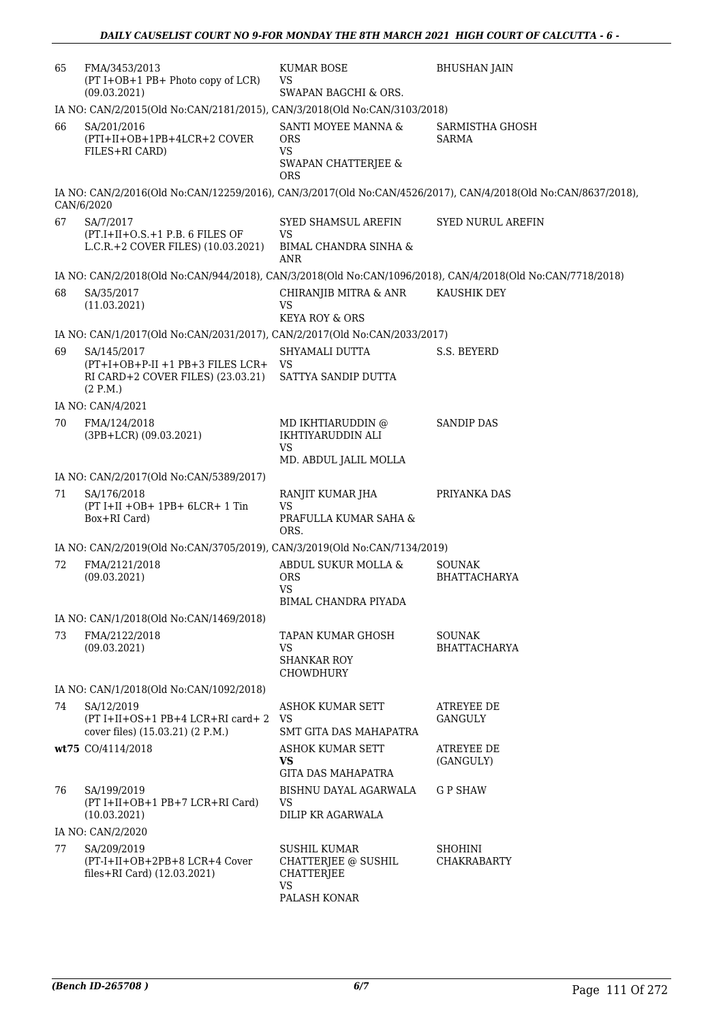| 65 | FMA/3453/2013<br>(PT I+OB+1 PB+ Photo copy of LCR)<br>(09.03.2021)                               | <b>KUMAR BOSE</b><br>VS<br>SWAPAN BAGCHI & ORS.                                     | <b>BHUSHAN JAIN</b>                                                                                           |
|----|--------------------------------------------------------------------------------------------------|-------------------------------------------------------------------------------------|---------------------------------------------------------------------------------------------------------------|
|    | IA NO: CAN/2/2015(Old No:CAN/2181/2015), CAN/3/2018(Old No:CAN/3103/2018)                        |                                                                                     |                                                                                                               |
| 66 | SA/201/2016<br>(PTI+II+OB+1PB+4LCR+2 COVER<br>FILES+RI CARD)                                     | SANTI MOYEE MANNA &<br><b>ORS</b><br><b>VS</b><br>SWAPAN CHATTERJEE &<br><b>ORS</b> | SARMISTHA GHOSH<br><b>SARMA</b>                                                                               |
|    | CAN/6/2020                                                                                       |                                                                                     | IA NO: CAN/2/2016(Old No:CAN/12259/2016), CAN/3/2017(Old No:CAN/4526/2017), CAN/4/2018(Old No:CAN/8637/2018), |
| 67 | SA/7/2017<br>$(PT.I+II+O.S.+1 P.B. 6 FILES OF$<br>L.C.R.+2 COVER FILES) (10.03.2021)             | SYED SHAMSUL AREFIN<br>VS<br><b>BIMAL CHANDRA SINHA &amp;</b><br>ANR                | <b>SYED NURUL AREFIN</b>                                                                                      |
|    |                                                                                                  |                                                                                     | IA NO: CAN/2/2018(Old No:CAN/944/2018), CAN/3/2018(Old No:CAN/1096/2018), CAN/4/2018(Old No:CAN/7718/2018)    |
| 68 | SA/35/2017<br>(11.03.2021)                                                                       | CHIRANJIB MITRA & ANR<br>VS                                                         | KAUSHIK DEY                                                                                                   |
|    |                                                                                                  | <b>KEYA ROY &amp; ORS</b>                                                           |                                                                                                               |
|    | IA NO: CAN/1/2017(Old No:CAN/2031/2017), CAN/2/2017(Old No:CAN/2033/2017)                        |                                                                                     |                                                                                                               |
| 69 | SA/145/2017<br>(PT+I+OB+P-II +1 PB+3 FILES LCR+<br>RI CARD+2 COVER FILES) (23.03.21)<br>(2 P.M.) | SHYAMALI DUTTA<br>VS<br>SATTYA SANDIP DUTTA                                         | S.S. BEYERD                                                                                                   |
|    | IA NO: CAN/4/2021                                                                                |                                                                                     |                                                                                                               |
| 70 | FMA/124/2018<br>$(3PB+LCR)$ $(09.03.2021)$                                                       | MD IKHTIARUDDIN @<br>IKHTIYARUDDIN ALI<br>VS                                        | <b>SANDIP DAS</b>                                                                                             |
|    |                                                                                                  | MD. ABDUL JALIL MOLLA                                                               |                                                                                                               |
|    | IA NO: CAN/2/2017(Old No:CAN/5389/2017)                                                          |                                                                                     |                                                                                                               |
| 71 | SA/176/2018<br>$(PT I+II +OB+ 1PB+ 6LCR+ 1 Tin$<br>Box+RI Card)                                  | RANJIT KUMAR JHA<br>VS<br>PRAFULLA KUMAR SAHA &                                     | PRIYANKA DAS                                                                                                  |
|    |                                                                                                  | ORS.                                                                                |                                                                                                               |
|    | IA NO: CAN/2/2019(Old No:CAN/3705/2019), CAN/3/2019(Old No:CAN/7134/2019)                        |                                                                                     |                                                                                                               |
| 72 | FMA/2121/2018<br>(09.03.2021)                                                                    | ABDUL SUKUR MOLLA &<br><b>ORS</b><br>VS.                                            | <b>SOUNAK</b><br><b>BHATTACHARYA</b>                                                                          |
|    |                                                                                                  | BIMAL CHANDRA PIYADA                                                                |                                                                                                               |
|    | IA NO: CAN/1/2018(Old No:CAN/1469/2018)                                                          |                                                                                     |                                                                                                               |
| 73 | FMA/2122/2018<br>(09.03.2021)                                                                    | TAPAN KUMAR GHOSH<br>VS.<br><b>SHANKAR ROY</b><br><b>CHOWDHURY</b>                  | <b>SOUNAK</b><br><b>BHATTACHARYA</b>                                                                          |
|    | IA NO: CAN/1/2018(Old No:CAN/1092/2018)                                                          |                                                                                     |                                                                                                               |
| 74 | SA/12/2019<br>(PT I+II+OS+1 PB+4 LCR+RI card+2<br>cover files) (15.03.21) (2 P.M.)               | ASHOK KUMAR SETT<br>VS<br>SMT GITA DAS MAHAPATRA                                    | <b>ATREYEE DE</b><br>GANGULY                                                                                  |
|    | wt75 CO/4114/2018                                                                                | ASHOK KUMAR SETT<br>VS.<br><b>GITA DAS MAHAPATRA</b>                                | <b>ATREYEE DE</b><br>(GANGULY)                                                                                |
| 76 | SA/199/2019<br>(PT I+II+OB+1 PB+7 LCR+RI Card)<br>(10.03.2021)                                   | BISHNU DAYAL AGARWALA<br>VS<br>DILIP KR AGARWALA                                    | <b>GP SHAW</b>                                                                                                |
|    | IA NO: CAN/2/2020                                                                                |                                                                                     |                                                                                                               |
| 77 | SA/209/2019<br>(PT-I+II+OB+2PB+8 LCR+4 Cover<br>files+RI Card) $(12.03.2021)$                    | <b>SUSHIL KUMAR</b><br>CHATTERJEE @ SUSHIL<br><b>CHATTERJEE</b><br><b>VS</b>        | <b>SHOHINI</b><br>CHAKRABARTY                                                                                 |
|    |                                                                                                  | PALASH KONAR                                                                        |                                                                                                               |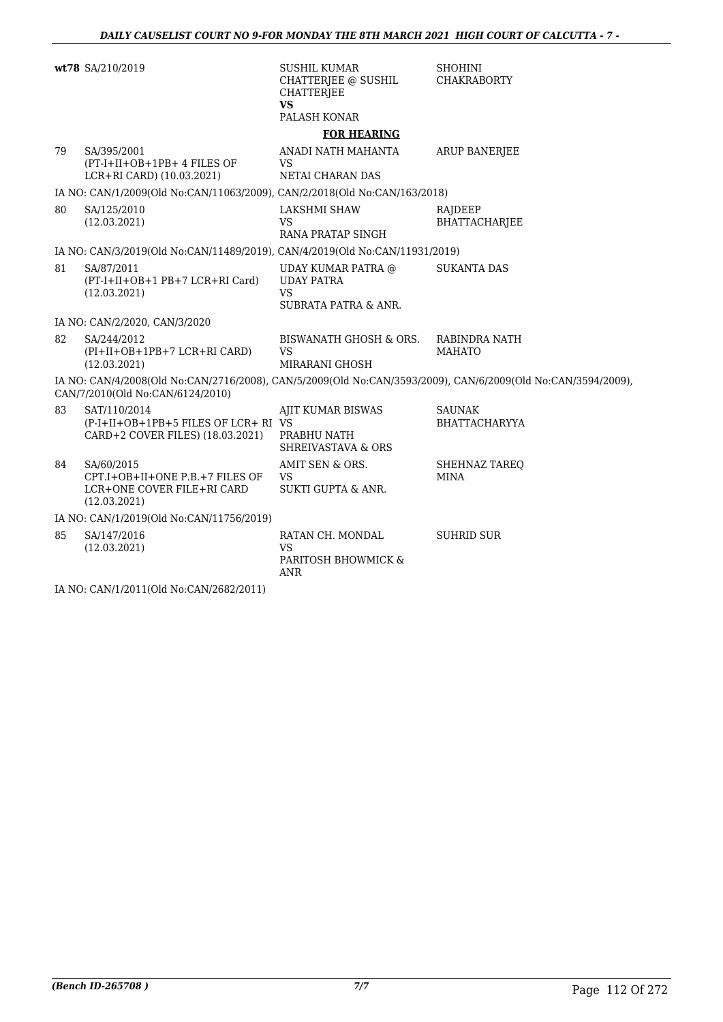|    | wt78 SA/210/2019                                                                            | <b>SUSHIL KUMAR</b><br>CHATTERJEE @ SUSHIL<br><b>CHATTERJEE</b><br><b>VS</b><br>PALASH KONAR | <b>SHOHINI</b><br><b>CHAKRABORTY</b>                                                                         |
|----|---------------------------------------------------------------------------------------------|----------------------------------------------------------------------------------------------|--------------------------------------------------------------------------------------------------------------|
|    |                                                                                             | <b>FOR HEARING</b>                                                                           |                                                                                                              |
| 79 | SA/395/2001<br>(PT-I+II+OB+1PB+ 4 FILES OF<br>LCR+RI CARD) (10.03.2021)                     | ANADI NATH MAHANTA<br>VS<br><b>NETAI CHARAN DAS</b>                                          | <b>ARUP BANERJEE</b>                                                                                         |
|    | IA NO: CAN/1/2009(Old No:CAN/11063/2009), CAN/2/2018(Old No:CAN/163/2018)                   |                                                                                              |                                                                                                              |
| 80 | SA/125/2010<br>(12.03.2021)                                                                 | LAKSHMI SHAW<br>VS<br>RANA PRATAP SINGH                                                      | RAJDEEP<br><b>BHATTACHARJEE</b>                                                                              |
|    | IA NO: CAN/3/2019(Old No:CAN/11489/2019), CAN/4/2019(Old No:CAN/11931/2019)                 |                                                                                              |                                                                                                              |
| 81 | SA/87/2011<br>(PT-I+II+OB+1 PB+7 LCR+RI Card)<br>(12.03.2021)                               | UDAY KUMAR PATRA @<br><b>UDAY PATRA</b><br><b>VS</b><br>SUBRATA PATRA & ANR.                 | <b>SUKANTA DAS</b>                                                                                           |
|    | IA NO: CAN/2/2020, CAN/3/2020                                                               |                                                                                              |                                                                                                              |
| 82 | SA/244/2012<br>(PI+II+OB+1PB+7 LCR+RI CARD)<br>(12.03.2021)                                 | BISWANATH GHOSH & ORS.<br><b>VS</b><br>MIRARANI GHOSH                                        | RABINDRA NATH<br><b>MAHATO</b>                                                                               |
|    | CAN/7/2010(Old No:CAN/6124/2010)                                                            |                                                                                              | IA NO: CAN/4/2008(Old No:CAN/2716/2008), CAN/5/2009(Old No:CAN/3593/2009), CAN/6/2009(Old No:CAN/3594/2009), |
| 83 | SAT/110/2014<br>(P-I+II+OB+1PB+5 FILES OF LCR+ RI VS<br>CARD+2 COVER FILES) (18.03.2021)    | AJIT KUMAR BISWAS<br>PRABHU NATH<br><b>SHREIVASTAVA &amp; ORS</b>                            | <b>SAUNAK</b><br><b>BHATTACHARYYA</b>                                                                        |
| 84 | SA/60/2015<br>CPT.I+OB+II+ONE P.B.+7 FILES OF<br>LCR+ONE COVER FILE+RI CARD<br>(12.03.2021) | AMIT SEN & ORS.<br><b>VS</b><br><b>SUKTI GUPTA &amp; ANR.</b>                                | SHEHNAZ TAREQ<br><b>MINA</b>                                                                                 |
|    | IA NO: CAN/1/2019(Old No:CAN/11756/2019)                                                    |                                                                                              |                                                                                                              |
| 85 | SA/147/2016<br>(12.03.2021)                                                                 | RATAN CH. MONDAL<br><b>VS</b><br>PARITOSH BHOWMICK &<br>ANR                                  | <b>SUHRID SUR</b>                                                                                            |

IA NO: CAN/1/2011(Old No:CAN/2682/2011)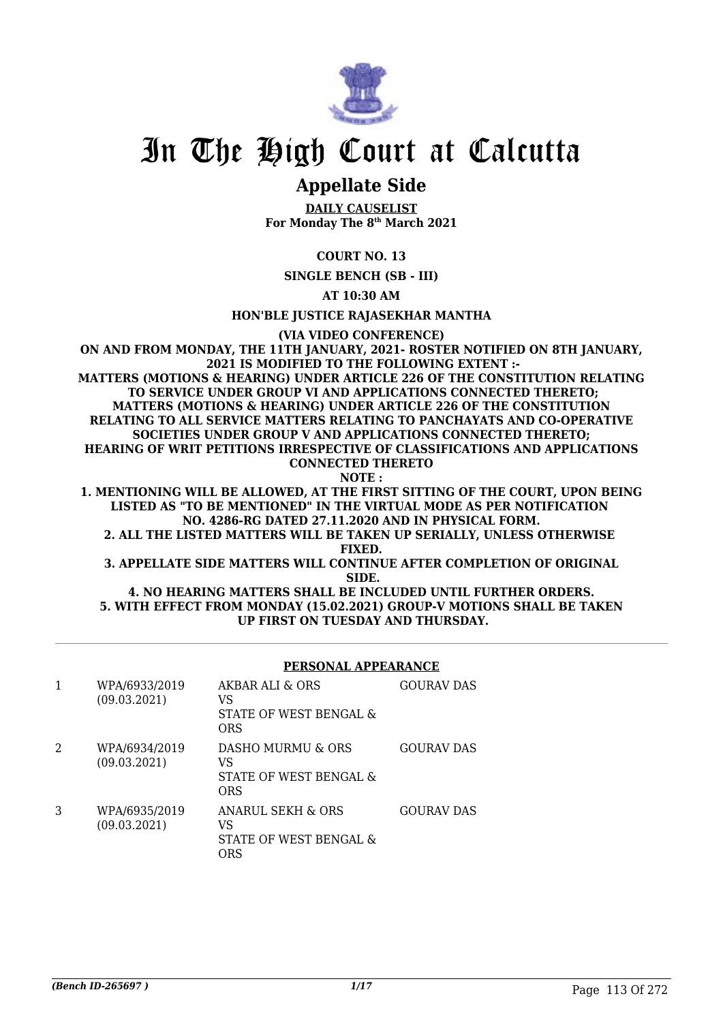

# In The High Court at Calcutta

## **Appellate Side**

**DAILY CAUSELIST For Monday The 8th March 2021**

### **COURT NO. 13**

**SINGLE BENCH (SB - III)**

**AT 10:30 AM**

**HON'BLE JUSTICE RAJASEKHAR MANTHA**

**(VIA VIDEO CONFERENCE)**

**ON AND FROM MONDAY, THE 11TH JANUARY, 2021- ROSTER NOTIFIED ON 8TH JANUARY, 2021 IS MODIFIED TO THE FOLLOWING EXTENT :- MATTERS (MOTIONS & HEARING) UNDER ARTICLE 226 OF THE CONSTITUTION RELATING TO SERVICE UNDER GROUP VI AND APPLICATIONS CONNECTED THERETO; MATTERS (MOTIONS & HEARING) UNDER ARTICLE 226 OF THE CONSTITUTION RELATING TO ALL SERVICE MATTERS RELATING TO PANCHAYATS AND CO-OPERATIVE SOCIETIES UNDER GROUP V AND APPLICATIONS CONNECTED THERETO; HEARING OF WRIT PETITIONS IRRESPECTIVE OF CLASSIFICATIONS AND APPLICATIONS CONNECTED THERETO NOTE :**

**1. MENTIONING WILL BE ALLOWED, AT THE FIRST SITTING OF THE COURT, UPON BEING LISTED AS "TO BE MENTIONED" IN THE VIRTUAL MODE AS PER NOTIFICATION NO. 4286-RG DATED 27.11.2020 AND IN PHYSICAL FORM.**

**2. ALL THE LISTED MATTERS WILL BE TAKEN UP SERIALLY, UNLESS OTHERWISE FIXED.**

**3. APPELLATE SIDE MATTERS WILL CONTINUE AFTER COMPLETION OF ORIGINAL SIDE.**

### **4. NO HEARING MATTERS SHALL BE INCLUDED UNTIL FURTHER ORDERS. 5. WITH EFFECT FROM MONDAY (15.02.2021) GROUP-V MOTIONS SHALL BE TAKEN UP FIRST ON TUESDAY AND THURSDAY.**

### **PERSONAL APPEARANCE**

| 1 | WPA/6933/2019<br>(09.03.2021) | AKBAR ALL & ORS<br>VS<br>STATE OF WEST BENGAL &<br>ORS          | <b>GOURAV DAS</b> |
|---|-------------------------------|-----------------------------------------------------------------|-------------------|
| 2 | WPA/6934/2019<br>(09.03.2021) | DASHO MURMU & ORS<br>VS<br>STATE OF WEST BENGAL &<br><b>ORS</b> | <b>GOURAV DAS</b> |
| 3 | WPA/6935/2019<br>(09.03.2021) | ANARUL SEKH & ORS<br>VS<br>STATE OF WEST BENGAL &<br>ORS        | GOURAV DAS        |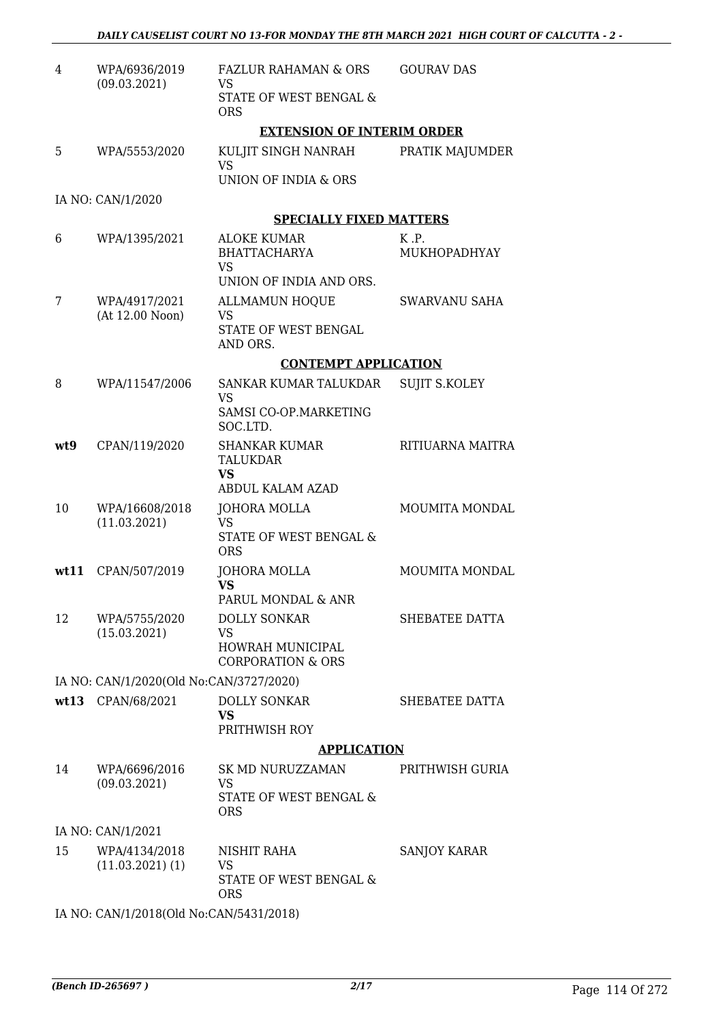| $\overline{4}$ | WPA/6936/2019<br>(09.03.2021)           | <b>FAZLUR RAHAMAN &amp; ORS</b><br>VS<br>STATE OF WEST BENGAL &       | <b>GOURAV DAS</b>                 |
|----------------|-----------------------------------------|-----------------------------------------------------------------------|-----------------------------------|
|                |                                         | <b>ORS</b><br><b>EXTENSION OF INTERIM ORDER</b>                       |                                   |
|                |                                         |                                                                       |                                   |
| 5              | WPA/5553/2020                           | KULJIT SINGH NANRAH<br><b>VS</b>                                      | PRATIK MAJUMDER                   |
|                |                                         | UNION OF INDIA & ORS                                                  |                                   |
|                | IA NO: CAN/1/2020                       |                                                                       |                                   |
|                |                                         | <b>SPECIALLY FIXED MATTERS</b>                                        |                                   |
| 6              | WPA/1395/2021                           | <b>ALOKE KUMAR</b><br><b>BHATTACHARYA</b><br><b>VS</b>                | $K$ $\cdot$ $P$ .<br>MUKHOPADHYAY |
|                |                                         | UNION OF INDIA AND ORS.                                               |                                   |
| 7              | WPA/4917/2021<br>(At 12.00 Noon)        | <b>ALLMAMUN HOQUE</b><br><b>VS</b>                                    | <b>SWARVANU SAHA</b>              |
|                |                                         | STATE OF WEST BENGAL<br>AND ORS.                                      |                                   |
|                |                                         | <b>CONTEMPT APPLICATION</b>                                           |                                   |
| 8              | WPA/11547/2006                          | SANKAR KUMAR TALUKDAR<br><b>VS</b>                                    | <b>SUJIT S.KOLEY</b>              |
|                |                                         | SAMSI CO-OP.MARKETING<br>SOC.LTD.                                     |                                   |
| wt9            | CPAN/119/2020                           | <b>SHANKAR KUMAR</b><br><b>TALUKDAR</b><br><b>VS</b>                  | RITIUARNA MAITRA                  |
|                |                                         | ABDUL KALAM AZAD                                                      |                                   |
| 10             | WPA/16608/2018<br>(11.03.2021)          | <b>JOHORA MOLLA</b><br><b>VS</b>                                      | MOUMITA MONDAL                    |
|                |                                         | STATE OF WEST BENGAL &<br><b>ORS</b>                                  |                                   |
| wt11           | CPAN/507/2019                           | <b>JOHORA MOLLA</b><br><b>VS</b>                                      | <b>MOUMITA MONDAL</b>             |
|                |                                         | PARUL MONDAL & ANR                                                    |                                   |
| 12             | WPA/5755/2020<br>(15.03.2021)           | <b>DOLLY SONKAR</b><br><b>VS</b>                                      | SHEBATEE DATTA                    |
|                |                                         | <b>HOWRAH MUNICIPAL</b><br><b>CORPORATION &amp; ORS</b>               |                                   |
|                | IA NO: CAN/1/2020(Old No:CAN/3727/2020) |                                                                       |                                   |
|                | wt13 CPAN/68/2021                       | <b>DOLLY SONKAR</b><br><b>VS</b>                                      | SHEBATEE DATTA                    |
|                |                                         | PRITHWISH ROY                                                         |                                   |
|                |                                         | <b>APPLICATION</b>                                                    |                                   |
| 14             | WPA/6696/2016<br>(09.03.2021)           | SK MD NURUZZAMAN<br><b>VS</b><br>STATE OF WEST BENGAL &<br><b>ORS</b> | PRITHWISH GURIA                   |
|                | IA NO: CAN/1/2021                       |                                                                       |                                   |
| 15             | WPA/4134/2018                           | NISHIT RAHA                                                           | <b>SANJOY KARAR</b>               |
|                | $(11.03.2021)$ $(1)$                    | <b>VS</b><br>STATE OF WEST BENGAL &<br><b>ORS</b>                     |                                   |
|                | IA NO: CAN/1/2018(Old No:CAN/5431/2018) |                                                                       |                                   |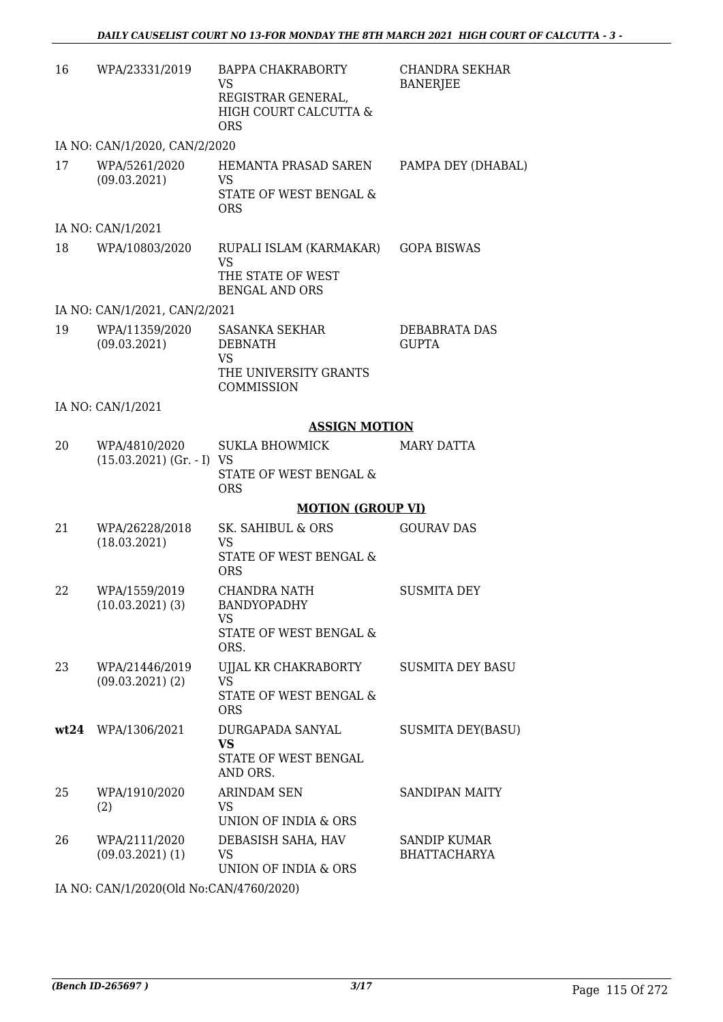| 16 | WPA/23331/2019                               | BAPPA CHAKRABORTY<br>VS<br>REGISTRAR GENERAL,<br>HIGH COURT CALCUTTA &<br><b>ORS</b> | <b>CHANDRA SEKHAR</b><br><b>BANERJEE</b>   |
|----|----------------------------------------------|--------------------------------------------------------------------------------------|--------------------------------------------|
|    | IA NO: CAN/1/2020, CAN/2/2020                |                                                                                      |                                            |
| 17 | WPA/5261/2020<br>(09.03.2021)                | HEMANTA PRASAD SAREN<br>VS<br>STATE OF WEST BENGAL &<br><b>ORS</b>                   | PAMPA DEY (DHABAL)                         |
|    | IA NO: CAN/1/2021                            |                                                                                      |                                            |
| 18 | WPA/10803/2020                               | RUPALI ISLAM (KARMAKAR)<br><b>VS</b><br>THE STATE OF WEST<br><b>BENGAL AND ORS</b>   | <b>GOPA BISWAS</b>                         |
|    | IA NO: CAN/1/2021, CAN/2/2021                |                                                                                      |                                            |
| 19 | WPA/11359/2020<br>(09.03.2021)               | <b>SASANKA SEKHAR</b><br><b>DEBNATH</b><br>VS<br>THE UNIVERSITY GRANTS<br>COMMISSION | DEBABRATA DAS<br><b>GUPTA</b>              |
|    | IA NO: CAN/1/2021                            |                                                                                      |                                            |
|    |                                              | <b>ASSIGN MOTION</b>                                                                 |                                            |
| 20 | WPA/4810/2020<br>$(15.03.2021)$ (Gr. - I) VS | <b>SUKLA BHOWMICK</b><br>STATE OF WEST BENGAL &<br><b>ORS</b>                        | <b>MARY DATTA</b>                          |
|    |                                              | <b>MOTION (GROUP VI)</b>                                                             |                                            |
| 21 | WPA/26228/2018<br>(18.03.2021)               | SK. SAHIBUL & ORS<br>VS<br>STATE OF WEST BENGAL &<br><b>ORS</b>                      | <b>GOURAV DAS</b>                          |
| 22 | WPA/1559/2019<br>$(10.03.2021)$ $(3)$        | <b>CHANDRA NATH</b><br>BANDYOPADHY<br>VS<br>STATE OF WEST BENGAL &<br>ORS.           | <b>SUSMITA DEY</b>                         |
| 23 | WPA/21446/2019<br>$(09.03.2021)$ $(2)$       | UJJAL KR CHAKRABORTY<br><b>VS</b><br>STATE OF WEST BENGAL &<br><b>ORS</b>            | <b>SUSMITA DEY BASU</b>                    |
|    | wt24 WPA/1306/2021                           | DURGAPADA SANYAL<br><b>VS</b><br>STATE OF WEST BENGAL<br>AND ORS.                    | <b>SUSMITA DEY(BASU)</b>                   |
| 25 | WPA/1910/2020<br>(2)                         | <b>ARINDAM SEN</b><br>VS.<br>UNION OF INDIA & ORS                                    | <b>SANDIPAN MAITY</b>                      |
| 26 | WPA/2111/2020<br>$(09.03.2021)$ (1)          | DEBASISH SAHA, HAV<br>VS<br>UNION OF INDIA & ORS                                     | <b>SANDIP KUMAR</b><br><b>BHATTACHARYA</b> |
|    | 0.000(01137)                                 | B000000                                                                              |                                            |

IA NO: CAN/1/2020(Old No:CAN/4760/2020)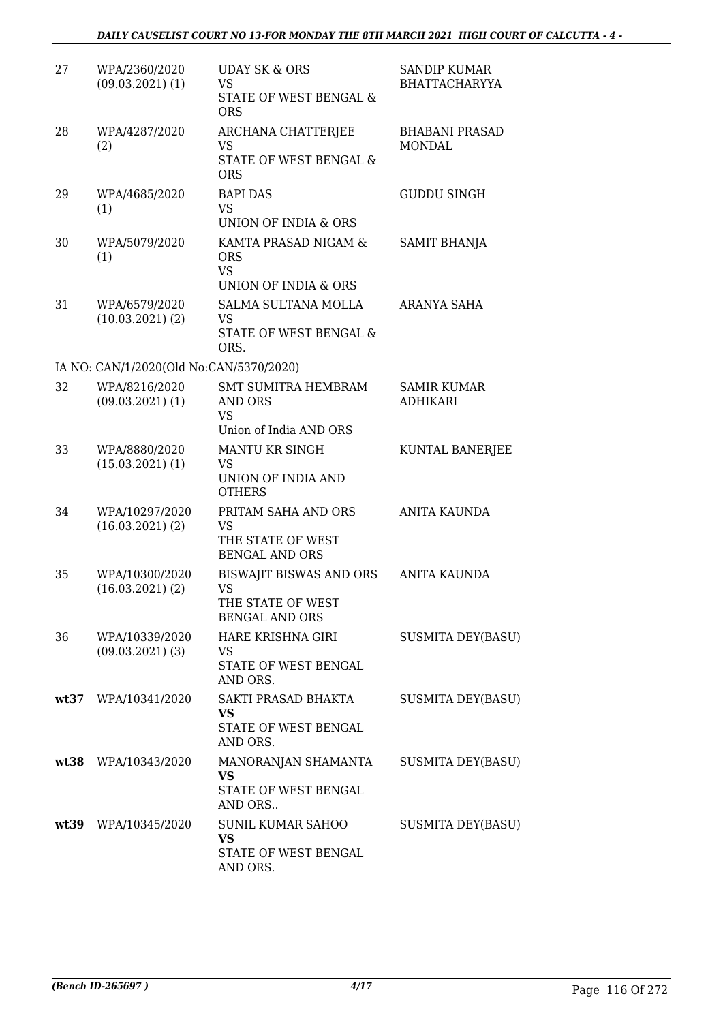| 27   | WPA/2360/2020<br>$(09.03.2021)$ $(1)$   | <b>UDAY SK &amp; ORS</b><br><b>VS</b><br>STATE OF WEST BENGAL &<br><b>ORS</b>             | <b>SANDIP KUMAR</b><br><b>BHATTACHARYYA</b> |
|------|-----------------------------------------|-------------------------------------------------------------------------------------------|---------------------------------------------|
| 28   | WPA/4287/2020<br>(2)                    | <b>ARCHANA CHATTERJEE</b><br><b>VS</b><br><b>STATE OF WEST BENGAL &amp;</b><br><b>ORS</b> | <b>BHABANI PRASAD</b><br><b>MONDAL</b>      |
| 29   | WPA/4685/2020<br>(1)                    | <b>BAPI DAS</b><br>VS<br>UNION OF INDIA & ORS                                             | <b>GUDDU SINGH</b>                          |
| 30   | WPA/5079/2020<br>(1)                    | KAMTA PRASAD NIGAM &<br><b>ORS</b><br><b>VS</b><br>UNION OF INDIA & ORS                   | SAMIT BHANJA                                |
| 31   | WPA/6579/2020<br>(10.03.2021)(2)        | <b>SALMA SULTANA MOLLA</b><br>VS<br>STATE OF WEST BENGAL &<br>ORS.                        | ARANYA SAHA                                 |
|      | IA NO: CAN/1/2020(Old No:CAN/5370/2020) |                                                                                           |                                             |
| 32   | WPA/8216/2020<br>$(09.03.2021)$ $(1)$   | <b>SMT SUMITRA HEMBRAM</b><br>AND ORS<br><b>VS</b><br>Union of India AND ORS              | <b>SAMIR KUMAR</b><br><b>ADHIKARI</b>       |
| 33   | WPA/8880/2020<br>$(15.03.2021)$ $(1)$   | <b>MANTU KR SINGH</b><br><b>VS</b><br>UNION OF INDIA AND<br><b>OTHERS</b>                 | KUNTAL BANERJEE                             |
| 34   | WPA/10297/2020<br>$(16.03.2021)$ $(2)$  | PRITAM SAHA AND ORS<br><b>VS</b><br>THE STATE OF WEST<br><b>BENGAL AND ORS</b>            | ANITA KAUNDA                                |
| 35   | WPA/10300/2020<br>(16.03.2021)(2)       | BISWAJIT BISWAS AND ORS<br>VS<br>THE STATE OF WEST<br><b>BENGAL AND ORS</b>               | ANITA KAUNDA                                |
| 36   | WPA/10339/2020<br>$(09.03.2021)$ (3)    | HARE KRISHNA GIRI<br>VS<br>STATE OF WEST BENGAL<br>AND ORS.                               | <b>SUSMITA DEY(BASU)</b>                    |
|      | wt37 WPA/10341/2020                     | SAKTI PRASAD BHAKTA<br><b>VS</b><br>STATE OF WEST BENGAL<br>AND ORS.                      | SUSMITA DEY(BASU)                           |
|      | wt38 WPA/10343/2020                     | MANORANJAN SHAMANTA<br><b>VS</b><br>STATE OF WEST BENGAL<br>AND ORS                       | <b>SUSMITA DEY(BASU)</b>                    |
| wt39 | WPA/10345/2020                          | <b>SUNIL KUMAR SAHOO</b><br><b>VS</b><br>STATE OF WEST BENGAL<br>AND ORS.                 | <b>SUSMITA DEY(BASU)</b>                    |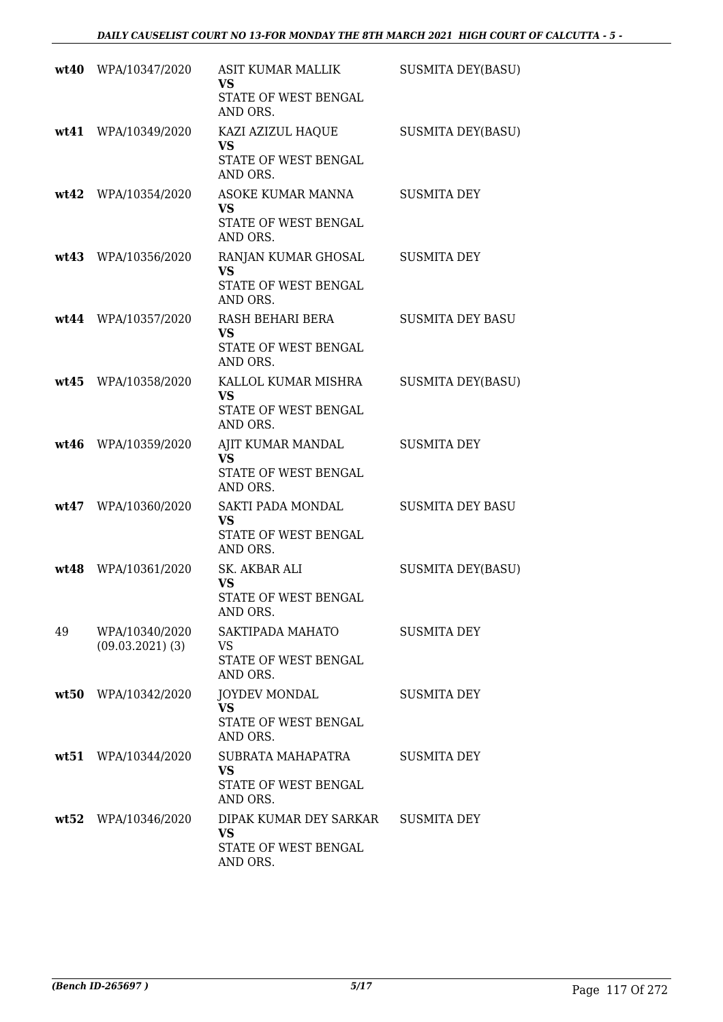|      | wt40 WPA/10347/2020                  | ASIT KUMAR MALLIK<br>VS<br>STATE OF WEST BENGAL<br>AND ORS.               | <b>SUSMITA DEY(BASU)</b> |
|------|--------------------------------------|---------------------------------------------------------------------------|--------------------------|
|      | wt41 WPA/10349/2020                  | KAZI AZIZUL HAQUE<br><b>VS</b><br>STATE OF WEST BENGAL<br>AND ORS.        | <b>SUSMITA DEY(BASU)</b> |
|      | wt42 WPA/10354/2020                  | <b>ASOKE KUMAR MANNA</b><br><b>VS</b><br>STATE OF WEST BENGAL<br>AND ORS. | <b>SUSMITA DEY</b>       |
|      | wt43 WPA/10356/2020                  | RANJAN KUMAR GHOSAL<br><b>VS</b><br>STATE OF WEST BENGAL<br>AND ORS.      | <b>SUSMITA DEY</b>       |
|      | wt44 WPA/10357/2020                  | RASH BEHARI BERA<br><b>VS</b><br>STATE OF WEST BENGAL<br>AND ORS.         | <b>SUSMITA DEY BASU</b>  |
| wt45 | WPA/10358/2020                       | KALLOL KUMAR MISHRA<br><b>VS</b><br>STATE OF WEST BENGAL<br>AND ORS.      | <b>SUSMITA DEY(BASU)</b> |
| wt46 | WPA/10359/2020                       | AJIT KUMAR MANDAL<br><b>VS</b><br>STATE OF WEST BENGAL<br>AND ORS.        | <b>SUSMITA DEY</b>       |
|      | wt47 WPA/10360/2020                  | SAKTI PADA MONDAL<br><b>VS</b><br>STATE OF WEST BENGAL<br>AND ORS.        | <b>SUSMITA DEY BASU</b>  |
| wt48 | WPA/10361/2020                       | SK. AKBAR ALI<br><b>VS</b><br>STATE OF WEST BENGAL<br>AND ORS.            | <b>SUSMITA DEY(BASU)</b> |
| 49   | WPA/10340/2020<br>$(09.03.2021)$ (3) | SAKTIPADA MAHATO<br>VS<br>STATE OF WEST BENGAL<br>AND ORS.                | <b>SUSMITA DEY</b>       |
|      | wt50 WPA/10342/2020                  | <b>JOYDEV MONDAL</b><br><b>VS</b><br>STATE OF WEST BENGAL<br>AND ORS.     | <b>SUSMITA DEY</b>       |
|      | wt51 WPA/10344/2020                  | SUBRATA MAHAPATRA<br><b>VS</b><br>STATE OF WEST BENGAL<br>AND ORS.        | SUSMITA DEY              |
|      | wt52 WPA/10346/2020                  | DIPAK KUMAR DEY SARKAR<br><b>VS</b><br>STATE OF WEST BENGAL<br>AND ORS.   | <b>SUSMITA DEY</b>       |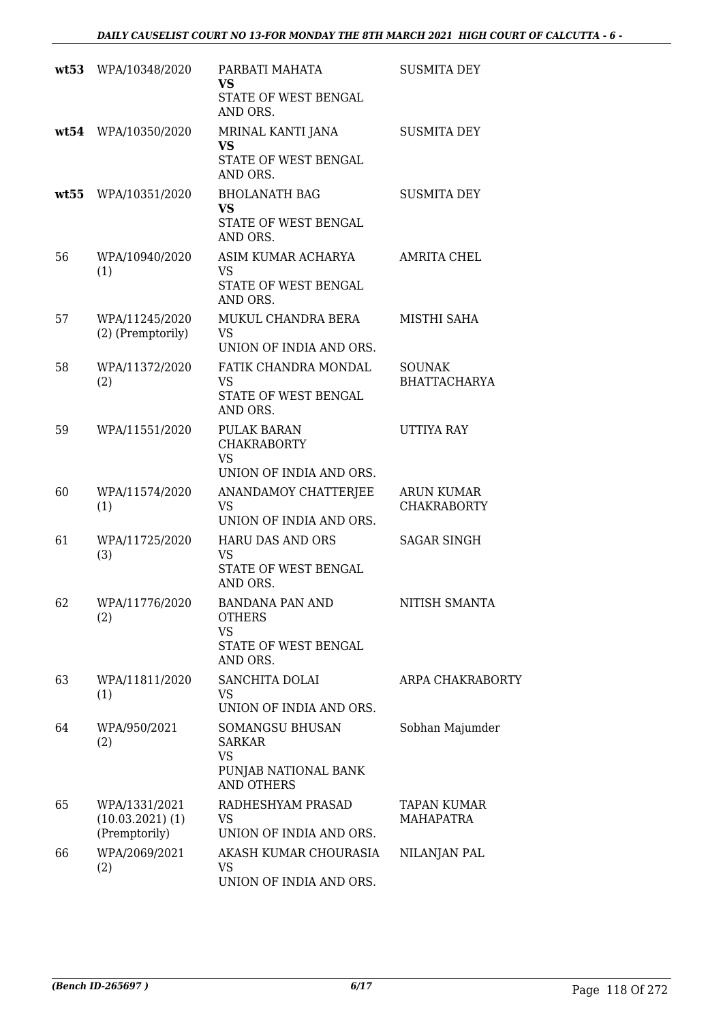|    | wt53 WPA/10348/2020                                    | PARBATI MAHATA<br><b>VS</b><br>STATE OF WEST BENGAL<br>AND ORS.                     | <b>SUSMITA DEY</b>                      |
|----|--------------------------------------------------------|-------------------------------------------------------------------------------------|-----------------------------------------|
|    | wt54 WPA/10350/2020                                    | MRINAL KANTI JANA<br><b>VS</b><br>STATE OF WEST BENGAL<br>AND ORS.                  | <b>SUSMITA DEY</b>                      |
|    | wt55 WPA/10351/2020                                    | <b>BHOLANATH BAG</b><br><b>VS</b><br>STATE OF WEST BENGAL<br>AND ORS.               | <b>SUSMITA DEY</b>                      |
| 56 | WPA/10940/2020<br>(1)                                  | ASIM KUMAR ACHARYA<br>VS<br>STATE OF WEST BENGAL<br>AND ORS.                        | AMRITA CHEL                             |
| 57 | WPA/11245/2020<br>(2) (Premptorily)                    | MUKUL CHANDRA BERA<br><b>VS</b><br>UNION OF INDIA AND ORS.                          | MISTHI SAHA                             |
| 58 | WPA/11372/2020<br>(2)                                  | FATIK CHANDRA MONDAL<br><b>VS</b><br>STATE OF WEST BENGAL<br>AND ORS.               | <b>SOUNAK</b><br><b>BHATTACHARYA</b>    |
| 59 | WPA/11551/2020                                         | <b>PULAK BARAN</b><br><b>CHAKRABORTY</b><br><b>VS</b><br>UNION OF INDIA AND ORS.    | <b>UTTIYA RAY</b>                       |
| 60 | WPA/11574/2020<br>(1)                                  | ANANDAMOY CHATTERJEE<br><b>VS</b><br>UNION OF INDIA AND ORS.                        | <b>ARUN KUMAR</b><br><b>CHAKRABORTY</b> |
| 61 | WPA/11725/2020<br>(3)                                  | <b>HARU DAS AND ORS</b><br>VS<br>STATE OF WEST BENGAL<br>AND ORS.                   | <b>SAGAR SINGH</b>                      |
| 62 | WPA/11776/2020<br>(2)                                  | <b>BANDANA PAN AND</b><br><b>OTHERS</b><br>VS<br>STATE OF WEST BENGAL<br>AND ORS.   | NITISH SMANTA                           |
| 63 | WPA/11811/2020<br>(1)                                  | SANCHITA DOLAI<br><b>VS</b><br>UNION OF INDIA AND ORS.                              | ARPA CHAKRABORTY                        |
| 64 | WPA/950/2021<br>(2)                                    | SOMANGSU BHUSAN<br><b>SARKAR</b><br>VS<br>PUNJAB NATIONAL BANK<br><b>AND OTHERS</b> | Sobhan Majumder                         |
| 65 | WPA/1331/2021<br>$(10.03.2021)$ $(1)$<br>(Premptorily) | RADHESHYAM PRASAD<br>VS.<br>UNION OF INDIA AND ORS.                                 | <b>TAPAN KUMAR</b><br>MAHAPATRA         |
| 66 | WPA/2069/2021<br>(2)                                   | AKASH KUMAR CHOURASIA<br><b>VS</b><br>UNION OF INDIA AND ORS.                       | NILANJAN PAL                            |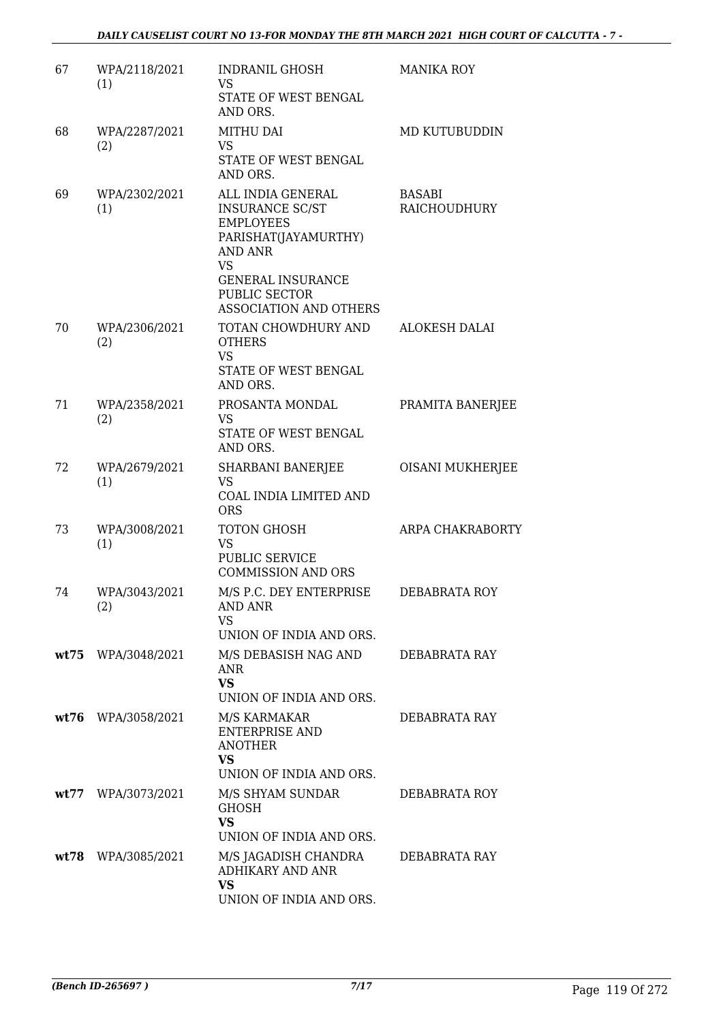| 67   | WPA/2118/2021<br>(1) | <b>INDRANIL GHOSH</b><br><b>VS</b>                                                                                                                                  | <b>MANIKA ROY</b>       |
|------|----------------------|---------------------------------------------------------------------------------------------------------------------------------------------------------------------|-------------------------|
|      |                      | STATE OF WEST BENGAL<br>AND ORS.                                                                                                                                    |                         |
| 68   | WPA/2287/2021<br>(2) | <b>MITHU DAI</b><br><b>VS</b><br>STATE OF WEST BENGAL<br>AND ORS.                                                                                                   | MD KUTUBUDDIN           |
| 69   | WPA/2302/2021<br>(1) | ALL INDIA GENERAL<br><b>INSURANCE SC/ST</b><br><b>EMPLOYEES</b><br>PARISHAT(JAYAMURTHY)<br><b>AND ANR</b><br><b>VS</b><br><b>GENERAL INSURANCE</b><br>PUBLIC SECTOR | BASABI<br>RAICHOUDHURY  |
| 70   | WPA/2306/2021<br>(2) | <b>ASSOCIATION AND OTHERS</b><br>TOTAN CHOWDHURY AND<br><b>OTHERS</b><br><b>VS</b><br>STATE OF WEST BENGAL                                                          | <b>ALOKESH DALAI</b>    |
|      |                      | AND ORS.                                                                                                                                                            |                         |
| 71   | WPA/2358/2021<br>(2) | PROSANTA MONDAL<br><b>VS</b><br>STATE OF WEST BENGAL<br>AND ORS.                                                                                                    | PRAMITA BANERJEE        |
| 72   | WPA/2679/2021<br>(1) | SHARBANI BANERJEE<br><b>VS</b><br>COAL INDIA LIMITED AND<br><b>ORS</b>                                                                                              | <b>OISANI MUKHERJEE</b> |
| 73   | WPA/3008/2021<br>(1) | TOTON GHOSH<br><b>VS</b><br>PUBLIC SERVICE<br><b>COMMISSION AND ORS</b>                                                                                             | ARPA CHAKRABORTY        |
| 74   | WPA/3043/2021<br>(2) | M/S P.C. DEY ENTERPRISE<br><b>AND ANR</b><br>VS<br>UNION OF INDIA AND ORS.                                                                                          | DEBABRATA ROY           |
|      | wt75 WPA/3048/2021   | M/S DEBASISH NAG AND<br><b>ANR</b><br><b>VS</b><br>UNION OF INDIA AND ORS.                                                                                          | DEBABRATA RAY           |
|      | wt76 WPA/3058/2021   | M/S KARMAKAR<br><b>ENTERPRISE AND</b><br><b>ANOTHER</b><br><b>VS</b><br>UNION OF INDIA AND ORS.                                                                     | DEBABRATA RAY           |
| wt77 | WPA/3073/2021        | M/S SHYAM SUNDAR<br><b>GHOSH</b><br><b>VS</b><br>UNION OF INDIA AND ORS.                                                                                            | DEBABRATA ROY           |
| wt78 | WPA/3085/2021        | M/S JAGADISH CHANDRA<br><b>ADHIKARY AND ANR</b><br><b>VS</b><br>UNION OF INDIA AND ORS.                                                                             | DEBABRATA RAY           |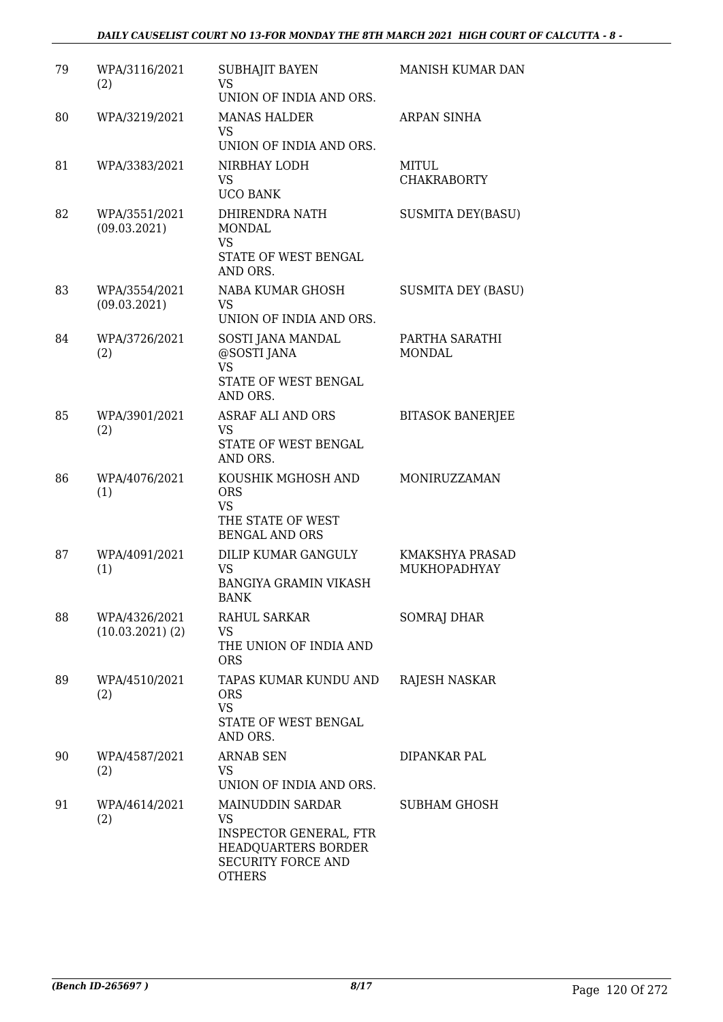| 79 | WPA/3116/2021<br>(2)             | SUBHAJIT BAYEN<br><b>VS</b><br>UNION OF INDIA AND ORS.                                                                       | MANISH KUMAR DAN                |
|----|----------------------------------|------------------------------------------------------------------------------------------------------------------------------|---------------------------------|
| 80 | WPA/3219/2021                    | <b>MANAS HALDER</b><br><b>VS</b><br>UNION OF INDIA AND ORS.                                                                  | ARPAN SINHA                     |
| 81 | WPA/3383/2021                    | NIRBHAY LODH<br><b>VS</b><br><b>UCO BANK</b>                                                                                 | MITUL<br><b>CHAKRABORTY</b>     |
| 82 | WPA/3551/2021<br>(09.03.2021)    | DHIRENDRA NATH<br><b>MONDAL</b><br><b>VS</b>                                                                                 | <b>SUSMITA DEY(BASU)</b>        |
|    |                                  | STATE OF WEST BENGAL<br>AND ORS.                                                                                             |                                 |
| 83 | WPA/3554/2021<br>(09.03.2021)    | NABA KUMAR GHOSH<br>VS<br>UNION OF INDIA AND ORS.                                                                            | <b>SUSMITA DEY (BASU)</b>       |
| 84 | WPA/3726/2021<br>(2)             | SOSTI JANA MANDAL<br>@SOSTI JANA<br><b>VS</b><br>STATE OF WEST BENGAL<br>AND ORS.                                            | PARTHA SARATHI<br><b>MONDAL</b> |
| 85 | WPA/3901/2021<br>(2)             | ASRAF ALI AND ORS<br><b>VS</b><br>STATE OF WEST BENGAL<br>AND ORS.                                                           | <b>BITASOK BANERJEE</b>         |
| 86 | WPA/4076/2021<br>(1)             | KOUSHIK MGHOSH AND<br><b>ORS</b><br><b>VS</b><br>THE STATE OF WEST<br><b>BENGAL AND ORS</b>                                  | MONIRUZZAMAN                    |
| 87 | WPA/4091/2021<br>(1)             | DILIP KUMAR GANGULY<br><b>VS</b><br><b>BANGIYA GRAMIN VIKASH</b><br>BANK                                                     | KMAKSHYA PRASAD<br>MUKHOPADHYAY |
| 88 | WPA/4326/2021<br>(10.03.2021)(2) | RAHUL SARKAR<br>VS<br>THE UNION OF INDIA AND<br><b>ORS</b>                                                                   | <b>SOMRAJ DHAR</b>              |
| 89 | WPA/4510/2021<br>(2)             | TAPAS KUMAR KUNDU AND<br><b>ORS</b><br><b>VS</b><br>STATE OF WEST BENGAL                                                     | RAJESH NASKAR                   |
| 90 | WPA/4587/2021<br>(2)             | AND ORS.<br><b>ARNAB SEN</b><br>VS.<br>UNION OF INDIA AND ORS.                                                               | DIPANKAR PAL                    |
| 91 | WPA/4614/2021<br>(2)             | MAINUDDIN SARDAR<br>VS<br><b>INSPECTOR GENERAL, FTR</b><br>HEADQUARTERS BORDER<br><b>SECURITY FORCE AND</b><br><b>OTHERS</b> | <b>SUBHAM GHOSH</b>             |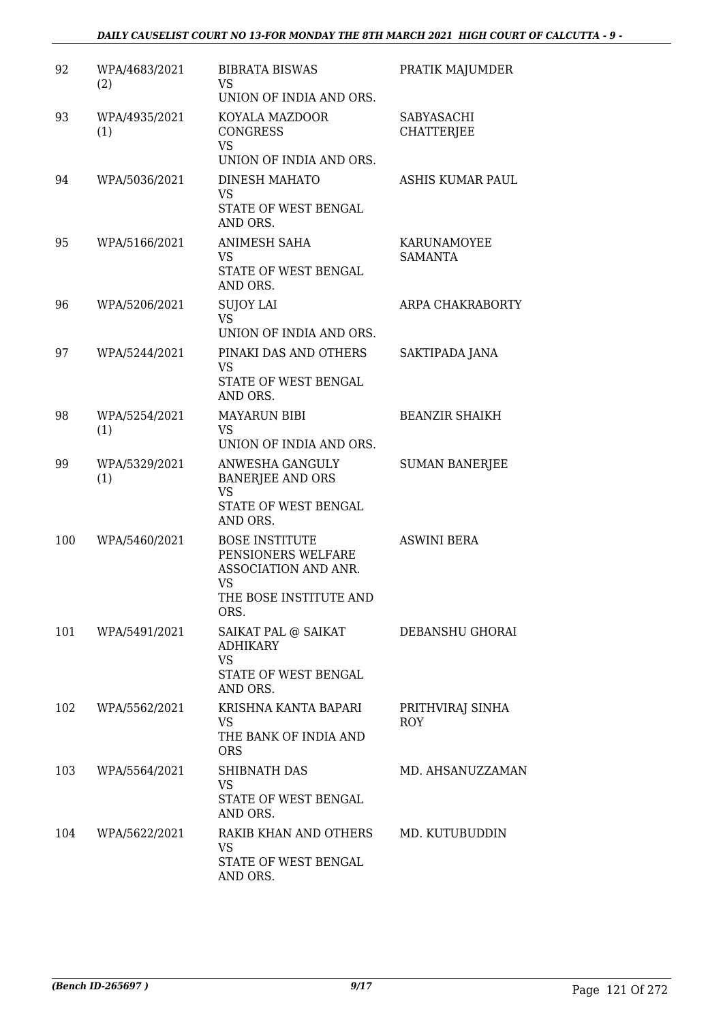| 92  | WPA/4683/2021<br>(2) | <b>BIBRATA BISWAS</b><br>VS.<br>UNION OF INDIA AND ORS.                                                            | PRATIK MAJUMDER                 |
|-----|----------------------|--------------------------------------------------------------------------------------------------------------------|---------------------------------|
| 93  | WPA/4935/2021<br>(1) | KOYALA MAZDOOR<br><b>CONGRESS</b><br><b>VS</b><br>UNION OF INDIA AND ORS.                                          | SABYASACHI<br><b>CHATTERJEE</b> |
| 94  | WPA/5036/2021        | DINESH MAHATO<br><b>VS</b><br>STATE OF WEST BENGAL<br>AND ORS.                                                     | ASHIS KUMAR PAUL                |
| 95  | WPA/5166/2021        | <b>ANIMESH SAHA</b><br><b>VS</b><br>STATE OF WEST BENGAL<br>AND ORS.                                               | KARUNAMOYEE<br>SAMANTA          |
| 96  | WPA/5206/2021        | <b>SUJOY LAI</b><br>VS.<br>UNION OF INDIA AND ORS.                                                                 | ARPA CHAKRABORTY                |
| 97  | WPA/5244/2021        | PINAKI DAS AND OTHERS<br><b>VS</b><br>STATE OF WEST BENGAL<br>AND ORS.                                             | SAKTIPADA JANA                  |
| 98  | WPA/5254/2021<br>(1) | <b>MAYARUN BIBI</b><br><b>VS</b><br>UNION OF INDIA AND ORS.                                                        | <b>BEANZIR SHAIKH</b>           |
| 99  | WPA/5329/2021<br>(1) | ANWESHA GANGULY<br>BANERJEE AND ORS<br><b>VS</b><br>STATE OF WEST BENGAL<br>AND ORS.                               | <b>SUMAN BANERJEE</b>           |
| 100 | WPA/5460/2021        | <b>BOSE INSTITUTE</b><br>PENSIONERS WELFARE<br>ASSOCIATION AND ANR.<br><b>VS</b><br>THE BOSE INSTITUTE AND<br>ORS. | <b>ASWINI BERA</b>              |
| 101 | WPA/5491/2021        | SAIKAT PAL @ SAIKAT<br><b>ADHIKARY</b><br><b>VS</b><br>STATE OF WEST BENGAL<br>AND ORS.                            | DEBANSHU GHORAI                 |
| 102 | WPA/5562/2021        | KRISHNA KANTA BAPARI<br><b>VS</b><br>THE BANK OF INDIA AND<br><b>ORS</b>                                           | PRITHVIRAJ SINHA<br><b>ROY</b>  |
| 103 | WPA/5564/2021        | SHIBNATH DAS<br><b>VS</b><br>STATE OF WEST BENGAL<br>AND ORS.                                                      | MD. AHSANUZZAMAN                |
| 104 | WPA/5622/2021        | RAKIB KHAN AND OTHERS<br>VS<br>STATE OF WEST BENGAL<br>AND ORS.                                                    | MD. KUTUBUDDIN                  |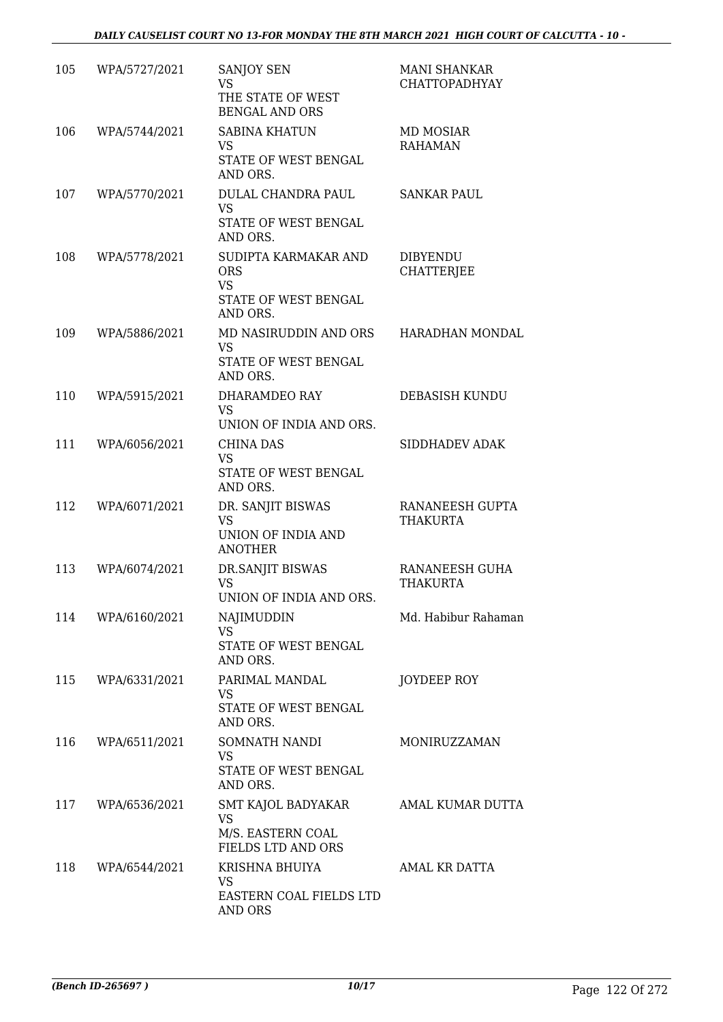| 105 | WPA/5727/2021     | SANJOY SEN<br>VS.<br>THE STATE OF WEST<br><b>BENGAL AND ORS</b>                     | <b>MANI SHANKAR</b><br><b>CHATTOPADHYAY</b> |
|-----|-------------------|-------------------------------------------------------------------------------------|---------------------------------------------|
| 106 | WPA/5744/2021     | <b>SABINA KHATUN</b><br><b>VS</b><br>STATE OF WEST BENGAL<br>AND ORS.               | MD MOSIAR<br><b>RAHAMAN</b>                 |
| 107 | WPA/5770/2021     | DULAL CHANDRA PAUL<br>VS.<br>STATE OF WEST BENGAL<br>AND ORS.                       | <b>SANKAR PAUL</b>                          |
| 108 | WPA/5778/2021     | SUDIPTA KARMAKAR AND<br><b>ORS</b><br><b>VS</b><br>STATE OF WEST BENGAL<br>AND ORS. | <b>DIBYENDU</b><br><b>CHATTERJEE</b>        |
| 109 | WPA/5886/2021     | MD NASIRUDDIN AND ORS<br><b>VS</b><br>STATE OF WEST BENGAL<br>AND ORS.              | HARADHAN MONDAL                             |
| 110 | WPA/5915/2021     | DHARAMDEO RAY<br><b>VS</b><br>UNION OF INDIA AND ORS.                               | DEBASISH KUNDU                              |
| 111 | WPA/6056/2021     | <b>CHINA DAS</b><br><b>VS</b><br>STATE OF WEST BENGAL<br>AND ORS.                   | SIDDHADEV ADAK                              |
| 112 | WPA/6071/2021     | DR. SANJIT BISWAS<br><b>VS</b><br>UNION OF INDIA AND<br><b>ANOTHER</b>              | RANANEESH GUPTA<br><b>THAKURTA</b>          |
| 113 | WPA/6074/2021     | DR.SANJIT BISWAS<br><b>VS</b><br>UNION OF INDIA AND ORS.                            | RANANEESH GUHA<br>THAKURTA                  |
|     | 114 WPA/6160/2021 | NAJIMUDDIN<br><b>VS</b><br>STATE OF WEST BENGAL<br>AND ORS.                         | Md. Habibur Rahaman                         |
|     | 115 WPA/6331/2021 | PARIMAL MANDAL<br><b>VS</b><br>STATE OF WEST BENGAL<br>AND ORS.                     | JOYDEEP ROY                                 |
| 116 | WPA/6511/2021     | SOMNATH NANDI<br>VS<br>STATE OF WEST BENGAL<br>AND ORS.                             | MONIRUZZAMAN                                |
|     | 117 WPA/6536/2021 | SMT KAJOL BADYAKAR<br>VS<br>M/S. EASTERN COAL<br>FIELDS LTD AND ORS                 | AMAL KUMAR DUTTA                            |
| 118 | WPA/6544/2021     | KRISHNA BHUIYA<br>VS<br>EASTERN COAL FIELDS LTD<br>AND ORS                          | AMAL KR DATTA                               |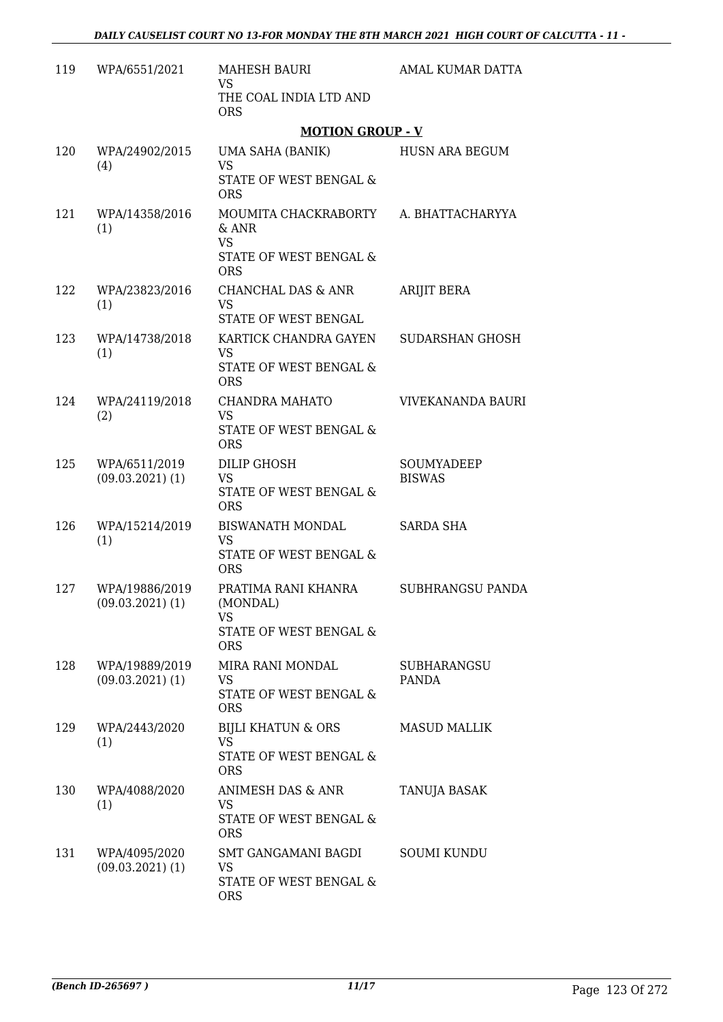| 119 | WPA/6551/2021                          | <b>MAHESH BAURI</b><br><b>VS</b>                                                                                    | AMAL KUMAR DATTA                   |
|-----|----------------------------------------|---------------------------------------------------------------------------------------------------------------------|------------------------------------|
|     |                                        | THE COAL INDIA LTD AND<br><b>ORS</b>                                                                                |                                    |
|     |                                        | <b>MOTION GROUP - V</b>                                                                                             |                                    |
| 120 | WPA/24902/2015<br>(4)                  | UMA SAHA (BANIK)<br><b>VS</b><br>STATE OF WEST BENGAL &                                                             | HUSN ARA BEGUM                     |
| 121 | WPA/14358/2016<br>(1)                  | <b>ORS</b><br>MOUMITA CHACKRABORTY A. BHATTACHARYYA<br>$&$ ANR<br><b>VS</b><br>STATE OF WEST BENGAL &<br><b>ORS</b> |                                    |
| 122 | WPA/23823/2016<br>(1)                  | CHANCHAL DAS & ANR<br><b>VS</b><br>STATE OF WEST BENGAL                                                             | ARIJIT BERA                        |
| 123 | WPA/14738/2018<br>(1)                  | KARTICK CHANDRA GAYEN<br><b>VS</b><br>STATE OF WEST BENGAL &<br><b>ORS</b>                                          | SUDARSHAN GHOSH                    |
| 124 | WPA/24119/2018<br>(2)                  | CHANDRA MAHATO<br><b>VS</b><br>STATE OF WEST BENGAL &<br><b>ORS</b>                                                 | VIVEKANANDA BAURI                  |
| 125 | WPA/6511/2019<br>$(09.03.2021)$ (1)    | <b>DILIP GHOSH</b><br><b>VS</b><br>STATE OF WEST BENGAL &<br><b>ORS</b>                                             | SOUMYADEEP<br><b>BISWAS</b>        |
| 126 | WPA/15214/2019<br>(1)                  | <b>BISWANATH MONDAL</b><br><b>VS</b><br>STATE OF WEST BENGAL &<br><b>ORS</b>                                        | <b>SARDA SHA</b>                   |
| 127 | WPA/19886/2019<br>$(09.03.2021)$ (1)   | PRATIMA RANI KHANRA<br>(MONDAL)<br>VS<br>STATE OF WEST BENGAL &<br><b>ORS</b>                                       | <b>SUBHRANGSU PANDA</b>            |
| 128 | WPA/19889/2019<br>$(09.03.2021)$ $(1)$ | <b>MIRA RANI MONDAL</b><br>VS<br>STATE OF WEST BENGAL &<br><b>ORS</b>                                               | <b>SUBHARANGSU</b><br><b>PANDA</b> |
| 129 | WPA/2443/2020<br>(1)                   | <b>BIJLI KHATUN &amp; ORS</b><br><b>VS</b><br>STATE OF WEST BENGAL &<br><b>ORS</b>                                  | <b>MASUD MALLIK</b>                |
| 130 | WPA/4088/2020<br>(1)                   | ANIMESH DAS & ANR<br>VS.<br>STATE OF WEST BENGAL &<br><b>ORS</b>                                                    | TANUJA BASAK                       |
| 131 | WPA/4095/2020<br>$(09.03.2021)$ (1)    | SMT GANGAMANI BAGDI<br><b>VS</b><br>STATE OF WEST BENGAL &<br><b>ORS</b>                                            | <b>SOUMI KUNDU</b>                 |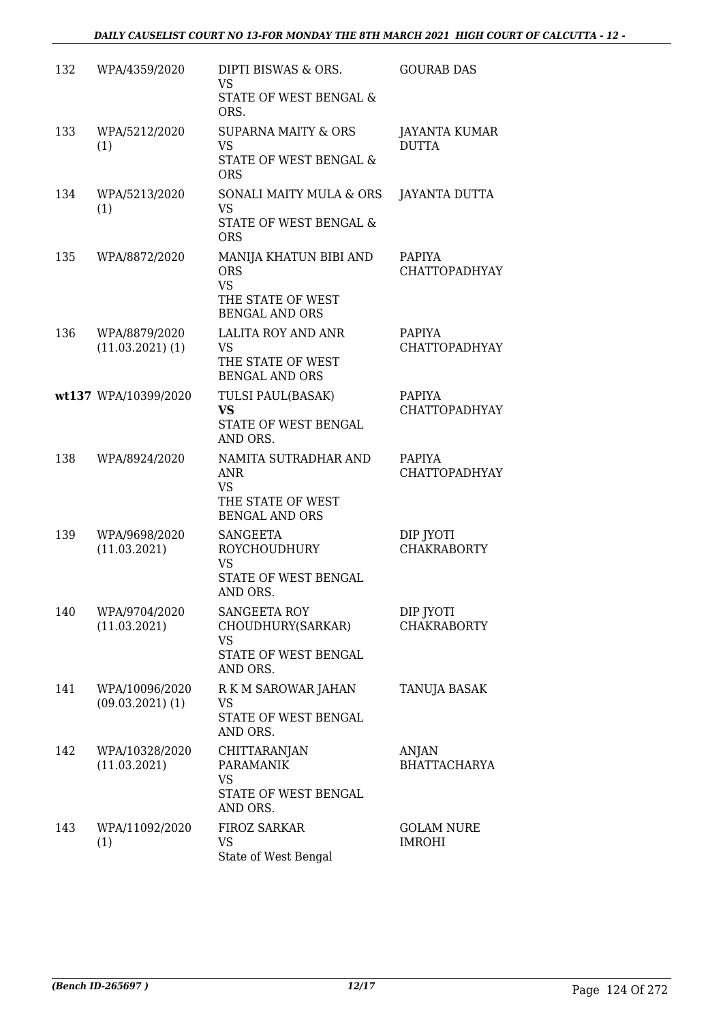| 132 | WPA/4359/2020                          | DIPTI BISWAS & ORS.<br>VS.<br>STATE OF WEST BENGAL &<br>ORS.                                    | <b>GOURAB DAS</b>                     |
|-----|----------------------------------------|-------------------------------------------------------------------------------------------------|---------------------------------------|
| 133 | WPA/5212/2020<br>(1)                   | <b>SUPARNA MAITY &amp; ORS</b><br><b>VS</b><br>STATE OF WEST BENGAL &<br><b>ORS</b>             | <b>JAYANTA KUMAR</b><br><b>DUTTA</b>  |
| 134 | WPA/5213/2020<br>(1)                   | SONALI MAITY MULA & ORS<br><b>VS</b><br>STATE OF WEST BENGAL &<br><b>ORS</b>                    | JAYANTA DUTTA                         |
| 135 | WPA/8872/2020                          | MANIJA KHATUN BIBI AND<br><b>ORS</b><br><b>VS</b><br>THE STATE OF WEST<br><b>BENGAL AND ORS</b> | PAPIYA<br><b>CHATTOPADHYAY</b>        |
| 136 | WPA/8879/2020<br>$(11.03.2021)$ $(1)$  | <b>LALITA ROY AND ANR</b><br><b>VS</b><br>THE STATE OF WEST<br><b>BENGAL AND ORS</b>            | <b>PAPIYA</b><br><b>CHATTOPADHYAY</b> |
|     | wt137 WPA/10399/2020                   | TULSI PAUL(BASAK)<br><b>VS</b><br>STATE OF WEST BENGAL<br>AND ORS.                              | PAPIYA<br><b>CHATTOPADHYAY</b>        |
| 138 | WPA/8924/2020                          | NAMITA SUTRADHAR AND<br>ANR<br><b>VS</b><br>THE STATE OF WEST<br><b>BENGAL AND ORS</b>          | PAPIYA<br><b>CHATTOPADHYAY</b>        |
| 139 | WPA/9698/2020<br>(11.03.2021)          | <b>SANGEETA</b><br><b>ROYCHOUDHURY</b><br><b>VS</b><br>STATE OF WEST BENGAL<br>AND ORS.         | DIP JYOTI<br><b>CHAKRABORTY</b>       |
| 140 | WPA/9704/2020<br>(11.03.2021)          | <b>SANGEETA ROY</b><br>CHOUDHURY(SARKAR)<br>VS<br>STATE OF WEST BENGAL<br>AND ORS.              | DIP JYOTI<br><b>CHAKRABORTY</b>       |
| 141 | WPA/10096/2020<br>$(09.03.2021)$ $(1)$ | R K M SAROWAR JAHAN<br>VS<br>STATE OF WEST BENGAL<br>AND ORS.                                   | TANUJA BASAK                          |
| 142 | WPA/10328/2020<br>(11.03.2021)         | CHITTARANJAN<br><b>PARAMANIK</b><br><b>VS</b><br>STATE OF WEST BENGAL<br>AND ORS.               | ANJAN<br><b>BHATTACHARYA</b>          |
| 143 | WPA/11092/2020<br>(1)                  | <b>FIROZ SARKAR</b><br><b>VS</b><br>State of West Bengal                                        | <b>GOLAM NURE</b><br><b>IMROHI</b>    |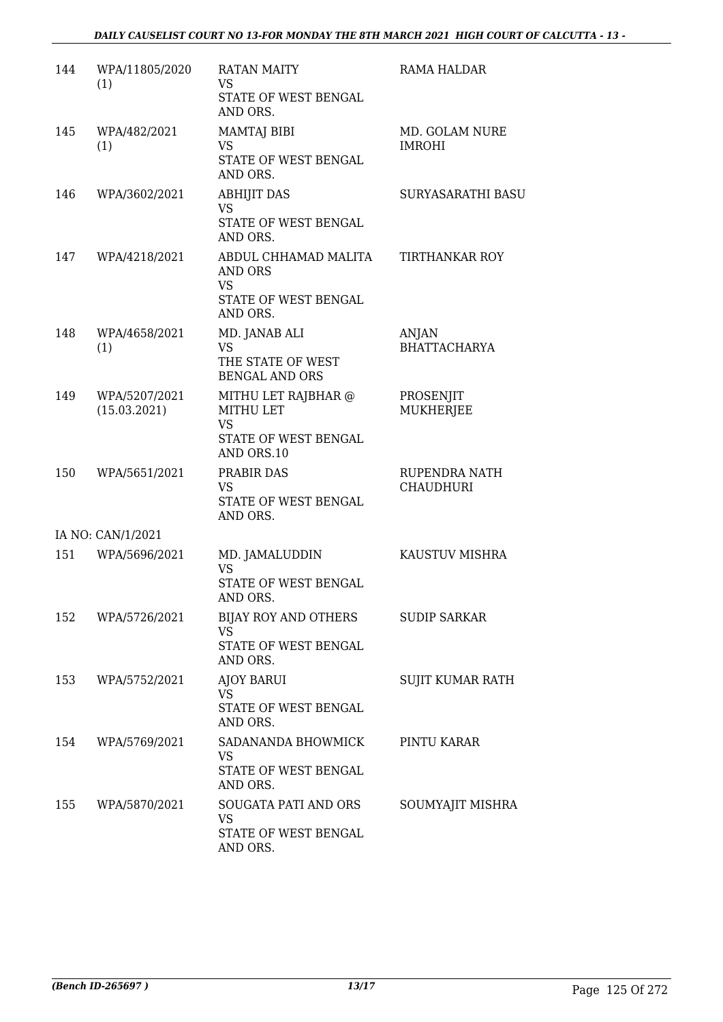| 144 | WPA/11805/2020<br>(1)         | <b>RATAN MAITY</b><br><b>VS</b><br>STATE OF WEST BENGAL<br>AND ORS.              | RAMA HALDAR                       |
|-----|-------------------------------|----------------------------------------------------------------------------------|-----------------------------------|
| 145 | WPA/482/2021<br>(1)           | <b>MAMTAJ BIBI</b><br>VS<br>STATE OF WEST BENGAL<br>AND ORS.                     | MD. GOLAM NURE<br><b>IMROHI</b>   |
| 146 | WPA/3602/2021                 | <b>ABHIJIT DAS</b><br><b>VS</b><br>STATE OF WEST BENGAL<br>AND ORS.              | SURYASARATHI BASU                 |
| 147 | WPA/4218/2021                 | ABDUL CHHAMAD MALITA<br>AND ORS<br><b>VS</b><br>STATE OF WEST BENGAL<br>AND ORS. | <b>TIRTHANKAR ROY</b>             |
| 148 | WPA/4658/2021<br>(1)          | MD. JANAB ALI<br><b>VS</b><br>THE STATE OF WEST<br><b>BENGAL AND ORS</b>         | ANJAN<br><b>BHATTACHARYA</b>      |
| 149 | WPA/5207/2021<br>(15.03.2021) | MITHU LET RAJBHAR @<br>MITHU LET<br>VS<br>STATE OF WEST BENGAL<br>AND ORS.10     | PROSENJIT<br>MUKHERJEE            |
| 150 | WPA/5651/2021                 | PRABIR DAS<br>VS.<br>STATE OF WEST BENGAL<br>AND ORS.                            | RUPENDRA NATH<br><b>CHAUDHURI</b> |
|     | IA NO: CAN/1/2021             |                                                                                  |                                   |
| 151 | WPA/5696/2021                 | MD. JAMALUDDIN<br><b>VS</b><br>STATE OF WEST BENGAL<br>AND ORS.                  | KAUSTUV MISHRA                    |
| 152 | WPA/5726/2021                 | BIJAY ROY AND OTHERS<br>VS<br>STATE OF WEST BENGAL<br>AND ORS.                   | <b>SUDIP SARKAR</b>               |
| 153 | WPA/5752/2021                 | AJOY BARUI<br><b>VS</b><br>STATE OF WEST BENGAL<br>AND ORS.                      | SUJIT KUMAR RATH                  |
| 154 | WPA/5769/2021                 | SADANANDA BHOWMICK<br><b>VS</b><br>STATE OF WEST BENGAL<br>AND ORS.              | PINTU KARAR                       |
| 155 | WPA/5870/2021                 | SOUGATA PATI AND ORS<br><b>VS</b><br>STATE OF WEST BENGAL<br>AND ORS.            | SOUMYAJIT MISHRA                  |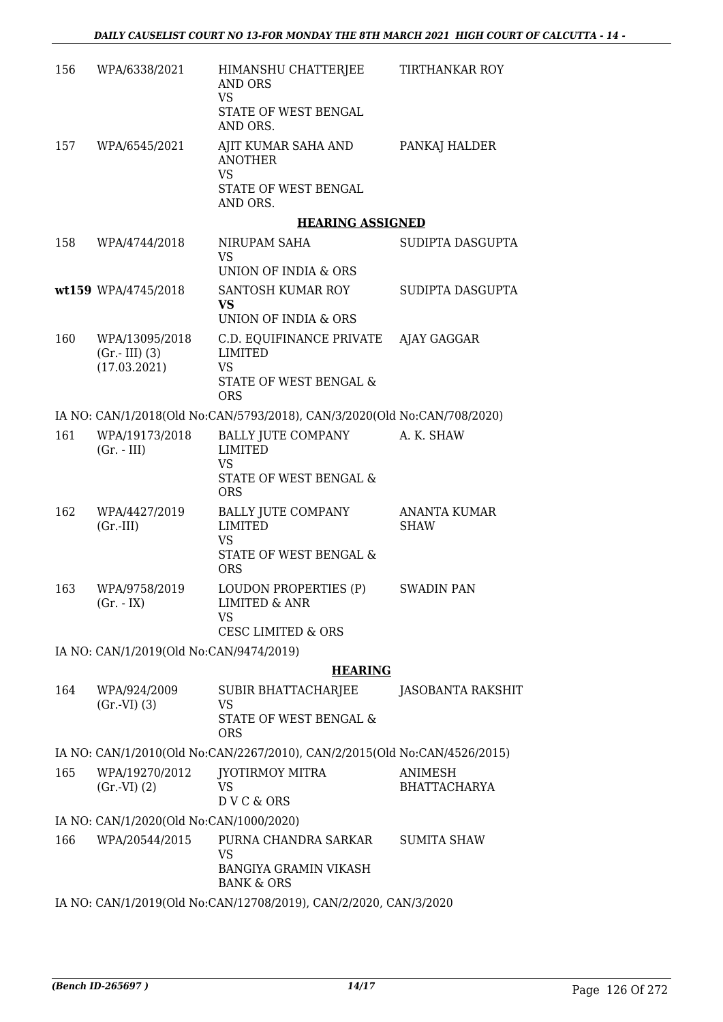| 156 | WPA/6338/2021                                     | HIMANSHU CHATTERJEE<br>AND ORS<br><b>VS</b><br>STATE OF WEST BENGAL<br>AND ORS.                                 | <b>TIRTHANKAR ROY</b>              |
|-----|---------------------------------------------------|-----------------------------------------------------------------------------------------------------------------|------------------------------------|
| 157 | WPA/6545/2021                                     | AJIT KUMAR SAHA AND<br><b>ANOTHER</b><br>VS<br>STATE OF WEST BENGAL<br>AND ORS.                                 | PANKAJ HALDER                      |
|     |                                                   | <b>HEARING ASSIGNED</b>                                                                                         |                                    |
| 158 | WPA/4744/2018                                     | NIRUPAM SAHA<br>VS<br>UNION OF INDIA & ORS                                                                      | SUDIPTA DASGUPTA                   |
|     | wt159 WPA/4745/2018                               | SANTOSH KUMAR ROY<br><b>VS</b><br>UNION OF INDIA & ORS                                                          | SUDIPTA DASGUPTA                   |
| 160 | WPA/13095/2018<br>$(Gr.-III)$ (3)<br>(17.03.2021) | C.D. EQUIFINANCE PRIVATE AJAY GAGGAR<br><b>LIMITED</b><br>VS<br><b>STATE OF WEST BENGAL &amp;</b><br><b>ORS</b> |                                    |
|     |                                                   | IA NO: CAN/1/2018(Old No:CAN/5793/2018), CAN/3/2020(Old No:CAN/708/2020)                                        |                                    |
| 161 | WPA/19173/2018<br>$(Gr. - III)$                   | BALLY JUTE COMPANY<br>LIMITED<br>VS<br>STATE OF WEST BENGAL &<br><b>ORS</b>                                     | A. K. SHAW                         |
| 162 | WPA/4427/2019<br>$(Gr.-III)$                      | BALLY JUTE COMPANY<br><b>LIMITED</b><br>VS<br>STATE OF WEST BENGAL &<br><b>ORS</b>                              | <b>ANANTA KUMAR</b><br><b>SHAW</b> |
| 163 | WPA/9758/2019<br>$(Gr. - IX)$                     | LOUDON PROPERTIES (P)<br><b>LIMITED &amp; ANR</b><br>VS<br><b>CESC LIMITED &amp; ORS</b>                        | <b>SWADIN PAN</b>                  |
|     | IA NO: CAN/1/2019(Old No:CAN/9474/2019)           |                                                                                                                 |                                    |
|     |                                                   | <b>HEARING</b>                                                                                                  |                                    |
| 164 | WPA/924/2009<br>(Gr.VI) (3)                       | <b>SUBIR BHATTACHARJEE</b><br>VS<br>STATE OF WEST BENGAL &<br><b>ORS</b>                                        | <b>JASOBANTA RAKSHIT</b>           |
|     |                                                   | IA NO: CAN/1/2010(Old No:CAN/2267/2010), CAN/2/2015(Old No:CAN/4526/2015)                                       |                                    |
| 165 | WPA/19270/2012<br>(Gr.VI) (2)                     | JYOTIRMOY MITRA<br>VS<br>DVC&ORS                                                                                | ANIMESH<br><b>BHATTACHARYA</b>     |
|     | IA NO: CAN/1/2020(Old No:CAN/1000/2020)           |                                                                                                                 |                                    |
| 166 | WPA/20544/2015                                    | PURNA CHANDRA SARKAR<br><b>VS</b><br><b>BANGIYA GRAMIN VIKASH</b><br><b>BANK &amp; ORS</b>                      | <b>SUMITA SHAW</b>                 |
|     |                                                   | IA NO: CAN/1/2019(Old No:CAN/12708/2019), CAN/2/2020, CAN/3/2020                                                |                                    |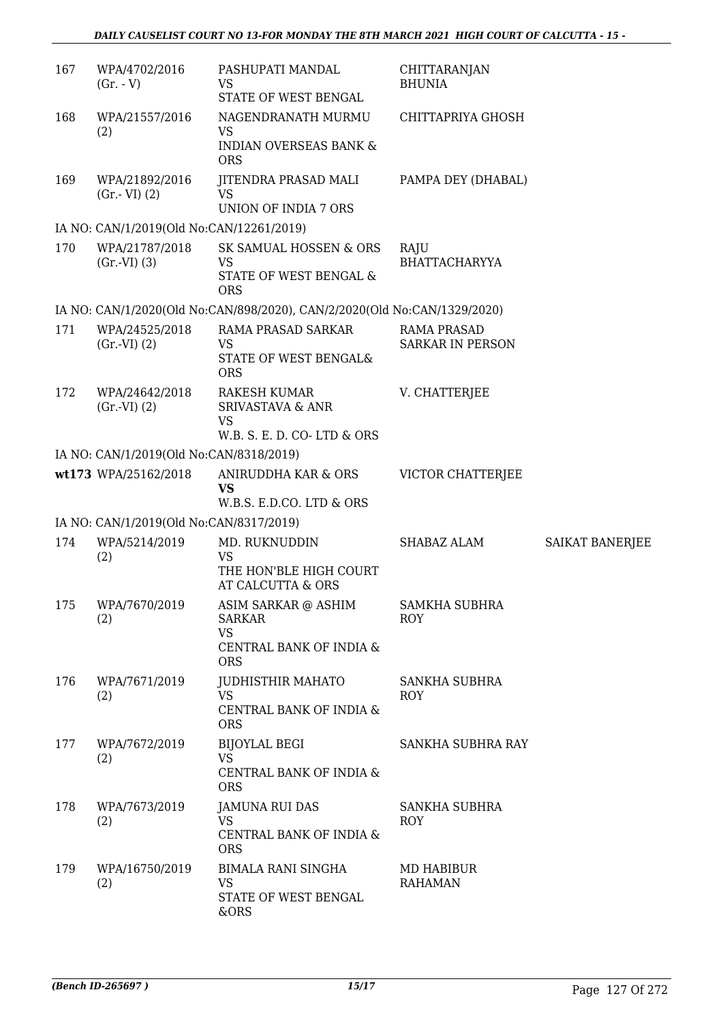| 167 | WPA/4702/2016<br>$(Gr. - V)$             | PASHUPATI MANDAL<br>VS<br>STATE OF WEST BENGAL                                                | CHITTARANJAN<br><b>BHUNIA</b>                 |                 |
|-----|------------------------------------------|-----------------------------------------------------------------------------------------------|-----------------------------------------------|-----------------|
| 168 | WPA/21557/2016<br>(2)                    | NAGENDRANATH MURMU<br>VS<br><b>INDIAN OVERSEAS BANK &amp;</b><br><b>ORS</b>                   | CHITTAPRIYA GHOSH                             |                 |
| 169 | WPA/21892/2016<br>$(Gr.-VI)$ $(2)$       | <b>JITENDRA PRASAD MALI</b><br><b>VS</b><br>UNION OF INDIA 7 ORS                              | PAMPA DEY (DHABAL)                            |                 |
|     | IA NO: CAN/1/2019(Old No:CAN/12261/2019) |                                                                                               |                                               |                 |
| 170 | WPA/21787/2018<br>(Gr.VI) (3)            | SK SAMUAL HOSSEN & ORS<br>VS<br>STATE OF WEST BENGAL &<br><b>ORS</b>                          | RAJU<br><b>BHATTACHARYYA</b>                  |                 |
|     |                                          | IA NO: CAN/1/2020(Old No:CAN/898/2020), CAN/2/2020(Old No:CAN/1329/2020)                      |                                               |                 |
| 171 | WPA/24525/2018<br>(Gr.VI) (2)            | RAMA PRASAD SARKAR<br>VS<br>STATE OF WEST BENGAL&<br><b>ORS</b>                               | <b>RAMA PRASAD</b><br><b>SARKAR IN PERSON</b> |                 |
| 172 | WPA/24642/2018<br>(Gr.VI) (2)            | <b>RAKESH KUMAR</b><br><b>SRIVASTAVA &amp; ANR</b><br><b>VS</b><br>W.B. S. E. D. CO-LTD & ORS | V. CHATTERJEE                                 |                 |
|     | IA NO: CAN/1/2019(Old No:CAN/8318/2019)  |                                                                                               |                                               |                 |
|     | wt173 WPA/25162/2018                     | ANIRUDDHA KAR & ORS<br><b>VS</b><br>W.B.S. E.D.CO. LTD & ORS                                  | VICTOR CHATTERJEE                             |                 |
|     | IA NO: CAN/1/2019(Old No:CAN/8317/2019)  |                                                                                               |                                               |                 |
| 174 | WPA/5214/2019<br>(2)                     | MD. RUKNUDDIN<br><b>VS</b><br>THE HON'BLE HIGH COURT<br>AT CALCUTTA & ORS                     | SHABAZ ALAM                                   | SAIKAT BANERJEE |
| 175 | WPA/7670/2019<br>(2)                     | ASIM SARKAR @ ASHIM<br><b>SARKAR</b><br>VS<br>CENTRAL BANK OF INDIA &                         | SAMKHA SUBHRA<br><b>ROY</b>                   |                 |
| 176 | WPA/7671/2019<br>(2)                     | <b>ORS</b><br>JUDHISTHIR MAHATO<br><b>VS</b><br>CENTRAL BANK OF INDIA &<br><b>ORS</b>         | <b>SANKHA SUBHRA</b><br><b>ROY</b>            |                 |
| 177 | WPA/7672/2019<br>(2)                     | <b>BIJOYLAL BEGI</b><br>VS.<br>CENTRAL BANK OF INDIA &<br><b>ORS</b>                          | SANKHA SUBHRA RAY                             |                 |
| 178 | WPA/7673/2019<br>(2)                     | JAMUNA RUI DAS<br>VS<br>CENTRAL BANK OF INDIA &<br><b>ORS</b>                                 | <b>SANKHA SUBHRA</b><br>ROY                   |                 |
| 179 | WPA/16750/2019<br>(2)                    | <b>BIMALA RANI SINGHA</b><br><b>VS</b><br>STATE OF WEST BENGAL<br>&ORS                        | MD HABIBUR<br><b>RAHAMAN</b>                  |                 |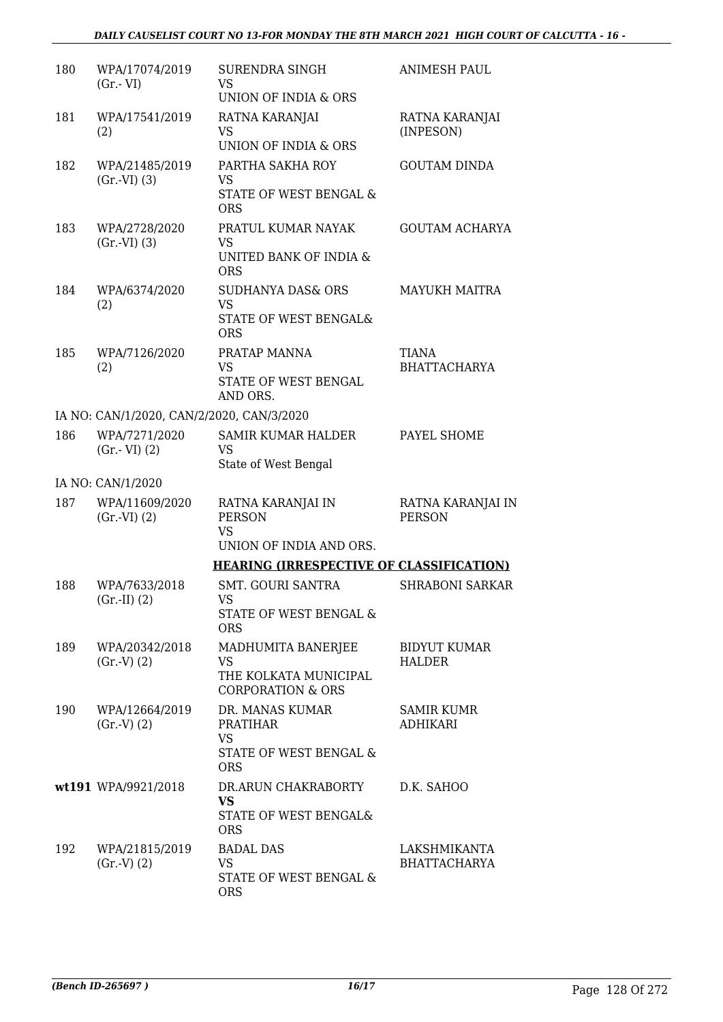| 180 | WPA/17074/2019<br>$(Gr.-VI)$              | <b>SURENDRA SINGH</b><br>VS<br>UNION OF INDIA & ORS                                     | <b>ANIMESH PAUL</b>                  |
|-----|-------------------------------------------|-----------------------------------------------------------------------------------------|--------------------------------------|
| 181 | WPA/17541/2019<br>(2)                     | RATNA KARANJAI<br>VS<br><b>UNION OF INDIA &amp; ORS</b>                                 | RATNA KARANJAI<br>(INPESON)          |
| 182 | WPA/21485/2019<br>(Gr.VI) (3)             | PARTHA SAKHA ROY<br><b>VS</b><br>STATE OF WEST BENGAL &<br><b>ORS</b>                   | <b>GOUTAM DINDA</b>                  |
| 183 | WPA/2728/2020<br>(Gr.VI) (3)              | PRATUL KUMAR NAYAK<br><b>VS</b><br>UNITED BANK OF INDIA &<br><b>ORS</b>                 | <b>GOUTAM ACHARYA</b>                |
| 184 | WPA/6374/2020<br>(2)                      | <b>SUDHANYA DAS&amp; ORS</b><br><b>VS</b><br>STATE OF WEST BENGAL&<br><b>ORS</b>        | <b>MAYUKH MAITRA</b>                 |
| 185 | WPA/7126/2020<br>(2)                      | PRATAP MANNA<br><b>VS</b><br>STATE OF WEST BENGAL<br>AND ORS.                           | <b>TIANA</b><br><b>BHATTACHARYA</b>  |
|     | IA NO: CAN/1/2020, CAN/2/2020, CAN/3/2020 |                                                                                         |                                      |
| 186 | WPA/7271/2020<br>$(Gr.-VI)$ $(2)$         | <b>SAMIR KUMAR HALDER</b><br>VS<br>State of West Bengal                                 | PAYEL SHOME                          |
|     | IA NO: CAN/1/2020                         |                                                                                         |                                      |
| 187 | WPA/11609/2020<br>(Gr.VI) (2)             | RATNA KARANJAI IN<br><b>PERSON</b><br><b>VS</b><br>UNION OF INDIA AND ORS.              | RATNA KARANJAI IN<br><b>PERSON</b>   |
|     |                                           | <b>HEARING (IRRESPECTIVE OF CLASSIFICATION)</b>                                         |                                      |
| 188 | WPA/7633/2018<br>$(Gr.-II) (2)$           | <b>SMT. GOURI SANTRA</b><br>VS.<br>STATE OF WEST BENGAL &<br><b>ORS</b>                 | <b>SHRABONI SARKAR</b>               |
| 189 | WPA/20342/2018<br>(Gr.V) (2)              | MADHUMITA BANERJEE<br>VS<br>THE KOLKATA MUNICIPAL<br><b>CORPORATION &amp; ORS</b>       | <b>BIDYUT KUMAR</b><br><b>HALDER</b> |
| 190 | WPA/12664/2019<br>(Gr.V) (2)              | DR. MANAS KUMAR<br><b>PRATIHAR</b><br><b>VS</b><br>STATE OF WEST BENGAL &<br><b>ORS</b> | <b>SAMIR KUMR</b><br><b>ADHIKARI</b> |
|     | wt191 WPA/9921/2018                       | DR.ARUN CHAKRABORTY<br><b>VS</b><br>STATE OF WEST BENGAL&<br><b>ORS</b>                 | D.K. SAHOO                           |
| 192 | WPA/21815/2019<br>(Gr.V) (2)              | <b>BADAL DAS</b><br>VS<br>STATE OF WEST BENGAL &<br><b>ORS</b>                          | LAKSHMIKANTA<br><b>BHATTACHARYA</b>  |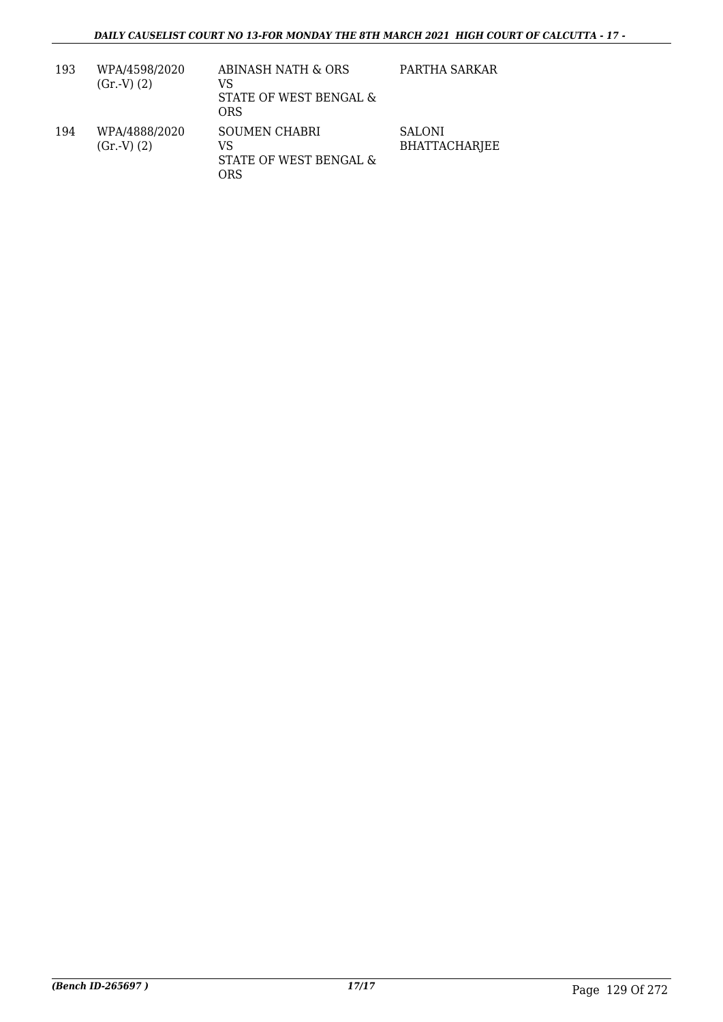| 193 | WPA/4598/2020<br>(Gr.V) (2) | ABINASH NATH & ORS<br>VS<br>STATE OF WEST BENGAL &<br>ORS   | PARTHA SARKAR                         |
|-----|-----------------------------|-------------------------------------------------------------|---------------------------------------|
| 194 | WPA/4888/2020<br>(Gr.V) (2) | <b>SOUMEN CHABRI</b><br>VS<br>STATE OF WEST BENGAL &<br>ORS | <b>SALONI</b><br><b>BHATTACHARJEE</b> |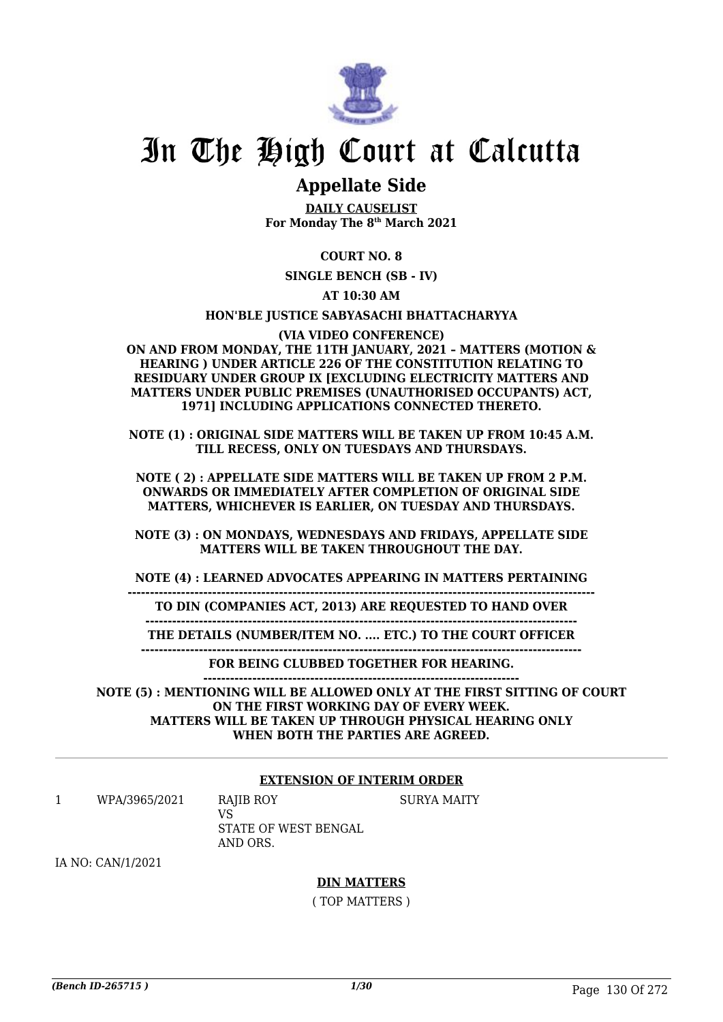

# In The High Court at Calcutta

## **Appellate Side**

**DAILY CAUSELIST For Monday The 8th March 2021**

### **COURT NO. 8**

**SINGLE BENCH (SB - IV)**

**AT 10:30 AM**

#### **HON'BLE JUSTICE SABYASACHI BHATTACHARYYA**

**(VIA VIDEO CONFERENCE)**

**ON AND FROM MONDAY, THE 11TH JANUARY, 2021 – MATTERS (MOTION & HEARING ) UNDER ARTICLE 226 OF THE CONSTITUTION RELATING TO RESIDUARY UNDER GROUP IX [EXCLUDING ELECTRICITY MATTERS AND MATTERS UNDER PUBLIC PREMISES (UNAUTHORISED OCCUPANTS) ACT, 1971] INCLUDING APPLICATIONS CONNECTED THERETO.**

**NOTE (1) : ORIGINAL SIDE MATTERS WILL BE TAKEN UP FROM 10:45 A.M. TILL RECESS, ONLY ON TUESDAYS AND THURSDAYS.**

**NOTE ( 2) : APPELLATE SIDE MATTERS WILL BE TAKEN UP FROM 2 P.M. ONWARDS OR IMMEDIATELY AFTER COMPLETION OF ORIGINAL SIDE MATTERS, WHICHEVER IS EARLIER, ON TUESDAY AND THURSDAYS.**

**NOTE (3) : ON MONDAYS, WEDNESDAYS AND FRIDAYS, APPELLATE SIDE MATTERS WILL BE TAKEN THROUGHOUT THE DAY.**

**NOTE (4) : LEARNED ADVOCATES APPEARING IN MATTERS PERTAINING**

**---------------------------------------------------------------------------------------------------------**

**TO DIN (COMPANIES ACT, 2013) ARE REQUESTED TO HAND OVER**

**------------------------------------------------------------------------------------------------- THE DETAILS (NUMBER/ITEM NO. .... ETC.) TO THE COURT OFFICER**

**---------------------------------------------------------------------------------------------------**

**FOR BEING CLUBBED TOGETHER FOR HEARING. -----------------------------------------------------------------------**

**NOTE (5) : MENTIONING WILL BE ALLOWED ONLY AT THE FIRST SITTING OF COURT ON THE FIRST WORKING DAY OF EVERY WEEK. MATTERS WILL BE TAKEN UP THROUGH PHYSICAL HEARING ONLY WHEN BOTH THE PARTIES ARE AGREED.**

### **EXTENSION OF INTERIM ORDER**

SURYA MAITY

1 WPA/3965/2021 RAJIB ROY VS

STATE OF WEST BENGAL AND ORS.

IA NO: CAN/1/2021

### **DIN MATTERS**

( TOP MATTERS )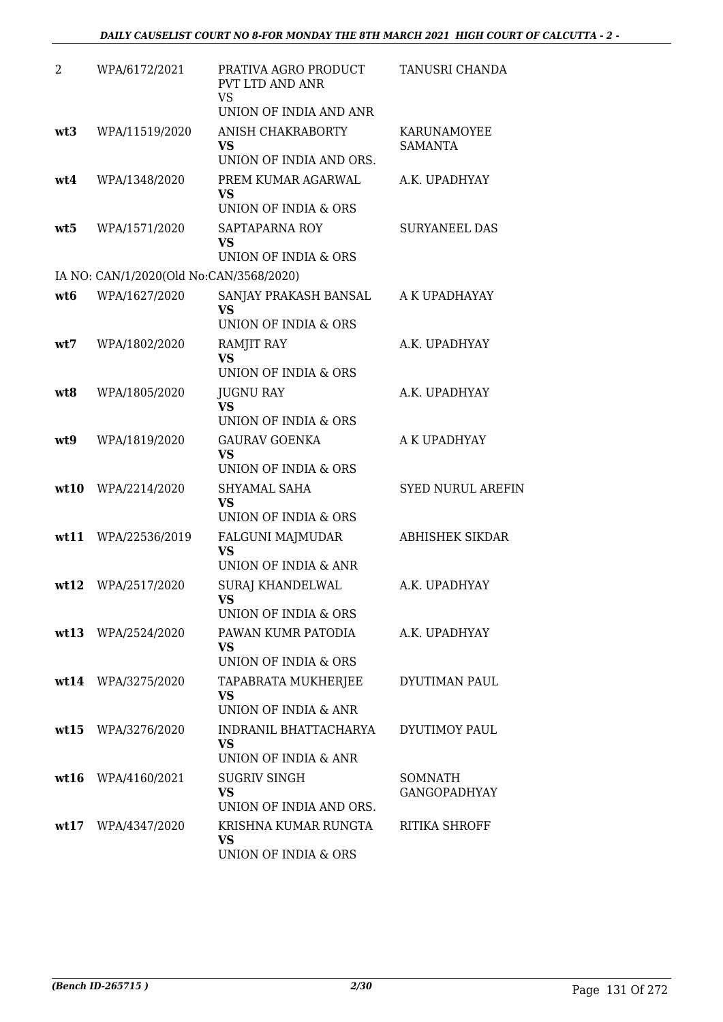| 2               | WPA/6172/2021                           | PRATIVA AGRO PRODUCT<br>PVT LTD AND ANR<br><b>VS</b><br>UNION OF INDIA AND ANR    | TANUSRI CHANDA                 |
|-----------------|-----------------------------------------|-----------------------------------------------------------------------------------|--------------------------------|
| wt <sub>3</sub> | WPA/11519/2020                          | ANISH CHAKRABORTY<br>VS<br>UNION OF INDIA AND ORS.                                | KARUNAMOYEE<br><b>SAMANTA</b>  |
| wt4             | WPA/1348/2020                           | PREM KUMAR AGARWAL<br><b>VS</b><br>UNION OF INDIA & ORS                           | A.K. UPADHYAY                  |
| wt5             | WPA/1571/2020                           | SAPTAPARNA ROY<br><b>VS</b><br>UNION OF INDIA & ORS                               | <b>SURYANEEL DAS</b>           |
|                 | IA NO: CAN/1/2020(Old No:CAN/3568/2020) |                                                                                   |                                |
| wt <sub>6</sub> | WPA/1627/2020                           | SANJAY PRAKASH BANSAL<br><b>VS</b><br>UNION OF INDIA & ORS                        | A K UPADHAYAY                  |
| wt7             | WPA/1802/2020                           | <b>RAMJIT RAY</b><br><b>VS</b><br>UNION OF INDIA & ORS                            | A.K. UPADHYAY                  |
| wt8             | WPA/1805/2020                           | <b>JUGNU RAY</b><br><b>VS</b>                                                     | A.K. UPADHYAY                  |
| wt9             | WPA/1819/2020                           | UNION OF INDIA & ORS<br><b>GAURAV GOENKA</b><br><b>VS</b><br>UNION OF INDIA & ORS | A K UPADHYAY                   |
| wt10            | WPA/2214/2020                           | SHYAMAL SAHA<br><b>VS</b><br>UNION OF INDIA & ORS                                 | <b>SYED NURUL AREFIN</b>       |
| wt11            | WPA/22536/2019                          | FALGUNI MAJMUDAR<br><b>VS</b><br>UNION OF INDIA & ANR                             | ABHISHEK SIKDAR                |
|                 | wt12 WPA/2517/2020                      | <b>SURAJ KHANDELWAL</b><br>VS —<br>UNION OF INDIA & ORS                           | A.K. UPADHYAY                  |
|                 | wt13 WPA/2524/2020                      | PAWAN KUMR PATODIA<br><b>VS</b><br>UNION OF INDIA & ORS                           | A.K. UPADHYAY                  |
|                 | wt14 WPA/3275/2020                      | TAPABRATA MUKHERJEE<br><b>VS</b><br>UNION OF INDIA & ANR                          | DYUTIMAN PAUL                  |
|                 | wt15 WPA/3276/2020                      | INDRANIL BHATTACHARYA<br><b>VS</b><br>UNION OF INDIA & ANR                        | DYUTIMOY PAUL                  |
| wt16            | WPA/4160/2021                           | <b>SUGRIV SINGH</b><br>VS<br>UNION OF INDIA AND ORS.                              | SOMNATH<br><b>GANGOPADHYAY</b> |
|                 | wt17 WPA/4347/2020                      | KRISHNA KUMAR RUNGTA<br>VS<br>UNION OF INDIA & ORS                                | <b>RITIKA SHROFF</b>           |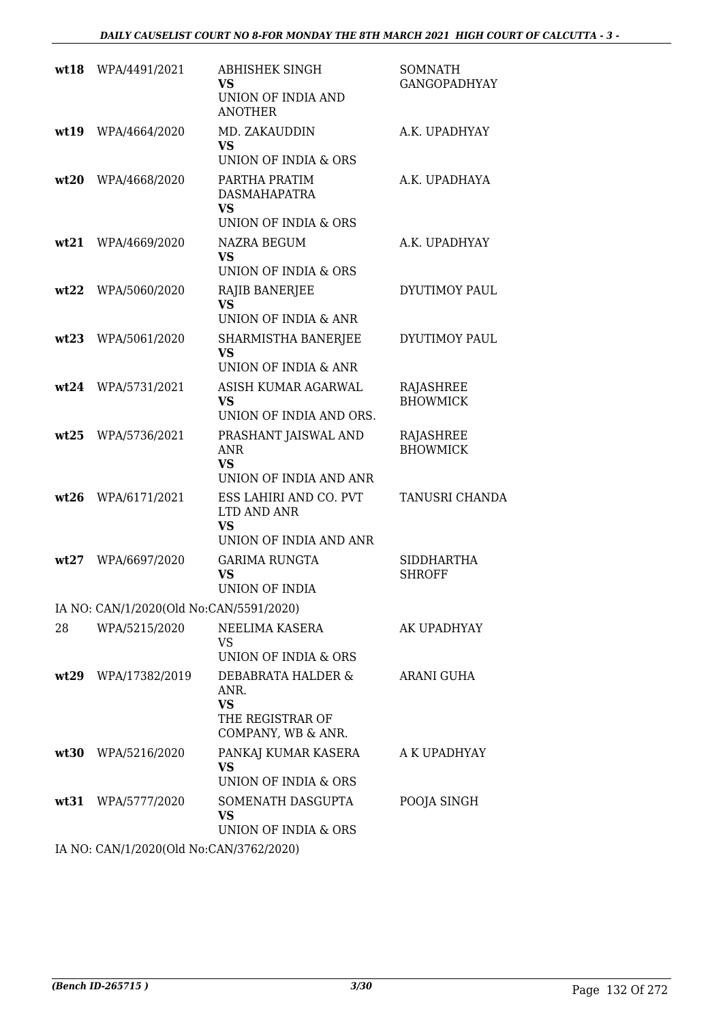| wt18 | WPA/4491/2021                           | ABHISHEK SINGH<br><b>VS</b>                                                       | SOMNATH<br><b>GANGOPADHYAY</b>     |
|------|-----------------------------------------|-----------------------------------------------------------------------------------|------------------------------------|
|      |                                         | UNION OF INDIA AND<br><b>ANOTHER</b>                                              |                                    |
| wt19 | WPA/4664/2020                           | MD. ZAKAUDDIN<br><b>VS</b>                                                        | A.K. UPADHYAY                      |
|      |                                         | UNION OF INDIA & ORS                                                              |                                    |
| wt20 | WPA/4668/2020                           | PARTHA PRATIM<br><b>DASMAHAPATRA</b><br><b>VS</b>                                 | A.K. UPADHAYA                      |
|      |                                         | <b>UNION OF INDIA &amp; ORS</b>                                                   |                                    |
| wt21 | WPA/4669/2020                           | <b>NAZRA BEGUM</b><br><b>VS</b><br>UNION OF INDIA & ORS                           | A.K. UPADHYAY                      |
| wt22 | WPA/5060/2020                           | RAJIB BANERJEE                                                                    | DYUTIMOY PAUL                      |
|      |                                         | <b>VS</b><br>UNION OF INDIA & ANR                                                 |                                    |
| wt23 | WPA/5061/2020                           | SHARMISTHA BANERJEE<br><b>VS</b><br>UNION OF INDIA & ANR                          | DYUTIMOY PAUL                      |
| wt24 | WPA/5731/2021                           | ASISH KUMAR AGARWAL                                                               | RAJASHREE                          |
|      |                                         | <b>VS</b><br>UNION OF INDIA AND ORS.                                              | <b>BHOWMICK</b>                    |
| wt25 | WPA/5736/2021                           | PRASHANT JAISWAL AND<br><b>ANR</b><br><b>VS</b>                                   | RAJASHREE<br><b>BHOWMICK</b>       |
|      |                                         | UNION OF INDIA AND ANR                                                            |                                    |
| wt26 | WPA/6171/2021                           | ESS LAHIRI AND CO. PVT<br>LTD AND ANR<br><b>VS</b>                                | <b>TANUSRI CHANDA</b>              |
|      |                                         | UNION OF INDIA AND ANR                                                            |                                    |
| wt27 | WPA/6697/2020                           | <b>GARIMA RUNGTA</b><br>VS<br>UNION OF INDIA                                      | <b>SIDDHARTHA</b><br><b>SHROFF</b> |
|      | IA NO: CAN/1/2020(Old No:CAN/5591/2020) |                                                                                   |                                    |
| 28   | WPA/5215/2020                           | NEELIMA KASERA<br>VS                                                              | AK UPADHYAY                        |
|      |                                         | UNION OF INDIA & ORS                                                              |                                    |
|      | wt29 WPA/17382/2019                     | DEBABRATA HALDER &<br>ANR.<br><b>VS</b><br>THE REGISTRAR OF<br>COMPANY, WB & ANR. | ARANI GUHA                         |
| wt30 | WPA/5216/2020                           | PANKAJ KUMAR KASERA<br><b>VS</b>                                                  | A K UPADHYAY                       |
|      |                                         | UNION OF INDIA & ORS                                                              |                                    |
|      | wt31 WPA/5777/2020                      | SOMENATH DASGUPTA<br><b>VS</b><br>UNION OF INDIA & ORS                            | POOJA SINGH                        |
|      | IA NO: CANILIZOZO(OR No:CANIZZEZIZOZO)  |                                                                                   |                                    |

IA NO: CAN/1/2020(Old No:CAN/3762/2020)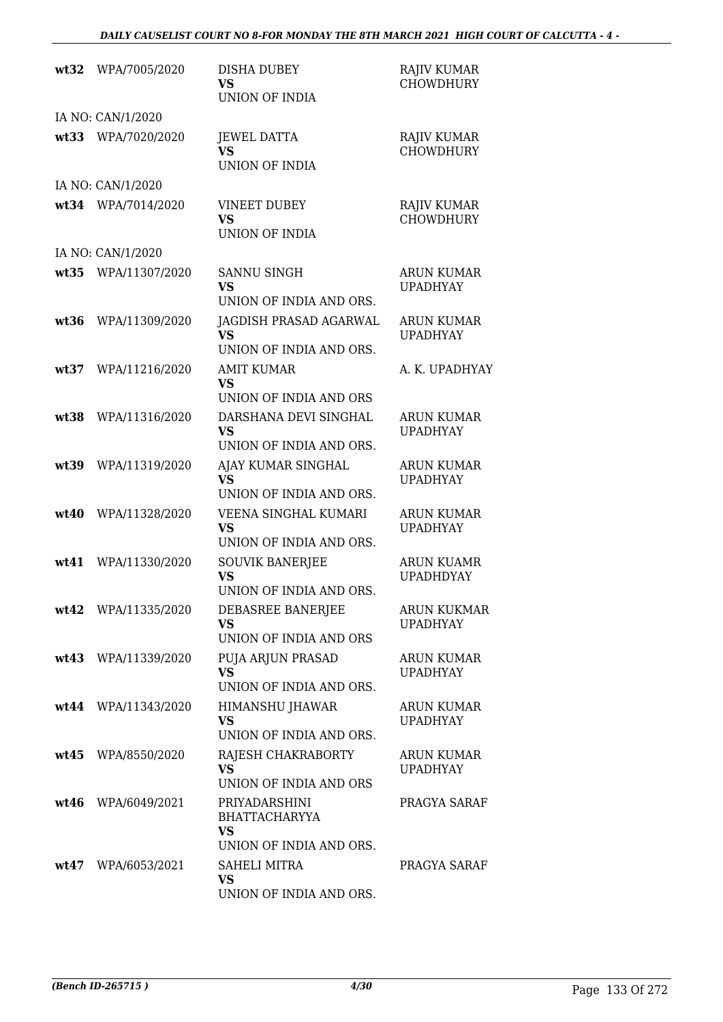| wt32 | WPA/7005/2020       | <b>DISHA DUBEY</b><br>VS                                                                  | <b>RAJIV KUMAR</b><br><b>CHOWDHURY</b> |
|------|---------------------|-------------------------------------------------------------------------------------------|----------------------------------------|
|      |                     | <b>UNION OF INDIA</b>                                                                     |                                        |
|      | IA NO: CAN/1/2020   |                                                                                           |                                        |
| wt33 | WPA/7020/2020       | <b>JEWEL DATTA</b><br><b>VS</b><br><b>UNION OF INDIA</b>                                  | <b>RAJIV KUMAR</b><br><b>CHOWDHURY</b> |
|      | IA NO: CAN/1/2020   |                                                                                           |                                        |
| wt34 | WPA/7014/2020       | <b>VINEET DUBEY</b><br>VS<br>UNION OF INDIA                                               | <b>RAJIV KUMAR</b><br><b>CHOWDHURY</b> |
|      | IA NO: CAN/1/2020   |                                                                                           |                                        |
| wt35 | WPA/11307/2020      | SANNU SINGH<br><b>VS</b>                                                                  | <b>ARUN KUMAR</b><br><b>UPADHYAY</b>   |
| wt36 | WPA/11309/2020      | UNION OF INDIA AND ORS.<br><b>JAGDISH PRASAD AGARWAL</b><br><b>VS</b>                     | <b>ARUN KUMAR</b><br><b>UPADHYAY</b>   |
|      |                     | UNION OF INDIA AND ORS.                                                                   |                                        |
| wt37 | WPA/11216/2020      | <b>AMIT KUMAR</b><br><b>VS</b>                                                            | A. K. UPADHYAY                         |
|      |                     | UNION OF INDIA AND ORS                                                                    |                                        |
| wt38 | WPA/11316/2020      | DARSHANA DEVI SINGHAL<br><b>VS</b><br>UNION OF INDIA AND ORS.                             | <b>ARUN KUMAR</b><br><b>UPADHYAY</b>   |
| wt39 | WPA/11319/2020      | AJAY KUMAR SINGHAL<br><b>VS</b>                                                           | <b>ARUN KUMAR</b><br><b>UPADHYAY</b>   |
| wt40 | WPA/11328/2020      | UNION OF INDIA AND ORS.<br>VEENA SINGHAL KUMARI<br><b>VS</b>                              | <b>ARUN KUMAR</b><br><b>UPADHYAY</b>   |
| wt41 | WPA/11330/2020      | UNION OF INDIA AND ORS.<br><b>SOUVIK BANERJEE</b><br><b>VS</b><br>UNION OF INDIA AND ORS. | <b>ARUN KUAMR</b><br><b>UPADHDYAY</b>  |
|      | wt42 WPA/11335/2020 | DEBASREE BANERJEE<br><b>VS</b><br>UNION OF INDIA AND ORS                                  | ARUN KUKMAR<br><b>UPADHYAY</b>         |
| wt43 | WPA/11339/2020      | PUJA ARJUN PRASAD<br><b>VS</b><br>UNION OF INDIA AND ORS.                                 | ARUN KUMAR<br><b>UPADHYAY</b>          |
|      | wt44 WPA/11343/2020 | <b>HIMANSHU JHAWAR</b><br><b>VS</b><br>UNION OF INDIA AND ORS.                            | <b>ARUN KUMAR</b><br><b>UPADHYAY</b>   |
| wt45 | WPA/8550/2020       | RAJESH CHAKRABORTY<br><b>VS</b><br>UNION OF INDIA AND ORS                                 | <b>ARUN KUMAR</b><br><b>UPADHYAY</b>   |
| wt46 | WPA/6049/2021       | PRIYADARSHINI<br><b>BHATTACHARYYA</b><br><b>VS</b>                                        | PRAGYA SARAF                           |
|      |                     | UNION OF INDIA AND ORS.                                                                   |                                        |
| wt47 | WPA/6053/2021       | SAHELI MITRA<br><b>VS</b><br>UNION OF INDIA AND ORS.                                      | PRAGYA SARAF                           |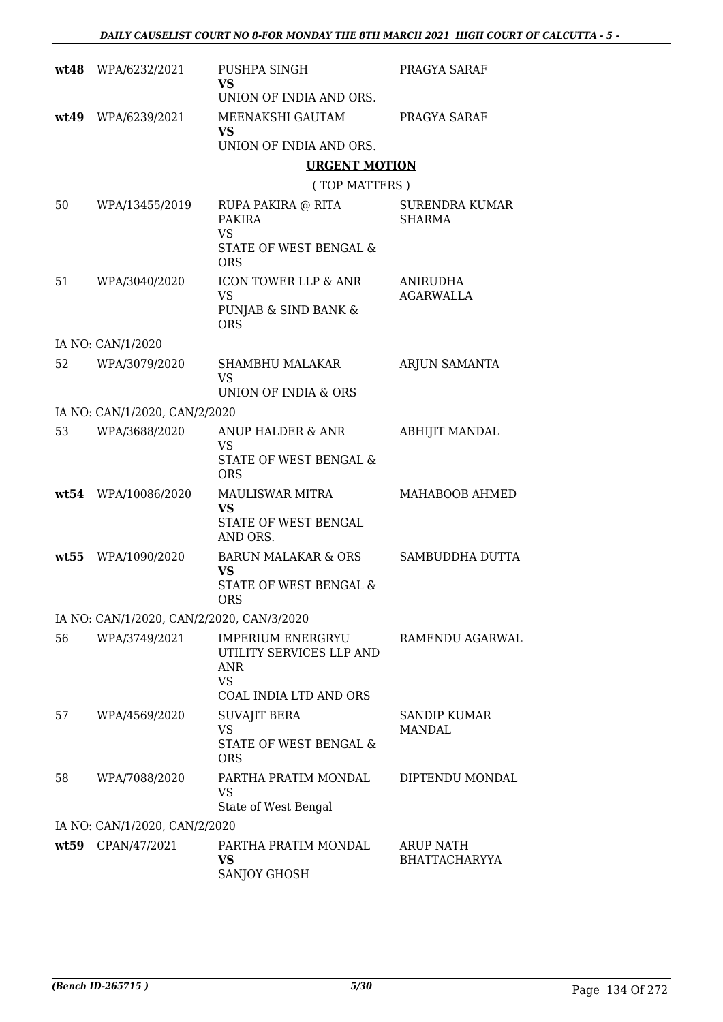|      | wt48 WPA/6232/2021                        | PUSHPA SINGH<br><b>VS</b>                                                                                 | PRAGYA SARAF                           |
|------|-------------------------------------------|-----------------------------------------------------------------------------------------------------------|----------------------------------------|
|      |                                           | UNION OF INDIA AND ORS.                                                                                   |                                        |
|      | wt49 WPA/6239/2021                        | MEENAKSHI GAUTAM<br><b>VS</b>                                                                             | PRAGYA SARAF                           |
|      |                                           | UNION OF INDIA AND ORS.                                                                                   |                                        |
|      |                                           | <b>URGENT MOTION</b>                                                                                      |                                        |
|      |                                           | (TOP MATTERS)                                                                                             |                                        |
| 50   | WPA/13455/2019                            | RUPA PAKIRA @ RITA<br>PAKIRA<br><b>VS</b><br>STATE OF WEST BENGAL &                                       | <b>SURENDRA KUMAR</b><br><b>SHARMA</b> |
|      |                                           | <b>ORS</b>                                                                                                |                                        |
| 51   | WPA/3040/2020                             | <b>ICON TOWER LLP &amp; ANR</b><br><b>VS</b>                                                              | ANIRUDHA<br>AGARWALLA                  |
|      |                                           | PUNJAB & SIND BANK &<br><b>ORS</b>                                                                        |                                        |
|      | IA NO: CAN/1/2020                         |                                                                                                           |                                        |
| 52   | WPA/3079/2020                             | <b>SHAMBHU MALAKAR</b><br>VS                                                                              | ARJUN SAMANTA                          |
|      |                                           | UNION OF INDIA & ORS                                                                                      |                                        |
|      | IA NO: CAN/1/2020, CAN/2/2020             |                                                                                                           |                                        |
| 53   | WPA/3688/2020                             | ANUP HALDER & ANR<br><b>VS</b><br>STATE OF WEST BENGAL &<br><b>ORS</b>                                    | <b>ABHIJIT MANDAL</b>                  |
|      | wt54 WPA/10086/2020                       | MAULISWAR MITRA<br><b>VS</b><br>STATE OF WEST BENGAL<br>AND ORS.                                          | MAHABOOB AHMED                         |
| wt55 | WPA/1090/2020                             | <b>BARUN MALAKAR &amp; ORS</b><br><b>VS</b>                                                               | SAMBUDDHA DUTTA                        |
|      |                                           | STATE OF WEST BENGAL &<br><b>ORS</b>                                                                      |                                        |
|      | IA NO: CAN/1/2020, CAN/2/2020, CAN/3/2020 |                                                                                                           |                                        |
| 56   | WPA/3749/2021                             | <b>IMPERIUM ENERGRYU</b><br>UTILITY SERVICES LLP AND<br>ANR<br><b>VS</b><br><b>COAL INDIA LTD AND ORS</b> | RAMENDU AGARWAL                        |
| 57   | WPA/4569/2020                             | <b>SUVAJIT BERA</b><br><b>VS</b><br>STATE OF WEST BENGAL &<br><b>ORS</b>                                  | <b>SANDIP KUMAR</b><br>MANDAL          |
| 58   | WPA/7088/2020                             | PARTHA PRATIM MONDAL<br>VS<br>State of West Bengal                                                        | DIPTENDU MONDAL                        |
|      | IA NO: CAN/1/2020, CAN/2/2020             |                                                                                                           |                                        |
|      | wt59 CPAN/47/2021                         | PARTHA PRATIM MONDAL<br><b>VS</b><br>SANJOY GHOSH                                                         | ARUP NATH<br><b>BHATTACHARYYA</b>      |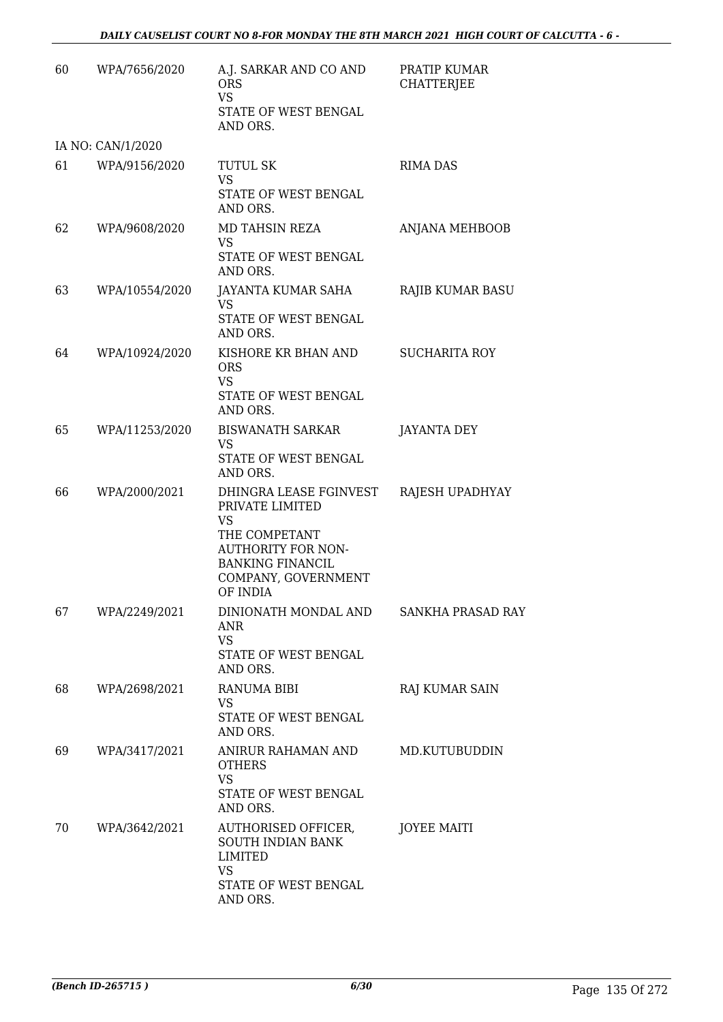| 60 | WPA/7656/2020     | A.J. SARKAR AND CO AND<br><b>ORS</b><br><b>VS</b><br>STATE OF WEST BENGAL<br>AND ORS.                                                                       | PRATIP KUMAR<br><b>CHATTERJEE</b> |
|----|-------------------|-------------------------------------------------------------------------------------------------------------------------------------------------------------|-----------------------------------|
|    | IA NO: CAN/1/2020 |                                                                                                                                                             |                                   |
| 61 | WPA/9156/2020     | <b>TUTUL SK</b><br><b>VS</b><br>STATE OF WEST BENGAL<br>AND ORS.                                                                                            | <b>RIMA DAS</b>                   |
| 62 | WPA/9608/2020     | MD TAHSIN REZA<br>VS<br>STATE OF WEST BENGAL<br>AND ORS.                                                                                                    | ANJANA MEHBOOB                    |
| 63 | WPA/10554/2020    | JAYANTA KUMAR SAHA<br>VS<br>STATE OF WEST BENGAL<br>AND ORS.                                                                                                | RAJIB KUMAR BASU                  |
| 64 | WPA/10924/2020    | KISHORE KR BHAN AND<br><b>ORS</b><br><b>VS</b><br>STATE OF WEST BENGAL<br>AND ORS.                                                                          | <b>SUCHARITA ROY</b>              |
| 65 | WPA/11253/2020    | <b>BISWANATH SARKAR</b><br><b>VS</b><br>STATE OF WEST BENGAL<br>AND ORS.                                                                                    | <b>JAYANTA DEY</b>                |
| 66 | WPA/2000/2021     | DHINGRA LEASE FGINVEST<br>PRIVATE LIMITED<br>VS<br>THE COMPETANT<br><b>AUTHORITY FOR NON-</b><br><b>BANKING FINANCIL</b><br>COMPANY, GOVERNMENT<br>OF INDIA | RAJESH UPADHYAY                   |
| 67 | WPA/2249/2021     | DINIONATH MONDAL AND<br>ANR<br><b>VS</b><br>STATE OF WEST BENGAL<br>AND ORS.                                                                                | <b>SANKHA PRASAD RAY</b>          |
| 68 | WPA/2698/2021     | <b>RANUMA BIBI</b><br><b>VS</b><br>STATE OF WEST BENGAL<br>AND ORS.                                                                                         | <b>RAJ KUMAR SAIN</b>             |
| 69 | WPA/3417/2021     | ANIRUR RAHAMAN AND<br><b>OTHERS</b><br><b>VS</b><br>STATE OF WEST BENGAL<br>AND ORS.                                                                        | MD.KUTUBUDDIN                     |
| 70 | WPA/3642/2021     | AUTHORISED OFFICER,<br>SOUTH INDIAN BANK<br>LIMITED<br><b>VS</b><br>STATE OF WEST BENGAL<br>AND ORS.                                                        | <b>JOYEE MAITI</b>                |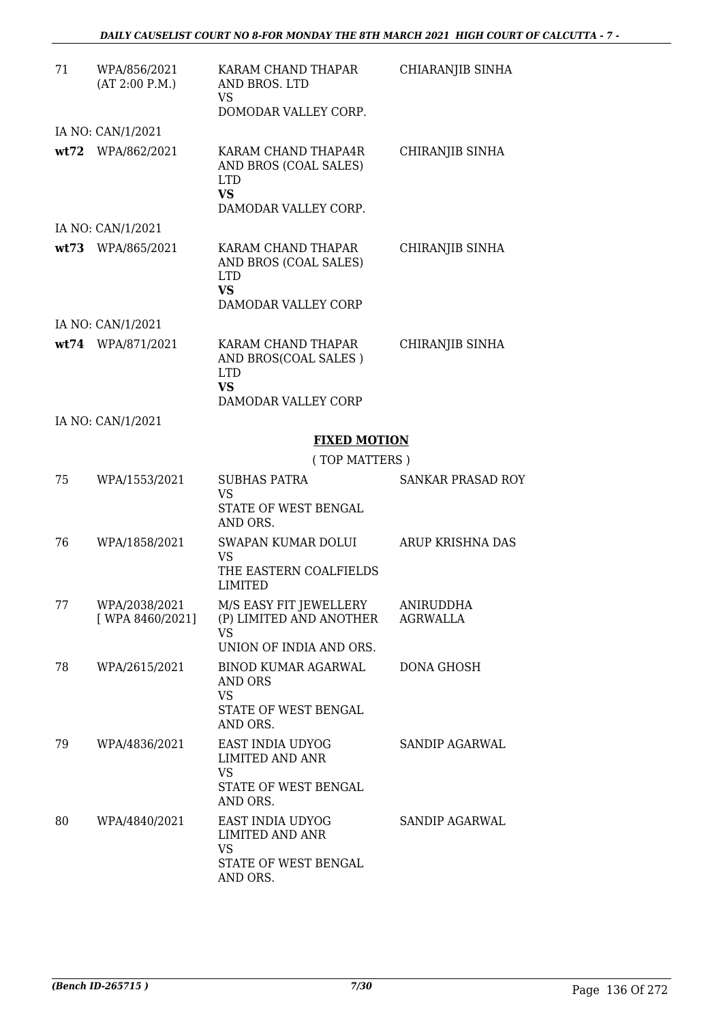| 71 | WPA/856/2021<br>(AT 2:00 P.M.)    | KARAM CHAND THAPAR<br>AND BROS. LTD<br>VS<br>DOMODAR VALLEY CORP.                               | CHIARANJIB SINHA                    |
|----|-----------------------------------|-------------------------------------------------------------------------------------------------|-------------------------------------|
|    | IA NO: CAN/1/2021                 |                                                                                                 |                                     |
|    | wt72 WPA/862/2021                 | KARAM CHAND THAPA4R<br>AND BROS (COAL SALES)<br><b>LTD</b><br><b>VS</b><br>DAMODAR VALLEY CORP. | CHIRANJIB SINHA                     |
|    | IA NO: CAN/1/2021                 |                                                                                                 |                                     |
|    | wt73 WPA/865/2021                 | KARAM CHAND THAPAR<br>AND BROS (COAL SALES)<br><b>LTD</b><br><b>VS</b><br>DAMODAR VALLEY CORP   | CHIRANJIB SINHA                     |
|    | IA NO: CAN/1/2021                 |                                                                                                 |                                     |
|    | wt74 WPA/871/2021                 | KARAM CHAND THAPAR<br>AND BROS(COAL SALES)<br><b>LTD</b><br><b>VS</b><br>DAMODAR VALLEY CORP    | CHIRANJIB SINHA                     |
|    | IA NO: CAN/1/2021                 |                                                                                                 |                                     |
|    |                                   | <b>FIXED MOTION</b>                                                                             |                                     |
|    |                                   | (TOP MATTERS)                                                                                   |                                     |
| 75 | WPA/1553/2021                     | <b>SUBHAS PATRA</b><br>VS                                                                       | SANKAR PRASAD ROY                   |
|    |                                   | STATE OF WEST BENGAL<br>AND ORS.                                                                |                                     |
| 76 | WPA/1858/2021                     | SWAPAN KUMAR DOLUI<br>VS                                                                        | ARUP KRISHNA DAS                    |
|    |                                   | THE EASTERN COALFIELDS<br>LIMITED                                                               |                                     |
| 77 | WPA/2038/2021<br>[ WPA 8460/2021] | M/S EASY FIT JEWELLERY<br>(P) LIMITED AND ANOTHER<br><b>VS</b><br>UNION OF INDIA AND ORS.       | <b>ANIRUDDHA</b><br><b>AGRWALLA</b> |
| 78 | WPA/2615/2021                     | BINOD KUMAR AGARWAL<br>AND ORS<br><b>VS</b>                                                     | <b>DONA GHOSH</b>                   |
|    |                                   | STATE OF WEST BENGAL<br>AND ORS.                                                                |                                     |
| 79 | WPA/4836/2021                     | EAST INDIA UDYOG<br>LIMITED AND ANR<br><b>VS</b><br>STATE OF WEST BENGAL<br>AND ORS.            | <b>SANDIP AGARWAL</b>               |
| 80 | WPA/4840/2021                     | EAST INDIA UDYOG<br><b>LIMITED AND ANR</b><br><b>VS</b><br>STATE OF WEST BENGAL<br>AND ORS.     | SANDIP AGARWAL                      |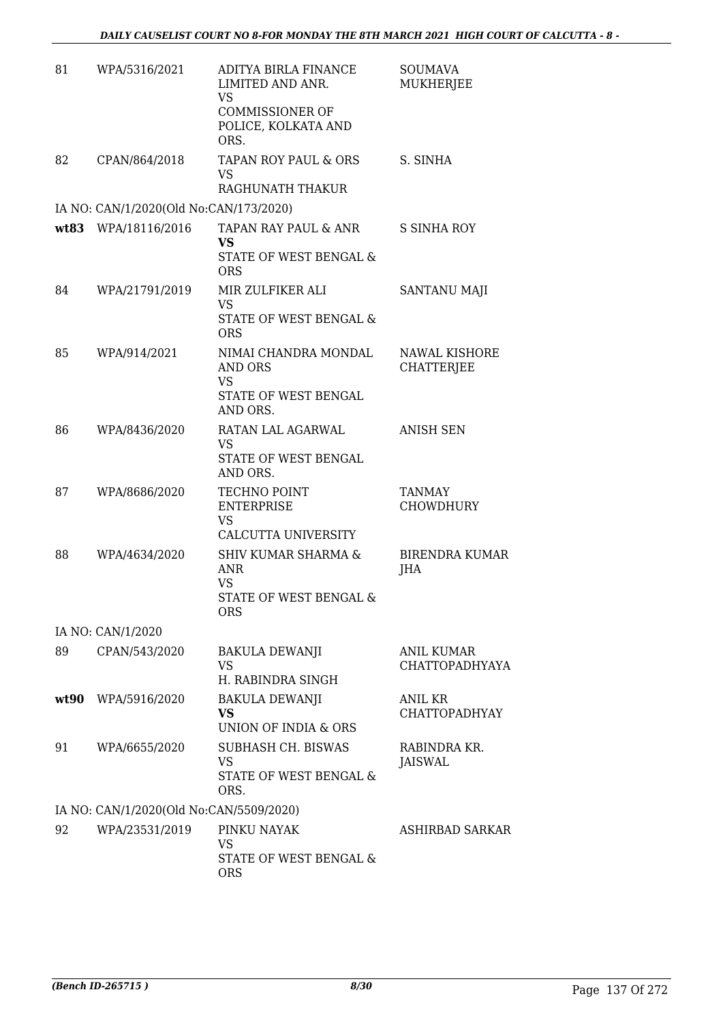| 81   | WPA/5316/2021                           | ADITYA BIRLA FINANCE<br>LIMITED AND ANR.<br><b>VS</b><br><b>COMMISSIONER OF</b><br>POLICE, KOLKATA AND<br>ORS. | <b>SOUMAVA</b><br>MUKHERJEE               |
|------|-----------------------------------------|----------------------------------------------------------------------------------------------------------------|-------------------------------------------|
| 82   | CPAN/864/2018                           | TAPAN ROY PAUL & ORS<br><b>VS</b><br>RAGHUNATH THAKUR                                                          | S. SINHA                                  |
|      | IA NO: CAN/1/2020(Old No:CAN/173/2020)  |                                                                                                                |                                           |
|      | wt83 WPA/18116/2016                     | TAPAN RAY PAUL & ANR                                                                                           | S SINHA ROY                               |
|      |                                         | VS<br>STATE OF WEST BENGAL &<br><b>ORS</b>                                                                     |                                           |
| 84   | WPA/21791/2019                          | MIR ZULFIKER ALI<br><b>VS</b><br>STATE OF WEST BENGAL &<br><b>ORS</b>                                          | <b>SANTANU MAJI</b>                       |
| 85   | WPA/914/2021                            | NIMAI CHANDRA MONDAL<br>AND ORS<br><b>VS</b>                                                                   | <b>NAWAL KISHORE</b><br><b>CHATTERJEE</b> |
|      |                                         | STATE OF WEST BENGAL<br>AND ORS.                                                                               |                                           |
| 86   | WPA/8436/2020                           | RATAN LAL AGARWAL<br><b>VS</b><br>STATE OF WEST BENGAL<br>AND ORS.                                             | <b>ANISH SEN</b>                          |
| 87   | WPA/8686/2020                           | <b>TECHNO POINT</b><br><b>ENTERPRISE</b><br><b>VS</b><br>CALCUTTA UNIVERSITY                                   | <b>TANMAY</b><br><b>CHOWDHURY</b>         |
| 88   | WPA/4634/2020                           | <b>SHIV KUMAR SHARMA &amp;</b><br>ANR<br><b>VS</b><br>STATE OF WEST BENGAL &<br><b>ORS</b>                     | <b>BIRENDRA KUMAR</b><br>JHA              |
|      | IA NO: CAN/1/2020                       |                                                                                                                |                                           |
| 89   | CPAN/543/2020                           | BAKULA DEWANJI<br>VS<br>H. RABINDRA SINGH                                                                      | <b>ANIL KUMAR</b><br>CHATTOPADHYAYA       |
| wt90 | WPA/5916/2020                           | <b>BAKULA DEWANJI</b><br><b>VS</b><br>UNION OF INDIA & ORS                                                     | ANIL KR<br><b>CHATTOPADHYAY</b>           |
| 91   | WPA/6655/2020                           | SUBHASH CH. BISWAS<br><b>VS</b><br>STATE OF WEST BENGAL &<br>ORS.                                              | RABINDRA KR.<br><b>JAISWAL</b>            |
|      | IA NO: CAN/1/2020(Old No:CAN/5509/2020) |                                                                                                                |                                           |
| 92   | WPA/23531/2019                          | PINKU NAYAK<br><b>VS</b><br>STATE OF WEST BENGAL &<br><b>ORS</b>                                               | ASHIRBAD SARKAR                           |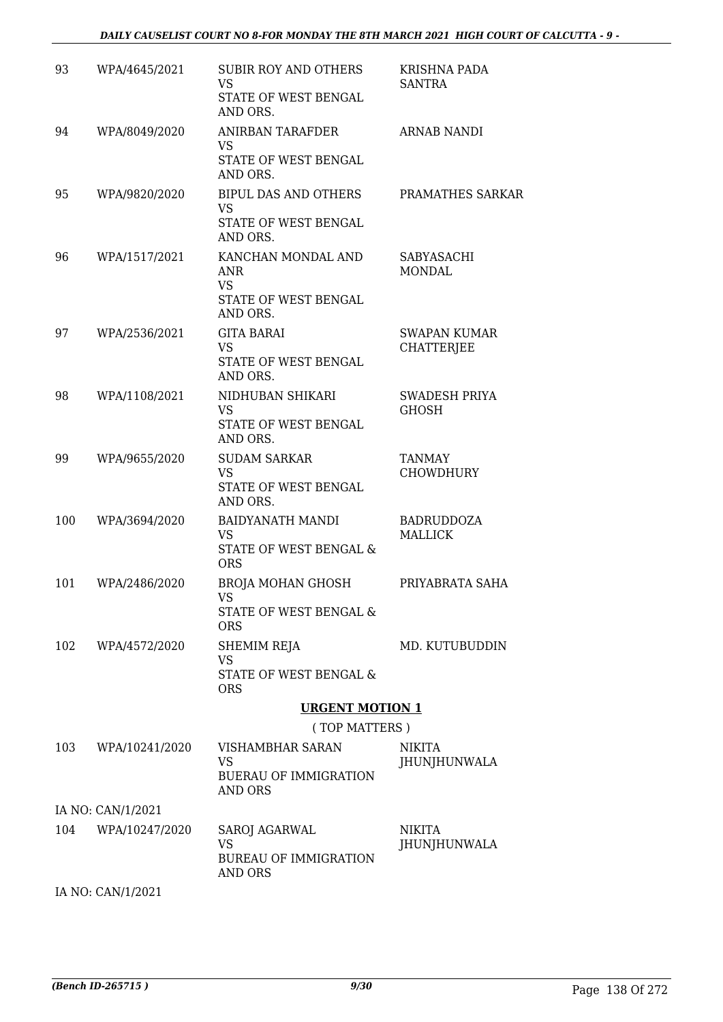#### *DAILY CAUSELIST COURT NO 8-FOR MONDAY THE 8TH MARCH 2021 HIGH COURT OF CALCUTTA - 9 -*

| 93  | WPA/4645/2021     | <b>SUBIR ROY AND OTHERS</b><br><b>VS</b><br>STATE OF WEST BENGAL<br>AND ORS.      | KRISHNA PADA<br><b>SANTRA</b>            |
|-----|-------------------|-----------------------------------------------------------------------------------|------------------------------------------|
| 94  | WPA/8049/2020     | <b>ANIRBAN TARAFDER</b><br>VS<br>STATE OF WEST BENGAL<br>AND ORS.                 | ARNAB NANDI                              |
| 95  | WPA/9820/2020     | BIPUL DAS AND OTHERS<br><b>VS</b><br>STATE OF WEST BENGAL<br>AND ORS.             | PRAMATHES SARKAR                         |
| 96  | WPA/1517/2021     | KANCHAN MONDAL AND<br><b>ANR</b><br><b>VS</b><br>STATE OF WEST BENGAL<br>AND ORS. | SABYASACHI<br><b>MONDAL</b>              |
| 97  | WPA/2536/2021     | <b>GITA BARAI</b><br>VS<br>STATE OF WEST BENGAL<br>AND ORS.                       | <b>SWAPAN KUMAR</b><br><b>CHATTERIEE</b> |
| 98  | WPA/1108/2021     | NIDHUBAN SHIKARI<br><b>VS</b><br>STATE OF WEST BENGAL<br>AND ORS.                 | <b>SWADESH PRIYA</b><br><b>GHOSH</b>     |
| 99  | WPA/9655/2020     | <b>SUDAM SARKAR</b><br>VS<br>STATE OF WEST BENGAL<br>AND ORS.                     | TANMAY<br><b>CHOWDHURY</b>               |
| 100 | WPA/3694/2020     | <b>BAIDYANATH MANDI</b><br>VS<br>STATE OF WEST BENGAL &<br><b>ORS</b>             | <b>BADRUDDOZA</b><br><b>MALLICK</b>      |
| 101 | WPA/2486/2020     | <b>BROJA MOHAN GHOSH</b><br>VS<br>STATE OF WEST BENGAL &<br><b>ORS</b>            | PRIYABRATA SAHA                          |
| 102 | WPA/4572/2020     | SHEMIM REJA<br>VS<br><b>STATE OF WEST BENGAL &amp;</b><br><b>ORS</b>              | MD. KUTUBUDDIN                           |
|     |                   | <b>URGENT MOTION 1</b>                                                            |                                          |
|     |                   | (TOP MATTERS)                                                                     |                                          |
| 103 | WPA/10241/2020    | VISHAMBHAR SARAN<br>VS<br><b>BUERAU OF IMMIGRATION</b><br>AND ORS                 | <b>NIKITA</b><br>JHUNJHUNWALA            |
|     | IA NO: CAN/1/2021 |                                                                                   |                                          |
| 104 | WPA/10247/2020    | SAROJ AGARWAL<br>VS<br><b>BUREAU OF IMMIGRATION</b><br>AND ORS                    | NIKITA<br>JHUNJHUNWALA                   |
|     | IA NO: CAN/1/2021 |                                                                                   |                                          |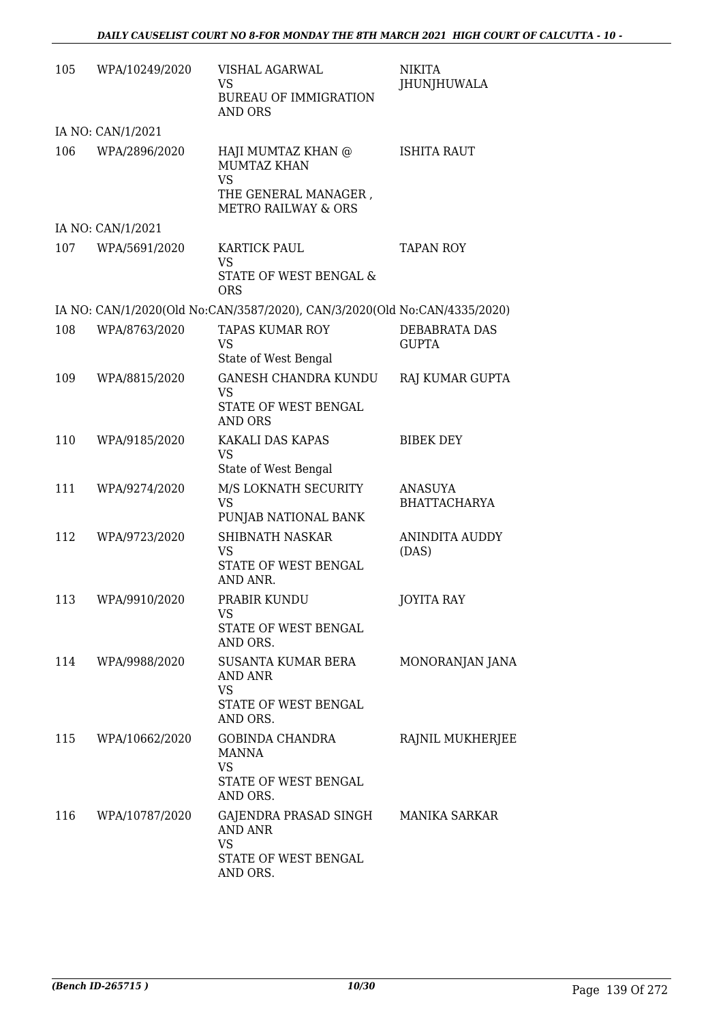| 105 | WPA/10249/2020     | VISHAL AGARWAL<br><b>VS</b><br><b>BUREAU OF IMMIGRATION</b><br>AND ORS                                                                   | <b>NIKITA</b><br>JHUNJHUWALA          |
|-----|--------------------|------------------------------------------------------------------------------------------------------------------------------------------|---------------------------------------|
|     | IA NO: CAN/1/2021  |                                                                                                                                          |                                       |
| 106 | WPA/2896/2020      | HAJI MUMTAZ KHAN @<br><b>MUMTAZ KHAN</b><br><b>VS</b><br>THE GENERAL MANAGER,<br><b>METRO RAILWAY &amp; ORS</b>                          | <b>ISHITA RAUT</b>                    |
|     | IA NO: CAN/1/2021  |                                                                                                                                          |                                       |
| 107 | WPA/5691/2020      | <b>KARTICK PAUL</b><br>VS<br>STATE OF WEST BENGAL &                                                                                      | <b>TAPAN ROY</b>                      |
|     |                    | <b>ORS</b>                                                                                                                               |                                       |
| 108 | WPA/8763/2020      | IA NO: CAN/1/2020(Old No:CAN/3587/2020), CAN/3/2020(Old No:CAN/4335/2020)<br><b>TAPAS KUMAR ROY</b><br><b>VS</b><br>State of West Bengal | DEBABRATA DAS<br><b>GUPTA</b>         |
| 109 | WPA/8815/2020      | <b>GANESH CHANDRA KUNDU</b><br><b>VS</b><br>STATE OF WEST BENGAL<br>AND ORS                                                              | RAJ KUMAR GUPTA                       |
| 110 | WPA/9185/2020      | KAKALI DAS KAPAS<br><b>VS</b><br>State of West Bengal                                                                                    | <b>BIBEK DEY</b>                      |
| 111 | WPA/9274/2020      | M/S LOKNATH SECURITY<br><b>VS</b><br>PUNJAB NATIONAL BANK                                                                                | <b>ANASUYA</b><br><b>BHATTACHARYA</b> |
| 112 | WPA/9723/2020      | <b>SHIBNATH NASKAR</b><br><b>VS</b><br>STATE OF WEST BENGAL<br>AND ANR.                                                                  | <b>ANINDITA AUDDY</b><br>(DAS)        |
| 113 | WPA/9910/2020      | PRABIR KUNDU<br>VS<br>STATE OF WEST BENGAL<br>AND ORS.                                                                                   | JOYITA RAY                            |
|     | 114 WPA/9988/2020  | SUSANTA KUMAR BERA<br><b>AND ANR</b><br>VS<br>STATE OF WEST BENGAL                                                                       | MONORANJAN JANA                       |
|     |                    | AND ORS.                                                                                                                                 |                                       |
|     | 115 WPA/10662/2020 | GOBINDA CHANDRA<br><b>MANNA</b><br><b>VS</b><br>STATE OF WEST BENGAL<br>AND ORS.                                                         | RAJNIL MUKHERJEE                      |
| 116 | WPA/10787/2020     | GAJENDRA PRASAD SINGH MANIKA SARKAR<br><b>AND ANR</b><br><b>VS</b>                                                                       |                                       |
|     |                    | STATE OF WEST BENGAL<br>AND ORS.                                                                                                         |                                       |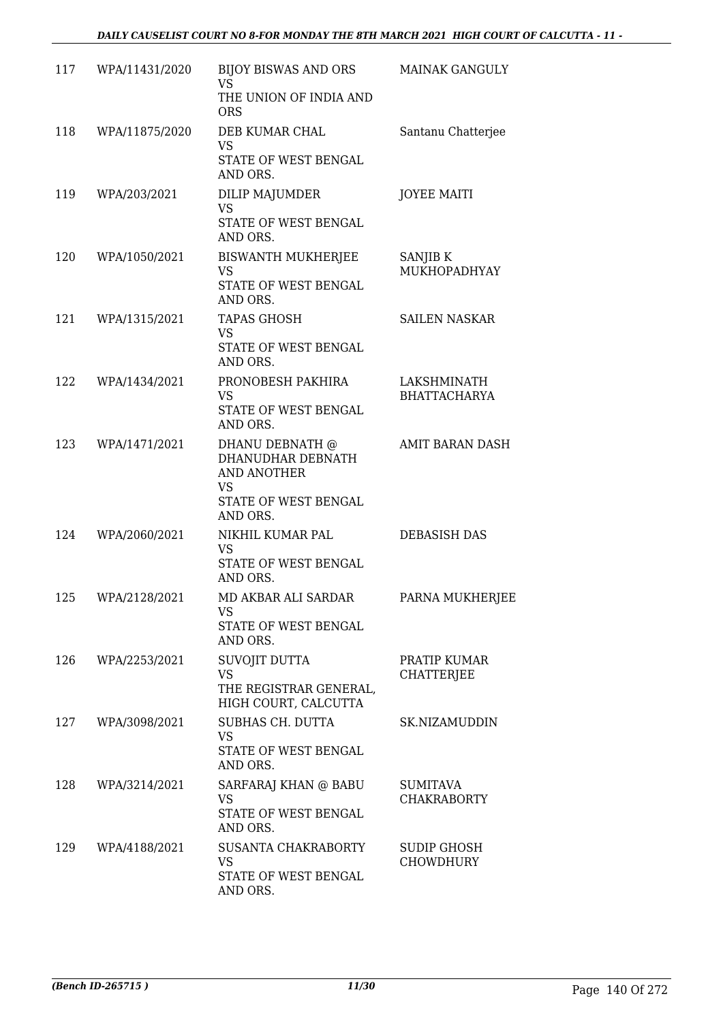| 117 | WPA/11431/2020 | BIJOY BISWAS AND ORS<br>VS<br>THE UNION OF INDIA AND<br><b>ORS</b>                                   | <b>MAINAK GANGULY</b>                  |
|-----|----------------|------------------------------------------------------------------------------------------------------|----------------------------------------|
| 118 | WPA/11875/2020 | DEB KUMAR CHAL<br><b>VS</b><br>STATE OF WEST BENGAL<br>AND ORS.                                      | Santanu Chatterjee                     |
| 119 | WPA/203/2021   | DILIP MAJUMDER<br><b>VS</b><br>STATE OF WEST BENGAL<br>AND ORS.                                      | <b>JOYEE MAITI</b>                     |
| 120 | WPA/1050/2021  | <b>BISWANTH MUKHERJEE</b><br><b>VS</b><br>STATE OF WEST BENGAL<br>AND ORS.                           | SANJIB K<br>MUKHOPADHYAY               |
| 121 | WPA/1315/2021  | <b>TAPAS GHOSH</b><br><b>VS</b><br>STATE OF WEST BENGAL<br>AND ORS.                                  | <b>SAILEN NASKAR</b>                   |
| 122 | WPA/1434/2021  | PRONOBESH PAKHIRA<br><b>VS</b><br>STATE OF WEST BENGAL<br>AND ORS.                                   | LAKSHMINATH<br><b>BHATTACHARYA</b>     |
| 123 | WPA/1471/2021  | DHANU DEBNATH @<br>DHANUDHAR DEBNATH<br>AND ANOTHER<br><b>VS</b><br>STATE OF WEST BENGAL<br>AND ORS. | AMIT BARAN DASH                        |
| 124 | WPA/2060/2021  | NIKHIL KUMAR PAL<br><b>VS</b><br>STATE OF WEST BENGAL<br>AND ORS.                                    | <b>DEBASISH DAS</b>                    |
| 125 | WPA/2128/2021  | MD AKBAR ALI SARDAR<br>VS.<br>STATE OF WEST BENGAL<br>AND ORS.                                       | PARNA MUKHERJEE                        |
| 126 | WPA/2253/2021  | SUVOJIT DUTTA<br><b>VS</b><br>THE REGISTRAR GENERAL,<br>HIGH COURT, CALCUTTA                         | PRATIP KUMAR<br><b>CHATTERJEE</b>      |
| 127 | WPA/3098/2021  | SUBHAS CH. DUTTA<br><b>VS</b><br>STATE OF WEST BENGAL<br>AND ORS.                                    | SK.NIZAMUDDIN                          |
| 128 | WPA/3214/2021  | SARFARAJ KHAN @ BABU<br><b>VS</b><br>STATE OF WEST BENGAL<br>AND ORS.                                | <b>SUMITAVA</b><br><b>CHAKRABORTY</b>  |
| 129 | WPA/4188/2021  | SUSANTA CHAKRABORTY<br><b>VS</b><br>STATE OF WEST BENGAL<br>AND ORS.                                 | <b>SUDIP GHOSH</b><br><b>CHOWDHURY</b> |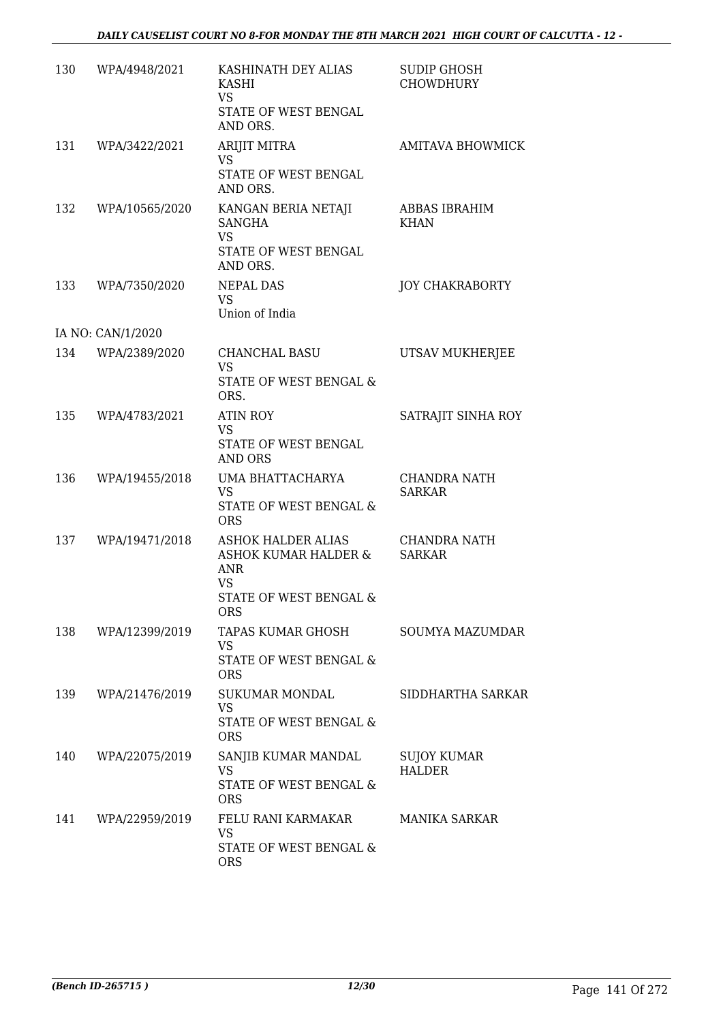| 130 | WPA/4948/2021     | KASHINATH DEY ALIAS<br>KASHI<br>VS<br>STATE OF WEST BENGAL<br>AND ORS.                                            | <b>SUDIP GHOSH</b><br><b>CHOWDHURY</b> |
|-----|-------------------|-------------------------------------------------------------------------------------------------------------------|----------------------------------------|
| 131 | WPA/3422/2021     | <b>ARIJIT MITRA</b><br>VS<br>STATE OF WEST BENGAL<br>AND ORS.                                                     | <b>AMITAVA BHOWMICK</b>                |
| 132 | WPA/10565/2020    | KANGAN BERIA NETAJI<br><b>SANGHA</b><br><b>VS</b><br>STATE OF WEST BENGAL<br>AND ORS.                             | ABBAS IBRAHIM<br><b>KHAN</b>           |
| 133 | WPA/7350/2020     | <b>NEPAL DAS</b><br><b>VS</b><br>Union of India                                                                   | <b>JOY CHAKRABORTY</b>                 |
|     | IA NO: CAN/1/2020 |                                                                                                                   |                                        |
| 134 | WPA/2389/2020     | CHANCHAL BASU<br><b>VS</b><br>STATE OF WEST BENGAL &<br>ORS.                                                      | UTSAV MUKHERJEE                        |
| 135 | WPA/4783/2021     | <b>ATIN ROY</b><br>VS<br>STATE OF WEST BENGAL<br>AND ORS                                                          | SATRAJIT SINHA ROY                     |
| 136 | WPA/19455/2018    | UMA BHATTACHARYA<br><b>VS</b><br>STATE OF WEST BENGAL &<br><b>ORS</b>                                             | <b>CHANDRA NATH</b><br><b>SARKAR</b>   |
| 137 | WPA/19471/2018    | ASHOK HALDER ALIAS<br><b>ASHOK KUMAR HALDER &amp;</b><br>ANR<br><b>VS</b><br>STATE OF WEST BENGAL &<br><b>ORS</b> | CHANDRA NATH<br><b>SARKAR</b>          |
| 138 | WPA/12399/2019    | TAPAS KUMAR GHOSH<br>VS<br>STATE OF WEST BENGAL &<br><b>ORS</b>                                                   | SOUMYA MAZUMDAR                        |
| 139 | WPA/21476/2019    | SUKUMAR MONDAL<br>VS<br>STATE OF WEST BENGAL &<br><b>ORS</b>                                                      | SIDDHARTHA SARKAR                      |
| 140 | WPA/22075/2019    | SANJIB KUMAR MANDAL<br><b>VS</b><br>STATE OF WEST BENGAL &<br><b>ORS</b>                                          | SUJOY KUMAR<br><b>HALDER</b>           |
| 141 | WPA/22959/2019    | FELU RANI KARMAKAR<br>VS.<br>STATE OF WEST BENGAL &<br><b>ORS</b>                                                 | MANIKA SARKAR                          |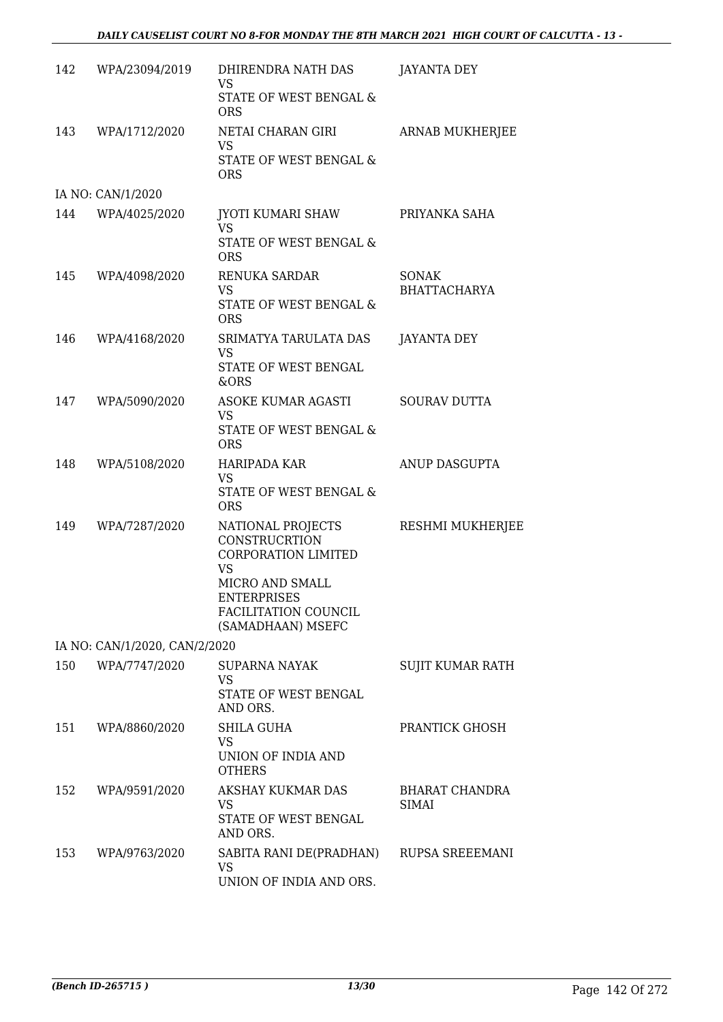| 142 | WPA/23094/2019                | DHIRENDRA NATH DAS<br><b>VS</b><br>STATE OF WEST BENGAL &                                                                                                           | <b>JAYANTA DEY</b>           |
|-----|-------------------------------|---------------------------------------------------------------------------------------------------------------------------------------------------------------------|------------------------------|
|     |                               | <b>ORS</b>                                                                                                                                                          |                              |
| 143 | WPA/1712/2020                 | NETAI CHARAN GIRI<br>VS<br>STATE OF WEST BENGAL &                                                                                                                   | ARNAB MUKHERJEE              |
|     |                               | <b>ORS</b>                                                                                                                                                          |                              |
|     | IA NO: CAN/1/2020             |                                                                                                                                                                     |                              |
| 144 | WPA/4025/2020                 | JYOTI KUMARI SHAW<br>VS<br>STATE OF WEST BENGAL &                                                                                                                   | PRIYANKA SAHA                |
|     |                               | <b>ORS</b>                                                                                                                                                          |                              |
| 145 | WPA/4098/2020                 | RENUKA SARDAR<br><b>VS</b><br>STATE OF WEST BENGAL &                                                                                                                | SONAK<br><b>BHATTACHARYA</b> |
|     |                               | <b>ORS</b>                                                                                                                                                          |                              |
| 146 | WPA/4168/2020                 | SRIMATYA TARULATA DAS<br><b>VS</b><br>STATE OF WEST BENGAL<br>&ORS                                                                                                  | <b>JAYANTA DEY</b>           |
| 147 | WPA/5090/2020                 | ASOKE KUMAR AGASTI<br>VS<br>STATE OF WEST BENGAL &                                                                                                                  | <b>SOURAV DUTTA</b>          |
|     |                               | <b>ORS</b>                                                                                                                                                          |                              |
| 148 | WPA/5108/2020                 | HARIPADA KAR<br><b>VS</b><br>STATE OF WEST BENGAL &<br><b>ORS</b>                                                                                                   | ANUP DASGUPTA                |
| 149 | WPA/7287/2020                 | NATIONAL PROJECTS<br>CONSTRUCRTION<br><b>CORPORATION LIMITED</b><br><b>VS</b><br>MICRO AND SMALL<br><b>ENTERPRISES</b><br>FACILITATION COUNCIL<br>(SAMADHAAN) MSEFC | RESHMI MUKHERJEE             |
|     | IA NO: CAN/1/2020, CAN/2/2020 |                                                                                                                                                                     |                              |
| 150 | WPA/7747/2020                 | <b>SUPARNA NAYAK</b><br>VS<br>STATE OF WEST BENGAL<br>AND ORS.                                                                                                      | SUJIT KUMAR RATH             |
| 151 | WPA/8860/2020                 | <b>SHILA GUHA</b><br><b>VS</b><br>UNION OF INDIA AND<br><b>OTHERS</b>                                                                                               | PRANTICK GHOSH               |
| 152 | WPA/9591/2020                 | AKSHAY KUKMAR DAS<br>VS.<br>STATE OF WEST BENGAL<br>AND ORS.                                                                                                        | BHARAT CHANDRA<br>SIMAI      |
| 153 | WPA/9763/2020                 | SABITA RANI DE(PRADHAN)<br>VS<br>UNION OF INDIA AND ORS.                                                                                                            | RUPSA SREEEMANI              |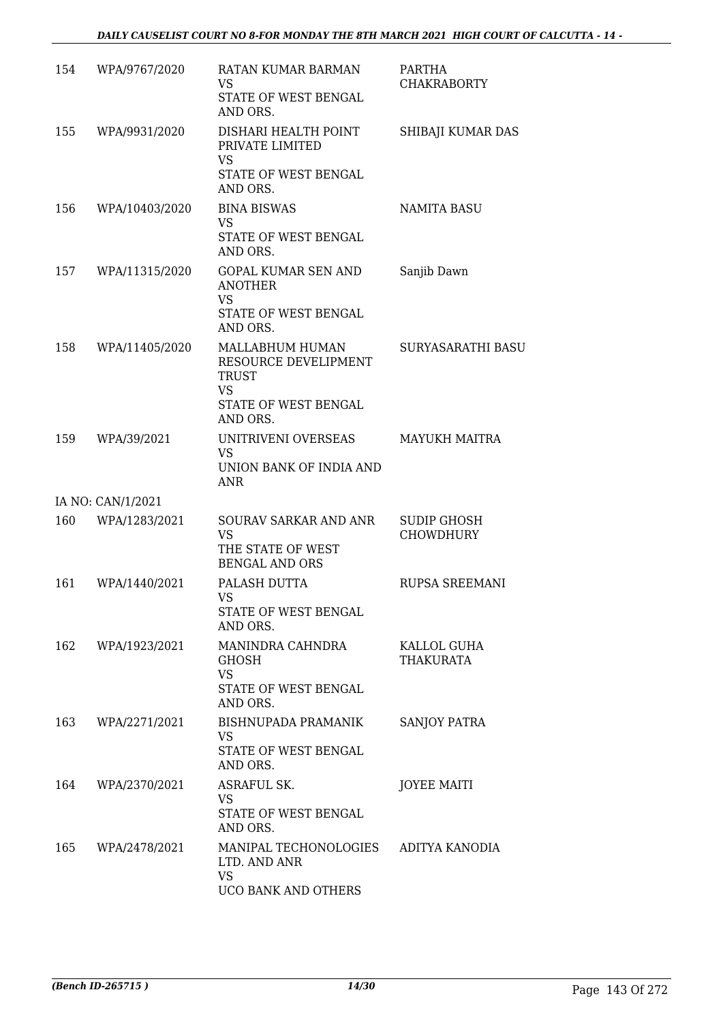| 154 | WPA/9767/2020     | RATAN KUMAR BARMAN<br><b>VS</b><br>STATE OF WEST BENGAL<br>AND ORS.               | PARTHA<br><b>CHAKRABORTY</b>           |
|-----|-------------------|-----------------------------------------------------------------------------------|----------------------------------------|
| 155 | WPA/9931/2020     | DISHARI HEALTH POINT<br>PRIVATE LIMITED<br><b>VS</b><br>STATE OF WEST BENGAL      | SHIBAJI KUMAR DAS                      |
|     |                   | AND ORS.                                                                          |                                        |
| 156 | WPA/10403/2020    | <b>BINA BISWAS</b><br><b>VS</b><br>STATE OF WEST BENGAL<br>AND ORS.               | NAMITA BASU                            |
| 157 | WPA/11315/2020    | <b>GOPAL KUMAR SEN AND</b><br><b>ANOTHER</b><br><b>VS</b>                         | Sanjib Dawn                            |
|     |                   | STATE OF WEST BENGAL<br>AND ORS.                                                  |                                        |
| 158 | WPA/11405/2020    | MALLABHUM HUMAN<br>RESOURCE DEVELIPMENT<br><b>TRUST</b><br><b>VS</b>              | SURYASARATHI BASU                      |
|     |                   | STATE OF WEST BENGAL<br>AND ORS.                                                  |                                        |
| 159 | WPA/39/2021       | UNITRIVENI OVERSEAS<br><b>VS</b><br>UNION BANK OF INDIA AND                       | <b>MAYUKH MAITRA</b>                   |
|     |                   | <b>ANR</b>                                                                        |                                        |
|     | IA NO: CAN/1/2021 |                                                                                   |                                        |
| 160 | WPA/1283/2021     | SOURAV SARKAR AND ANR<br><b>VS</b><br>THE STATE OF WEST<br><b>BENGAL AND ORS</b>  | <b>SUDIP GHOSH</b><br><b>CHOWDHURY</b> |
| 161 | WPA/1440/2021     | PALASH DUTTA<br>VS FOR THE VS<br>STATE OF WEST BENGAL<br>AND ORS.                 | RUPSA SREEMANI                         |
| 162 | WPA/1923/2021     | MANINDRA CAHNDRA<br><b>GHOSH</b><br><b>VS</b><br>STATE OF WEST BENGAL<br>AND ORS. | KALLOL GUHA<br><b>THAKURATA</b>        |
| 163 | WPA/2271/2021     | BISHNUPADA PRAMANIK<br>VS.<br>STATE OF WEST BENGAL<br>AND ORS.                    | <b>SANJOY PATRA</b>                    |
| 164 | WPA/2370/2021     | ASRAFUL SK.<br>VS.<br>STATE OF WEST BENGAL<br>AND ORS.                            | <b>JOYEE MAITI</b>                     |
| 165 | WPA/2478/2021     | MANIPAL TECHONOLOGIES ADITYA KANODIA<br>LTD. AND ANR<br>VS<br>UCO BANK AND OTHERS |                                        |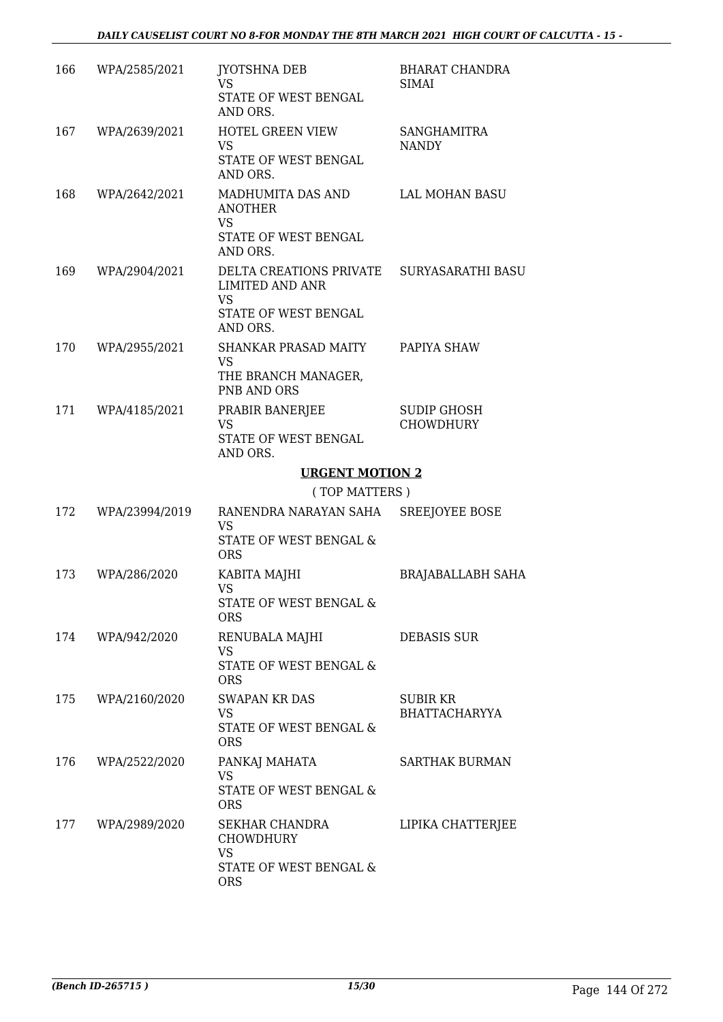| 166 | WPA/2585/2021     | JYOTSHNA DEB<br>VS<br>STATE OF WEST BENGAL<br>AND ORS.                                                        | <b>BHARAT CHANDRA</b><br><b>SIMAI</b>   |
|-----|-------------------|---------------------------------------------------------------------------------------------------------------|-----------------------------------------|
| 167 | WPA/2639/2021     | <b>HOTEL GREEN VIEW</b><br><b>VS</b><br>STATE OF WEST BENGAL<br>AND ORS.                                      | <b>SANGHAMITRA</b><br><b>NANDY</b>      |
| 168 | WPA/2642/2021     | MADHUMITA DAS AND<br><b>ANOTHER</b><br><b>VS</b><br>STATE OF WEST BENGAL                                      | LAL MOHAN BASU                          |
| 169 | WPA/2904/2021     | AND ORS.<br>DELTA CREATIONS PRIVATE SURYASARATHI BASU<br>LIMITED AND ANR<br><b>VS</b><br>STATE OF WEST BENGAL |                                         |
| 170 | WPA/2955/2021     | AND ORS.<br>SHANKAR PRASAD MAITY<br>VS<br>THE BRANCH MANAGER,<br>PNB AND ORS                                  | PAPIYA SHAW                             |
| 171 | WPA/4185/2021     | PRABIR BANERJEE<br><b>VS</b><br>STATE OF WEST BENGAL<br>AND ORS.                                              | <b>SUDIP GHOSH</b><br><b>CHOWDHURY</b>  |
|     |                   | <b>URGENT MOTION 2</b>                                                                                        |                                         |
|     |                   | (TOP MATTERS)                                                                                                 |                                         |
| 172 | WPA/23994/2019    | RANENDRA NARAYAN SAHA<br><b>VS</b><br>STATE OF WEST BENGAL &<br><b>ORS</b>                                    | SREEJOYEE BOSE                          |
| 173 | WPA/286/2020      | KABITA MAJHI<br><b>VS</b><br>STATE OF WEST BENGAL &<br><b>ORS</b>                                             | BRAJABALLABH SAHA                       |
|     | 174 WPA/942/2020  | RENUBALA MAJHI<br><b>VS</b><br>STATE OF WEST BENGAL &<br><b>ORS</b>                                           | <b>DEBASIS SUR</b>                      |
|     | 175 WPA/2160/2020 | <b>SWAPAN KR DAS</b><br><b>VS</b><br>STATE OF WEST BENGAL &<br><b>ORS</b>                                     | <b>SUBIR KR</b><br><b>BHATTACHARYYA</b> |
| 176 | WPA/2522/2020     | PANKAJ MAHATA<br><b>VS</b><br>STATE OF WEST BENGAL &                                                          | <b>SARTHAK BURMAN</b>                   |
|     |                   | <b>ORS</b>                                                                                                    |                                         |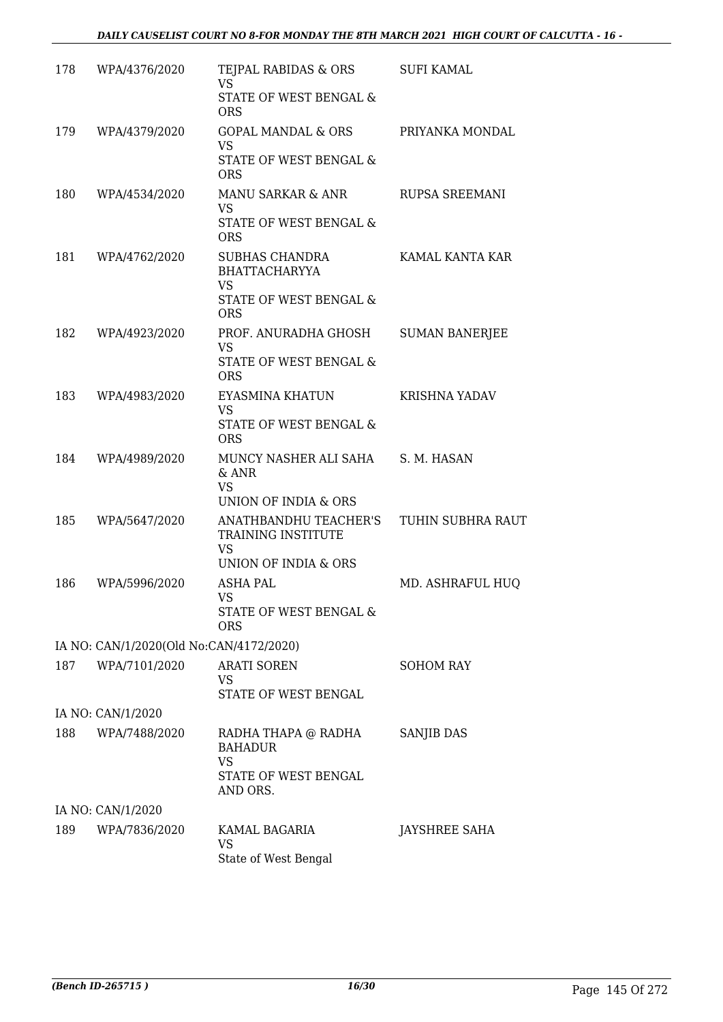| 178 | WPA/4376/2020                           | TEJPAL RABIDAS & ORS<br><b>VS</b>                          | <b>SUFI KAMAL</b>     |
|-----|-----------------------------------------|------------------------------------------------------------|-----------------------|
|     |                                         | STATE OF WEST BENGAL &<br><b>ORS</b>                       |                       |
| 179 | WPA/4379/2020                           | GOPAL MANDAL & ORS<br><b>VS</b>                            | PRIYANKA MONDAL       |
|     |                                         | STATE OF WEST BENGAL &<br><b>ORS</b>                       |                       |
| 180 | WPA/4534/2020                           | MANU SARKAR & ANR<br><b>VS</b>                             | RUPSA SREEMANI        |
|     |                                         | STATE OF WEST BENGAL &<br><b>ORS</b>                       |                       |
| 181 | WPA/4762/2020                           | <b>SUBHAS CHANDRA</b><br><b>BHATTACHARYYA</b><br><b>VS</b> | KAMAL KANTA KAR       |
|     |                                         | STATE OF WEST BENGAL &<br><b>ORS</b>                       |                       |
| 182 | WPA/4923/2020                           | PROF. ANURADHA GHOSH<br><b>VS</b>                          | <b>SUMAN BANERJEE</b> |
|     |                                         | STATE OF WEST BENGAL &<br><b>ORS</b>                       |                       |
| 183 | WPA/4983/2020                           | EYASMINA KHATUN<br><b>VS</b>                               | <b>KRISHNA YADAV</b>  |
|     |                                         | STATE OF WEST BENGAL &<br><b>ORS</b>                       |                       |
| 184 | WPA/4989/2020                           | MUNCY NASHER ALI SAHA<br>& ANR<br><b>VS</b>                | S. M. HASAN           |
| 185 | WPA/5647/2020                           | UNION OF INDIA & ORS<br>ANATHBANDHU TEACHER'S              | TUHIN SUBHRA RAUT     |
|     |                                         | TRAINING INSTITUTE<br><b>VS</b><br>UNION OF INDIA & ORS    |                       |
| 186 | WPA/5996/2020                           | <b>ASHA PAL</b>                                            | MD. ASHRAFUL HUQ      |
|     |                                         | VS.<br>STATE OF WEST BENGAL &<br><b>ORS</b>                |                       |
|     | IA NO: CAN/1/2020(Old No:CAN/4172/2020) |                                                            |                       |
| 187 | WPA/7101/2020                           | <b>ARATI SOREN</b><br>VS<br>STATE OF WEST BENGAL           | <b>SOHOM RAY</b>      |
|     | IA NO: CAN/1/2020                       |                                                            |                       |
| 188 | WPA/7488/2020                           | RADHA THAPA @ RADHA<br><b>BAHADUR</b><br>VS                | SANJIB DAS            |
|     |                                         | STATE OF WEST BENGAL<br>AND ORS.                           |                       |
|     | IA NO: CAN/1/2020                       |                                                            |                       |
| 189 | WPA/7836/2020                           | KAMAL BAGARIA<br><b>VS</b><br>State of West Bengal         | JAYSHREE SAHA         |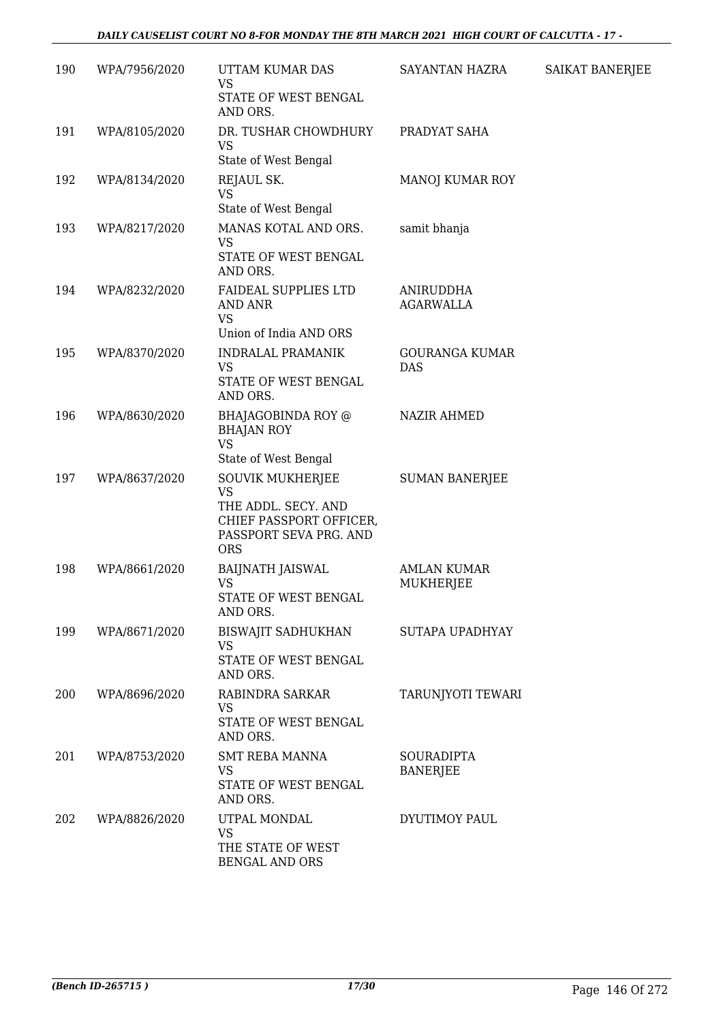| 190 | WPA/7956/2020 | UTTAM KUMAR DAS<br>VS<br>STATE OF WEST BENGAL                                          | SAYANTAN HAZRA                | SAIKAT BANERJEE |
|-----|---------------|----------------------------------------------------------------------------------------|-------------------------------|-----------------|
|     |               | AND ORS.                                                                               |                               |                 |
| 191 | WPA/8105/2020 | DR. TUSHAR CHOWDHURY<br><b>VS</b><br>State of West Bengal                              | PRADYAT SAHA                  |                 |
|     |               |                                                                                        |                               |                 |
| 192 | WPA/8134/2020 | REJAUL SK.<br>VS<br>State of West Bengal                                               | MANOJ KUMAR ROY               |                 |
| 193 | WPA/8217/2020 | MANAS KOTAL AND ORS.                                                                   | samit bhanja                  |                 |
|     |               | VS<br>STATE OF WEST BENGAL<br>AND ORS.                                                 |                               |                 |
| 194 | WPA/8232/2020 | <b>FAIDEAL SUPPLIES LTD</b><br><b>AND ANR</b><br><b>VS</b>                             | ANIRUDDHA<br><b>AGARWALLA</b> |                 |
|     |               | Union of India AND ORS                                                                 |                               |                 |
| 195 | WPA/8370/2020 | <b>INDRALAL PRAMANIK</b><br><b>VS</b><br>STATE OF WEST BENGAL                          | GOURANGA KUMAR<br>DAS         |                 |
|     |               | AND ORS.                                                                               |                               |                 |
| 196 | WPA/8630/2020 | BHAJAGOBINDA ROY @<br><b>BHAJAN ROY</b><br><b>VS</b>                                   | <b>NAZIR AHMED</b>            |                 |
|     |               | State of West Bengal                                                                   |                               |                 |
| 197 | WPA/8637/2020 | <b>SOUVIK MUKHERJEE</b><br><b>VS</b>                                                   | <b>SUMAN BANERJEE</b>         |                 |
|     |               | THE ADDL. SECY. AND<br>CHIEF PASSPORT OFFICER,<br>PASSPORT SEVA PRG. AND<br><b>ORS</b> |                               |                 |
| 198 | WPA/8661/2020 | <b>BAIJNATH JAISWAL</b>                                                                | <b>AMLAN KUMAR</b>            |                 |
|     |               | <b>VS</b><br>STATE OF WEST BENGAL<br>AND ORS.                                          | MUKHERJEE                     |                 |
| 199 | WPA/8671/2020 | <b>BISWAJIT SADHUKHAN</b>                                                              | <b>SUTAPA UPADHYAY</b>        |                 |
|     |               | <b>VS</b>                                                                              |                               |                 |
|     |               | STATE OF WEST BENGAL<br>AND ORS.                                                       |                               |                 |
| 200 | WPA/8696/2020 | RABINDRA SARKAR<br>VS                                                                  | TARUNJYOTI TEWARI             |                 |
|     |               | STATE OF WEST BENGAL<br>AND ORS.                                                       |                               |                 |
| 201 | WPA/8753/2020 | <b>SMT REBA MANNA</b>                                                                  | <b>SOURADIPTA</b>             |                 |
|     |               | <b>VS</b><br>STATE OF WEST BENGAL<br>AND ORS.                                          | <b>BANERJEE</b>               |                 |
| 202 | WPA/8826/2020 | UTPAL MONDAL<br><b>VS</b>                                                              | DYUTIMOY PAUL                 |                 |
|     |               | THE STATE OF WEST<br><b>BENGAL AND ORS</b>                                             |                               |                 |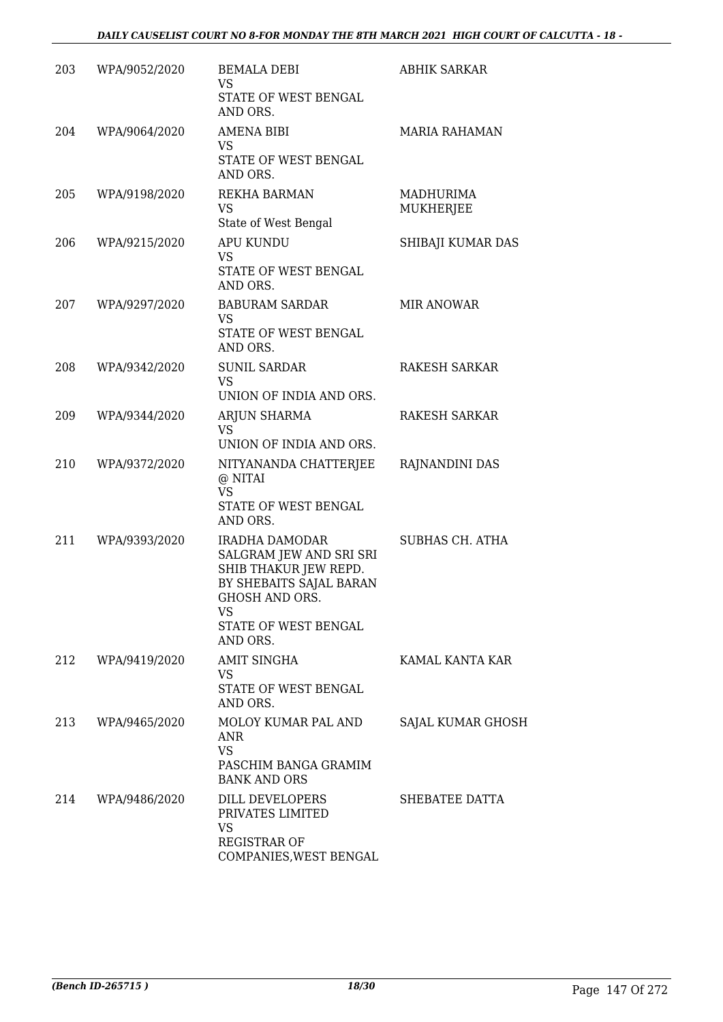| 203 | WPA/9052/2020 | <b>BEMALA DEBI</b><br><b>VS</b><br>STATE OF WEST BENGAL<br>AND ORS.                                                                                                     | <b>ABHIK SARKAR</b>    |
|-----|---------------|-------------------------------------------------------------------------------------------------------------------------------------------------------------------------|------------------------|
| 204 | WPA/9064/2020 | <b>AMENA BIBI</b><br>VS<br>STATE OF WEST BENGAL<br>AND ORS.                                                                                                             | <b>MARIA RAHAMAN</b>   |
| 205 | WPA/9198/2020 | <b>REKHA BARMAN</b><br><b>VS</b><br>State of West Bengal                                                                                                                | MADHURIMA<br>MUKHERJEE |
| 206 | WPA/9215/2020 | <b>APU KUNDU</b><br>VS<br>STATE OF WEST BENGAL<br>AND ORS.                                                                                                              | SHIBAJI KUMAR DAS      |
| 207 | WPA/9297/2020 | <b>BABURAM SARDAR</b><br>VS<br>STATE OF WEST BENGAL<br>AND ORS.                                                                                                         | <b>MIR ANOWAR</b>      |
| 208 | WPA/9342/2020 | <b>SUNIL SARDAR</b><br>VS<br>UNION OF INDIA AND ORS.                                                                                                                    | <b>RAKESH SARKAR</b>   |
| 209 | WPA/9344/2020 | ARJUN SHARMA<br>VS.<br>UNION OF INDIA AND ORS.                                                                                                                          | RAKESH SARKAR          |
| 210 | WPA/9372/2020 | NITYANANDA CHATTERJEE<br>@ NITAI<br><b>VS</b><br>STATE OF WEST BENGAL<br>AND ORS.                                                                                       | RAJNANDINI DAS         |
| 211 | WPA/9393/2020 | <b>IRADHA DAMODAR</b><br>SALGRAM JEW AND SRI SRI<br>SHIB THAKUR JEW REPD.<br>BY SHEBAITS SAJAL BARAN<br><b>GHOSH AND ORS.</b><br>VS<br>STATE OF WEST BENGAL<br>AND ORS. | <b>SUBHAS CH. ATHA</b> |
| 212 | WPA/9419/2020 | <b>AMIT SINGHA</b><br>VS<br>STATE OF WEST BENGAL<br>AND ORS.                                                                                                            | KAMAL KANTA KAR        |
| 213 | WPA/9465/2020 | MOLOY KUMAR PAL AND<br>ANR<br><b>VS</b><br>PASCHIM BANGA GRAMIM<br><b>BANK AND ORS</b>                                                                                  | SAJAL KUMAR GHOSH      |
| 214 | WPA/9486/2020 | DILL DEVELOPERS<br>PRIVATES LIMITED<br><b>VS</b><br><b>REGISTRAR OF</b><br>COMPANIES, WEST BENGAL                                                                       | SHEBATEE DATTA         |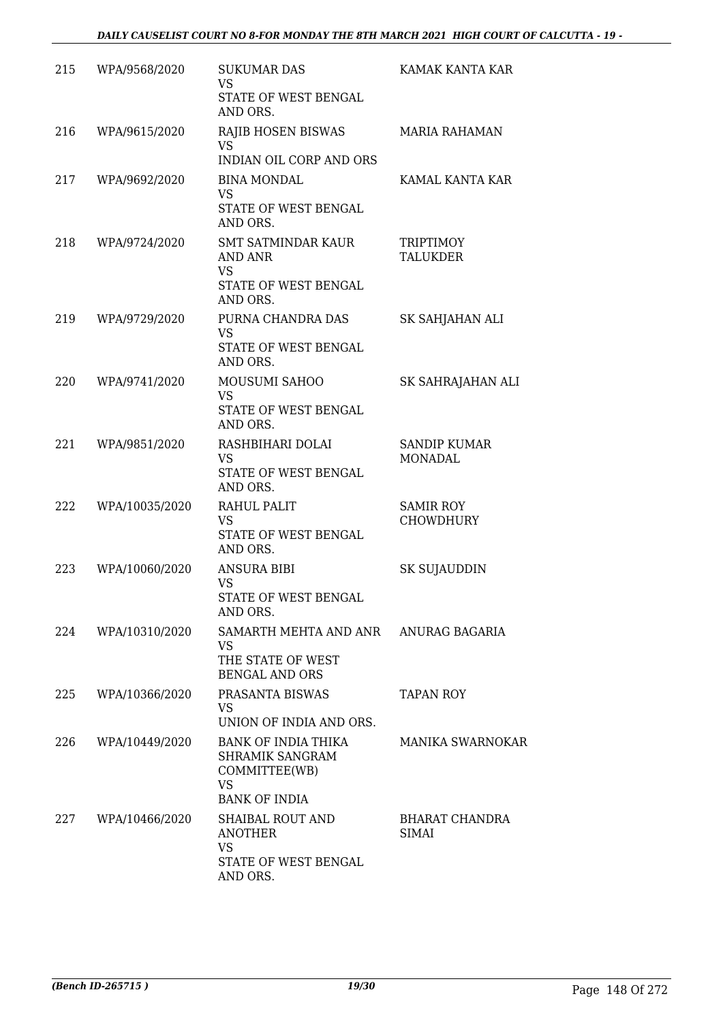| 215 | WPA/9568/2020  | <b>SUKUMAR DAS</b><br>VS<br>STATE OF WEST BENGAL<br>AND ORS.                             | KAMAK KANTA KAR                      |
|-----|----------------|------------------------------------------------------------------------------------------|--------------------------------------|
| 216 | WPA/9615/2020  | RAJIB HOSEN BISWAS<br><b>VS</b><br><b>INDIAN OIL CORP AND ORS</b>                        | <b>MARIA RAHAMAN</b>                 |
| 217 | WPA/9692/2020  | <b>BINA MONDAL</b><br><b>VS</b><br>STATE OF WEST BENGAL<br>AND ORS.                      | KAMAL KANTA KAR                      |
| 218 | WPA/9724/2020  | <b>SMT SATMINDAR KAUR</b><br>AND ANR<br><b>VS</b><br>STATE OF WEST BENGAL<br>AND ORS.    | <b>TRIPTIMOY</b><br><b>TALUKDER</b>  |
| 219 | WPA/9729/2020  | PURNA CHANDRA DAS<br><b>VS</b><br>STATE OF WEST BENGAL<br>AND ORS.                       | SK SAHJAHAN ALI                      |
| 220 | WPA/9741/2020  | MOUSUMI SAHOO<br><b>VS</b><br>STATE OF WEST BENGAL<br>AND ORS.                           | SK SAHRAJAHAN ALI                    |
| 221 | WPA/9851/2020  | RASHBIHARI DOLAI<br>VS<br>STATE OF WEST BENGAL<br>AND ORS.                               | <b>SANDIP KUMAR</b><br>MONADAL       |
| 222 | WPA/10035/2020 | <b>RAHUL PALIT</b><br>VS<br>STATE OF WEST BENGAL<br>AND ORS.                             | <b>SAMIR ROY</b><br><b>CHOWDHURY</b> |
| 223 | WPA/10060/2020 | <b>ANSURA BIBI</b><br><b>VS</b><br>STATE OF WEST BENGAL<br>AND ORS.                      | SK SUJAUDDIN                         |
| 224 | WPA/10310/2020 | SAMARTH MEHTA AND ANR ANURAG BAGARIA<br>VS<br>THE STATE OF WEST<br><b>BENGAL AND ORS</b> |                                      |
| 225 | WPA/10366/2020 | PRASANTA BISWAS<br>VS<br>UNION OF INDIA AND ORS.                                         | <b>TAPAN ROY</b>                     |
| 226 | WPA/10449/2020 | BANK OF INDIA THIKA<br>SHRAMIK SANGRAM<br>COMMITTEE(WB)<br>VS<br><b>BANK OF INDIA</b>    | <b>MANIKA SWARNOKAR</b>              |
| 227 | WPA/10466/2020 | SHAIBAL ROUT AND<br><b>ANOTHER</b><br>VS<br>STATE OF WEST BENGAL<br>AND ORS.             | BHARAT CHANDRA<br>SIMAI              |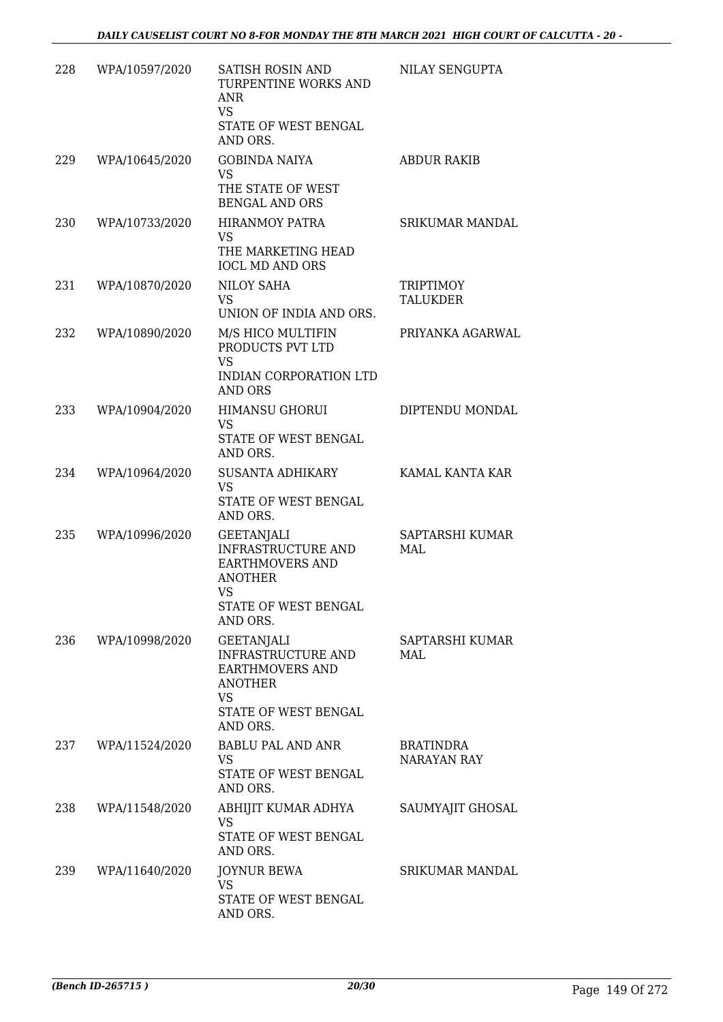| 228 | WPA/10597/2020 | SATISH ROSIN AND<br>TURPENTINE WORKS AND<br><b>ANR</b><br><b>VS</b><br>STATE OF WEST BENGAL<br>AND ORS.                              | NILAY SENGUPTA                  |
|-----|----------------|--------------------------------------------------------------------------------------------------------------------------------------|---------------------------------|
| 229 | WPA/10645/2020 | <b>GOBINDA NAIYA</b><br>VS<br>THE STATE OF WEST<br><b>BENGAL AND ORS</b>                                                             | <b>ABDUR RAKIB</b>              |
| 230 | WPA/10733/2020 | <b>HIRANMOY PATRA</b><br><b>VS</b><br>THE MARKETING HEAD<br><b>IOCL MD AND ORS</b>                                                   | <b>SRIKUMAR MANDAL</b>          |
| 231 | WPA/10870/2020 | NILOY SAHA<br><b>VS</b><br>UNION OF INDIA AND ORS.                                                                                   | TRIPTIMOY<br><b>TALUKDER</b>    |
| 232 | WPA/10890/2020 | M/S HICO MULTIFIN<br>PRODUCTS PVT LTD<br><b>VS</b><br><b>INDIAN CORPORATION LTD</b><br>AND ORS                                       | PRIYANKA AGARWAL                |
| 233 | WPA/10904/2020 | <b>HIMANSU GHORUI</b><br><b>VS</b><br>STATE OF WEST BENGAL<br>AND ORS.                                                               | DIPTENDU MONDAL                 |
| 234 | WPA/10964/2020 | SUSANTA ADHIKARY<br><b>VS</b><br>STATE OF WEST BENGAL<br>AND ORS.                                                                    | KAMAL KANTA KAR                 |
| 235 | WPA/10996/2020 | <b>GEETANJALI</b><br><b>INFRASTRUCTURE AND</b><br><b>EARTHMOVERS AND</b><br><b>ANOTHER</b><br>VS<br>STATE OF WEST BENGAL<br>AND ORS. | SAPTARSHI KUMAR<br>MAL          |
| 236 | WPA/10998/2020 | <b>GEETANJALI</b><br>INFRASTRUCTURE AND<br><b>EARTHMOVERS AND</b><br><b>ANOTHER</b><br><b>VS</b><br>STATE OF WEST BENGAL<br>AND ORS. | SAPTARSHI KUMAR<br>MAL          |
| 237 | WPA/11524/2020 | <b>BABLU PAL AND ANR</b><br>VS<br>STATE OF WEST BENGAL<br>AND ORS.                                                                   | BRATINDRA<br><b>NARAYAN RAY</b> |
| 238 | WPA/11548/2020 | ABHIJIT KUMAR ADHYA<br>VS<br>STATE OF WEST BENGAL<br>AND ORS.                                                                        | SAUMYAJIT GHOSAL                |
| 239 | WPA/11640/2020 | <b>JOYNUR BEWA</b><br>VS.<br>STATE OF WEST BENGAL<br>AND ORS.                                                                        | <b>SRIKUMAR MANDAL</b>          |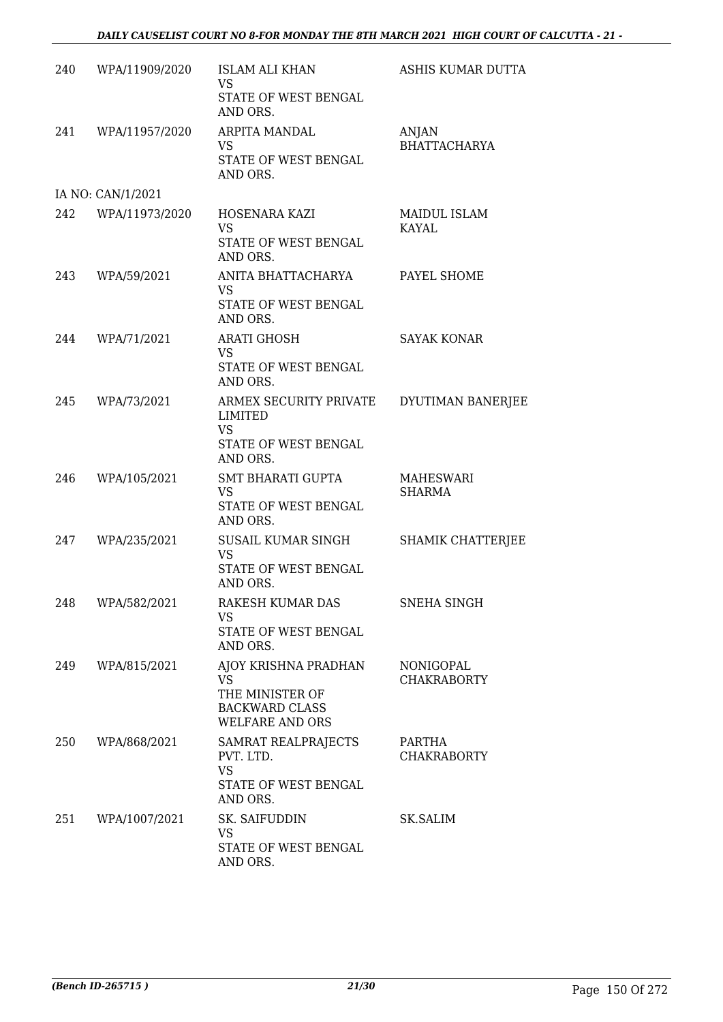#### *DAILY CAUSELIST COURT NO 8-FOR MONDAY THE 8TH MARCH 2021 HIGH COURT OF CALCUTTA - 21 -*

| 240 | WPA/11909/2020     | <b>ISLAM ALI KHAN</b><br><b>VS</b>                                 | ASHIS KUMAR DUTTA               |
|-----|--------------------|--------------------------------------------------------------------|---------------------------------|
|     |                    | STATE OF WEST BENGAL<br>AND ORS.                                   |                                 |
| 241 | WPA/11957/2020     | ARPITA MANDAL<br>VS                                                | ANJAN<br><b>BHATTACHARYA</b>    |
|     |                    | STATE OF WEST BENGAL<br>AND ORS.                                   |                                 |
|     | IA NO: CAN/1/2021  |                                                                    |                                 |
|     | 242 WPA/11973/2020 | HOSENARA KAZI<br><b>VS</b><br>STATE OF WEST BENGAL<br>AND ORS.     | MAIDUL ISLAM<br>KAYAL           |
| 243 | WPA/59/2021        | ANITA BHATTACHARYA<br>VS<br>STATE OF WEST BENGAL                   | PAYEL SHOME                     |
|     |                    | AND ORS.                                                           |                                 |
| 244 | WPA/71/2021        | <b>ARATI GHOSH</b><br><b>VS</b><br>STATE OF WEST BENGAL            | <b>SAYAK KONAR</b>              |
|     |                    | AND ORS.                                                           |                                 |
| 245 | WPA/73/2021        | ARMEX SECURITY PRIVATE<br>LIMITED<br><b>VS</b>                     | DYUTIMAN BANERJEE               |
|     |                    | STATE OF WEST BENGAL<br>AND ORS.                                   |                                 |
| 246 | WPA/105/2021       | SMT BHARATI GUPTA<br><b>VS</b>                                     | MAHESWARI<br><b>SHARMA</b>      |
|     |                    | STATE OF WEST BENGAL<br>AND ORS.                                   |                                 |
| 247 | WPA/235/2021       | SUSAIL KUMAR SINGH<br><b>VS</b>                                    | SHAMIK CHATTERJEE               |
|     |                    | STATE OF WEST BENGAL<br>AND ORS.                                   |                                 |
|     | 248 WPA/582/2021   | RAKESH KUMAR DAS<br>VS.                                            | SNEHA SINGH                     |
|     |                    | STATE OF WEST BENGAL<br>AND ORS.                                   |                                 |
| 249 | WPA/815/2021       | AJOY KRISHNA PRADHAN<br><b>VS</b>                                  | NONIGOPAL<br><b>CHAKRABORTY</b> |
|     |                    | THE MINISTER OF<br><b>BACKWARD CLASS</b><br><b>WELFARE AND ORS</b> |                                 |
| 250 | WPA/868/2021       | SAMRAT REALPRAJECTS<br>PVT. LTD.<br><b>VS</b>                      | PARTHA<br><b>CHAKRABORTY</b>    |
|     |                    | STATE OF WEST BENGAL<br>AND ORS.                                   |                                 |
| 251 | WPA/1007/2021      | SK. SAIFUDDIN<br><b>VS</b>                                         | SK.SALIM                        |
|     |                    | STATE OF WEST BENGAL<br>AND ORS.                                   |                                 |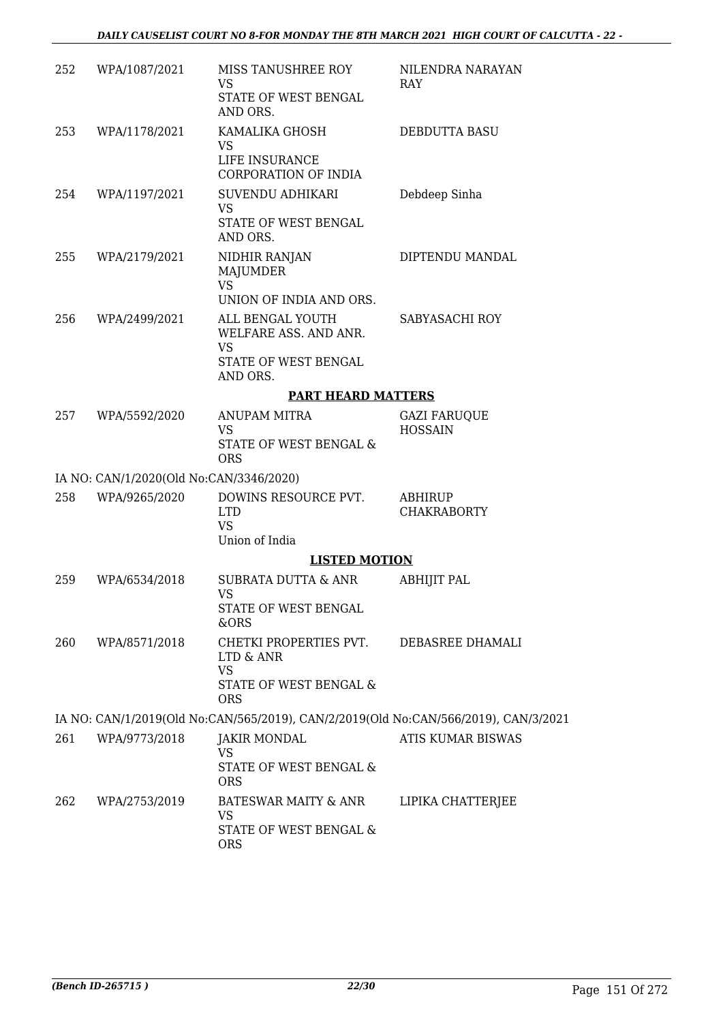| 252 | WPA/1087/2021                           | MISS TANUSHREE ROY<br><b>VS</b><br>STATE OF WEST BENGAL                                    | NILENDRA NARAYAN<br><b>RAY</b>        |
|-----|-----------------------------------------|--------------------------------------------------------------------------------------------|---------------------------------------|
| 253 | WPA/1178/2021                           | AND ORS.<br>KAMALIKA GHOSH<br>VS.<br>LIFE INSURANCE                                        | DEBDUTTA BASU                         |
| 254 | WPA/1197/2021                           | CORPORATION OF INDIA<br>SUVENDU ADHIKARI<br>VS.<br>STATE OF WEST BENGAL<br>AND ORS.        | Debdeep Sinha                         |
| 255 | WPA/2179/2021                           | NIDHIR RANJAN<br>MAJUMDER<br><b>VS</b>                                                     | DIPTENDU MANDAL                       |
|     |                                         | UNION OF INDIA AND ORS.                                                                    |                                       |
| 256 | WPA/2499/2021                           | ALL BENGAL YOUTH<br>WELFARE ASS. AND ANR.<br><b>VS</b><br>STATE OF WEST BENGAL<br>AND ORS. | SABYASACHI ROY                        |
|     |                                         | <b>PART HEARD MATTERS</b>                                                                  |                                       |
| 257 | WPA/5592/2020                           | ANUPAM MITRA<br><b>VS</b><br>STATE OF WEST BENGAL &<br><b>ORS</b>                          | <b>GAZI FARUQUE</b><br><b>HOSSAIN</b> |
|     | IA NO: CAN/1/2020(Old No:CAN/3346/2020) |                                                                                            |                                       |
| 258 | WPA/9265/2020                           | DOWINS RESOURCE PVT.<br><b>LTD</b><br><b>VS</b><br>Union of India                          | ABHIRUP<br><b>CHAKRABORTY</b>         |
|     |                                         | <b>LISTED MOTION</b>                                                                       |                                       |
| 259 | WPA/6534/2018                           | SUBRATA DUTTA & ANR<br>VS<br>STATE OF WEST BENGAL<br>&ORS                                  | ABHIJIT PAL                           |
| 260 | WPA/8571/2018                           | CHETKI PROPERTIES PVT.<br>LTD & ANR<br><b>VS</b><br>STATE OF WEST BENGAL &<br><b>ORS</b>   | DEBASREE DHAMALI                      |
|     |                                         | IA NO: CAN/1/2019(Old No:CAN/565/2019), CAN/2/2019(Old No:CAN/566/2019), CAN/3/2021        |                                       |
| 261 | WPA/9773/2018                           | <b>JAKIR MONDAL</b>                                                                        | <b>ATIS KUMAR BISWAS</b>              |
|     |                                         | <b>VS</b><br>STATE OF WEST BENGAL &<br><b>ORS</b>                                          |                                       |
| 262 | WPA/2753/2019                           | BATESWAR MAITY & ANR<br>VS<br>STATE OF WEST BENGAL &<br><b>ORS</b>                         | LIPIKA CHATTERJEE                     |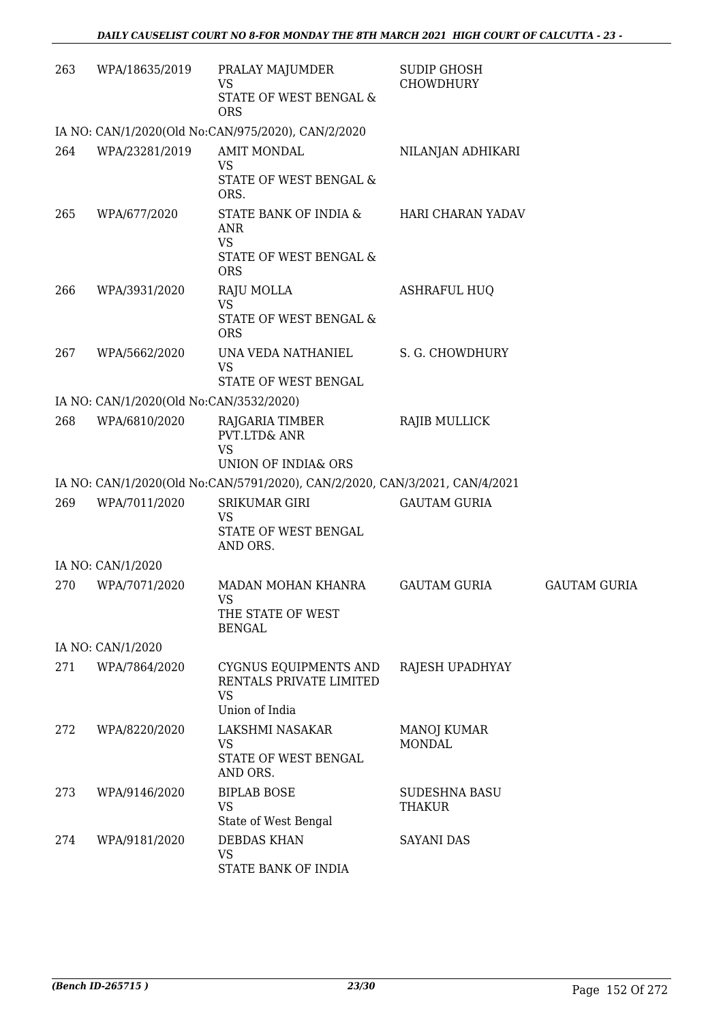| 263 | WPA/18635/2019                          | PRALAY MAJUMDER<br><b>VS</b>                                                | <b>SUDIP GHOSH</b><br><b>CHOWDHURY</b> |                     |
|-----|-----------------------------------------|-----------------------------------------------------------------------------|----------------------------------------|---------------------|
|     |                                         | STATE OF WEST BENGAL &<br><b>ORS</b>                                        |                                        |                     |
|     |                                         | IA NO: CAN/1/2020(Old No:CAN/975/2020), CAN/2/2020                          |                                        |                     |
| 264 | WPA/23281/2019                          | <b>AMIT MONDAL</b><br><b>VS</b><br>STATE OF WEST BENGAL &                   | NILANJAN ADHIKARI                      |                     |
| 265 | WPA/677/2020                            | ORS.<br>STATE BANK OF INDIA &<br><b>ANR</b><br><b>VS</b>                    | HARI CHARAN YADAV                      |                     |
|     |                                         | STATE OF WEST BENGAL &<br><b>ORS</b>                                        |                                        |                     |
| 266 | WPA/3931/2020                           | RAJU MOLLA<br><b>VS</b><br>STATE OF WEST BENGAL &<br><b>ORS</b>             | <b>ASHRAFUL HUQ</b>                    |                     |
| 267 | WPA/5662/2020                           | UNA VEDA NATHANIEL<br><b>VS</b><br>STATE OF WEST BENGAL                     | S. G. CHOWDHURY                        |                     |
|     | IA NO: CAN/1/2020(Old No:CAN/3532/2020) |                                                                             |                                        |                     |
| 268 | WPA/6810/2020                           | RAJGARIA TIMBER<br>PVT.LTD& ANR<br><b>VS</b>                                | RAJIB MULLICK                          |                     |
|     |                                         | UNION OF INDIA& ORS                                                         |                                        |                     |
|     |                                         | IA NO: CAN/1/2020(Old No:CAN/5791/2020), CAN/2/2020, CAN/3/2021, CAN/4/2021 |                                        |                     |
| 269 | WPA/7011/2020                           | <b>SRIKUMAR GIRI</b><br><b>VS</b><br>STATE OF WEST BENGAL<br>AND ORS.       | <b>GAUTAM GURIA</b>                    |                     |
|     | IA NO: CAN/1/2020                       |                                                                             |                                        |                     |
| 270 | WPA/7071/2020                           | MADAN MOHAN KHANRA<br>VS.<br>THE STATE OF WEST<br><b>BENGAL</b>             | <b>GAUTAM GURIA</b>                    | <b>GAUTAM GURIA</b> |
|     | IA NO: CAN/1/2020                       |                                                                             |                                        |                     |
| 271 | WPA/7864/2020                           | CYGNUS EQUIPMENTS AND<br>RENTALS PRIVATE LIMITED<br><b>VS</b>               | RAJESH UPADHYAY                        |                     |
| 272 | WPA/8220/2020                           | Union of India<br>LAKSHMI NASAKAR<br>VS<br>STATE OF WEST BENGAL<br>AND ORS. | MANOJ KUMAR<br><b>MONDAL</b>           |                     |
| 273 | WPA/9146/2020                           | <b>BIPLAB BOSE</b><br><b>VS</b><br>State of West Bengal                     | <b>SUDESHNA BASU</b><br>THAKUR         |                     |
| 274 | WPA/9181/2020                           | <b>DEBDAS KHAN</b><br>VS<br>STATE BANK OF INDIA                             | <b>SAYANI DAS</b>                      |                     |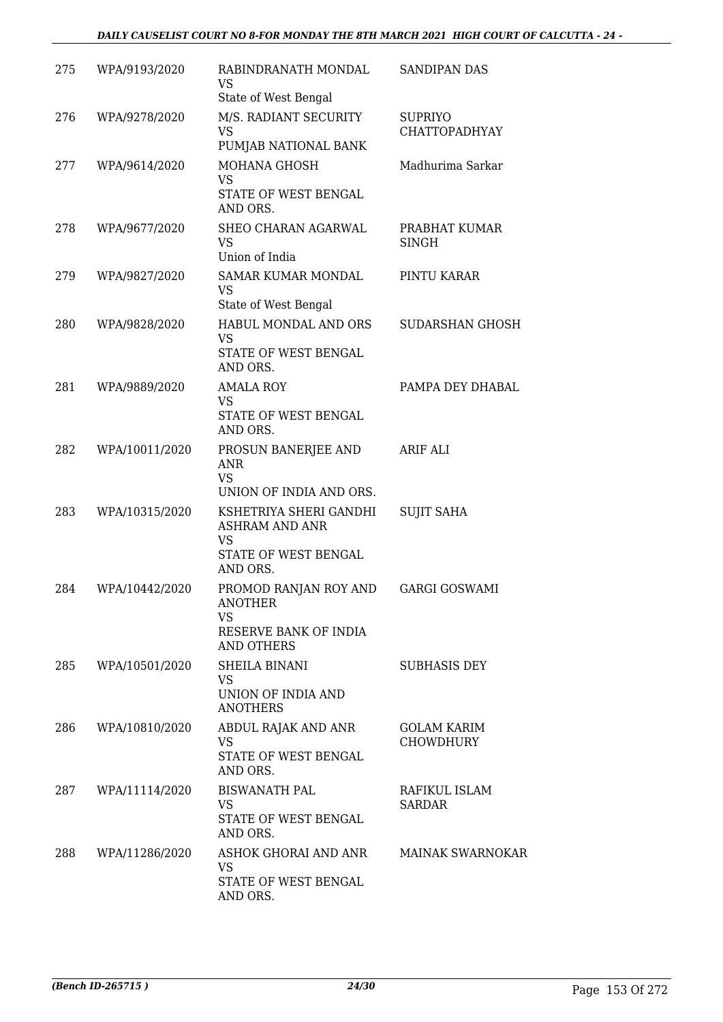#### *DAILY CAUSELIST COURT NO 8-FOR MONDAY THE 8TH MARCH 2021 HIGH COURT OF CALCUTTA - 24 -*

| 275 | WPA/9193/2020  | RABINDRANATH MONDAL<br><b>VS</b>                                                                 | <b>SANDIPAN DAS</b>                    |
|-----|----------------|--------------------------------------------------------------------------------------------------|----------------------------------------|
| 276 | WPA/9278/2020  | State of West Bengal<br>M/S. RADIANT SECURITY<br>VS<br>PUMJAB NATIONAL BANK                      | <b>SUPRIYO</b><br><b>CHATTOPADHYAY</b> |
| 277 | WPA/9614/2020  | MOHANA GHOSH<br><b>VS</b><br>STATE OF WEST BENGAL<br>AND ORS.                                    | Madhurima Sarkar                       |
| 278 | WPA/9677/2020  | SHEO CHARAN AGARWAL<br><b>VS</b><br>Union of India                                               | PRABHAT KUMAR<br><b>SINGH</b>          |
| 279 | WPA/9827/2020  | SAMAR KUMAR MONDAL<br>VS<br>State of West Bengal                                                 | PINTU KARAR                            |
| 280 | WPA/9828/2020  | HABUL MONDAL AND ORS<br><b>VS</b><br>STATE OF WEST BENGAL<br>AND ORS.                            | SUDARSHAN GHOSH                        |
| 281 | WPA/9889/2020  | <b>AMALA ROY</b><br><b>VS</b><br>STATE OF WEST BENGAL<br>AND ORS.                                | PAMPA DEY DHABAL                       |
| 282 | WPA/10011/2020 | PROSUN BANERJEE AND<br>ANR<br><b>VS</b><br>UNION OF INDIA AND ORS.                               | ARIF ALI                               |
| 283 | WPA/10315/2020 | KSHETRIYA SHERI GANDHI<br><b>ASHRAM AND ANR</b><br><b>VS</b><br>STATE OF WEST BENGAL<br>AND ORS. | <b>SUJIT SAHA</b>                      |
| 284 | WPA/10442/2020 | PROMOD RANJAN ROY AND<br><b>ANOTHER</b><br>VS.<br>RESERVE BANK OF INDIA<br>AND OTHERS            | <b>GARGI GOSWAMI</b>                   |
| 285 | WPA/10501/2020 | SHEILA BINANI<br>VS<br>UNION OF INDIA AND<br><b>ANOTHERS</b>                                     | <b>SUBHASIS DEY</b>                    |
| 286 | WPA/10810/2020 | ABDUL RAJAK AND ANR<br><b>VS</b><br>STATE OF WEST BENGAL<br>AND ORS.                             | <b>GOLAM KARIM</b><br><b>CHOWDHURY</b> |
| 287 | WPA/11114/2020 | <b>BISWANATH PAL</b><br>VS<br>STATE OF WEST BENGAL<br>AND ORS.                                   | RAFIKUL ISLAM<br>SARDAR                |
| 288 | WPA/11286/2020 | ASHOK GHORAI AND ANR<br>VS<br>STATE OF WEST BENGAL<br>AND ORS.                                   | <b>MAINAK SWARNOKAR</b>                |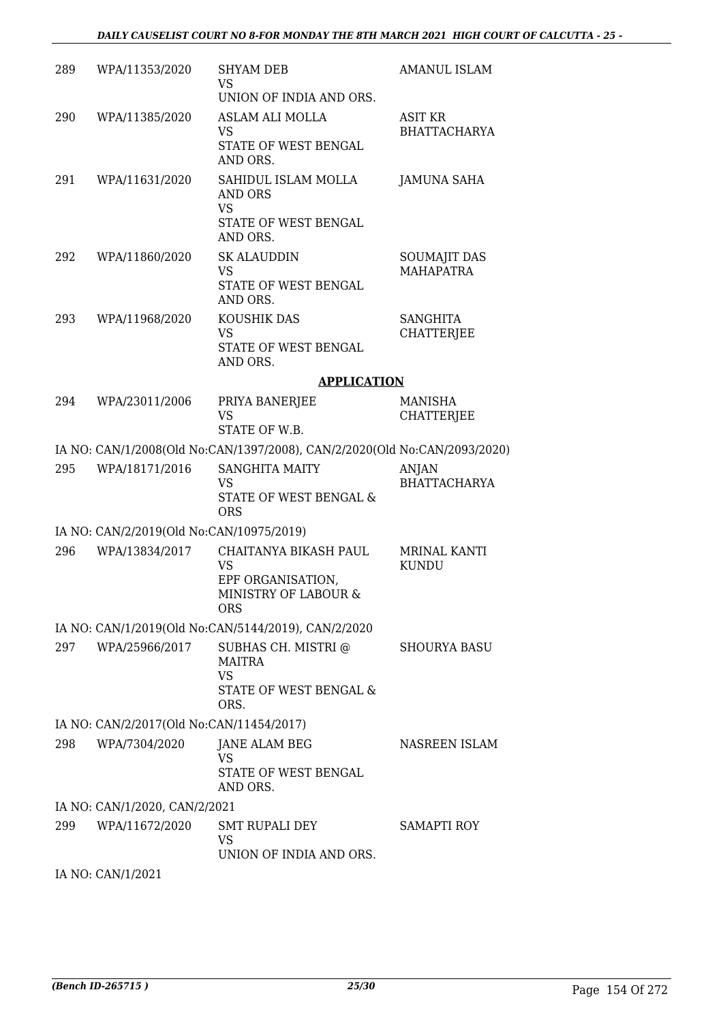| 289 | WPA/11353/2020                           | <b>SHYAM DEB</b><br>VS                                                                     | AMANUL ISLAM                            |
|-----|------------------------------------------|--------------------------------------------------------------------------------------------|-----------------------------------------|
|     |                                          | UNION OF INDIA AND ORS.                                                                    |                                         |
| 290 | WPA/11385/2020                           | ASLAM ALI MOLLA<br><b>VS</b><br>STATE OF WEST BENGAL<br>AND ORS.                           | <b>ASIT KR</b><br><b>BHATTACHARYA</b>   |
| 291 | WPA/11631/2020                           | SAHIDUL ISLAM MOLLA<br>AND ORS                                                             | <b>JAMUNA SAHA</b>                      |
|     |                                          | <b>VS</b><br>STATE OF WEST BENGAL<br>AND ORS.                                              |                                         |
| 292 | WPA/11860/2020                           | <b>SK ALAUDDIN</b><br><b>VS</b><br>STATE OF WEST BENGAL<br>AND ORS.                        | <b>SOUMAJIT DAS</b><br><b>MAHAPATRA</b> |
| 293 | WPA/11968/2020                           | KOUSHIK DAS<br><b>VS</b><br>STATE OF WEST BENGAL<br>AND ORS.                               | <b>SANGHITA</b><br><b>CHATTERJEE</b>    |
|     |                                          | <b>APPLICATION</b>                                                                         |                                         |
| 294 | WPA/23011/2006                           | PRIYA BANERJEE<br><b>VS</b>                                                                | <b>MANISHA</b><br><b>CHATTERJEE</b>     |
|     |                                          | STATE OF W.B.<br>IA NO: CAN/1/2008(Old No:CAN/1397/2008), CAN/2/2020(Old No:CAN/2093/2020) |                                         |
| 295 | WPA/18171/2016                           | <b>SANGHITA MAITY</b>                                                                      | <b>ANJAN</b>                            |
|     |                                          | VS<br>STATE OF WEST BENGAL &<br><b>ORS</b>                                                 | <b>BHATTACHARYA</b>                     |
|     | IA NO: CAN/2/2019(Old No:CAN/10975/2019) |                                                                                            |                                         |
| 296 | WPA/13834/2017                           | CHAITANYA BIKASH PAUL<br><b>VS</b><br>EPF ORGANISATION,                                    | <b>MRINAL KANTI</b><br><b>KUNDU</b>     |
|     |                                          | MINISTRY OF LABOUR &<br><b>ORS</b>                                                         |                                         |
|     |                                          | IA NO: CAN/1/2019(Old No:CAN/5144/2019), CAN/2/2020                                        |                                         |
| 297 | WPA/25966/2017                           | SUBHAS CH. MISTRI @<br><b>MAITRA</b><br><b>VS</b>                                          | SHOURYA BASU                            |
|     |                                          | STATE OF WEST BENGAL &<br>ORS.                                                             |                                         |
|     | IA NO: CAN/2/2017(Old No:CAN/11454/2017) |                                                                                            |                                         |
| 298 | WPA/7304/2020                            | JANE ALAM BEG<br>VS<br>STATE OF WEST BENGAL<br>AND ORS.                                    | NASREEN ISLAM                           |
|     | IA NO: CAN/1/2020, CAN/2/2021            |                                                                                            |                                         |
| 299 | WPA/11672/2020                           | SMT RUPALI DEY<br>VS<br>UNION OF INDIA AND ORS.                                            | SAMAPTI ROY                             |
|     | IA NO: CAN/1/2021                        |                                                                                            |                                         |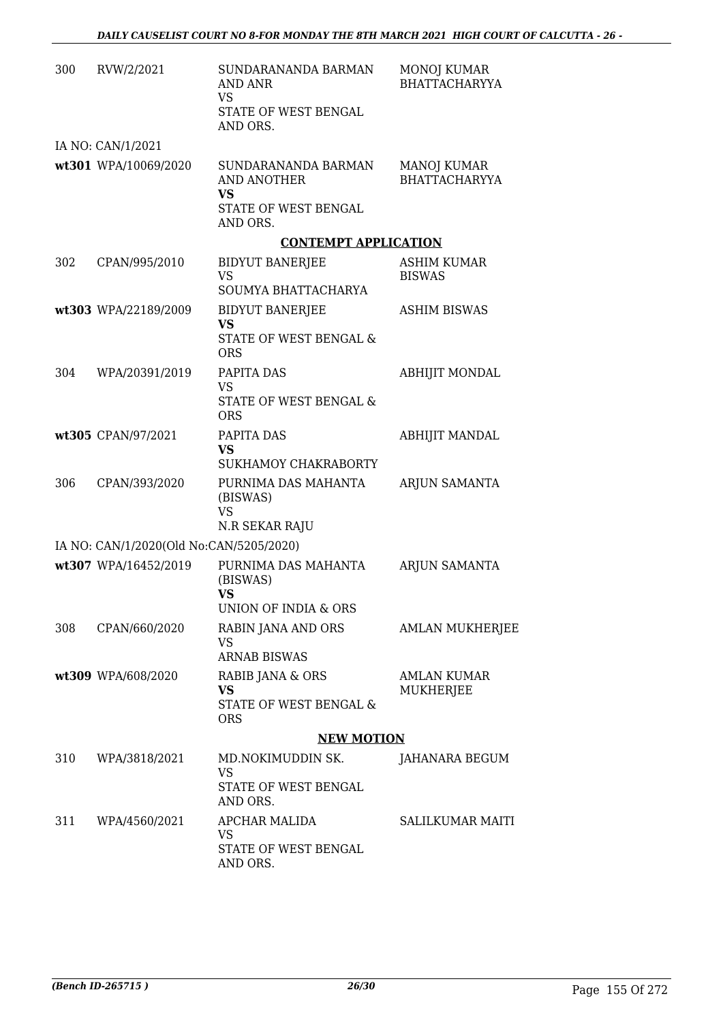| 300 | RVW/2/2021                              | SUNDARANANDA BARMAN<br>AND ANR<br>VS<br>STATE OF WEST BENGAL<br>AND ORS. | MONOJ KUMAR<br><b>BHATTACHARYYA</b> |
|-----|-----------------------------------------|--------------------------------------------------------------------------|-------------------------------------|
|     | IA NO: CAN/1/2021                       |                                                                          |                                     |
|     | wt301 WPA/10069/2020                    | SUNDARANANDA BARMAN<br><b>AND ANOTHER</b><br><b>VS</b>                   | MANOJ KUMAR<br><b>BHATTACHARYYA</b> |
|     |                                         | STATE OF WEST BENGAL<br>AND ORS.                                         |                                     |
|     |                                         | <b>CONTEMPT APPLICATION</b>                                              |                                     |
| 302 | CPAN/995/2010                           | <b>BIDYUT BANERJEE</b><br><b>VS</b>                                      | ASHIM KUMAR<br><b>BISWAS</b>        |
|     |                                         | SOUMYA BHATTACHARYA                                                      |                                     |
|     | wt303 WPA/22189/2009                    | <b>BIDYUT BANERJEE</b><br><b>VS</b>                                      | <b>ASHIM BISWAS</b>                 |
|     |                                         | STATE OF WEST BENGAL &<br><b>ORS</b>                                     |                                     |
| 304 | WPA/20391/2019                          | PAPITA DAS                                                               | <b>ABHIJIT MONDAL</b>               |
|     |                                         | <b>VS</b><br>STATE OF WEST BENGAL &<br><b>ORS</b>                        |                                     |
|     | wt305 CPAN/97/2021                      | PAPITA DAS<br><b>VS</b>                                                  | <b>ABHIJIT MANDAL</b>               |
|     |                                         | <b>SUKHAMOY CHAKRABORTY</b>                                              |                                     |
| 306 | CPAN/393/2020                           | PURNIMA DAS MAHANTA<br>(BISWAS)<br><b>VS</b>                             | ARJUN SAMANTA                       |
|     |                                         | N.R SEKAR RAJU                                                           |                                     |
|     | IA NO: CAN/1/2020(Old No:CAN/5205/2020) |                                                                          |                                     |
|     | wt307 WPA/16452/2019                    | PURNIMA DAS MAHANTA<br>(BISWAS)<br><b>VS</b>                             | ARJUN SAMANTA                       |
|     |                                         | UNION OF INDIA & ORS                                                     |                                     |
| 308 | CPAN/660/2020                           | RABIN JANA AND ORS<br>VS<br><b>ARNAB BISWAS</b>                          | <b>AMLAN MUKHERJEE</b>              |
|     | wt309 WPA/608/2020                      | RABIB JANA & ORS                                                         | <b>AMLAN KUMAR</b>                  |
|     |                                         | VS.<br>STATE OF WEST BENGAL &<br><b>ORS</b>                              | MUKHERJEE                           |
|     |                                         | <b>NEW MOTION</b>                                                        |                                     |
| 310 | WPA/3818/2021                           | MD.NOKIMUDDIN SK.<br><b>VS</b>                                           | JAHANARA BEGUM                      |
|     |                                         | STATE OF WEST BENGAL<br>AND ORS.                                         |                                     |
| 311 | WPA/4560/2021                           | APCHAR MALIDA                                                            | SALILKUMAR MAITI                    |
|     |                                         | VS<br>STATE OF WEST BENGAL<br>AND ORS.                                   |                                     |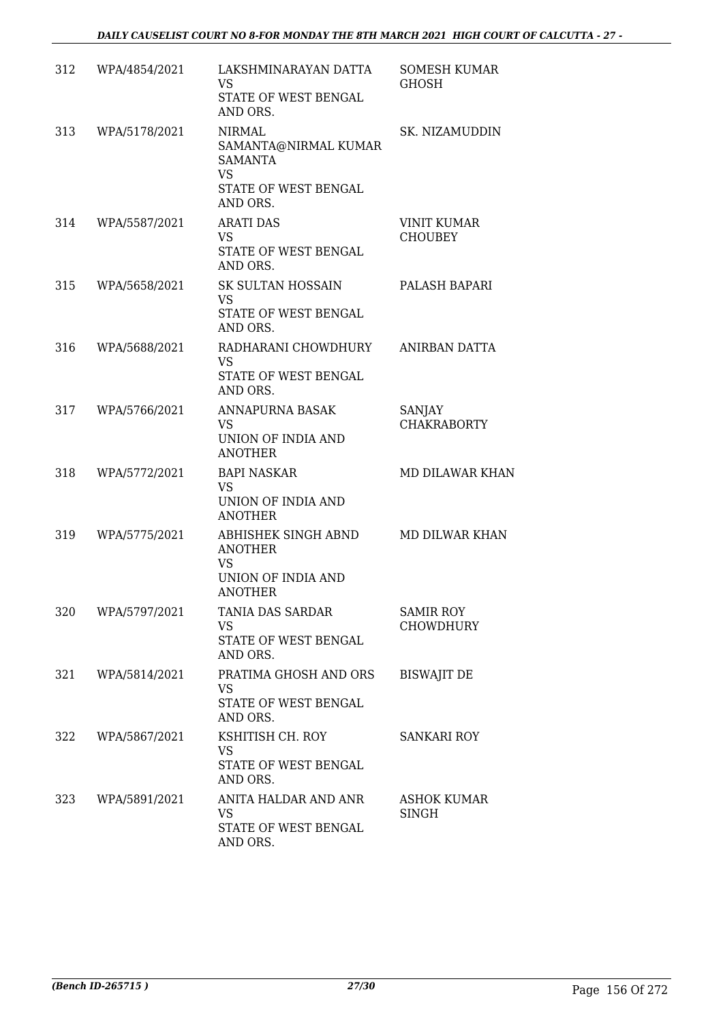| 312 | WPA/4854/2021 | LAKSHMINARAYAN DATTA<br><b>VS</b><br>STATE OF WEST BENGAL<br>AND ORS.                                    | <b>SOMESH KUMAR</b><br><b>GHOSH</b>  |
|-----|---------------|----------------------------------------------------------------------------------------------------------|--------------------------------------|
| 313 | WPA/5178/2021 | <b>NIRMAL</b><br>SAMANTA@NIRMAL KUMAR<br><b>SAMANTA</b><br><b>VS</b><br>STATE OF WEST BENGAL<br>AND ORS. | SK. NIZAMUDDIN                       |
| 314 | WPA/5587/2021 | <b>ARATI DAS</b><br><b>VS</b><br>STATE OF WEST BENGAL<br>AND ORS.                                        | <b>VINIT KUMAR</b><br><b>CHOUBEY</b> |
| 315 | WPA/5658/2021 | SK SULTAN HOSSAIN<br><b>VS</b><br>STATE OF WEST BENGAL<br>AND ORS.                                       | PALASH BAPARI                        |
| 316 | WPA/5688/2021 | RADHARANI CHOWDHURY<br><b>VS</b><br>STATE OF WEST BENGAL<br>AND ORS.                                     | ANIRBAN DATTA                        |
| 317 | WPA/5766/2021 | ANNAPURNA BASAK<br><b>VS</b><br>UNION OF INDIA AND<br><b>ANOTHER</b>                                     | SANJAY<br><b>CHAKRABORTY</b>         |
| 318 | WPA/5772/2021 | <b>BAPI NASKAR</b><br><b>VS</b><br>UNION OF INDIA AND<br><b>ANOTHER</b>                                  | <b>MD DILAWAR KHAN</b>               |
| 319 | WPA/5775/2021 | ABHISHEK SINGH ABND<br><b>ANOTHER</b><br>VS<br>UNION OF INDIA AND<br><b>ANOTHER</b>                      | MD DILWAR KHAN                       |
| 320 | WPA/5797/2021 | <b>TANIA DAS SARDAR</b><br><b>VS</b><br>STATE OF WEST BENGAL<br>AND ORS.                                 | <b>SAMIR ROY</b><br><b>CHOWDHURY</b> |
| 321 | WPA/5814/2021 | PRATIMA GHOSH AND ORS<br>VS<br>STATE OF WEST BENGAL<br>AND ORS.                                          | <b>BISWAJIT DE</b>                   |
| 322 | WPA/5867/2021 | KSHITISH CH. ROY<br><b>VS</b><br>STATE OF WEST BENGAL<br>AND ORS.                                        | <b>SANKARI ROY</b>                   |
| 323 | WPA/5891/2021 | ANITA HALDAR AND ANR<br><b>VS</b><br>STATE OF WEST BENGAL<br>AND ORS.                                    | ASHOK KUMAR<br>SINGH                 |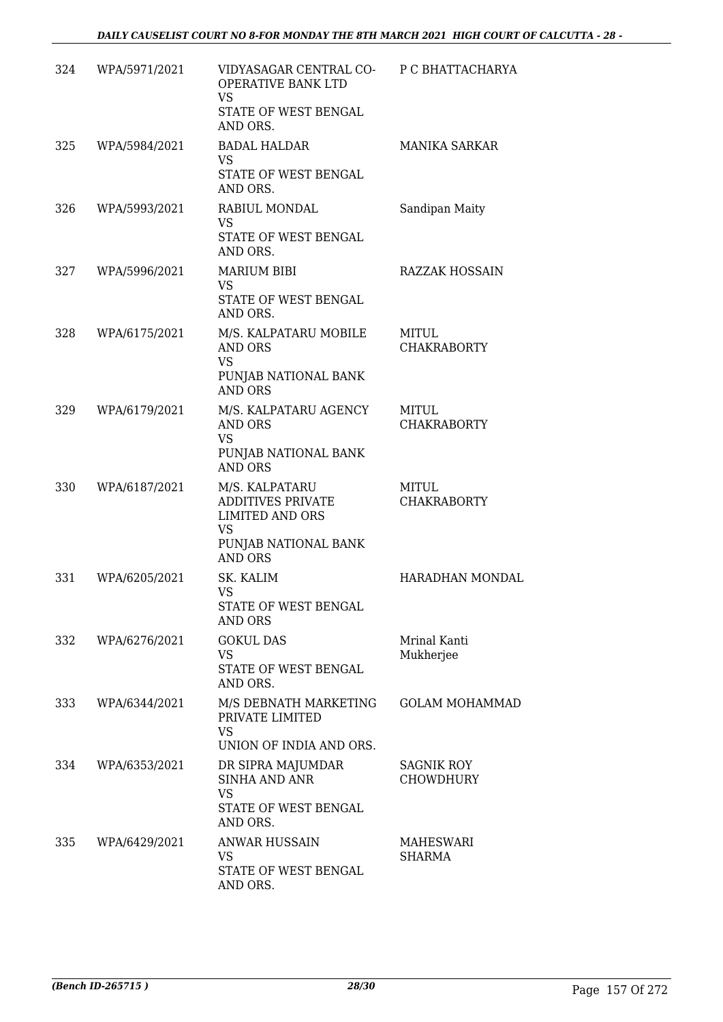| 324 | WPA/5971/2021 | VIDYASAGAR CENTRAL CO- P C BHATTACHARYA<br>OPERATIVE BANK LTD<br><b>VS</b><br>STATE OF WEST BENGAL<br>AND ORS. |                                    |
|-----|---------------|----------------------------------------------------------------------------------------------------------------|------------------------------------|
| 325 | WPA/5984/2021 | <b>BADAL HALDAR</b><br><b>VS</b><br>STATE OF WEST BENGAL<br>AND ORS.                                           | <b>MANIKA SARKAR</b>               |
| 326 | WPA/5993/2021 | RABIUL MONDAL<br><b>VS</b><br>STATE OF WEST BENGAL<br>AND ORS.                                                 | Sandipan Maity                     |
| 327 | WPA/5996/2021 | <b>MARIUM BIBI</b><br><b>VS</b><br>STATE OF WEST BENGAL<br>AND ORS.                                            | <b>RAZZAK HOSSAIN</b>              |
| 328 | WPA/6175/2021 | M/S. KALPATARU MOBILE<br>AND ORS<br><b>VS</b><br>PUNJAB NATIONAL BANK<br><b>AND ORS</b>                        | <b>MITUL</b><br><b>CHAKRABORTY</b> |
| 329 | WPA/6179/2021 | M/S. KALPATARU AGENCY<br>AND ORS<br>VS<br>PUNJAB NATIONAL BANK<br><b>AND ORS</b>                               | MITUL<br><b>CHAKRABORTY</b>        |
| 330 | WPA/6187/2021 | M/S. KALPATARU<br>ADDITIVES PRIVATE<br><b>LIMITED AND ORS</b><br><b>VS</b><br>PUNJAB NATIONAL BANK<br>AND ORS  | <b>MITUL</b><br><b>CHAKRABORTY</b> |
| 331 | WPA/6205/2021 | SK. KALIM<br>VS<br>STATE OF WEST BENGAL<br>AND ORS                                                             | HARADHAN MONDAL                    |
| 332 | WPA/6276/2021 | <b>GOKUL DAS</b><br><b>VS</b><br>STATE OF WEST BENGAL<br>AND ORS.                                              | Mrinal Kanti<br>Mukherjee          |
| 333 | WPA/6344/2021 | M/S DEBNATH MARKETING<br>PRIVATE LIMITED<br><b>VS</b><br>UNION OF INDIA AND ORS.                               | <b>GOLAM MOHAMMAD</b>              |
| 334 | WPA/6353/2021 | DR SIPRA MAJUMDAR<br><b>SINHA AND ANR</b><br>VS<br>STATE OF WEST BENGAL<br>AND ORS.                            | SAGNIK ROY<br><b>CHOWDHURY</b>     |
| 335 | WPA/6429/2021 | <b>ANWAR HUSSAIN</b><br><b>VS</b><br>STATE OF WEST BENGAL<br>AND ORS.                                          | MAHESWARI<br>SHARMA                |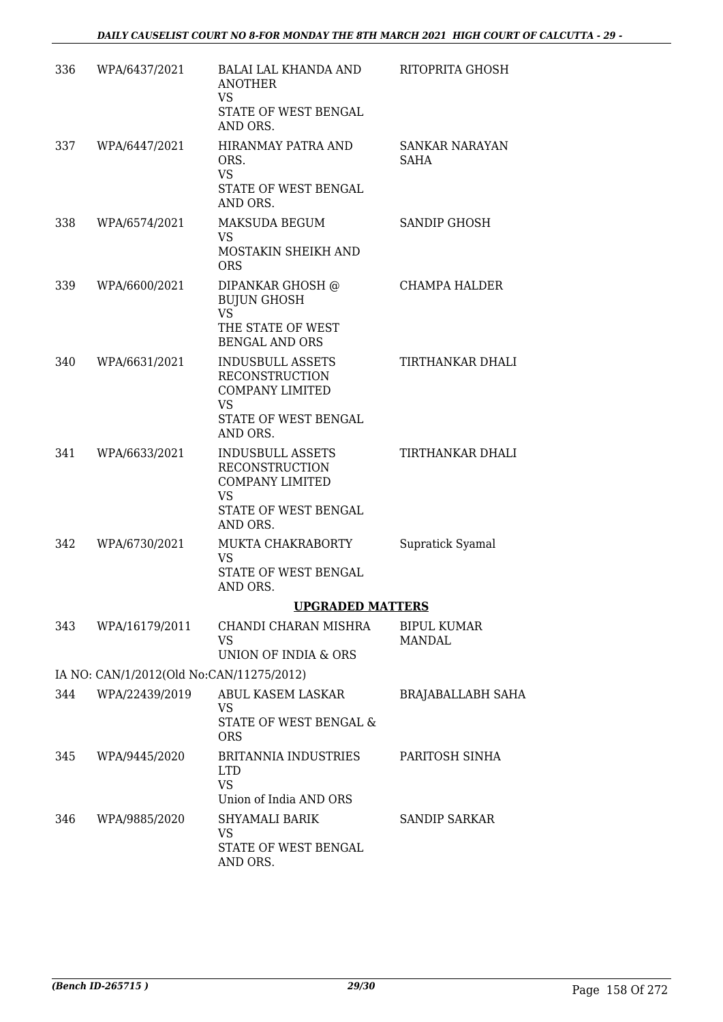| 336 | WPA/6437/2021                            | BALAI LAL KHANDA AND<br><b>ANOTHER</b><br><b>VS</b><br>STATE OF WEST BENGAL<br>AND ORS.                                     | RITOPRITA GHOSH                      |
|-----|------------------------------------------|-----------------------------------------------------------------------------------------------------------------------------|--------------------------------------|
| 337 | WPA/6447/2021                            | HIRANMAY PATRA AND<br>ORS.<br><b>VS</b><br>STATE OF WEST BENGAL<br>AND ORS.                                                 | <b>SANKAR NARAYAN</b><br><b>SAHA</b> |
| 338 | WPA/6574/2021                            | MAKSUDA BEGUM<br><b>VS</b><br>MOSTAKIN SHEIKH AND<br><b>ORS</b>                                                             | SANDIP GHOSH                         |
| 339 | WPA/6600/2021                            | DIPANKAR GHOSH @<br><b>BUJUN GHOSH</b><br><b>VS</b><br>THE STATE OF WEST<br><b>BENGAL AND ORS</b>                           | CHAMPA HALDER                        |
| 340 | WPA/6631/2021                            | <b>INDUSBULL ASSETS</b><br><b>RECONSTRUCTION</b><br><b>COMPANY LIMITED</b><br><b>VS</b><br>STATE OF WEST BENGAL<br>AND ORS. | TIRTHANKAR DHALI                     |
| 341 | WPA/6633/2021                            | <b>INDUSBULL ASSETS</b><br><b>RECONSTRUCTION</b><br><b>COMPANY LIMITED</b><br><b>VS</b><br>STATE OF WEST BENGAL<br>AND ORS. | TIRTHANKAR DHALI                     |
| 342 | WPA/6730/2021                            | <b>MUKTA CHAKRABORTY</b><br>VS.<br>STATE OF WEST BENGAL<br>AND ORS.                                                         | Supratick Syamal                     |
|     |                                          | <b>UPGRADED MATTERS</b>                                                                                                     |                                      |
| 343 | WPA/16179/2011                           | CHANDI CHARAN MISHRA<br><b>VS</b><br>UNION OF INDIA & ORS                                                                   | BIPUL KUMAR<br><b>MANDAL</b>         |
|     | IA NO: CAN/1/2012(Old No:CAN/11275/2012) |                                                                                                                             |                                      |
| 344 | WPA/22439/2019                           | ABUL KASEM LASKAR<br><b>VS</b><br>STATE OF WEST BENGAL &<br><b>ORS</b>                                                      | <b>BRAJABALLABH SAHA</b>             |
| 345 | WPA/9445/2020                            | <b>BRITANNIA INDUSTRIES</b><br><b>LTD</b><br><b>VS</b><br>Union of India AND ORS                                            | PARITOSH SINHA                       |
| 346 | WPA/9885/2020                            | <b>SHYAMALI BARIK</b><br>VS<br>STATE OF WEST BENGAL<br>AND ORS.                                                             | <b>SANDIP SARKAR</b>                 |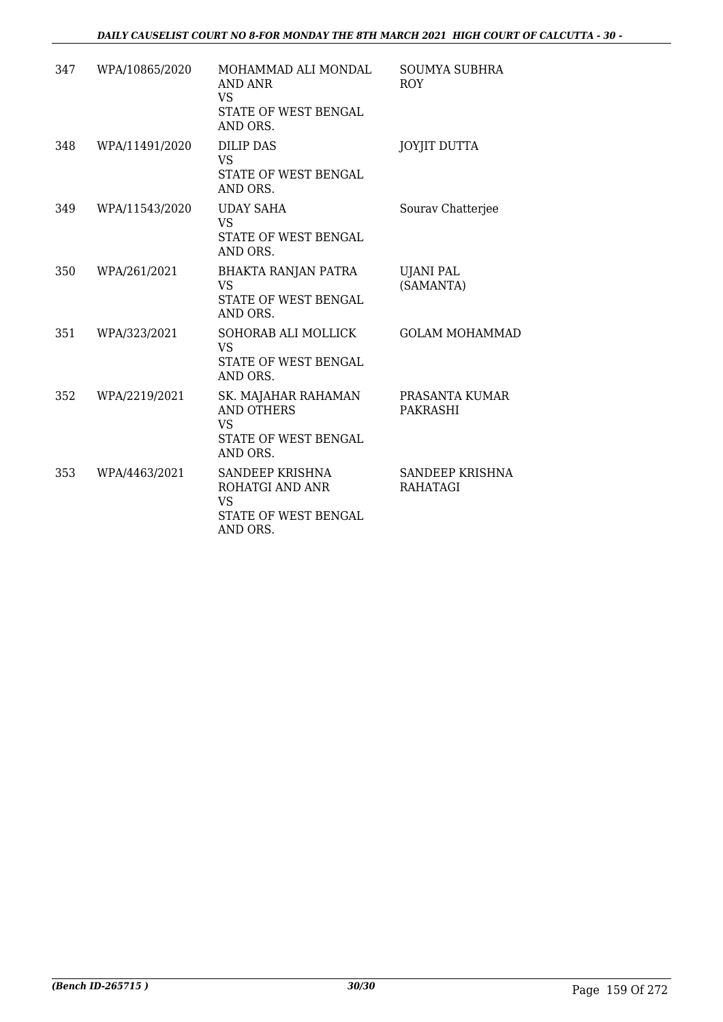| 347 | WPA/10865/2020 | MOHAMMAD ALI MONDAL<br>AND ANR<br>VS<br>STATE OF WEST BENGAL<br>AND ORS.                  | <b>SOUMYA SUBHRA</b><br><b>ROY</b> |
|-----|----------------|-------------------------------------------------------------------------------------------|------------------------------------|
| 348 | WPA/11491/2020 | DILIP DAS<br><b>VS</b><br>STATE OF WEST BENGAL<br>AND ORS.                                | <b>JOYJIT DUTTA</b>                |
| 349 | WPA/11543/2020 | <b>UDAY SAHA</b><br><b>VS</b><br>STATE OF WEST BENGAL<br>AND ORS.                         | Sourav Chatterjee                  |
| 350 | WPA/261/2021   | <b>BHAKTA RANJAN PATRA</b><br><b>VS</b><br>STATE OF WEST BENGAL<br>AND ORS.               | <b>UJANI PAL</b><br>(SAMANTA)      |
| 351 | WPA/323/2021   | SOHORAB ALI MOLLICK<br><b>VS</b><br>STATE OF WEST BENGAL<br>AND ORS.                      | <b>GOLAM MOHAMMAD</b>              |
| 352 | WPA/2219/2021  | SK. MAJAHAR RAHAMAN<br><b>AND OTHERS</b><br><b>VS</b><br>STATE OF WEST BENGAL<br>AND ORS. | PRASANTA KUMAR<br><b>PAKRASHI</b>  |
| 353 | WPA/4463/2021  | SANDEEP KRISHNA<br>ROHATGI AND ANR<br>VS<br>STATE OF WEST BENGAL<br>AND ORS.              | SANDEEP KRISHNA<br><b>RAHATAGI</b> |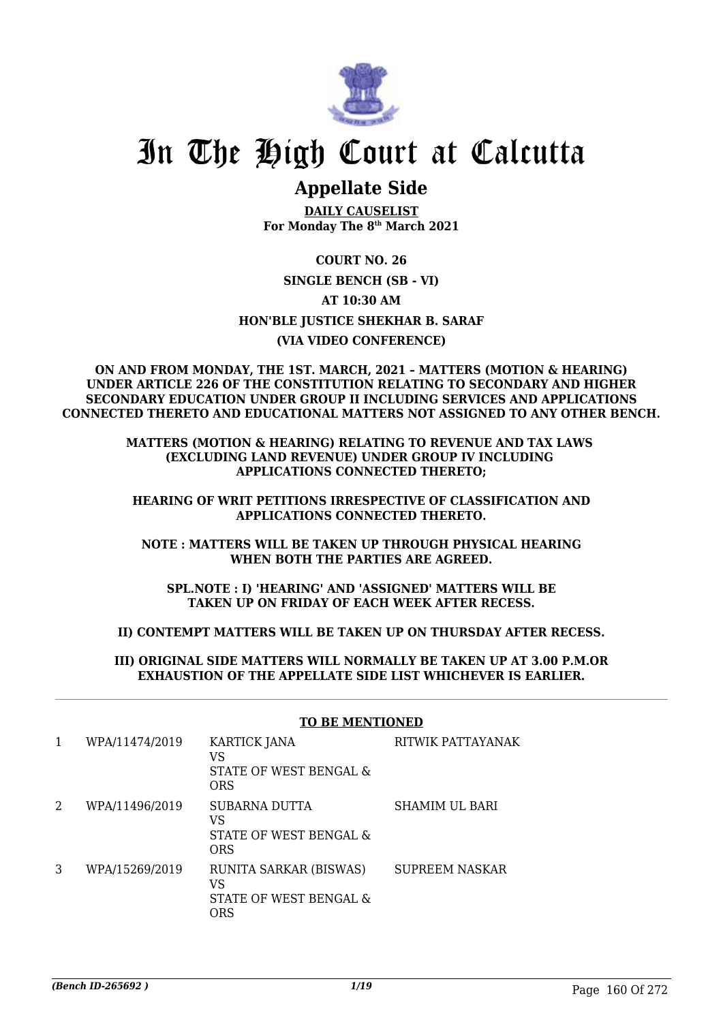

# In The High Court at Calcutta

## **Appellate Side**

**DAILY CAUSELIST For Monday The 8th March 2021**

**COURT NO. 26 SINGLE BENCH (SB - VI) AT 10:30 AM HON'BLE JUSTICE SHEKHAR B. SARAF (VIA VIDEO CONFERENCE)**

#### **ON AND FROM MONDAY, THE 1ST. MARCH, 2021 – MATTERS (MOTION & HEARING) UNDER ARTICLE 226 OF THE CONSTITUTION RELATING TO SECONDARY AND HIGHER SECONDARY EDUCATION UNDER GROUP II INCLUDING SERVICES AND APPLICATIONS CONNECTED THERETO AND EDUCATIONAL MATTERS NOT ASSIGNED TO ANY OTHER BENCH.**

#### **MATTERS (MOTION & HEARING) RELATING TO REVENUE AND TAX LAWS (EXCLUDING LAND REVENUE) UNDER GROUP IV INCLUDING APPLICATIONS CONNECTED THERETO;**

#### **HEARING OF WRIT PETITIONS IRRESPECTIVE OF CLASSIFICATION AND APPLICATIONS CONNECTED THERETO.**

#### **NOTE : MATTERS WILL BE TAKEN UP THROUGH PHYSICAL HEARING WHEN BOTH THE PARTIES ARE AGREED.**

**SPL.NOTE : I) 'HEARING' AND 'ASSIGNED' MATTERS WILL BE TAKEN UP ON FRIDAY OF EACH WEEK AFTER RECESS.**

#### **II) CONTEMPT MATTERS WILL BE TAKEN UP ON THURSDAY AFTER RECESS.**

#### **III) ORIGINAL SIDE MATTERS WILL NORMALLY BE TAKEN UP AT 3.00 P.M.OR EXHAUSTION OF THE APPELLATE SIDE LIST WHICHEVER IS EARLIER.**

| 1 | WPA/11474/2019 | <b>KARTICK JANA</b><br>VS<br>STATE OF WEST BENGAL &<br><b>ORS</b> | RITWIK PATTAYANAK     |
|---|----------------|-------------------------------------------------------------------|-----------------------|
| 2 | WPA/11496/2019 | SUBARNA DUTTA<br>VS<br>STATE OF WEST BENGAL &<br>ORS              | <b>SHAMIM UL BARI</b> |
| 3 | WPA/15269/2019 | RUNITA SARKAR (BISWAS)<br>VS<br>STATE OF WEST BENGAL &<br>ORS     | <b>SUPREEM NASKAR</b> |

### **TO BE MENTIONED**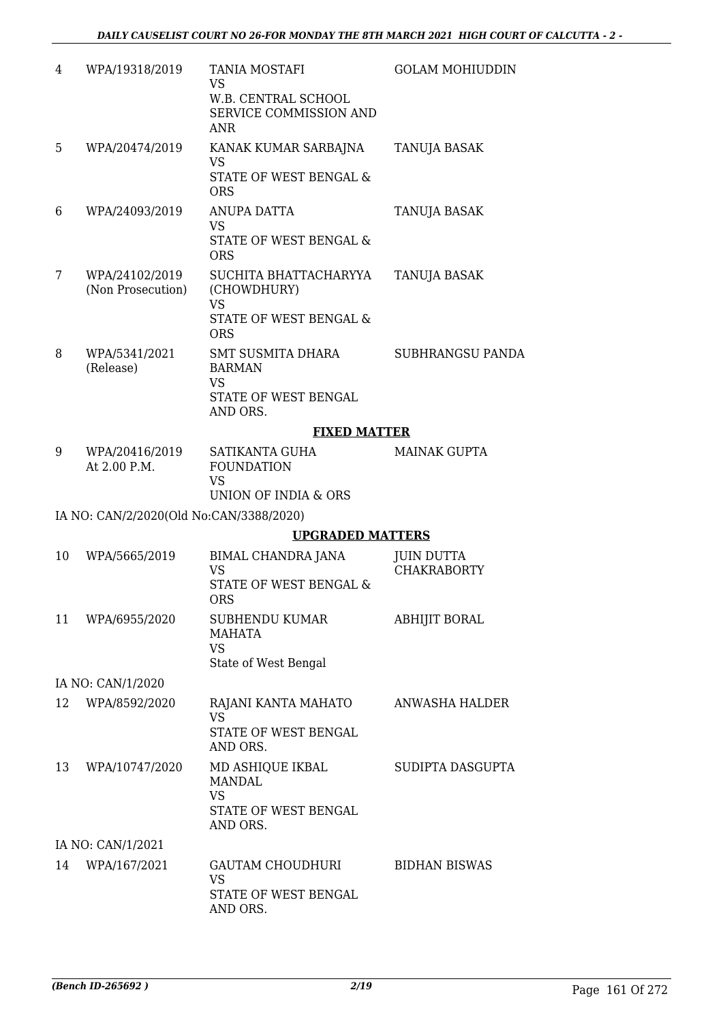| 4  | WPA/19318/2019                          | TANIA MOSTAFI<br><b>VS</b><br>W.B. CENTRAL SCHOOL<br>SERVICE COMMISSION AND<br><b>ANR</b>  | <b>GOLAM MOHIUDDIN</b>                  |
|----|-----------------------------------------|--------------------------------------------------------------------------------------------|-----------------------------------------|
| 5  | WPA/20474/2019                          | KANAK KUMAR SARBAJNA<br><b>VS</b><br><b>STATE OF WEST BENGAL &amp;</b><br><b>ORS</b>       | TANUJA BASAK                            |
| 6  | WPA/24093/2019                          | <b>ANUPA DATTA</b><br><b>VS</b><br>STATE OF WEST BENGAL &<br><b>ORS</b>                    | <b>TANUJA BASAK</b>                     |
| 7  | WPA/24102/2019<br>(Non Prosecution)     | SUCHITA BHATTACHARYYA<br>(CHOWDHURY)<br><b>VS</b><br>STATE OF WEST BENGAL &<br><b>ORS</b>  | TANUJA BASAK                            |
| 8  | WPA/5341/2021<br>(Release)              | <b>SMT SUSMITA DHARA</b><br><b>BARMAN</b><br><b>VS</b><br>STATE OF WEST BENGAL<br>AND ORS. | SUBHRANGSU PANDA                        |
|    |                                         | <b>FIXED MATTER</b>                                                                        |                                         |
| 9  | WPA/20416/2019<br>At 2.00 P.M.          | SATIKANTA GUHA<br><b>FOUNDATION</b><br><b>VS</b><br><b>UNION OF INDIA &amp; ORS</b>        | <b>MAINAK GUPTA</b>                     |
|    | IA NO: CAN/2/2020(Old No:CAN/3388/2020) |                                                                                            |                                         |
|    |                                         | <b>UPGRADED MATTERS</b>                                                                    |                                         |
| 10 | WPA/5665/2019                           | BIMAL CHANDRA JANA<br><b>VS</b><br>STATE OF WEST BENGAL &<br><b>ORS</b>                    | <b>JUIN DUTTA</b><br><b>CHAKRABORTY</b> |
| 11 | WPA/6955/2020                           | SUBHENDU KUMAR<br><b>MAHATA</b><br><b>VS</b><br>State of West Bengal                       | ABHIJIT BORAL                           |
|    | IA NO: CAN/1/2020                       |                                                                                            |                                         |
| 12 | WPA/8592/2020                           | RAJANI KANTA MAHATO<br><b>VS</b><br><b>STATE OF WEST BENGAL</b><br>AND ORS.                | ANWASHA HALDER                          |
| 13 | WPA/10747/2020                          | MD ASHIQUE IKBAL<br><b>MANDAL</b><br><b>VS</b><br>STATE OF WEST BENGAL<br>AND ORS.         | SUDIPTA DASGUPTA                        |
|    | IA NO: CAN/1/2021                       |                                                                                            |                                         |
| 14 | WPA/167/2021                            | GAUTAM CHOUDHURI<br><b>VS</b><br>STATE OF WEST BENGAL<br>AND ORS.                          | <b>BIDHAN BISWAS</b>                    |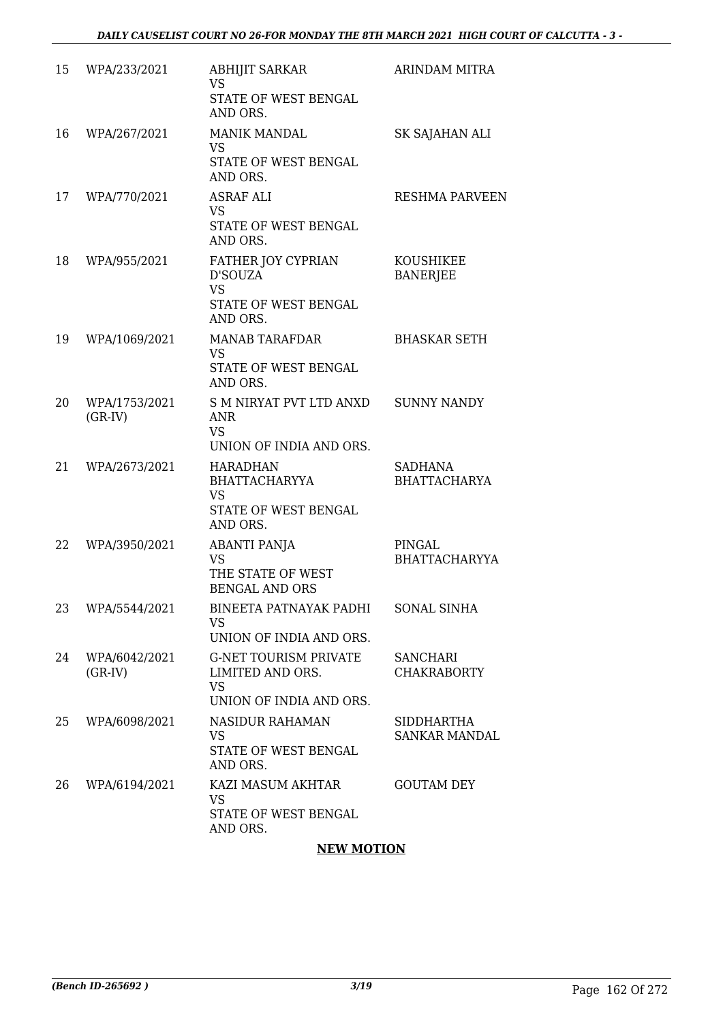| 15 | WPA/233/2021               | <b>ABHIJIT SARKAR</b><br><b>VS</b><br>STATE OF WEST BENGAL<br>AND ORS.                   | <b>ARINDAM MITRA</b>                      |
|----|----------------------------|------------------------------------------------------------------------------------------|-------------------------------------------|
| 16 | WPA/267/2021               | <b>MANIK MANDAL</b><br><b>VS</b><br>STATE OF WEST BENGAL<br>AND ORS.                     | SK SAJAHAN ALI                            |
| 17 | WPA/770/2021               | ASRAF ALI<br>VS.<br>STATE OF WEST BENGAL<br>AND ORS.                                     | <b>RESHMA PARVEEN</b>                     |
| 18 | WPA/955/2021               | FATHER JOY CYPRIAN<br>D'SOUZA<br><b>VS</b><br>STATE OF WEST BENGAL<br>AND ORS.           | <b>KOUSHIKEE</b><br><b>BANERJEE</b>       |
| 19 | WPA/1069/2021              | <b>MANAB TARAFDAR</b><br><b>VS</b><br>STATE OF WEST BENGAL<br>AND ORS.                   | <b>BHASKAR SETH</b>                       |
| 20 | WPA/1753/2021<br>$(GR-IV)$ | S M NIRYAT PVT LTD ANXD<br>ANR<br><b>VS</b><br>UNION OF INDIA AND ORS.                   | <b>SUNNY NANDY</b>                        |
| 21 | WPA/2673/2021              | <b>HARADHAN</b><br><b>BHATTACHARYYA</b><br><b>VS</b><br>STATE OF WEST BENGAL<br>AND ORS. | <b>SADHANA</b><br><b>BHATTACHARYA</b>     |
| 22 | WPA/3950/2021              | <b>ABANTI PANJA</b><br><b>VS</b><br>THE STATE OF WEST<br><b>BENGAL AND ORS</b>           | PINGAL<br><b>BHATTACHARYYA</b>            |
| 23 | WPA/5544/2021              | <b>BINEETA PATNAYAK PADHI</b><br><b>VS</b><br>UNION OF INDIA AND ORS.                    | <b>SONAL SINHA</b>                        |
| 24 | WPA/6042/2021<br>$(GR-IV)$ | <b>G-NET TOURISM PRIVATE</b><br>LIMITED AND ORS.<br><b>VS</b><br>UNION OF INDIA AND ORS. | <b>SANCHARI</b><br><b>CHAKRABORTY</b>     |
| 25 | WPA/6098/2021              | <b>NASIDUR RAHAMAN</b><br><b>VS</b><br>STATE OF WEST BENGAL<br>AND ORS.                  | <b>SIDDHARTHA</b><br><b>SANKAR MANDAL</b> |
| 26 | WPA/6194/2021              | KAZI MASUM AKHTAR<br><b>VS</b><br>STATE OF WEST BENGAL<br>AND ORS.                       | <b>GOUTAM DEY</b>                         |

#### **NEW MOTION**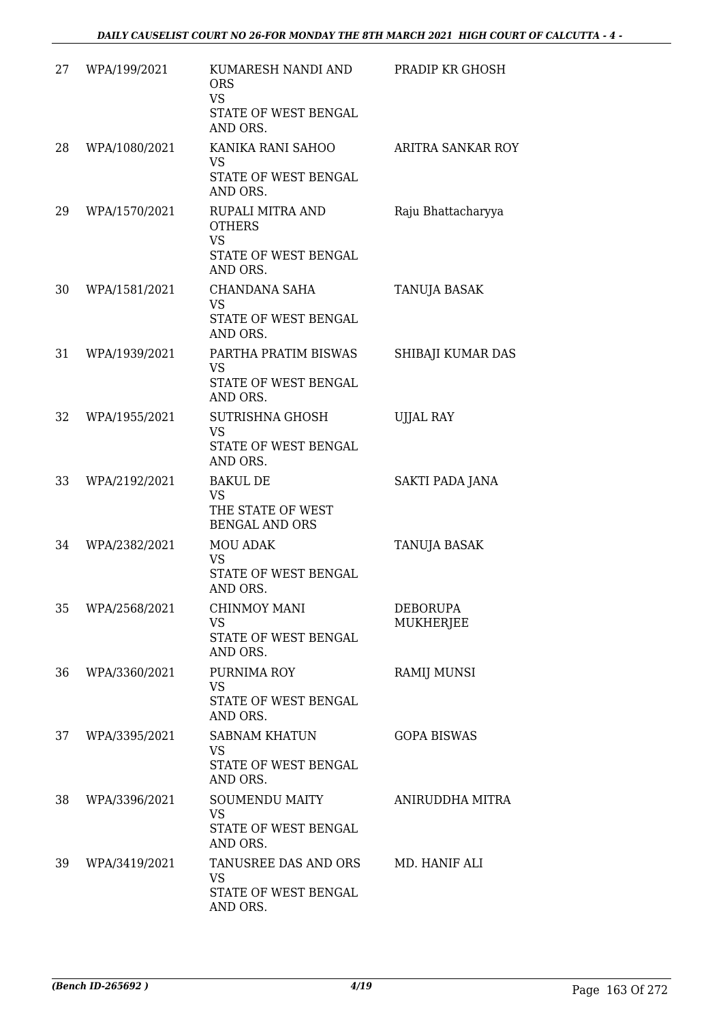| 27 | WPA/199/2021  | KUMARESH NANDI AND<br><b>ORS</b><br><b>VS</b><br>STATE OF WEST BENGAL<br>AND ORS.  | PRADIP KR GHOSH              |
|----|---------------|------------------------------------------------------------------------------------|------------------------------|
| 28 | WPA/1080/2021 | KANIKA RANI SAHOO<br><b>VS</b><br>STATE OF WEST BENGAL<br>AND ORS.                 | ARITRA SANKAR ROY            |
| 29 | WPA/1570/2021 | RUPALI MITRA AND<br><b>OTHERS</b><br><b>VS</b><br>STATE OF WEST BENGAL<br>AND ORS. | Raju Bhattacharyya           |
| 30 | WPA/1581/2021 | CHANDANA SAHA<br><b>VS</b><br>STATE OF WEST BENGAL<br>AND ORS.                     | TANUJA BASAK                 |
| 31 | WPA/1939/2021 | PARTHA PRATIM BISWAS<br><b>VS</b><br>STATE OF WEST BENGAL<br>AND ORS.              | SHIBAJI KUMAR DAS            |
| 32 | WPA/1955/2021 | <b>SUTRISHNA GHOSH</b><br><b>VS</b><br>STATE OF WEST BENGAL<br>AND ORS.            | <b>UJJAL RAY</b>             |
| 33 | WPA/2192/2021 | <b>BAKUL DE</b><br><b>VS</b><br>THE STATE OF WEST<br><b>BENGAL AND ORS</b>         | SAKTI PADA JANA              |
| 34 | WPA/2382/2021 | <b>MOU ADAK</b><br><b>VS</b><br>STATE OF WEST BENGAL<br>AND ORS.                   | TANUJA BASAK                 |
| 35 | WPA/2568/2021 | CHINMOY MANI<br><b>VS</b><br>STATE OF WEST BENGAL<br>AND ORS.                      | <b>DEBORUPA</b><br>MUKHERJEE |
| 36 | WPA/3360/2021 | PURNIMA ROY<br><b>VS</b><br>STATE OF WEST BENGAL<br>AND ORS.                       | <b>RAMIJ MUNSI</b>           |
| 37 | WPA/3395/2021 | <b>SABNAM KHATUN</b><br><b>VS</b><br>STATE OF WEST BENGAL<br>AND ORS.              | <b>GOPA BISWAS</b>           |
| 38 | WPA/3396/2021 | SOUMENDU MAITY<br><b>VS</b><br>STATE OF WEST BENGAL<br>AND ORS.                    | ANIRUDDHA MITRA              |
| 39 | WPA/3419/2021 | TANUSREE DAS AND ORS<br><b>VS</b><br>STATE OF WEST BENGAL<br>AND ORS.              | MD. HANIF ALI                |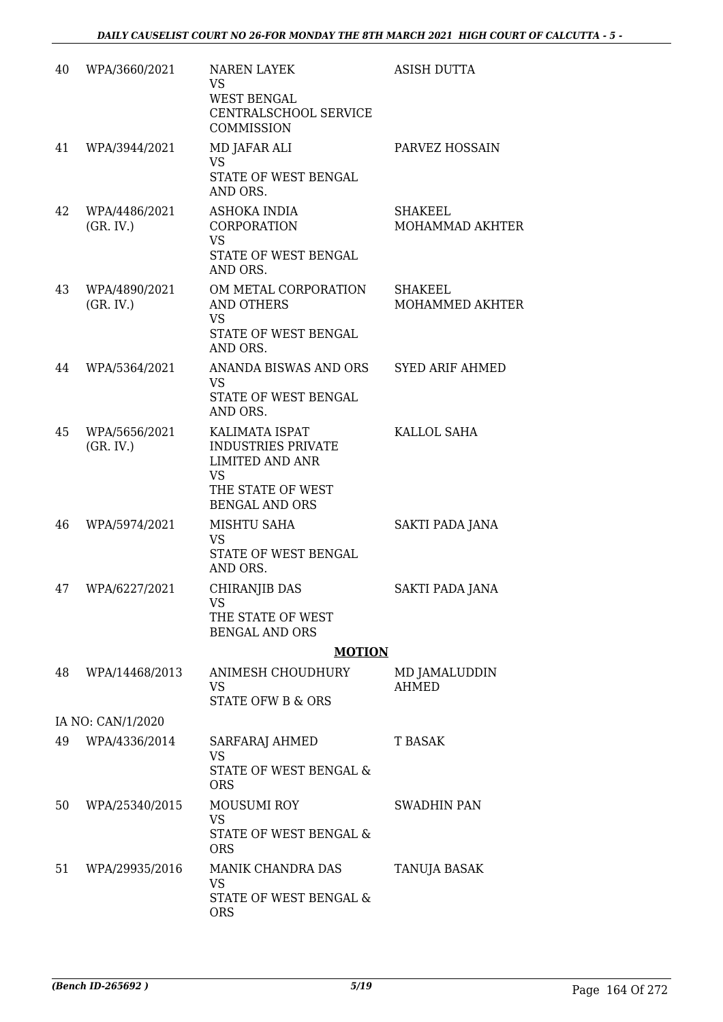| 40 | WPA/3660/2021              | <b>NAREN LAYEK</b><br><b>VS</b><br><b>WEST BENGAL</b><br>CENTRALSCHOOL SERVICE<br>COMMISSION                                     | <b>ASISH DUTTA</b>                |
|----|----------------------------|----------------------------------------------------------------------------------------------------------------------------------|-----------------------------------|
| 41 | WPA/3944/2021              | MD JAFAR ALI<br><b>VS</b><br>STATE OF WEST BENGAL<br>AND ORS.                                                                    | PARVEZ HOSSAIN                    |
| 42 | WPA/4486/2021<br>(GR. IV.) | ASHOKA INDIA<br>CORPORATION<br><b>VS</b><br>STATE OF WEST BENGAL<br>AND ORS.                                                     | <b>SHAKEEL</b><br>MOHAMMAD AKHTER |
| 43 | WPA/4890/2021<br>(GR. IV.) | OM METAL CORPORATION<br><b>AND OTHERS</b><br><b>VS</b><br>STATE OF WEST BENGAL<br>AND ORS.                                       | SHAKEEL<br>MOHAMMED AKHTER        |
| 44 | WPA/5364/2021              | ANANDA BISWAS AND ORS<br><b>VS</b><br><b>STATE OF WEST BENGAL</b><br>AND ORS.                                                    | <b>SYED ARIF AHMED</b>            |
| 45 | WPA/5656/2021<br>(GR. IV.) | KALIMATA ISPAT<br><b>INDUSTRIES PRIVATE</b><br><b>LIMITED AND ANR</b><br><b>VS</b><br>THE STATE OF WEST<br><b>BENGAL AND ORS</b> | KALLOL SAHA                       |
| 46 | WPA/5974/2021              | MISHTU SAHA<br><b>VS</b><br>STATE OF WEST BENGAL<br>AND ORS.                                                                     | SAKTI PADA JANA                   |
| 47 | WPA/6227/2021              | <b>CHIRANJIB DAS</b><br><b>VS</b><br>THE STATE OF WEST<br><b>BENGAL AND ORS</b>                                                  | <b>SAKTI PADA JANA</b>            |
|    |                            | <b>MOTION</b>                                                                                                                    |                                   |
| 48 | WPA/14468/2013             | <b>ANIMESH CHOUDHURY</b><br><b>VS</b><br><b>STATE OFW B &amp; ORS</b>                                                            | MD JAMALUDDIN<br><b>AHMED</b>     |
|    | IA NO: CAN/1/2020          |                                                                                                                                  |                                   |
| 49 | WPA/4336/2014              | SARFARAJ AHMED<br><b>VS</b><br>STATE OF WEST BENGAL &<br><b>ORS</b>                                                              | <b>T BASAK</b>                    |
| 50 | WPA/25340/2015             | <b>MOUSUMI ROY</b><br><b>VS</b><br>STATE OF WEST BENGAL &<br><b>ORS</b>                                                          | SWADHIN PAN                       |
| 51 | WPA/29935/2016             | MANIK CHANDRA DAS<br><b>VS</b><br>STATE OF WEST BENGAL &<br><b>ORS</b>                                                           | TANUJA BASAK                      |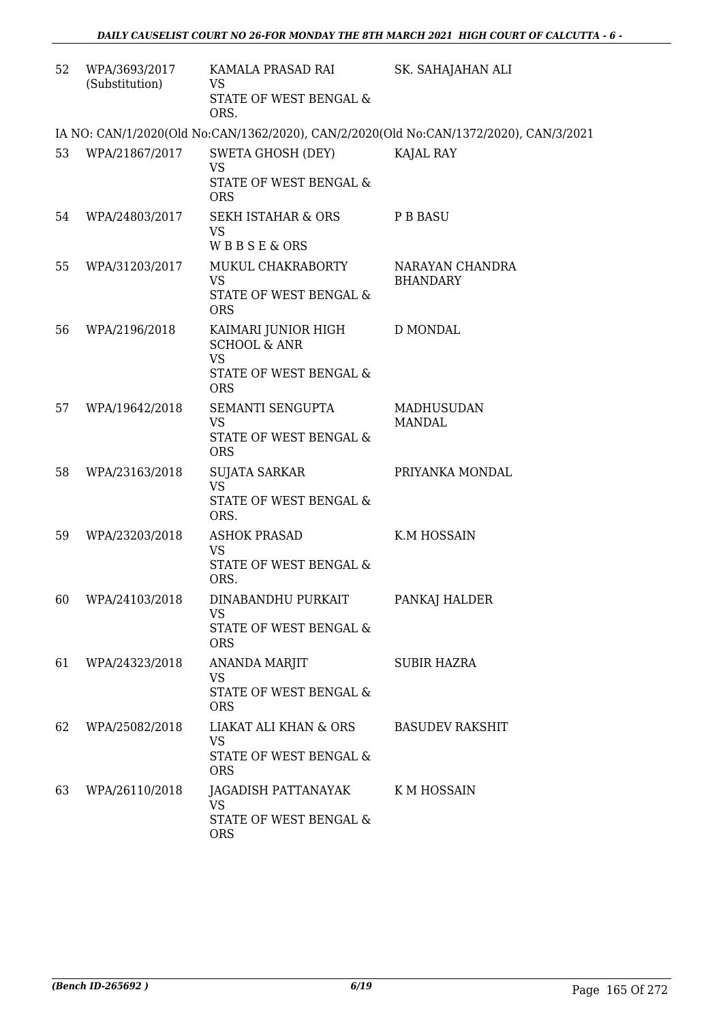| 52 | WPA/3693/2017<br>(Substitution) | KAMALA PRASAD RAI<br><b>VS</b><br>STATE OF WEST BENGAL &<br>ORS.                                    | SK. SAHAJAHAN ALI                                                                     |
|----|---------------------------------|-----------------------------------------------------------------------------------------------------|---------------------------------------------------------------------------------------|
|    |                                 |                                                                                                     | IA NO: CAN/1/2020(Old No:CAN/1362/2020), CAN/2/2020(Old No:CAN/1372/2020), CAN/3/2021 |
| 53 | WPA/21867/2017                  | SWETA GHOSH (DEY)<br><b>VS</b><br>STATE OF WEST BENGAL &<br><b>ORS</b>                              | KAJAL RAY                                                                             |
| 54 | WPA/24803/2017                  | SEKH ISTAHAR & ORS<br><b>VS</b><br>WBBSE&ORS                                                        | P B BASU                                                                              |
| 55 | WPA/31203/2017                  | MUKUL CHAKRABORTY<br><b>VS</b><br>STATE OF WEST BENGAL &<br><b>ORS</b>                              | NARAYAN CHANDRA<br><b>BHANDARY</b>                                                    |
| 56 | WPA/2196/2018                   | KAIMARI JUNIOR HIGH<br><b>SCHOOL &amp; ANR</b><br><b>VS</b><br>STATE OF WEST BENGAL &<br><b>ORS</b> | D MONDAL                                                                              |
| 57 | WPA/19642/2018                  | SEMANTI SENGUPTA<br><b>VS</b><br>STATE OF WEST BENGAL &<br><b>ORS</b>                               | <b>MADHUSUDAN</b><br><b>MANDAL</b>                                                    |
| 58 | WPA/23163/2018                  | SUJATA SARKAR<br><b>VS</b><br>STATE OF WEST BENGAL &<br>ORS.                                        | PRIYANKA MONDAL                                                                       |
| 59 | WPA/23203/2018                  | <b>ASHOK PRASAD</b><br><b>VS</b><br>STATE OF WEST BENGAL &<br>ORS.                                  | K.M HOSSAIN                                                                           |
| 60 | WPA/24103/2018                  | DINABANDHU PURKAIT<br>VS<br>STATE OF WEST BENGAL &<br><b>ORS</b>                                    | PANKAJ HALDER                                                                         |
| 61 | WPA/24323/2018                  | <b>ANANDA MARJIT</b><br><b>VS</b><br>STATE OF WEST BENGAL &<br><b>ORS</b>                           | <b>SUBIR HAZRA</b>                                                                    |
| 62 | WPA/25082/2018                  | LIAKAT ALI KHAN & ORS BASUDEV RAKSHIT<br><b>VS</b><br>STATE OF WEST BENGAL &<br><b>ORS</b>          |                                                                                       |
| 63 | WPA/26110/2018                  | JAGADISH PATTANAYAK K M HOSSAIN<br><b>VS</b><br>STATE OF WEST BENGAL &<br><b>ORS</b>                |                                                                                       |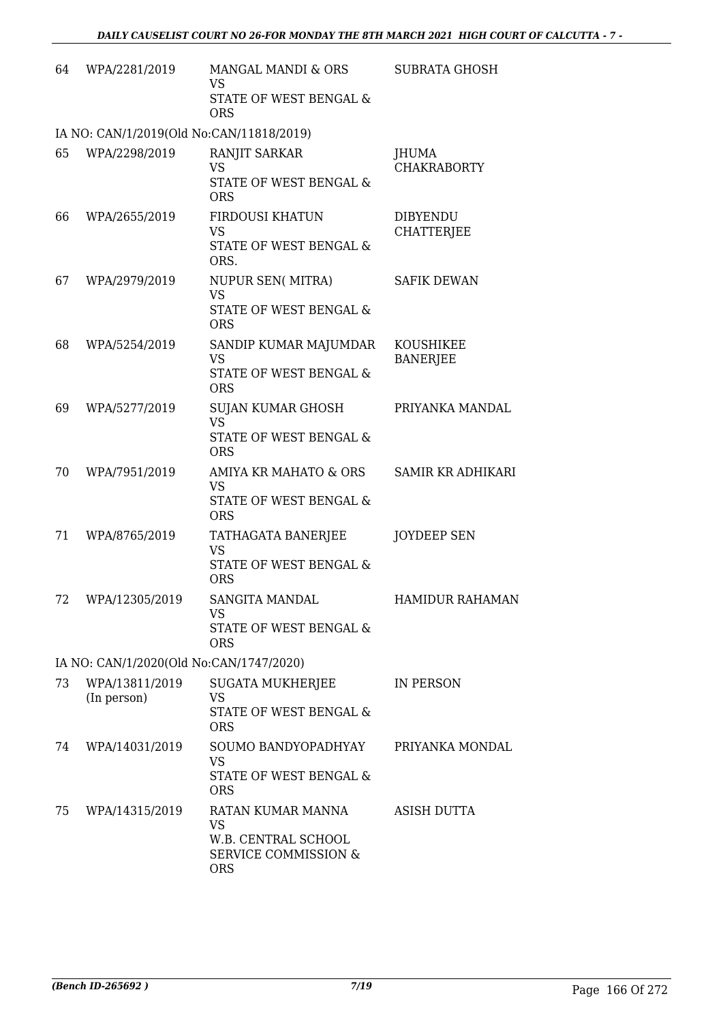| 64 | WPA/2281/2019                            | MANGAL MANDI & ORS<br><b>VS</b>                                      | <b>SUBRATA GHOSH</b>         |
|----|------------------------------------------|----------------------------------------------------------------------|------------------------------|
|    |                                          | STATE OF WEST BENGAL &<br><b>ORS</b>                                 |                              |
|    | IA NO: CAN/1/2019(Old No:CAN/11818/2019) |                                                                      |                              |
| 65 | WPA/2298/2019                            | RANJIT SARKAR<br>VS                                                  | JHUMA<br><b>CHAKRABORTY</b>  |
|    |                                          | STATE OF WEST BENGAL &<br><b>ORS</b>                                 |                              |
| 66 | WPA/2655/2019                            | FIRDOUSI KHATUN                                                      | <b>DIBYENDU</b>              |
|    |                                          | <b>VS</b><br>STATE OF WEST BENGAL &<br>ORS.                          | <b>CHATTERJEE</b>            |
| 67 | WPA/2979/2019                            | NUPUR SEN(MITRA)<br><b>VS</b>                                        | <b>SAFIK DEWAN</b>           |
|    |                                          | STATE OF WEST BENGAL &<br><b>ORS</b>                                 |                              |
| 68 | WPA/5254/2019                            | SANDIP KUMAR MAJUMDAR<br><b>VS</b>                                   | KOUSHIKEE<br><b>BANERJEE</b> |
|    |                                          | <b>STATE OF WEST BENGAL &amp;</b><br><b>ORS</b>                      |                              |
| 69 | WPA/5277/2019                            | <b>SUJAN KUMAR GHOSH</b><br><b>VS</b>                                | PRIYANKA MANDAL              |
|    |                                          | STATE OF WEST BENGAL &<br><b>ORS</b>                                 |                              |
| 70 | WPA/7951/2019                            | AMIYA KR MAHATO & ORS<br><b>VS</b>                                   | <b>SAMIR KR ADHIKARI</b>     |
|    |                                          | STATE OF WEST BENGAL &<br><b>ORS</b>                                 |                              |
| 71 | WPA/8765/2019                            | TATHAGATA BANERJEE<br><b>VS</b>                                      | <b>JOYDEEP SEN</b>           |
|    |                                          | STATE OF WEST BENGAL &<br><b>ORS</b>                                 |                              |
| 72 | WPA/12305/2019                           | SANGITA MANDAL<br><b>VS</b>                                          | <b>HAMIDUR RAHAMAN</b>       |
|    |                                          | STATE OF WEST BENGAL &<br><b>ORS</b>                                 |                              |
|    | IA NO: CAN/1/2020(Old No:CAN/1747/2020)  |                                                                      |                              |
| 73 | WPA/13811/2019<br>(In person)            | SUGATA MUKHERJEE<br><b>VS</b>                                        | IN PERSON                    |
|    |                                          | STATE OF WEST BENGAL &<br><b>ORS</b>                                 |                              |
| 74 | WPA/14031/2019                           | SOUMO BANDYOPADHYAY<br><b>VS</b>                                     | PRIYANKA MONDAL              |
|    |                                          | STATE OF WEST BENGAL &<br><b>ORS</b>                                 |                              |
| 75 | WPA/14315/2019                           | RATAN KUMAR MANNA<br><b>VS</b>                                       | <b>ASISH DUTTA</b>           |
|    |                                          | W.B. CENTRAL SCHOOL<br><b>SERVICE COMMISSION &amp;</b><br><b>ORS</b> |                              |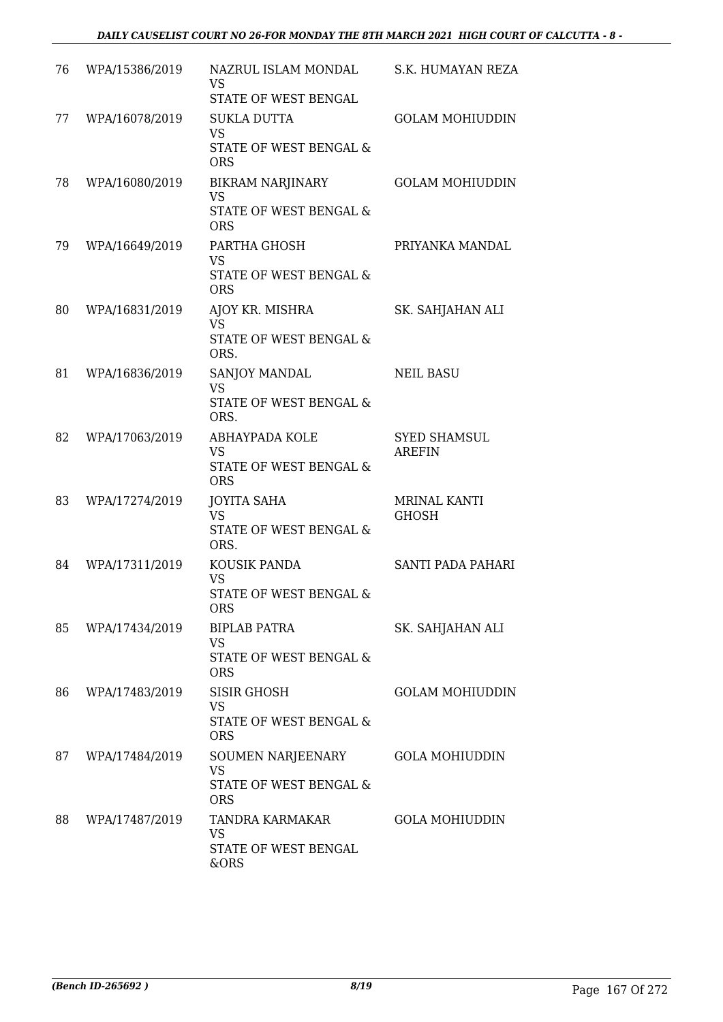| 76 | WPA/15386/2019 | NAZRUL ISLAM MONDAL<br>VS<br>STATE OF WEST BENGAL                            | S.K. HUMAYAN REZA                    |
|----|----------------|------------------------------------------------------------------------------|--------------------------------------|
| 77 | WPA/16078/2019 | SUKLA DUTTA<br><b>VS</b><br>STATE OF WEST BENGAL &<br><b>ORS</b>             | <b>GOLAM MOHIUDDIN</b>               |
| 78 | WPA/16080/2019 | <b>BIKRAM NARJINARY</b><br><b>VS</b><br>STATE OF WEST BENGAL &<br><b>ORS</b> | <b>GOLAM MOHIUDDIN</b>               |
| 79 | WPA/16649/2019 | PARTHA GHOSH<br><b>VS</b><br>STATE OF WEST BENGAL &<br><b>ORS</b>            | PRIYANKA MANDAL                      |
| 80 | WPA/16831/2019 | AJOY KR. MISHRA<br><b>VS</b><br><b>STATE OF WEST BENGAL &amp;</b><br>ORS.    | SK. SAHJAHAN ALI                     |
| 81 | WPA/16836/2019 | SANJOY MANDAL<br><b>VS</b><br>STATE OF WEST BENGAL &<br>ORS.                 | <b>NEIL BASU</b>                     |
| 82 | WPA/17063/2019 | ABHAYPADA KOLE<br><b>VS</b><br>STATE OF WEST BENGAL &<br><b>ORS</b>          | <b>SYED SHAMSUL</b><br><b>AREFIN</b> |
| 83 | WPA/17274/2019 | JOYITA SAHA<br><b>VS</b><br>STATE OF WEST BENGAL &<br>ORS.                   | <b>MRINAL KANTI</b><br><b>GHOSH</b>  |
| 84 | WPA/17311/2019 | KOUSIK PANDA<br><b>VS</b><br>STATE OF WEST BENGAL &<br>ORS                   | SANTI PADA PAHARI                    |
| 85 | WPA/17434/2019 | <b>BIPLAB PATRA</b><br><b>VS</b><br>STATE OF WEST BENGAL &<br><b>ORS</b>     | SK. SAHJAHAN ALI                     |
| 86 | WPA/17483/2019 | <b>SISIR GHOSH</b><br>VS<br>STATE OF WEST BENGAL &<br><b>ORS</b>             | <b>GOLAM MOHIUDDIN</b>               |
| 87 | WPA/17484/2019 | SOUMEN NARJEENARY<br><b>VS</b><br>STATE OF WEST BENGAL &<br><b>ORS</b>       | <b>GOLA MOHIUDDIN</b>                |
| 88 | WPA/17487/2019 | TANDRA KARMAKAR<br>VS<br>STATE OF WEST BENGAL<br>&ORS                        | <b>GOLA MOHIUDDIN</b>                |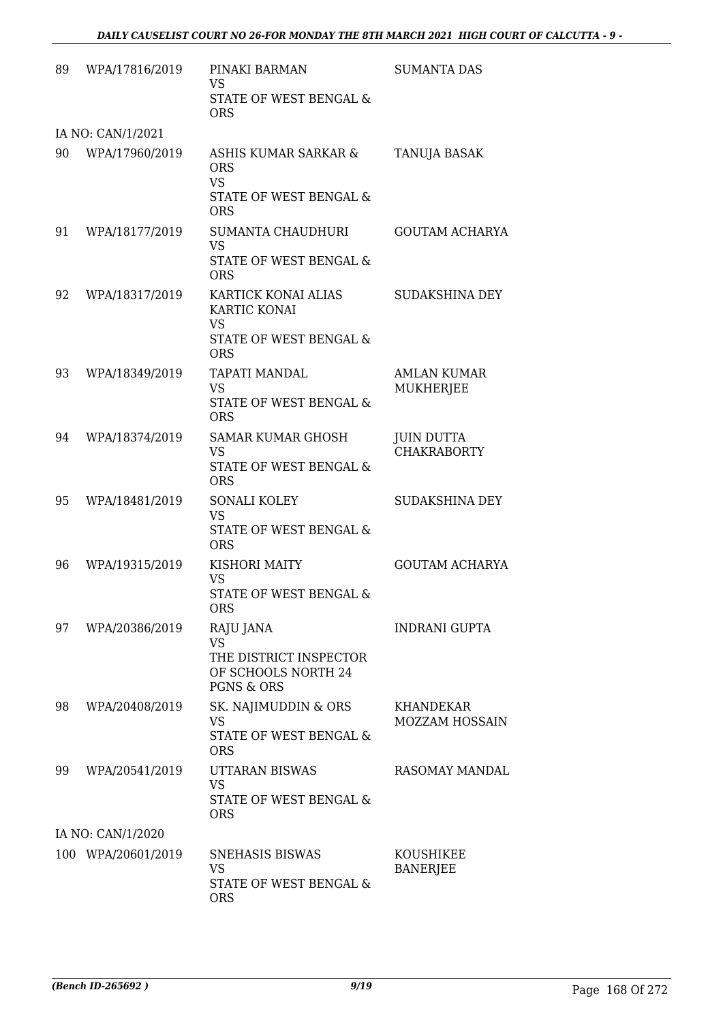| 89 | WPA/17816/2019     | PINAKI BARMAN<br>VS.<br>STATE OF WEST BENGAL &<br><b>ORS</b>                                     | <b>SUMANTA DAS</b>                        |
|----|--------------------|--------------------------------------------------------------------------------------------------|-------------------------------------------|
|    | IA NO: CAN/1/2021  |                                                                                                  |                                           |
| 90 | WPA/17960/2019     | ASHIS KUMAR SARKAR &<br><b>ORS</b><br><b>VS</b><br>STATE OF WEST BENGAL &<br><b>ORS</b>          | TANUJA BASAK                              |
| 91 | WPA/18177/2019     | SUMANTA CHAUDHURI<br><b>VS</b><br>STATE OF WEST BENGAL &<br><b>ORS</b>                           | <b>GOUTAM ACHARYA</b>                     |
| 92 | WPA/18317/2019     | KARTICK KONAI ALIAS<br>KARTIC KONAI<br><b>VS</b><br>STATE OF WEST BENGAL &<br><b>ORS</b>         | SUDAKSHINA DEY                            |
| 93 | WPA/18349/2019     | TAPATI MANDAL<br><b>VS</b><br>STATE OF WEST BENGAL &<br><b>ORS</b>                               | <b>AMLAN KUMAR</b><br><b>MUKHERJEE</b>    |
| 94 | WPA/18374/2019     | <b>SAMAR KUMAR GHOSH</b><br><b>VS</b><br>STATE OF WEST BENGAL &<br><b>ORS</b>                    | <b>JUIN DUTTA</b><br><b>CHAKRABORTY</b>   |
| 95 | WPA/18481/2019     | <b>SONALI KOLEY</b><br><b>VS</b><br>STATE OF WEST BENGAL &<br><b>ORS</b>                         | SUDAKSHINA DEY                            |
| 96 | WPA/19315/2019     | KISHORI MAITY<br><b>VS</b><br>STATE OF WEST BENGAL &<br><b>ORS</b>                               | <b>GOUTAM ACHARYA</b>                     |
| 97 | WPA/20386/2019     | RAJU JANA<br><b>VS</b><br>THE DISTRICT INSPECTOR<br>OF SCHOOLS NORTH 24<br><b>PGNS &amp; ORS</b> | <b>INDRANI GUPTA</b>                      |
| 98 | WPA/20408/2019     | SK. NAJIMUDDIN & ORS<br><b>VS</b><br>STATE OF WEST BENGAL &<br><b>ORS</b>                        | <b>KHANDEKAR</b><br><b>MOZZAM HOSSAIN</b> |
| 99 | WPA/20541/2019     | UTTARAN BISWAS<br><b>VS</b><br>STATE OF WEST BENGAL &<br><b>ORS</b>                              | RASOMAY MANDAL                            |
|    | IA NO: CAN/1/2020  |                                                                                                  |                                           |
|    | 100 WPA/20601/2019 | <b>SNEHASIS BISWAS</b><br><b>VS</b><br>STATE OF WEST BENGAL &<br><b>ORS</b>                      | KOUSHIKEE<br><b>BANERJEE</b>              |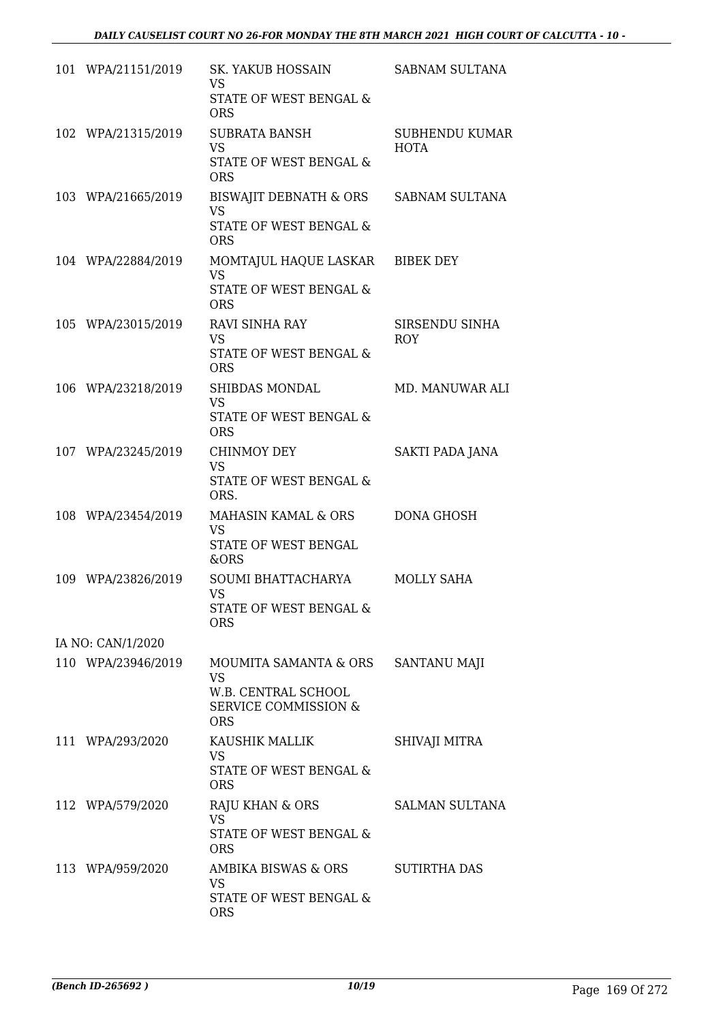| 101 WPA/21151/2019 | <b>SK. YAKUB HOSSAIN</b><br><b>VS</b>                                | <b>SABNAM SULTANA</b>                |
|--------------------|----------------------------------------------------------------------|--------------------------------------|
|                    | STATE OF WEST BENGAL &<br><b>ORS</b>                                 |                                      |
| 102 WPA/21315/2019 | <b>SUBRATA BANSH</b><br><b>VS</b>                                    | <b>SUBHENDU KUMAR</b><br><b>HOTA</b> |
|                    | STATE OF WEST BENGAL &<br><b>ORS</b>                                 |                                      |
| 103 WPA/21665/2019 | <b>BISWAJIT DEBNATH &amp; ORS</b><br><b>VS</b>                       | <b>SABNAM SULTANA</b>                |
|                    | <b>STATE OF WEST BENGAL &amp;</b><br><b>ORS</b>                      |                                      |
| 104 WPA/22884/2019 | MOMTAJUL HAQUE LASKAR<br><b>VS</b>                                   | <b>BIBEK DEY</b>                     |
|                    | STATE OF WEST BENGAL &<br><b>ORS</b>                                 |                                      |
| 105 WPA/23015/2019 | <b>RAVI SINHA RAY</b><br><b>VS</b>                                   | SIRSENDU SINHA<br><b>ROY</b>         |
|                    | <b>STATE OF WEST BENGAL &amp;</b><br><b>ORS</b>                      |                                      |
| 106 WPA/23218/2019 | SHIBDAS MONDAL<br><b>VS</b>                                          | <b>MD. MANUWAR ALI</b>               |
|                    | STATE OF WEST BENGAL &<br><b>ORS</b>                                 |                                      |
| 107 WPA/23245/2019 | <b>CHINMOY DEY</b><br><b>VS</b>                                      | SAKTI PADA JANA                      |
|                    | STATE OF WEST BENGAL &<br>ORS.                                       |                                      |
| 108 WPA/23454/2019 | <b>MAHASIN KAMAL &amp; ORS</b><br><b>VS</b>                          | <b>DONA GHOSH</b>                    |
|                    | <b>STATE OF WEST BENGAL</b><br>&ORS                                  |                                      |
| 109 WPA/23826/2019 | SOUMI BHATTACHARYA<br><b>VS</b>                                      | MOLLY SAHA                           |
|                    | STATE OF WEST BENGAL &<br><b>ORS</b>                                 |                                      |
| IA NO: CAN/1/2020  |                                                                      |                                      |
| 110 WPA/23946/2019 | MOUMITA SAMANTA & ORS<br><b>VS</b>                                   | <b>SANTANU MAJI</b>                  |
|                    | W.B. CENTRAL SCHOOL<br><b>SERVICE COMMISSION &amp;</b><br><b>ORS</b> |                                      |
| 111 WPA/293/2020   | KAUSHIK MALLIK<br><b>VS</b>                                          | SHIVAJI MITRA                        |
|                    | STATE OF WEST BENGAL &<br><b>ORS</b>                                 |                                      |
| 112 WPA/579/2020   | RAJU KHAN & ORS<br><b>VS</b>                                         | <b>SALMAN SULTANA</b>                |
|                    | STATE OF WEST BENGAL &<br><b>ORS</b>                                 |                                      |
| 113 WPA/959/2020   | AMBIKA BISWAS & ORS<br><b>VS</b>                                     | <b>SUTIRTHA DAS</b>                  |
|                    | STATE OF WEST BENGAL &<br><b>ORS</b>                                 |                                      |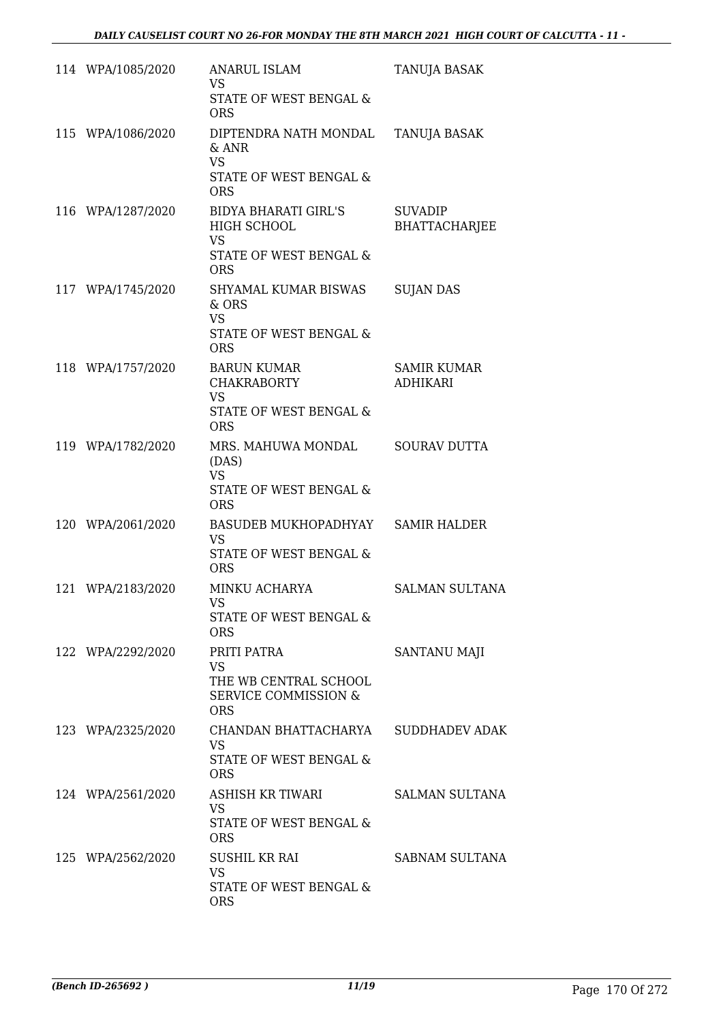| 114 WPA/1085/2020 | <b>ANARUL ISLAM</b><br><b>VS</b>                                                                                     | TANUJA BASAK                          |
|-------------------|----------------------------------------------------------------------------------------------------------------------|---------------------------------------|
|                   | STATE OF WEST BENGAL &<br><b>ORS</b>                                                                                 |                                       |
| 115 WPA/1086/2020 | DIPTENDRA NATH MONDAL<br>$\&$ ANR<br><b>VS</b><br>STATE OF WEST BENGAL &                                             | TANUJA BASAK                          |
| 116 WPA/1287/2020 | <b>ORS</b><br><b>BIDYA BHARATI GIRL'S</b><br><b>HIGH SCHOOL</b><br><b>VS</b><br>STATE OF WEST BENGAL &<br><b>ORS</b> | <b>SUVADIP</b><br>BHATTACHARJEE       |
| 117 WPA/1745/2020 | SHYAMAL KUMAR BISWAS<br>$&$ ORS<br><b>VS</b><br>STATE OF WEST BENGAL &<br><b>ORS</b>                                 | <b>SUJAN DAS</b>                      |
| 118 WPA/1757/2020 | <b>BARUN KUMAR</b><br><b>CHAKRABORTY</b><br><b>VS</b><br>STATE OF WEST BENGAL &<br><b>ORS</b>                        | <b>SAMIR KUMAR</b><br><b>ADHIKARI</b> |
| 119 WPA/1782/2020 | MRS. MAHUWA MONDAL<br>(DAS)<br><b>VS</b><br>STATE OF WEST BENGAL &<br><b>ORS</b>                                     | <b>SOURAV DUTTA</b>                   |
| 120 WPA/2061/2020 | BASUDEB MUKHOPADHYAY<br><b>VS</b><br><b>STATE OF WEST BENGAL &amp;</b><br><b>ORS</b>                                 | <b>SAMIR HALDER</b>                   |
| 121 WPA/2183/2020 | MINKU ACHARYA<br><b>VS</b><br>STATE OF WEST BENGAL &<br><b>ORS</b>                                                   | <b>SALMAN SULTANA</b>                 |
| 122 WPA/2292/2020 | PRITI PATRA<br><b>VS</b><br>THE WB CENTRAL SCHOOL<br><b>SERVICE COMMISSION &amp;</b><br><b>ORS</b>                   | <b>SANTANU MAJI</b>                   |
| 123 WPA/2325/2020 | CHANDAN BHATTACHARYA<br>VS.<br>STATE OF WEST BENGAL &<br><b>ORS</b>                                                  | <b>SUDDHADEV ADAK</b>                 |
| 124 WPA/2561/2020 | ASHISH KR TIWARI<br><b>VS</b><br>STATE OF WEST BENGAL &<br><b>ORS</b>                                                | <b>SALMAN SULTANA</b>                 |
| 125 WPA/2562/2020 | <b>SUSHIL KR RAI</b><br>VS.<br>STATE OF WEST BENGAL &<br><b>ORS</b>                                                  | SABNAM SULTANA                        |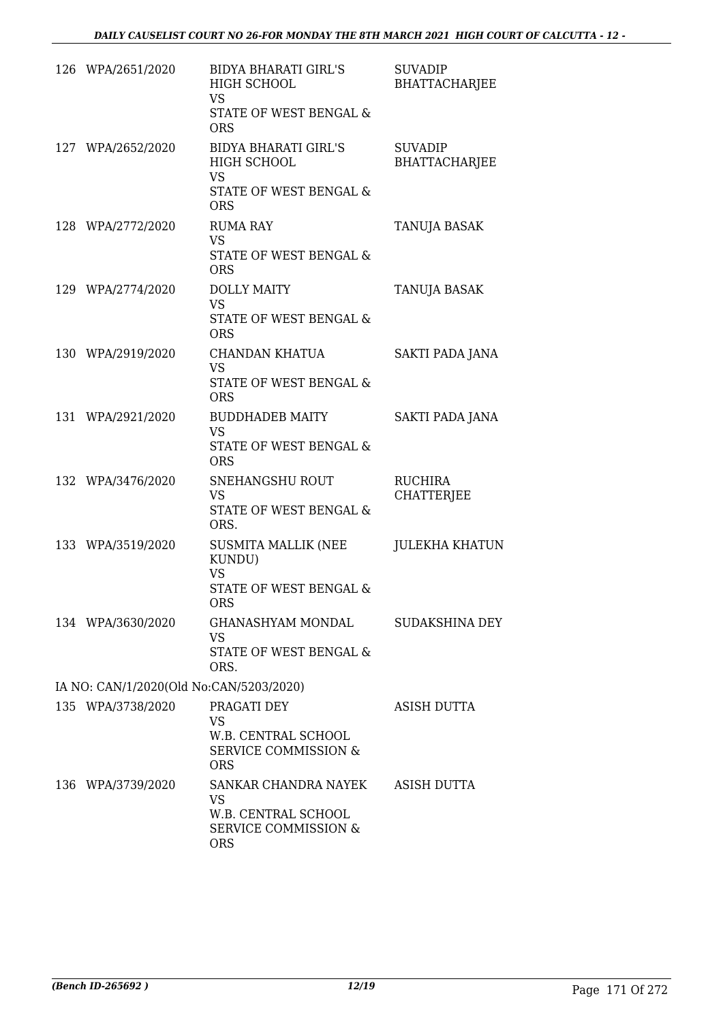| 126 WPA/2651/2020                       | <b>BIDYA BHARATI GIRL'S</b><br>HIGH SCHOOL<br>VS.<br>STATE OF WEST BENGAL &<br><b>ORS</b>        | <b>SUVADIP</b><br><b>BHATTACHARJEE</b> |
|-----------------------------------------|--------------------------------------------------------------------------------------------------|----------------------------------------|
| 127 WPA/2652/2020                       | <b>BIDYA BHARATI GIRL'S</b><br>HIGH SCHOOL<br><b>VS</b><br>STATE OF WEST BENGAL &<br><b>ORS</b>  | <b>SUVADIP</b><br><b>BHATTACHARJEE</b> |
| 128 WPA/2772/2020                       | <b>RUMA RAY</b><br><b>VS</b><br>STATE OF WEST BENGAL &<br><b>ORS</b>                             | TANUJA BASAK                           |
| 129 WPA/2774/2020                       | <b>DOLLY MAITY</b><br><b>VS</b><br>STATE OF WEST BENGAL &<br><b>ORS</b>                          | TANUJA BASAK                           |
| 130 WPA/2919/2020                       | <b>CHANDAN KHATUA</b><br><b>VS</b><br><b>STATE OF WEST BENGAL &amp;</b><br><b>ORS</b>            | SAKTI PADA JANA                        |
| 131 WPA/2921/2020                       | <b>BUDDHADEB MAITY</b><br><b>VS</b><br>STATE OF WEST BENGAL &<br><b>ORS</b>                      | SAKTI PADA JANA                        |
| 132 WPA/3476/2020                       | SNEHANGSHU ROUT<br><b>VS</b><br>STATE OF WEST BENGAL &<br>ORS.                                   | <b>RUCHIRA</b><br><b>CHATTERJEE</b>    |
| 133 WPA/3519/2020                       | SUSMITA MALLIK (NEE<br>KUNDU)<br><b>VS</b><br>STATE OF WEST BENGAL &<br>ORS                      | <b>JULEKHA KHATUN</b>                  |
| 134 WPA/3630/2020                       | GHANASHYAM MONDAL<br><b>VS</b><br>STATE OF WEST BENGAL &<br>ORS.                                 | SUDAKSHINA DEY                         |
| IA NO: CAN/1/2020(Old No:CAN/5203/2020) |                                                                                                  |                                        |
| 135 WPA/3738/2020                       | PRAGATI DEY<br><b>VS</b><br>W.B. CENTRAL SCHOOL<br><b>SERVICE COMMISSION &amp;</b><br><b>ORS</b> | <b>ASISH DUTTA</b>                     |
| 136 WPA/3739/2020                       | SANKAR CHANDRA NAYEK<br>VS.<br>W.B. CENTRAL SCHOOL<br>SERVICE COMMISSION &<br><b>ORS</b>         | ASISH DUTTA                            |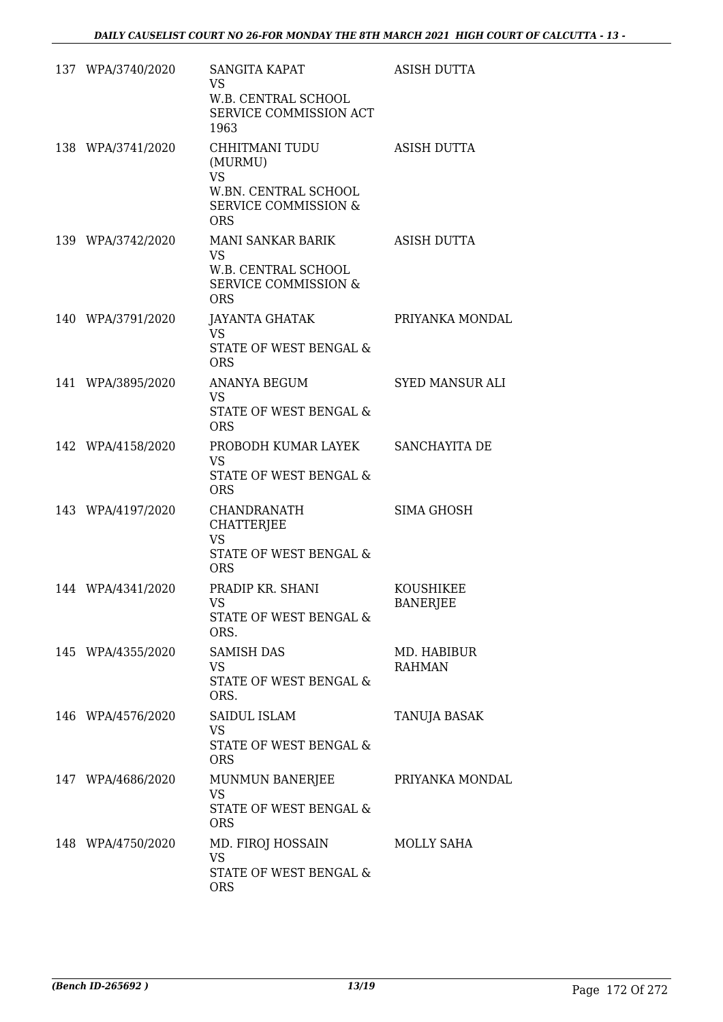| 137 WPA/3740/2020 | <b>SANGITA KAPAT</b><br><b>VS</b><br>W.B. CENTRAL SCHOOL<br>SERVICE COMMISSION ACT<br>1963                      | <b>ASISH DUTTA</b>                  |
|-------------------|-----------------------------------------------------------------------------------------------------------------|-------------------------------------|
| 138 WPA/3741/2020 | CHHITMANI TUDU<br>(MURMU)<br><b>VS</b><br>W.BN. CENTRAL SCHOOL<br><b>SERVICE COMMISSION &amp;</b><br><b>ORS</b> | <b>ASISH DUTTA</b>                  |
| 139 WPA/3742/2020 | MANI SANKAR BARIK<br><b>VS</b><br>W.B. CENTRAL SCHOOL<br><b>SERVICE COMMISSION &amp;</b><br><b>ORS</b>          | ASISH DUTTA                         |
| 140 WPA/3791/2020 | JAYANTA GHATAK<br><b>VS</b><br>STATE OF WEST BENGAL &<br><b>ORS</b>                                             | PRIYANKA MONDAL                     |
| 141 WPA/3895/2020 | <b>ANANYA BEGUM</b><br><b>VS</b><br>STATE OF WEST BENGAL &<br><b>ORS</b>                                        | <b>SYED MANSUR ALI</b>              |
| 142 WPA/4158/2020 | PROBODH KUMAR LAYEK<br>VS.<br>STATE OF WEST BENGAL &<br><b>ORS</b>                                              | SANCHAYITA DE                       |
| 143 WPA/4197/2020 | CHANDRANATH<br><b>CHATTERJEE</b><br><b>VS</b><br><b>STATE OF WEST BENGAL &amp;</b><br><b>ORS</b>                | <b>SIMA GHOSH</b>                   |
| 144 WPA/4341/2020 | PRADIP KR. SHANI<br>VS —<br>STATE OF WEST BENGAL &<br>ORS.                                                      | <b>KOUSHIKEE</b><br><b>BANERJEE</b> |
| 145 WPA/4355/2020 | <b>SAMISH DAS</b><br><b>VS</b><br><b>STATE OF WEST BENGAL &amp;</b><br>ORS.                                     | MD. HABIBUR<br><b>RAHMAN</b>        |
| 146 WPA/4576/2020 | SAIDUL ISLAM<br><b>VS</b><br>STATE OF WEST BENGAL &<br><b>ORS</b>                                               | TANUJA BASAK                        |
| 147 WPA/4686/2020 | MUNMUN BANERJEE<br><b>VS</b><br>STATE OF WEST BENGAL &<br><b>ORS</b>                                            | PRIYANKA MONDAL                     |
| 148 WPA/4750/2020 | MD. FIROJ HOSSAIN<br><b>VS</b><br>STATE OF WEST BENGAL &<br><b>ORS</b>                                          | MOLLY SAHA                          |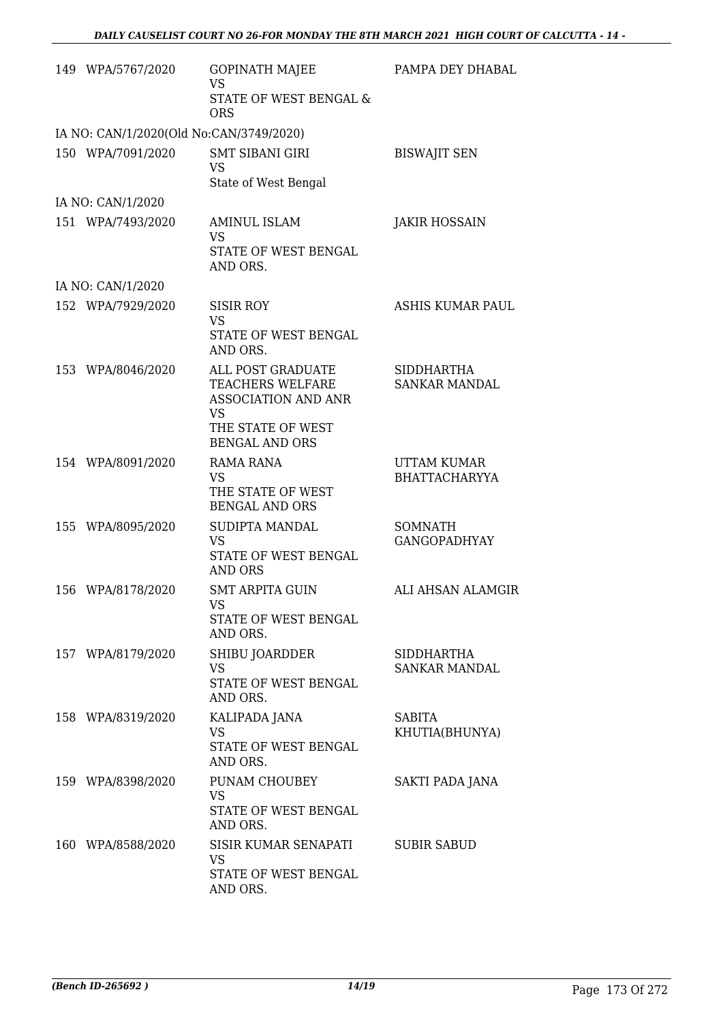| 149 WPA/5767/2020                       | <b>GOPINATH MAJEE</b><br>VS<br>STATE OF WEST BENGAL &<br><b>ORS</b>                                                            | PAMPA DEY DHABAL                           |
|-----------------------------------------|--------------------------------------------------------------------------------------------------------------------------------|--------------------------------------------|
| IA NO: CAN/1/2020(Old No:CAN/3749/2020) |                                                                                                                                |                                            |
| 150 WPA/7091/2020                       | <b>SMT SIBANI GIRI</b><br><b>VS</b><br>State of West Bengal                                                                    | <b>BISWAJIT SEN</b>                        |
| IA NO: CAN/1/2020                       |                                                                                                                                |                                            |
| 151 WPA/7493/2020                       | <b>AMINUL ISLAM</b><br><b>VS</b><br>STATE OF WEST BENGAL<br>AND ORS.                                                           | <b>JAKIR HOSSAIN</b>                       |
| IA NO: CAN/1/2020                       |                                                                                                                                |                                            |
| 152 WPA/7929/2020                       | <b>SISIR ROY</b><br><b>VS</b><br><b>STATE OF WEST BENGAL</b><br>AND ORS.                                                       | <b>ASHIS KUMAR PAUL</b>                    |
| 153 WPA/8046/2020                       | ALL POST GRADUATE<br>TEACHERS WELFARE<br><b>ASSOCIATION AND ANR</b><br><b>VS</b><br>THE STATE OF WEST<br><b>BENGAL AND ORS</b> | <b>SIDDHARTHA</b><br><b>SANKAR MANDAL</b>  |
| 154 WPA/8091/2020                       | <b>RAMA RANA</b><br><b>VS</b><br>THE STATE OF WEST<br><b>BENGAL AND ORS</b>                                                    | <b>UTTAM KUMAR</b><br><b>BHATTACHARYYA</b> |
| 155 WPA/8095/2020                       | SUDIPTA MANDAL<br><b>VS</b><br>STATE OF WEST BENGAL<br><b>AND ORS</b>                                                          | <b>SOMNATH</b><br><b>GANGOPADHYAY</b>      |
| 156 WPA/8178/2020                       | <b>SMT ARPITA GUIN</b><br>VS<br>STATE OF WEST BENGAL<br>AND ORS.                                                               | ALI AHSAN ALAMGIR                          |
| 157 WPA/8179/2020                       | SHIBU JOARDDER<br><b>VS</b><br>STATE OF WEST BENGAL<br>AND ORS.                                                                | SIDDHARTHA<br>SANKAR MANDAL                |
| 158 WPA/8319/2020                       | KALIPADA JANA<br>VS<br>STATE OF WEST BENGAL<br>AND ORS.                                                                        | SABITA<br>KHUTIA(BHUNYA)                   |
| 159 WPA/8398/2020                       | PUNAM CHOUBEY<br><b>VS</b><br>STATE OF WEST BENGAL<br>AND ORS.                                                                 | SAKTI PADA JANA                            |
| 160 WPA/8588/2020                       | SISIR KUMAR SENAPATI<br>VS<br>STATE OF WEST BENGAL<br>AND ORS.                                                                 | <b>SUBIR SABUD</b>                         |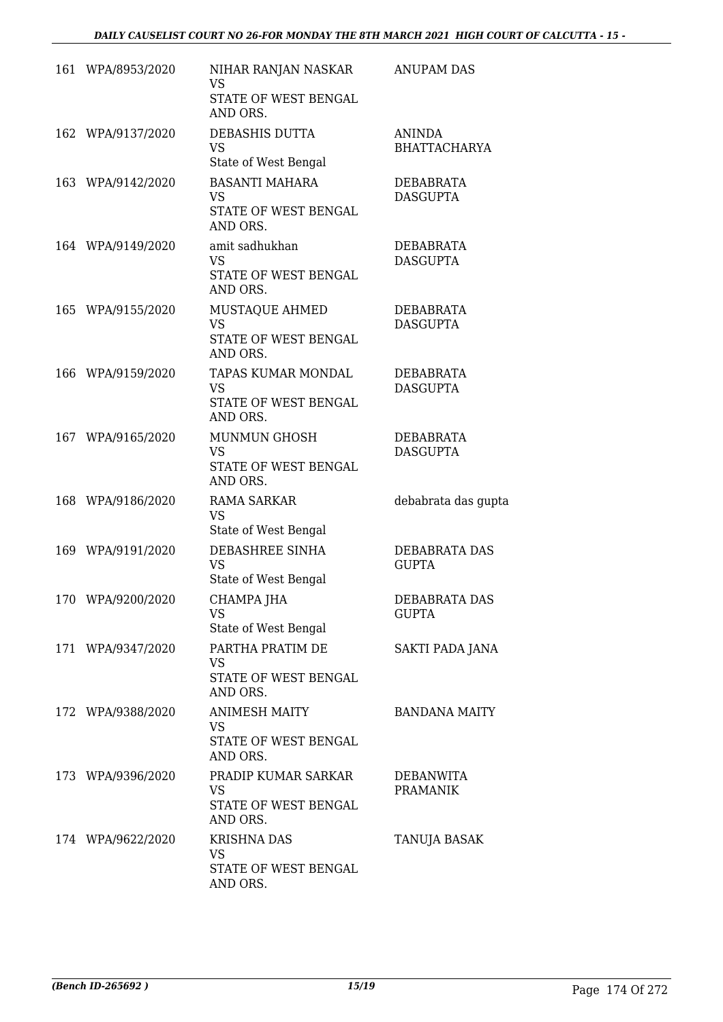| 161 WPA/8953/2020 | NIHAR RANJAN NASKAR<br><b>VS</b><br>STATE OF WEST BENGAL        | <b>ANUPAM DAS</b>                    |
|-------------------|-----------------------------------------------------------------|--------------------------------------|
|                   | AND ORS.                                                        |                                      |
| 162 WPA/9137/2020 | DEBASHIS DUTTA<br><b>VS</b><br>State of West Bengal             | <b>ANINDA</b><br><b>BHATTACHARYA</b> |
| 163 WPA/9142/2020 | <b>BASANTI MAHARA</b><br>VS<br>STATE OF WEST BENGAL<br>AND ORS. | DEBABRATA<br><b>DASGUPTA</b>         |
| 164 WPA/9149/2020 | amit sadhukhan<br>VS<br>STATE OF WEST BENGAL<br>AND ORS.        | DEBABRATA<br><b>DASGUPTA</b>         |
| 165 WPA/9155/2020 | MUSTAQUE AHMED<br><b>VS</b><br>STATE OF WEST BENGAL<br>AND ORS. | DEBABRATA<br><b>DASGUPTA</b>         |
| 166 WPA/9159/2020 | TAPAS KUMAR MONDAL<br>VS.<br>STATE OF WEST BENGAL<br>AND ORS.   | DEBABRATA<br><b>DASGUPTA</b>         |
| 167 WPA/9165/2020 | MUNMUN GHOSH<br><b>VS</b><br>STATE OF WEST BENGAL<br>AND ORS.   | DEBABRATA<br><b>DASGUPTA</b>         |
| 168 WPA/9186/2020 | RAMA SARKAR<br>VS<br>State of West Bengal                       | debabrata das gupta                  |
| 169 WPA/9191/2020 | DEBASHREE SINHA<br><b>VS</b><br>State of West Bengal            | DEBABRATA DAS<br><b>GUPTA</b>        |
| 170 WPA/9200/2020 | CHAMPA JHA<br><b>VS</b><br>State of West Bengal                 | DEBABRATA DAS<br><b>GUPTA</b>        |
| 171 WPA/9347/2020 | PARTHA PRATIM DE<br>VS<br>STATE OF WEST BENGAL<br>AND ORS.      | SAKTI PADA JANA                      |
| 172 WPA/9388/2020 | <b>ANIMESH MAITY</b><br>VS<br>STATE OF WEST BENGAL<br>AND ORS.  | <b>BANDANA MAITY</b>                 |
| 173 WPA/9396/2020 | PRADIP KUMAR SARKAR<br>VS<br>STATE OF WEST BENGAL<br>AND ORS.   | DEBANWITA<br><b>PRAMANIK</b>         |
| 174 WPA/9622/2020 | <b>KRISHNA DAS</b><br>VS.<br>STATE OF WEST BENGAL<br>AND ORS.   | TANUJA BASAK                         |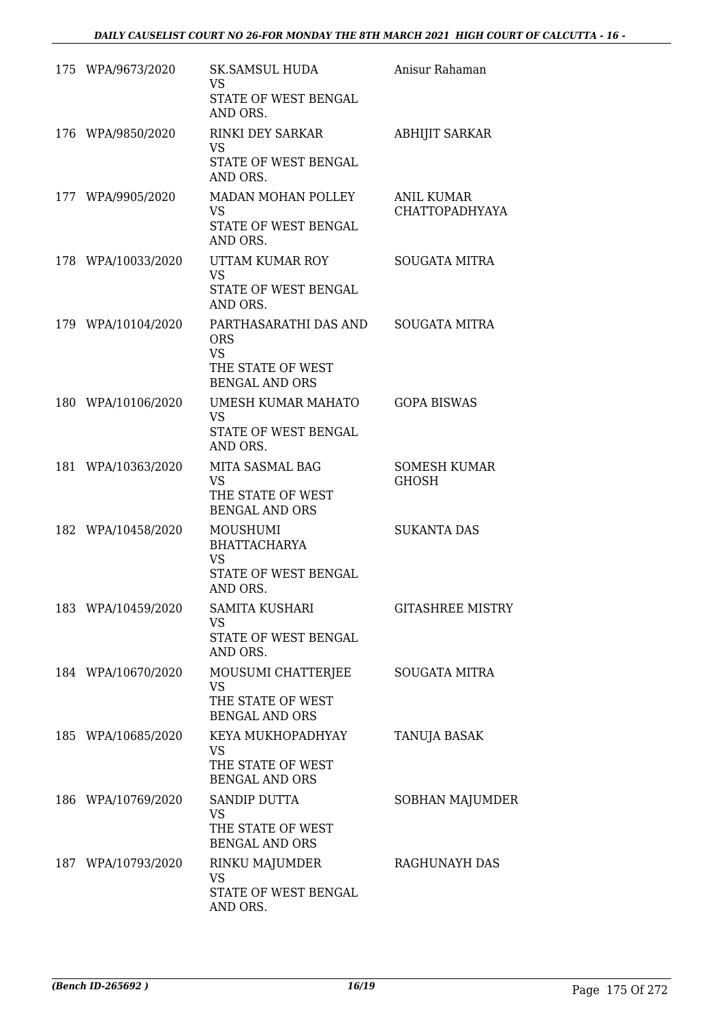| 175 WPA/9673/2020  | <b>SK.SAMSUL HUDA</b><br>VS.<br>STATE OF WEST BENGAL<br>AND ORS.                               | Anisur Rahaman                             |
|--------------------|------------------------------------------------------------------------------------------------|--------------------------------------------|
| 176 WPA/9850/2020  | <b>RINKI DEY SARKAR</b><br><b>VS</b><br>STATE OF WEST BENGAL<br>AND ORS.                       | <b>ABHIJIT SARKAR</b>                      |
| 177 WPA/9905/2020  | MADAN MOHAN POLLEY<br><b>VS</b><br>STATE OF WEST BENGAL<br>AND ORS.                            | <b>ANIL KUMAR</b><br><b>CHATTOPADHYAYA</b> |
| 178 WPA/10033/2020 | UTTAM KUMAR ROY<br><b>VS</b><br>STATE OF WEST BENGAL<br>AND ORS.                               | <b>SOUGATA MITRA</b>                       |
| 179 WPA/10104/2020 | PARTHASARATHI DAS AND<br><b>ORS</b><br><b>VS</b><br>THE STATE OF WEST<br><b>BENGAL AND ORS</b> | <b>SOUGATA MITRA</b>                       |
| 180 WPA/10106/2020 | UMESH KUMAR MAHATO<br><b>VS</b><br>STATE OF WEST BENGAL<br>AND ORS.                            | <b>GOPA BISWAS</b>                         |
| 181 WPA/10363/2020 | MITA SASMAL BAG<br><b>VS</b><br>THE STATE OF WEST<br><b>BENGAL AND ORS</b>                     | <b>SOMESH KUMAR</b><br><b>GHOSH</b>        |
| 182 WPA/10458/2020 | MOUSHUMI<br><b>BHATTACHARYA</b><br><b>VS</b><br>STATE OF WEST BENGAL<br>AND ORS.               | <b>SUKANTA DAS</b>                         |
| 183 WPA/10459/2020 | <b>SAMITA KUSHARI</b><br><b>VS</b><br>STATE OF WEST BENGAL<br>AND ORS.                         | <b>GITASHREE MISTRY</b>                    |
| 184 WPA/10670/2020 | MOUSUMI CHATTERJEE<br>VS<br>THE STATE OF WEST<br><b>BENGAL AND ORS</b>                         | <b>SOUGATA MITRA</b>                       |
| 185 WPA/10685/2020 | KEYA MUKHOPADHYAY<br><b>VS</b><br>THE STATE OF WEST<br><b>BENGAL AND ORS</b>                   | TANUJA BASAK                               |
| 186 WPA/10769/2020 | SANDIP DUTTA<br><b>VS</b><br>THE STATE OF WEST<br><b>BENGAL AND ORS</b>                        | SOBHAN MAJUMDER                            |
| 187 WPA/10793/2020 | RINKU MAJUMDER<br>VS<br>STATE OF WEST BENGAL<br>AND ORS.                                       | RAGHUNAYH DAS                              |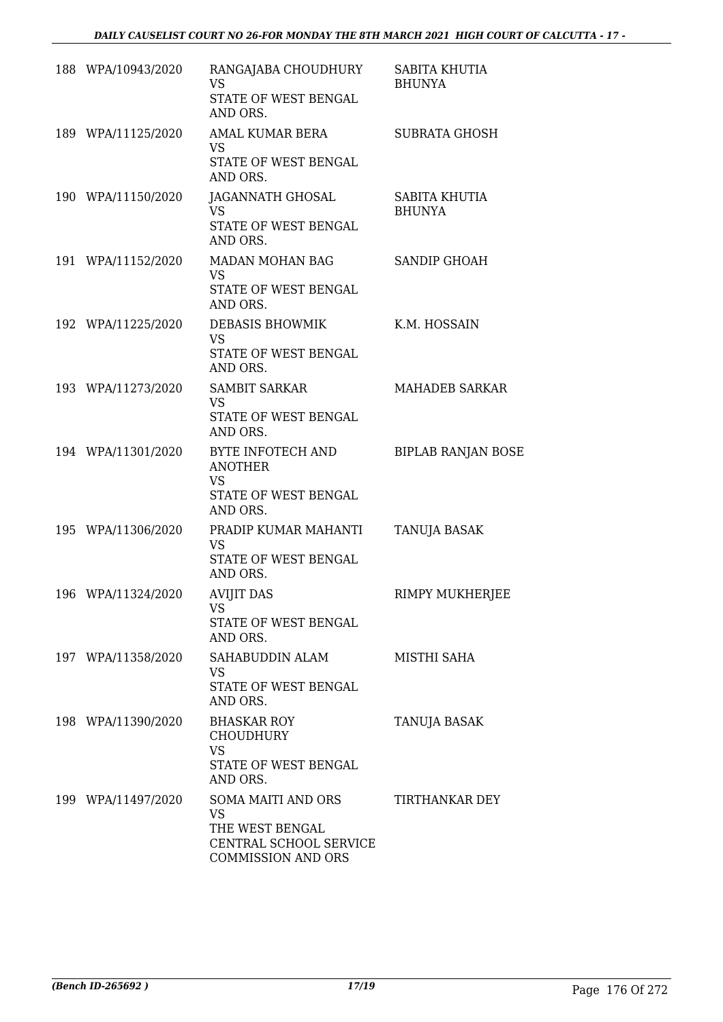| 188 WPA/10943/2020 | RANGAJABA CHOUDHURY<br><b>VS</b><br>STATE OF WEST BENGAL<br>AND ORS.                                      | SABITA KHUTIA<br><b>BHUNYA</b> |
|--------------------|-----------------------------------------------------------------------------------------------------------|--------------------------------|
| 189 WPA/11125/2020 | AMAL KUMAR BERA<br><b>VS</b><br>STATE OF WEST BENGAL<br>AND ORS.                                          | <b>SUBRATA GHOSH</b>           |
| 190 WPA/11150/2020 | JAGANNATH GHOSAL<br><b>VS</b><br>STATE OF WEST BENGAL<br>AND ORS.                                         | SABITA KHUTIA<br><b>BHUNYA</b> |
| 191 WPA/11152/2020 | MADAN MOHAN BAG<br>VS.<br>STATE OF WEST BENGAL<br>AND ORS.                                                | <b>SANDIP GHOAH</b>            |
| 192 WPA/11225/2020 | DEBASIS BHOWMIK<br><b>VS</b><br>STATE OF WEST BENGAL<br>AND ORS.                                          | K.M. HOSSAIN                   |
| 193 WPA/11273/2020 | <b>SAMBIT SARKAR</b><br><b>VS</b><br>STATE OF WEST BENGAL<br>AND ORS.                                     | <b>MAHADEB SARKAR</b>          |
| 194 WPA/11301/2020 | BYTE INFOTECH AND<br><b>ANOTHER</b><br><b>VS</b><br>STATE OF WEST BENGAL<br>AND ORS.                      | <b>BIPLAB RANJAN BOSE</b>      |
| 195 WPA/11306/2020 | PRADIP KUMAR MAHANTI<br><b>VS</b><br>STATE OF WEST BENGAL<br>AND ORS.                                     | TANUJA BASAK                   |
| 196 WPA/11324/2020 | AVIJIT DAS<br>VS<br>STATE OF WEST BENGAL<br>AND ORS.                                                      | RIMPY MUKHERJEE                |
| 197 WPA/11358/2020 | SAHABUDDIN ALAM<br><b>VS</b><br>STATE OF WEST BENGAL<br>AND ORS.                                          | MISTHI SAHA                    |
| 198 WPA/11390/2020 | <b>BHASKAR ROY</b><br><b>CHOUDHURY</b><br><b>VS</b><br>STATE OF WEST BENGAL<br>AND ORS.                   | <b>TANUJA BASAK</b>            |
| 199 WPA/11497/2020 | SOMA MAITI AND ORS<br><b>VS</b><br>THE WEST BENGAL<br>CENTRAL SCHOOL SERVICE<br><b>COMMISSION AND ORS</b> | TIRTHANKAR DEY                 |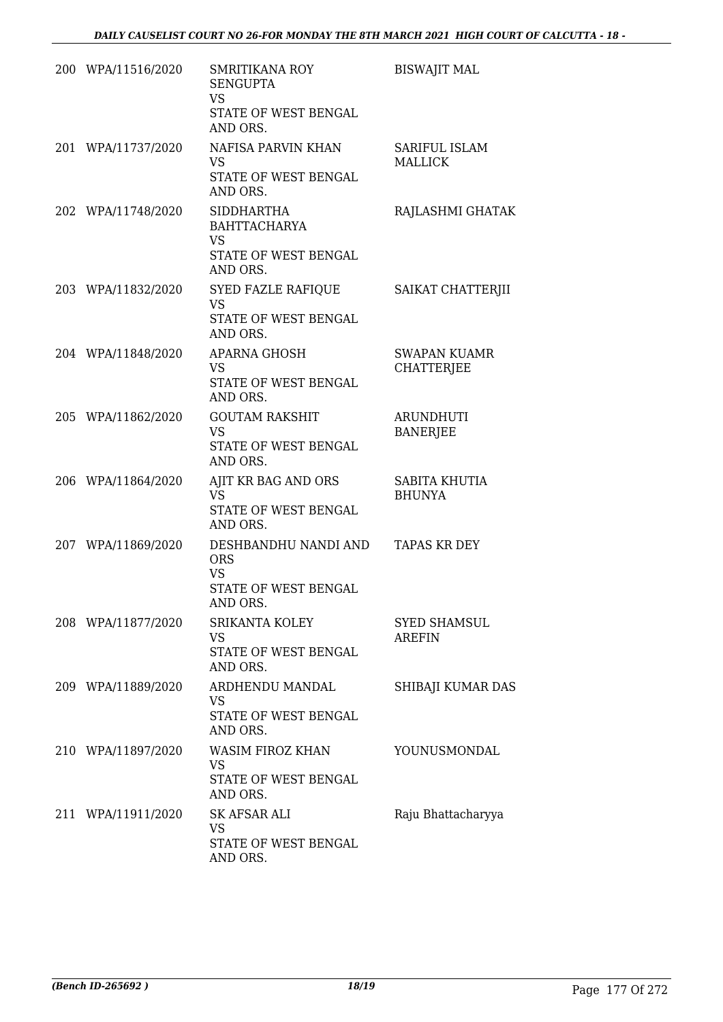| 200 WPA/11516/2020 | <b>SMRITIKANA ROY</b><br><b>SENGUPTA</b><br><b>VS</b><br>STATE OF WEST BENGAL<br>AND ORS. | <b>BISWAJIT MAL</b>                      |
|--------------------|-------------------------------------------------------------------------------------------|------------------------------------------|
| 201 WPA/11737/2020 | NAFISA PARVIN KHAN<br><b>VS</b><br>STATE OF WEST BENGAL<br>AND ORS.                       | SARIFUL ISLAM<br><b>MALLICK</b>          |
| 202 WPA/11748/2020 | <b>SIDDHARTHA</b><br><b>BAHTTACHARYA</b><br><b>VS</b><br>STATE OF WEST BENGAL<br>AND ORS. | RAJLASHMI GHATAK                         |
| 203 WPA/11832/2020 | SYED FAZLE RAFIQUE<br><b>VS</b><br>STATE OF WEST BENGAL<br>AND ORS.                       | SAIKAT CHATTERJII                        |
| 204 WPA/11848/2020 | <b>APARNA GHOSH</b><br><b>VS</b><br>STATE OF WEST BENGAL<br>AND ORS.                      | <b>SWAPAN KUAMR</b><br><b>CHATTERJEE</b> |
| 205 WPA/11862/2020 | <b>GOUTAM RAKSHIT</b><br><b>VS</b><br>STATE OF WEST BENGAL<br>AND ORS.                    | <b>ARUNDHUTI</b><br><b>BANERJEE</b>      |
| 206 WPA/11864/2020 | AJIT KR BAG AND ORS<br><b>VS</b><br>STATE OF WEST BENGAL<br>AND ORS.                      | SABITA KHUTIA<br><b>BHUNYA</b>           |
| 207 WPA/11869/2020 | DESHBANDHU NANDI AND<br><b>ORS</b><br><b>VS</b><br>STATE OF WEST BENGAL<br>AND ORS.       | <b>TAPAS KR DEY</b>                      |
| 208 WPA/11877/2020 | <b>SRIKANTA KOLEY</b><br><b>VS</b><br>STATE OF WEST BENGAL<br>AND ORS.                    | <b>SYED SHAMSUL</b><br><b>AREFIN</b>     |
| 209 WPA/11889/2020 | ARDHENDU MANDAL<br><b>VS</b><br>STATE OF WEST BENGAL<br>AND ORS.                          | SHIBAJI KUMAR DAS                        |
| 210 WPA/11897/2020 | WASIM FIROZ KHAN<br><b>VS</b><br>STATE OF WEST BENGAL<br>AND ORS.                         | YOUNUSMONDAL                             |
| 211 WPA/11911/2020 | <b>SK AFSAR ALI</b><br><b>VS</b><br>STATE OF WEST BENGAL<br>AND ORS.                      | Raju Bhattacharyya                       |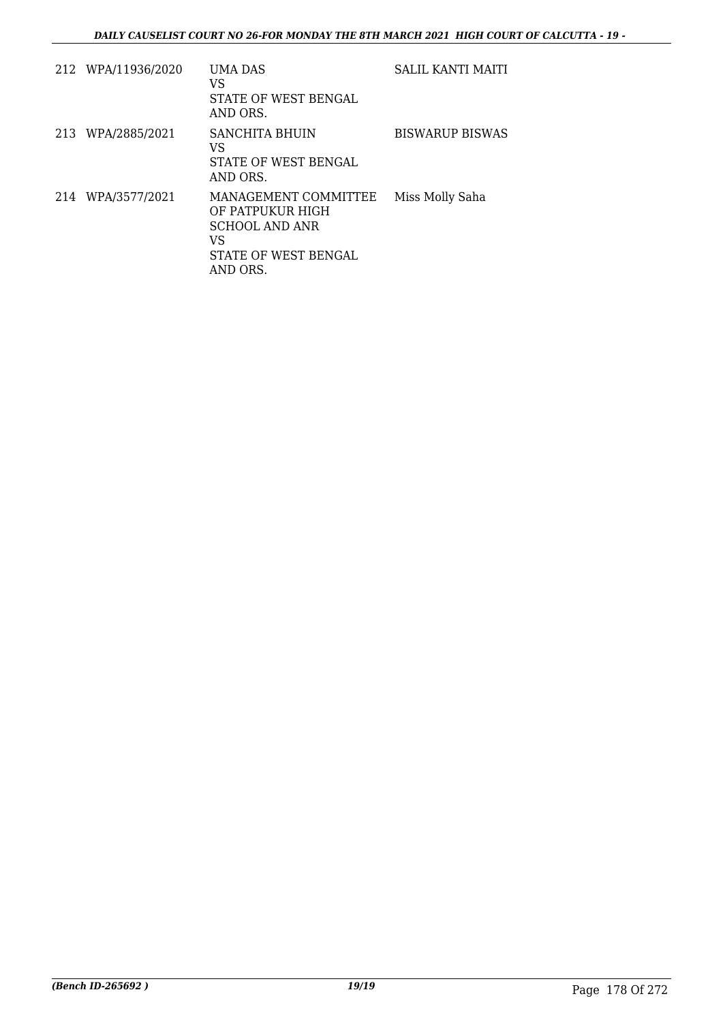| 212 WPA/11936/2020 | UMA DAS<br>VS<br>STATE OF WEST BENGAL<br>AND ORS.                                                           | SALIL KANTI MAITI      |
|--------------------|-------------------------------------------------------------------------------------------------------------|------------------------|
| 213 WPA/2885/2021  | SANCHITA BHUIN<br>VS<br>STATE OF WEST BENGAL<br>AND ORS.                                                    | <b>BISWARUP BISWAS</b> |
| 214 WPA/3577/2021  | MANAGEMENT COMMITTEE<br>OF PATPUKUR HIGH<br><b>SCHOOL AND ANR</b><br>VS<br>STATE OF WEST BENGAL<br>AND ORS. | Miss Molly Saha        |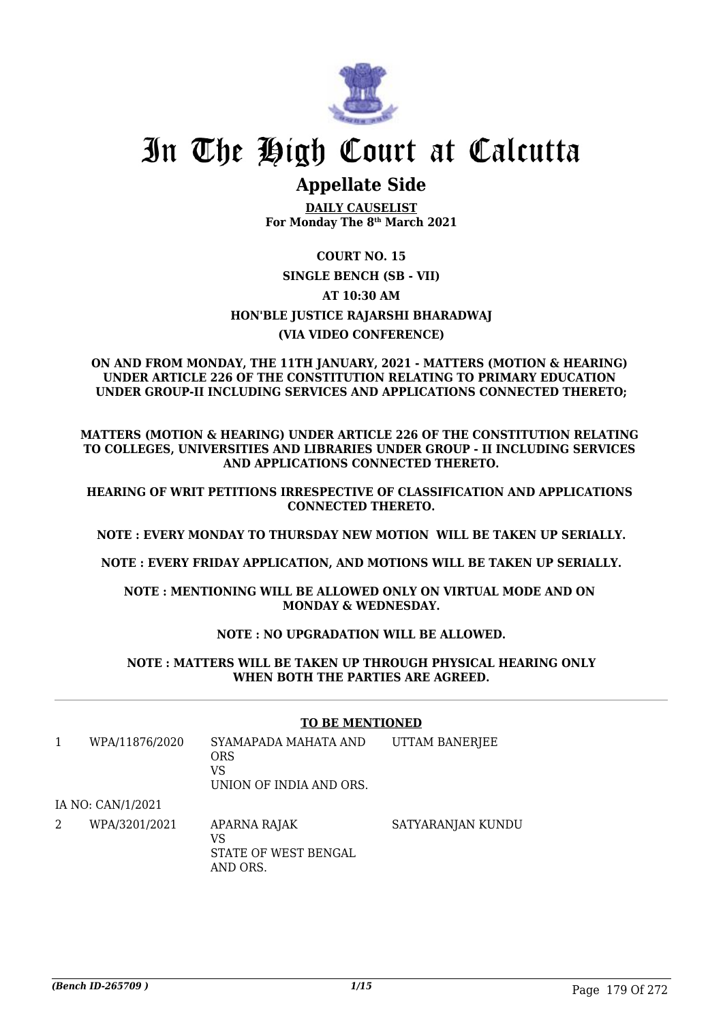

# In The High Court at Calcutta

# **Appellate Side**

**DAILY CAUSELIST For Monday The 8th March 2021**

# **COURT NO. 15**

# **SINGLE BENCH (SB - VII) AT 10:30 AM HON'BLE JUSTICE RAJARSHI BHARADWAJ (VIA VIDEO CONFERENCE)**

#### **ON AND FROM MONDAY, THE 11TH JANUARY, 2021 - MATTERS (MOTION & HEARING) UNDER ARTICLE 226 OF THE CONSTITUTION RELATING TO PRIMARY EDUCATION UNDER GROUP-II INCLUDING SERVICES AND APPLICATIONS CONNECTED THERETO;**

**MATTERS (MOTION & HEARING) UNDER ARTICLE 226 OF THE CONSTITUTION RELATING TO COLLEGES, UNIVERSITIES AND LIBRARIES UNDER GROUP - II INCLUDING SERVICES AND APPLICATIONS CONNECTED THERETO.**

**HEARING OF WRIT PETITIONS IRRESPECTIVE OF CLASSIFICATION AND APPLICATIONS CONNECTED THERETO.**

**NOTE : EVERY MONDAY TO THURSDAY NEW MOTION WILL BE TAKEN UP SERIALLY.**

**NOTE : EVERY FRIDAY APPLICATION, AND MOTIONS WILL BE TAKEN UP SERIALLY.**

**NOTE : MENTIONING WILL BE ALLOWED ONLY ON VIRTUAL MODE AND ON MONDAY & WEDNESDAY.**

# **NOTE : NO UPGRADATION WILL BE ALLOWED.**

### **NOTE : MATTERS WILL BE TAKEN UP THROUGH PHYSICAL HEARING ONLY WHEN BOTH THE PARTIES ARE AGREED.**

### **TO BE MENTIONED**

| WPA/11876/2020    | SYAMAPADA MAHATA AND<br>ORS<br>VS<br>UNION OF INDIA AND ORS. | UTTAM BANERJEE |  |
|-------------------|--------------------------------------------------------------|----------------|--|
| IA NO: CAN/1/2021 |                                                              |                |  |

2 WPA/3201/2021 APARNA RAJAK VS STATE OF WEST BENGAL AND ORS. SATYARANJAN KUNDU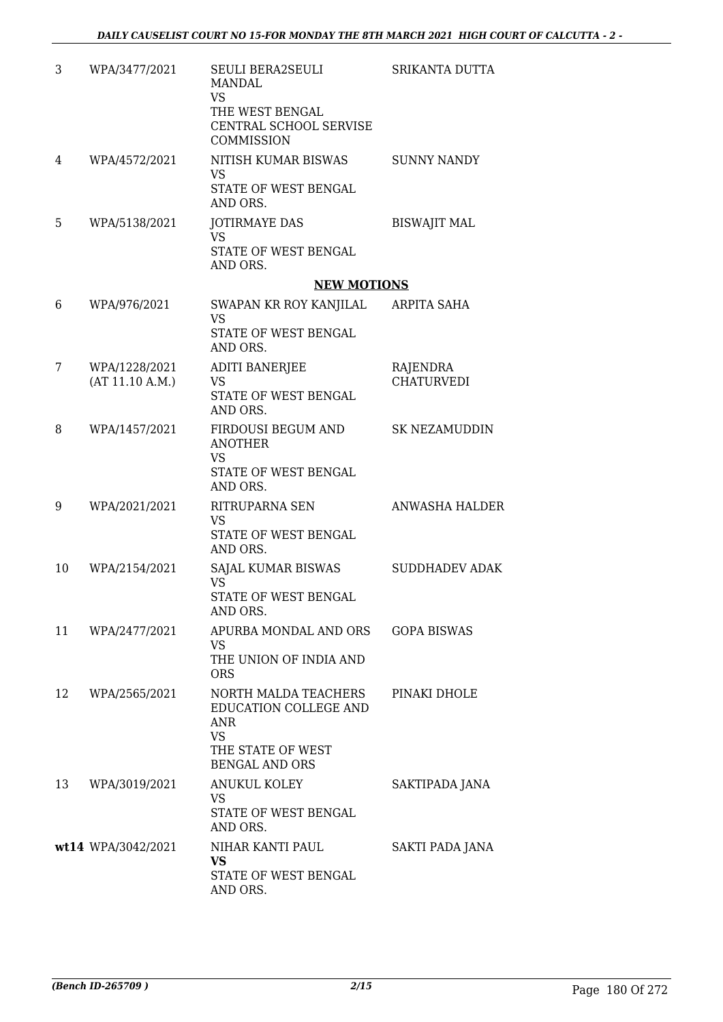| 3  | WPA/3477/2021                    | SEULI BERA2SEULI<br><b>MANDAL</b><br><b>VS</b>                    | SRIKANTA DUTTA                |
|----|----------------------------------|-------------------------------------------------------------------|-------------------------------|
|    |                                  | THE WEST BENGAL<br>CENTRAL SCHOOL SERVISE<br><b>COMMISSION</b>    |                               |
| 4  | WPA/4572/2021                    | NITISH KUMAR BISWAS<br><b>VS</b><br>STATE OF WEST BENGAL          | <b>SUNNY NANDY</b>            |
|    |                                  | AND ORS.                                                          |                               |
| 5  | WPA/5138/2021                    | <b>JOTIRMAYE DAS</b><br><b>VS</b><br>STATE OF WEST BENGAL         | <b>BISWAJIT MAL</b>           |
|    |                                  | AND ORS.                                                          |                               |
|    |                                  | <b>NEW MOTIONS</b>                                                |                               |
| 6  | WPA/976/2021                     | SWAPAN KR ROY KANJILAL<br><b>VS</b><br>STATE OF WEST BENGAL       | ARPITA SAHA                   |
|    |                                  | AND ORS.                                                          |                               |
| 7  | WPA/1228/2021<br>(AT 11.10 A.M.) | <b>ADITI BANERJEE</b><br><b>VS</b><br>STATE OF WEST BENGAL        | RAJENDRA<br><b>CHATURVEDI</b> |
| 8  | WPA/1457/2021                    | AND ORS.<br>FIRDOUSI BEGUM AND                                    | <b>SK NEZAMUDDIN</b>          |
|    |                                  | <b>ANOTHER</b><br><b>VS</b>                                       |                               |
|    |                                  | STATE OF WEST BENGAL<br>AND ORS.                                  |                               |
| 9  | WPA/2021/2021                    | RITRUPARNA SEN<br><b>VS</b><br>STATE OF WEST BENGAL               | <b>ANWASHA HALDER</b>         |
|    |                                  | AND ORS.                                                          |                               |
| 10 | WPA/2154/2021                    | SAJAL KUMAR BISWAS<br><b>VS</b>                                   | <b>SUDDHADEV ADAK</b>         |
|    |                                  | STATE OF WEST BENGAL<br>AND ORS.                                  |                               |
| 11 | WPA/2477/2021                    | APURBA MONDAL AND ORS<br>VS                                       | <b>GOPA BISWAS</b>            |
|    |                                  | THE UNION OF INDIA AND<br><b>ORS</b>                              |                               |
| 12 | WPA/2565/2021                    | NORTH MALDA TEACHERS<br>EDUCATION COLLEGE AND<br>ANR<br><b>VS</b> | PINAKI DHOLE                  |
|    |                                  | THE STATE OF WEST<br><b>BENGAL AND ORS</b>                        |                               |
| 13 | WPA/3019/2021                    | <b>ANUKUL KOLEY</b><br>VS                                         | SAKTIPADA JANA                |
|    |                                  | STATE OF WEST BENGAL<br>AND ORS.                                  |                               |
|    | wt14 WPA/3042/2021               | NIHAR KANTI PAUL<br>VS                                            | SAKTI PADA JANA               |
|    |                                  | STATE OF WEST BENGAL<br>AND ORS.                                  |                               |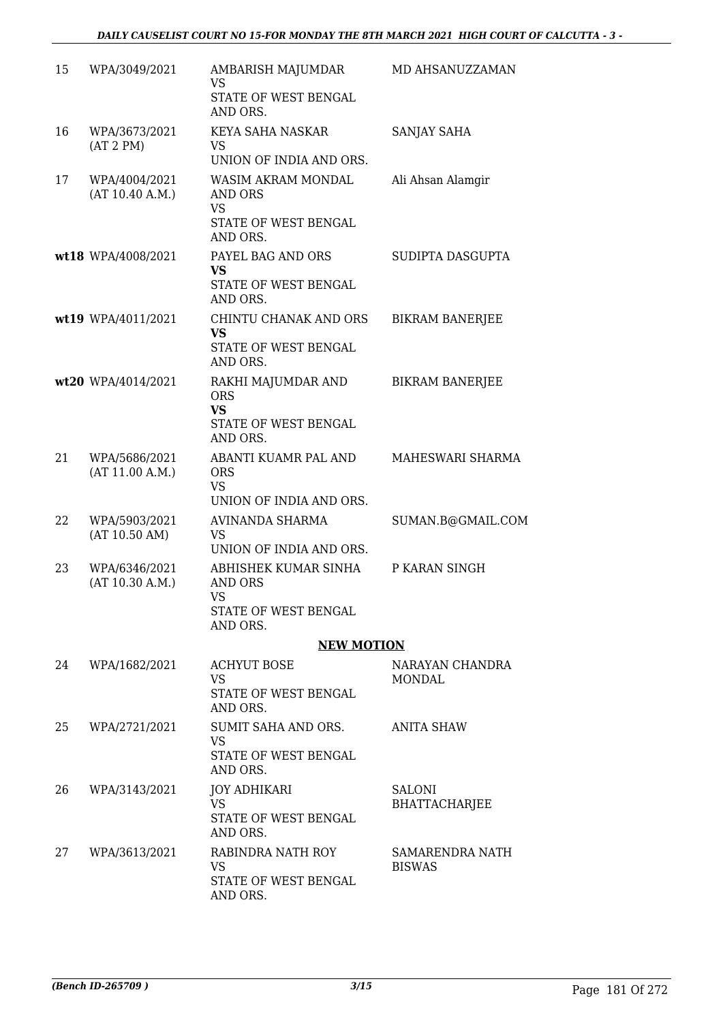| 15 | WPA/3049/2021                    | AMBARISH MAJUMDAR<br><b>VS</b><br>STATE OF WEST BENGAL<br>AND ORS.                | MD AHSANUZZAMAN                       |
|----|----------------------------------|-----------------------------------------------------------------------------------|---------------------------------------|
| 16 | WPA/3673/2021<br>(AT 2 PM)       | KEYA SAHA NASKAR<br><b>VS</b><br>UNION OF INDIA AND ORS.                          | SANJAY SAHA                           |
| 17 | WPA/4004/2021<br>(AT 10.40 A.M.) | WASIM AKRAM MONDAL<br>AND ORS<br>VS<br><b>STATE OF WEST BENGAL</b><br>AND ORS.    | Ali Ahsan Alamgir                     |
|    | wt18 WPA/4008/2021               | PAYEL BAG AND ORS<br><b>VS</b><br>STATE OF WEST BENGAL<br>AND ORS.                | SUDIPTA DASGUPTA                      |
|    | wt19 WPA/4011/2021               | CHINTU CHANAK AND ORS<br><b>VS</b><br>STATE OF WEST BENGAL<br>AND ORS.            | <b>BIKRAM BANERJEE</b>                |
|    | wt20 WPA/4014/2021               | RAKHI MAJUMDAR AND<br><b>ORS</b><br><b>VS</b><br>STATE OF WEST BENGAL<br>AND ORS. | <b>BIKRAM BANERJEE</b>                |
| 21 | WPA/5686/2021<br>(AT 11.00 A.M.) | ABANTI KUAMR PAL AND<br><b>ORS</b><br><b>VS</b><br>UNION OF INDIA AND ORS.        | MAHESWARI SHARMA                      |
| 22 | WPA/5903/2021<br>(AT 10.50 AM)   | AVINANDA SHARMA<br>VS<br>UNION OF INDIA AND ORS.                                  | SUMAN.B@GMAIL.COM                     |
| 23 | WPA/6346/2021<br>(AT 10.30 A.M.) | ABHISHEK KUMAR SINHA<br>AND ORS<br>VS<br>STATE OF WEST BENGAL<br>AND ORS.         | P KARAN SINGH                         |
|    |                                  | <b>NEW MOTION</b>                                                                 |                                       |
| 24 | WPA/1682/2021                    | <b>ACHYUT BOSE</b><br><b>VS</b><br>STATE OF WEST BENGAL<br>AND ORS.               | NARAYAN CHANDRA<br>MONDAL             |
| 25 | WPA/2721/2021                    | SUMIT SAHA AND ORS.<br><b>VS</b><br>STATE OF WEST BENGAL<br>AND ORS.              | ANITA SHAW                            |
| 26 | WPA/3143/2021                    | JOY ADHIKARI<br><b>VS</b><br>STATE OF WEST BENGAL<br>AND ORS.                     | <b>SALONI</b><br><b>BHATTACHARJEE</b> |
| 27 | WPA/3613/2021                    | RABINDRA NATH ROY<br><b>VS</b><br>STATE OF WEST BENGAL<br>AND ORS.                | SAMARENDRA NATH<br><b>BISWAS</b>      |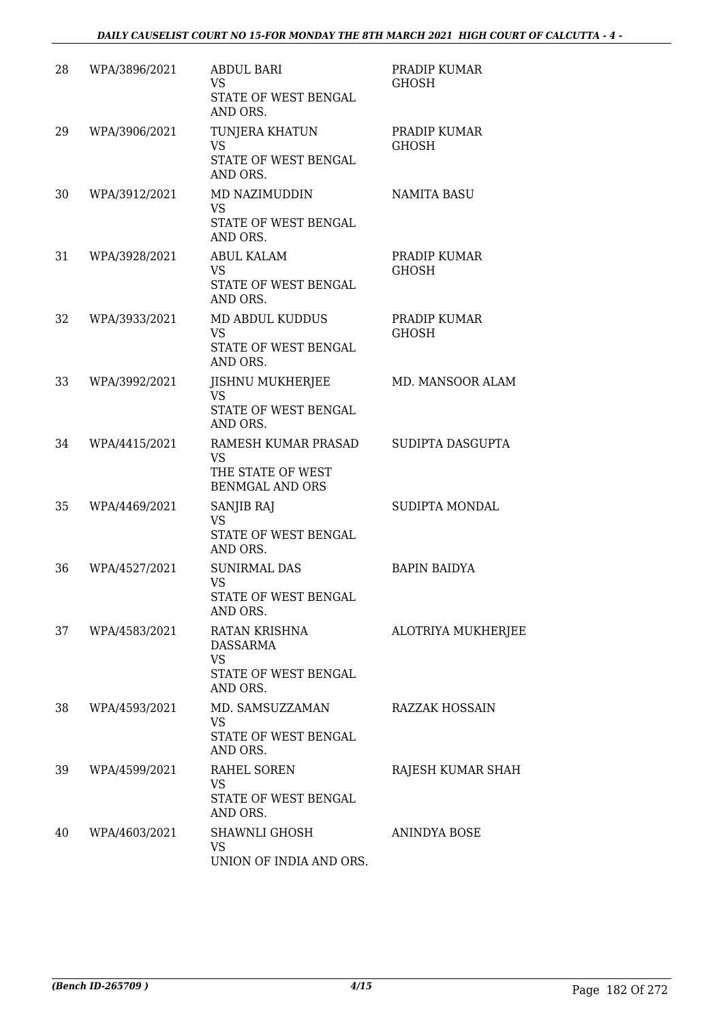| 28 | WPA/3896/2021 | <b>ABDUL BARI</b><br><b>VS</b><br>STATE OF WEST BENGAL<br>AND ORS.              | PRADIP KUMAR<br><b>GHOSH</b> |
|----|---------------|---------------------------------------------------------------------------------|------------------------------|
| 29 | WPA/3906/2021 | TUNJERA KHATUN<br><b>VS</b><br>STATE OF WEST BENGAL<br>AND ORS.                 | PRADIP KUMAR<br><b>GHOSH</b> |
| 30 | WPA/3912/2021 | MD NAZIMUDDIN<br><b>VS</b><br>STATE OF WEST BENGAL<br>AND ORS.                  | <b>NAMITA BASU</b>           |
| 31 | WPA/3928/2021 | <b>ABUL KALAM</b><br>VS<br>STATE OF WEST BENGAL<br>AND ORS.                     | PRADIP KUMAR<br><b>GHOSH</b> |
| 32 | WPA/3933/2021 | MD ABDUL KUDDUS<br><b>VS</b><br>STATE OF WEST BENGAL<br>AND ORS.                | PRADIP KUMAR<br><b>GHOSH</b> |
| 33 | WPA/3992/2021 | JISHNU MUKHERJEE<br><b>VS</b><br>STATE OF WEST BENGAL<br>AND ORS.               | MD. MANSOOR ALAM             |
| 34 | WPA/4415/2021 | RAMESH KUMAR PRASAD<br><b>VS</b><br>THE STATE OF WEST<br><b>BENMGAL AND ORS</b> | SUDIPTA DASGUPTA             |
| 35 | WPA/4469/2021 | SANJIB RAJ<br><b>VS</b><br>STATE OF WEST BENGAL<br>AND ORS.                     | SUDIPTA MONDAL               |
| 36 | WPA/4527/2021 | <b>SUNIRMAL DAS</b><br><b>VS</b><br>STATE OF WEST BENGAL<br>AND ORS.            | <b>BAPIN BAIDYA</b>          |
| 37 | WPA/4583/2021 | RATAN KRISHNA<br>DASSARMA<br><b>VS</b><br>STATE OF WEST BENGAL<br>AND ORS.      | ALOTRIYA MUKHERJEE           |
| 38 | WPA/4593/2021 | MD. SAMSUZZAMAN<br>VS<br>STATE OF WEST BENGAL<br>AND ORS.                       | <b>RAZZAK HOSSAIN</b>        |
| 39 | WPA/4599/2021 | RAHEL SOREN<br>VS<br>STATE OF WEST BENGAL<br>AND ORS.                           | RAJESH KUMAR SHAH            |
| 40 | WPA/4603/2021 | SHAWNLI GHOSH<br>VS<br>UNION OF INDIA AND ORS.                                  | ANINDYA BOSE                 |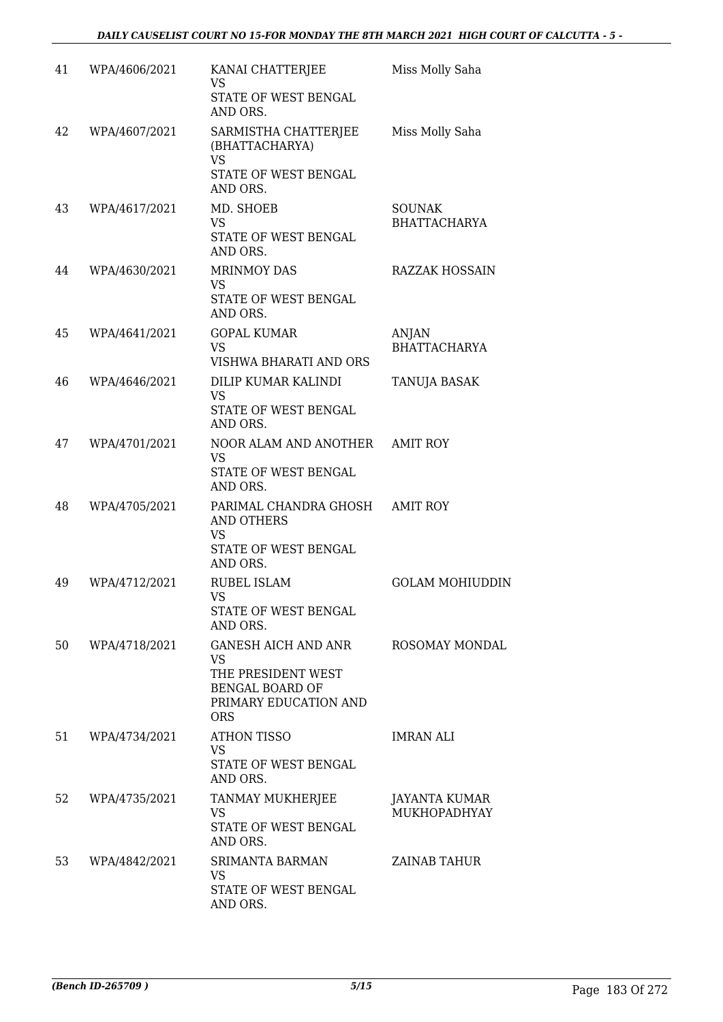| 41 | WPA/4606/2021 | KANAI CHATTERJEE<br><b>VS</b><br>STATE OF WEST BENGAL<br>AND ORS.                                          | Miss Molly Saha                      |
|----|---------------|------------------------------------------------------------------------------------------------------------|--------------------------------------|
| 42 | WPA/4607/2021 | SARMISTHA CHATTERJEE<br>(BHATTACHARYA)<br><b>VS</b><br>STATE OF WEST BENGAL<br>AND ORS.                    | Miss Molly Saha                      |
| 43 | WPA/4617/2021 | MD. SHOEB<br>VS.<br>STATE OF WEST BENGAL<br>AND ORS.                                                       | <b>SOUNAK</b><br><b>BHATTACHARYA</b> |
| 44 | WPA/4630/2021 | <b>MRINMOY DAS</b><br>VS<br>STATE OF WEST BENGAL<br>AND ORS.                                               | RAZZAK HOSSAIN                       |
| 45 | WPA/4641/2021 | <b>GOPAL KUMAR</b><br>VS<br>VISHWA BHARATI AND ORS                                                         | ANJAN<br><b>BHATTACHARYA</b>         |
| 46 | WPA/4646/2021 | DILIP KUMAR KALINDI<br><b>VS</b><br>STATE OF WEST BENGAL<br>AND ORS.                                       | TANUJA BASAK                         |
| 47 | WPA/4701/2021 | NOOR ALAM AND ANOTHER AMIT ROY<br><b>VS</b><br>STATE OF WEST BENGAL<br>AND ORS.                            |                                      |
| 48 | WPA/4705/2021 | PARIMAL CHANDRA GHOSH<br><b>AND OTHERS</b><br><b>VS</b><br>STATE OF WEST BENGAL<br>AND ORS.                | <b>AMIT ROY</b>                      |
| 49 | WPA/4712/2021 | <b>RUBEL ISLAM</b><br><b>VS</b><br>STATE OF WEST BENGAL<br>AND ORS.                                        | <b>GOLAM MOHIUDDIN</b>               |
| 50 | WPA/4718/2021 | GANESH AICH AND ANR<br>VS.<br>THE PRESIDENT WEST<br>BENGAL BOARD OF<br>PRIMARY EDUCATION AND<br><b>ORS</b> | ROSOMAY MONDAL                       |
| 51 | WPA/4734/2021 | <b>ATHON TISSO</b><br><b>VS</b><br>STATE OF WEST BENGAL<br>AND ORS.                                        | <b>IMRAN ALI</b>                     |
| 52 | WPA/4735/2021 | TANMAY MUKHERJEE<br><b>VS</b><br>STATE OF WEST BENGAL<br>AND ORS.                                          | JAYANTA KUMAR<br>MUKHOPADHYAY        |
| 53 | WPA/4842/2021 | SRIMANTA BARMAN<br>VS<br>STATE OF WEST BENGAL<br>AND ORS.                                                  | ZAINAB TAHUR                         |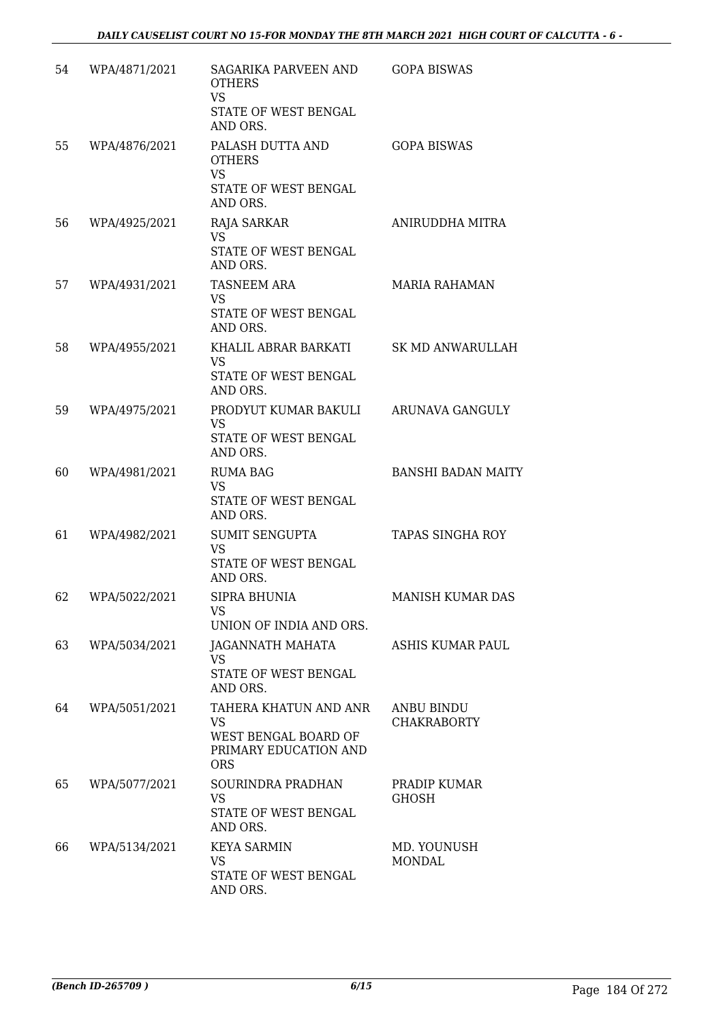| 54 | WPA/4871/2021 | SAGARIKA PARVEEN AND<br><b>OTHERS</b><br><b>VS</b><br>STATE OF WEST BENGAL<br>AND ORS.     | <b>GOPA BISWAS</b>                      |
|----|---------------|--------------------------------------------------------------------------------------------|-----------------------------------------|
| 55 | WPA/4876/2021 | PALASH DUTTA AND<br><b>OTHERS</b><br><b>VS</b><br>STATE OF WEST BENGAL<br>AND ORS.         | <b>GOPA BISWAS</b>                      |
| 56 | WPA/4925/2021 | RAJA SARKAR<br><b>VS</b><br>STATE OF WEST BENGAL<br>AND ORS.                               | ANIRUDDHA MITRA                         |
| 57 | WPA/4931/2021 | <b>TASNEEM ARA</b><br><b>VS</b><br>STATE OF WEST BENGAL<br>AND ORS.                        | MARIA RAHAMAN                           |
| 58 | WPA/4955/2021 | KHALIL ABRAR BARKATI<br><b>VS</b><br>STATE OF WEST BENGAL<br>AND ORS.                      | SK MD ANWARULLAH                        |
| 59 | WPA/4975/2021 | PRODYUT KUMAR BAKULI<br><b>VS</b><br>STATE OF WEST BENGAL<br>AND ORS.                      | ARUNAVA GANGULY                         |
| 60 | WPA/4981/2021 | <b>RUMA BAG</b><br><b>VS</b><br>STATE OF WEST BENGAL<br>AND ORS.                           | <b>BANSHI BADAN MAITY</b>               |
| 61 | WPA/4982/2021 | <b>SUMIT SENGUPTA</b><br><b>VS</b><br>STATE OF WEST BENGAL<br>AND ORS.                     | TAPAS SINGHA ROY                        |
| 62 | WPA/5022/2021 | SIPRA BHUNIA<br>VS<br>UNION OF INDIA AND ORS.                                              | <b>MANISH KUMAR DAS</b>                 |
| 63 | WPA/5034/2021 | JAGANNATH MAHATA<br><b>VS</b><br>STATE OF WEST BENGAL<br>AND ORS.                          | ASHIS KUMAR PAUL                        |
| 64 | WPA/5051/2021 | TAHERA KHATUN AND ANR<br>VS<br>WEST BENGAL BOARD OF<br>PRIMARY EDUCATION AND<br><b>ORS</b> | <b>ANBU BINDU</b><br><b>CHAKRABORTY</b> |
| 65 | WPA/5077/2021 | SOURINDRA PRADHAN<br><b>VS</b><br>STATE OF WEST BENGAL<br>AND ORS.                         | PRADIP KUMAR<br><b>GHOSH</b>            |
| 66 | WPA/5134/2021 | <b>KEYA SARMIN</b><br><b>VS</b><br>STATE OF WEST BENGAL<br>AND ORS.                        | MD. YOUNUSH<br><b>MONDAL</b>            |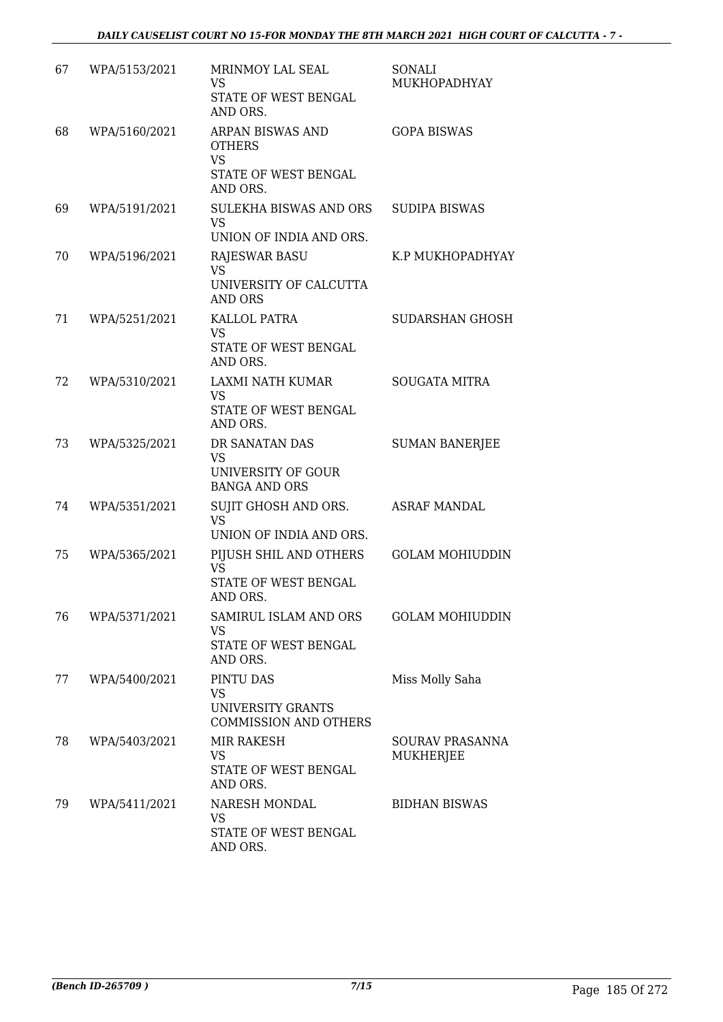| 67 | WPA/5153/2021 | MRINMOY LAL SEAL<br><b>VS</b><br>STATE OF WEST BENGAL<br>AND ORS.                  | SONALI<br>MUKHOPADHYAY              |
|----|---------------|------------------------------------------------------------------------------------|-------------------------------------|
| 68 | WPA/5160/2021 | ARPAN BISWAS AND<br><b>OTHERS</b><br><b>VS</b><br>STATE OF WEST BENGAL<br>AND ORS. | <b>GOPA BISWAS</b>                  |
| 69 | WPA/5191/2021 | SULEKHA BISWAS AND ORS<br><b>VS</b><br>UNION OF INDIA AND ORS.                     | <b>SUDIPA BISWAS</b>                |
| 70 | WPA/5196/2021 | RAJESWAR BASU<br><b>VS</b><br>UNIVERSITY OF CALCUTTA<br>AND ORS                    | K.P MUKHOPADHYAY                    |
| 71 | WPA/5251/2021 | KALLOL PATRA<br><b>VS</b><br>STATE OF WEST BENGAL<br>AND ORS.                      | SUDARSHAN GHOSH                     |
| 72 | WPA/5310/2021 | LAXMI NATH KUMAR<br><b>VS</b><br>STATE OF WEST BENGAL<br>AND ORS.                  | <b>SOUGATA MITRA</b>                |
| 73 | WPA/5325/2021 | DR SANATAN DAS<br>VS<br>UNIVERSITY OF GOUR<br><b>BANGA AND ORS</b>                 | <b>SUMAN BANERJEE</b>               |
| 74 | WPA/5351/2021 | SUJIT GHOSH AND ORS.<br><b>VS</b><br>UNION OF INDIA AND ORS.                       | <b>ASRAF MANDAL</b>                 |
| 75 | WPA/5365/2021 | PIJUSH SHIL AND OTHERS<br><b>VS</b><br>STATE OF WEST BENGAL<br>AND ORS.            | <b>GOLAM MOHIUDDIN</b>              |
| 76 | WPA/5371/2021 | SAMIRUL ISLAM AND ORS<br>VS<br>STATE OF WEST BENGAL<br>AND ORS.                    | <b>GOLAM MOHIUDDIN</b>              |
| 77 | WPA/5400/2021 | PINTU DAS<br><b>VS</b><br>UNIVERSITY GRANTS<br><b>COMMISSION AND OTHERS</b>        | Miss Molly Saha                     |
| 78 | WPA/5403/2021 | MIR RAKESH<br><b>VS</b><br>STATE OF WEST BENGAL<br>AND ORS.                        | <b>SOURAV PRASANNA</b><br>MUKHERJEE |
| 79 | WPA/5411/2021 | NARESH MONDAL<br>VS<br>STATE OF WEST BENGAL<br>AND ORS.                            | <b>BIDHAN BISWAS</b>                |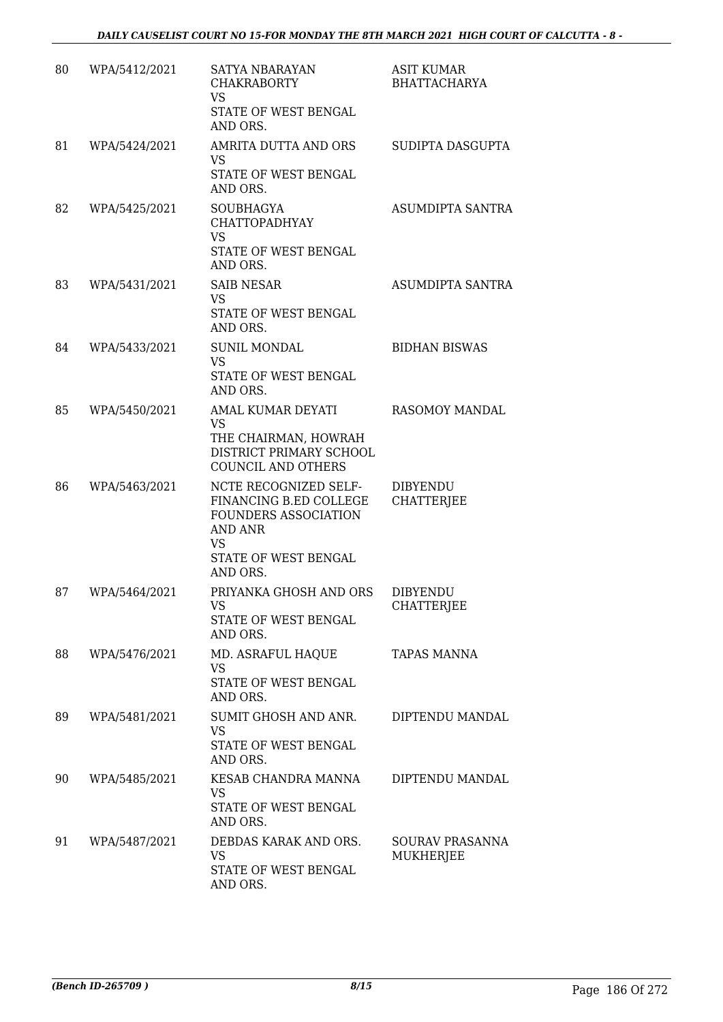| 80 | WPA/5412/2021 | SATYA NBARAYAN<br><b>CHAKRABORTY</b><br><b>VS</b><br>STATE OF WEST BENGAL<br>AND ORS.                                                      | ASIT KUMAR<br><b>BHATTACHARYA</b>    |
|----|---------------|--------------------------------------------------------------------------------------------------------------------------------------------|--------------------------------------|
| 81 | WPA/5424/2021 | AMRITA DUTTA AND ORS<br><b>VS</b><br>STATE OF WEST BENGAL<br>AND ORS.                                                                      | SUDIPTA DASGUPTA                     |
| 82 | WPA/5425/2021 | <b>SOUBHAGYA</b><br><b>CHATTOPADHYAY</b><br><b>VS</b><br>STATE OF WEST BENGAL<br>AND ORS.                                                  | ASUMDIPTA SANTRA                     |
| 83 | WPA/5431/2021 | <b>SAIB NESAR</b><br>VS.<br>STATE OF WEST BENGAL<br>AND ORS.                                                                               | ASUMDIPTA SANTRA                     |
| 84 | WPA/5433/2021 | <b>SUNIL MONDAL</b><br><b>VS</b><br>STATE OF WEST BENGAL<br>AND ORS.                                                                       | <b>BIDHAN BISWAS</b>                 |
| 85 | WPA/5450/2021 | AMAL KUMAR DEYATI<br><b>VS</b><br>THE CHAIRMAN, HOWRAH<br>DISTRICT PRIMARY SCHOOL<br>COUNCIL AND OTHERS                                    | RASOMOY MANDAL                       |
| 86 | WPA/5463/2021 | NCTE RECOGNIZED SELF-<br>FINANCING B.ED COLLEGE<br><b>FOUNDERS ASSOCIATION</b><br>AND ANR<br><b>VS</b><br>STATE OF WEST BENGAL<br>AND ORS. | <b>DIBYENDU</b><br><b>CHATTERJEE</b> |
| 87 | WPA/5464/2021 | PRIYANKA GHOSH AND ORS<br>VS<br>STATE OF WEST BENGAL<br>AND ORS.                                                                           | <b>DIBYENDU</b><br>CHATTERJEE        |
| 88 | WPA/5476/2021 | MD. ASRAFUL HAQUE<br>VS<br>STATE OF WEST BENGAL<br>AND ORS.                                                                                | <b>TAPAS MANNA</b>                   |
| 89 | WPA/5481/2021 | SUMIT GHOSH AND ANR.<br><b>VS</b><br>STATE OF WEST BENGAL<br>AND ORS.                                                                      | DIPTENDU MANDAL                      |
| 90 | WPA/5485/2021 | KESAB CHANDRA MANNA<br><b>VS</b><br>STATE OF WEST BENGAL<br>AND ORS.                                                                       | DIPTENDU MANDAL                      |
| 91 | WPA/5487/2021 | DEBDAS KARAK AND ORS.<br><b>VS</b><br>STATE OF WEST BENGAL<br>AND ORS.                                                                     | SOURAV PRASANNA<br>MUKHERJEE         |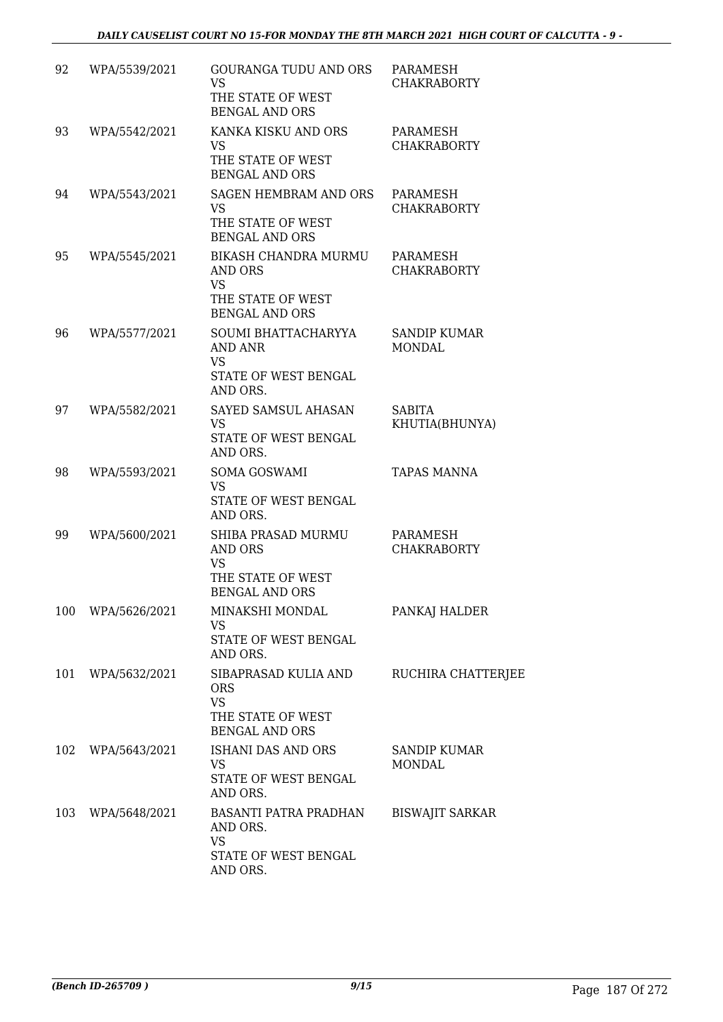| 92  | WPA/5539/2021 | GOURANGA TUDU AND ORS<br><b>VS</b><br>THE STATE OF WEST<br><b>BENGAL AND ORS</b>              | PARAMESH<br><b>CHAKRABORTY</b>       |
|-----|---------------|-----------------------------------------------------------------------------------------------|--------------------------------------|
| 93  | WPA/5542/2021 | KANKA KISKU AND ORS<br><b>VS</b><br>THE STATE OF WEST<br><b>BENGAL AND ORS</b>                | PARAMESH<br><b>CHAKRABORTY</b>       |
| 94  | WPA/5543/2021 | <b>SAGEN HEMBRAM AND ORS</b><br><b>VS</b><br>THE STATE OF WEST<br><b>BENGAL AND ORS</b>       | PARAMESH<br><b>CHAKRABORTY</b>       |
| 95  | WPA/5545/2021 | BIKASH CHANDRA MURMU<br>AND ORS<br><b>VS</b><br>THE STATE OF WEST<br><b>BENGAL AND ORS</b>    | PARAMESH<br><b>CHAKRABORTY</b>       |
| 96  | WPA/5577/2021 | SOUMI BHATTACHARYYA<br>AND ANR<br><b>VS</b><br>STATE OF WEST BENGAL<br>AND ORS.               | <b>SANDIP KUMAR</b><br><b>MONDAL</b> |
| 97  | WPA/5582/2021 | SAYED SAMSUL AHASAN<br><b>VS</b><br>STATE OF WEST BENGAL<br>AND ORS.                          | <b>SABITA</b><br>KHUTIA(BHUNYA)      |
| 98  | WPA/5593/2021 | <b>SOMA GOSWAMI</b><br><b>VS</b><br>STATE OF WEST BENGAL<br>AND ORS.                          | <b>TAPAS MANNA</b>                   |
| 99  | WPA/5600/2021 | SHIBA PRASAD MURMU<br><b>AND ORS</b><br>VS<br>THE STATE OF WEST<br><b>BENGAL AND ORS</b>      | PARAMESH<br><b>CHAKRABORTY</b>       |
| 100 | WPA/5626/2021 | MINAKSHI MONDAL<br><b>VS</b><br>STATE OF WEST BENGAL<br>AND ORS.                              | PANKAJ HALDER                        |
| 101 | WPA/5632/2021 | SIBAPRASAD KULIA AND<br><b>ORS</b><br><b>VS</b><br>THE STATE OF WEST<br><b>BENGAL AND ORS</b> | RUCHIRA CHATTERJEE                   |
| 102 | WPA/5643/2021 | <b>ISHANI DAS AND ORS</b><br>VS.<br>STATE OF WEST BENGAL<br>AND ORS.                          | <b>SANDIP KUMAR</b><br><b>MONDAL</b> |
| 103 | WPA/5648/2021 | BASANTI PATRA PRADHAN<br>AND ORS.<br><b>VS</b><br>STATE OF WEST BENGAL<br>AND ORS.            | <b>BISWAJIT SARKAR</b>               |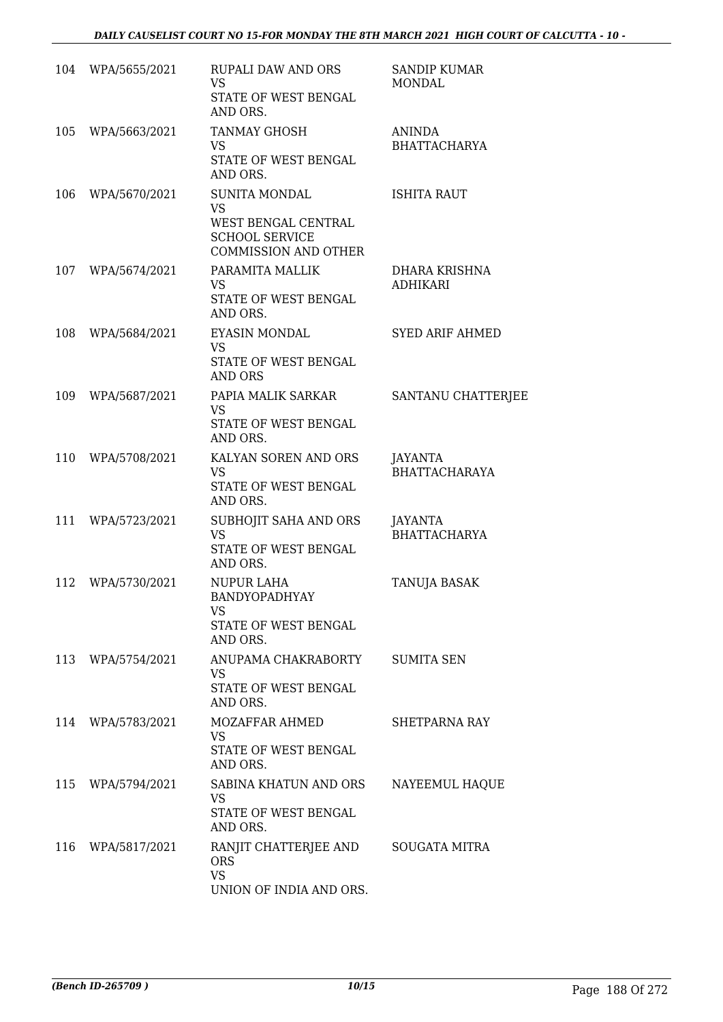|     | 104 WPA/5655/2021 | <b>RUPALI DAW AND ORS</b><br><b>VS</b><br>STATE OF WEST BENGAL<br>AND ORS.                                       | <b>SANDIP KUMAR</b><br><b>MONDAL</b>  |
|-----|-------------------|------------------------------------------------------------------------------------------------------------------|---------------------------------------|
| 105 | WPA/5663/2021     | TANMAY GHOSH<br>VS<br>STATE OF WEST BENGAL<br>AND ORS.                                                           | <b>ANINDA</b><br><b>BHATTACHARYA</b>  |
| 106 | WPA/5670/2021     | <b>SUNITA MONDAL</b><br><b>VS</b><br>WEST BENGAL CENTRAL<br><b>SCHOOL SERVICE</b><br><b>COMMISSION AND OTHER</b> | <b>ISHITA RAUT</b>                    |
|     | 107 WPA/5674/2021 | PARAMITA MALLIK<br><b>VS</b><br>STATE OF WEST BENGAL<br>AND ORS.                                                 | DHARA KRISHNA<br><b>ADHIKARI</b>      |
| 108 | WPA/5684/2021     | <b>EYASIN MONDAL</b><br><b>VS</b><br>STATE OF WEST BENGAL<br>AND ORS                                             | <b>SYED ARIF AHMED</b>                |
| 109 | WPA/5687/2021     | PAPIA MALIK SARKAR<br>VS<br>STATE OF WEST BENGAL<br>AND ORS.                                                     | SANTANU CHATTERJEE                    |
| 110 | WPA/5708/2021     | KALYAN SOREN AND ORS<br><b>VS</b><br>STATE OF WEST BENGAL<br>AND ORS.                                            | JAYANTA<br><b>BHATTACHARAYA</b>       |
| 111 | WPA/5723/2021     | SUBHOJIT SAHA AND ORS<br><b>VS</b><br>STATE OF WEST BENGAL<br>AND ORS.                                           | <b>JAYANTA</b><br><b>BHATTACHARYA</b> |
| 112 | WPA/5730/2021     | <b>NUPUR LAHA</b><br>BANDYOPADHYAY<br>VS<br>STATE OF WEST BENGAL<br>AND ORS.                                     | TANUJA BASAK                          |
|     | 113 WPA/5754/2021 | ANUPAMA CHAKRABORTY<br><b>VS</b><br>STATE OF WEST BENGAL<br>AND ORS.                                             | <b>SUMITA SEN</b>                     |
| 114 | WPA/5783/2021     | MOZAFFAR AHMED<br><b>VS</b><br>STATE OF WEST BENGAL<br>AND ORS.                                                  | <b>SHETPARNA RAY</b>                  |
| 115 | WPA/5794/2021     | SABINA KHATUN AND ORS<br><b>VS</b><br>STATE OF WEST BENGAL<br>AND ORS.                                           | NAYEEMUL HAQUE                        |
| 116 | WPA/5817/2021     | RANJIT CHATTERJEE AND<br><b>ORS</b><br><b>VS</b><br>UNION OF INDIA AND ORS.                                      | SOUGATA MITRA                         |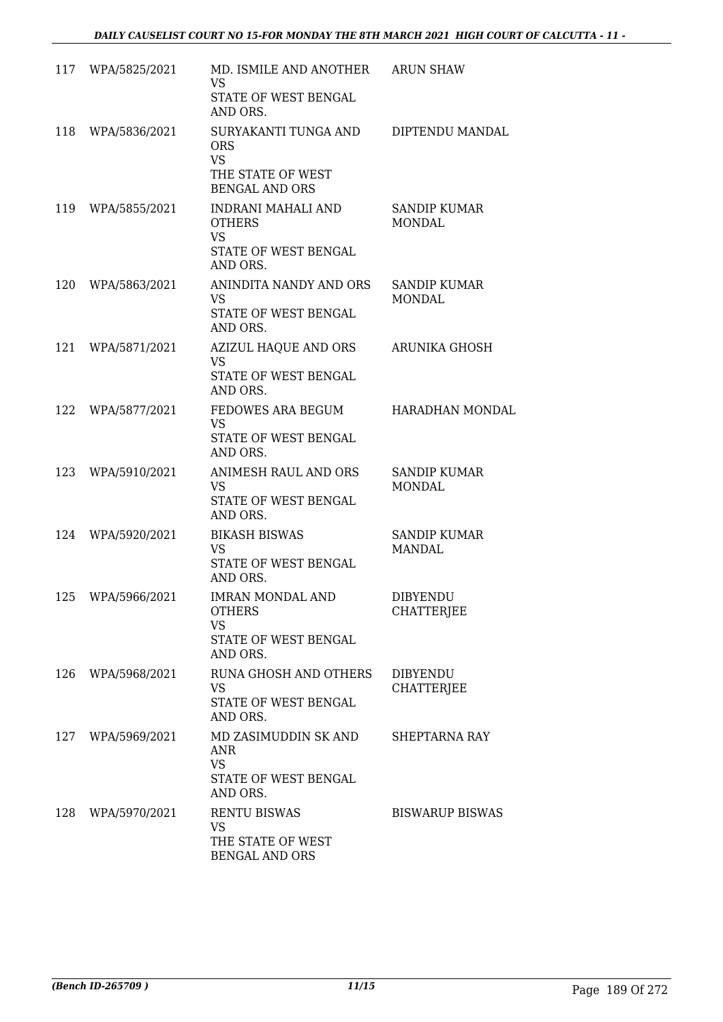| 117 | WPA/5825/2021     | MD. ISMILE AND ANOTHER ARUN SHAW<br>VS.<br>STATE OF WEST BENGAL<br>AND ORS.                   |                                      |
|-----|-------------------|-----------------------------------------------------------------------------------------------|--------------------------------------|
| 118 | WPA/5836/2021     | SURYAKANTI TUNGA AND<br><b>ORS</b><br><b>VS</b><br>THE STATE OF WEST<br><b>BENGAL AND ORS</b> | DIPTENDU MANDAL                      |
| 119 | WPA/5855/2021     | INDRANI MAHALI AND<br><b>OTHERS</b><br><b>VS</b><br>STATE OF WEST BENGAL<br>AND ORS.          | SANDIP KUMAR<br><b>MONDAL</b>        |
| 120 | WPA/5863/2021     | ANINDITA NANDY AND ORS<br>VS.<br>STATE OF WEST BENGAL<br>AND ORS.                             | <b>SANDIP KUMAR</b><br><b>MONDAL</b> |
| 121 | WPA/5871/2021     | AZIZUL HAQUE AND ORS<br><b>VS</b><br>STATE OF WEST BENGAL<br>AND ORS.                         | ARUNIKA GHOSH                        |
| 122 | WPA/5877/2021     | FEDOWES ARA BEGUM<br>VS.<br>STATE OF WEST BENGAL<br>AND ORS.                                  | <b>HARADHAN MONDAL</b>               |
| 123 | WPA/5910/2021     | ANIMESH RAUL AND ORS<br>VS<br>STATE OF WEST BENGAL<br>AND ORS.                                | <b>SANDIP KUMAR</b><br><b>MONDAL</b> |
| 124 | WPA/5920/2021     | <b>BIKASH BISWAS</b><br>VS.<br>STATE OF WEST BENGAL<br>AND ORS.                               | <b>SANDIP KUMAR</b><br>MANDAL        |
| 125 | WPA/5966/2021     | <b>IMRAN MONDAL AND</b><br><b>OTHERS</b><br><b>VS</b><br>STATE OF WEST BENGAL<br>AND ORS.     | <b>DIBYENDU</b><br><b>CHATTERJEE</b> |
|     | 126 WPA/5968/2021 | RUNA GHOSH AND OTHERS<br>VS<br>STATE OF WEST BENGAL<br>AND ORS.                               | <b>DIBYENDU</b><br><b>CHATTERJEE</b> |
|     | 127 WPA/5969/2021 | MD ZASIMUDDIN SK AND<br>ANR<br>VS.<br>STATE OF WEST BENGAL<br>AND ORS.                        | SHEPTARNA RAY                        |
| 128 | WPA/5970/2021     | <b>RENTU BISWAS</b><br><b>VS</b><br>THE STATE OF WEST<br><b>BENGAL AND ORS</b>                | <b>BISWARUP BISWAS</b>               |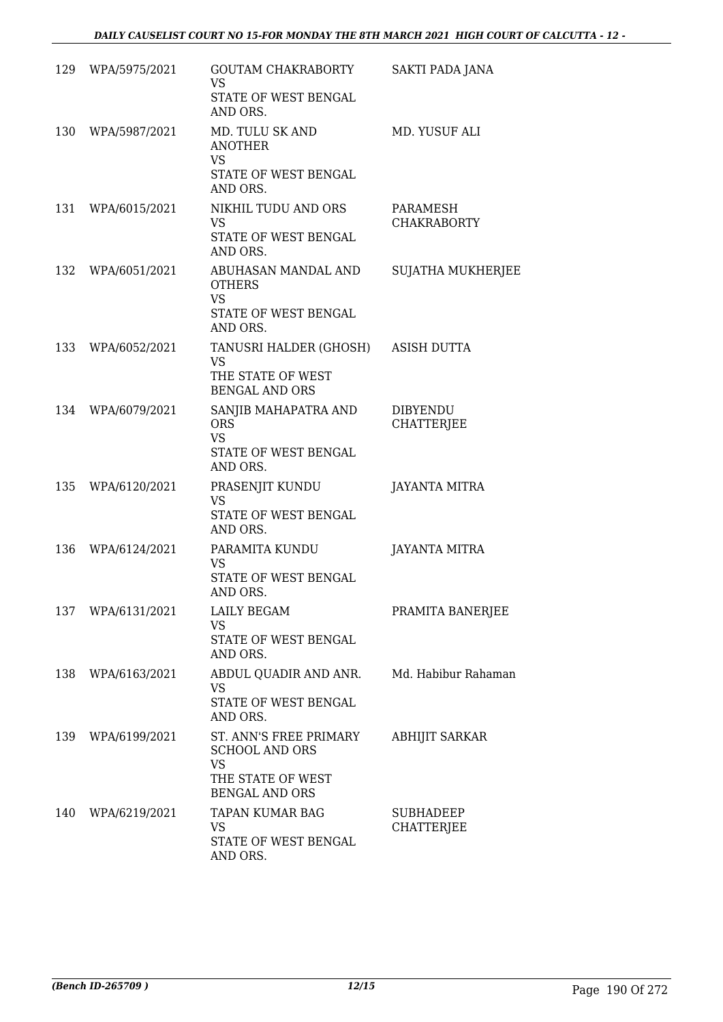|     | 129 WPA/5975/2021 | GOUTAM CHAKRABORTY<br><b>VS</b><br>STATE OF WEST BENGAL<br>AND ORS.                                        | SAKTI PADA JANA                      |
|-----|-------------------|------------------------------------------------------------------------------------------------------------|--------------------------------------|
| 130 | WPA/5987/2021     | MD. TULU SK AND<br><b>ANOTHER</b><br><b>VS</b><br>STATE OF WEST BENGAL<br>AND ORS.                         | MD. YUSUF ALI                        |
| 131 | WPA/6015/2021     | NIKHIL TUDU AND ORS<br>VS.<br>STATE OF WEST BENGAL<br>AND ORS.                                             | PARAMESH<br><b>CHAKRABORTY</b>       |
|     | 132 WPA/6051/2021 | ABUHASAN MANDAL AND<br><b>OTHERS</b><br><b>VS</b><br>STATE OF WEST BENGAL<br>AND ORS.                      | <b>SUJATHA MUKHERJEE</b>             |
|     | 133 WPA/6052/2021 | TANUSRI HALDER (GHOSH)<br><b>VS</b><br>THE STATE OF WEST<br><b>BENGAL AND ORS</b>                          | <b>ASISH DUTTA</b>                   |
| 134 | WPA/6079/2021     | SANJIB MAHAPATRA AND<br><b>ORS</b><br><b>VS</b><br>STATE OF WEST BENGAL<br>AND ORS.                        | <b>DIBYENDU</b><br><b>CHATTERJEE</b> |
| 135 | WPA/6120/2021     | PRASENJIT KUNDU<br>VS<br>STATE OF WEST BENGAL<br>AND ORS.                                                  | JAYANTA MITRA                        |
| 136 | WPA/6124/2021     | PARAMITA KUNDU<br>VS<br>STATE OF WEST BENGAL<br>AND ORS.                                                   | JAYANTA MITRA                        |
| 137 | WPA/6131/2021     | LAILY BEGAM<br><b>VS</b><br>STATE OF WEST BENGAL<br>AND ORS.                                               | PRAMITA BANERJEE                     |
|     | 138 WPA/6163/2021 | ABDUL QUADIR AND ANR.<br>VS<br>STATE OF WEST BENGAL<br>AND ORS.                                            | Md. Habibur Rahaman                  |
| 139 | WPA/6199/2021     | ST. ANN'S FREE PRIMARY<br><b>SCHOOL AND ORS</b><br><b>VS</b><br>THE STATE OF WEST<br><b>BENGAL AND ORS</b> | <b>ABHIJIT SARKAR</b>                |
| 140 | WPA/6219/2021     | TAPAN KUMAR BAG<br><b>VS</b><br>STATE OF WEST BENGAL<br>AND ORS.                                           | SUBHADEEP<br>CHATTERJEE              |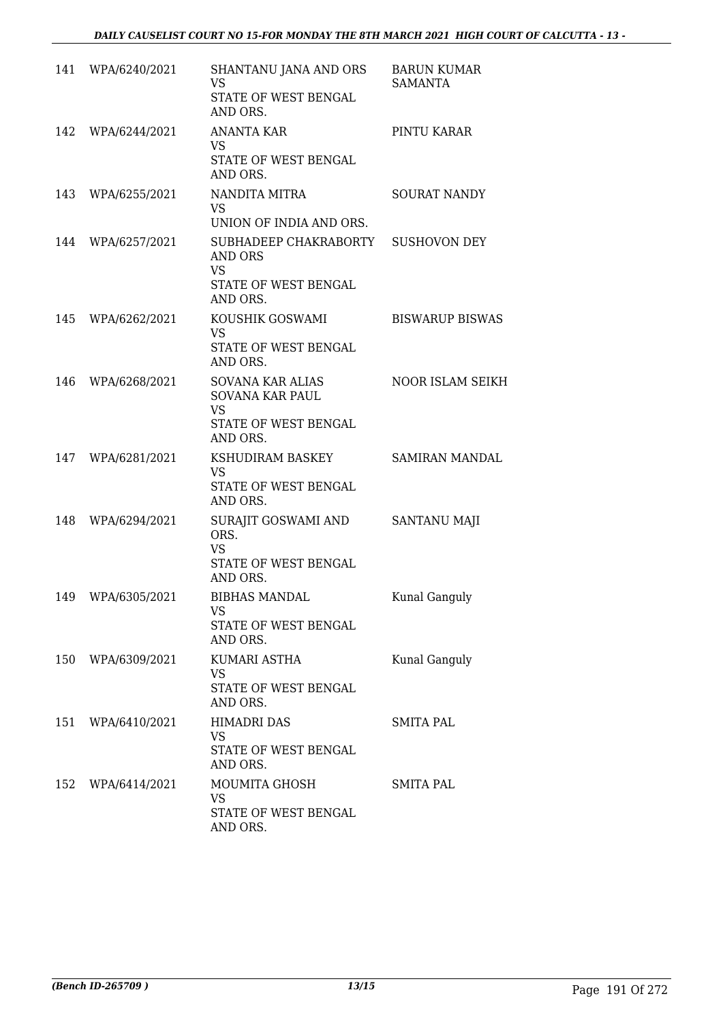|     | 141 WPA/6240/2021 | SHANTANU JANA AND ORS<br><b>VS</b><br>STATE OF WEST BENGAL<br>AND ORS.                      | <b>BARUN KUMAR</b><br><b>SAMANTA</b> |
|-----|-------------------|---------------------------------------------------------------------------------------------|--------------------------------------|
|     | 142 WPA/6244/2021 | <b>ANANTA KAR</b><br>VS<br>STATE OF WEST BENGAL<br>AND ORS.                                 | PINTU KARAR                          |
|     | 143 WPA/6255/2021 | NANDITA MITRA<br>VS.<br>UNION OF INDIA AND ORS.                                             | <b>SOURAT NANDY</b>                  |
|     | 144 WPA/6257/2021 | SUBHADEEP CHAKRABORTY<br>AND ORS<br><b>VS</b><br>STATE OF WEST BENGAL<br>AND ORS.           | <b>SUSHOVON DEY</b>                  |
|     | 145 WPA/6262/2021 | KOUSHIK GOSWAMI<br><b>VS</b><br>STATE OF WEST BENGAL<br>AND ORS.                            | <b>BISWARUP BISWAS</b>               |
| 146 | WPA/6268/2021     | SOVANA KAR ALIAS<br><b>SOVANA KAR PAUL</b><br><b>VS</b><br>STATE OF WEST BENGAL<br>AND ORS. | NOOR ISLAM SEIKH                     |
|     | 147 WPA/6281/2021 | KSHUDIRAM BASKEY<br><b>VS</b><br>STATE OF WEST BENGAL<br>AND ORS.                           | SAMIRAN MANDAL                       |
| 148 | WPA/6294/2021     | SURAJIT GOSWAMI AND<br>ORS.<br><b>VS</b><br>STATE OF WEST BENGAL<br>AND ORS.                | SANTANU MAJI                         |
| 149 | WPA/6305/2021     | BIBHAS MANDAL<br>VS<br>STATE OF WEST BENGAL<br>AND ORS.                                     | Kunal Ganguly                        |
|     | 150 WPA/6309/2021 | KUMARI ASTHA<br>VS<br>STATE OF WEST BENGAL<br>AND ORS.                                      | Kunal Ganguly                        |
|     | 151 WPA/6410/2021 | <b>HIMADRI DAS</b><br>VS<br>STATE OF WEST BENGAL<br>AND ORS.                                | <b>SMITA PAL</b>                     |
|     | 152 WPA/6414/2021 | MOUMITA GHOSH<br>VS.<br>STATE OF WEST BENGAL<br>AND ORS.                                    | <b>SMITA PAL</b>                     |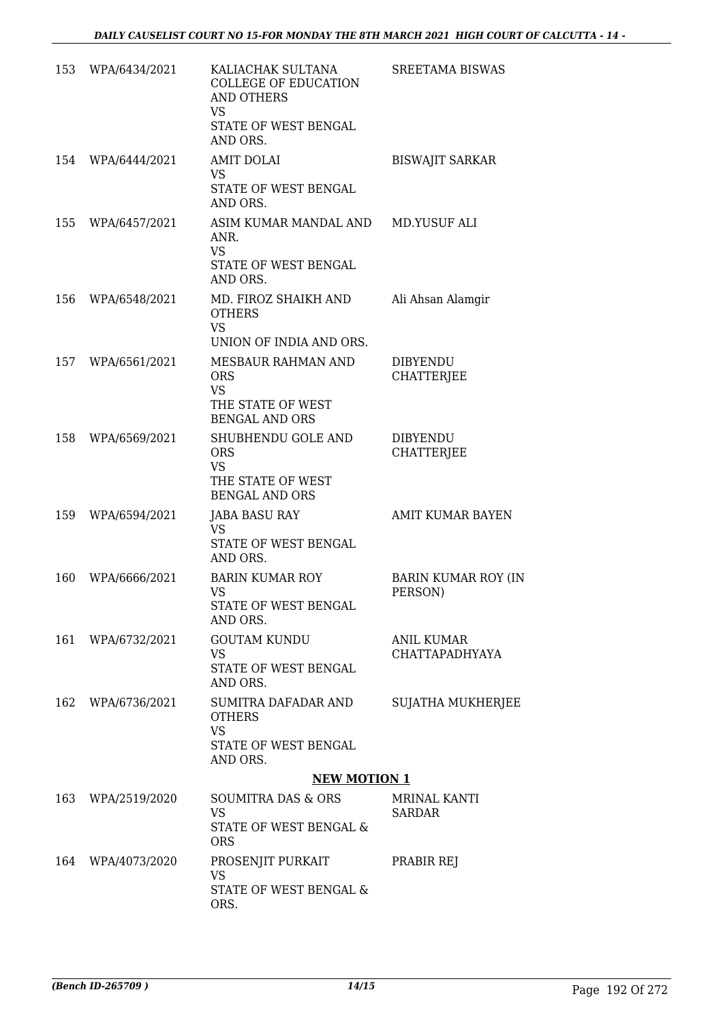| 153 | WPA/6434/2021     | KALIACHAK SULTANA<br><b>COLLEGE OF EDUCATION</b><br><b>AND OTHERS</b><br><b>VS</b><br>STATE OF WEST BENGAL             | <b>SREETAMA BISWAS</b>                     |
|-----|-------------------|------------------------------------------------------------------------------------------------------------------------|--------------------------------------------|
|     |                   | AND ORS.                                                                                                               |                                            |
|     | 154 WPA/6444/2021 | <b>AMIT DOLAI</b><br><b>VS</b><br>STATE OF WEST BENGAL<br>AND ORS.                                                     | <b>BISWAJIT SARKAR</b>                     |
| 155 | WPA/6457/2021     | ASIM KUMAR MANDAL AND<br>ANR.<br><b>VS</b><br>STATE OF WEST BENGAL                                                     | MD.YUSUF ALI                               |
| 156 | WPA/6548/2021     | AND ORS.<br>MD. FIROZ SHAIKH AND<br><b>OTHERS</b><br><b>VS</b>                                                         | Ali Ahsan Alamgir                          |
|     | 157 WPA/6561/2021 | UNION OF INDIA AND ORS.<br>MESBAUR RAHMAN AND<br><b>ORS</b><br><b>VS</b><br>THE STATE OF WEST<br><b>BENGAL AND ORS</b> | <b>DIBYENDU</b><br><b>CHATTERJEE</b>       |
|     | 158 WPA/6569/2021 | SHUBHENDU GOLE AND<br><b>ORS</b><br><b>VS</b><br>THE STATE OF WEST<br><b>BENGAL AND ORS</b>                            | <b>DIBYENDU</b><br><b>CHATTERJEE</b>       |
| 159 | WPA/6594/2021     | <b>JABA BASU RAY</b><br><b>VS</b><br>STATE OF WEST BENGAL<br>AND ORS.                                                  | <b>AMIT KUMAR BAYEN</b>                    |
| 160 | WPA/6666/2021     | BARIN KUMAR ROY<br>VS<br>STATE OF WEST BENGAL<br>AND ORS.                                                              | <b>BARIN KUMAR ROY (IN</b><br>PERSON)      |
| 161 | WPA/6732/2021     | <b>GOUTAM KUNDU</b><br><b>VS</b><br>STATE OF WEST BENGAL<br>AND ORS.                                                   | <b>ANIL KUMAR</b><br><b>CHATTAPADHYAYA</b> |
| 162 | WPA/6736/2021     | SUMITRA DAFADAR AND<br><b>OTHERS</b><br><b>VS</b><br>STATE OF WEST BENGAL<br>AND ORS.                                  | <b>SUJATHA MUKHERJEE</b>                   |
|     |                   | <b>NEW MOTION 1</b>                                                                                                    |                                            |
| 163 | WPA/2519/2020     | SOUMITRA DAS & ORS<br><b>VS</b><br>STATE OF WEST BENGAL &<br><b>ORS</b>                                                | MRINAL KANTI<br><b>SARDAR</b>              |
| 164 | WPA/4073/2020     | PROSENJIT PURKAIT<br><b>VS</b><br>STATE OF WEST BENGAL &<br>ORS.                                                       | PRABIR REJ                                 |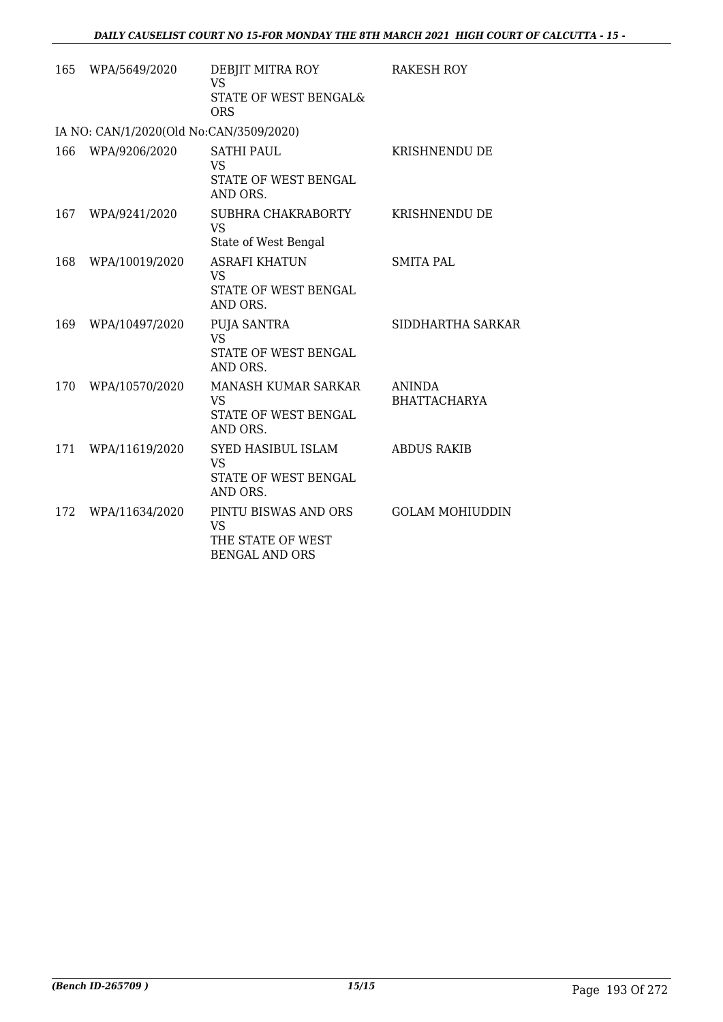| 165 | WPA/5649/2020                           | DEBJIT MITRA ROY<br>VS                                                   | RAKESH ROY                           |
|-----|-----------------------------------------|--------------------------------------------------------------------------|--------------------------------------|
|     |                                         | STATE OF WEST BENGAL&<br><b>ORS</b>                                      |                                      |
|     | IA NO: CAN/1/2020(Old No:CAN/3509/2020) |                                                                          |                                      |
| 166 | WPA/9206/2020                           | <b>SATHI PAUL</b><br>VS<br>STATE OF WEST BENGAL<br>AND ORS.              | <b>KRISHNENDU DE</b>                 |
| 167 | WPA/9241/2020                           | SUBHRA CHAKRABORTY<br><b>VS</b><br>State of West Bengal                  | KRISHNENDU DE                        |
| 168 | WPA/10019/2020                          | <b>ASRAFI KHATUN</b><br><b>VS</b><br>STATE OF WEST BENGAL<br>AND ORS.    | <b>SMITA PAL</b>                     |
| 169 | WPA/10497/2020                          | PUJA SANTRA<br>VS<br>STATE OF WEST BENGAL<br>AND ORS.                    | SIDDHARTHA SARKAR                    |
| 170 | WPA/10570/2020                          | MANASH KUMAR SARKAR<br><b>VS</b><br>STATE OF WEST BENGAL<br>AND ORS.     | <b>ANINDA</b><br><b>BHATTACHARYA</b> |
| 171 | WPA/11619/2020                          | SYED HASIBUL ISLAM<br><b>VS</b><br>STATE OF WEST BENGAL<br>AND ORS.      | <b>ABDUS RAKIB</b>                   |
| 172 | WPA/11634/2020                          | PINTU BISWAS AND ORS<br>VS<br>THE STATE OF WEST<br><b>BENGAL AND ORS</b> | <b>GOLAM MOHIUDDIN</b>               |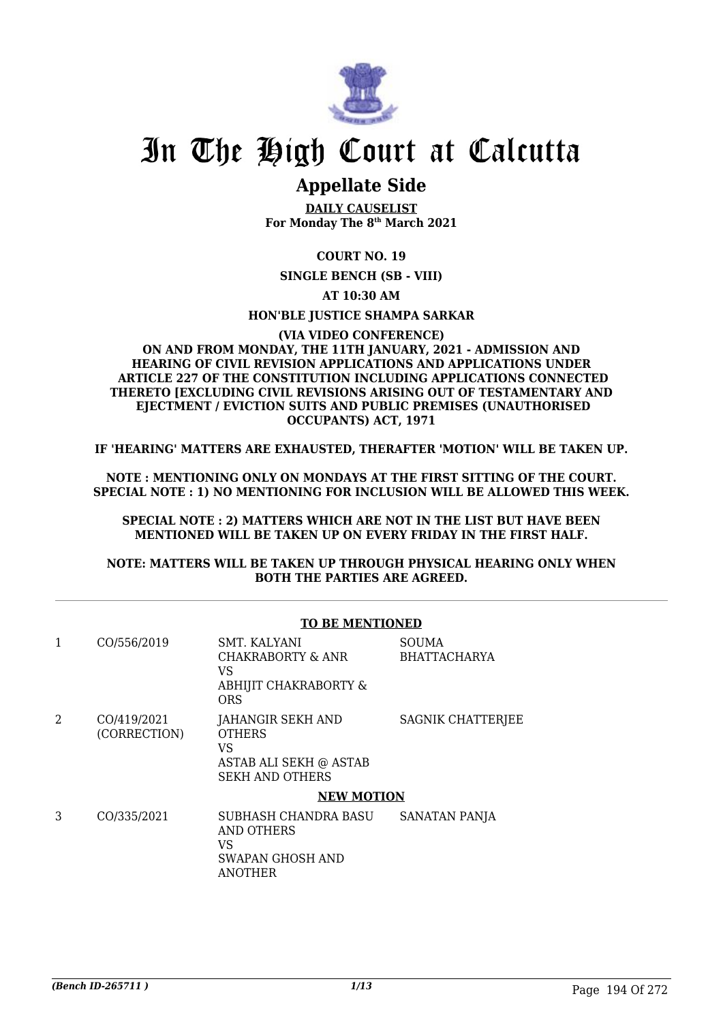

# In The High Court at Calcutta

# **Appellate Side**

**DAILY CAUSELIST For Monday The 8th March 2021**

# **COURT NO. 19**

**SINGLE BENCH (SB - VIII)**

**AT 10:30 AM**

### **HON'BLE JUSTICE SHAMPA SARKAR**

#### **(VIA VIDEO CONFERENCE) ON AND FROM MONDAY, THE 11TH JANUARY, 2021 - ADMISSION AND HEARING OF CIVIL REVISION APPLICATIONS AND APPLICATIONS UNDER ARTICLE 227 OF THE CONSTITUTION INCLUDING APPLICATIONS CONNECTED THERETO [EXCLUDING CIVIL REVISIONS ARISING OUT OF TESTAMENTARY AND EJECTMENT / EVICTION SUITS AND PUBLIC PREMISES (UNAUTHORISED OCCUPANTS) ACT, 1971**

**IF 'HEARING' MATTERS ARE EXHAUSTED, THERAFTER 'MOTION' WILL BE TAKEN UP.**

**NOTE : MENTIONING ONLY ON MONDAYS AT THE FIRST SITTING OF THE COURT. SPECIAL NOTE : 1) NO MENTIONING FOR INCLUSION WILL BE ALLOWED THIS WEEK.**

**SPECIAL NOTE : 2) MATTERS WHICH ARE NOT IN THE LIST BUT HAVE BEEN MENTIONED WILL BE TAKEN UP ON EVERY FRIDAY IN THE FIRST HALF.**

**NOTE: MATTERS WILL BE TAKEN UP THROUGH PHYSICAL HEARING ONLY WHEN BOTH THE PARTIES ARE AGREED.**

|               | CO/556/2019  | SMT. KALYANI<br>CHAKRABORTY & ANR | <b>SOUMA</b><br><b>BHATTACHARYA</b> |
|---------------|--------------|-----------------------------------|-------------------------------------|
|               |              | VS                                |                                     |
|               |              | ABHIJIT CHAKRABORTY &             |                                     |
|               |              | <b>ORS</b>                        |                                     |
| $\mathcal{D}$ | CO/419/2021  | JAHANGIR SEKH AND                 | SAGNIK CHATTERJEE                   |
|               | (CORRECTION) | <b>OTHERS</b>                     |                                     |
|               |              | VS                                |                                     |
|               |              | ASTAB ALI SEKH @ ASTAB            |                                     |
|               |              | <b>SEKH AND OTHERS</b>            |                                     |
|               |              | <b>NEW MOTION</b>                 |                                     |
| 3             | CO/335/2021  | SUBHASH CHANDRA BASU              | SANATAN PANJA                       |
|               |              | AND OTHERS                        |                                     |
|               |              | VS                                |                                     |
|               |              | SWAPAN GHOSH AND                  |                                     |
|               |              | ANOTHER                           |                                     |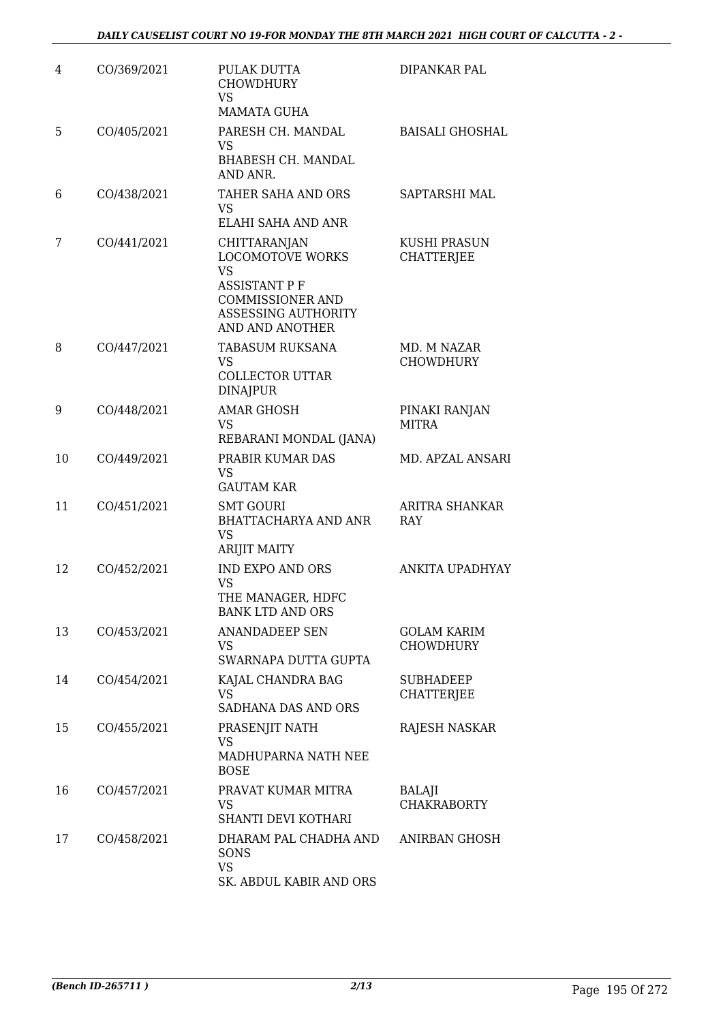| 4  | CO/369/2021 | PULAK DUTTA<br><b>CHOWDHURY</b><br><b>VS</b><br><b>MAMATA GUHA</b>                                                                                       | DIPANKAR PAL                          |
|----|-------------|----------------------------------------------------------------------------------------------------------------------------------------------------------|---------------------------------------|
| 5  | CO/405/2021 | PARESH CH. MANDAL<br><b>VS</b><br>BHABESH CH. MANDAL<br>AND ANR.                                                                                         | <b>BAISALI GHOSHAL</b>                |
| 6  | CO/438/2021 | TAHER SAHA AND ORS<br><b>VS</b><br>ELAHI SAHA AND ANR                                                                                                    | SAPTARSHI MAL                         |
| 7  | CO/441/2021 | CHITTARANJAN<br><b>LOCOMOTOVE WORKS</b><br><b>VS</b><br><b>ASSISTANT P F</b><br><b>COMMISSIONER AND</b><br><b>ASSESSING AUTHORITY</b><br>AND AND ANOTHER | KUSHI PRASUN<br><b>CHATTERJEE</b>     |
| 8  | CO/447/2021 | <b>TABASUM RUKSANA</b><br>VS<br><b>COLLECTOR UTTAR</b><br><b>DINAJPUR</b>                                                                                | MD. M NAZAR<br><b>CHOWDHURY</b>       |
| 9  | CO/448/2021 | <b>AMAR GHOSH</b><br><b>VS</b><br>REBARANI MONDAL (JANA)                                                                                                 | PINAKI RANJAN<br><b>MITRA</b>         |
| 10 | CO/449/2021 | PRABIR KUMAR DAS<br><b>VS</b><br><b>GAUTAM KAR</b>                                                                                                       | MD. APZAL ANSARI                      |
| 11 | CO/451/2021 | <b>SMT GOURI</b><br><b>BHATTACHARYA AND ANR</b><br><b>VS</b><br><b>ARIJIT MAITY</b>                                                                      | <b>ARITRA SHANKAR</b><br><b>RAY</b>   |
| 12 | CO/452/2021 | <b>IND EXPO AND ORS</b><br>VS<br>THE MANAGER, HDFC<br><b>BANK LTD AND ORS</b>                                                                            | ANKITA UPADHYAY                       |
| 13 | CO/453/2021 | <b>ANANDADEEP SEN</b><br>VS<br>SWARNAPA DUTTA GUPTA                                                                                                      | GOLAM KARIM<br><b>CHOWDHURY</b>       |
| 14 | CO/454/2021 | KAJAL CHANDRA BAG<br><b>VS</b><br>SADHANA DAS AND ORS                                                                                                    | <b>SUBHADEEP</b><br><b>CHATTERJEE</b> |
| 15 | CO/455/2021 | PRASENJIT NATH<br><b>VS</b><br>MADHUPARNA NATH NEE<br><b>BOSE</b>                                                                                        | RAJESH NASKAR                         |
| 16 | CO/457/2021 | PRAVAT KUMAR MITRA<br>VS<br>SHANTI DEVI KOTHARI                                                                                                          | BALAJI<br><b>CHAKRABORTY</b>          |
| 17 | CO/458/2021 | DHARAM PAL CHADHA AND<br>SONS<br><b>VS</b><br>SK. ABDUL KABIR AND ORS                                                                                    | ANIRBAN GHOSH                         |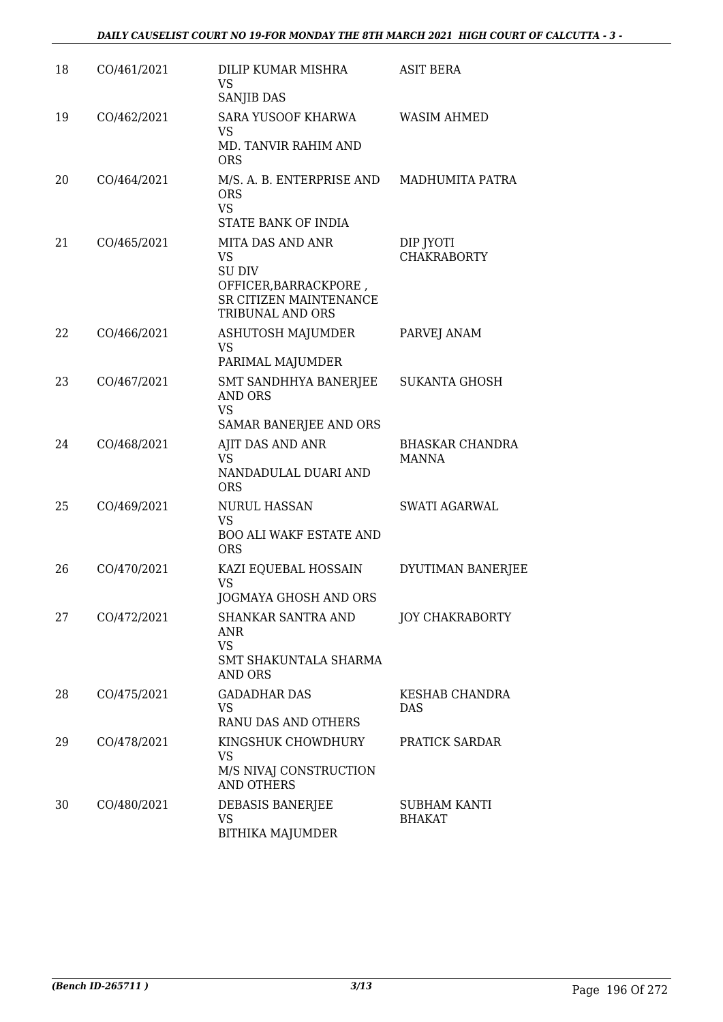| 18 | CO/461/2021 | DILIP KUMAR MISHRA<br>VS<br><b>SANJIB DAS</b>                                                                         | <b>ASIT BERA</b>                       |
|----|-------------|-----------------------------------------------------------------------------------------------------------------------|----------------------------------------|
| 19 | CO/462/2021 | SARA YUSOOF KHARWA<br>VS<br>MD. TANVIR RAHIM AND<br><b>ORS</b>                                                        | <b>WASIM AHMED</b>                     |
| 20 | CO/464/2021 | M/S. A. B. ENTERPRISE AND MADHUMITA PATRA<br><b>ORS</b><br><b>VS</b><br>STATE BANK OF INDIA                           |                                        |
| 21 | CO/465/2021 | MITA DAS AND ANR<br>VS<br>SU DIV<br>OFFICER, BARRACKPORE,<br><b>SR CITIZEN MAINTENANCE</b><br><b>TRIBUNAL AND ORS</b> | DIP JYOTI<br><b>CHAKRABORTY</b>        |
| 22 | CO/466/2021 | ASHUTOSH MAJUMDER<br>VS<br>PARIMAL MAJUMDER                                                                           | PARVEJ ANAM                            |
| 23 | CO/467/2021 | SMT SANDHHYA BANERJEE<br><b>AND ORS</b><br><b>VS</b><br>SAMAR BANERJEE AND ORS                                        | <b>SUKANTA GHOSH</b>                   |
| 24 | CO/468/2021 | AJIT DAS AND ANR<br>VS<br>NANDADULAL DUARI AND<br><b>ORS</b>                                                          | <b>BHASKAR CHANDRA</b><br><b>MANNA</b> |
| 25 | CO/469/2021 | <b>NURUL HASSAN</b><br>VS<br><b>BOO ALI WAKF ESTATE AND</b><br><b>ORS</b>                                             | <b>SWATI AGARWAL</b>                   |
| 26 | CO/470/2021 | KAZI EQUEBAL HOSSAIN<br><b>VS</b><br><b>JOGMAYA GHOSH AND ORS</b>                                                     | DYUTIMAN BANERJEE                      |
| 27 | CO/472/2021 | SHANKAR SANTRA AND<br>ANR<br><b>VS</b><br>SMT SHAKUNTALA SHARMA<br><b>AND ORS</b>                                     | <b>JOY CHAKRABORTY</b>                 |
| 28 | CO/475/2021 | <b>GADADHAR DAS</b><br>VS<br>RANU DAS AND OTHERS                                                                      | <b>KESHAB CHANDRA</b><br><b>DAS</b>    |
| 29 | CO/478/2021 | KINGSHUK CHOWDHURY<br><b>VS</b><br>M/S NIVAJ CONSTRUCTION<br><b>AND OTHERS</b>                                        | PRATICK SARDAR                         |
| 30 | CO/480/2021 | DEBASIS BANERJEE<br>VS<br><b>BITHIKA MAJUMDER</b>                                                                     | SUBHAM KANTI<br><b>BHAKAT</b>          |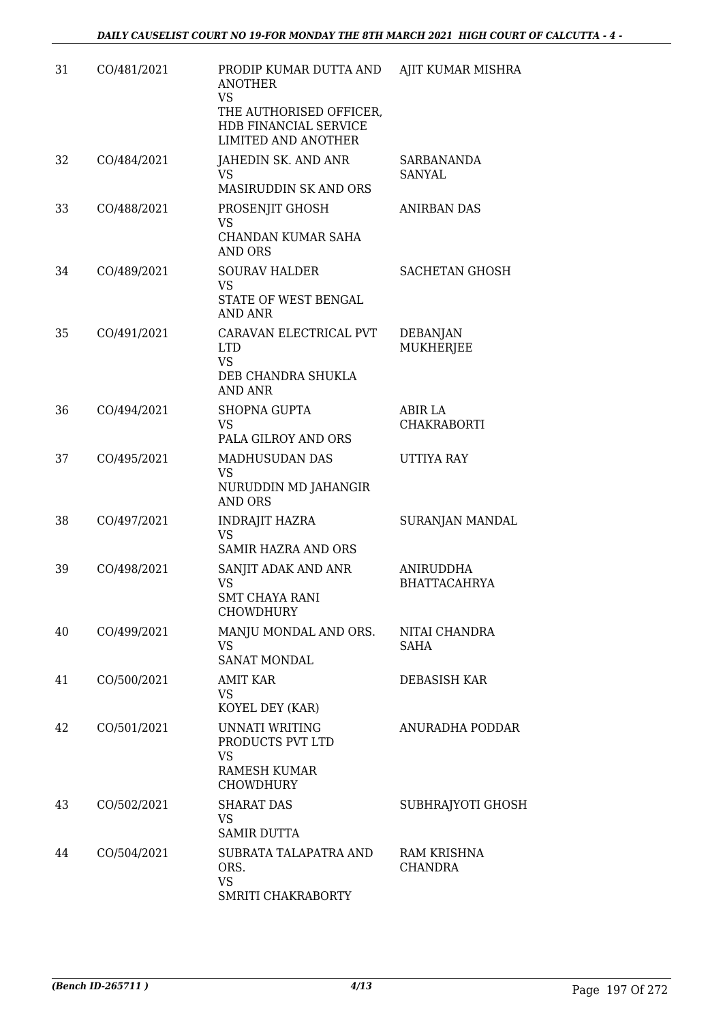| 31 | CO/481/2021 | PRODIP KUMAR DUTTA AND<br><b>ANOTHER</b><br><b>VS</b><br>THE AUTHORISED OFFICER,<br>HDB FINANCIAL SERVICE<br><b>LIMITED AND ANOTHER</b> | AJIT KUMAR MISHRA                       |
|----|-------------|-----------------------------------------------------------------------------------------------------------------------------------------|-----------------------------------------|
| 32 | CO/484/2021 | JAHEDIN SK. AND ANR<br>VS<br>MASIRUDDIN SK AND ORS                                                                                      | <b>SARBANANDA</b><br>SANYAL             |
| 33 | CO/488/2021 | PROSENJIT GHOSH<br><b>VS</b><br>CHANDAN KUMAR SAHA<br>AND ORS                                                                           | <b>ANIRBAN DAS</b>                      |
| 34 | CO/489/2021 | <b>SOURAV HALDER</b><br><b>VS</b><br>STATE OF WEST BENGAL<br><b>AND ANR</b>                                                             | <b>SACHETAN GHOSH</b>                   |
| 35 | CO/491/2021 | CARAVAN ELECTRICAL PVT<br><b>LTD</b><br><b>VS</b><br>DEB CHANDRA SHUKLA<br><b>AND ANR</b>                                               | <b>DEBANJAN</b><br><b>MUKHERJEE</b>     |
| 36 | CO/494/2021 | <b>SHOPNA GUPTA</b><br><b>VS</b><br>PALA GILROY AND ORS                                                                                 | ABIR LA<br>CHAKRABORTI                  |
| 37 | CO/495/2021 | MADHUSUDAN DAS<br><b>VS</b><br>NURUDDIN MD JAHANGIR<br><b>AND ORS</b>                                                                   | UTTIYA RAY                              |
| 38 | CO/497/2021 | INDRAJIT HAZRA<br><b>VS</b><br><b>SAMIR HAZRA AND ORS</b>                                                                               | SURANJAN MANDAL                         |
| 39 | CO/498/2021 | SANJIT ADAK AND ANR<br><b>VS</b><br><b>SMT CHAYA RANI</b><br><b>CHOWDHURY</b>                                                           | <b>ANIRUDDHA</b><br><b>BHATTACAHRYA</b> |
| 40 | CO/499/2021 | MANJU MONDAL AND ORS.<br><b>VS</b><br><b>SANAT MONDAL</b>                                                                               | NITAI CHANDRA<br>SAHA                   |
| 41 | CO/500/2021 | AMIT KAR<br>VS<br>KOYEL DEY (KAR)                                                                                                       | DEBASISH KAR                            |
| 42 | CO/501/2021 | UNNATI WRITING<br>PRODUCTS PVT LTD<br><b>VS</b><br>RAMESH KUMAR<br><b>CHOWDHURY</b>                                                     | ANURADHA PODDAR                         |
| 43 | CO/502/2021 | <b>SHARAT DAS</b><br><b>VS</b><br><b>SAMIR DUTTA</b>                                                                                    | SUBHRAJYOTI GHOSH                       |
| 44 | CO/504/2021 | SUBRATA TALAPATRA AND<br>ORS.<br><b>VS</b><br>SMRITI CHAKRABORTY                                                                        | RAM KRISHNA<br><b>CHANDRA</b>           |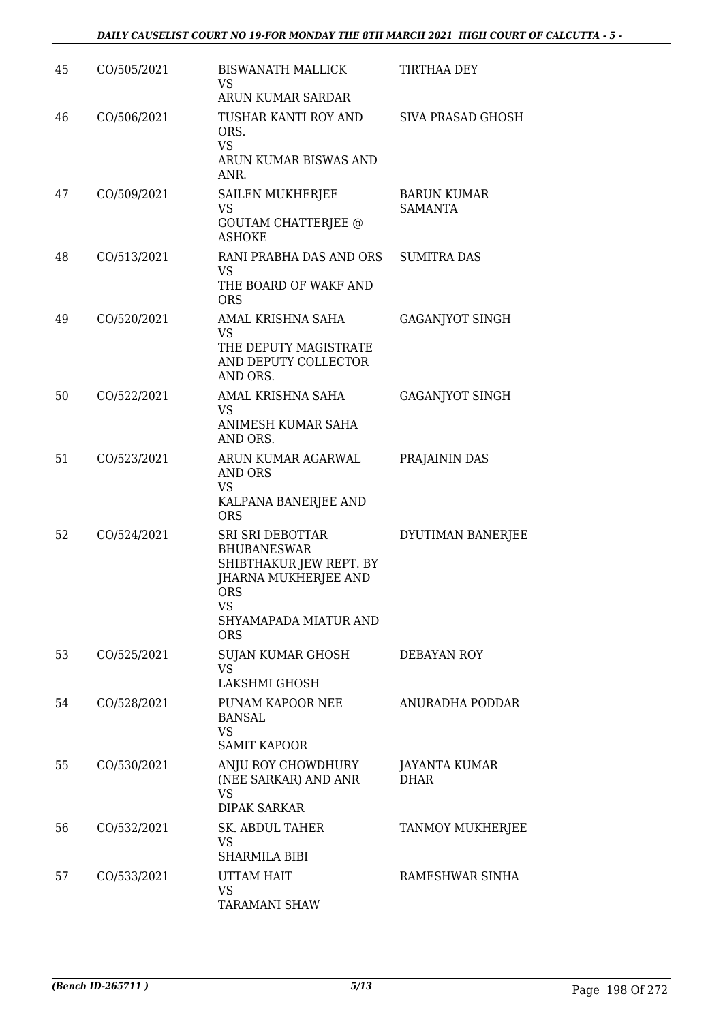| 45 | CO/505/2021 | <b>BISWANATH MALLICK</b><br>VS.<br>ARUN KUMAR SARDAR                                                                                                        | <b>TIRTHAA DEY</b>                   |
|----|-------------|-------------------------------------------------------------------------------------------------------------------------------------------------------------|--------------------------------------|
| 46 | CO/506/2021 | TUSHAR KANTI ROY AND<br>ORS.<br><b>VS</b><br>ARUN KUMAR BISWAS AND                                                                                          | SIVA PRASAD GHOSH                    |
|    |             | ANR.                                                                                                                                                        |                                      |
| 47 | CO/509/2021 | SAILEN MUKHERJEE<br><b>VS</b><br><b>GOUTAM CHATTERJEE @</b><br><b>ASHOKE</b>                                                                                | <b>BARUN KUMAR</b><br><b>SAMANTA</b> |
| 48 | CO/513/2021 | RANI PRABHA DAS AND ORS<br>VS<br>THE BOARD OF WAKF AND<br><b>ORS</b>                                                                                        | <b>SUMITRA DAS</b>                   |
| 49 | CO/520/2021 | AMAL KRISHNA SAHA<br>VS<br>THE DEPUTY MAGISTRATE<br>AND DEPUTY COLLECTOR<br>AND ORS.                                                                        | <b>GAGANJYOT SINGH</b>               |
| 50 | CO/522/2021 | AMAL KRISHNA SAHA                                                                                                                                           | <b>GAGANJYOT SINGH</b>               |
|    |             | <b>VS</b><br>ANIMESH KUMAR SAHA<br>AND ORS.                                                                                                                 |                                      |
| 51 | CO/523/2021 | ARUN KUMAR AGARWAL<br>AND ORS<br><b>VS</b><br>KALPANA BANERJEE AND<br><b>ORS</b>                                                                            | PRAJAININ DAS                        |
| 52 | CO/524/2021 | <b>SRI SRI DEBOTTAR</b><br><b>BHUBANESWAR</b><br>SHIBTHAKUR JEW REPT. BY<br>JHARNA MUKHERJEE AND<br><b>ORS</b><br>VS<br>SHYAMAPADA MIATUR AND<br><b>ORS</b> | DYUTIMAN BANERJEE                    |
| 53 | CO/525/2021 | SUJAN KUMAR GHOSH<br>VS<br>LAKSHMI GHOSH                                                                                                                    | DEBAYAN ROY                          |
| 54 | CO/528/2021 | PUNAM KAPOOR NEE<br>BANSAL<br><b>VS</b><br><b>SAMIT KAPOOR</b>                                                                                              | ANURADHA PODDAR                      |
| 55 | CO/530/2021 | ANJU ROY CHOWDHURY<br>(NEE SARKAR) AND ANR<br><b>VS</b><br><b>DIPAK SARKAR</b>                                                                              | JAYANTA KUMAR<br><b>DHAR</b>         |
| 56 | CO/532/2021 | <b>SK. ABDUL TAHER</b><br>VS<br>SHARMILA BIBI                                                                                                               | TANMOY MUKHERJEE                     |
| 57 | CO/533/2021 | UTTAM HAIT<br>VS<br><b>TARAMANI SHAW</b>                                                                                                                    | RAMESHWAR SINHA                      |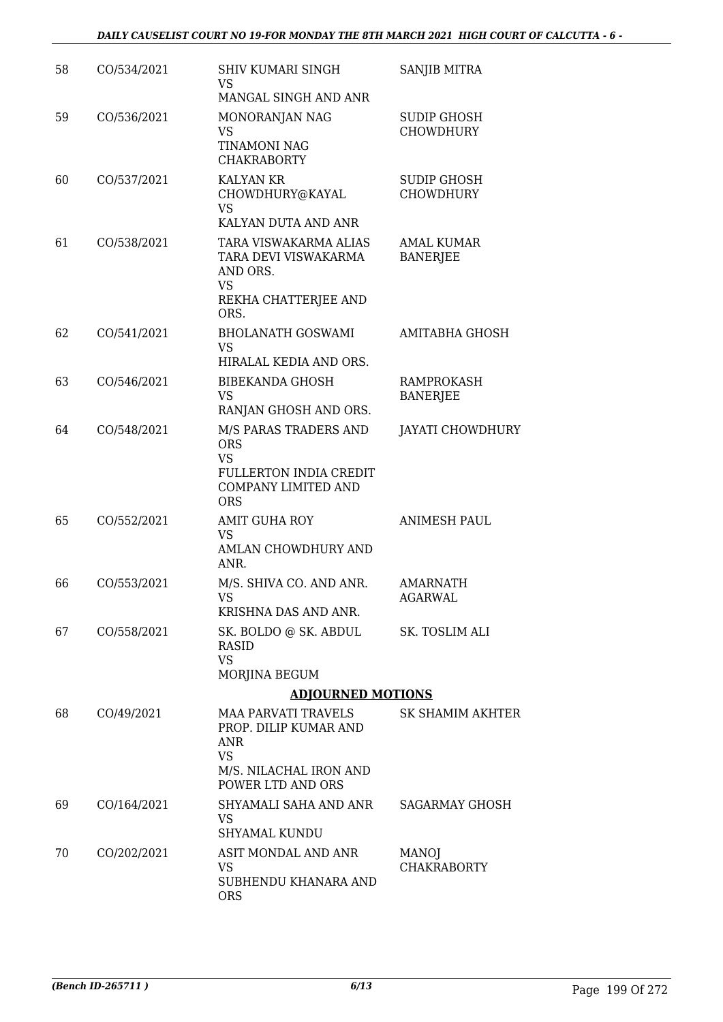| 58 | CO/534/2021 | <b>SHIV KUMARI SINGH</b><br>VS<br>MANGAL SINGH AND ANR                                                                 | SANJIB MITRA                           |
|----|-------------|------------------------------------------------------------------------------------------------------------------------|----------------------------------------|
| 59 | CO/536/2021 | MONORANJAN NAG<br>VS<br><b>TINAMONI NAG</b><br><b>CHAKRABORTY</b>                                                      | <b>SUDIP GHOSH</b><br><b>CHOWDHURY</b> |
| 60 | CO/537/2021 | <b>KALYAN KR</b><br>CHOWDHURY@KAYAL<br><b>VS</b><br>KALYAN DUTA AND ANR                                                | <b>SUDIP GHOSH</b><br><b>CHOWDHURY</b> |
| 61 | CO/538/2021 | TARA VISWAKARMA ALIAS<br>TARA DEVI VISWAKARMA<br>AND ORS.<br><b>VS</b><br>REKHA CHATTERJEE AND<br>ORS.                 | <b>AMAL KUMAR</b><br><b>BANERJEE</b>   |
| 62 | CO/541/2021 | <b>BHOLANATH GOSWAMI</b><br><b>VS</b><br>HIRALAL KEDIA AND ORS.                                                        | AMITABHA GHOSH                         |
| 63 | CO/546/2021 | <b>BIBEKANDA GHOSH</b><br><b>VS</b><br>RANJAN GHOSH AND ORS.                                                           | RAMPROKASH<br><b>BANERJEE</b>          |
| 64 | CO/548/2021 | M/S PARAS TRADERS AND<br><b>ORS</b><br>VS<br>FULLERTON INDIA CREDIT<br><b>COMPANY LIMITED AND</b><br><b>ORS</b>        | <b>JAYATI CHOWDHURY</b>                |
| 65 | CO/552/2021 | <b>AMIT GUHA ROY</b><br><b>VS</b><br>AMLAN CHOWDHURY AND<br>ANR.                                                       | <b>ANIMESH PAUL</b>                    |
| 66 | CO/553/2021 | M/S. SHIVA CO. AND ANR.<br><b>VS</b><br>KRISHNA DAS AND ANR.                                                           | <b>AMARNATH</b><br><b>AGARWAL</b>      |
| 67 | CO/558/2021 | SK. BOLDO @ SK. ABDUL<br><b>RASID</b><br><b>VS</b><br>MORJINA BEGUM                                                    | SK. TOSLIM ALI                         |
|    |             | <b>ADJOURNED MOTIONS</b>                                                                                               |                                        |
| 68 | CO/49/2021  | <b>MAA PARVATI TRAVELS</b><br>PROP. DILIP KUMAR AND<br>ANR<br><b>VS</b><br>M/S. NILACHAL IRON AND<br>POWER LTD AND ORS | <b>SK SHAMIM AKHTER</b>                |
| 69 | CO/164/2021 | SHYAMALI SAHA AND ANR<br>VS<br><b>SHYAMAL KUNDU</b>                                                                    | <b>SAGARMAY GHOSH</b>                  |
| 70 | CO/202/2021 | ASIT MONDAL AND ANR<br>VS<br>SUBHENDU KHANARA AND<br><b>ORS</b>                                                        | <b>MANOJ</b><br><b>CHAKRABORTY</b>     |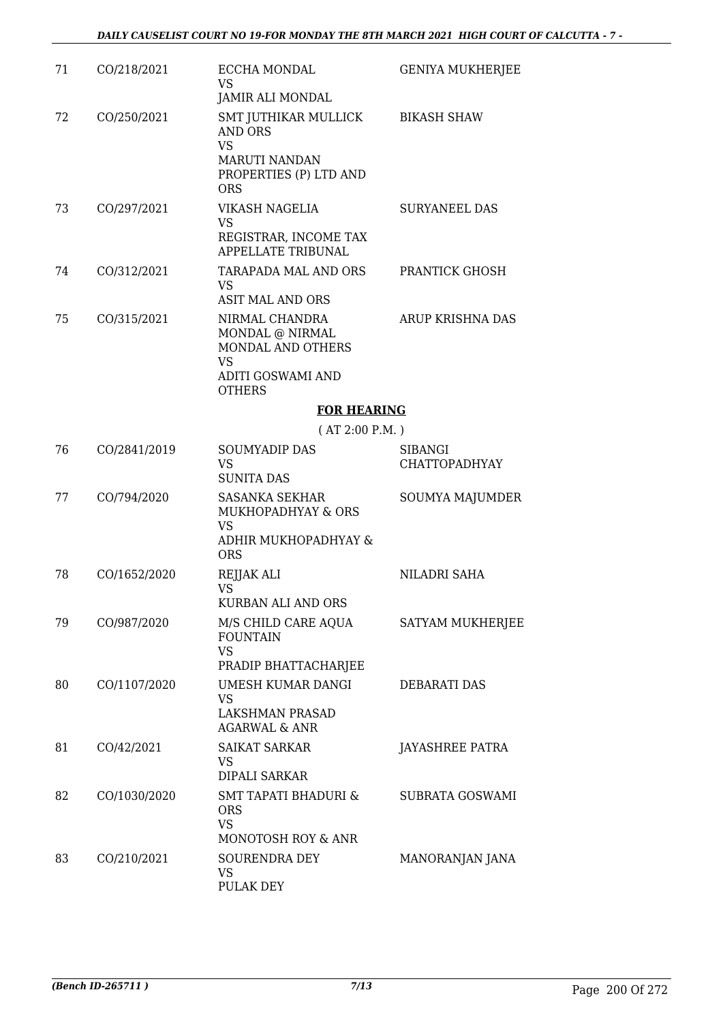| 71 | CO/218/2021  | ECCHA MONDAL<br>VS<br>JAMIR ALI MONDAL                                                                              | <b>GENIYA MUKHERJEE</b>                |
|----|--------------|---------------------------------------------------------------------------------------------------------------------|----------------------------------------|
| 72 | CO/250/2021  | SMT JUTHIKAR MULLICK<br><b>AND ORS</b><br><b>VS</b><br><b>MARUTI NANDAN</b><br>PROPERTIES (P) LTD AND<br><b>ORS</b> | <b>BIKASH SHAW</b>                     |
| 73 | CO/297/2021  | VIKASH NAGELIA<br><b>VS</b><br>REGISTRAR, INCOME TAX<br>APPELLATE TRIBUNAL                                          | <b>SURYANEEL DAS</b>                   |
| 74 | CO/312/2021  | TARAPADA MAL AND ORS<br>VS<br><b>ASIT MAL AND ORS</b>                                                               | PRANTICK GHOSH                         |
| 75 | CO/315/2021  | NIRMAL CHANDRA<br>MONDAL @ NIRMAL<br>MONDAL AND OTHERS<br><b>VS</b><br>ADITI GOSWAMI AND<br><b>OTHERS</b>           | ARUP KRISHNA DAS                       |
|    |              | <b>FOR HEARING</b>                                                                                                  |                                        |
|    |              | (AT 2:00 P.M.)                                                                                                      |                                        |
| 76 | CO/2841/2019 | <b>SOUMYADIP DAS</b><br><b>VS</b><br><b>SUNITA DAS</b>                                                              | <b>SIBANGI</b><br><b>CHATTOPADHYAY</b> |
| 77 | CO/794/2020  | <b>SASANKA SEKHAR</b><br>MUKHOPADHYAY & ORS<br><b>VS</b><br>ADHIR MUKHOPADHYAY &<br><b>ORS</b>                      | SOUMYA MAJUMDER                        |
| 78 | CO/1652/2020 | REJJAK ALI<br><b>VS</b><br><b>KURBAN ALI AND ORS</b>                                                                | NILADRI SAHA                           |
| 79 | CO/987/2020  | M/S CHILD CARE AQUA<br><b>FOUNTAIN</b><br><b>VS</b><br>PRADIP BHATTACHARJEE                                         | SATYAM MUKHERJEE                       |
| 80 | CO/1107/2020 | UMESH KUMAR DANGI<br><b>VS</b><br><b>LAKSHMAN PRASAD</b><br><b>AGARWAL &amp; ANR</b>                                | <b>DEBARATI DAS</b>                    |
| 81 | CO/42/2021   | <b>SAIKAT SARKAR</b><br>VS<br>DIPALI SARKAR                                                                         | <b>JAYASHREE PATRA</b>                 |
| 82 | CO/1030/2020 | SMT TAPATI BHADURI &<br><b>ORS</b><br><b>VS</b>                                                                     | SUBRATA GOSWAMI                        |
| 83 | CO/210/2021  | MONOTOSH ROY & ANR<br>SOURENDRA DEY<br>VS<br><b>PULAK DEY</b>                                                       | MANORANJAN JANA                        |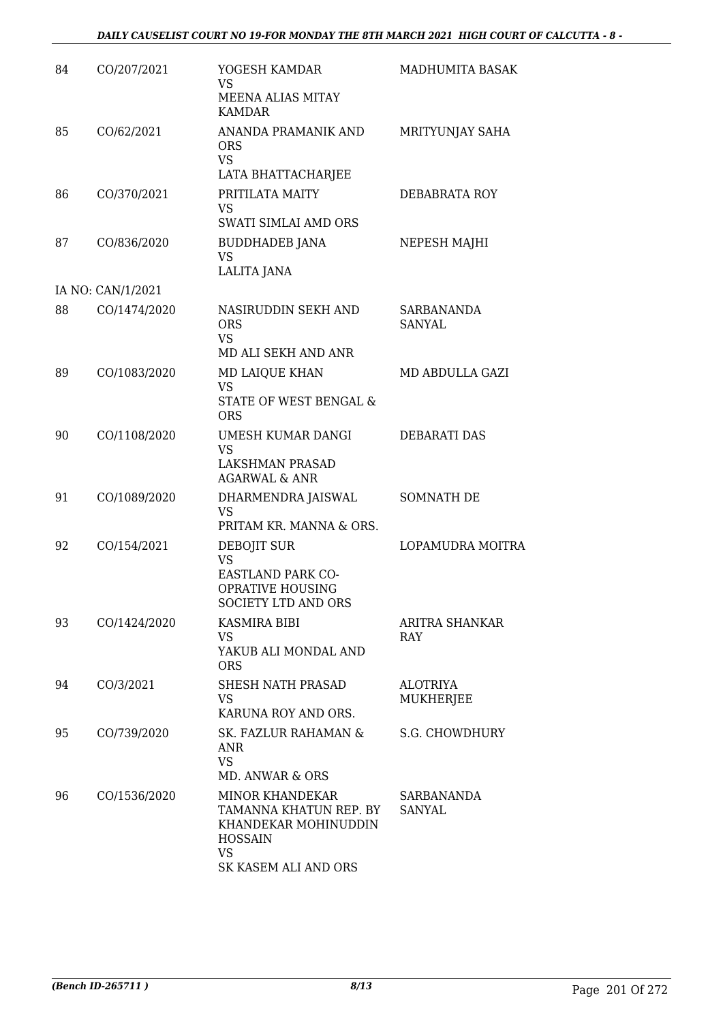| 84 | CO/207/2021       | YOGESH KAMDAR<br>VS.<br>MEENA ALIAS MITAY                                                                                       | MADHUMITA BASAK                     |
|----|-------------------|---------------------------------------------------------------------------------------------------------------------------------|-------------------------------------|
| 85 | CO/62/2021        | <b>KAMDAR</b><br>ANANDA PRAMANIK AND<br>ORS<br><b>VS</b>                                                                        | MRITYUNJAY SAHA                     |
| 86 | CO/370/2021       | LATA BHATTACHARJEE<br>PRITILATA MAITY<br>VS<br>SWATI SIMLAI AMD ORS                                                             | DEBABRATA ROY                       |
| 87 | CO/836/2020       | <b>BUDDHADEB JANA</b><br>VS<br><b>LALITA JANA</b>                                                                               | NEPESH MAJHI                        |
|    | IA NO: CAN/1/2021 |                                                                                                                                 |                                     |
| 88 | CO/1474/2020      | NASIRUDDIN SEKH AND<br><b>ORS</b><br><b>VS</b>                                                                                  | SARBANANDA<br>SANYAL                |
|    |                   | MD ALI SEKH AND ANR                                                                                                             |                                     |
| 89 | CO/1083/2020      | MD LAIQUE KHAN<br><b>VS</b><br><b>STATE OF WEST BENGAL &amp;</b><br><b>ORS</b>                                                  | MD ABDULLA GAZI                     |
| 90 | CO/1108/2020      | UMESH KUMAR DANGI<br><b>VS</b><br><b>LAKSHMAN PRASAD</b><br><b>AGARWAL &amp; ANR</b>                                            | DEBARATI DAS                        |
| 91 | CO/1089/2020      | DHARMENDRA JAISWAL<br><b>VS</b><br>PRITAM KR. MANNA & ORS.                                                                      | SOMNATH DE                          |
| 92 | CO/154/2021       | DEBOJIT SUR<br><b>VS</b><br>EASTLAND PARK CO-<br><b>OPRATIVE HOUSING</b><br><b>SOCIETY LTD AND ORS</b>                          | LOPAMUDRA MOITRA                    |
| 93 | CO/1424/2020      | <b>KASMIRA BIBI</b><br><b>VS</b><br>YAKUB ALI MONDAL AND<br><b>ORS</b>                                                          | ARITRA SHANKAR<br><b>RAY</b>        |
| 94 | CO/3/2021         | SHESH NATH PRASAD<br>VS.<br>KARUNA ROY AND ORS.                                                                                 | <b>ALOTRIYA</b><br><b>MUKHERJEE</b> |
| 95 | CO/739/2020       | SK. FAZLUR RAHAMAN &<br>ANR<br><b>VS</b><br>MD. ANWAR & ORS                                                                     | <b>S.G. CHOWDHURY</b>               |
| 96 | CO/1536/2020      | <b>MINOR KHANDEKAR</b><br>TAMANNA KHATUN REP. BY<br>KHANDEKAR MOHINUDDIN<br><b>HOSSAIN</b><br><b>VS</b><br>SK KASEM ALI AND ORS | SARBANANDA<br><b>SANYAL</b>         |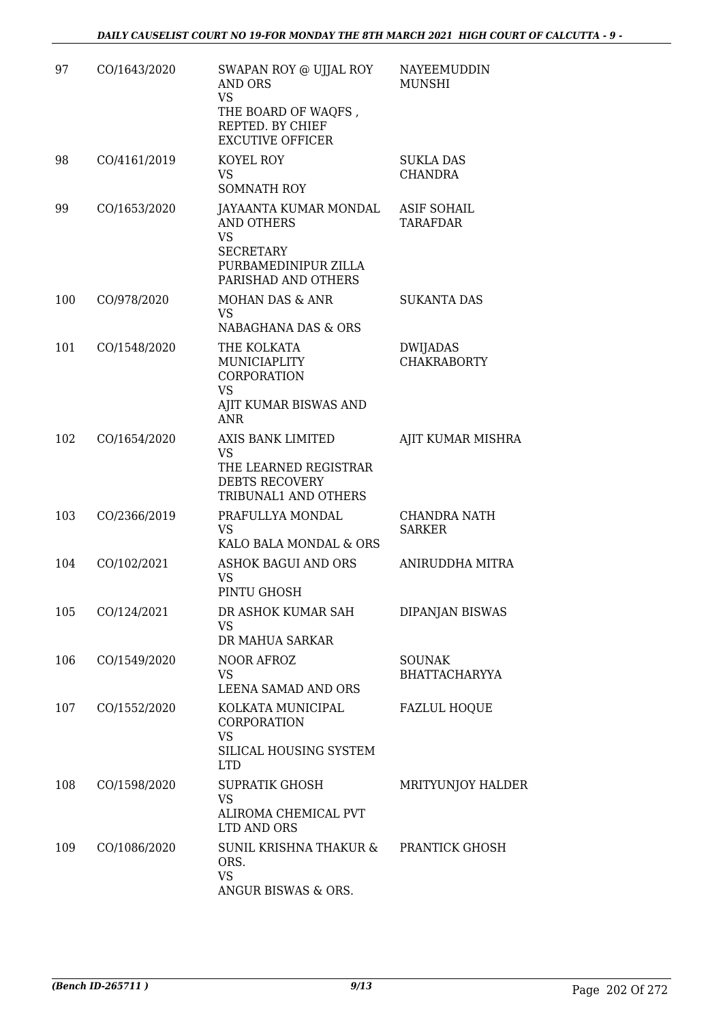| 97  | CO/1643/2020 | SWAPAN ROY @ UJJAL ROY<br>AND ORS<br><b>VS</b><br>THE BOARD OF WAQFS,<br>REPTED. BY CHIEF                                  | <b>NAYEEMUDDIN</b><br><b>MUNSHI</b>   |
|-----|--------------|----------------------------------------------------------------------------------------------------------------------------|---------------------------------------|
| 98  | CO/4161/2019 | <b>EXCUTIVE OFFICER</b><br>KOYEL ROY<br>VS<br><b>SOMNATH ROY</b>                                                           | SUKLA DAS<br><b>CHANDRA</b>           |
| 99  | CO/1653/2020 | JAYAANTA KUMAR MONDAL<br><b>AND OTHERS</b><br><b>VS</b><br><b>SECRETARY</b><br>PURBAMEDINIPUR ZILLA<br>PARISHAD AND OTHERS | <b>ASIF SOHAIL</b><br><b>TARAFDAR</b> |
| 100 | CO/978/2020  | MOHAN DAS & ANR<br><b>VS</b><br>NABAGHANA DAS & ORS                                                                        | <b>SUKANTA DAS</b>                    |
| 101 | CO/1548/2020 | THE KOLKATA<br>MUNICIAPLITY<br><b>CORPORATION</b><br><b>VS</b><br>AJIT KUMAR BISWAS AND<br><b>ANR</b>                      | <b>DWIJADAS</b><br><b>CHAKRABORTY</b> |
| 102 | CO/1654/2020 | AXIS BANK LIMITED<br>VS<br>THE LEARNED REGISTRAR<br><b>DEBTS RECOVERY</b><br>TRIBUNAL1 AND OTHERS                          | AJIT KUMAR MISHRA                     |
| 103 | CO/2366/2019 | PRAFULLYA MONDAL<br><b>VS</b><br>KALO BALA MONDAL & ORS                                                                    | <b>CHANDRA NATH</b><br><b>SARKER</b>  |
| 104 | CO/102/2021  | <b>ASHOK BAGUI AND ORS</b><br><b>VS</b><br>PINTU GHOSH                                                                     | ANIRUDDHA MITRA                       |
| 105 | CO/124/2021  | DR ASHOK KUMAR SAH<br>VS<br>DR MAHUA SARKAR                                                                                | <b>DIPANJAN BISWAS</b>                |
| 106 | CO/1549/2020 | NOOR AFROZ<br><b>VS</b><br>LEENA SAMAD AND ORS                                                                             | <b>SOUNAK</b><br>BHATTACHARYYA        |
| 107 | CO/1552/2020 | KOLKATA MUNICIPAL<br>CORPORATION<br><b>VS</b><br>SILICAL HOUSING SYSTEM<br><b>LTD</b>                                      | <b>FAZLUL HOQUE</b>                   |
| 108 | CO/1598/2020 | <b>SUPRATIK GHOSH</b><br><b>VS</b><br>ALIROMA CHEMICAL PVT<br>LTD AND ORS                                                  | MRITYUNJOY HALDER                     |
| 109 | CO/1086/2020 | SUNIL KRISHNA THAKUR &<br>ORS.<br><b>VS</b><br>ANGUR BISWAS & ORS.                                                         | PRANTICK GHOSH                        |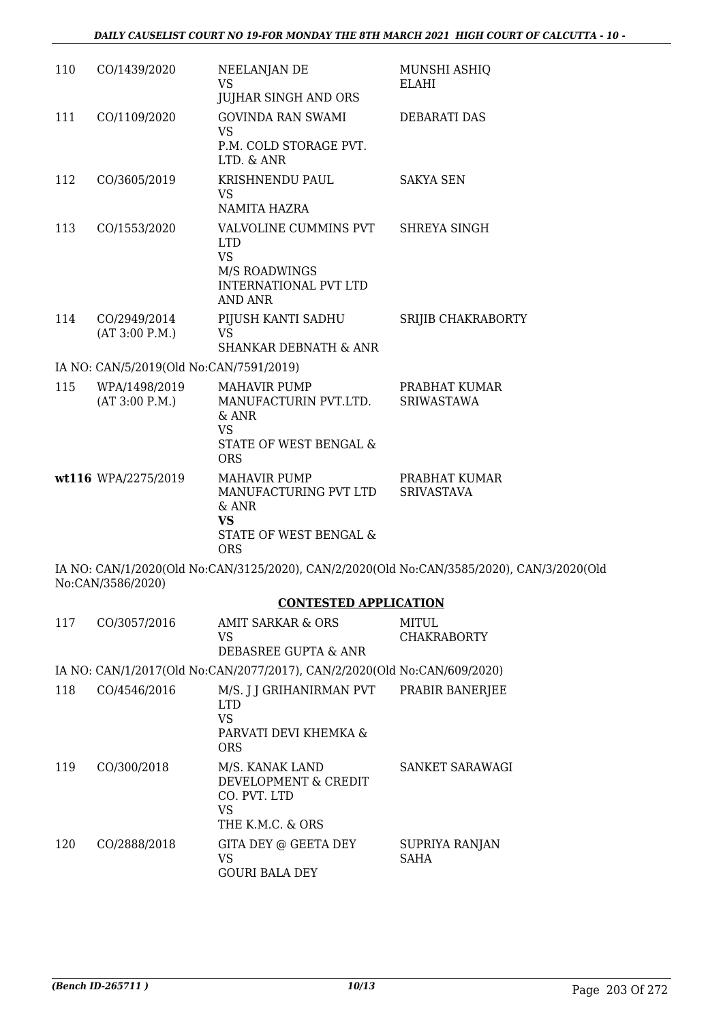| 110 | CO/1439/2020                            | NEELANJAN DE<br><b>VS</b>                                                | MUNSHI ASHIQ<br>ELAHI                                                                     |
|-----|-----------------------------------------|--------------------------------------------------------------------------|-------------------------------------------------------------------------------------------|
|     |                                         | <b>JUJHAR SINGH AND ORS</b>                                              |                                                                                           |
| 111 | CO/1109/2020                            | <b>GOVINDA RAN SWAMI</b><br><b>VS</b><br>P.M. COLD STORAGE PVT.          | DEBARATI DAS                                                                              |
|     |                                         | LTD. & ANR                                                               |                                                                                           |
| 112 | CO/3605/2019                            | KRISHNENDU PAUL<br>VS<br>NAMITA HAZRA                                    | <b>SAKYA SEN</b>                                                                          |
| 113 | CO/1553/2020                            | VALVOLINE CUMMINS PVT<br><b>LTD</b>                                      | SHREYA SINGH                                                                              |
|     |                                         | <b>VS</b><br>M/S ROADWINGS<br><b>INTERNATIONAL PVT LTD</b><br>AND ANR    |                                                                                           |
| 114 | CO/2949/2014<br>(AT 3:00 P.M.)          | PIJUSH KANTI SADHU<br><b>VS</b><br><b>SHANKAR DEBNATH &amp; ANR</b>      | SRIJIB CHAKRABORTY                                                                        |
|     | IA NO: CAN/5/2019(Old No:CAN/7591/2019) |                                                                          |                                                                                           |
| 115 | WPA/1498/2019                           | <b>MAHAVIR PUMP</b>                                                      | PRABHAT KUMAR                                                                             |
|     | (AT 3:00 P.M.)                          | MANUFACTURIN PVT.LTD.<br>$&$ ANR<br><b>VS</b>                            | <b>SRIWASTAWA</b>                                                                         |
|     |                                         | STATE OF WEST BENGAL &<br><b>ORS</b>                                     |                                                                                           |
|     | wt116 WPA/2275/2019                     | <b>MAHAVIR PUMP</b><br>MANUFACTURING PVT LTD<br>& ANR<br><b>VS</b>       | PRABHAT KUMAR<br><b>SRIVASTAVA</b>                                                        |
|     |                                         | STATE OF WEST BENGAL &<br><b>ORS</b>                                     |                                                                                           |
|     | No:CAN/3586/2020)                       |                                                                          | IA NO: CAN/1/2020(Old No:CAN/3125/2020), CAN/2/2020(Old No:CAN/3585/2020), CAN/3/2020(Old |
|     |                                         | <b>CONTESTED APPLICATION</b>                                             |                                                                                           |
| 117 | CO/3057/2016                            | <b>AMIT SARKAR &amp; ORS</b><br>VS                                       | MITUL<br><b>CHAKRABORTY</b>                                                               |
|     |                                         | DEBASREE GUPTA & ANR                                                     |                                                                                           |
|     |                                         | IA NO: CAN/1/2017(Old No:CAN/2077/2017), CAN/2/2020(Old No:CAN/609/2020) |                                                                                           |
| 118 | CO/4546/2016                            | M/S. J J GRIHANIRMAN PVT<br><b>LTD</b><br><b>VS</b>                      | PRABIR BANERJEE                                                                           |
|     |                                         | PARVATI DEVI KHEMKA &<br><b>ORS</b>                                      |                                                                                           |
| 119 | CO/300/2018                             | M/S. KANAK LAND<br>DEVELOPMENT & CREDIT<br>CO. PVT. LTD<br><b>VS</b>     | SANKET SARAWAGI                                                                           |
|     |                                         | THE K.M.C. & ORS                                                         |                                                                                           |
| 120 | CO/2888/2018                            | GITA DEY @ GEETA DEY<br>VS<br><b>GOURI BALA DEY</b>                      | SUPRIYA RANJAN<br>SAHA                                                                    |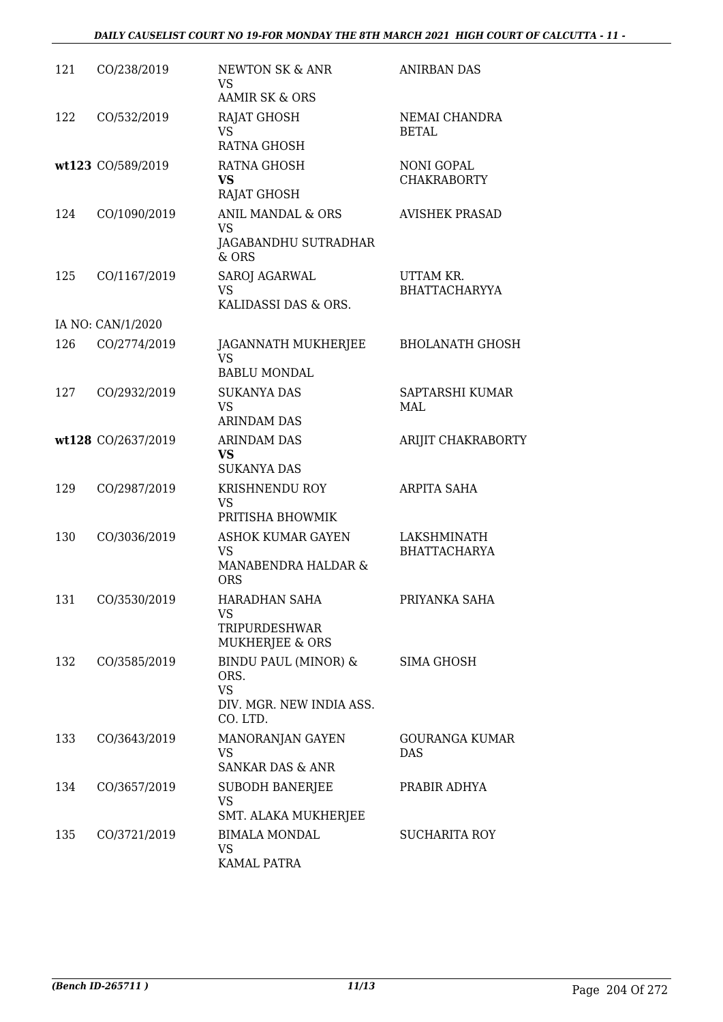### *DAILY CAUSELIST COURT NO 19-FOR MONDAY THE 8TH MARCH 2021 HIGH COURT OF CALCUTTA - 11 -*

| 121 | CO/238/2019        | <b>NEWTON SK &amp; ANR</b><br><b>VS</b><br><b>AAMIR SK &amp; ORS</b>              | <b>ANIRBAN DAS</b>                      |
|-----|--------------------|-----------------------------------------------------------------------------------|-----------------------------------------|
| 122 | CO/532/2019        | <b>RAJAT GHOSH</b><br><b>VS</b><br><b>RATNA GHOSH</b>                             | NEMAI CHANDRA<br><b>BETAL</b>           |
|     | wt123 CO/589/2019  | RATNA GHOSH<br><b>VS</b><br><b>RAJAT GHOSH</b>                                    | <b>NONI GOPAL</b><br><b>CHAKRABORTY</b> |
| 124 | CO/1090/2019       | ANIL MANDAL & ORS<br><b>VS</b><br>JAGABANDHU SUTRADHAR<br>$&$ ORS                 | <b>AVISHEK PRASAD</b>                   |
| 125 | CO/1167/2019       | SAROJ AGARWAL<br><b>VS</b><br>KALIDASSI DAS & ORS.                                | UTTAM KR.<br><b>BHATTACHARYYA</b>       |
|     | IA NO: CAN/1/2020  |                                                                                   |                                         |
| 126 | CO/2774/2019       | JAGANNATH MUKHERJEE<br><b>VS</b><br><b>BABLU MONDAL</b>                           | <b>BHOLANATH GHOSH</b>                  |
| 127 | CO/2932/2019       | <b>SUKANYA DAS</b><br><b>VS</b><br><b>ARINDAM DAS</b>                             | SAPTARSHI KUMAR<br>MAL                  |
|     | wt128 CO/2637/2019 | <b>ARINDAM DAS</b><br><b>VS</b><br><b>SUKANYA DAS</b>                             | ARIJIT CHAKRABORTY                      |
| 129 | CO/2987/2019       | KRISHNENDU ROY<br><b>VS</b><br>PRITISHA BHOWMIK                                   | <b>ARPITA SAHA</b>                      |
| 130 | CO/3036/2019       | <b>ASHOK KUMAR GAYEN</b><br><b>VS</b><br>MANABENDRA HALDAR &<br><b>ORS</b>        | LAKSHMINATH<br><b>BHATTACHARYA</b>      |
| 131 | CO/3530/2019       | HARADHAN SAHA<br>VS<br>TRIPURDESHWAR<br>MUKHERJEE & ORS                           | PRIYANKA SAHA                           |
| 132 | CO/3585/2019       | BINDU PAUL (MINOR) &<br>ORS.<br><b>VS</b><br>DIV. MGR. NEW INDIA ASS.<br>CO. LTD. | <b>SIMA GHOSH</b>                       |
| 133 | CO/3643/2019       | MANORANJAN GAYEN<br><b>VS</b><br><b>SANKAR DAS &amp; ANR</b>                      | <b>GOURANGA KUMAR</b><br><b>DAS</b>     |
| 134 | CO/3657/2019       | <b>SUBODH BANERJEE</b><br><b>VS</b><br>SMT. ALAKA MUKHERJEE                       | PRABIR ADHYA                            |
| 135 | CO/3721/2019       | <b>BIMALA MONDAL</b><br>VS<br>KAMAL PATRA                                         | <b>SUCHARITA ROY</b>                    |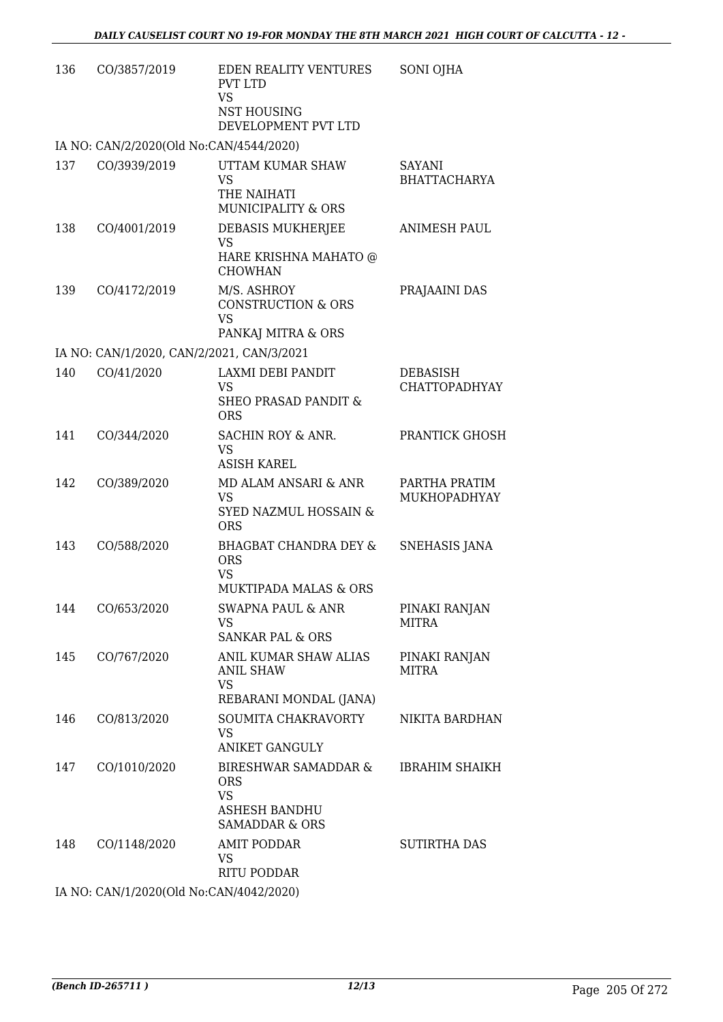| 136 | CO/3857/2019                              | EDEN REALITY VENTURES<br><b>PVT LTD</b><br><b>VS</b><br>NST HOUSING<br>DEVELOPMENT PVT LTD | SONI OJHA                               |
|-----|-------------------------------------------|--------------------------------------------------------------------------------------------|-----------------------------------------|
|     | IA NO: CAN/2/2020(Old No:CAN/4544/2020)   |                                                                                            |                                         |
| 137 | CO/3939/2019                              | UTTAM KUMAR SHAW<br><b>VS</b><br>THE NAIHATI<br><b>MUNICIPALITY &amp; ORS</b>              | <b>SAYANI</b><br><b>BHATTACHARYA</b>    |
| 138 | CO/4001/2019                              | DEBASIS MUKHERJEE<br><b>VS</b><br>HARE KRISHNA MAHATO @<br><b>CHOWHAN</b>                  | <b>ANIMESH PAUL</b>                     |
| 139 | CO/4172/2019                              | M/S. ASHROY<br><b>CONSTRUCTION &amp; ORS</b><br><b>VS</b><br>PANKAJ MITRA & ORS            | PRAJAAINI DAS                           |
|     | IA NO: CAN/1/2020, CAN/2/2021, CAN/3/2021 |                                                                                            |                                         |
| 140 | CO/41/2020                                | LAXMI DEBI PANDIT<br>VS<br><b>SHEO PRASAD PANDIT &amp;</b><br><b>ORS</b>                   | <b>DEBASISH</b><br><b>CHATTOPADHYAY</b> |
| 141 | CO/344/2020                               | SACHIN ROY & ANR.<br><b>VS</b><br><b>ASISH KAREL</b>                                       | PRANTICK GHOSH                          |
| 142 | CO/389/2020                               | MD ALAM ANSARI & ANR<br>VS<br>SYED NAZMUL HOSSAIN &<br><b>ORS</b>                          | PARTHA PRATIM<br>MUKHOPADHYAY           |
| 143 | CO/588/2020                               | BHAGBAT CHANDRA DEY &<br><b>ORS</b><br>VS<br><b>MUKTIPADA MALAS &amp; ORS</b>              | SNEHASIS JANA                           |
| 144 | CO/653/2020                               | <b>SWAPNA PAUL &amp; ANR</b><br>VS<br><b>SANKAR PAL &amp; ORS</b>                          | PINAKI RANJAN<br><b>MITRA</b>           |
| 145 | CO/767/2020                               | ANIL KUMAR SHAW ALIAS<br><b>ANIL SHAW</b><br><b>VS</b><br>REBARANI MONDAL (JANA)           | PINAKI RANJAN<br><b>MITRA</b>           |
| 146 | CO/813/2020                               | SOUMITA CHAKRAVORTY<br><b>VS</b><br><b>ANIKET GANGULY</b>                                  | NIKITA BARDHAN                          |
| 147 | CO/1010/2020                              | BIRESHWAR SAMADDAR &<br><b>ORS</b><br><b>VS</b><br>ASHESH BANDHU                           | <b>IBRAHIM SHAIKH</b>                   |
| 148 | CO/1148/2020                              | <b>SAMADDAR &amp; ORS</b><br><b>AMIT PODDAR</b><br>VS<br>RITU PODDAR                       | <b>SUTIRTHA DAS</b>                     |
|     | IA NO: CAN/1/2020(Old No:CAN/4042/2020)   |                                                                                            |                                         |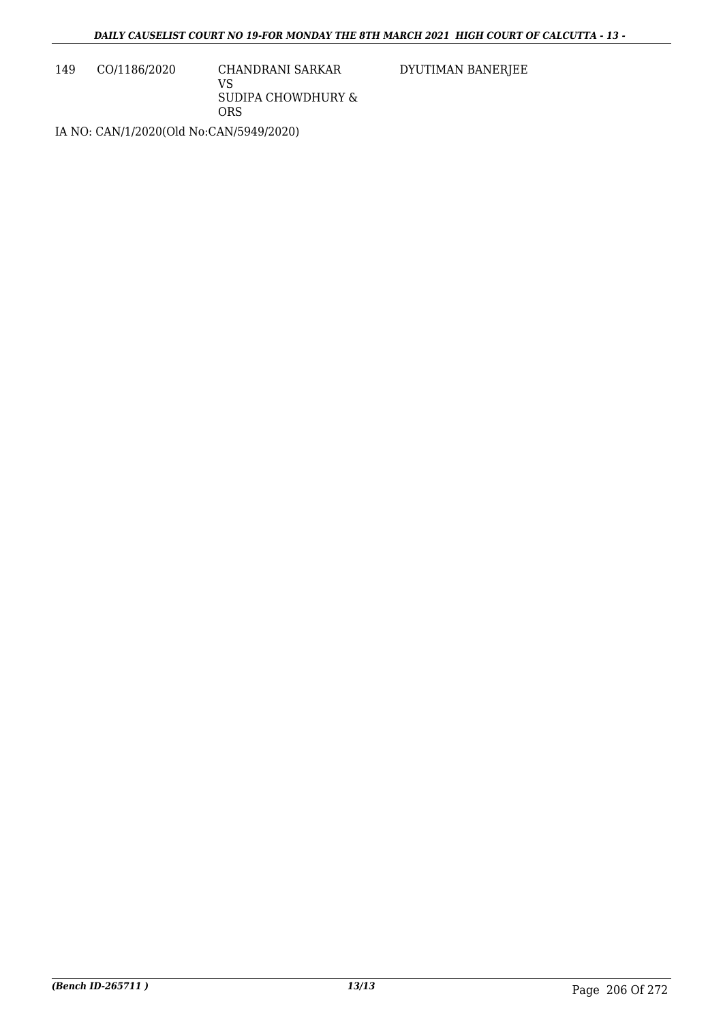149 CO/1186/2020 CHANDRANI SARKAR

VS SUDIPA CHOWDHURY & ORS

DYUTIMAN BANERJEE

IA NO: CAN/1/2020(Old No:CAN/5949/2020)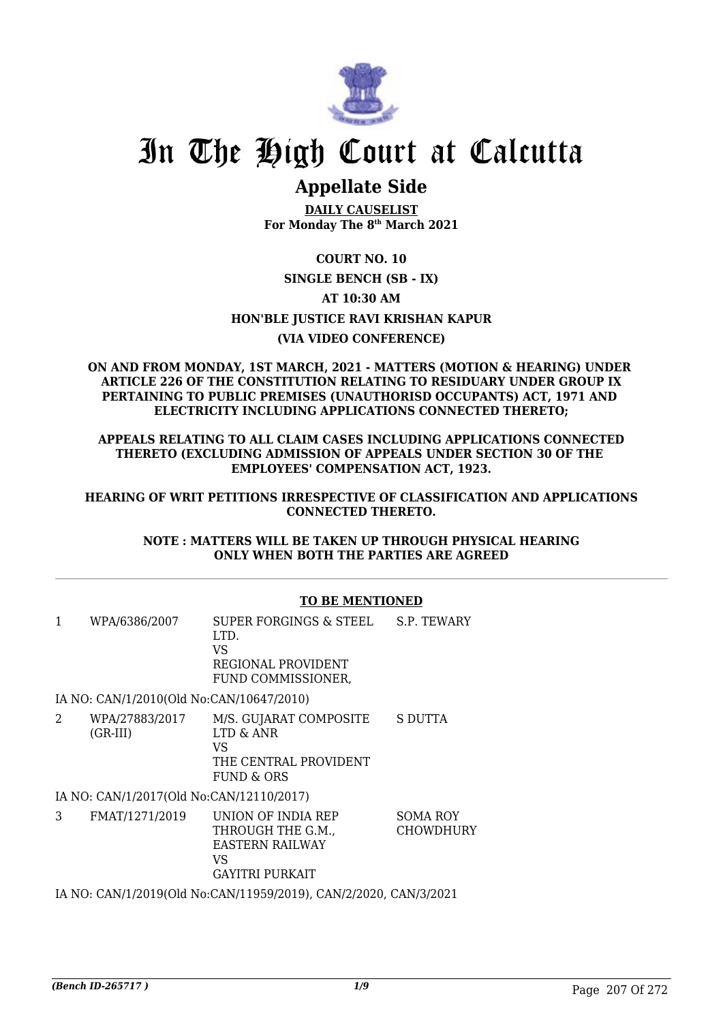

# In The High Court at Calcutta

# **Appellate Side**

**DAILY CAUSELIST For Monday The 8th March 2021**

# **COURT NO. 10**

### **SINGLE BENCH (SB - IX)**

# **AT 10:30 AM**

# **HON'BLE JUSTICE RAVI KRISHAN KAPUR**

# **(VIA VIDEO CONFERENCE)**

#### **ON AND FROM MONDAY, 1ST MARCH, 2021 - MATTERS (MOTION & HEARING) UNDER ARTICLE 226 OF THE CONSTITUTION RELATING TO RESIDUARY UNDER GROUP IX PERTAINING TO PUBLIC PREMISES (UNAUTHORISD OCCUPANTS) ACT, 1971 AND ELECTRICITY INCLUDING APPLICATIONS CONNECTED THERETO;**

### **APPEALS RELATING TO ALL CLAIM CASES INCLUDING APPLICATIONS CONNECTED THERETO (EXCLUDING ADMISSION OF APPEALS UNDER SECTION 30 OF THE EMPLOYEES' COMPENSATION ACT, 1923.**

### **HEARING OF WRIT PETITIONS IRRESPECTIVE OF CLASSIFICATION AND APPLICATIONS CONNECTED THERETO.**

### **NOTE : MATTERS WILL BE TAKEN UP THROUGH PHYSICAL HEARING ONLY WHEN BOTH THE PARTIES ARE AGREED**

# **TO BE MENTIONED**

| 1 | WPA/6386/2007                            | SUPER FORGINGS & STEEL<br>LTD.<br><b>VS</b><br>REGIONAL PROVIDENT<br>FUND COMMISSIONER, | S.P. TEWARY                         |
|---|------------------------------------------|-----------------------------------------------------------------------------------------|-------------------------------------|
|   | IA NO: CAN/1/2010(Old No:CAN/10647/2010) |                                                                                         |                                     |
| 2 | WPA/27883/2017<br>$(GR-III)$             | M/S. GUJARAT COMPOSITE<br>LTD & ANR<br>VS<br>THE CENTRAL PROVIDENT<br>FUND & ORS        | S DUTTA                             |
|   | IA NO: CAN/1/2017(Old No:CAN/12110/2017) |                                                                                         |                                     |
| 3 | FMAT/1271/2019                           | UNION OF INDIA REP<br>THROUGH THE G.M.,<br><b>EASTERN RAILWAY</b>                       | <b>SOMA ROY</b><br><b>CHOWDHURY</b> |

IA NO: CAN/1/2019(Old No:CAN/11959/2019), CAN/2/2020, CAN/3/2021

GAYITRI PURKAIT

VS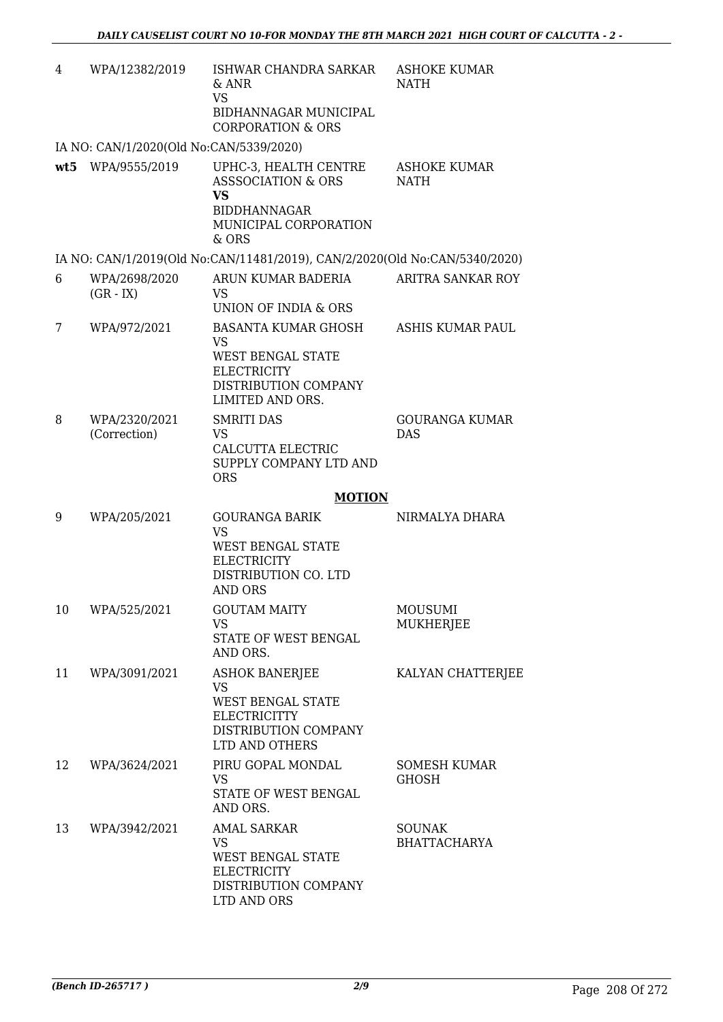| 4   | WPA/12382/2019                          | ISHWAR CHANDRA SARKAR<br>$&$ ANR<br><b>VS</b><br>BIDHANNAGAR MUNICIPAL<br><b>CORPORATION &amp; ORS</b>                                | <b>ASHOKE KUMAR</b><br><b>NATH</b>   |
|-----|-----------------------------------------|---------------------------------------------------------------------------------------------------------------------------------------|--------------------------------------|
|     | IA NO: CAN/1/2020(Old No:CAN/5339/2020) |                                                                                                                                       |                                      |
| wt5 | WPA/9555/2019                           | UPHC-3, HEALTH CENTRE<br><b>ASSSOCIATION &amp; ORS</b><br><b>VS</b><br><b>BIDDHANNAGAR</b><br>MUNICIPAL CORPORATION<br>& ORS          | <b>ASHOKE KUMAR</b><br><b>NATH</b>   |
|     |                                         | IA NO: CAN/1/2019(Old No:CAN/11481/2019), CAN/2/2020(Old No:CAN/5340/2020)                                                            |                                      |
| 6   | WPA/2698/2020<br>$(GR - IX)$            | ARUN KUMAR BADERIA<br><b>VS</b><br>UNION OF INDIA & ORS                                                                               | ARITRA SANKAR ROY                    |
| 7   | WPA/972/2021                            | <b>BASANTA KUMAR GHOSH</b><br><b>VS</b><br><b>WEST BENGAL STATE</b><br><b>ELECTRICITY</b><br>DISTRIBUTION COMPANY<br>LIMITED AND ORS. | <b>ASHIS KUMAR PAUL</b>              |
| 8   | WPA/2320/2021<br>(Correction)           | <b>SMRITI DAS</b><br>VS<br>CALCUTTA ELECTRIC<br>SUPPLY COMPANY LTD AND<br><b>ORS</b>                                                  | <b>GOURANGA KUMAR</b><br><b>DAS</b>  |
|     |                                         | <b>MOTION</b>                                                                                                                         |                                      |
| 9   | WPA/205/2021                            | <b>GOURANGA BARIK</b><br><b>VS</b><br>WEST BENGAL STATE<br><b>ELECTRICITY</b><br>DISTRIBUTION CO. LTD<br><b>AND ORS</b>               | NIRMALYA DHARA                       |
| 10  | WPA/525/2021                            | <b>GOUTAM MAITY</b><br><b>VS</b><br>STATE OF WEST BENGAL<br>AND ORS.                                                                  | <b>MOUSUMI</b><br>MUKHERJEE          |
| 11  | WPA/3091/2021                           | <b>ASHOK BANERJEE</b><br><b>VS</b><br><b>WEST BENGAL STATE</b><br><b>ELECTRICITTY</b><br>DISTRIBUTION COMPANY<br>LTD AND OTHERS       | KALYAN CHATTERJEE                    |
| 12  | WPA/3624/2021                           | PIRU GOPAL MONDAL<br><b>VS</b><br>STATE OF WEST BENGAL<br>AND ORS.                                                                    | SOMESH KUMAR<br><b>GHOSH</b>         |
| 13  | WPA/3942/2021                           | <b>AMAL SARKAR</b><br><b>VS</b><br><b>WEST BENGAL STATE</b><br><b>ELECTRICITY</b><br>DISTRIBUTION COMPANY<br>LTD AND ORS              | <b>SOUNAK</b><br><b>BHATTACHARYA</b> |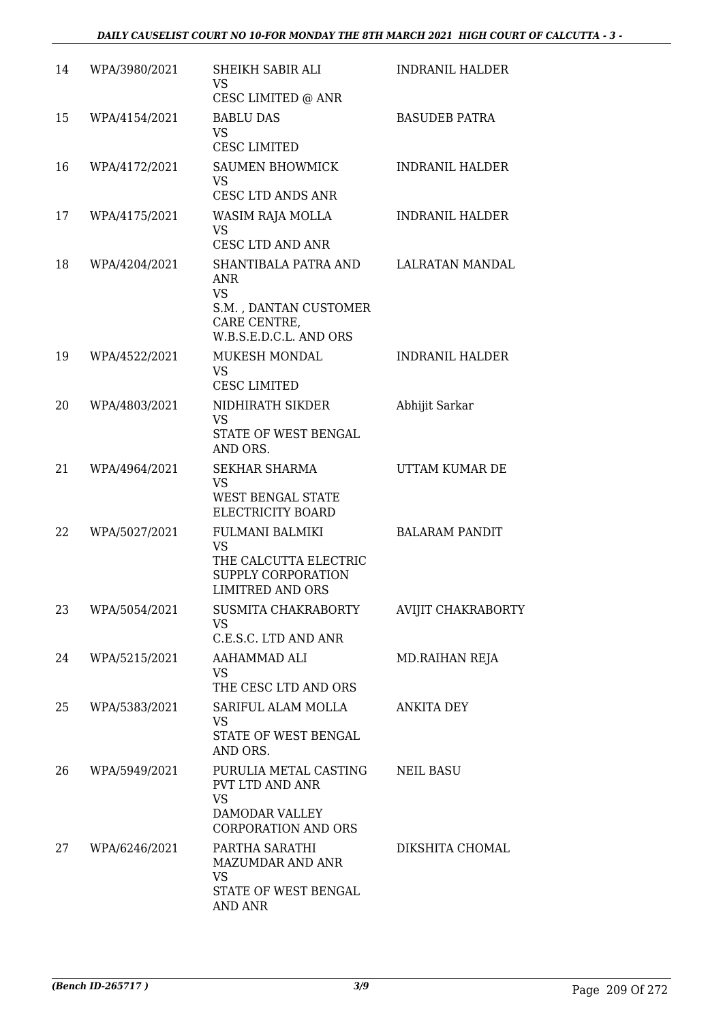| 14 | WPA/3980/2021 | SHEIKH SABIR ALI<br><b>VS</b><br>CESC LIMITED @ ANR                                                                | <b>INDRANIL HALDER</b> |
|----|---------------|--------------------------------------------------------------------------------------------------------------------|------------------------|
| 15 | WPA/4154/2021 | <b>BABLU DAS</b><br><b>VS</b><br><b>CESC LIMITED</b>                                                               | <b>BASUDEB PATRA</b>   |
| 16 | WPA/4172/2021 | <b>SAUMEN BHOWMICK</b><br>VS.<br><b>CESC LTD ANDS ANR</b>                                                          | <b>INDRANIL HALDER</b> |
| 17 | WPA/4175/2021 | WASIM RAJA MOLLA<br><b>VS</b><br>CESC LTD AND ANR                                                                  | <b>INDRANIL HALDER</b> |
| 18 | WPA/4204/2021 | SHANTIBALA PATRA AND<br><b>ANR</b><br><b>VS</b><br>S.M., DANTAN CUSTOMER<br>CARE CENTRE,<br>W.B.S.E.D.C.L. AND ORS | <b>LALRATAN MANDAL</b> |
| 19 | WPA/4522/2021 | MUKESH MONDAL<br>VS.<br><b>CESC LIMITED</b>                                                                        | <b>INDRANIL HALDER</b> |
| 20 | WPA/4803/2021 | NIDHIRATH SIKDER<br><b>VS</b><br>STATE OF WEST BENGAL<br>AND ORS.                                                  | Abhijit Sarkar         |
| 21 | WPA/4964/2021 | <b>SEKHAR SHARMA</b><br><b>VS</b><br>WEST BENGAL STATE<br>ELECTRICITY BOARD                                        | UTTAM KUMAR DE         |
| 22 | WPA/5027/2021 | FULMANI BALMIKI<br><b>VS</b><br>THE CALCUTTA ELECTRIC<br>SUPPLY CORPORATION<br><b>LIMITRED AND ORS</b>             | <b>BALARAM PANDIT</b>  |
| 23 | WPA/5054/2021 | SUSMITA CHAKRABORTY<br><b>VS</b><br>C.E.S.C. LTD AND ANR                                                           | AVIJIT CHAKRABORTY     |
| 24 | WPA/5215/2021 | AAHAMMAD ALI<br><b>VS</b><br>THE CESC LTD AND ORS                                                                  | MD.RAIHAN REJA         |
| 25 | WPA/5383/2021 | SARIFUL ALAM MOLLA<br><b>VS</b><br>STATE OF WEST BENGAL<br>AND ORS.                                                | <b>ANKITA DEY</b>      |
| 26 | WPA/5949/2021 | PURULIA METAL CASTING<br>PVT LTD AND ANR<br><b>VS</b><br>DAMODAR VALLEY<br><b>CORPORATION AND ORS</b>              | <b>NEIL BASU</b>       |
| 27 | WPA/6246/2021 | PARTHA SARATHI<br>MAZUMDAR AND ANR<br><b>VS</b><br>STATE OF WEST BENGAL<br><b>AND ANR</b>                          | DIKSHITA CHOMAL        |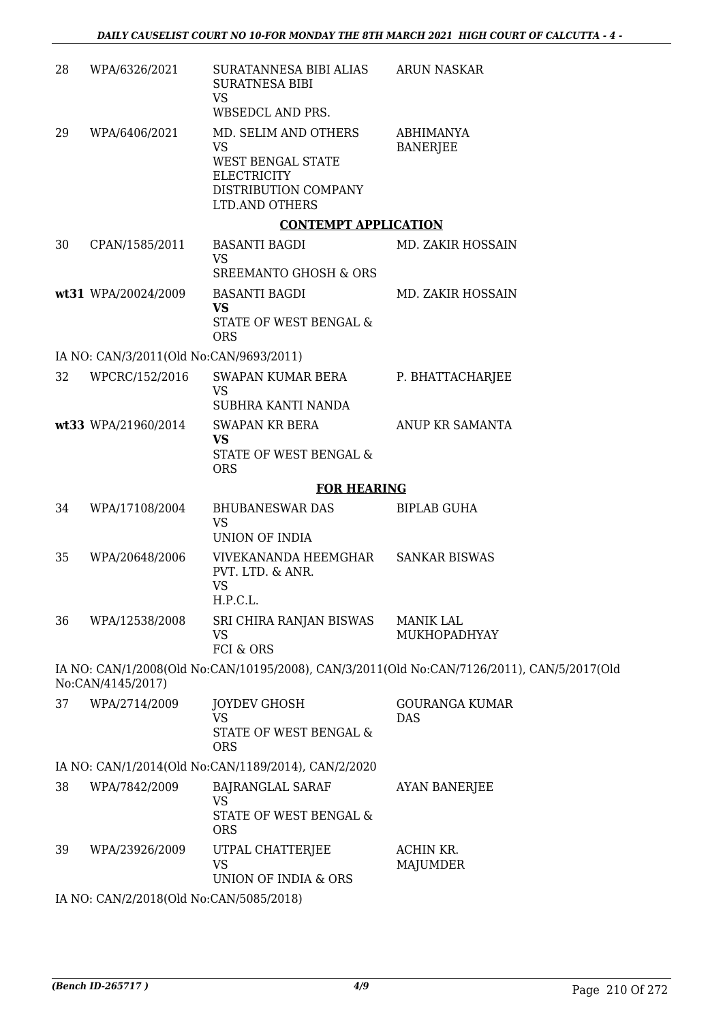| 28 | WPA/6326/2021                           | SURATANNESA BIBI ALIAS<br><b>SURATNESA BIBI</b><br><b>VS</b><br>WBSEDCL AND PRS.                                              | <b>ARUN NASKAR</b>                                                                         |
|----|-----------------------------------------|-------------------------------------------------------------------------------------------------------------------------------|--------------------------------------------------------------------------------------------|
| 29 | WPA/6406/2021                           | MD. SELIM AND OTHERS<br><b>VS</b><br>WEST BENGAL STATE<br><b>ELECTRICITY</b><br>DISTRIBUTION COMPANY<br><b>LTD.AND OTHERS</b> | <b>ABHIMANYA</b><br><b>BANERJEE</b>                                                        |
|    |                                         | <b>CONTEMPT APPLICATION</b>                                                                                                   |                                                                                            |
| 30 | CPAN/1585/2011                          | <b>BASANTI BAGDI</b><br><b>VS</b><br>SREEMANTO GHOSH & ORS                                                                    | MD. ZAKIR HOSSAIN                                                                          |
|    | wt31 WPA/20024/2009                     | <b>BASANTI BAGDI</b><br><b>VS</b><br>STATE OF WEST BENGAL &<br><b>ORS</b>                                                     | MD. ZAKIR HOSSAIN                                                                          |
|    | IA NO: CAN/3/2011(Old No:CAN/9693/2011) |                                                                                                                               |                                                                                            |
| 32 | WPCRC/152/2016                          | SWAPAN KUMAR BERA<br><b>VS</b><br>SUBHRA KANTI NANDA                                                                          | P. BHATTACHARJEE                                                                           |
|    | wt33 WPA/21960/2014                     | <b>SWAPAN KR BERA</b><br><b>VS</b><br>STATE OF WEST BENGAL &<br><b>ORS</b>                                                    | ANUP KR SAMANTA                                                                            |
|    |                                         | <b>FOR HEARING</b>                                                                                                            |                                                                                            |
| 34 | WPA/17108/2004                          | BHUBANESWAR DAS<br><b>VS</b><br>UNION OF INDIA                                                                                | <b>BIPLAB GUHA</b>                                                                         |
| 35 | WPA/20648/2006                          | VIVEKANANDA HEEMGHAR<br>PVT. LTD. & ANR.<br><b>VS</b><br>H.P.C.L.                                                             | <b>SANKAR BISWAS</b>                                                                       |
| 36 | WPA/12538/2008                          | SRI CHIRA RANJAN BISWAS<br><b>VS</b><br>FCI & ORS                                                                             | <b>MANIK LAL</b><br>MUKHOPADHYAY                                                           |
|    | No:CAN/4145/2017)                       |                                                                                                                               | IA NO: CAN/1/2008(Old No:CAN/10195/2008), CAN/3/2011(Old No:CAN/7126/2011), CAN/5/2017(Old |
| 37 | WPA/2714/2009                           | <b>JOYDEV GHOSH</b><br><b>VS</b><br>STATE OF WEST BENGAL &<br><b>ORS</b>                                                      | <b>GOURANGA KUMAR</b><br><b>DAS</b>                                                        |
|    |                                         | IA NO: CAN/1/2014(Old No:CAN/1189/2014), CAN/2/2020                                                                           |                                                                                            |
| 38 | WPA/7842/2009                           | <b>BAJRANGLAL SARAF</b><br><b>VS</b><br>STATE OF WEST BENGAL &<br><b>ORS</b>                                                  | <b>AYAN BANERJEE</b>                                                                       |
| 39 | WPA/23926/2009                          | UTPAL CHATTERJEE<br>VS<br>UNION OF INDIA & ORS                                                                                | ACHIN KR.<br>MAJUMDER                                                                      |
|    | IA NO: CAN/2/2018(Old No:CAN/5085/2018) |                                                                                                                               |                                                                                            |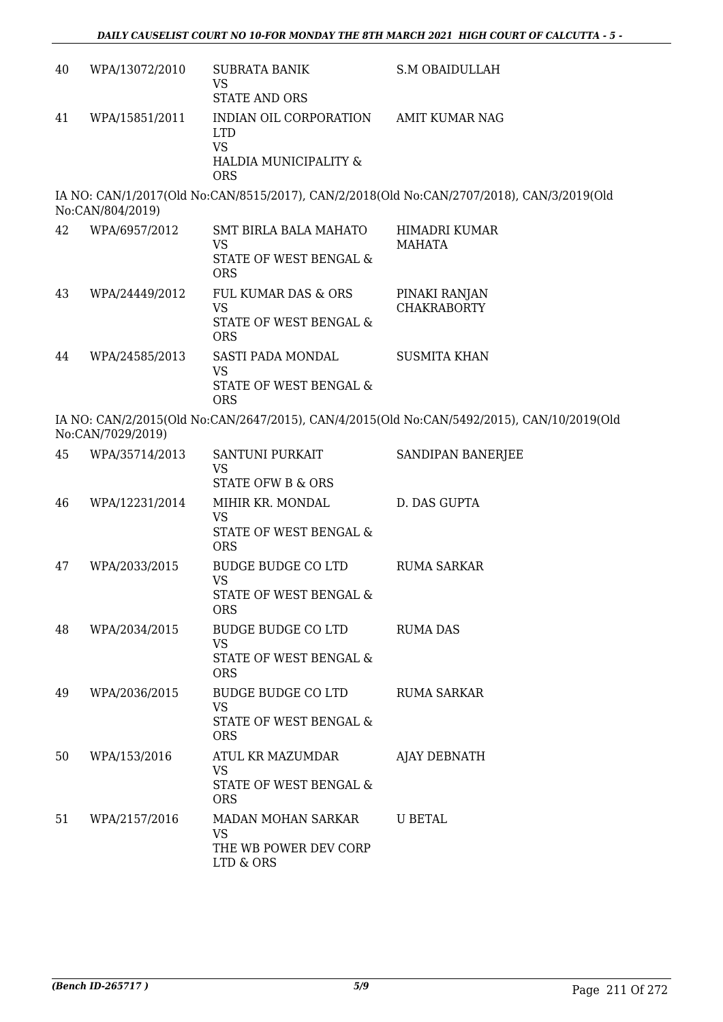| 40 | WPA/13072/2010    | <b>SUBRATA BANIK</b><br><b>VS</b><br><b>STATE AND ORS</b>                                               | <b>S.M OBAIDULLAH</b>                                                                      |
|----|-------------------|---------------------------------------------------------------------------------------------------------|--------------------------------------------------------------------------------------------|
| 41 | WPA/15851/2011    | INDIAN OIL CORPORATION AMIT KUMAR NAG<br><b>LTD</b><br><b>VS</b><br>HALDIA MUNICIPALITY &<br><b>ORS</b> |                                                                                            |
|    | No:CAN/804/2019)  |                                                                                                         | IA NO: CAN/1/2017(Old No:CAN/8515/2017), CAN/2/2018(Old No:CAN/2707/2018), CAN/3/2019(Old  |
| 42 | WPA/6957/2012     | <b>SMT BIRLA BALA MAHATO</b><br><b>VS</b><br>STATE OF WEST BENGAL &<br><b>ORS</b>                       | HIMADRI KUMAR<br><b>MAHATA</b>                                                             |
| 43 | WPA/24449/2012    | FUL KUMAR DAS & ORS<br><b>VS</b><br>STATE OF WEST BENGAL &                                              | PINAKI RANJAN<br><b>CHAKRABORTY</b>                                                        |
| 44 | WPA/24585/2013    | <b>ORS</b><br>SASTI PADA MONDAL<br><b>VS</b>                                                            | <b>SUSMITA KHAN</b>                                                                        |
|    | No:CAN/7029/2019) | STATE OF WEST BENGAL &<br><b>ORS</b>                                                                    | IA NO: CAN/2/2015(Old No:CAN/2647/2015), CAN/4/2015(Old No:CAN/5492/2015), CAN/10/2019(Old |
| 45 | WPA/35714/2013    | SANTUNI PURKAIT<br><b>VS</b><br><b>STATE OFW B &amp; ORS</b>                                            | SANDIPAN BANERJEE                                                                          |
| 46 | WPA/12231/2014    | MIHIR KR. MONDAL<br><b>VS</b><br>STATE OF WEST BENGAL &<br><b>ORS</b>                                   | D. DAS GUPTA                                                                               |
| 47 | WPA/2033/2015     | <b>BUDGE BUDGE CO LTD</b><br><b>VS</b><br>STATE OF WEST BENGAL &<br><b>ORS</b>                          | <b>RUMA SARKAR</b>                                                                         |
| 48 | WPA/2034/2015     | BUDGE BUDGE CO LTD<br><b>VS</b><br>STATE OF WEST BENGAL &<br><b>ORS</b>                                 | <b>RUMA DAS</b>                                                                            |
| 49 | WPA/2036/2015     | BUDGE BUDGE CO LTD<br><b>VS</b><br>STATE OF WEST BENGAL &<br><b>ORS</b>                                 | <b>RUMA SARKAR</b>                                                                         |
| 50 | WPA/153/2016      | ATUL KR MAZUMDAR<br>VS<br>STATE OF WEST BENGAL &<br><b>ORS</b>                                          | AJAY DEBNATH                                                                               |
| 51 | WPA/2157/2016     | MADAN MOHAN SARKAR<br><b>VS</b><br>THE WB POWER DEV CORP<br>LTD & ORS                                   | <b>U BETAL</b>                                                                             |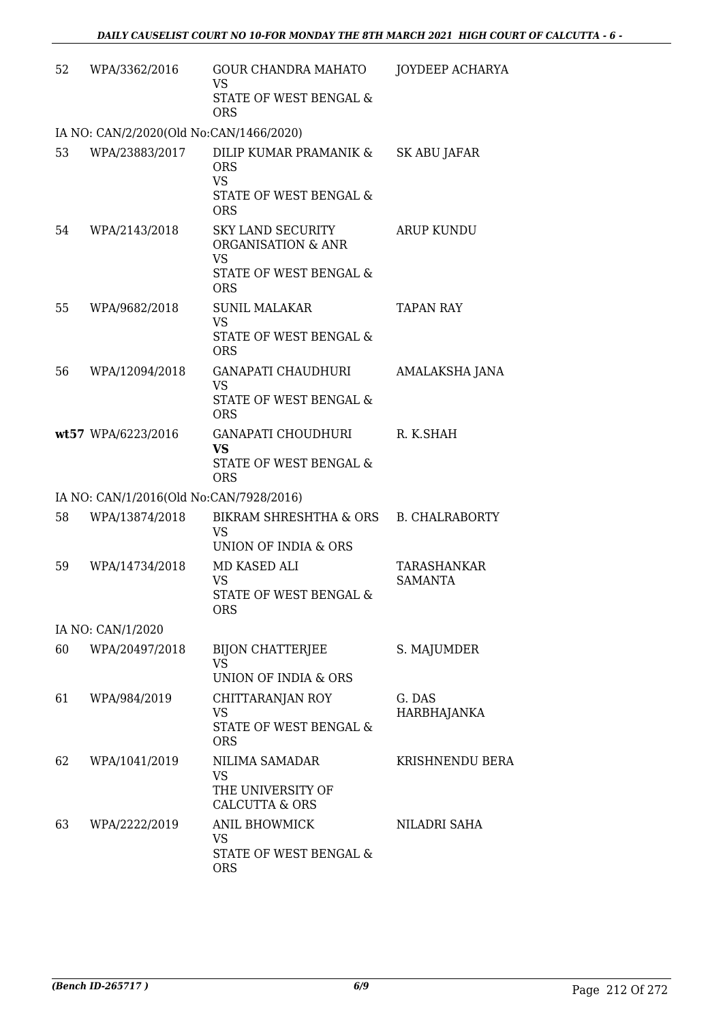| 52 | WPA/3362/2016                           | <b>GOUR CHANDRA MAHATO</b><br>VS.<br>STATE OF WEST BENGAL &<br><b>ORS</b>                     | JOYDEEP ACHARYA               |
|----|-----------------------------------------|-----------------------------------------------------------------------------------------------|-------------------------------|
|    | IA NO: CAN/2/2020(Old No:CAN/1466/2020) |                                                                                               |                               |
| 53 | WPA/23883/2017                          | DILIP KUMAR PRAMANIK &<br><b>ORS</b><br><b>VS</b><br>STATE OF WEST BENGAL &<br><b>ORS</b>     | SK ABU JAFAR                  |
| 54 | WPA/2143/2018                           | <b>SKY LAND SECURITY</b><br>ORGANISATION & ANR<br>VS.<br>STATE OF WEST BENGAL &<br><b>ORS</b> | <b>ARUP KUNDU</b>             |
| 55 | WPA/9682/2018                           | <b>SUNIL MALAKAR</b><br><b>VS</b><br>STATE OF WEST BENGAL &<br><b>ORS</b>                     | <b>TAPAN RAY</b>              |
| 56 | WPA/12094/2018                          | <b>GANAPATI CHAUDHURI</b><br><b>VS</b><br>STATE OF WEST BENGAL &<br><b>ORS</b>                | AMALAKSHA JANA                |
|    | wt57 WPA/6223/2016                      | GANAPATI CHOUDHURI<br><b>VS</b><br>STATE OF WEST BENGAL &<br><b>ORS</b>                       | R. K.SHAH                     |
|    | IA NO: CAN/1/2016(Old No:CAN/7928/2016) |                                                                                               |                               |
| 58 | WPA/13874/2018                          | BIKRAM SHRESHTHA & ORS<br><b>VS</b><br>UNION OF INDIA & ORS                                   | <b>B. CHALRABORTY</b>         |
| 59 | WPA/14734/2018                          | MD KASED ALI<br><b>VS</b><br>STATE OF WEST BENGAL &<br><b>ORS</b>                             | TARASHANKAR<br><b>SAMANTA</b> |
|    | IA NO: CAN/1/2020                       |                                                                                               |                               |
| 60 | WPA/20497/2018                          | BIJON CHATTERJEE<br><b>VS</b><br>UNION OF INDIA & ORS                                         | S. MAJUMDER                   |
| 61 | WPA/984/2019                            | CHITTARANJAN ROY<br><b>VS</b><br>STATE OF WEST BENGAL &<br><b>ORS</b>                         | G. DAS<br>HARBHAJANKA         |
| 62 | WPA/1041/2019                           | NILIMA SAMADAR<br>VS<br>THE UNIVERSITY OF<br><b>CALCUTTA &amp; ORS</b>                        | <b>KRISHNENDU BERA</b>        |
| 63 | WPA/2222/2019                           | ANIL BHOWMICK<br>VS<br>STATE OF WEST BENGAL &<br><b>ORS</b>                                   | NILADRI SAHA                  |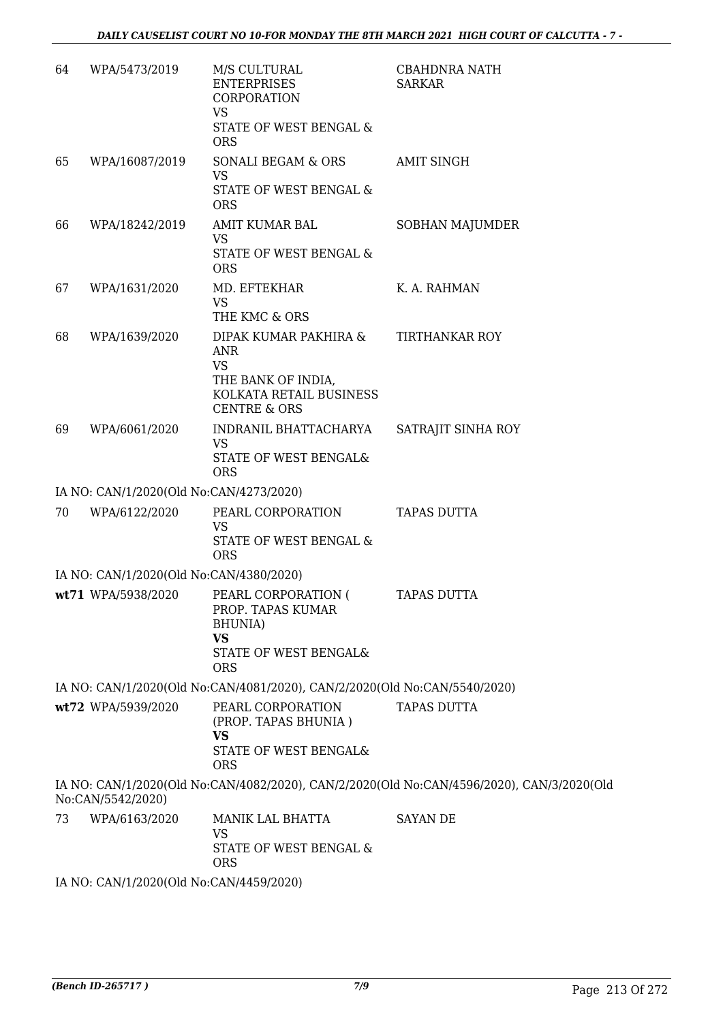| 64 | WPA/5473/2019                           | M/S CULTURAL<br><b>ENTERPRISES</b><br>CORPORATION<br><b>VS</b><br>STATE OF WEST BENGAL &                        | <b>CBAHDNRA NATH</b><br><b>SARKAR</b>                                                     |
|----|-----------------------------------------|-----------------------------------------------------------------------------------------------------------------|-------------------------------------------------------------------------------------------|
| 65 | WPA/16087/2019                          | <b>ORS</b><br>SONALI BEGAM & ORS<br><b>VS</b>                                                                   | <b>AMIT SINGH</b>                                                                         |
|    |                                         | STATE OF WEST BENGAL &<br><b>ORS</b>                                                                            |                                                                                           |
| 66 | WPA/18242/2019                          | AMIT KUMAR BAL<br><b>VS</b><br>STATE OF WEST BENGAL &<br><b>ORS</b>                                             | <b>SOBHAN MAJUMDER</b>                                                                    |
| 67 | WPA/1631/2020                           | MD. EFTEKHAR<br><b>VS</b><br>THE KMC & ORS                                                                      | K. A. RAHMAN                                                                              |
| 68 | WPA/1639/2020                           | DIPAK KUMAR PAKHIRA &<br>ANR<br><b>VS</b>                                                                       | <b>TIRTHANKAR ROY</b>                                                                     |
|    |                                         | THE BANK OF INDIA,<br>KOLKATA RETAIL BUSINESS<br><b>CENTRE &amp; ORS</b>                                        |                                                                                           |
| 69 | WPA/6061/2020                           | INDRANIL BHATTACHARYA<br>VS<br>STATE OF WEST BENGAL&<br><b>ORS</b>                                              | SATRAJIT SINHA ROY                                                                        |
|    | IA NO: CAN/1/2020(Old No:CAN/4273/2020) |                                                                                                                 |                                                                                           |
| 70 | WPA/6122/2020                           | PEARL CORPORATION                                                                                               | <b>TAPAS DUTTA</b>                                                                        |
|    |                                         | <b>VS</b><br><b>STATE OF WEST BENGAL &amp;</b><br><b>ORS</b>                                                    |                                                                                           |
|    | IA NO: CAN/1/2020(Old No:CAN/4380/2020) |                                                                                                                 |                                                                                           |
|    | wt71 WPA/5938/2020                      | PEARL CORPORATION (<br>PROP. TAPAS KUMAR<br><b>BHUNIA</b> )<br><b>VS</b><br>STATE OF WEST BENGAL&<br><b>ORS</b> | <b>TAPAS DUTTA</b>                                                                        |
|    |                                         | IA NO: CAN/1/2020(Old No:CAN/4081/2020), CAN/2/2020(Old No:CAN/5540/2020)                                       |                                                                                           |
|    | wt72 WPA/5939/2020                      | PEARL CORPORATION<br>(PROP. TAPAS BHUNIA)<br>VS<br><b>STATE OF WEST BENGAL&amp;</b><br><b>ORS</b>               | <b>TAPAS DUTTA</b>                                                                        |
|    | No:CAN/5542/2020)                       |                                                                                                                 | IA NO: CAN/1/2020(Old No:CAN/4082/2020), CAN/2/2020(Old No:CAN/4596/2020), CAN/3/2020(Old |
| 73 | WPA/6163/2020                           | MANIK LAL BHATTA<br><b>VS</b><br>STATE OF WEST BENGAL &<br><b>ORS</b>                                           | <b>SAYAN DE</b>                                                                           |
|    | IA NO: CAN/1/2020(Old No:CAN/4459/2020) |                                                                                                                 |                                                                                           |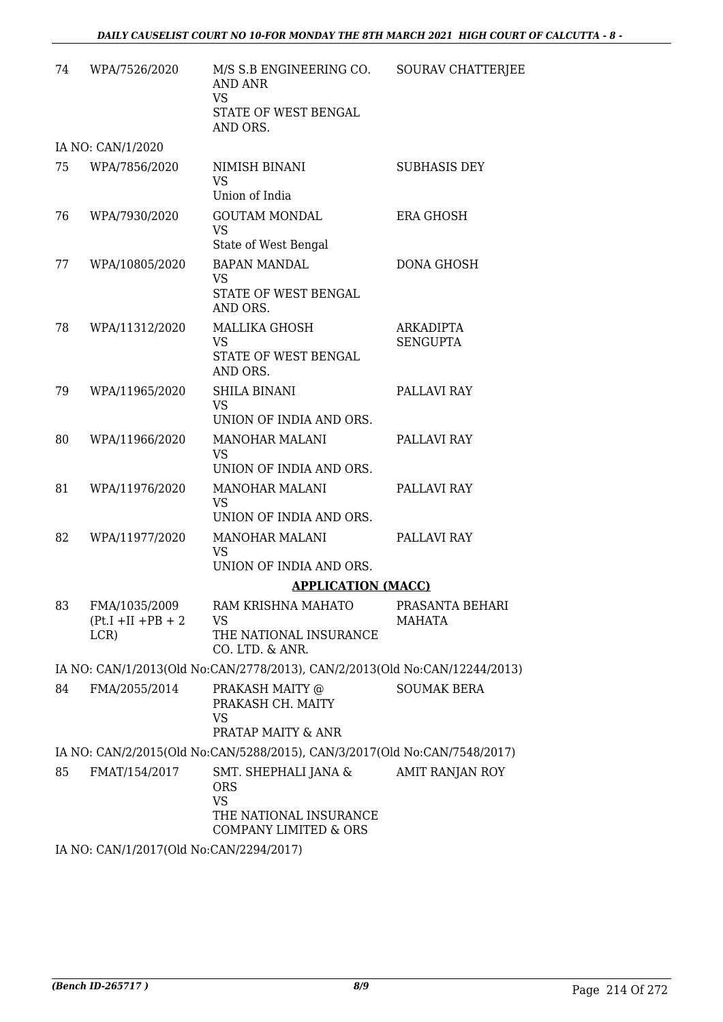| 74 | WPA/7526/2020                                   | M/S S.B ENGINEERING CO.<br><b>AND ANR</b><br><b>VS</b><br>STATE OF WEST BENGAL<br>AND ORS.                    | SOURAV CHATTERJEE            |
|----|-------------------------------------------------|---------------------------------------------------------------------------------------------------------------|------------------------------|
|    | IA NO: CAN/1/2020                               |                                                                                                               |                              |
| 75 | WPA/7856/2020                                   | NIMISH BINANI<br>VS.<br>Union of India                                                                        | <b>SUBHASIS DEY</b>          |
| 76 | WPA/7930/2020                                   | <b>GOUTAM MONDAL</b><br><b>VS</b><br>State of West Bengal                                                     | ERA GHOSH                    |
| 77 | WPA/10805/2020                                  | <b>BAPAN MANDAL</b><br><b>VS</b><br>STATE OF WEST BENGAL<br>AND ORS.                                          | <b>DONA GHOSH</b>            |
| 78 | WPA/11312/2020                                  | <b>MALLIKA GHOSH</b><br><b>VS</b><br>STATE OF WEST BENGAL<br>AND ORS.                                         | ARKADIPTA<br><b>SENGUPTA</b> |
| 79 | WPA/11965/2020                                  | <b>SHILA BINANI</b><br><b>VS</b><br>UNION OF INDIA AND ORS.                                                   | PALLAVI RAY                  |
| 80 | WPA/11966/2020                                  | <b>MANOHAR MALANI</b><br><b>VS</b><br>UNION OF INDIA AND ORS.                                                 | PALLAVI RAY                  |
| 81 | WPA/11976/2020                                  | <b>MANOHAR MALANI</b><br><b>VS</b><br>UNION OF INDIA AND ORS.                                                 | PALLAVI RAY                  |
| 82 | WPA/11977/2020                                  | <b>MANOHAR MALANI</b><br><b>VS</b><br>UNION OF INDIA AND ORS.                                                 | PALLAVI RAY                  |
|    |                                                 | <b>APPLICATION (MACC)</b>                                                                                     |                              |
| 83 | FMA/1035/2009<br>$(Pt.I + II + PB + 2)$<br>LCR) | RAM KRISHNA MAHATO<br>VS.<br>THE NATIONAL INSURANCE<br>CO. LTD. & ANR.                                        | PRASANTA BEHARI<br>MAHATA    |
|    |                                                 | IA NO: CAN/1/2013(Old No:CAN/2778/2013), CAN/2/2013(Old No:CAN/12244/2013)                                    |                              |
| 84 | FMA/2055/2014                                   | PRAKASH MAITY @<br>PRAKASH CH. MAITY<br><b>VS</b><br>PRATAP MAITY & ANR                                       | <b>SOUMAK BERA</b>           |
|    |                                                 | IA NO: CAN/2/2015(Old No:CAN/5288/2015), CAN/3/2017(Old No:CAN/7548/2017)                                     |                              |
| 85 | FMAT/154/2017                                   | SMT. SHEPHALI JANA &<br><b>ORS</b><br><b>VS</b><br>THE NATIONAL INSURANCE<br><b>COMPANY LIMITED &amp; ORS</b> | AMIT RANJAN ROY              |
|    | IA NO: CAN/1/2017(Old No:CAN/2294/2017)         |                                                                                                               |                              |
|    |                                                 |                                                                                                               |                              |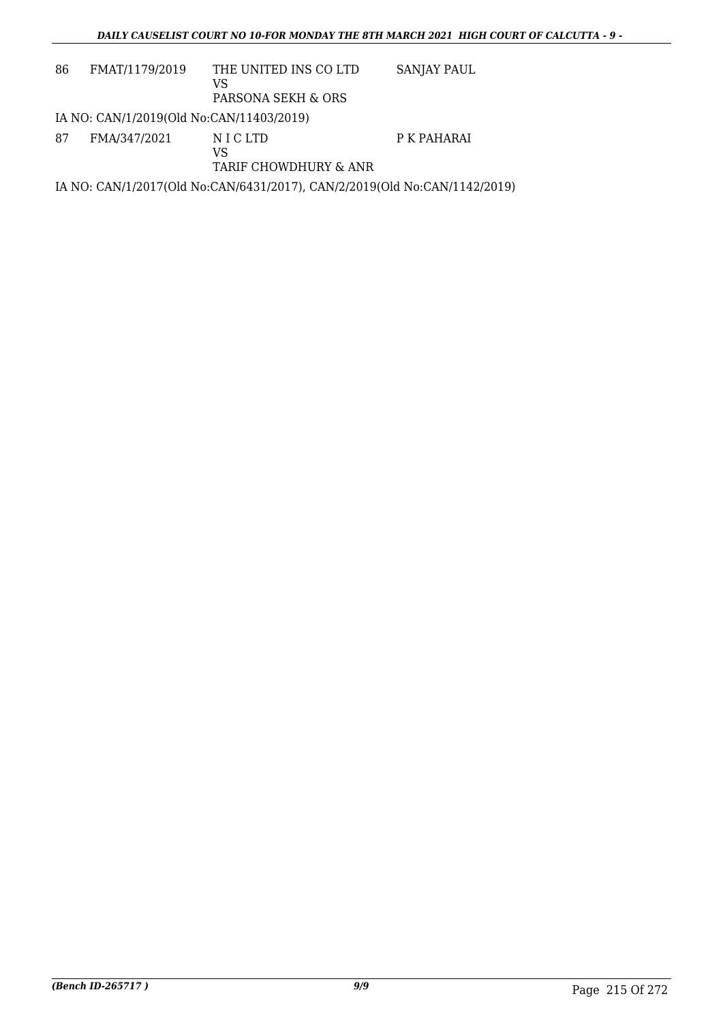| 86 | FMAT/1179/2019                           | THE UNITED INS CO LTD<br>VS<br>PARSONA SEKH & ORS                         | SANJAY PAUL |
|----|------------------------------------------|---------------------------------------------------------------------------|-------------|
|    | IA NO: CAN/1/2019(Old No:CAN/11403/2019) |                                                                           |             |
| 87 | FMA/347/2021                             | N I C LTD<br>VS<br>TARIF CHOWDHURY & ANR                                  | P K PAHARAI |
|    |                                          | IA NO: CAN/1/2017(Old No:CAN/6431/2017), CAN/2/2019(Old No:CAN/1142/2019) |             |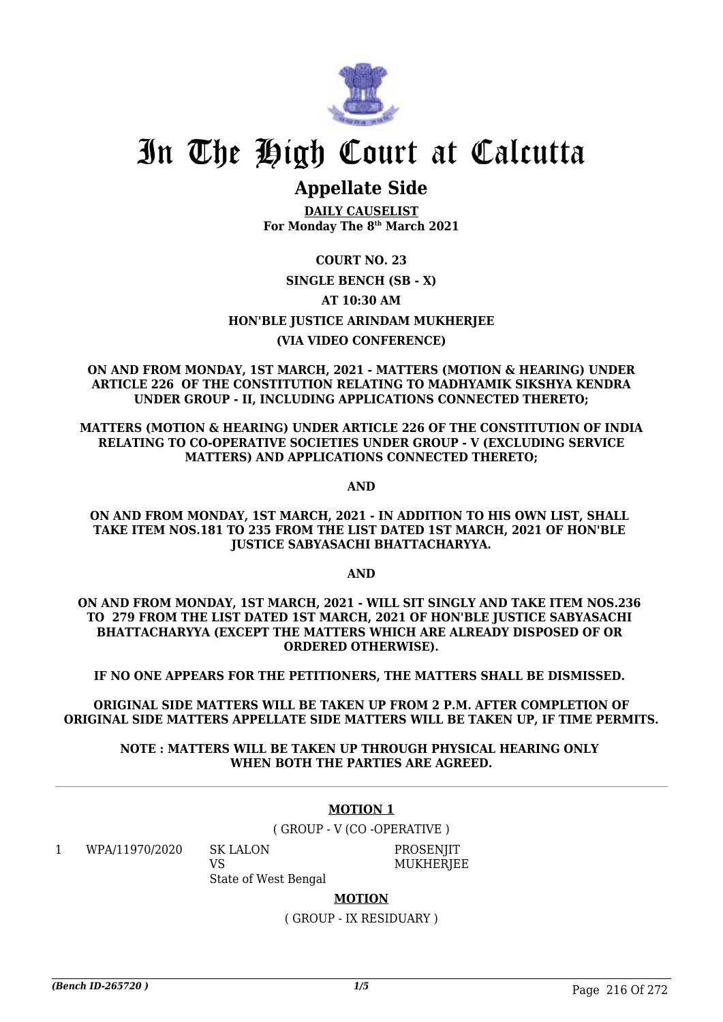

# **Appellate Side**

**DAILY CAUSELIST For Monday The 8th March 2021**

## **COURT NO. 23 SINGLE BENCH (SB - X) AT 10:30 AM HON'BLE JUSTICE ARINDAM MUKHERJEE (VIA VIDEO CONFERENCE)**

**ON AND FROM MONDAY, 1ST MARCH, 2021 - MATTERS (MOTION & HEARING) UNDER ARTICLE 226 OF THE CONSTITUTION RELATING TO MADHYAMIK SIKSHYA KENDRA UNDER GROUP - II, INCLUDING APPLICATIONS CONNECTED THERETO;**

**MATTERS (MOTION & HEARING) UNDER ARTICLE 226 OF THE CONSTITUTION OF INDIA RELATING TO CO-OPERATIVE SOCIETIES UNDER GROUP - V (EXCLUDING SERVICE MATTERS) AND APPLICATIONS CONNECTED THERETO;**

**AND**

#### **ON AND FROM MONDAY, 1ST MARCH, 2021 - IN ADDITION TO HIS OWN LIST, SHALL TAKE ITEM NOS.181 TO 235 FROM THE LIST DATED 1ST MARCH, 2021 OF HON'BLE JUSTICE SABYASACHI BHATTACHARYYA.**

**AND**

**ON AND FROM MONDAY, 1ST MARCH, 2021 - WILL SIT SINGLY AND TAKE ITEM NOS.236 TO 279 FROM THE LIST DATED 1ST MARCH, 2021 OF HON'BLE JUSTICE SABYASACHI BHATTACHARYYA (EXCEPT THE MATTERS WHICH ARE ALREADY DISPOSED OF OR ORDERED OTHERWISE).**

**IF NO ONE APPEARS FOR THE PETITIONERS, THE MATTERS SHALL BE DISMISSED.** 

**ORIGINAL SIDE MATTERS WILL BE TAKEN UP FROM 2 P.M. AFTER COMPLETION OF ORIGINAL SIDE MATTERS APPELLATE SIDE MATTERS WILL BE TAKEN UP, IF TIME PERMITS.**

**NOTE : MATTERS WILL BE TAKEN UP THROUGH PHYSICAL HEARING ONLY WHEN BOTH THE PARTIES ARE AGREED.**

#### **MOTION 1**

( GROUP - V (CO -OPERATIVE )

1 WPA/11970/2020 SK LALON

 $V<sub>S</sub>$ 

**PROSENIIT MUKHERIEE** 

State of West Bengal

**MOTION**

( GROUP - IX RESIDUARY )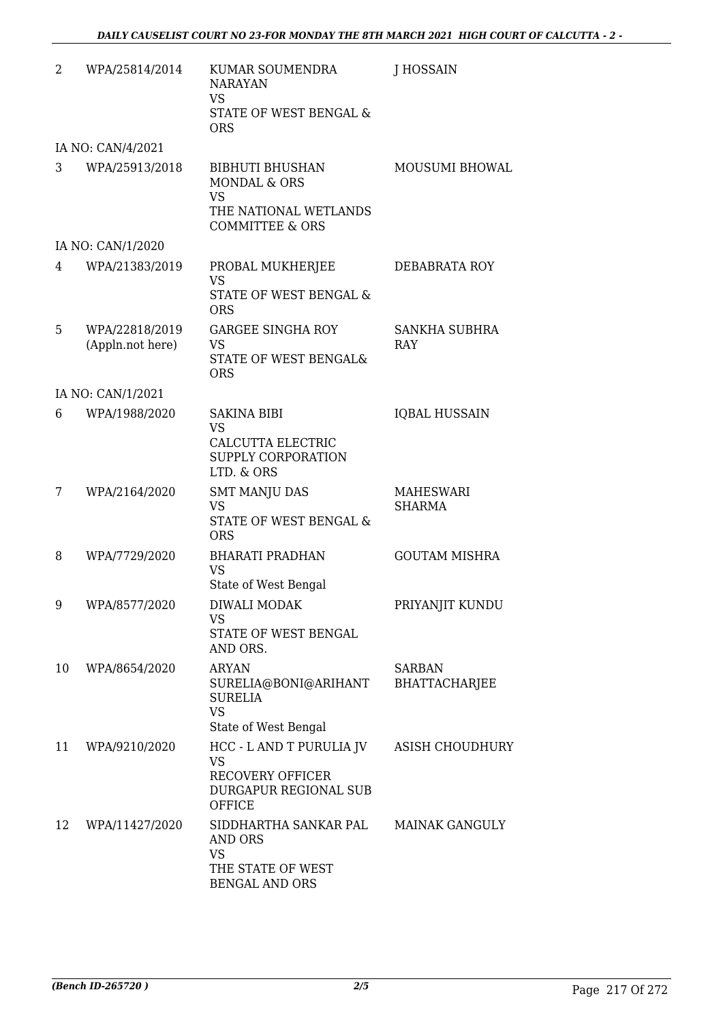| 2  | WPA/25814/2014    | KUMAR SOUMENDRA<br><b>NARAYAN</b><br><b>VS</b><br>STATE OF WEST BENGAL &                                   | J HOSSAIN                             |
|----|-------------------|------------------------------------------------------------------------------------------------------------|---------------------------------------|
|    |                   | <b>ORS</b>                                                                                                 |                                       |
|    | IA NO: CAN/4/2021 |                                                                                                            |                                       |
| 3  | WPA/25913/2018    | <b>BIBHUTI BHUSHAN</b><br><b>MONDAL &amp; ORS</b><br><b>VS</b>                                             | MOUSUMI BHOWAL                        |
|    |                   | THE NATIONAL WETLANDS<br><b>COMMITTEE &amp; ORS</b>                                                        |                                       |
|    | IA NO: CAN/1/2020 |                                                                                                            |                                       |
| 4  | WPA/21383/2019    | PROBAL MUKHERJEE<br><b>VS</b>                                                                              | DEBABRATA ROY                         |
|    |                   | STATE OF WEST BENGAL &<br><b>ORS</b>                                                                       |                                       |
| 5  | WPA/22818/2019    | <b>GARGEE SINGHA ROY</b>                                                                                   | <b>SANKHA SUBHRA</b>                  |
|    | (Appln.not here)  | <b>VS</b><br>STATE OF WEST BENGAL&<br><b>ORS</b>                                                           | <b>RAY</b>                            |
|    | IA NO: CAN/1/2021 |                                                                                                            |                                       |
| 6  | WPA/1988/2020     | <b>SAKINA BIBI</b><br><b>VS</b><br>CALCUTTA ELECTRIC<br>SUPPLY CORPORATION                                 | <b>IQBAL HUSSAIN</b>                  |
|    |                   | LTD. & ORS                                                                                                 |                                       |
| 7  | WPA/2164/2020     | <b>SMT MANJU DAS</b><br><b>VS</b><br>STATE OF WEST BENGAL &<br><b>ORS</b>                                  | MAHESWARI<br><b>SHARMA</b>            |
| 8  | WPA/7729/2020     | <b>BHARATI PRADHAN</b><br><b>VS</b>                                                                        | <b>GOUTAM MISHRA</b>                  |
|    |                   | State of West Bengal                                                                                       |                                       |
| 9  | WPA/8577/2020     | DIWALI MODAK<br><b>VS</b><br>STATE OF WEST BENGAL<br>AND ORS.                                              | PRIYANJIT KUNDU                       |
| 10 | WPA/8654/2020     | <b>ARYAN</b><br>SURELIA@BONI@ARIHANT<br><b>SURELIA</b><br><b>VS</b>                                        | <b>SARBAN</b><br><b>BHATTACHARJEE</b> |
|    |                   | State of West Bengal                                                                                       |                                       |
| 11 | WPA/9210/2020     | HCC - L AND T PURULIA JV<br><b>VS</b><br><b>RECOVERY OFFICER</b><br>DURGAPUR REGIONAL SUB<br><b>OFFICE</b> | <b>ASISH CHOUDHURY</b>                |
| 12 | WPA/11427/2020    | SIDDHARTHA SANKAR PAL<br>AND ORS<br><b>VS</b><br>THE STATE OF WEST                                         | <b>MAINAK GANGULY</b>                 |
|    |                   | <b>BENGAL AND ORS</b>                                                                                      |                                       |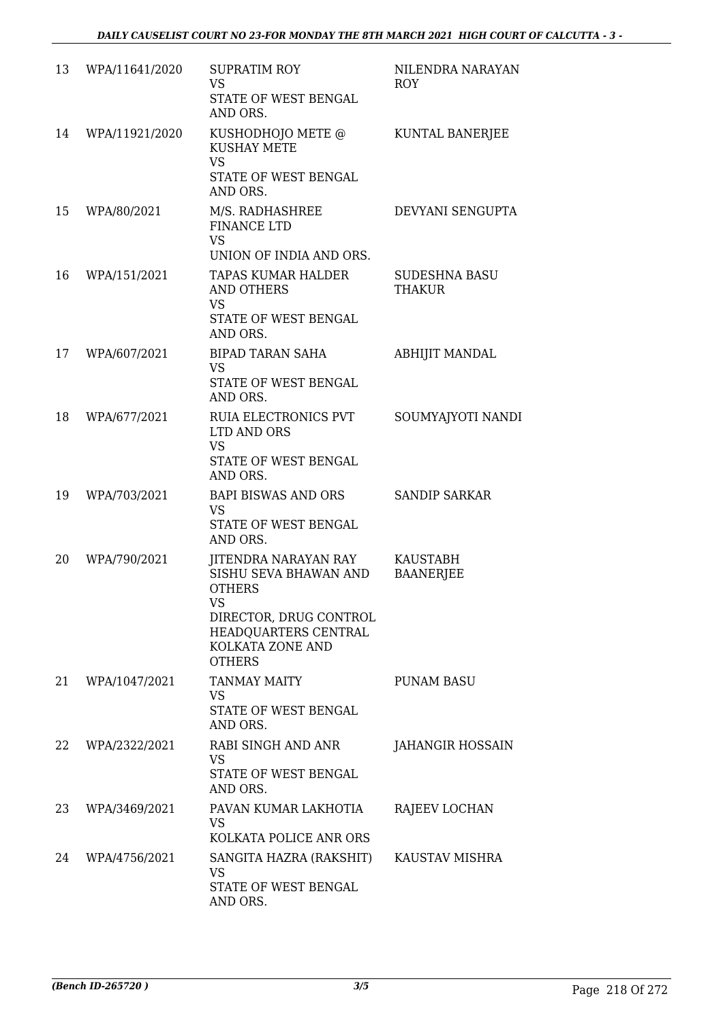| 13 | WPA/11641/2020 | <b>SUPRATIM ROY</b><br>VS<br>STATE OF WEST BENGAL<br>AND ORS.                                                                                                      | NILENDRA NARAYAN<br><b>ROY</b>        |
|----|----------------|--------------------------------------------------------------------------------------------------------------------------------------------------------------------|---------------------------------------|
| 14 | WPA/11921/2020 | KUSHODHOJO METE @<br><b>KUSHAY METE</b><br><b>VS</b><br>STATE OF WEST BENGAL<br>AND ORS.                                                                           | KUNTAL BANERJEE                       |
| 15 | WPA/80/2021    | M/S. RADHASHREE<br><b>FINANCE LTD</b><br><b>VS</b><br>UNION OF INDIA AND ORS.                                                                                      | DEVYANI SENGUPTA                      |
| 16 | WPA/151/2021   | TAPAS KUMAR HALDER<br><b>AND OTHERS</b><br>VS<br>STATE OF WEST BENGAL<br>AND ORS.                                                                                  | <b>SUDESHNA BASU</b><br><b>THAKUR</b> |
| 17 | WPA/607/2021   | <b>BIPAD TARAN SAHA</b><br><b>VS</b><br>STATE OF WEST BENGAL<br>AND ORS.                                                                                           | <b>ABHIJIT MANDAL</b>                 |
| 18 | WPA/677/2021   | RUIA ELECTRONICS PVT<br>LTD AND ORS<br><b>VS</b><br>STATE OF WEST BENGAL<br>AND ORS.                                                                               | SOUMYAJYOTI NANDI                     |
| 19 | WPA/703/2021   | BAPI BISWAS AND ORS<br><b>VS</b><br>STATE OF WEST BENGAL<br>AND ORS.                                                                                               | <b>SANDIP SARKAR</b>                  |
| 20 | WPA/790/2021   | JITENDRA NARAYAN RAY<br>SISHU SEVA BHAWAN AND<br><b>OTHERS</b><br><b>VS</b><br>DIRECTOR, DRUG CONTROL<br>HEADQUARTERS CENTRAL<br>KOLKATA ZONE AND<br><b>OTHERS</b> | <b>KAUSTABH</b><br><b>BAANERJEE</b>   |
| 21 | WPA/1047/2021  | <b>TANMAY MAITY</b><br>VS.<br>STATE OF WEST BENGAL<br>AND ORS.                                                                                                     | <b>PUNAM BASU</b>                     |
| 22 | WPA/2322/2021  | RABI SINGH AND ANR<br>VS<br>STATE OF WEST BENGAL<br>AND ORS.                                                                                                       | <b>JAHANGIR HOSSAIN</b>               |
| 23 | WPA/3469/2021  | PAVAN KUMAR LAKHOTIA<br>VS<br>KOLKATA POLICE ANR ORS                                                                                                               | RAJEEV LOCHAN                         |
| 24 | WPA/4756/2021  | SANGITA HAZRA (RAKSHIT)<br>VS<br>STATE OF WEST BENGAL<br>AND ORS.                                                                                                  | KAUSTAV MISHRA                        |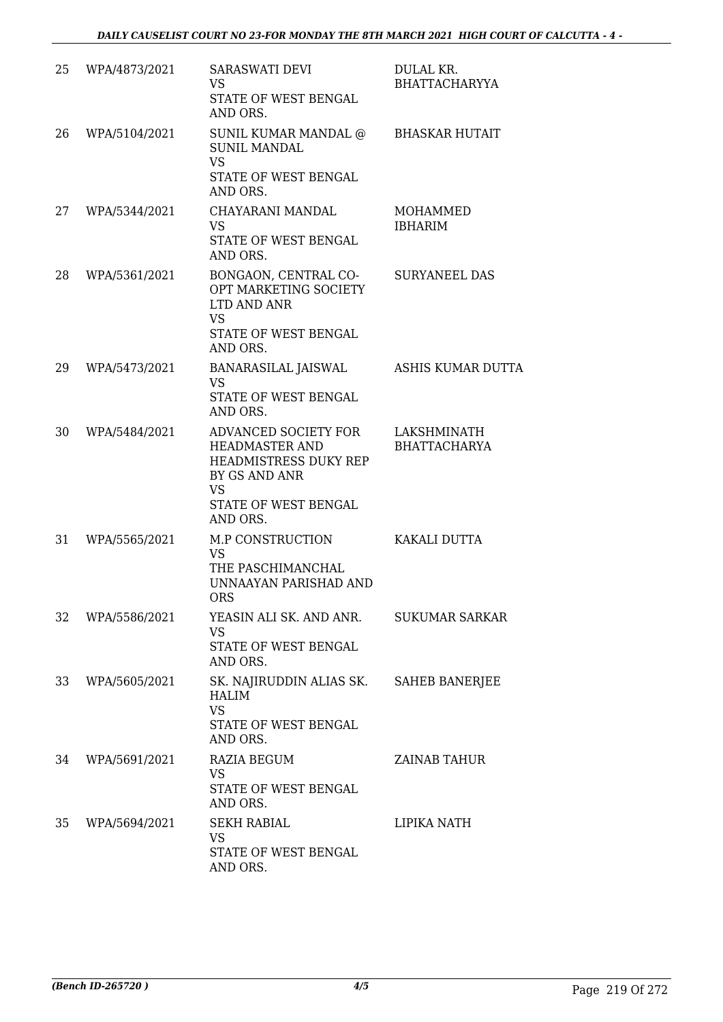| 25 | WPA/4873/2021 | <b>SARASWATI DEVI</b><br><b>VS</b><br>STATE OF WEST BENGAL<br>AND ORS.                                                                   | DULAL KR.<br><b>BHATTACHARYYA</b>  |
|----|---------------|------------------------------------------------------------------------------------------------------------------------------------------|------------------------------------|
| 26 | WPA/5104/2021 | SUNIL KUMAR MANDAL @<br><b>SUNIL MANDAL</b><br><b>VS</b><br>STATE OF WEST BENGAL<br>AND ORS.                                             | <b>BHASKAR HUTAIT</b>              |
| 27 | WPA/5344/2021 | CHAYARANI MANDAL<br>VS.<br>STATE OF WEST BENGAL<br>AND ORS.                                                                              | MOHAMMED<br><b>IBHARIM</b>         |
| 28 | WPA/5361/2021 | BONGAON, CENTRAL CO-<br>OPT MARKETING SOCIETY<br>LTD AND ANR<br><b>VS</b><br>STATE OF WEST BENGAL<br>AND ORS.                            | <b>SURYANEEL DAS</b>               |
| 29 | WPA/5473/2021 | BANARASILAL JAISWAL<br><b>VS</b><br>STATE OF WEST BENGAL<br>AND ORS.                                                                     | ASHIS KUMAR DUTTA                  |
| 30 | WPA/5484/2021 | ADVANCED SOCIETY FOR<br><b>HEADMASTER AND</b><br>HEADMISTRESS DUKY REP<br>BY GS AND ANR<br><b>VS</b><br>STATE OF WEST BENGAL<br>AND ORS. | LAKSHMINATH<br><b>BHATTACHARYA</b> |
| 31 | WPA/5565/2021 | M.P CONSTRUCTION<br><b>VS</b><br>THE PASCHIMANCHAL<br>UNNAAYAN PARISHAD AND<br>ORS.                                                      | KAKALI DUTTA                       |
| 32 | WPA/5586/2021 | YEASIN ALI SK. AND ANR. SUKUMAR SARKAR<br><b>VS</b><br>STATE OF WEST BENGAL<br>AND ORS.                                                  |                                    |
| 33 | WPA/5605/2021 | SK. NAJIRUDDIN ALIAS SK. SAHEB BANERJEE<br><b>HALIM</b><br><b>VS</b><br>STATE OF WEST BENGAL<br>AND ORS.                                 |                                    |
| 34 | WPA/5691/2021 | RAZIA BEGUM<br><b>VS</b><br>STATE OF WEST BENGAL<br>AND ORS.                                                                             | ZAINAB TAHUR                       |
| 35 | WPA/5694/2021 | <b>SEKH RABIAL</b><br><b>VS</b><br>STATE OF WEST BENGAL<br>AND ORS.                                                                      | LIPIKA NATH                        |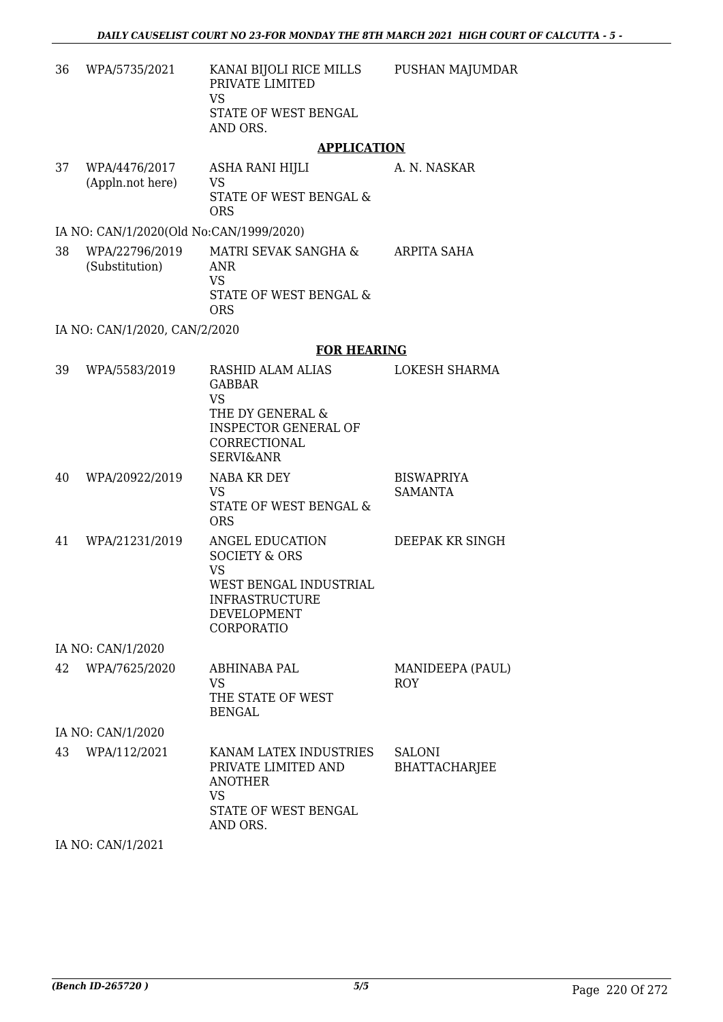PUSHAN MAJUMDAR

36 WPA/5735/2021 KANAI BIJOLI RICE MILLS PRIVATE LIMITED VS STATE OF WEST BENGAL AND ORS.

#### **APPLICATION**

37 WPA/4476/2017 (Appln.not here) ASHA RANI HIJLI VS STATE OF WEST BENGAL & ORS A. N. NASKAR

#### IA NO: CAN/1/2020(Old No:CAN/1999/2020)

38 WPA/22796/2019 (Substitution) MATRI SEVAK SANGHA & ANR VS STATE OF WEST BENGAL & ORS ARPITA SAHA

IA NO: CAN/1/2020, CAN/2/2020

#### **FOR HEARING**

| 39 | WPA/5583/2019     | RASHID ALAM ALIAS<br><b>GABBAR</b><br><b>VS</b><br>THE DY GENERAL &<br><b>INSPECTOR GENERAL OF</b><br>CORRECTIONAL<br><b>SERVI&amp;ANR</b>      | <b>LOKESH SHARMA</b>                  |
|----|-------------------|-------------------------------------------------------------------------------------------------------------------------------------------------|---------------------------------------|
| 40 | WPA/20922/2019    | NABA KR DEY<br>VS.<br>STATE OF WEST BENGAL &<br><b>ORS</b>                                                                                      | <b>BISWAPRIYA</b><br><b>SAMANTA</b>   |
| 41 | WPA/21231/2019    | ANGEL EDUCATION<br><b>SOCIETY &amp; ORS</b><br><b>VS</b><br>WEST BENGAL INDUSTRIAL<br><b>INFRASTRUCTURE</b><br><b>DEVELOPMENT</b><br>CORPORATIO | DEEPAK KR SINGH                       |
|    | IA NO: CAN/1/2020 |                                                                                                                                                 |                                       |
| 42 | WPA/7625/2020     | <b>ABHINABA PAL</b><br><b>VS</b><br>THE STATE OF WEST<br><b>BENGAL</b>                                                                          | MANIDEEPA (PAUL)<br><b>ROY</b>        |
|    | IA NO: CAN/1/2020 |                                                                                                                                                 |                                       |
| 43 | WPA/112/2021      | KANAM LATEX INDUSTRIES<br>PRIVATE LIMITED AND<br><b>ANOTHER</b><br><b>VS</b><br>STATE OF WEST BENGAL<br>AND ORS.                                | <b>SALONI</b><br><b>BHATTACHARJEE</b> |

IA NO: CAN/1/2021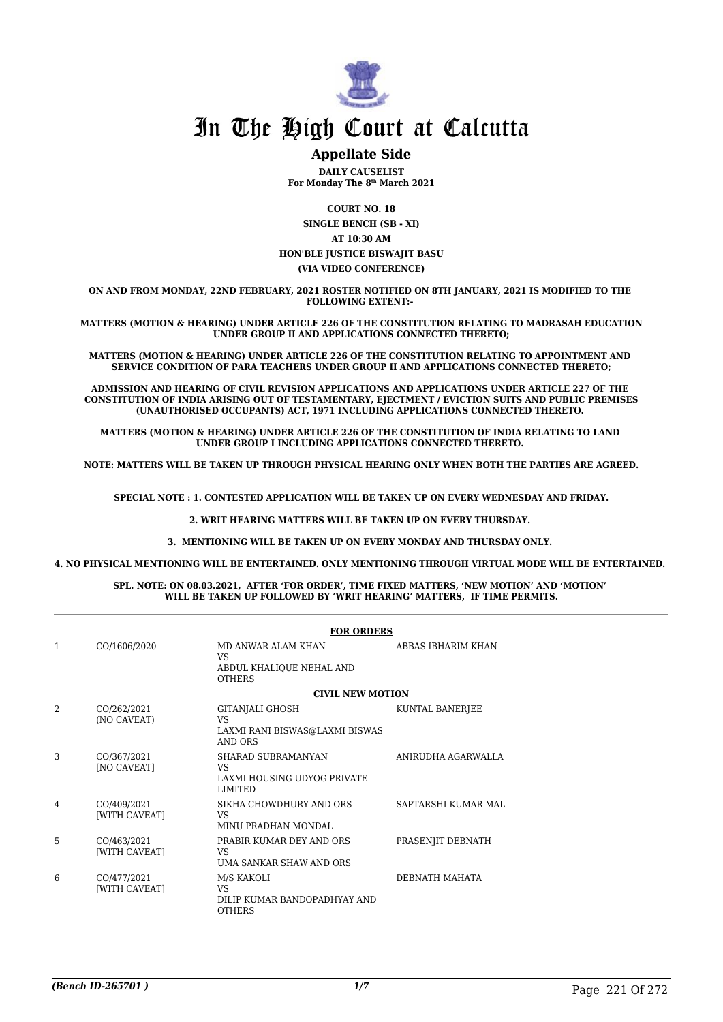

### **Appellate Side**

**DAILY CAUSELIST For Monday The 8th March 2021**

**COURT NO. 18**

**SINGLE BENCH (SB - XI) AT 10:30 AM HON'BLE JUSTICE BISWAJIT BASU (VIA VIDEO CONFERENCE)**

**ON AND FROM MONDAY, 22ND FEBRUARY, 2021 ROSTER NOTIFIED ON 8TH JANUARY, 2021 IS MODIFIED TO THE FOLLOWING EXTENT:-** 

**MATTERS (MOTION & HEARING) UNDER ARTICLE 226 OF THE CONSTITUTION RELATING TO MADRASAH EDUCATION UNDER GROUP II AND APPLICATIONS CONNECTED THERETO;**

**MATTERS (MOTION & HEARING) UNDER ARTICLE 226 OF THE CONSTITUTION RELATING TO APPOINTMENT AND SERVICE CONDITION OF PARA TEACHERS UNDER GROUP II AND APPLICATIONS CONNECTED THERETO;**

**ADMISSION AND HEARING OF CIVIL REVISION APPLICATIONS AND APPLICATIONS UNDER ARTICLE 227 OF THE CONSTITUTION OF INDIA ARISING OUT OF TESTAMENTARY, EJECTMENT / EVICTION SUITS AND PUBLIC PREMISES (UNAUTHORISED OCCUPANTS) ACT, 1971 INCLUDING APPLICATIONS CONNECTED THERETO.** 

**MATTERS (MOTION & HEARING) UNDER ARTICLE 226 OF THE CONSTITUTION OF INDIA RELATING TO LAND UNDER GROUP I INCLUDING APPLICATIONS CONNECTED THERETO.** 

**NOTE: MATTERS WILL BE TAKEN UP THROUGH PHYSICAL HEARING ONLY WHEN BOTH THE PARTIES ARE AGREED.**

**SPECIAL NOTE : 1. CONTESTED APPLICATION WILL BE TAKEN UP ON EVERY WEDNESDAY AND FRIDAY.**

**2. WRIT HEARING MATTERS WILL BE TAKEN UP ON EVERY THURSDAY.** 

**3. MENTIONING WILL BE TAKEN UP ON EVERY MONDAY AND THURSDAY ONLY.** 

**4. NO PHYSICAL MENTIONING WILL BE ENTERTAINED. ONLY MENTIONING THROUGH VIRTUAL MODE WILL BE ENTERTAINED.** 

#### **SPL. NOTE: ON 08.03.2021, AFTER 'FOR ORDER', TIME FIXED MATTERS, 'NEW MOTION' AND 'MOTION' WILL BE TAKEN UP FOLLOWED BY 'WRIT HEARING' MATTERS, IF TIME PERMITS.**

|                |                                   | <b>FOR ORDERS</b>                                                                   |                       |  |
|----------------|-----------------------------------|-------------------------------------------------------------------------------------|-----------------------|--|
| $\mathbf{1}$   | CO/1606/2020                      | <b>MD ANWAR ALAM KHAN</b><br><b>VS</b><br>ABDUL KHALIQUE NEHAL AND<br><b>OTHERS</b> | ABBAS IBHARIM KHAN    |  |
|                |                                   | <b>CIVIL NEW MOTION</b>                                                             |                       |  |
| $\mathfrak{D}$ | CO/262/2021<br>(NO CAVEAT)        | GITANJALI GHOSH<br><b>VS</b><br>LAXMI RANI BISWAS@LAXMI BISWAS<br>AND ORS           | KUNTAL BANERJEE       |  |
| 3              | CO/367/2021<br><b>[NO CAVEAT]</b> | SHARAD SUBRAMANYAN<br>VS.<br>LAXMI HOUSING UDYOG PRIVATE<br><b>LIMITED</b>          | ANIRUDHA AGARWALLA    |  |
| 4              | CO/409/2021<br>[WITH CAVEAT]      | SIKHA CHOWDHURY AND ORS<br>VS.<br>MINU PRADHAN MONDAL                               | SAPTARSHI KUMAR MAL   |  |
| 5              | CO/463/2021<br>[WITH CAVEAT]      | PRABIR KUMAR DEY AND ORS<br>VS<br>UMA SANKAR SHAW AND ORS                           | PRASENJIT DEBNATH     |  |
| 6              | CO/477/2021<br>[WITH CAVEAT]      | M/S KAKOLI<br>VS<br>DILIP KUMAR BANDOPADHYAY AND<br><b>OTHERS</b>                   | <b>DEBNATH MAHATA</b> |  |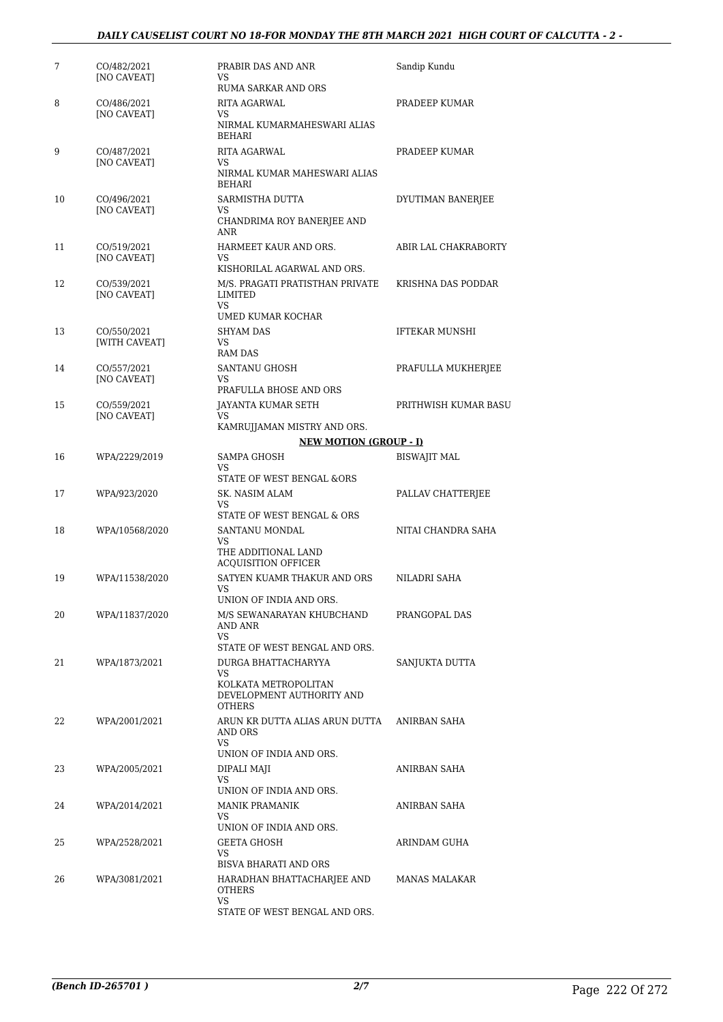#### *DAILY CAUSELIST COURT NO 18-FOR MONDAY THE 8TH MARCH 2021 HIGH COURT OF CALCUTTA - 2 -*

| 7  | CO/482/2021<br>[NO CAVEAT]        | PRABIR DAS AND ANR<br><b>VS</b><br>RUMA SARKAR AND ORS                                                                            | Sandip Kundu          |
|----|-----------------------------------|-----------------------------------------------------------------------------------------------------------------------------------|-----------------------|
| 8  | CO/486/2021<br><b>[NO CAVEAT]</b> | RITA AGARWAL<br>VS<br>NIRMAL KUMARMAHESWARI ALIAS<br>BEHARI                                                                       | PRADEEP KUMAR         |
| 9  | CO/487/2021<br>[NO CAVEAT]        | <b>RITA AGARWAL</b><br><b>VS</b><br>NIRMAL KUMAR MAHESWARI ALIAS                                                                  | PRADEEP KUMAR         |
| 10 | CO/496/2021<br>[NO CAVEAT]        | BEHARI<br>SARMISTHA DUTTA<br>VS<br>CHANDRIMA ROY BANERJEE AND<br>ANR                                                              | DYUTIMAN BANERJEE     |
| 11 | CO/519/2021<br><b>[NO CAVEAT]</b> | HARMEET KAUR AND ORS.<br>VS<br>KISHORILAL AGARWAL AND ORS.                                                                        | ABIR LAL CHAKRABORTY  |
| 12 | CO/539/2021<br>[NO CAVEAT]        | M/S. PRAGATI PRATISTHAN PRIVATE<br><b>LIMITED</b><br><b>VS</b>                                                                    | KRISHNA DAS PODDAR    |
| 13 | CO/550/2021<br>[WITH CAVEAT]      | UMED KUMAR KOCHAR<br><b>SHYAM DAS</b><br>VS.<br>RAM DAS                                                                           | <b>IFTEKAR MUNSHI</b> |
| 14 | CO/557/2021<br>[NO CAVEAT]        | <b>SANTANU GHOSH</b><br><b>VS</b><br>PRAFULLA BHOSE AND ORS                                                                       | PRAFULLA MUKHERJEE    |
| 15 | CO/559/2021<br>[NO CAVEAT]        | JAYANTA KUMAR SETH<br><b>VS</b><br>KAMRUJJAMAN MISTRY AND ORS.                                                                    | PRITHWISH KUMAR BASU  |
|    |                                   | <b>NEW MOTION (GROUP - I)</b>                                                                                                     |                       |
| 16 | WPA/2229/2019                     | SAMPA GHOSH<br>VS<br>STATE OF WEST BENGAL &ORS                                                                                    | <b>BISWAJIT MAL</b>   |
| 17 | WPA/923/2020                      | SK. NASIM ALAM<br>VS.<br>STATE OF WEST BENGAL & ORS                                                                               | PALLAV CHATTERJEE     |
| 18 | WPA/10568/2020                    | SANTANU MONDAL<br><b>VS</b><br>THE ADDITIONAL LAND                                                                                | NITAI CHANDRA SAHA    |
| 19 | WPA/11538/2020                    | <b>ACQUISITION OFFICER</b><br>SATYEN KUAMR THAKUR AND ORS<br>VS<br>UNION OF INDIA AND ORS.                                        | NILADRI SAHA          |
| 20 | WPA/11837/2020                    | M/S SEWANARAYAN KHUBCHAND<br>AND ANR<br>VS                                                                                        | PRANGOPAL DAS         |
| 21 | WPA/1873/2021                     | STATE OF WEST BENGAL AND ORS.<br>DURGA BHATTACHARYYA<br>VS.<br>KOLKATA METROPOLITAN<br>DEVELOPMENT AUTHORITY AND<br><b>OTHERS</b> | SANJUKTA DUTTA        |
| 22 | WPA/2001/2021                     | ARUN KR DUTTA ALIAS ARUN DUTTA<br>AND ORS<br>VS.                                                                                  | ANIRBAN SAHA          |
| 23 | WPA/2005/2021                     | UNION OF INDIA AND ORS.<br>DIPALI MAJI<br><b>VS</b><br>UNION OF INDIA AND ORS.                                                    | ANIRBAN SAHA          |
| 24 | WPA/2014/2021                     | <b>MANIK PRAMANIK</b><br><b>VS</b><br>UNION OF INDIA AND ORS.                                                                     | ANIRBAN SAHA          |
| 25 | WPA/2528/2021                     | <b>GEETA GHOSH</b><br><b>VS</b><br><b>BISVA BHARATI AND ORS</b>                                                                   | ARINDAM GUHA          |
| 26 | WPA/3081/2021                     | HARADHAN BHATTACHARJEE AND<br><b>OTHERS</b><br><b>VS</b><br>STATE OF WEST BENGAL AND ORS.                                         | MANAS MALAKAR         |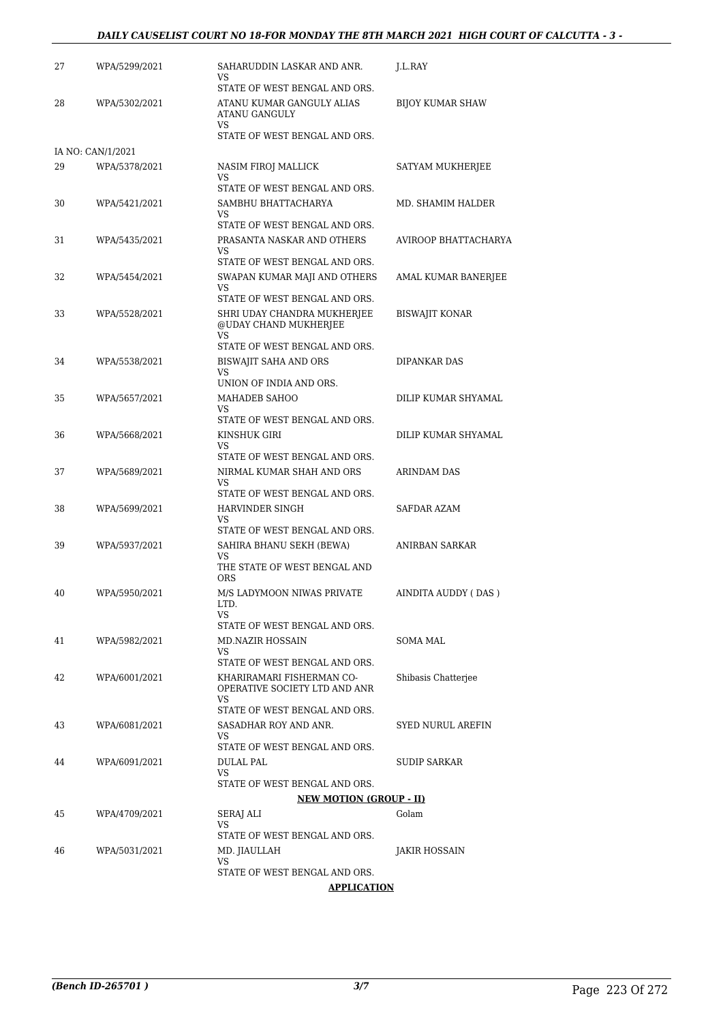#### *DAILY CAUSELIST COURT NO 18-FOR MONDAY THE 8TH MARCH 2021 HIGH COURT OF CALCUTTA - 3 -*

| 27 | WPA/5299/2021     | SAHARUDDIN LASKAR AND ANR.<br>VS                           | J.L.RAY                 |
|----|-------------------|------------------------------------------------------------|-------------------------|
|    |                   | STATE OF WEST BENGAL AND ORS.                              |                         |
| 28 | WPA/5302/2021     | ATANU KUMAR GANGULY ALIAS<br><b>ATANU GANGULY</b>          | <b>BIJOY KUMAR SHAW</b> |
|    |                   | VS<br>STATE OF WEST BENGAL AND ORS.                        |                         |
|    | IA NO: CAN/1/2021 |                                                            |                         |
| 29 | WPA/5378/2021     | NASIM FIROJ MALLICK                                        | SATYAM MUKHERJEE        |
|    |                   | VS<br>STATE OF WEST BENGAL AND ORS.                        |                         |
| 30 | WPA/5421/2021     | SAMBHU BHATTACHARYA                                        | MD. SHAMIM HALDER       |
|    |                   | VS<br>STATE OF WEST BENGAL AND ORS.                        |                         |
| 31 | WPA/5435/2021     | PRASANTA NASKAR AND OTHERS                                 | AVIROOP BHATTACHARYA    |
|    |                   | VS<br>STATE OF WEST BENGAL AND ORS.                        |                         |
| 32 | WPA/5454/2021     | SWAPAN KUMAR MAJI AND OTHERS                               | AMAL KUMAR BANERJEE     |
|    |                   | VS<br>STATE OF WEST BENGAL AND ORS.                        |                         |
| 33 | WPA/5528/2021     | SHRI UDAY CHANDRA MUKHERJEE<br>@UDAY CHAND MUKHERJEE       | <b>BISWAJIT KONAR</b>   |
|    |                   | VS<br>STATE OF WEST BENGAL AND ORS.                        |                         |
| 34 | WPA/5538/2021     | BISWAJIT SAHA AND ORS                                      | <b>DIPANKAR DAS</b>     |
|    |                   | VS                                                         |                         |
|    |                   | UNION OF INDIA AND ORS.                                    |                         |
| 35 | WPA/5657/2021     | MAHADEB SAHOO<br>VS                                        | DILIP KUMAR SHYAMAL     |
|    |                   | STATE OF WEST BENGAL AND ORS.                              |                         |
| 36 | WPA/5668/2021     | KINSHUK GIRI                                               | DILIP KUMAR SHYAMAL     |
|    |                   | VS<br>STATE OF WEST BENGAL AND ORS.                        |                         |
| 37 | WPA/5689/2021     | NIRMAL KUMAR SHAH AND ORS                                  | ARINDAM DAS             |
|    |                   | VS                                                         |                         |
| 38 | WPA/5699/2021     | STATE OF WEST BENGAL AND ORS.<br>HARVINDER SINGH           | SAFDAR AZAM             |
|    |                   | VS                                                         |                         |
|    |                   | STATE OF WEST BENGAL AND ORS.                              |                         |
| 39 | WPA/5937/2021     | SAHIRA BHANU SEKH (BEWA)<br>VS                             | ANIRBAN SARKAR          |
|    |                   | THE STATE OF WEST BENGAL AND                               |                         |
|    |                   | <b>ORS</b>                                                 |                         |
| 40 | WPA/5950/2021     | M/S LADYMOON NIWAS PRIVATE<br>LTD.                         | AINDITA AUDDY (DAS)     |
|    |                   | VS.                                                        |                         |
|    |                   | STATE OF WEST BENGAL AND ORS.                              |                         |
| 41 | WPA/5982/2021     | MD.NAZIR HOSSAIN<br>VS.                                    | SOMA MAL                |
|    |                   | STATE OF WEST BENGAL AND ORS.                              |                         |
| 42 | WPA/6001/2021     | KHARIRAMARI FISHERMAN CO-<br>OPERATIVE SOCIETY LTD AND ANR | Shibasis Chatterjee     |
|    |                   | VS<br>STATE OF WEST BENGAL AND ORS.                        |                         |
| 43 | WPA/6081/2021     | SASADHAR ROY AND ANR.                                      | SYED NURUL AREFIN       |
|    |                   | VS.<br>STATE OF WEST BENGAL AND ORS.                       |                         |
| 44 | WPA/6091/2021     | DULAL PAL                                                  | SUDIP SARKAR            |
|    |                   | VS                                                         |                         |
|    |                   | STATE OF WEST BENGAL AND ORS.                              |                         |
|    |                   | <b>NEW MOTION (GROUP - II)</b>                             |                         |
| 45 | WPA/4709/2021     | SERAJ ALI<br>VS.                                           | Golam                   |
|    |                   | STATE OF WEST BENGAL AND ORS.                              |                         |
| 46 | WPA/5031/2021     | MD. JIAULLAH<br>VS                                         | JAKIR HOSSAIN           |
|    |                   | STATE OF WEST BENGAL AND ORS.                              |                         |
|    |                   | <b>APPLICATION</b>                                         |                         |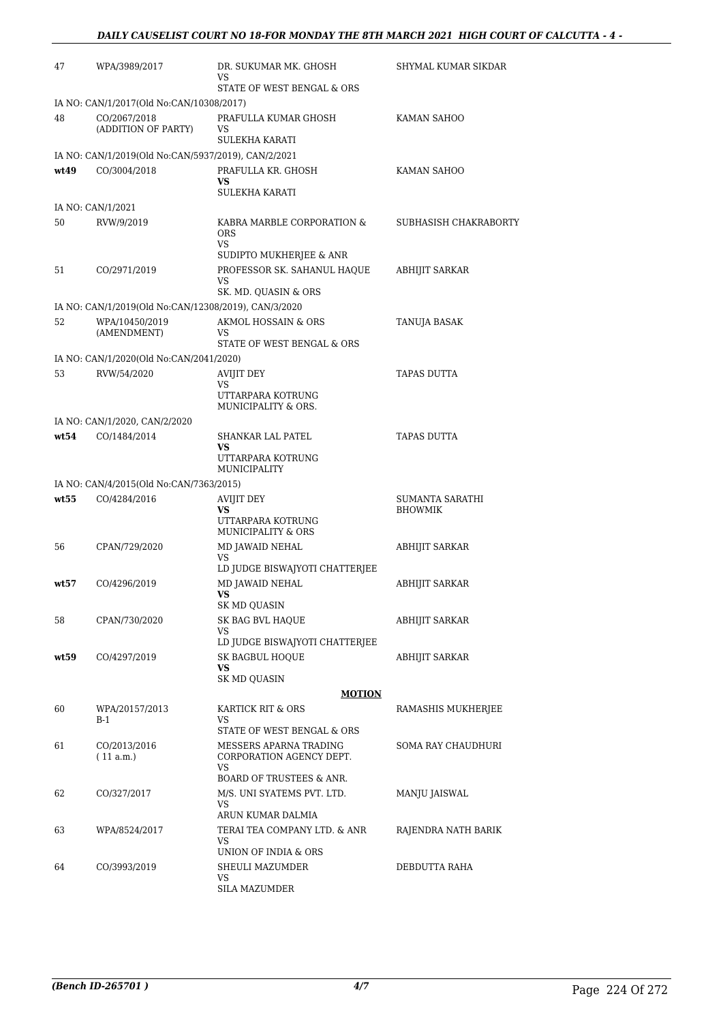| 47   | WPA/3989/2017                                        | DR. SUKUMAR MK. GHOSH<br>VS                                     | SHYMAL KUMAR SIKDAR   |
|------|------------------------------------------------------|-----------------------------------------------------------------|-----------------------|
|      | IA NO: CAN/1/2017(Old No:CAN/10308/2017)             | STATE OF WEST BENGAL & ORS                                      |                       |
| 48   | CO/2067/2018                                         | PRAFULLA KUMAR GHOSH                                            | KAMAN SAHOO           |
|      | (ADDITION OF PARTY)                                  | VS                                                              |                       |
|      |                                                      | <b>SULEKHA KARATI</b>                                           |                       |
|      | IA NO: CAN/1/2019(Old No:CAN/5937/2019), CAN/2/2021  |                                                                 |                       |
| wt49 | CO/3004/2018                                         | PRAFULLA KR. GHOSH<br>VS.<br><b>SULEKHA KARATI</b>              | KAMAN SAHOO           |
|      | IA NO: CAN/1/2021                                    |                                                                 |                       |
| 50   | RVW/9/2019                                           | KABRA MARBLE CORPORATION &<br><b>ORS</b><br>VS.                 | SUBHASISH CHAKRABORTY |
|      |                                                      | SUDIPTO MUKHERJEE & ANR                                         |                       |
| 51   | CO/2971/2019                                         | PROFESSOR SK. SAHANUL HAQUE<br><b>VS</b>                        | <b>ABHIJIT SARKAR</b> |
|      |                                                      | SK. MD. QUASIN & ORS                                            |                       |
|      | IA NO: CAN/1/2019(Old No:CAN/12308/2019), CAN/3/2020 |                                                                 |                       |
| 52   | WPA/10450/2019<br>(AMENDMENT)                        | <b>AKMOL HOSSAIN &amp; ORS</b><br>VS                            | TANUJA BASAK          |
|      |                                                      | STATE OF WEST BENGAL & ORS                                      |                       |
|      | IA NO: CAN/1/2020(Old No:CAN/2041/2020)              |                                                                 |                       |
| 53   | RVW/54/2020                                          | <b>AVIJIT DEY</b><br><b>VS</b>                                  | <b>TAPAS DUTTA</b>    |
|      |                                                      | UTTARPARA KOTRUNG<br>MUNICIPALITY & ORS.                        |                       |
|      | IA NO: CAN/1/2020, CAN/2/2020                        |                                                                 |                       |
| wt54 | CO/1484/2014                                         | SHANKAR LAL PATEL<br>VS<br>UTTARPARA KOTRUNG<br>MUNICIPALITY    | TAPAS DUTTA           |
|      | IA NO: CAN/4/2015(Old No:CAN/7363/2015)              |                                                                 |                       |
| wt55 | CO/4284/2016                                         | <b>AVIJIT DEY</b>                                               | SUMANTA SARATHI       |
|      |                                                      | <b>VS</b><br>UTTARPARA KOTRUNG<br><b>MUNICIPALITY &amp; ORS</b> | <b>BHOWMIK</b>        |
| 56   | CPAN/729/2020                                        | MD JAWAID NEHAL                                                 | <b>ABHIJIT SARKAR</b> |
|      |                                                      | VS<br>LD JUDGE BISWAJYOTI CHATTERJEE                            |                       |
| wt57 | CO/4296/2019                                         | MD JAWAID NEHAL<br>VS                                           | ABHIJIT SARKAR        |
|      |                                                      | SK MD QUASIN                                                    |                       |
| 58   | CPAN/730/2020                                        | SK BAG BVL HAQUE<br>VS                                          | ABHIJIT SARKAR        |
|      |                                                      | LD JUDGE BISWAJYOTI CHATTERJEE                                  |                       |
| wt59 | CO/4297/2019                                         | <b>SK BAGBUL HOOUE</b>                                          | <b>ABHIJIT SARKAR</b> |
|      |                                                      | VS<br><b>SK MD QUASIN</b>                                       |                       |
|      |                                                      | <b>MOTION</b>                                                   |                       |
| 60   | WPA/20157/2013                                       | KARTICK RIT & ORS                                               | RAMASHIS MUKHERJEE    |
|      | B-1                                                  | VS                                                              |                       |
|      |                                                      | STATE OF WEST BENGAL & ORS                                      |                       |
| 61   | CO/2013/2016<br>(11 a.m.)                            | MESSERS APARNA TRADING<br>CORPORATION AGENCY DEPT.<br>VS        | SOMA RAY CHAUDHURI    |
|      |                                                      | <b>BOARD OF TRUSTEES &amp; ANR.</b>                             |                       |
| 62   | CO/327/2017                                          | M/S. UNI SYATEMS PVT. LTD.<br>VS                                | MANJU JAISWAL         |
|      |                                                      | ARUN KUMAR DALMIA                                               |                       |
| 63   | WPA/8524/2017                                        | TERAI TEA COMPANY LTD. & ANR<br><b>VS</b>                       | RAJENDRA NATH BARIK   |
|      |                                                      | UNION OF INDIA & ORS                                            |                       |
| 64   | CO/3993/2019                                         | SHEULI MAZUMDER<br>VS.                                          | DEBDUTTA RAHA         |
|      |                                                      | SILA MAZUMDER                                                   |                       |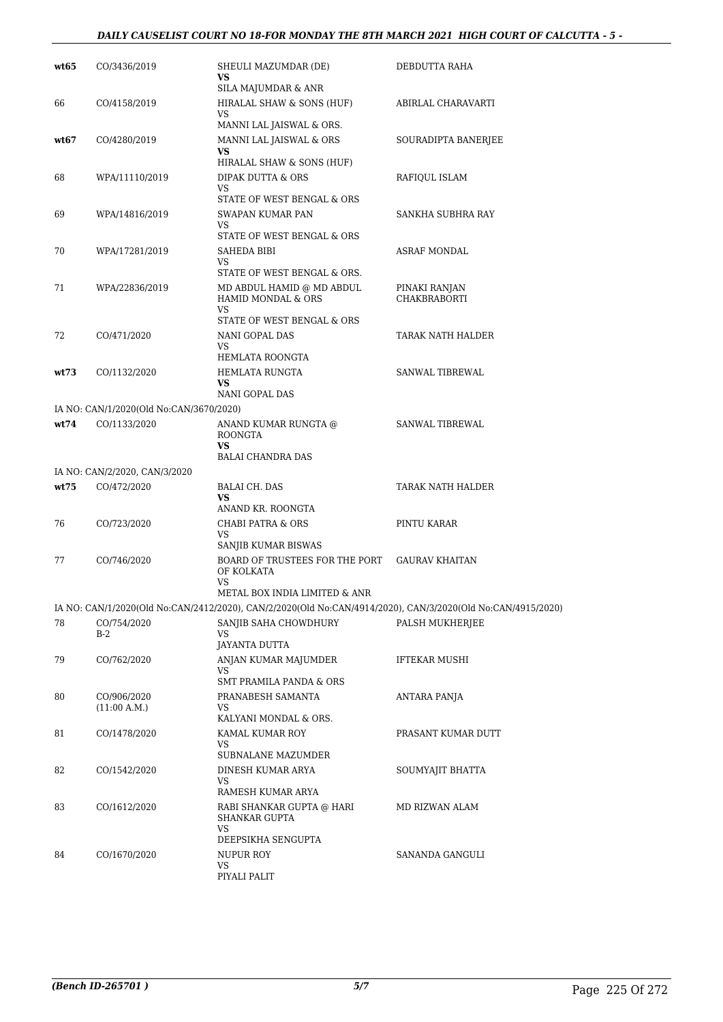#### *DAILY CAUSELIST COURT NO 18-FOR MONDAY THE 8TH MARCH 2021 HIGH COURT OF CALCUTTA - 5 -*

| wt65 | CO/3436/2019                            | SHEULI MAZUMDAR (DE)<br>VS                                                                                                           | DEBDUTTA RAHA                        |
|------|-----------------------------------------|--------------------------------------------------------------------------------------------------------------------------------------|--------------------------------------|
| 66   | CO/4158/2019                            | <b>SILA MAJUMDAR &amp; ANR</b><br>HIRALAL SHAW & SONS (HUF)                                                                          | ABIRLAL CHARAVARTI                   |
| wt67 | CO/4280/2019                            | VS<br>MANNI LAL JAISWAL & ORS.<br>MANNI LAL JAISWAL & ORS                                                                            | SOURADIPTA BANERJEE                  |
|      |                                         | <b>VS</b><br>HIRALAL SHAW & SONS (HUF)                                                                                               |                                      |
| 68   | WPA/11110/2019                          | DIPAK DUTTA & ORS<br><b>VS</b>                                                                                                       | RAFIQUL ISLAM                        |
| 69   | WPA/14816/2019                          | STATE OF WEST BENGAL & ORS<br>SWAPAN KUMAR PAN<br>VS                                                                                 | SANKHA SUBHRA RAY                    |
| 70   | WPA/17281/2019                          | STATE OF WEST BENGAL & ORS<br>SAHEDA BIBI<br><b>VS</b><br>STATE OF WEST BENGAL & ORS.                                                | ASRAF MONDAL                         |
| 71   | WPA/22836/2019                          | MD ABDUL HAMID @ MD ABDUL<br>HAMID MONDAL & ORS<br><b>VS</b>                                                                         | PINAKI RANJAN<br><b>CHAKBRABORTI</b> |
| 72   | CO/471/2020                             | STATE OF WEST BENGAL & ORS<br><b>NANI GOPAL DAS</b>                                                                                  | TARAK NATH HALDER                    |
|      |                                         | VS<br><b>HEMLATA ROONGTA</b>                                                                                                         |                                      |
| wt73 | CO/1132/2020                            | HEMLATA RUNGTA<br><b>VS</b><br><b>NANI GOPAL DAS</b>                                                                                 | SANWAL TIBREWAL                      |
|      | IA NO: CAN/1/2020(Old No:CAN/3670/2020) |                                                                                                                                      |                                      |
| wt74 | CO/1133/2020                            | ANAND KUMAR RUNGTA @<br><b>ROONGTA</b><br><b>VS</b>                                                                                  | SANWAL TIBREWAL                      |
|      | IA NO: CAN/2/2020, CAN/3/2020           | <b>BALAI CHANDRA DAS</b>                                                                                                             |                                      |
| wt75 | CO/472/2020                             | <b>BALAI CH. DAS</b>                                                                                                                 | TARAK NATH HALDER                    |
|      |                                         | <b>VS</b><br>ANAND KR. ROONGTA                                                                                                       |                                      |
| 76   | CO/723/2020                             | <b>CHABI PATRA &amp; ORS</b><br>VS                                                                                                   | PINTU KARAR                          |
| 77   | CO/746/2020                             | SANJIB KUMAR BISWAS<br>BOARD OF TRUSTEES FOR THE PORT<br>OF KOLKATA<br><b>VS</b>                                                     | <b>GAURAV KHAITAN</b>                |
|      |                                         | METAL BOX INDIA LIMITED & ANR                                                                                                        |                                      |
| 78   | CO/754/2020                             | IA NO: CAN/1/2020(Old No:CAN/2412/2020), CAN/2/2020(Old No:CAN/4914/2020), CAN/3/2020(Old No:CAN/4915/2020)<br>SANJIB SAHA CHOWDHURY | PALSH MUKHERJEE                      |
|      | B-2                                     | VS<br>JAYANTA DUTTA                                                                                                                  |                                      |
| 79   | CO/762/2020                             | ANJAN KUMAR MAJUMDER<br>VS<br><b>SMT PRAMILA PANDA &amp; ORS</b>                                                                     | <b>IFTEKAR MUSHI</b>                 |
| 80   | CO/906/2020<br>(11:00 A.M.)             | PRANABESH SAMANTA<br>VS<br>KALYANI MONDAL & ORS.                                                                                     | ANTARA PANJA                         |
| 81   | CO/1478/2020                            | KAMAL KUMAR ROY<br>VS                                                                                                                | PRASANT KUMAR DUTT                   |
| 82   | CO/1542/2020                            | SUBNALANE MAZUMDER<br>DINESH KUMAR ARYA<br><b>VS</b><br>RAMESH KUMAR ARYA                                                            | SOUMYAJIT BHATTA                     |
| 83   | CO/1612/2020                            | RABI SHANKAR GUPTA @ HARI<br>SHANKAR GUPTA<br><b>VS</b>                                                                              | MD RIZWAN ALAM                       |
| 84   | CO/1670/2020                            | DEEPSIKHA SENGUPTA<br>NUPUR ROY<br>VS<br>PIYALI PALIT                                                                                | SANANDA GANGULI                      |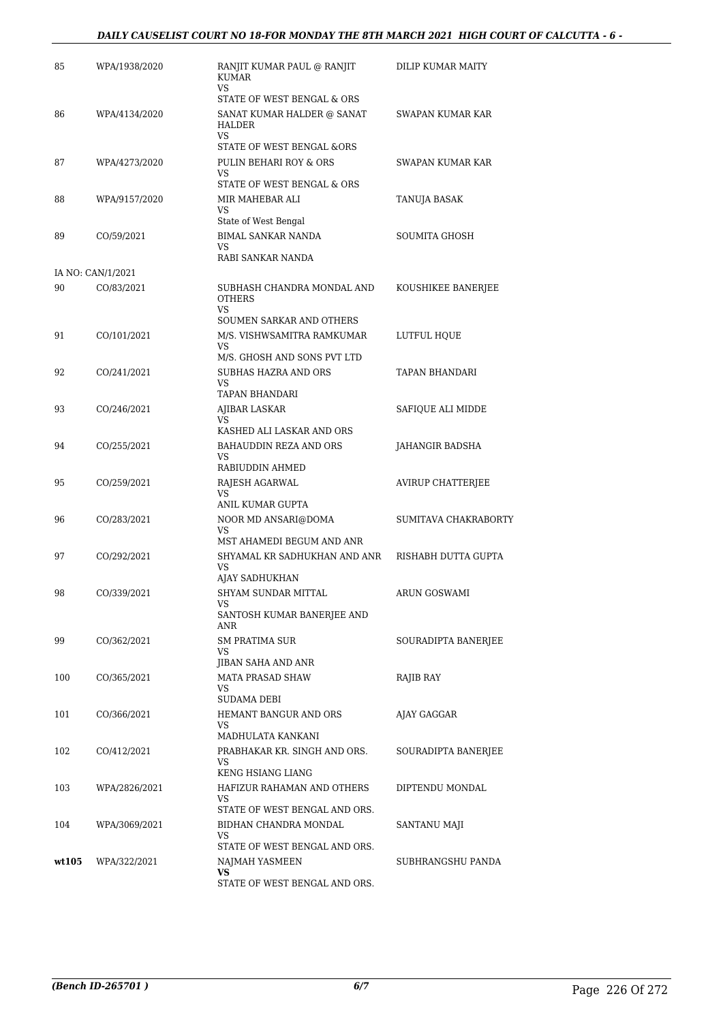| 85    | WPA/1938/2020     | RANJIT KUMAR PAUL @ RANJIT<br>KUMAR<br>VS                         | DILIP KUMAR MAITY    |
|-------|-------------------|-------------------------------------------------------------------|----------------------|
|       |                   | STATE OF WEST BENGAL & ORS                                        |                      |
| 86    | WPA/4134/2020     | SANAT KUMAR HALDER @ SANAT<br>HALDER<br><b>VS</b>                 | SWAPAN KUMAR KAR     |
|       |                   | STATE OF WEST BENGAL &ORS                                         |                      |
| 87    | WPA/4273/2020     | PULIN BEHARI ROY & ORS<br><b>VS</b>                               | SWAPAN KUMAR KAR     |
|       |                   | STATE OF WEST BENGAL & ORS                                        |                      |
| 88    | WPA/9157/2020     | MIR MAHEBAR ALI<br>VS.                                            | TANUJA BASAK         |
|       |                   | State of West Bengal                                              |                      |
| 89    | CO/59/2021        | <b>BIMAL SANKAR NANDA</b><br><b>VS</b><br>RABI SANKAR NANDA       | SOUMITA GHOSH        |
|       | IA NO: CAN/1/2021 |                                                                   |                      |
| 90    | CO/83/2021        | SUBHASH CHANDRA MONDAL AND<br><b>OTHERS</b><br>VS.                | KOUSHIKEE BANERJEE   |
|       |                   | SOUMEN SARKAR AND OTHERS                                          |                      |
| 91    | CO/101/2021       | M/S. VISHWSAMITRA RAMKUMAR<br><b>VS</b>                           | LUTFUL HOUE          |
|       |                   | M/S. GHOSH AND SONS PVT LTD                                       |                      |
| 92    | CO/241/2021       | SUBHAS HAZRA AND ORS<br>VS.                                       | TAPAN BHANDARI       |
|       |                   | TAPAN BHANDARI                                                    |                      |
| 93    | CO/246/2021       | AJIBAR LASKAR                                                     | SAFIQUE ALI MIDDE    |
|       |                   | VS.<br>KASHED ALI LASKAR AND ORS                                  |                      |
| 94    | CO/255/2021       | BAHAUDDIN REZA AND ORS                                            | JAHANGIR BADSHA      |
|       |                   | VS<br>RABIUDDIN AHMED                                             |                      |
| 95    | CO/259/2021       | RAJESH AGARWAL<br>VS.                                             | AVIRUP CHATTERJEE    |
|       |                   | ANIL KUMAR GUPTA                                                  |                      |
| 96    | CO/283/2021       | NOOR MD ANSARI@DOMA<br><b>VS</b><br>MST AHAMEDI BEGUM AND ANR     | SUMITAVA CHAKRABORTY |
| 97    | CO/292/2021       | SHYAMAL KR SADHUKHAN AND ANR<br><b>VS</b>                         | RISHABH DUTTA GUPTA  |
|       |                   | AJAY SADHUKHAN                                                    |                      |
| 98    | CO/339/2021       | SHYAM SUNDAR MITTAL<br>VS                                         | ARUN GOSWAMI         |
|       |                   | SANTOSH KUMAR BANERJEE AND<br>ANR                                 |                      |
| 99    | CO/362/2021       | <b>SM PRATIMA SUR</b><br>VS                                       | SOURADIPTA BANERJEE  |
|       |                   | <b>JIBAN SAHA AND ANR</b>                                         |                      |
| 100   | CO/365/2021       | <b>MATA PRASAD SHAW</b><br>VS.                                    | RAJIB RAY            |
|       |                   | SUDAMA DEBI                                                       |                      |
| 101   | CO/366/2021       | HEMANT BANGUR AND ORS<br>VS<br>MADHULATA KANKANI                  | AJAY GAGGAR          |
| 102   | CO/412/2021       | PRABHAKAR KR. SINGH AND ORS.                                      | SOURADIPTA BANERJEE  |
|       |                   | VS                                                                |                      |
|       |                   | KENG HSIANG LIANG                                                 |                      |
| 103   | WPA/2826/2021     | HAFIZUR RAHAMAN AND OTHERS<br>VS<br>STATE OF WEST BENGAL AND ORS. | DIPTENDU MONDAL      |
| 104   | WPA/3069/2021     | BIDHAN CHANDRA MONDAL                                             | SANTANU MAJI         |
|       |                   | VS.                                                               |                      |
| wt105 | WPA/322/2021      | STATE OF WEST BENGAL AND ORS.<br>NAJMAH YASMEEN                   | SUBHRANGSHU PANDA    |
|       |                   | <b>VS</b>                                                         |                      |
|       |                   | STATE OF WEST BENGAL AND ORS.                                     |                      |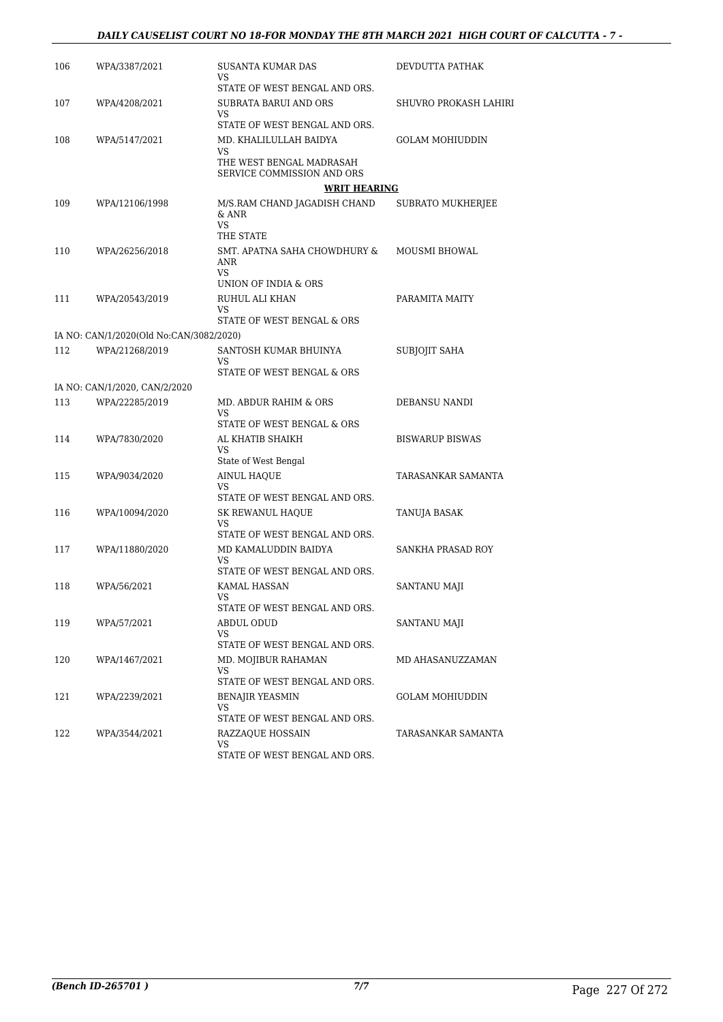#### *DAILY CAUSELIST COURT NO 18-FOR MONDAY THE 8TH MARCH 2021 HIGH COURT OF CALCUTTA - 7 -*

| 106 | WPA/3387/2021                           | SUSANTA KUMAR DAS<br>VS                                  | DEVDUTTA PATHAK          |
|-----|-----------------------------------------|----------------------------------------------------------|--------------------------|
|     |                                         | STATE OF WEST BENGAL AND ORS.                            |                          |
| 107 | WPA/4208/2021                           | SUBRATA BARUI AND ORS<br>VS                              | SHUVRO PROKASH LAHIRI    |
|     |                                         | STATE OF WEST BENGAL AND ORS.                            |                          |
| 108 | WPA/5147/2021                           | MD. KHALILULLAH BAIDYA<br>VS                             | GOLAM MOHIUDDIN          |
|     |                                         | THE WEST BENGAL MADRASAH<br>SERVICE COMMISSION AND ORS   |                          |
|     |                                         | <b>WRIT HEARING</b>                                      |                          |
| 109 | WPA/12106/1998                          | M/S.RAM CHAND JAGADISH CHAND<br>& ANR<br>VS<br>THE STATE | <b>SUBRATO MUKHERJEE</b> |
| 110 | WPA/26256/2018                          | SMT. APATNA SAHA CHOWDHURY &<br>ANR<br>VS                | <b>MOUSMI BHOWAL</b>     |
|     |                                         | UNION OF INDIA & ORS                                     |                          |
| 111 | WPA/20543/2019                          | RUHUL ALI KHAN<br>VS                                     | PARAMITA MAITY           |
|     |                                         | STATE OF WEST BENGAL & ORS                               |                          |
|     | IA NO: CAN/1/2020(Old No:CAN/3082/2020) |                                                          |                          |
| 112 | WPA/21268/2019                          | SANTOSH KUMAR BHUINYA<br>VS                              | <b>SUBJOJIT SAHA</b>     |
|     |                                         | STATE OF WEST BENGAL & ORS                               |                          |
|     | IA NO: CAN/1/2020, CAN/2/2020           |                                                          |                          |
| 113 | WPA/22285/2019                          | MD. ABDUR RAHIM & ORS<br>VS                              | DEBANSU NANDI            |
|     |                                         | STATE OF WEST BENGAL & ORS                               |                          |
| 114 | WPA/7830/2020                           | AL KHATIB SHAIKH<br>VS<br>State of West Bengal           | <b>BISWARUP BISWAS</b>   |
| 115 | WPA/9034/2020                           | AINUL HAQUE                                              | TARASANKAR SAMANTA       |
|     |                                         | VS<br>STATE OF WEST BENGAL AND ORS.                      |                          |
| 116 | WPA/10094/2020                          | SK REWANUL HAQUE                                         | TANUJA BASAK             |
|     |                                         | VS<br>STATE OF WEST BENGAL AND ORS.                      |                          |
| 117 | WPA/11880/2020                          | MD KAMALUDDIN BAIDYA                                     | SANKHA PRASAD ROY        |
|     |                                         | VS<br>STATE OF WEST BENGAL AND ORS.                      |                          |
| 118 | WPA/56/2021                             | KAMAL HASSAN                                             | SANTANU MAJI             |
|     |                                         | VS                                                       |                          |
|     |                                         | STATE OF WEST BENGAL AND ORS.                            |                          |
| 119 | WPA/57/2021                             | ABDUL ODUD<br>VS                                         | SANTANU MAJI             |
|     |                                         | STATE OF WEST BENGAL AND ORS.                            |                          |
| 120 | WPA/1467/2021                           | MD. MOJIBUR RAHAMAN<br>VS                                | MD AHASANUZZAMAN         |
|     |                                         | STATE OF WEST BENGAL AND ORS.                            |                          |
| 121 | WPA/2239/2021                           | <b>BENAJIR YEASMIN</b><br>VS                             | GOLAM MOHIUDDIN          |
|     |                                         | STATE OF WEST BENGAL AND ORS.                            |                          |
| 122 | WPA/3544/2021                           | RAZZAQUE HOSSAIN<br>VS.<br>STATE OF WEST BENGAL AND ORS. | TARASANKAR SAMANTA       |
|     |                                         |                                                          |                          |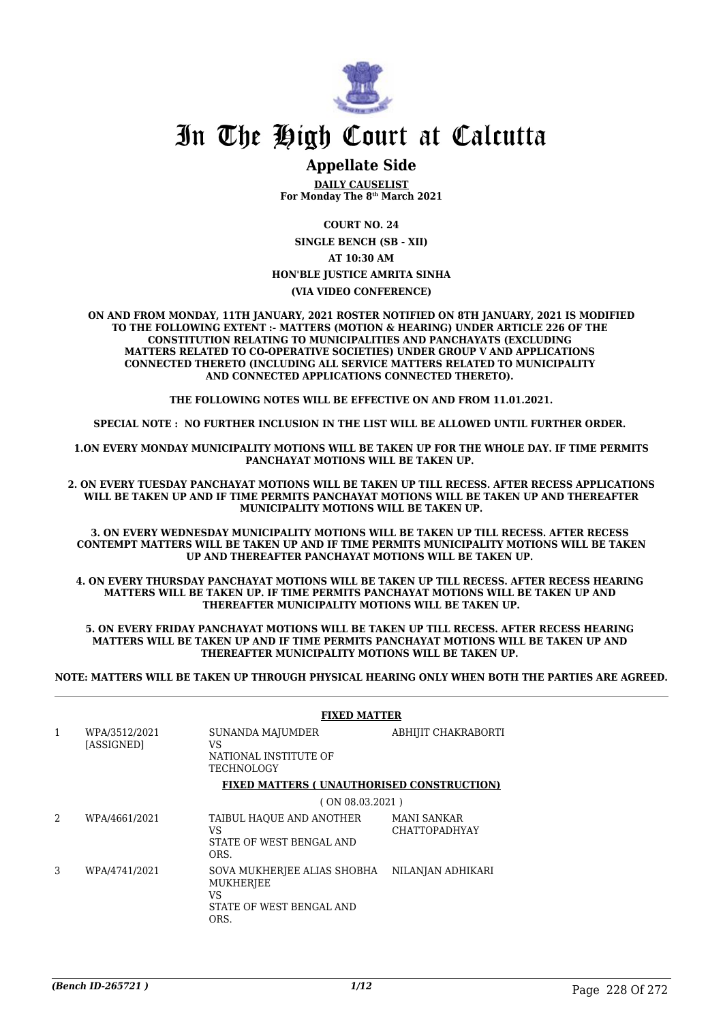

## **Appellate Side**

**DAILY CAUSELIST For Monday The 8th March 2021**

**COURT NO. 24**

**SINGLE BENCH (SB - XII) AT 10:30 AM HON'BLE JUSTICE AMRITA SINHA**

**(VIA VIDEO CONFERENCE)**

**ON AND FROM MONDAY, 11TH JANUARY, 2021 ROSTER NOTIFIED ON 8TH JANUARY, 2021 IS MODIFIED TO THE FOLLOWING EXTENT :- MATTERS (MOTION & HEARING) UNDER ARTICLE 226 OF THE CONSTITUTION RELATING TO MUNICIPALITIES AND PANCHAYATS (EXCLUDING MATTERS RELATED TO CO-OPERATIVE SOCIETIES) UNDER GROUP V AND APPLICATIONS CONNECTED THERETO (INCLUDING ALL SERVICE MATTERS RELATED TO MUNICIPALITY AND CONNECTED APPLICATIONS CONNECTED THERETO).** 

**THE FOLLOWING NOTES WILL BE EFFECTIVE ON AND FROM 11.01.2021.**

**SPECIAL NOTE : NO FURTHER INCLUSION IN THE LIST WILL BE ALLOWED UNTIL FURTHER ORDER.** 

**1.ON EVERY MONDAY MUNICIPALITY MOTIONS WILL BE TAKEN UP FOR THE WHOLE DAY. IF TIME PERMITS PANCHAYAT MOTIONS WILL BE TAKEN UP.** 

**2. ON EVERY TUESDAY PANCHAYAT MOTIONS WILL BE TAKEN UP TILL RECESS. AFTER RECESS APPLICATIONS WILL BE TAKEN UP AND IF TIME PERMITS PANCHAYAT MOTIONS WILL BE TAKEN UP AND THEREAFTER MUNICIPALITY MOTIONS WILL BE TAKEN UP.**

**3. ON EVERY WEDNESDAY MUNICIPALITY MOTIONS WILL BE TAKEN UP TILL RECESS. AFTER RECESS CONTEMPT MATTERS WILL BE TAKEN UP AND IF TIME PERMITS MUNICIPALITY MOTIONS WILL BE TAKEN UP AND THEREAFTER PANCHAYAT MOTIONS WILL BE TAKEN UP.** 

**4. ON EVERY THURSDAY PANCHAYAT MOTIONS WILL BE TAKEN UP TILL RECESS. AFTER RECESS HEARING MATTERS WILL BE TAKEN UP. IF TIME PERMITS PANCHAYAT MOTIONS WILL BE TAKEN UP AND THEREAFTER MUNICIPALITY MOTIONS WILL BE TAKEN UP.**

**5. ON EVERY FRIDAY PANCHAYAT MOTIONS WILL BE TAKEN UP TILL RECESS. AFTER RECESS HEARING MATTERS WILL BE TAKEN UP AND IF TIME PERMITS PANCHAYAT MOTIONS WILL BE TAKEN UP AND THEREAFTER MUNICIPALITY MOTIONS WILL BE TAKEN UP.** 

**NOTE: MATTERS WILL BE TAKEN UP THROUGH PHYSICAL HEARING ONLY WHEN BOTH THE PARTIES ARE AGREED.**

|                |                             | <b>FIXED MATTER</b>                                                                |                                     |  |
|----------------|-----------------------------|------------------------------------------------------------------------------------|-------------------------------------|--|
| $\mathbf{1}$   | WPA/3512/2021<br>[ASSIGNED] | SUNANDA MAJUMDER<br>VS<br>NATIONAL INSTITUTE OF<br>TECHNOLOGY                      | ABHIJIT CHAKRABORTI                 |  |
|                |                             | <b>FIXED MATTERS (UNAUTHORISED CONSTRUCTION)</b>                                   |                                     |  |
|                |                             | (ON 08.03.2021)                                                                    |                                     |  |
| $\mathfrak{D}$ | WPA/4661/2021               | TAIBUL HAQUE AND ANOTHER<br>VS<br>STATE OF WEST BENGAL AND<br>ORS.                 | MANI SANKAR<br><b>CHATTOPADHYAY</b> |  |
| 3              | WPA/4741/2021               | SOVA MUKHERJEE ALIAS SHOBHA<br>MUKHERJEE<br>VS<br>STATE OF WEST BENGAL AND<br>ORS. | NILANJAN ADHIKARI                   |  |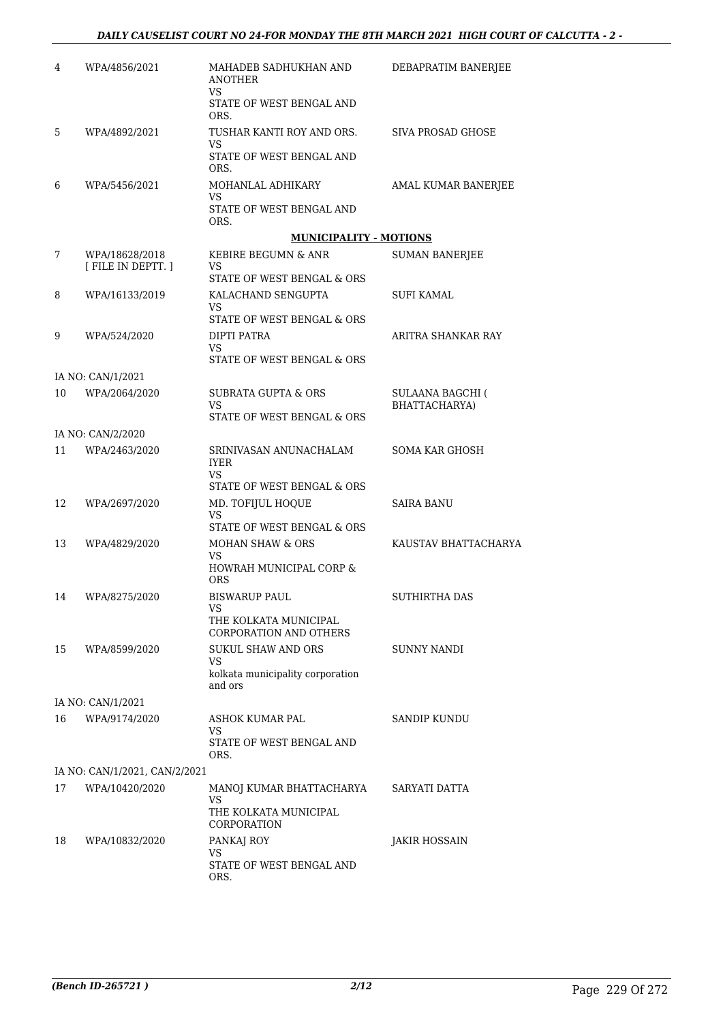| 4  | WPA/4856/2021                      | MAHADEB SADHUKHAN AND<br><b>ANOTHER</b><br>VS.           | DEBAPRATIM BANERJEE                      |
|----|------------------------------------|----------------------------------------------------------|------------------------------------------|
|    |                                    | STATE OF WEST BENGAL AND<br>ORS.                         |                                          |
| 5  | WPA/4892/2021                      | TUSHAR KANTI ROY AND ORS.                                | SIVA PROSAD GHOSE                        |
|    |                                    | VS.<br>STATE OF WEST BENGAL AND<br>ORS.                  |                                          |
| 6  | WPA/5456/2021                      | MOHANLAL ADHIKARY                                        | AMAL KUMAR BANERJEE                      |
|    |                                    | VS.<br>STATE OF WEST BENGAL AND<br>ORS.                  |                                          |
|    |                                    | <b>MUNICIPALITY - MOTIONS</b>                            |                                          |
| 7  | WPA/18628/2018<br>[FILE IN DEPTT.] | KEBIRE BEGUMN & ANR<br>VS.<br>STATE OF WEST BENGAL & ORS | <b>SUMAN BANERJEE</b>                    |
| 8  | WPA/16133/2019                     | KALACHAND SENGUPTA                                       | SUFI KAMAL                               |
|    |                                    | VS                                                       |                                          |
|    |                                    | STATE OF WEST BENGAL & ORS                               | ARITRA SHANKAR RAY                       |
| 9  | WPA/524/2020                       | DIPTI PATRA<br>VS.                                       |                                          |
|    |                                    | STATE OF WEST BENGAL & ORS                               |                                          |
|    | IA NO: CAN/1/2021                  |                                                          |                                          |
| 10 | WPA/2064/2020                      | <b>SUBRATA GUPTA &amp; ORS</b><br>VS.                    | <b>SULAANA BAGCHI (</b><br>BHATTACHARYA) |
|    |                                    | STATE OF WEST BENGAL & ORS                               |                                          |
|    | IA NO: CAN/2/2020                  |                                                          |                                          |
| 11 | WPA/2463/2020                      | SRINIVASAN ANUNACHALAM<br><b>IYER</b><br>VS.             | <b>SOMA KAR GHOSH</b>                    |
|    |                                    | STATE OF WEST BENGAL & ORS                               |                                          |
| 12 | WPA/2697/2020                      | MD. TOFIJUL HOQUE<br>VS<br>STATE OF WEST BENGAL & ORS    | <b>SAIRA BANU</b>                        |
| 13 | WPA/4829/2020                      | MOHAN SHAW & ORS                                         | KAUSTAV BHATTACHARYA                     |
|    |                                    | VS.<br>HOWRAH MUNICIPAL CORP &<br><b>ORS</b>             |                                          |
| 14 | WPA/8275/2020                      | <b>BISWARUP PAUL</b>                                     | SUTHIRTHA DAS                            |
|    |                                    | <b>VS</b>                                                |                                          |
|    |                                    | THE KOLKATA MUNICIPAL<br><b>CORPORATION AND OTHERS</b>   |                                          |
| 15 | WPA/8599/2020                      | SUKUL SHAW AND ORS                                       | SUNNY NANDI                              |
|    |                                    | VS.<br>kolkata municipality corporation<br>and ors       |                                          |
|    | IA NO: CAN/1/2021                  |                                                          |                                          |
| 16 | WPA/9174/2020                      | ASHOK KUMAR PAL                                          | SANDIP KUNDU                             |
|    |                                    | VS.<br>STATE OF WEST BENGAL AND<br>ORS.                  |                                          |
|    | IA NO: CAN/1/2021, CAN/2/2021      |                                                          |                                          |
| 17 | WPA/10420/2020                     | MANOJ KUMAR BHATTACHARYA<br>VS<br>THE KOLKATA MUNICIPAL  | SARYATI DATTA                            |
|    |                                    | CORPORATION                                              |                                          |
| 18 | WPA/10832/2020                     | PANKAJ ROY<br>VS.<br>STATE OF WEST BENGAL AND<br>ORS.    | JAKIR HOSSAIN                            |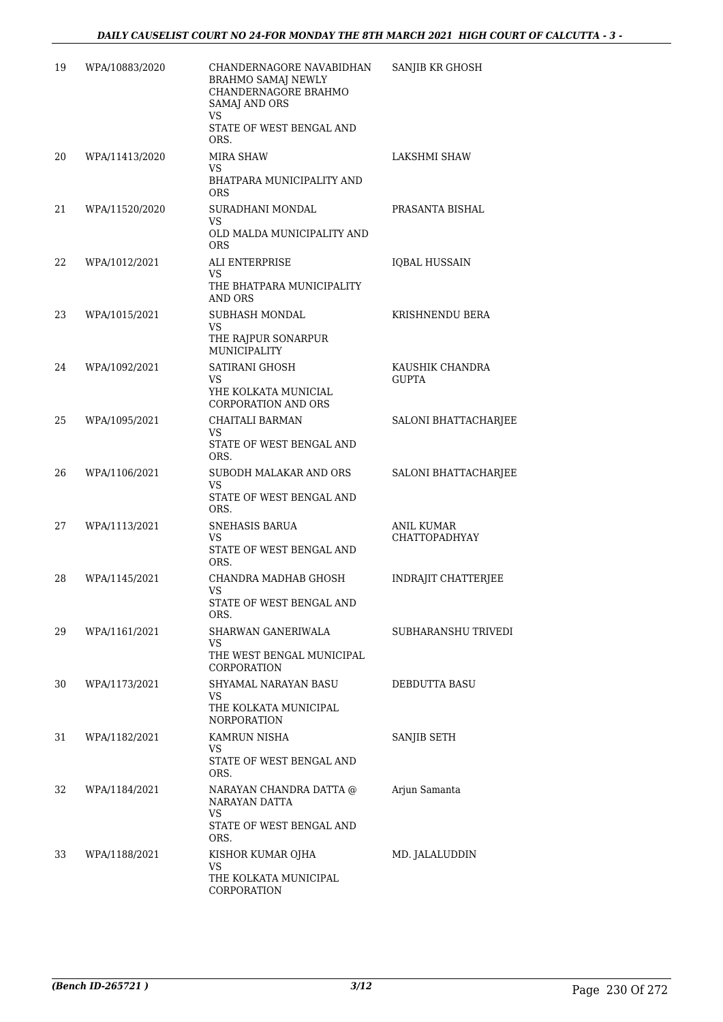| 19 | WPA/10883/2020 | CHANDERNAGORE NAVABIDHAN<br><b>BRAHMO SAMAJ NEWLY</b><br>CHANDERNAGORE BRAHMO<br><b>SAMAJ AND ORS</b><br>VS.<br>STATE OF WEST BENGAL AND<br>ORS. | SANJIB KR GHOSH                    |
|----|----------------|--------------------------------------------------------------------------------------------------------------------------------------------------|------------------------------------|
| 20 | WPA/11413/2020 | <b>MIRA SHAW</b><br>VS.<br>BHATPARA MUNICIPALITY AND<br><b>ORS</b>                                                                               | LAKSHMI SHAW                       |
| 21 | WPA/11520/2020 | SURADHANI MONDAL<br><b>VS</b><br>OLD MALDA MUNICIPALITY AND<br><b>ORS</b>                                                                        | PRASANTA BISHAL                    |
| 22 | WPA/1012/2021  | ALI ENTERPRISE<br>VS.<br>THE BHATPARA MUNICIPALITY<br>AND ORS                                                                                    | <b>IQBAL HUSSAIN</b>               |
| 23 | WPA/1015/2021  | SUBHASH MONDAL<br><b>VS</b><br>THE RAJPUR SONARPUR<br>MUNICIPALITY                                                                               | KRISHNENDU BERA                    |
| 24 | WPA/1092/2021  | SATIRANI GHOSH<br>VS<br>YHE KOLKATA MUNICIAL<br><b>CORPORATION AND ORS</b>                                                                       | KAUSHIK CHANDRA<br><b>GUPTA</b>    |
| 25 | WPA/1095/2021  | CHAITALI BARMAN<br>VS<br>STATE OF WEST BENGAL AND<br>ORS.                                                                                        | SALONI BHATTACHARJEE               |
| 26 | WPA/1106/2021  | SUBODH MALAKAR AND ORS<br><b>VS</b><br>STATE OF WEST BENGAL AND<br>ORS.                                                                          | SALONI BHATTACHARJEE               |
| 27 | WPA/1113/2021  | SNEHASIS BARUA<br>VS<br>STATE OF WEST BENGAL AND<br>ORS.                                                                                         | <b>ANIL KUMAR</b><br>CHATTOPADHYAY |
| 28 | WPA/1145/2021  | CHANDRA MADHAB GHOSH<br>VS<br>STATE OF WEST BENGAL AND<br>ORS.                                                                                   | INDRAJIT CHATTERJEE                |
| 29 | WPA/1161/2021  | SHARWAN GANERIWALA<br>VS<br>THE WEST BENGAL MUNICIPAL<br>CORPORATION                                                                             | SUBHARANSHU TRIVEDI                |
| 30 | WPA/1173/2021  | SHYAMAL NARAYAN BASU<br>VS<br>THE KOLKATA MUNICIPAL<br><b>NORPORATION</b>                                                                        | DEBDUTTA BASU                      |
| 31 | WPA/1182/2021  | KAMRUN NISHA<br>VS.<br>STATE OF WEST BENGAL AND<br>ORS.                                                                                          | SANJIB SETH                        |
| 32 | WPA/1184/2021  | NARAYAN CHANDRA DATTA @<br>NARAYAN DATTA<br>VS.<br>STATE OF WEST BENGAL AND                                                                      | Arjun Samanta                      |
| 33 | WPA/1188/2021  | ORS.<br>KISHOR KUMAR OJHA<br>VS<br>THE KOLKATA MUNICIPAL<br>CORPORATION                                                                          | MD. JALALUDDIN                     |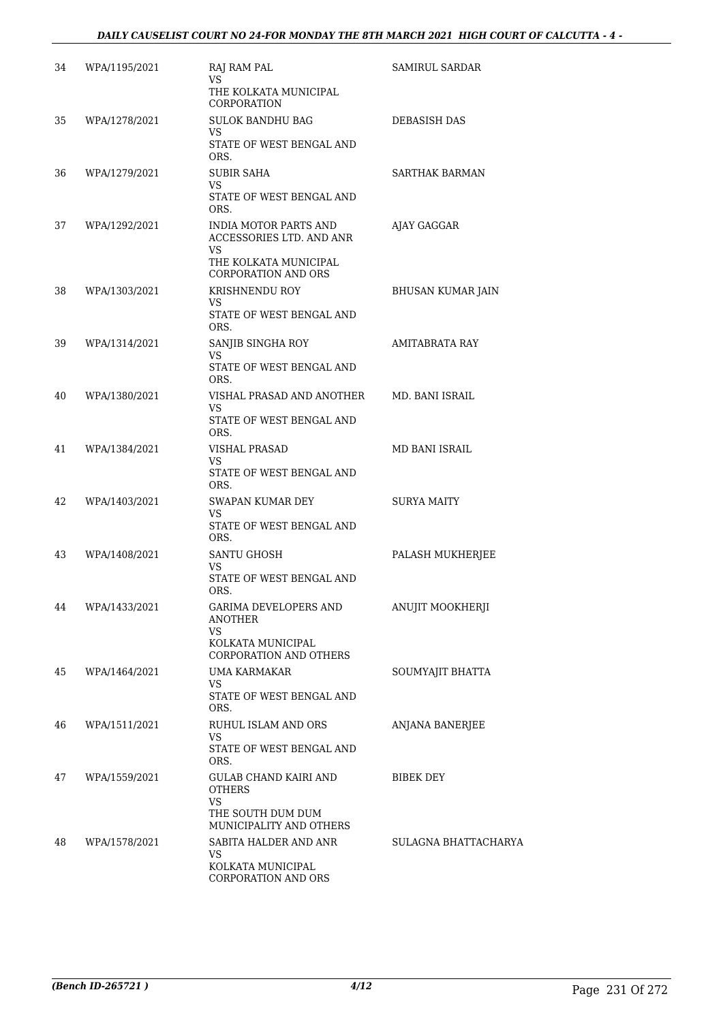#### *DAILY CAUSELIST COURT NO 24-FOR MONDAY THE 8TH MARCH 2021 HIGH COURT OF CALCUTTA - 4 -*

| 34 | WPA/1195/2021 | RAJ RAM PAL<br>VS.<br>THE KOLKATA MUNICIPAL<br>CORPORATION                                                             | SAMIRUL SARDAR           |
|----|---------------|------------------------------------------------------------------------------------------------------------------------|--------------------------|
| 35 | WPA/1278/2021 | <b>SULOK BANDHU BAG</b><br>VS.<br>STATE OF WEST BENGAL AND<br>ORS.                                                     | DEBASISH DAS             |
| 36 | WPA/1279/2021 | SUBIR SAHA<br>VS.<br>STATE OF WEST BENGAL AND<br>ORS.                                                                  | SARTHAK BARMAN           |
| 37 | WPA/1292/2021 | <b>INDIA MOTOR PARTS AND</b><br>ACCESSORIES LTD. AND ANR<br>VS.<br>THE KOLKATA MUNICIPAL<br><b>CORPORATION AND ORS</b> | AJAY GAGGAR              |
| 38 | WPA/1303/2021 | KRISHNENDU ROY<br>VS.<br>STATE OF WEST BENGAL AND<br>ORS.                                                              | <b>BHUSAN KUMAR JAIN</b> |
| 39 | WPA/1314/2021 | SANJIB SINGHA ROY<br>VS<br>STATE OF WEST BENGAL AND<br>ORS.                                                            | AMITABRATA RAY           |
| 40 | WPA/1380/2021 | VISHAL PRASAD AND ANOTHER<br>VS<br>STATE OF WEST BENGAL AND<br>ORS.                                                    | MD. BANI ISRAIL          |
| 41 | WPA/1384/2021 | VISHAL PRASAD<br>VS.<br>STATE OF WEST BENGAL AND<br>ORS.                                                               | MD BANI ISRAIL           |
| 42 | WPA/1403/2021 | <b>SWAPAN KUMAR DEY</b><br>VS.<br>STATE OF WEST BENGAL AND<br>ORS.                                                     | SURYA MAITY              |
| 43 | WPA/1408/2021 | <b>SANTU GHOSH</b><br>VS.<br>STATE OF WEST BENGAL AND<br>ORS.                                                          | PALASH MUKHERJEE         |
| 44 | WPA/1433/2021 | <b>GARIMA DEVELOPERS AND</b><br>ANOTHER<br>VS<br>KOLKATA MUNICIPAL<br>CORPORATION AND OTHERS                           | ANUJIT MOOKHERJI         |
| 45 | WPA/1464/2021 | UMA KARMAKAR<br>VS.<br>STATE OF WEST BENGAL AND<br>ORS.                                                                | SOUMYAJIT BHATTA         |
| 46 | WPA/1511/2021 | RUHUL ISLAM AND ORS<br>VS.<br>STATE OF WEST BENGAL AND<br>ORS.                                                         | ANJANA BANERJEE          |
| 47 | WPA/1559/2021 | GULAB CHAND KAIRI AND<br>OTHERS<br>VS<br>THE SOUTH DUM DUM<br>MUNICIPALITY AND OTHERS                                  | BIBEK DEY                |
| 48 | WPA/1578/2021 | SABITA HALDER AND ANR<br>VS.<br>KOLKATA MUNICIPAL<br>CORPORATION AND ORS                                               | SULAGNA BHATTACHARYA     |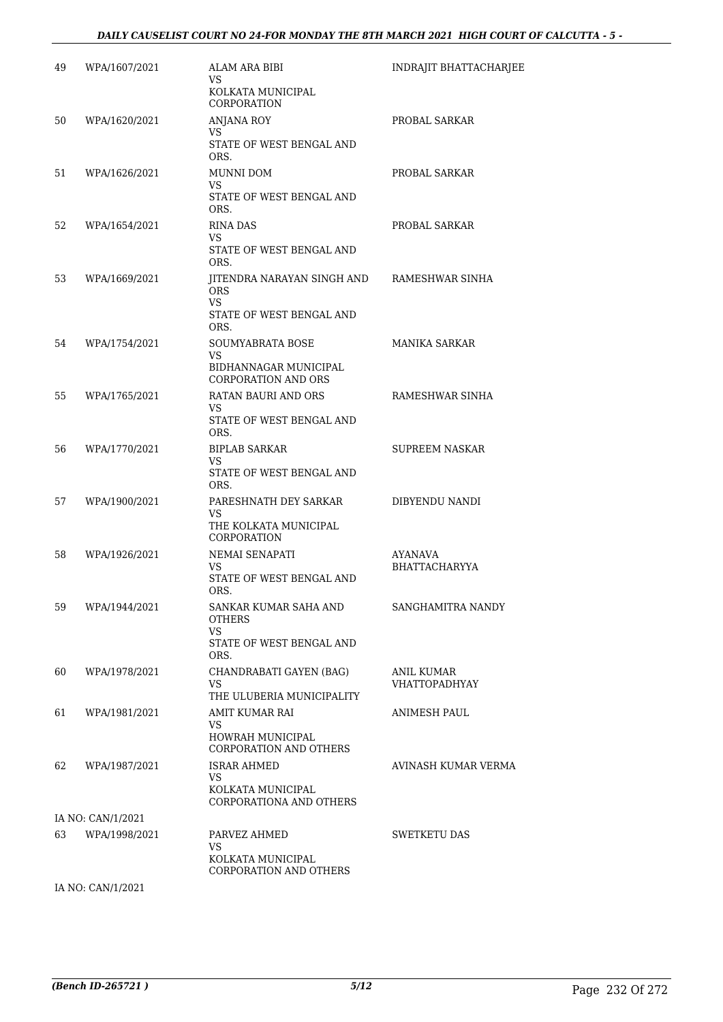#### *DAILY CAUSELIST COURT NO 24-FOR MONDAY THE 8TH MARCH 2021 HIGH COURT OF CALCUTTA - 5 -*

| 49 | WPA/1607/2021     | ALAM ARA BIBI<br>VS<br>KOLKATA MUNICIPAL                                                  | INDRAJIT BHATTACHARJEE             |
|----|-------------------|-------------------------------------------------------------------------------------------|------------------------------------|
| 50 | WPA/1620/2021     | CORPORATION<br>ANJANA ROY<br>VS<br>STATE OF WEST BENGAL AND<br>ORS.                       | PROBAL SARKAR                      |
| 51 | WPA/1626/2021     | MUNNI DOM<br>VS.<br>STATE OF WEST BENGAL AND<br>ORS.                                      | PROBAL SARKAR                      |
| 52 | WPA/1654/2021     | RINA DAS<br>VS<br>STATE OF WEST BENGAL AND<br>ORS.                                        | PROBAL SARKAR                      |
| 53 | WPA/1669/2021     | JITENDRA NARAYAN SINGH AND<br><b>ORS</b><br><b>VS</b><br>STATE OF WEST BENGAL AND<br>ORS. | RAMESHWAR SINHA                    |
| 54 | WPA/1754/2021     | SOUMYABRATA BOSE<br>VS<br>BIDHANNAGAR MUNICIPAL<br><b>CORPORATION AND ORS</b>             | MANIKA SARKAR                      |
| 55 | WPA/1765/2021     | <b>RATAN BAURI AND ORS</b><br>VS<br>STATE OF WEST BENGAL AND<br>ORS.                      | RAMESHWAR SINHA                    |
| 56 | WPA/1770/2021     | <b>BIPLAB SARKAR</b><br>VS<br>STATE OF WEST BENGAL AND<br>ORS.                            | <b>SUPREEM NASKAR</b>              |
| 57 | WPA/1900/2021     | PARESHNATH DEY SARKAR<br>VS<br>THE KOLKATA MUNICIPAL<br>CORPORATION                       | DIBYENDU NANDI                     |
| 58 | WPA/1926/2021     | NEMAI SENAPATI<br>VS<br>STATE OF WEST BENGAL AND<br>ORS.                                  | AYANAVA<br><b>BHATTACHARYYA</b>    |
| 59 | WPA/1944/2021     | SANKAR KUMAR SAHA AND<br><b>OTHERS</b><br>VS.<br>STATE OF WEST BENGAL AND                 | SANGHAMITRA NANDY                  |
| 60 | WPA/1978/2021     | ORS.<br>CHANDRABATI GAYEN (BAG)<br>VS<br>THE ULUBERIA MUNICIPALITY                        | ANIL KUMAR<br><b>VHATTOPADHYAY</b> |
| 61 | WPA/1981/2021     | AMIT KUMAR RAI<br>VS<br>HOWRAH MUNICIPAL<br>CORPORATION AND OTHERS                        | ANIMESH PAUL                       |
| 62 | WPA/1987/2021     | <b>ISRAR AHMED</b><br>VS.<br>KOLKATA MUNICIPAL<br>CORPORATIONA AND OTHERS                 | AVINASH KUMAR VERMA                |
|    | IA NO: CAN/1/2021 |                                                                                           |                                    |
| 63 | WPA/1998/2021     | PARVEZ AHMED<br>VS<br>KOLKATA MUNICIPAL<br>CORPORATION AND OTHERS                         | SWETKETU DAS                       |
|    | IA NO: CAN/1/2021 |                                                                                           |                                    |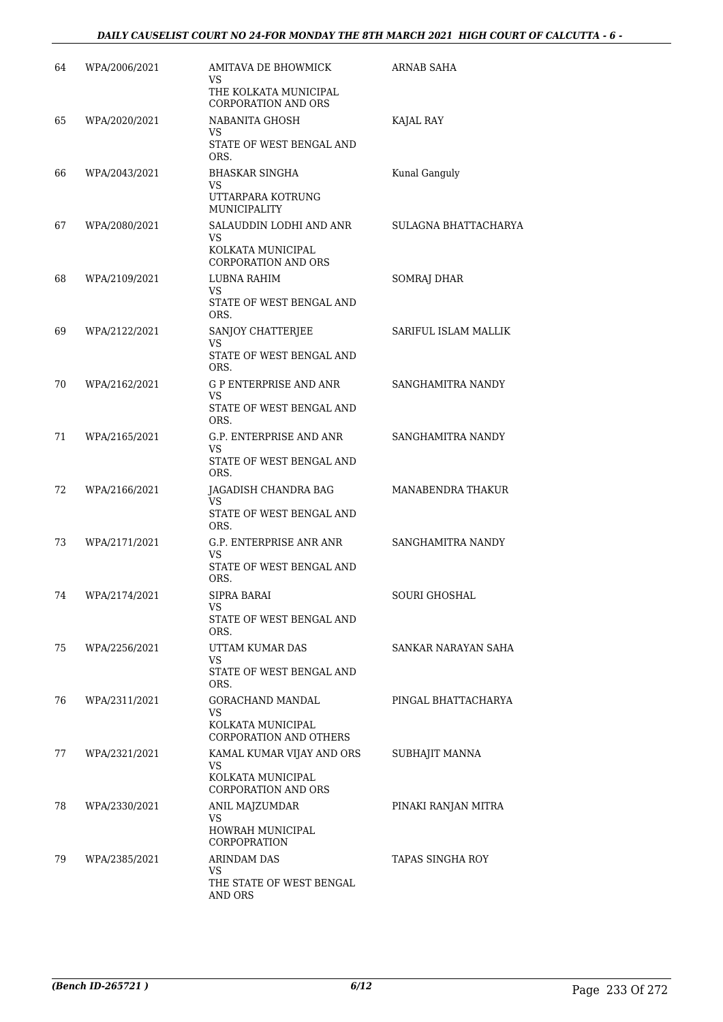#### *DAILY CAUSELIST COURT NO 24-FOR MONDAY THE 8TH MARCH 2021 HIGH COURT OF CALCUTTA - 6 -*

| 64 | WPA/2006/2021 | AMITAVA DE BHOWMICK<br>VS<br>THE KOLKATA MUNICIPAL<br><b>CORPORATION AND ORS</b>    | ARNAB SAHA           |
|----|---------------|-------------------------------------------------------------------------------------|----------------------|
| 65 | WPA/2020/2021 | NABANITA GHOSH<br>VS<br>STATE OF WEST BENGAL AND<br>ORS.                            | KAJAL RAY            |
| 66 | WPA/2043/2021 | BHASKAR SINGHA<br>VS<br>UTTARPARA KOTRUNG<br>MUNICIPALITY                           | Kunal Ganguly        |
| 67 | WPA/2080/2021 | SALAUDDIN LODHI AND ANR<br>VS<br>KOLKATA MUNICIPAL<br><b>CORPORATION AND ORS</b>    | SULAGNA BHATTACHARYA |
| 68 | WPA/2109/2021 | LUBNA RAHIM<br>VS<br>STATE OF WEST BENGAL AND<br>ORS.                               | SOMRAJ DHAR          |
| 69 | WPA/2122/2021 | SANJOY CHATTERJEE<br>VS<br>STATE OF WEST BENGAL AND<br>ORS.                         | SARIFUL ISLAM MALLIK |
| 70 | WPA/2162/2021 | <b>G P ENTERPRISE AND ANR</b><br>VS.<br>STATE OF WEST BENGAL AND<br>ORS.            | SANGHAMITRA NANDY    |
| 71 | WPA/2165/2021 | G.P. ENTERPRISE AND ANR<br>VS<br>STATE OF WEST BENGAL AND<br>ORS.                   | SANGHAMITRA NANDY    |
| 72 | WPA/2166/2021 | JAGADISH CHANDRA BAG<br>VS<br>STATE OF WEST BENGAL AND<br>ORS.                      | MANABENDRA THAKUR    |
| 73 | WPA/2171/2021 | G.P. ENTERPRISE ANR ANR<br>VS<br>STATE OF WEST BENGAL AND<br>ORS.                   | SANGHAMITRA NANDY    |
| 74 | WPA/2174/2021 | <b>SIPRA BARAI</b><br>VS<br>STATE OF WEST BENGAL AND<br>ORS.                        | SOURI GHOSHAL        |
| 75 | WPA/2256/2021 | UTTAM KUMAR DAS<br>VS.<br>STATE OF WEST BENGAL AND<br>ORS.                          | SANKAR NARAYAN SAHA  |
| 76 | WPA/2311/2021 | GORACHAND MANDAL<br>VS<br>KOLKATA MUNICIPAL<br>CORPORATION AND OTHERS               | PINGAL BHATTACHARYA  |
| 77 | WPA/2321/2021 | KAMAL KUMAR VIJAY AND ORS<br>VS.<br>KOLKATA MUNICIPAL<br><b>CORPORATION AND ORS</b> | SUBHAJIT MANNA       |
| 78 | WPA/2330/2021 | ANIL MAJZUMDAR<br>VS<br>HOWRAH MUNICIPAL<br>CORPOPRATION                            | PINAKI RANJAN MITRA  |
| 79 | WPA/2385/2021 | <b>ARINDAM DAS</b><br>VS<br>THE STATE OF WEST BENGAL<br>AND ORS                     | TAPAS SINGHA ROY     |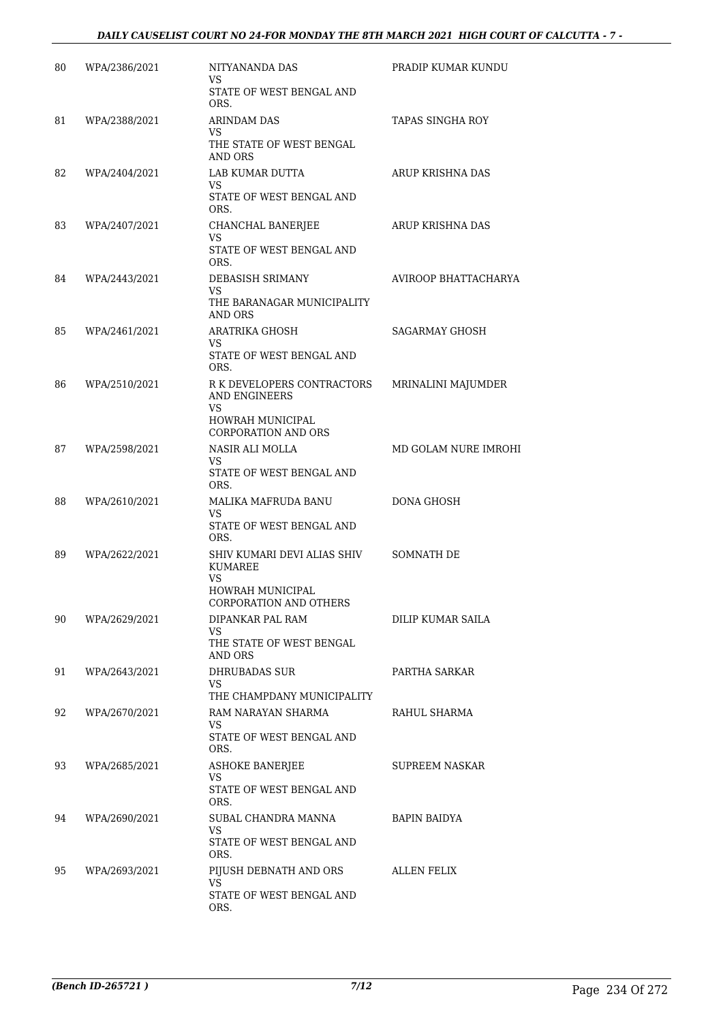| 80 | WPA/2386/2021 | NITYANANDA DAS<br>VS.<br>STATE OF WEST BENGAL AND                                                 | PRADIP KUMAR KUNDU   |
|----|---------------|---------------------------------------------------------------------------------------------------|----------------------|
| 81 | WPA/2388/2021 | ORS.<br><b>ARINDAM DAS</b>                                                                        | TAPAS SINGHA ROY     |
|    |               | VS<br>THE STATE OF WEST BENGAL<br>AND ORS                                                         |                      |
| 82 | WPA/2404/2021 | LAB KUMAR DUTTA<br>VS.<br>STATE OF WEST BENGAL AND<br>ORS.                                        | ARUP KRISHNA DAS     |
| 83 | WPA/2407/2021 | CHANCHAL BANERJEE<br>VS<br>STATE OF WEST BENGAL AND<br>ORS.                                       | ARUP KRISHNA DAS     |
| 84 | WPA/2443/2021 | DEBASISH SRIMANY<br>VS.<br>THE BARANAGAR MUNICIPALITY<br>AND ORS                                  | AVIROOP BHATTACHARYA |
| 85 | WPA/2461/2021 | <b>ARATRIKA GHOSH</b><br>VS<br>STATE OF WEST BENGAL AND<br>ORS.                                   | SAGARMAY GHOSH       |
| 86 | WPA/2510/2021 | R K DEVELOPERS CONTRACTORS<br>AND ENGINEERS<br>VS<br>HOWRAH MUNICIPAL<br>CORPORATION AND ORS      | MRINALINI MAJUMDER   |
| 87 | WPA/2598/2021 | NASIR ALI MOLLA<br>VS.<br>STATE OF WEST BENGAL AND<br>ORS.                                        | MD GOLAM NURE IMROHI |
| 88 | WPA/2610/2021 | MALIKA MAFRUDA BANU<br>VS<br>STATE OF WEST BENGAL AND<br>ORS.                                     | DONA GHOSH           |
| 89 | WPA/2622/2021 | SHIV KUMARI DEVI ALIAS SHIV<br><b>KUMAREE</b><br>VS<br>HOWRAH MUNICIPAL<br>CORPORATION AND OTHERS | SOMNATH DE           |
| 90 | WPA/2629/2021 | DIPANKAR PAL RAM<br>VS<br>THE STATE OF WEST BENGAL<br><b>AND ORS</b>                              | DILIP KUMAR SAILA    |
| 91 | WPA/2643/2021 | DHRUBADAS SUR<br>VS.<br>THE CHAMPDANY MUNICIPALITY                                                | PARTHA SARKAR        |
| 92 | WPA/2670/2021 | RAM NARAYAN SHARMA<br>VS.<br>STATE OF WEST BENGAL AND<br>ORS.                                     | RAHUL SHARMA         |
| 93 | WPA/2685/2021 | <b>ASHOKE BANERJEE</b><br>VS<br>STATE OF WEST BENGAL AND<br>ORS.                                  | SUPREEM NASKAR       |
| 94 | WPA/2690/2021 | SUBAL CHANDRA MANNA<br>VS.<br>STATE OF WEST BENGAL AND<br>ORS.                                    | BAPIN BAIDYA         |
| 95 | WPA/2693/2021 | PIJUSH DEBNATH AND ORS<br>VS.<br>STATE OF WEST BENGAL AND<br>ORS.                                 | ALLEN FELIX          |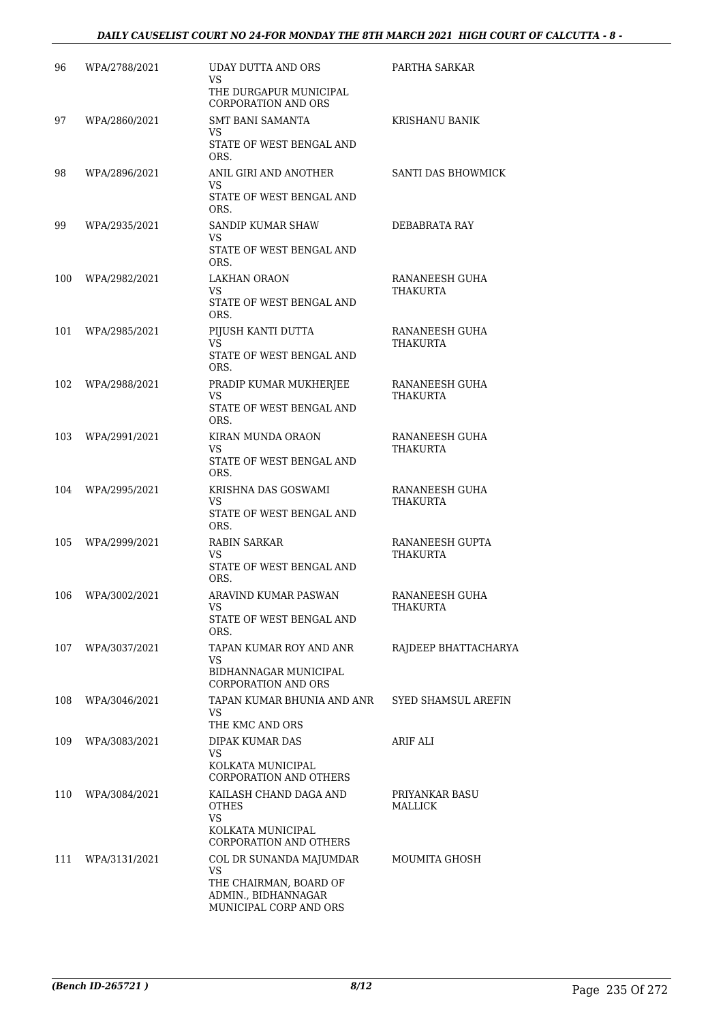#### *DAILY CAUSELIST COURT NO 24-FOR MONDAY THE 8TH MARCH 2021 HIGH COURT OF CALCUTTA - 8 -*

| 96  | WPA/2788/2021 | UDAY DUTTA AND ORS<br>VS.                                               | PARTHA SARKAR                      |
|-----|---------------|-------------------------------------------------------------------------|------------------------------------|
|     |               | THE DURGAPUR MUNICIPAL<br>CORPORATION AND ORS                           |                                    |
| 97  | WPA/2860/2021 | <b>SMT BANI SAMANTA</b><br>VS<br>STATE OF WEST BENGAL AND               | KRISHANU BANIK                     |
|     |               | ORS.                                                                    |                                    |
| 98  | WPA/2896/2021 | ANIL GIRI AND ANOTHER<br>VS.<br>STATE OF WEST BENGAL AND<br>ORS.        | SANTI DAS BHOWMICK                 |
| 99  | WPA/2935/2021 | SANDIP KUMAR SHAW<br>VS                                                 | DEBABRATA RAY                      |
|     |               | STATE OF WEST BENGAL AND<br>ORS.                                        |                                    |
| 100 | WPA/2982/2021 | LAKHAN ORAON<br>VS                                                      | RANANEESH GUHA<br>THAKURTA         |
|     |               | STATE OF WEST BENGAL AND<br>ORS.                                        |                                    |
| 101 | WPA/2985/2021 | PIJUSH KANTI DUTTA<br>VS                                                | RANANEESH GUHA<br><b>THAKURTA</b>  |
|     |               | STATE OF WEST BENGAL AND<br>ORS.                                        |                                    |
| 102 | WPA/2988/2021 | PRADIP KUMAR MUKHERJEE<br><b>VS</b>                                     | RANANEESH GUHA<br><b>THAKURTA</b>  |
|     |               | STATE OF WEST BENGAL AND<br>ORS.                                        |                                    |
| 103 | WPA/2991/2021 | KIRAN MUNDA ORAON<br>VS.                                                | RANANEESH GUHA<br>THAKURTA         |
|     |               | STATE OF WEST BENGAL AND<br>ORS.                                        |                                    |
| 104 | WPA/2995/2021 | KRISHNA DAS GOSWAMI<br>VS                                               | RANANEESH GUHA<br><b>THAKURTA</b>  |
|     |               | STATE OF WEST BENGAL AND<br>ORS.                                        |                                    |
| 105 | WPA/2999/2021 | RABIN SARKAR<br>VS                                                      | RANANEESH GUPTA<br><b>THAKURTA</b> |
|     |               | STATE OF WEST BENGAL AND<br>ORS.                                        |                                    |
| 106 | WPA/3002/2021 | ARAVIND KUMAR PASWAN<br>VS                                              | RANANEESH GUHA<br>THAKURTA         |
|     |               | STATE OF WEST BENGAL AND<br>ORS.                                        |                                    |
| 107 | WPA/3037/2021 | TAPAN KUMAR ROY AND ANR<br>VS                                           | RAJDEEP BHATTACHARYA               |
|     |               | BIDHANNAGAR MUNICIPAL<br><b>CORPORATION AND ORS</b>                     |                                    |
| 108 | WPA/3046/2021 | TAPAN KUMAR BHUNIA AND ANR<br>VS.                                       | SYED SHAMSUL AREFIN                |
|     |               | THE KMC AND ORS                                                         |                                    |
| 109 | WPA/3083/2021 | DIPAK KUMAR DAS<br>VS.                                                  | ARIF ALI                           |
|     |               | KOLKATA MUNICIPAL<br>CORPORATION AND OTHERS                             |                                    |
| 110 | WPA/3084/2021 | KAILASH CHAND DAGA AND<br><b>OTHES</b><br><b>VS</b>                     | PRIYANKAR BASU<br>MALLICK          |
|     |               | KOLKATA MUNICIPAL<br>CORPORATION AND OTHERS                             |                                    |
| 111 | WPA/3131/2021 | COL DR SUNANDA MAJUMDAR<br>VS.                                          | MOUMITA GHOSH                      |
|     |               | THE CHAIRMAN, BOARD OF<br>ADMIN., BIDHANNAGAR<br>MUNICIPAL CORP AND ORS |                                    |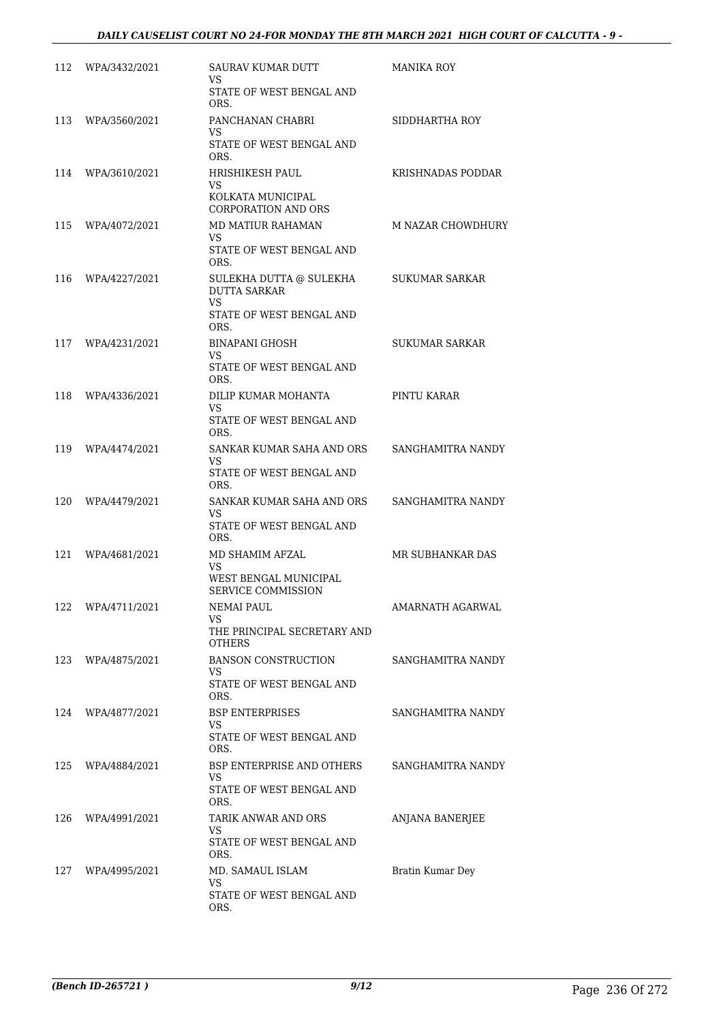| 112 | WPA/3432/2021 | SAURAV KUMAR DUTT<br>VS.                                                    | <b>MANIKA ROY</b>     |
|-----|---------------|-----------------------------------------------------------------------------|-----------------------|
|     |               | STATE OF WEST BENGAL AND<br>ORS.                                            |                       |
| 113 | WPA/3560/2021 | PANCHANAN CHABRI<br>VS                                                      | SIDDHARTHA ROY        |
|     |               | STATE OF WEST BENGAL AND<br>ORS.                                            |                       |
| 114 | WPA/3610/2021 | HRISHIKESH PAUL<br>VS.                                                      | KRISHNADAS PODDAR     |
|     |               | KOLKATA MUNICIPAL<br><b>CORPORATION AND ORS</b>                             |                       |
| 115 | WPA/4072/2021 | MD MATIUR RAHAMAN<br>VS.                                                    | M NAZAR CHOWDHURY     |
|     |               | STATE OF WEST BENGAL AND<br>ORS.                                            |                       |
| 116 | WPA/4227/2021 | SULEKHA DUTTA @ SULEKHA<br><b>DUTTA SARKAR</b><br>VS.                       | SUKUMAR SARKAR        |
|     |               | STATE OF WEST BENGAL AND<br>ORS.                                            |                       |
| 117 | WPA/4231/2021 | <b>BINAPANI GHOSH</b><br>VS.                                                | <b>SUKUMAR SARKAR</b> |
|     |               | STATE OF WEST BENGAL AND<br>ORS.                                            |                       |
| 118 | WPA/4336/2021 | DILIP KUMAR MOHANTA<br>VS                                                   | PINTU KARAR           |
|     |               | STATE OF WEST BENGAL AND<br>ORS.                                            |                       |
| 119 | WPA/4474/2021 | SANKAR KUMAR SAHA AND ORS<br>VS.<br>STATE OF WEST BENGAL AND                | SANGHAMITRA NANDY     |
| 120 | WPA/4479/2021 | ORS.<br>SANKAR KUMAR SAHA AND ORS                                           | SANGHAMITRA NANDY     |
|     |               | VS.<br>STATE OF WEST BENGAL AND<br>ORS.                                     |                       |
| 121 | WPA/4681/2021 | MD SHAMIM AFZAL<br>VS.                                                      | MR SUBHANKAR DAS      |
|     |               | WEST BENGAL MUNICIPAL<br><b>SERVICE COMMISSION</b>                          |                       |
| 122 | WPA/4711/2021 | NEMAI PAUL<br>VS                                                            | AMARNATH AGARWAL      |
|     |               | THE PRINCIPAL SECRETARY AND<br><b>OTHERS</b>                                |                       |
| 123 | WPA/4875/2021 | <b>BANSON CONSTRUCTION</b><br>VS.                                           | SANGHAMITRA NANDY     |
|     |               | STATE OF WEST BENGAL AND<br>ORS.                                            |                       |
| 124 | WPA/4877/2021 | <b>BSP ENTERPRISES</b><br>VS.                                               | SANGHAMITRA NANDY     |
|     |               | STATE OF WEST BENGAL AND<br>ORS.                                            |                       |
| 125 | WPA/4884/2021 | <b>BSP ENTERPRISE AND OTHERS</b><br>VS.<br>STATE OF WEST BENGAL AND<br>ORS. | SANGHAMITRA NANDY     |
| 126 | WPA/4991/2021 | TARIK ANWAR AND ORS                                                         | ANJANA BANERJEE       |
|     |               | VS<br>STATE OF WEST BENGAL AND<br>ORS.                                      |                       |
| 127 | WPA/4995/2021 | MD. SAMAUL ISLAM<br>VS.                                                     | Bratin Kumar Dey      |
|     |               | STATE OF WEST BENGAL AND<br>ORS.                                            |                       |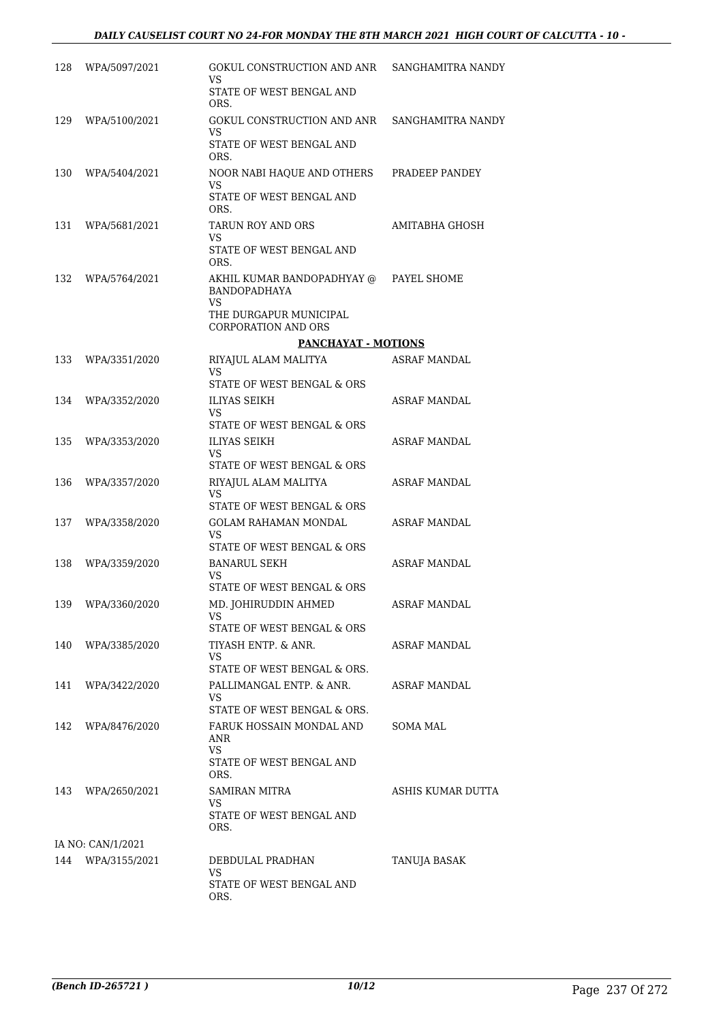| 128 | WPA/5097/2021     | GOKUL CONSTRUCTION AND ANR<br>VS<br>STATE OF WEST BENGAL AND<br>ORS.                                                        | SANGHAMITRA NANDY   |
|-----|-------------------|-----------------------------------------------------------------------------------------------------------------------------|---------------------|
| 129 | WPA/5100/2021     | GOKUL CONSTRUCTION AND ANR<br>VS<br>STATE OF WEST BENGAL AND<br>ORS.                                                        | SANGHAMITRA NANDY   |
| 130 | WPA/5404/2021     | NOOR NABI HAQUE AND OTHERS<br>VS<br>STATE OF WEST BENGAL AND<br>ORS.                                                        | PRADEEP PANDEY      |
| 131 | WPA/5681/2021     | <b>TARUN ROY AND ORS</b><br>VS<br>STATE OF WEST BENGAL AND<br>ORS.                                                          | AMITABHA GHOSH      |
| 132 | WPA/5764/2021     | AKHIL KUMAR BANDOPADHYAY @ PAYEL SHOME<br><b>BANDOPADHAYA</b><br>VS<br>THE DURGAPUR MUNICIPAL<br><b>CORPORATION AND ORS</b> |                     |
|     |                   | <b>PANCHAYAT - MOTIONS</b>                                                                                                  |                     |
| 133 | WPA/3351/2020     | RIYAJUL ALAM MALITYA                                                                                                        | <b>ASRAF MANDAL</b> |
| 134 | WPA/3352/2020     | VS<br>STATE OF WEST BENGAL & ORS<br>ILIYAS SEIKH                                                                            | ASRAF MANDAL        |
|     |                   | VS<br>STATE OF WEST BENGAL & ORS                                                                                            |                     |
| 135 | WPA/3353/2020     | ILIYAS SEIKH<br><b>VS</b><br>STATE OF WEST BENGAL & ORS                                                                     | ASRAF MANDAL        |
| 136 | WPA/3357/2020     | RIYAJUL ALAM MALITYA<br>VS<br>STATE OF WEST BENGAL & ORS                                                                    | ASRAF MANDAL        |
| 137 | WPA/3358/2020     | GOLAM RAHAMAN MONDAL<br>VS.<br>STATE OF WEST BENGAL & ORS                                                                   | ASRAF MANDAL        |
| 138 | WPA/3359/2020     | <b>BANARUL SEKH</b><br>VS<br>STATE OF WEST BENGAL & ORS                                                                     | ASRAF MANDAL        |
| 139 | WPA/3360/2020     | MD. JOHIRUDDIN AHMED<br>VS.<br>STATE OF WEST BENGAL & ORS                                                                   | <b>ASRAF MANDAL</b> |
| 140 | WPA/3385/2020     | TIYASH ENTP. & ANR.<br>VS.<br>STATE OF WEST BENGAL & ORS.                                                                   | ASRAF MANDAL        |
| 141 | WPA/3422/2020     | PALLIMANGAL ENTP. & ANR.<br>VS<br>STATE OF WEST BENGAL & ORS.                                                               | ASRAF MANDAL        |
| 142 | WPA/8476/2020     | FARUK HOSSAIN MONDAL AND<br>ANR<br><b>VS</b><br>STATE OF WEST BENGAL AND<br>ORS.                                            | SOMA MAL            |
| 143 | WPA/2650/2021     | SAMIRAN MITRA<br>VS<br>STATE OF WEST BENGAL AND<br>ORS.                                                                     | ASHIS KUMAR DUTTA   |
|     | IA NO: CAN/1/2021 |                                                                                                                             |                     |
| 144 | WPA/3155/2021     | DEBDULAL PRADHAN<br>VS.<br>STATE OF WEST BENGAL AND<br>ORS.                                                                 | TANUJA BASAK        |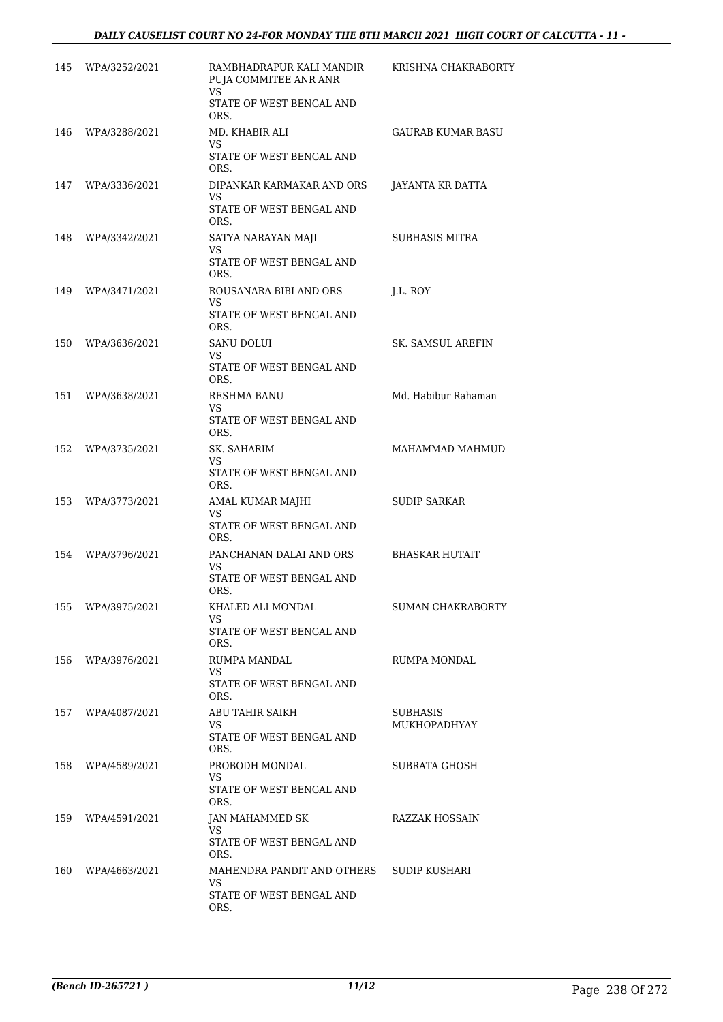| 145 | WPA/3252/2021 | RAMBHADRAPUR KALI MANDIR<br>PUJA COMMITEE ANR ANR<br>VS<br>STATE OF WEST BENGAL AND | KRISHNA CHAKRABORTY      |
|-----|---------------|-------------------------------------------------------------------------------------|--------------------------|
| 146 | WPA/3288/2021 | ORS.<br>MD. KHABIR ALI<br><b>VS</b><br>STATE OF WEST BENGAL AND                     | GAURAB KUMAR BASU        |
| 147 | WPA/3336/2021 | ORS.<br>DIPANKAR KARMAKAR AND ORS<br>VS<br>STATE OF WEST BENGAL AND                 | JAYANTA KR DATTA         |
| 148 | WPA/3342/2021 | ORS.<br>SATYA NARAYAN MAJI<br>VS<br>STATE OF WEST BENGAL AND                        | SUBHASIS MITRA           |
| 149 | WPA/3471/2021 | ORS.<br>ROUSANARA BIBI AND ORS<br>VS<br>STATE OF WEST BENGAL AND                    | J.L. ROY                 |
| 150 | WPA/3636/2021 | ORS.<br>SANU DOLUI<br>VS<br>STATE OF WEST BENGAL AND                                | SK. SAMSUL AREFIN        |
| 151 | WPA/3638/2021 | ORS.<br>RESHMA BANU<br>VS<br>STATE OF WEST BENGAL AND                               | Md. Habibur Rahaman      |
| 152 | WPA/3735/2021 | ORS.<br>SK. SAHARIM<br>VS<br>STATE OF WEST BENGAL AND                               | MAHAMMAD MAHMUD          |
| 153 | WPA/3773/2021 | ORS.<br>AMAL KUMAR MAJHI<br>VS<br>STATE OF WEST BENGAL AND<br>ORS.                  | <b>SUDIP SARKAR</b>      |
| 154 | WPA/3796/2021 | PANCHANAN DALAI AND ORS<br>VS<br>STATE OF WEST BENGAL AND                           | <b>BHASKAR HUTAIT</b>    |
| 155 | WPA/3975/2021 | ORS.<br>KHALED ALI MONDAL<br>VS.<br>STATE OF WEST BENGAL AND<br>ORS.                | <b>SUMAN CHAKRABORTY</b> |
| 156 | WPA/3976/2021 | RUMPA MANDAL<br>VS<br>STATE OF WEST BENGAL AND<br>ORS.                              | RUMPA MONDAL             |
| 157 | WPA/4087/2021 | ABU TAHIR SAIKH<br>VS<br>STATE OF WEST BENGAL AND<br>ORS.                           | SUBHASIS<br>MUKHOPADHYAY |
| 158 | WPA/4589/2021 | PROBODH MONDAL<br>VS<br>STATE OF WEST BENGAL AND<br>ORS.                            | SUBRATA GHOSH            |
| 159 | WPA/4591/2021 | JAN MAHAMMED SK<br>VS<br>STATE OF WEST BENGAL AND<br>ORS.                           | RAZZAK HOSSAIN           |
| 160 | WPA/4663/2021 | MAHENDRA PANDIT AND OTHERS<br>VS<br>STATE OF WEST BENGAL AND<br>ORS.                | SUDIP KUSHARI            |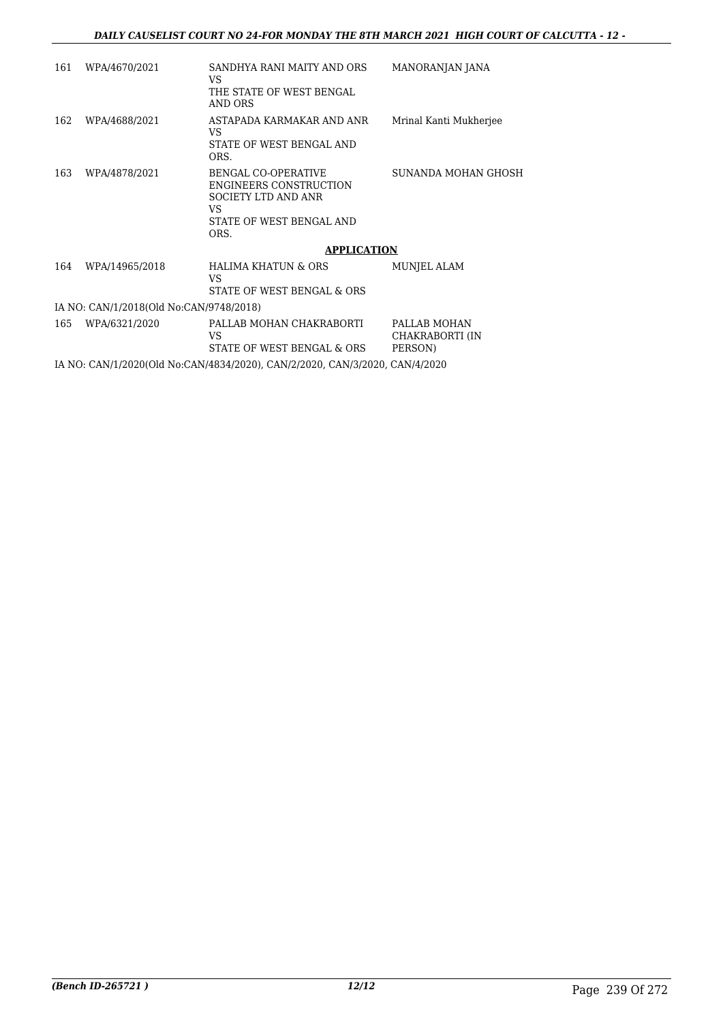| 161 | WPA/4670/2021                           | SANDHYA RANI MAITY AND ORS<br>VS<br>THE STATE OF WEST BENGAL<br>AND ORS                                                             | MANORANJAN JANA                            |  |  |
|-----|-----------------------------------------|-------------------------------------------------------------------------------------------------------------------------------------|--------------------------------------------|--|--|
| 162 | WPA/4688/2021                           | ASTAPADA KARMAKAR AND ANR<br>VS.<br>STATE OF WEST BENGAL AND<br>ORS.                                                                | Mrinal Kanti Mukherjee                     |  |  |
| 163 | WPA/4878/2021                           | <b>BENGAL CO-OPERATIVE</b><br><b>ENGINEERS CONSTRUCTION</b><br><b>SOCIETY LTD AND ANR</b><br>VS<br>STATE OF WEST BENGAL AND<br>ORS. | SUNANDA MOHAN GHOSH                        |  |  |
|     |                                         | <b>APPLICATION</b>                                                                                                                  |                                            |  |  |
| 164 | WPA/14965/2018                          | <b>HALIMA KHATUN &amp; ORS</b><br>VS<br>STATE OF WEST BENGAL & ORS                                                                  | MUNJEL ALAM                                |  |  |
|     | IA NO: CAN/1/2018(Old No:CAN/9748/2018) |                                                                                                                                     |                                            |  |  |
| 165 | WPA/6321/2020                           | PALLAB MOHAN CHAKRABORTI<br>VS<br>STATE OF WEST BENGAL & ORS                                                                        | PALLAB MOHAN<br>CHAKRABORTI (IN<br>PERSON) |  |  |
|     |                                         | IA NO: CAN/1/2020(Old No:CAN/4834/2020), CAN/2/2020, CAN/3/2020, CAN/4/2020                                                         |                                            |  |  |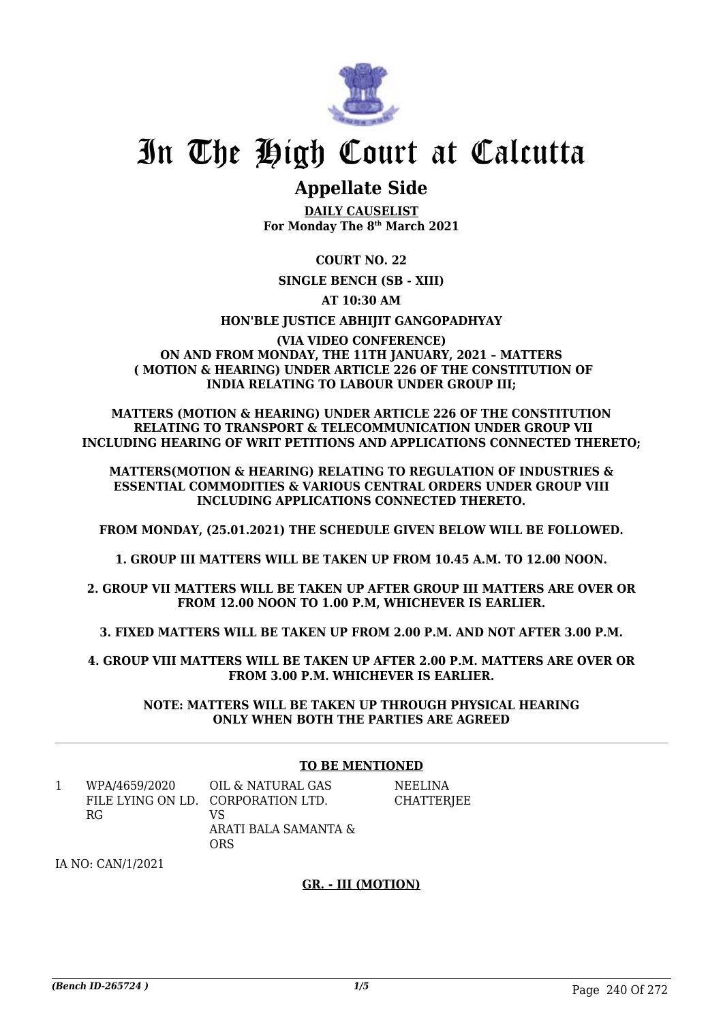

## **Appellate Side**

**DAILY CAUSELIST For Monday The 8th March 2021**

**COURT NO. 22**

**SINGLE BENCH (SB - XIII)**

**AT 10:30 AM**

**HON'BLE JUSTICE ABHIJIT GANGOPADHYAY**

#### **(VIA VIDEO CONFERENCE) ON AND FROM MONDAY, THE 11TH JANUARY, 2021 – MATTERS ( MOTION & HEARING) UNDER ARTICLE 226 OF THE CONSTITUTION OF INDIA RELATING TO LABOUR UNDER GROUP III;**

**MATTERS (MOTION & HEARING) UNDER ARTICLE 226 OF THE CONSTITUTION RELATING TO TRANSPORT & TELECOMMUNICATION UNDER GROUP VII INCLUDING HEARING OF WRIT PETITIONS AND APPLICATIONS CONNECTED THERETO;**

**MATTERS(MOTION & HEARING) RELATING TO REGULATION OF INDUSTRIES & ESSENTIAL COMMODITIES & VARIOUS CENTRAL ORDERS UNDER GROUP VIII INCLUDING APPLICATIONS CONNECTED THERETO.**

**FROM MONDAY, (25.01.2021) THE SCHEDULE GIVEN BELOW WILL BE FOLLOWED.**

**1. GROUP III MATTERS WILL BE TAKEN UP FROM 10.45 A.M. TO 12.00 NOON.**

**2. GROUP VII MATTERS WILL BE TAKEN UP AFTER GROUP III MATTERS ARE OVER OR FROM 12.00 NOON TO 1.00 P.M, WHICHEVER IS EARLIER.**

**3. FIXED MATTERS WILL BE TAKEN UP FROM 2.00 P.M. AND NOT AFTER 3.00 P.M.**

**4. GROUP VIII MATTERS WILL BE TAKEN UP AFTER 2.00 P.M. MATTERS ARE OVER OR FROM 3.00 P.M. WHICHEVER IS EARLIER.**

**NOTE: MATTERS WILL BE TAKEN UP THROUGH PHYSICAL HEARING ONLY WHEN BOTH THE PARTIES ARE AGREED**

### **TO BE MENTIONED**

| WPA/4659/2020 | OIL & NATURAL GAS                  | <b>NEELINA</b> |
|---------------|------------------------------------|----------------|
|               | FILE LYING ON LD. CORPORATION LTD. | CHATTERJEE     |
| RG.           | VS                                 |                |
|               | ARATI BALA SAMANTA &               |                |
|               | ORS                                |                |

IA NO: CAN/1/2021

#### **GR. - III (MOTION)**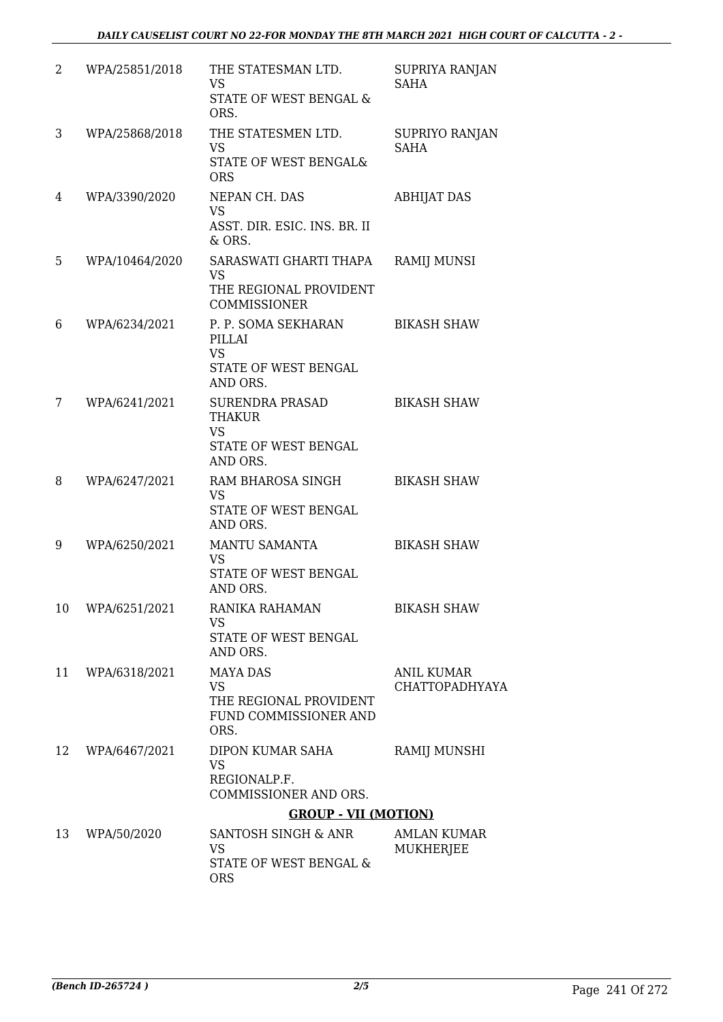| 2  | WPA/25851/2018 | THE STATESMAN LTD.<br><b>VS</b><br>STATE OF WEST BENGAL &<br>ORS.                       | SUPRIYA RANJAN<br><b>SAHA</b>       |
|----|----------------|-----------------------------------------------------------------------------------------|-------------------------------------|
| 3  | WPA/25868/2018 | THE STATESMEN LTD.<br><b>VS</b><br>STATE OF WEST BENGAL&<br><b>ORS</b>                  | SUPRIYO RANJAN<br><b>SAHA</b>       |
| 4  | WPA/3390/2020  | NEPAN CH. DAS<br><b>VS</b><br>ASST. DIR. ESIC. INS. BR. II<br>& ORS.                    | <b>ABHIJAT DAS</b>                  |
| 5  | WPA/10464/2020 | SARASWATI GHARTI THAPA<br><b>VS</b><br>THE REGIONAL PROVIDENT<br><b>COMMISSIONER</b>    | <b>RAMIJ MUNSI</b>                  |
| 6  | WPA/6234/2021  | P. P. SOMA SEKHARAN<br>PILLAI<br><b>VS</b><br>STATE OF WEST BENGAL<br>AND ORS.          | <b>BIKASH SHAW</b>                  |
| 7  | WPA/6241/2021  | <b>SURENDRA PRASAD</b><br>THAKUR<br><b>VS</b><br>STATE OF WEST BENGAL<br>AND ORS.       | <b>BIKASH SHAW</b>                  |
| 8  | WPA/6247/2021  | RAM BHAROSA SINGH<br><b>VS</b><br>STATE OF WEST BENGAL<br>AND ORS.                      | <b>BIKASH SHAW</b>                  |
| 9  | WPA/6250/2021  | MANTU SAMANTA<br><b>VS</b><br>STATE OF WEST BENGAL<br>AND ORS.                          | <b>BIKASH SHAW</b>                  |
| 10 | WPA/6251/2021  | RANIKA RAHAMAN<br><b>VS</b><br>STATE OF WEST BENGAL<br>AND ORS.                         | <b>BIKASH SHAW</b>                  |
| 11 | WPA/6318/2021  | <b>MAYA DAS</b><br><b>VS</b><br>THE REGIONAL PROVIDENT<br>FUND COMMISSIONER AND<br>ORS. | <b>ANIL KUMAR</b><br>CHATTOPADHYAYA |
| 12 | WPA/6467/2021  | DIPON KUMAR SAHA<br><b>VS</b><br>REGIONALP.F.<br>COMMISSIONER AND ORS.                  | RAMIJ MUNSHI                        |
|    |                | <b>GROUP - VII (MOTION)</b>                                                             |                                     |
| 13 | WPA/50/2020    | SANTOSH SINGH & ANR<br><b>VS</b><br>STATE OF WEST BENGAL &<br><b>ORS</b>                | <b>AMLAN KUMAR</b><br>MUKHERJEE     |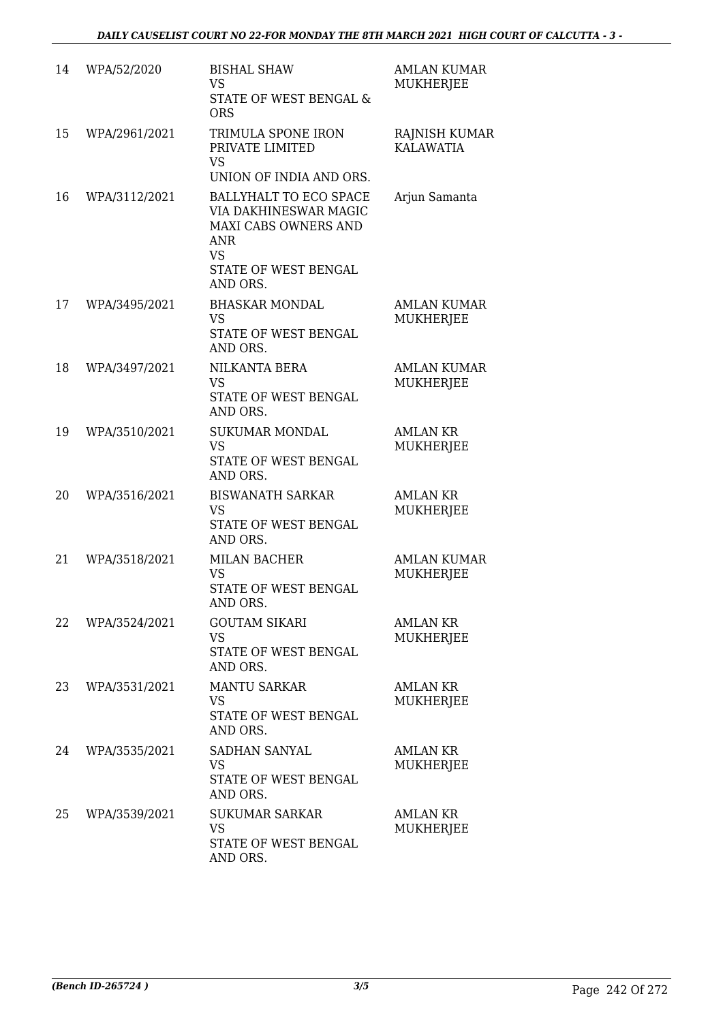| 14 | WPA/52/2020   | <b>BISHAL SHAW</b><br><b>VS</b><br>STATE OF WEST BENGAL &<br><b>ORS</b>                                                                | <b>AMLAN KUMAR</b><br><b>MUKHERJEE</b> |
|----|---------------|----------------------------------------------------------------------------------------------------------------------------------------|----------------------------------------|
| 15 | WPA/2961/2021 | TRIMULA SPONE IRON<br>PRIVATE LIMITED<br><b>VS</b><br>UNION OF INDIA AND ORS.                                                          | RAJNISH KUMAR<br><b>KALAWATIA</b>      |
| 16 | WPA/3112/2021 | BALLYHALT TO ECO SPACE<br>VIA DAKHINESWAR MAGIC<br>MAXI CABS OWNERS AND<br><b>ANR</b><br><b>VS</b><br>STATE OF WEST BENGAL<br>AND ORS. | Arjun Samanta                          |
| 17 | WPA/3495/2021 | <b>BHASKAR MONDAL</b><br><b>VS</b><br>STATE OF WEST BENGAL<br>AND ORS.                                                                 | <b>AMLAN KUMAR</b><br><b>MUKHERJEE</b> |
| 18 | WPA/3497/2021 | NILKANTA BERA<br><b>VS</b><br>STATE OF WEST BENGAL<br>AND ORS.                                                                         | <b>AMLAN KUMAR</b><br><b>MUKHERJEE</b> |
| 19 | WPA/3510/2021 | <b>SUKUMAR MONDAL</b><br><b>VS</b><br>STATE OF WEST BENGAL<br>AND ORS.                                                                 | <b>AMLAN KR</b><br><b>MUKHERJEE</b>    |
| 20 | WPA/3516/2021 | <b>BISWANATH SARKAR</b><br><b>VS</b><br>STATE OF WEST BENGAL<br>AND ORS.                                                               | <b>AMLAN KR</b><br>MUKHERJEE           |
| 21 | WPA/3518/2021 | <b>MILAN BACHER</b><br><b>VS</b><br>STATE OF WEST BENGAL<br>AND ORS.                                                                   | <b>AMLAN KUMAR</b><br><b>MUKHERJEE</b> |
| 22 | WPA/3524/2021 | <b>GOUTAM SIKARI</b><br><b>VS</b><br>STATE OF WEST BENGAL<br>AND ORS.                                                                  | <b>AMLAN KR</b><br><b>MUKHERJEE</b>    |
| 23 | WPA/3531/2021 | <b>MANTU SARKAR</b><br><b>VS</b><br>STATE OF WEST BENGAL<br>AND ORS.                                                                   | <b>AMLAN KR</b><br>MUKHERJEE           |
| 24 | WPA/3535/2021 | SADHAN SANYAL<br><b>VS</b><br>STATE OF WEST BENGAL<br>AND ORS.                                                                         | AMLAN KR<br>MUKHERJEE                  |
| 25 | WPA/3539/2021 | <b>SUKUMAR SARKAR</b><br><b>VS</b><br>STATE OF WEST BENGAL<br>AND ORS.                                                                 | <b>AMLAN KR</b><br>MUKHERJEE           |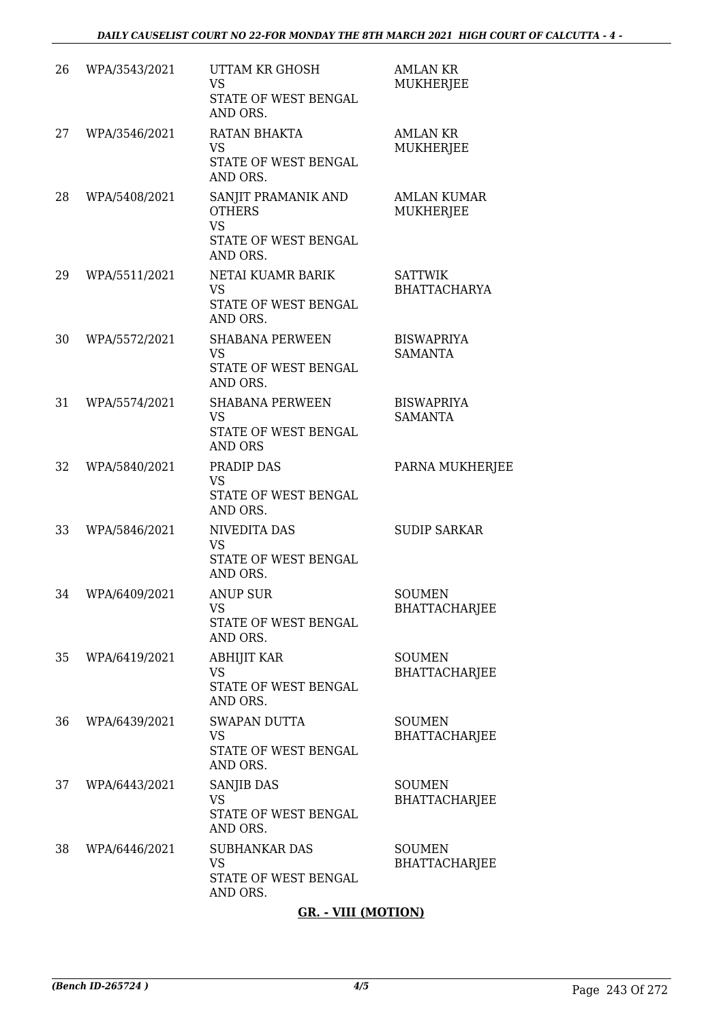| 26 | WPA/3543/2021 | <b>UTTAM KR GHOSH</b><br><b>VS</b><br>STATE OF WEST BENGAL<br>AND ORS.                | <b>AMLAN KR</b><br>MUKHERJEE           |
|----|---------------|---------------------------------------------------------------------------------------|----------------------------------------|
| 27 | WPA/3546/2021 | RATAN BHAKTA<br><b>VS</b><br>STATE OF WEST BENGAL<br>AND ORS.                         | <b>AMLAN KR</b><br>MUKHERJEE           |
| 28 | WPA/5408/2021 | SANJIT PRAMANIK AND<br><b>OTHERS</b><br><b>VS</b><br>STATE OF WEST BENGAL<br>AND ORS. | <b>AMLAN KUMAR</b><br><b>MUKHERJEE</b> |
| 29 | WPA/5511/2021 | NETAI KUAMR BARIK<br><b>VS</b><br>STATE OF WEST BENGAL<br>AND ORS.                    | <b>SATTWIK</b><br><b>BHATTACHARYA</b>  |
| 30 | WPA/5572/2021 | <b>SHABANA PERWEEN</b><br><b>VS</b><br>STATE OF WEST BENGAL<br>AND ORS.               | <b>BISWAPRIYA</b><br><b>SAMANTA</b>    |
| 31 | WPA/5574/2021 | <b>SHABANA PERWEEN</b><br><b>VS</b><br>STATE OF WEST BENGAL<br><b>AND ORS</b>         | <b>BISWAPRIYA</b><br><b>SAMANTA</b>    |
| 32 | WPA/5840/2021 | PRADIP DAS<br><b>VS</b><br>STATE OF WEST BENGAL<br>AND ORS.                           | PARNA MUKHERJEE                        |
| 33 | WPA/5846/2021 | <b>NIVEDITA DAS</b><br><b>VS</b><br>STATE OF WEST BENGAL<br>AND ORS.                  | <b>SUDIP SARKAR</b>                    |
| 34 | WPA/6409/2021 | <b>ANUP SUR</b><br><b>VS</b><br>STATE OF WEST BENGAL<br>AND ORS.                      | <b>SOUMEN</b><br><b>BHATTACHARJEE</b>  |
| 35 | WPA/6419/2021 | <b>ABHIJIT KAR</b><br><b>VS</b><br>STATE OF WEST BENGAL<br>AND ORS.                   | <b>SOUMEN</b><br><b>BHATTACHARJEE</b>  |
| 36 | WPA/6439/2021 | <b>SWAPAN DUTTA</b><br><b>VS</b><br>STATE OF WEST BENGAL<br>AND ORS.                  | <b>SOUMEN</b><br><b>BHATTACHARJEE</b>  |
| 37 | WPA/6443/2021 | SANJIB DAS<br><b>VS</b><br>STATE OF WEST BENGAL<br>AND ORS.                           | <b>SOUMEN</b><br><b>BHATTACHARJEE</b>  |
| 38 | WPA/6446/2021 | <b>SUBHANKAR DAS</b><br><b>VS</b><br>STATE OF WEST BENGAL<br>AND ORS.                 | <b>SOUMEN</b><br><b>BHATTACHARJEE</b>  |

### **GR. - VIII (MOTION)**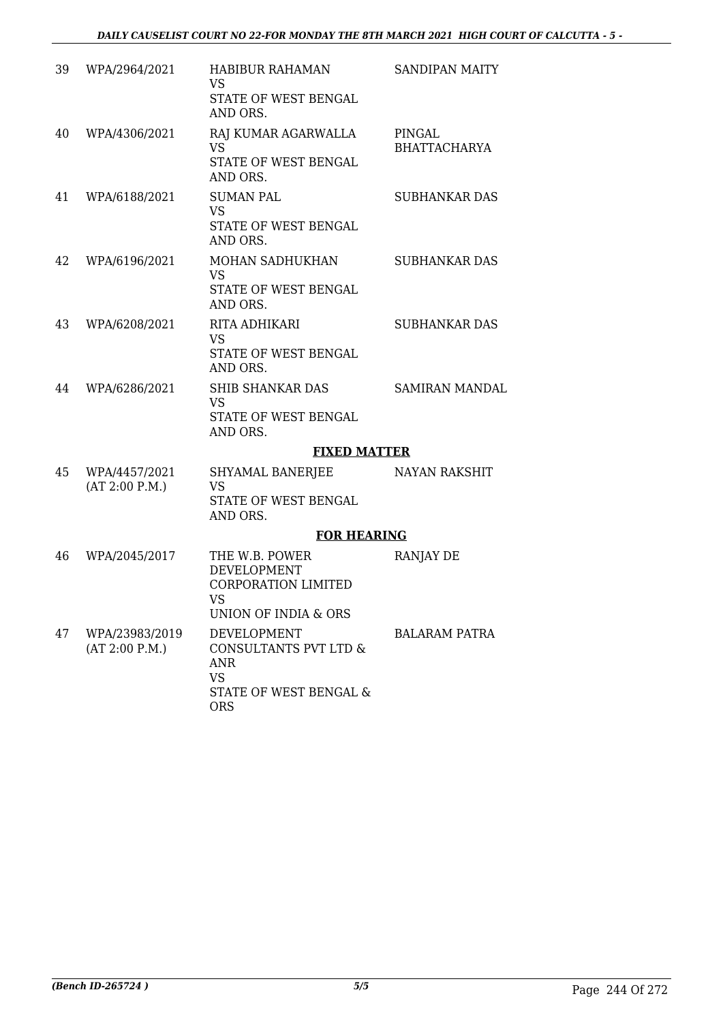| 39 | WPA/2964/2021                    | <b>HABIBUR RAHAMAN</b><br><b>VS</b>                                      | <b>SANDIPAN MAITY</b> |
|----|----------------------------------|--------------------------------------------------------------------------|-----------------------|
|    |                                  | STATE OF WEST BENGAL<br>AND ORS.                                         |                       |
| 40 | WPA/4306/2021                    | RAJ KUMAR AGARWALLA                                                      | PINGAL                |
|    |                                  | <b>VS</b><br>STATE OF WEST BENGAL<br>AND ORS.                            | <b>BHATTACHARYA</b>   |
| 41 | WPA/6188/2021                    | <b>SUMAN PAL</b>                                                         | <b>SUBHANKAR DAS</b>  |
|    |                                  | VS<br>STATE OF WEST BENGAL<br>AND ORS.                                   |                       |
| 42 | WPA/6196/2021                    | MOHAN SADHUKHAN<br><b>VS</b>                                             | <b>SUBHANKAR DAS</b>  |
|    |                                  | STATE OF WEST BENGAL<br>AND ORS.                                         |                       |
| 43 | WPA/6208/2021                    | RITA ADHIKARI<br><b>VS</b>                                               | <b>SUBHANKAR DAS</b>  |
|    |                                  | STATE OF WEST BENGAL<br>AND ORS.                                         |                       |
| 44 | WPA/6286/2021                    | <b>SHIB SHANKAR DAS</b><br><b>VS</b>                                     | <b>SAMIRAN MANDAL</b> |
|    |                                  | STATE OF WEST BENGAL<br>AND ORS.                                         |                       |
|    |                                  | <b>FIXED MATTER</b>                                                      |                       |
| 45 | WPA/4457/2021<br>(AT 2:00 P.M.)  | SHYAMAL BANERJEE<br>VS                                                   | NAYAN RAKSHIT         |
|    |                                  | STATE OF WEST BENGAL<br>AND ORS.                                         |                       |
|    |                                  | <b>FOR HEARING</b>                                                       |                       |
| 46 | WPA/2045/2017                    | THE W.B. POWER<br><b>DEVELOPMENT</b><br><b>CORPORATION LIMITED</b><br>VS | RANJAY DE             |
|    |                                  | UNION OF INDIA & ORS                                                     |                       |
| 47 | WPA/23983/2019<br>(AT 2:00 P.M.) | DEVELOPMENT<br>CONSULTANTS PVT LTD &<br><b>ANR</b><br><b>VS</b>          | <b>BALARAM PATRA</b>  |
|    |                                  | STATE OF WEST BENGAL &<br><b>ORS</b>                                     |                       |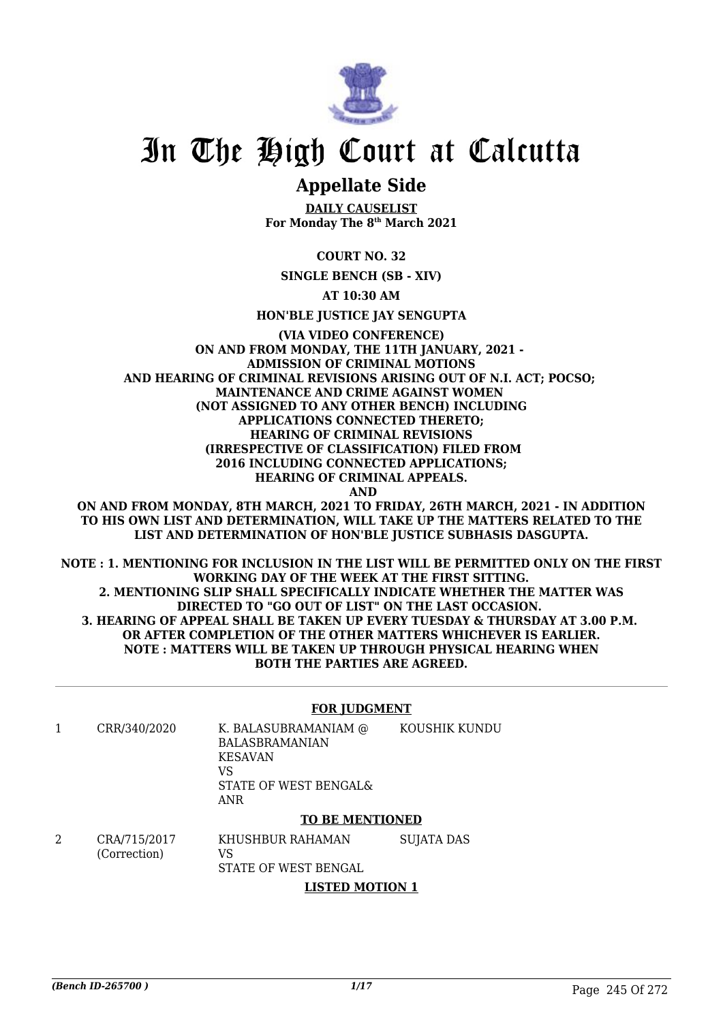

# **Appellate Side**

**DAILY CAUSELIST For Monday The 8th March 2021**

**COURT NO. 32**

**SINGLE BENCH (SB - XIV)**

**AT 10:30 AM**

**HON'BLE JUSTICE JAY SENGUPTA**

**(VIA VIDEO CONFERENCE) ON AND FROM MONDAY, THE 11TH JANUARY, 2021 - ADMISSION OF CRIMINAL MOTIONS AND HEARING OF CRIMINAL REVISIONS ARISING OUT OF N.I. ACT; POCSO; MAINTENANCE AND CRIME AGAINST WOMEN (NOT ASSIGNED TO ANY OTHER BENCH) INCLUDING APPLICATIONS CONNECTED THERETO; HEARING OF CRIMINAL REVISIONS (IRRESPECTIVE OF CLASSIFICATION) FILED FROM 2016 INCLUDING CONNECTED APPLICATIONS; HEARING OF CRIMINAL APPEALS. AND**

**ON AND FROM MONDAY, 8TH MARCH, 2021 TO FRIDAY, 26TH MARCH, 2021 - IN ADDITION TO HIS OWN LIST AND DETERMINATION, WILL TAKE UP THE MATTERS RELATED TO THE LIST AND DETERMINATION OF HON'BLE JUSTICE SUBHASIS DASGUPTA.**

**NOTE : 1. MENTIONING FOR INCLUSION IN THE LIST WILL BE PERMITTED ONLY ON THE FIRST WORKING DAY OF THE WEEK AT THE FIRST SITTING. 2. MENTIONING SLIP SHALL SPECIFICALLY INDICATE WHETHER THE MATTER WAS DIRECTED TO "GO OUT OF LIST" ON THE LAST OCCASION. 3. HEARING OF APPEAL SHALL BE TAKEN UP EVERY TUESDAY & THURSDAY AT 3.00 P.M. OR AFTER COMPLETION OF THE OTHER MATTERS WHICHEVER IS EARLIER. NOTE : MATTERS WILL BE TAKEN UP THROUGH PHYSICAL HEARING WHEN BOTH THE PARTIES ARE AGREED.**

#### **FOR JUDGMENT**

1 CRR/340/2020 K. BALASUBRAMANIAM @ BALASBRAMANIAN KESAVAN VS STATE OF WEST BENGAL& ANR KOUSHIK KUNDU

#### **TO BE MENTIONED**

2 CRA/715/2017 (Correction) KHUSHBUR RAHAMAN VS STATE OF WEST BENGAL SUJATA DAS

**LISTED MOTION 1**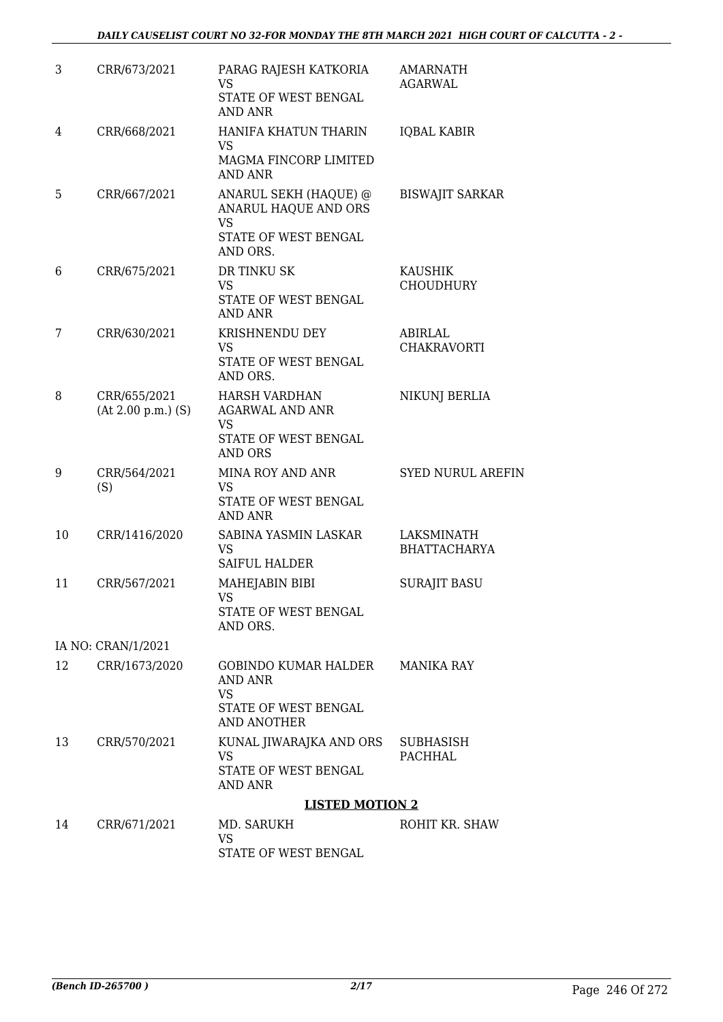| 3  | CRR/673/2021                           | PARAG RAJESH KATKORIA<br>VS<br>STATE OF WEST BENGAL<br>AND ANR                                        | <b>AMARNATH</b><br>AGARWAL         |
|----|----------------------------------------|-------------------------------------------------------------------------------------------------------|------------------------------------|
| 4  | CRR/668/2021                           | HANIFA KHATUN THARIN<br><b>VS</b><br>MAGMA FINCORP LIMITED<br><b>AND ANR</b>                          | <b>IQBAL KABIR</b>                 |
| 5  | CRR/667/2021                           | ANARUL SEKH (HAQUE) @<br>ANARUL HAQUE AND ORS<br><b>VS</b><br>STATE OF WEST BENGAL<br>AND ORS.        | <b>BISWAJIT SARKAR</b>             |
| 6  | CRR/675/2021                           | DR TINKU SK<br>VS<br>STATE OF WEST BENGAL<br><b>AND ANR</b>                                           | <b>KAUSHIK</b><br><b>CHOUDHURY</b> |
| 7  | CRR/630/2021                           | KRISHNENDU DEY<br><b>VS</b><br>STATE OF WEST BENGAL<br>AND ORS.                                       | <b>ABIRLAL</b><br>CHAKRAVORTI      |
| 8  | CRR/655/2021<br>$(At 2.00 p.m.)$ $(S)$ | <b>HARSH VARDHAN</b><br><b>AGARWAL AND ANR</b><br><b>VS</b><br>STATE OF WEST BENGAL<br>AND ORS        | NIKUNJ BERLIA                      |
| 9  | CRR/564/2021<br>(S)                    | <b>MINA ROY AND ANR</b><br><b>VS</b><br>STATE OF WEST BENGAL<br><b>AND ANR</b>                        | SYED NURUL AREFIN                  |
| 10 | CRR/1416/2020                          | SABINA YASMIN LASKAR<br><b>VS</b><br><b>SAIFUL HALDER</b>                                             | LAKSMINATH<br><b>BHATTACHARYA</b>  |
| 11 | CRR/567/2021                           | MAHEJABIN BIBI<br>VS 7<br>STATE OF WEST BENGAL<br>AND ORS.                                            | <b>SURAJIT BASU</b>                |
|    | IA NO: CRAN/1/2021                     |                                                                                                       |                                    |
| 12 | CRR/1673/2020                          | GOBINDO KUMAR HALDER MANIKA RAY<br><b>AND ANR</b><br><b>VS</b><br>STATE OF WEST BENGAL<br>AND ANOTHER |                                    |
| 13 | CRR/570/2021                           | KUNAL JIWARAJKA AND ORS<br>VS.<br>STATE OF WEST BENGAL<br>AND ANR                                     | SUBHASISH<br>PACHHAL               |
|    |                                        | <b>LISTED MOTION 2</b>                                                                                |                                    |
| 14 | CRR/671/2021                           | MD. SARUKH<br>VS                                                                                      | ROHIT KR. SHAW                     |

STATE OF WEST BENGAL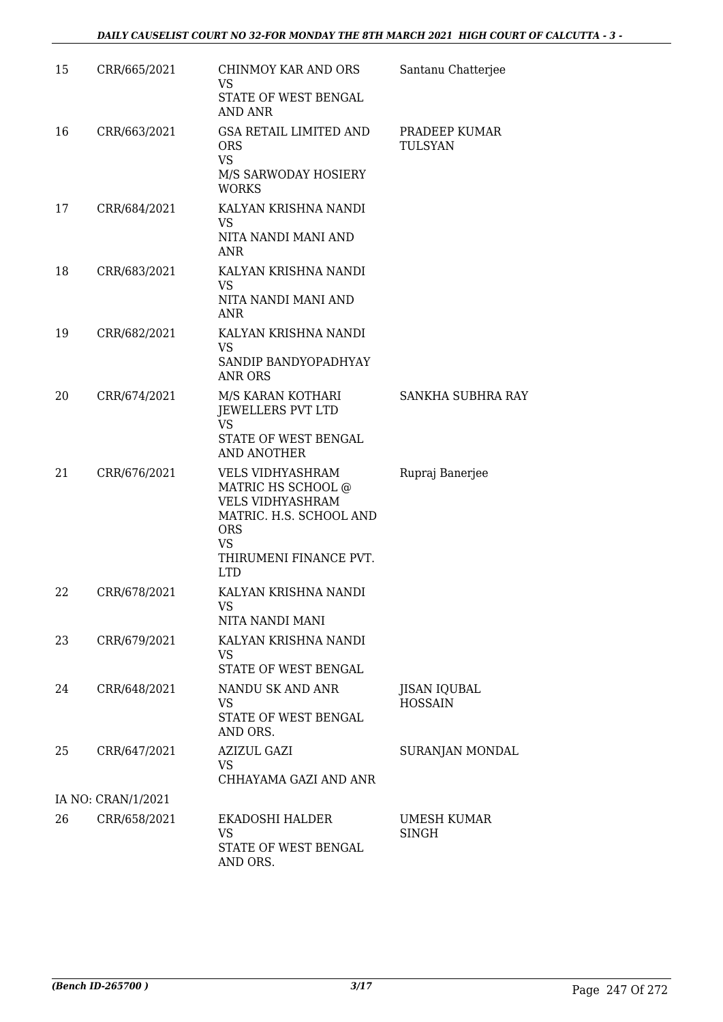| 15                 | CRR/665/2021 | CHINMOY KAR AND ORS<br>VS<br>STATE OF WEST BENGAL<br>AND ANR                                                                                                           | Santanu Chatterjee                    |  |
|--------------------|--------------|------------------------------------------------------------------------------------------------------------------------------------------------------------------------|---------------------------------------|--|
| 16                 | CRR/663/2021 | <b>GSA RETAIL LIMITED AND</b><br><b>ORS</b><br><b>VS</b><br>M/S SARWODAY HOSIERY<br><b>WORKS</b>                                                                       | PRADEEP KUMAR<br>TULSYAN              |  |
| 17                 | CRR/684/2021 | KALYAN KRISHNA NANDI<br><b>VS</b><br>NITA NANDI MANI AND<br>ANR                                                                                                        |                                       |  |
| 18                 | CRR/683/2021 | KALYAN KRISHNA NANDI<br>VS.<br>NITA NANDI MANI AND<br>ANR                                                                                                              |                                       |  |
| 19                 | CRR/682/2021 | KALYAN KRISHNA NANDI<br><b>VS</b><br>SANDIP BANDYOPADHYAY<br><b>ANR ORS</b>                                                                                            |                                       |  |
| 20                 | CRR/674/2021 | M/S KARAN KOTHARI<br>JEWELLERS PVT LTD<br><b>VS</b><br>STATE OF WEST BENGAL<br><b>AND ANOTHER</b>                                                                      | SANKHA SUBHRA RAY                     |  |
| 21                 | CRR/676/2021 | <b>VELS VIDHYASHRAM</b><br>MATRIC HS SCHOOL @<br><b>VELS VIDHYASHRAM</b><br>MATRIC. H.S. SCHOOL AND<br><b>ORS</b><br><b>VS</b><br>THIRUMENI FINANCE PVT.<br><b>LTD</b> | Rupraj Banerjee                       |  |
| 22                 | CRR/678/2021 | KALYAN KRISHNA NANDI<br><b>VS</b><br>NITA NANDI MANI                                                                                                                   |                                       |  |
| 23                 | CRR/679/2021 | KALYAN KRISHNA NANDI<br>VS<br>STATE OF WEST BENGAL                                                                                                                     |                                       |  |
| 24                 | CRR/648/2021 | NANDU SK AND ANR<br>VS<br>STATE OF WEST BENGAL<br>AND ORS.                                                                                                             | <b>JISAN IQUBAL</b><br><b>HOSSAIN</b> |  |
| 25                 | CRR/647/2021 | <b>AZIZUL GAZI</b><br>VS.<br>CHHAYAMA GAZI AND ANR                                                                                                                     | SURANJAN MONDAL                       |  |
| IA NO: CRAN/1/2021 |              |                                                                                                                                                                        |                                       |  |
| 26                 | CRR/658/2021 | EKADOSHI HALDER<br>VS<br>STATE OF WEST BENGAL<br>AND ORS.                                                                                                              | UMESH KUMAR<br>SINGH                  |  |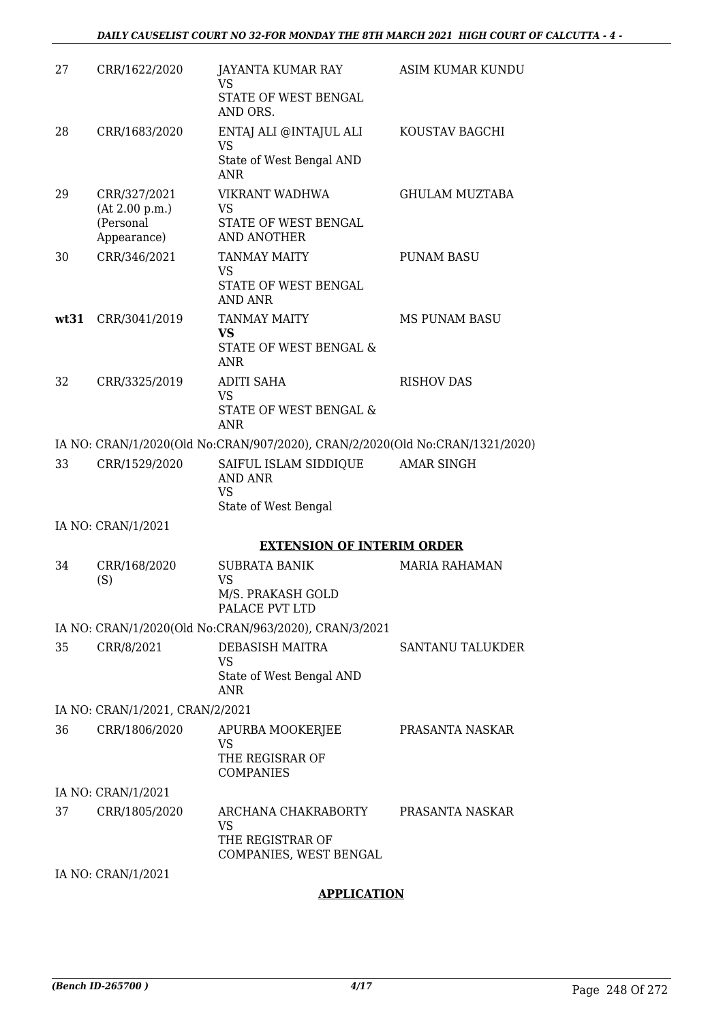| 27   | CRR/1622/2020                   | JAYANTA KUMAR RAY<br>VS                                                      | ASIM KUMAR KUNDU        |
|------|---------------------------------|------------------------------------------------------------------------------|-------------------------|
|      |                                 | STATE OF WEST BENGAL<br>AND ORS.                                             |                         |
| 28   | CRR/1683/2020                   | ENTAJ ALI @INTAJUL ALI<br><b>VS</b>                                          | KOUSTAV BAGCHI          |
|      |                                 | State of West Bengal AND<br><b>ANR</b>                                       |                         |
| 29   | CRR/327/2021<br>(At 2.00 p.m.)  | VIKRANT WADHWA<br>VS                                                         | <b>GHULAM MUZTABA</b>   |
|      | (Personal<br>Appearance)        | STATE OF WEST BENGAL<br><b>AND ANOTHER</b>                                   |                         |
| 30   | CRR/346/2021                    | <b>TANMAY MAITY</b><br><b>VS</b><br>STATE OF WEST BENGAL<br>AND ANR          | <b>PUNAM BASU</b>       |
| wt31 | CRR/3041/2019                   | TANMAY MAITY                                                                 | <b>MS PUNAM BASU</b>    |
|      |                                 | <b>VS</b><br>STATE OF WEST BENGAL &<br>ANR                                   |                         |
| 32   | CRR/3325/2019                   | <b>ADITI SAHA</b>                                                            | <b>RISHOV DAS</b>       |
|      |                                 | <b>VS</b><br>STATE OF WEST BENGAL &<br>ANR                                   |                         |
|      |                                 | IA NO: CRAN/1/2020(Old No:CRAN/907/2020), CRAN/2/2020(Old No:CRAN/1321/2020) |                         |
| 33   | CRR/1529/2020                   | SAIFUL ISLAM SIDDIQUE<br><b>AND ANR</b><br><b>VS</b><br>State of West Bengal | <b>AMAR SINGH</b>       |
|      | IA NO: CRAN/1/2021              |                                                                              |                         |
|      |                                 | <b>EXTENSION OF INTERIM ORDER</b>                                            |                         |
| 34   | CRR/168/2020<br>(S)             | <b>SUBRATA BANIK</b><br><b>VS</b><br>M/S. PRAKASH GOLD<br>PALACE PVT LTD     | <b>MARIA RAHAMAN</b>    |
|      |                                 | IA NO: CRAN/1/2020(Old No:CRAN/963/2020), CRAN/3/2021                        |                         |
| 35   | CRR/8/2021                      | <b>DEBASISH MAITRA</b><br>VS<br>State of West Bengal AND                     | <b>SANTANU TALUKDER</b> |
|      |                                 | ANR                                                                          |                         |
|      | IA NO: CRAN/1/2021, CRAN/2/2021 |                                                                              |                         |
| 36   | CRR/1806/2020                   | APURBA MOOKERJEE<br>VS                                                       | PRASANTA NASKAR         |
|      |                                 | THE REGISRAR OF<br><b>COMPANIES</b>                                          |                         |
|      | IA NO: CRAN/1/2021              |                                                                              |                         |
| 37   | CRR/1805/2020                   | ARCHANA CHAKRABORTY<br>VS<br>THE REGISTRAR OF                                | PRASANTA NASKAR         |
|      |                                 | COMPANIES, WEST BENGAL                                                       |                         |
|      | IA NO: CRAN/1/2021              |                                                                              |                         |

### **APPLICATION**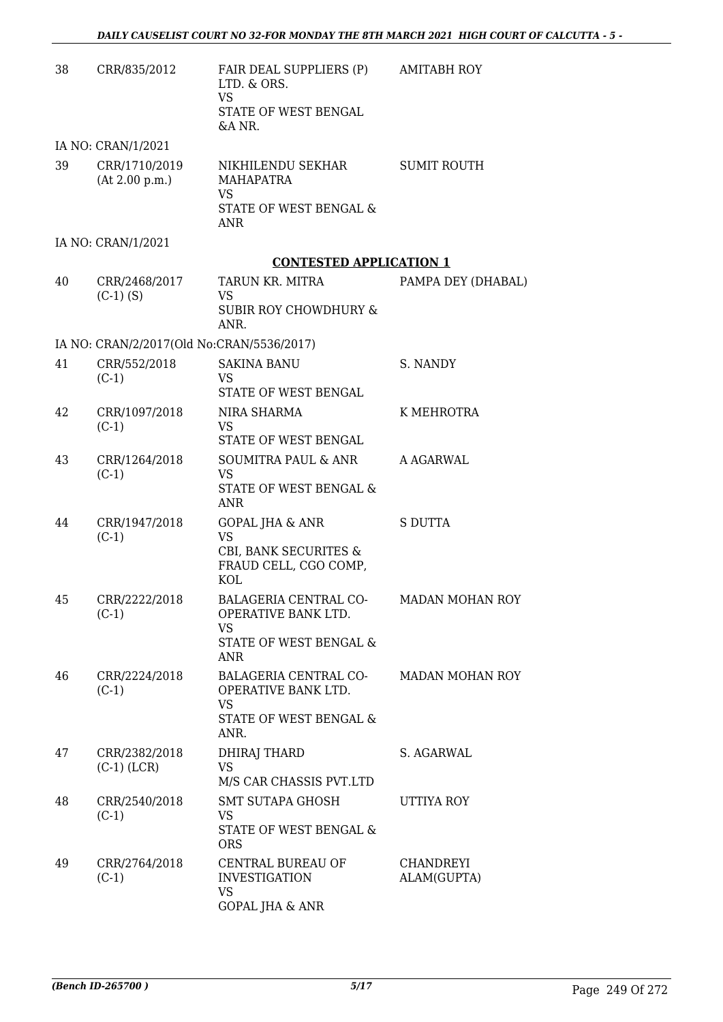| 38 | CRR/835/2012                              | FAIR DEAL SUPPLIERS (P)<br>LTD. & ORS.<br><b>VS</b><br>STATE OF WEST BENGAL<br>&A NR.             | <b>AMITABH ROY</b>       |
|----|-------------------------------------------|---------------------------------------------------------------------------------------------------|--------------------------|
|    | IA NO: CRAN/1/2021                        |                                                                                                   |                          |
| 39 | CRR/1710/2019<br>(At 2.00 p.m.)           | NIKHILENDU SEKHAR<br>MAHAPATRA<br>VS<br>STATE OF WEST BENGAL &<br>ANR                             | <b>SUMIT ROUTH</b>       |
|    | IA NO: CRAN/1/2021                        |                                                                                                   |                          |
|    |                                           | <b>CONTESTED APPLICATION 1</b>                                                                    |                          |
| 40 | CRR/2468/2017<br>$(C-1)$ (S)              | TARUN KR. MITRA<br>VS<br><b>SUBIR ROY CHOWDHURY &amp;</b><br>ANR.                                 | PAMPA DEY (DHABAL)       |
|    | IA NO: CRAN/2/2017(Old No:CRAN/5536/2017) |                                                                                                   |                          |
| 41 | CRR/552/2018<br>$(C-1)$                   | <b>SAKINA BANU</b><br>VS.<br>STATE OF WEST BENGAL                                                 | S. NANDY                 |
| 42 | CRR/1097/2018<br>$(C-1)$                  | NIRA SHARMA<br><b>VS</b><br>STATE OF WEST BENGAL                                                  | K MEHROTRA               |
| 43 | CRR/1264/2018<br>$(C-1)$                  | SOUMITRA PAUL & ANR<br><b>VS</b><br>STATE OF WEST BENGAL &<br><b>ANR</b>                          | A AGARWAL                |
| 44 | CRR/1947/2018<br>$(C-1)$                  | <b>GOPAL JHA &amp; ANR</b><br><b>VS</b><br>CBI, BANK SECURITES &<br>FRAUD CELL, CGO COMP,<br>KOL  | <b>S DUTTA</b>           |
| 45 | CRR/2222/2018<br>$(C-1)$                  | <b>BALAGERIA CENTRAL CO-</b><br>OPERATIVE BANK LTD.<br><b>VS</b><br>STATE OF WEST BENGAL &<br>ANR | <b>MADAN MOHAN ROY</b>   |
| 46 | CRR/2224/2018<br>$(C-1)$                  | BALAGERIA CENTRAL CO-<br>OPERATIVE BANK LTD.<br>VS.<br>STATE OF WEST BENGAL &<br>ANR.             | MADAN MOHAN ROY          |
| 47 | CRR/2382/2018<br>$(C-1)$ (LCR)            | <b>DHIRAJ THARD</b><br>VS<br>M/S CAR CHASSIS PVT.LTD                                              | S. AGARWAL               |
| 48 | CRR/2540/2018<br>$(C-1)$                  | SMT SUTAPA GHOSH<br><b>VS</b><br>STATE OF WEST BENGAL &<br><b>ORS</b>                             | UTTIYA ROY               |
| 49 | CRR/2764/2018<br>$(C-1)$                  | CENTRAL BUREAU OF<br><b>INVESTIGATION</b><br><b>VS</b><br><b>GOPAL JHA &amp; ANR</b>              | CHANDREYI<br>ALAM(GUPTA) |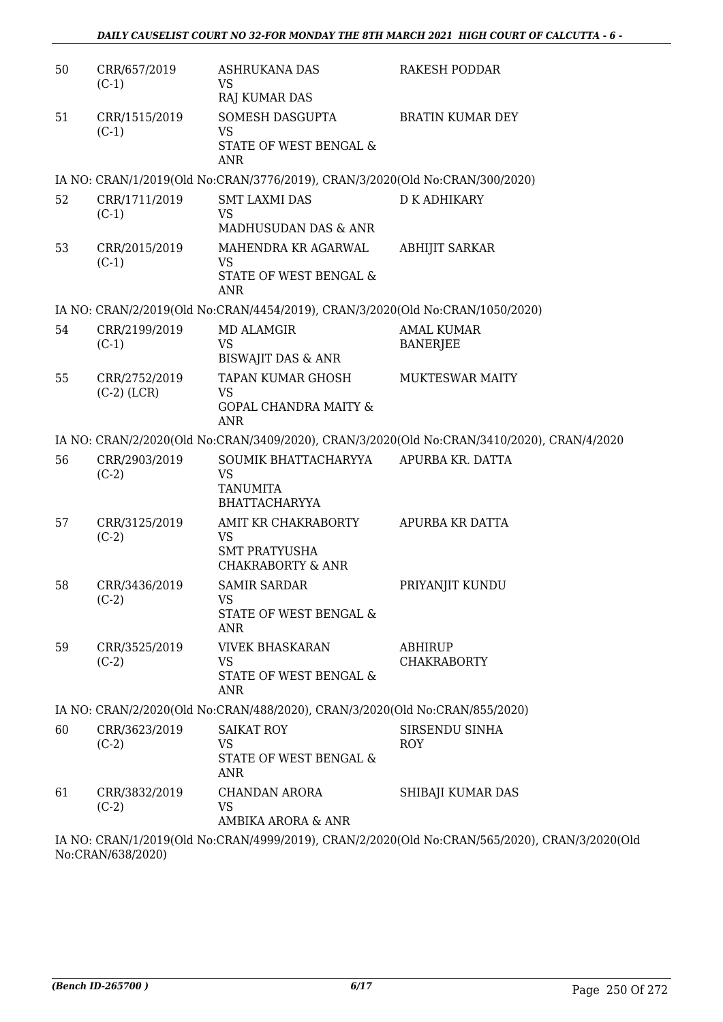| 51<br>CRR/1515/2019<br>SOMESH DASGUPTA<br><b>BRATIN KUMAR DEY</b><br>$(C-1)$<br><b>VS</b><br>STATE OF WEST BENGAL &<br><b>ANR</b><br>IA NO: CRAN/1/2019(Old No:CRAN/3776/2019), CRAN/3/2020(Old No:CRAN/300/2020)<br>52<br>CRR/1711/2019<br><b>SMT LAXMI DAS</b><br><b>D K ADHIKARY</b><br><b>VS</b><br>$(C-1)$<br>MADHUSUDAN DAS & ANR<br>53<br>CRR/2015/2019<br>MAHENDRA KR AGARWAL<br><b>ABHIJIT SARKAR</b><br>$(C-1)$<br>VS<br>STATE OF WEST BENGAL &<br>ANR<br>IA NO: CRAN/2/2019(Old No:CRAN/4454/2019), CRAN/3/2020(Old No:CRAN/1050/2020)<br><b>AMAL KUMAR</b><br>54<br>CRR/2199/2019<br><b>MD ALAMGIR</b><br><b>VS</b><br>$(C-1)$<br><b>BANERJEE</b><br><b>BISWAJIT DAS &amp; ANR</b><br>55<br>CRR/2752/2019<br>TAPAN KUMAR GHOSH<br><b>MUKTESWAR MAITY</b><br>$(C-2)$ (LCR)<br><b>VS</b><br><b>GOPAL CHANDRA MAITY &amp;</b><br><b>ANR</b><br>IA NO: CRAN/2/2020(Old No:CRAN/3409/2020), CRAN/3/2020(Old No:CRAN/3410/2020), CRAN/4/2020<br>56<br>CRR/2903/2019<br>SOUMIK BHATTACHARYYA<br>APURBA KR. DATTA<br><b>VS</b><br>$(C-2)$<br><b>TANUMITA</b><br><b>BHATTACHARYYA</b><br>CRR/3125/2019<br>AMIT KR CHAKRABORTY<br>APURBA KR DATTA<br>57<br>$(C-2)$<br><b>VS</b><br><b>SMT PRATYUSHA</b><br><b>CHAKRABORTY &amp; ANR</b><br>58<br>CRR/3436/2019<br><b>SAMIR SARDAR</b><br>PRIYANJIT KUNDU<br>$(C-2)$<br><b>VS</b><br>STATE OF WEST BENGAL &<br>ANR<br>59<br>CRR/3525/2019<br><b>VIVEK BHASKARAN</b><br><b>ABHIRUP</b><br>VS<br><b>CHAKRABORTY</b><br>$(C-2)$<br>STATE OF WEST BENGAL &<br><b>ANR</b><br>IA NO: CRAN/2/2020(Old No:CRAN/488/2020), CRAN/3/2020(Old No:CRAN/855/2020)<br>CRR/3623/2019<br>SIRSENDU SINHA<br>60<br><b>SAIKAT ROY</b><br>$(C-2)$<br>VS<br><b>ROY</b><br>STATE OF WEST BENGAL &<br>ANR<br>61<br>CRR/3832/2019<br>CHANDAN ARORA<br>SHIBAJI KUMAR DAS<br>$(C-2)$<br>VS<br>AMBIKA ARORA & ANR<br>IA NO. CRANI4 12010(OLL No.CRANI400012010), CRANI212000(OLL No.CRANI56512020), CRANI2120020(C | 50 | CRR/657/2019<br>$(C-1)$ | <b>ASHRUKANA DAS</b><br>VS | <b>RAKESH PODDAR</b> |
|-----------------------------------------------------------------------------------------------------------------------------------------------------------------------------------------------------------------------------------------------------------------------------------------------------------------------------------------------------------------------------------------------------------------------------------------------------------------------------------------------------------------------------------------------------------------------------------------------------------------------------------------------------------------------------------------------------------------------------------------------------------------------------------------------------------------------------------------------------------------------------------------------------------------------------------------------------------------------------------------------------------------------------------------------------------------------------------------------------------------------------------------------------------------------------------------------------------------------------------------------------------------------------------------------------------------------------------------------------------------------------------------------------------------------------------------------------------------------------------------------------------------------------------------------------------------------------------------------------------------------------------------------------------------------------------------------------------------------------------------------------------------------------------------------------------------------------------------------------------------------------------------------------------------------------------------|----|-------------------------|----------------------------|----------------------|
|                                                                                                                                                                                                                                                                                                                                                                                                                                                                                                                                                                                                                                                                                                                                                                                                                                                                                                                                                                                                                                                                                                                                                                                                                                                                                                                                                                                                                                                                                                                                                                                                                                                                                                                                                                                                                                                                                                                                         |    |                         | <b>RAJ KUMAR DAS</b>       |                      |
|                                                                                                                                                                                                                                                                                                                                                                                                                                                                                                                                                                                                                                                                                                                                                                                                                                                                                                                                                                                                                                                                                                                                                                                                                                                                                                                                                                                                                                                                                                                                                                                                                                                                                                                                                                                                                                                                                                                                         |    |                         |                            |                      |
|                                                                                                                                                                                                                                                                                                                                                                                                                                                                                                                                                                                                                                                                                                                                                                                                                                                                                                                                                                                                                                                                                                                                                                                                                                                                                                                                                                                                                                                                                                                                                                                                                                                                                                                                                                                                                                                                                                                                         |    |                         |                            |                      |
|                                                                                                                                                                                                                                                                                                                                                                                                                                                                                                                                                                                                                                                                                                                                                                                                                                                                                                                                                                                                                                                                                                                                                                                                                                                                                                                                                                                                                                                                                                                                                                                                                                                                                                                                                                                                                                                                                                                                         |    |                         |                            |                      |
|                                                                                                                                                                                                                                                                                                                                                                                                                                                                                                                                                                                                                                                                                                                                                                                                                                                                                                                                                                                                                                                                                                                                                                                                                                                                                                                                                                                                                                                                                                                                                                                                                                                                                                                                                                                                                                                                                                                                         |    |                         |                            |                      |
|                                                                                                                                                                                                                                                                                                                                                                                                                                                                                                                                                                                                                                                                                                                                                                                                                                                                                                                                                                                                                                                                                                                                                                                                                                                                                                                                                                                                                                                                                                                                                                                                                                                                                                                                                                                                                                                                                                                                         |    |                         |                            |                      |
|                                                                                                                                                                                                                                                                                                                                                                                                                                                                                                                                                                                                                                                                                                                                                                                                                                                                                                                                                                                                                                                                                                                                                                                                                                                                                                                                                                                                                                                                                                                                                                                                                                                                                                                                                                                                                                                                                                                                         |    |                         |                            |                      |
|                                                                                                                                                                                                                                                                                                                                                                                                                                                                                                                                                                                                                                                                                                                                                                                                                                                                                                                                                                                                                                                                                                                                                                                                                                                                                                                                                                                                                                                                                                                                                                                                                                                                                                                                                                                                                                                                                                                                         |    |                         |                            |                      |
|                                                                                                                                                                                                                                                                                                                                                                                                                                                                                                                                                                                                                                                                                                                                                                                                                                                                                                                                                                                                                                                                                                                                                                                                                                                                                                                                                                                                                                                                                                                                                                                                                                                                                                                                                                                                                                                                                                                                         |    |                         |                            |                      |
|                                                                                                                                                                                                                                                                                                                                                                                                                                                                                                                                                                                                                                                                                                                                                                                                                                                                                                                                                                                                                                                                                                                                                                                                                                                                                                                                                                                                                                                                                                                                                                                                                                                                                                                                                                                                                                                                                                                                         |    |                         |                            |                      |
|                                                                                                                                                                                                                                                                                                                                                                                                                                                                                                                                                                                                                                                                                                                                                                                                                                                                                                                                                                                                                                                                                                                                                                                                                                                                                                                                                                                                                                                                                                                                                                                                                                                                                                                                                                                                                                                                                                                                         |    |                         |                            |                      |
|                                                                                                                                                                                                                                                                                                                                                                                                                                                                                                                                                                                                                                                                                                                                                                                                                                                                                                                                                                                                                                                                                                                                                                                                                                                                                                                                                                                                                                                                                                                                                                                                                                                                                                                                                                                                                                                                                                                                         |    |                         |                            |                      |
|                                                                                                                                                                                                                                                                                                                                                                                                                                                                                                                                                                                                                                                                                                                                                                                                                                                                                                                                                                                                                                                                                                                                                                                                                                                                                                                                                                                                                                                                                                                                                                                                                                                                                                                                                                                                                                                                                                                                         |    |                         |                            |                      |
|                                                                                                                                                                                                                                                                                                                                                                                                                                                                                                                                                                                                                                                                                                                                                                                                                                                                                                                                                                                                                                                                                                                                                                                                                                                                                                                                                                                                                                                                                                                                                                                                                                                                                                                                                                                                                                                                                                                                         |    |                         |                            |                      |
|                                                                                                                                                                                                                                                                                                                                                                                                                                                                                                                                                                                                                                                                                                                                                                                                                                                                                                                                                                                                                                                                                                                                                                                                                                                                                                                                                                                                                                                                                                                                                                                                                                                                                                                                                                                                                                                                                                                                         |    |                         |                            |                      |
|                                                                                                                                                                                                                                                                                                                                                                                                                                                                                                                                                                                                                                                                                                                                                                                                                                                                                                                                                                                                                                                                                                                                                                                                                                                                                                                                                                                                                                                                                                                                                                                                                                                                                                                                                                                                                                                                                                                                         |    |                         |                            |                      |
|                                                                                                                                                                                                                                                                                                                                                                                                                                                                                                                                                                                                                                                                                                                                                                                                                                                                                                                                                                                                                                                                                                                                                                                                                                                                                                                                                                                                                                                                                                                                                                                                                                                                                                                                                                                                                                                                                                                                         |    |                         |                            |                      |
|                                                                                                                                                                                                                                                                                                                                                                                                                                                                                                                                                                                                                                                                                                                                                                                                                                                                                                                                                                                                                                                                                                                                                                                                                                                                                                                                                                                                                                                                                                                                                                                                                                                                                                                                                                                                                                                                                                                                         |    |                         |                            |                      |
|                                                                                                                                                                                                                                                                                                                                                                                                                                                                                                                                                                                                                                                                                                                                                                                                                                                                                                                                                                                                                                                                                                                                                                                                                                                                                                                                                                                                                                                                                                                                                                                                                                                                                                                                                                                                                                                                                                                                         |    |                         |                            |                      |
|                                                                                                                                                                                                                                                                                                                                                                                                                                                                                                                                                                                                                                                                                                                                                                                                                                                                                                                                                                                                                                                                                                                                                                                                                                                                                                                                                                                                                                                                                                                                                                                                                                                                                                                                                                                                                                                                                                                                         |    |                         |                            |                      |
|                                                                                                                                                                                                                                                                                                                                                                                                                                                                                                                                                                                                                                                                                                                                                                                                                                                                                                                                                                                                                                                                                                                                                                                                                                                                                                                                                                                                                                                                                                                                                                                                                                                                                                                                                                                                                                                                                                                                         |    |                         |                            |                      |
|                                                                                                                                                                                                                                                                                                                                                                                                                                                                                                                                                                                                                                                                                                                                                                                                                                                                                                                                                                                                                                                                                                                                                                                                                                                                                                                                                                                                                                                                                                                                                                                                                                                                                                                                                                                                                                                                                                                                         |    |                         |                            |                      |
|                                                                                                                                                                                                                                                                                                                                                                                                                                                                                                                                                                                                                                                                                                                                                                                                                                                                                                                                                                                                                                                                                                                                                                                                                                                                                                                                                                                                                                                                                                                                                                                                                                                                                                                                                                                                                                                                                                                                         |    |                         |                            |                      |
|                                                                                                                                                                                                                                                                                                                                                                                                                                                                                                                                                                                                                                                                                                                                                                                                                                                                                                                                                                                                                                                                                                                                                                                                                                                                                                                                                                                                                                                                                                                                                                                                                                                                                                                                                                                                                                                                                                                                         |    |                         |                            |                      |
|                                                                                                                                                                                                                                                                                                                                                                                                                                                                                                                                                                                                                                                                                                                                                                                                                                                                                                                                                                                                                                                                                                                                                                                                                                                                                                                                                                                                                                                                                                                                                                                                                                                                                                                                                                                                                                                                                                                                         |    |                         |                            |                      |
|                                                                                                                                                                                                                                                                                                                                                                                                                                                                                                                                                                                                                                                                                                                                                                                                                                                                                                                                                                                                                                                                                                                                                                                                                                                                                                                                                                                                                                                                                                                                                                                                                                                                                                                                                                                                                                                                                                                                         |    |                         |                            |                      |
|                                                                                                                                                                                                                                                                                                                                                                                                                                                                                                                                                                                                                                                                                                                                                                                                                                                                                                                                                                                                                                                                                                                                                                                                                                                                                                                                                                                                                                                                                                                                                                                                                                                                                                                                                                                                                                                                                                                                         |    |                         |                            |                      |
|                                                                                                                                                                                                                                                                                                                                                                                                                                                                                                                                                                                                                                                                                                                                                                                                                                                                                                                                                                                                                                                                                                                                                                                                                                                                                                                                                                                                                                                                                                                                                                                                                                                                                                                                                                                                                                                                                                                                         |    |                         |                            |                      |
|                                                                                                                                                                                                                                                                                                                                                                                                                                                                                                                                                                                                                                                                                                                                                                                                                                                                                                                                                                                                                                                                                                                                                                                                                                                                                                                                                                                                                                                                                                                                                                                                                                                                                                                                                                                                                                                                                                                                         |    |                         |                            |                      |

IA NO: CRAN/1/2019(Old No:CRAN/4999/2019), CRAN/2/2020(Old No:CRAN/565/2020), CRAN/3/2020(Old No:CRAN/638/2020)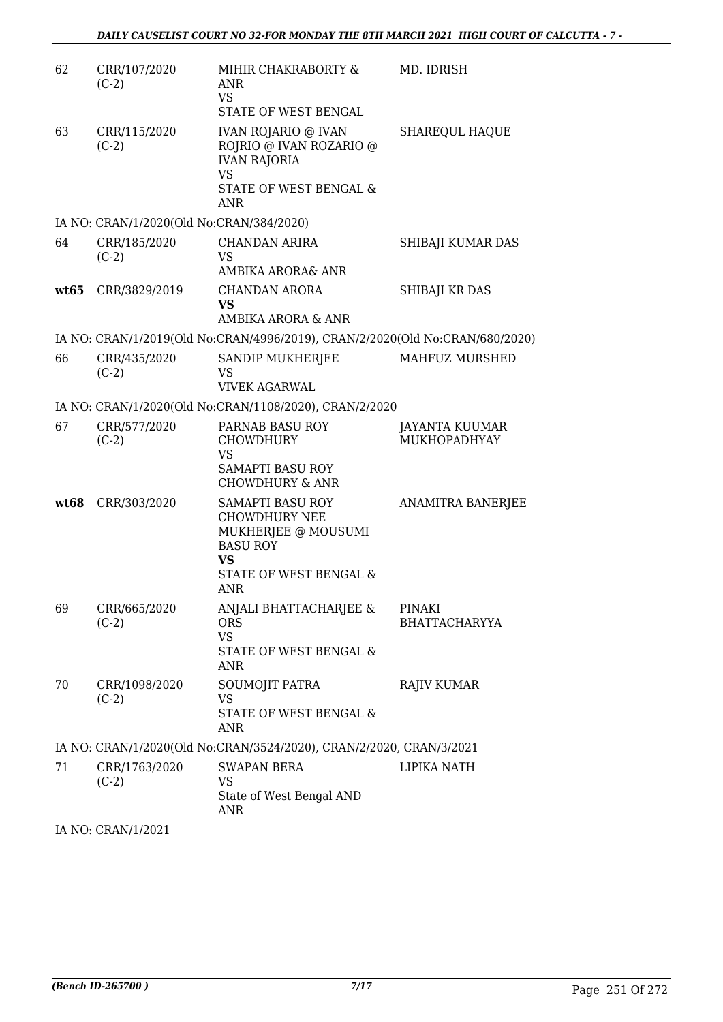| 62   | CRR/107/2020<br>$(C-2)$                  | MIHIR CHAKRABORTY &<br>ANR<br><b>VS</b><br>STATE OF WEST BENGAL                                                                                | MD. IDRISH                            |
|------|------------------------------------------|------------------------------------------------------------------------------------------------------------------------------------------------|---------------------------------------|
| 63   | CRR/115/2020<br>$(C-2)$                  | <b>IVAN ROJARIO @ IVAN</b><br>ROJRIO @ IVAN ROZARIO @<br><b>IVAN RAJORIA</b><br><b>VS</b><br>STATE OF WEST BENGAL &<br><b>ANR</b>              | SHAREQUL HAQUE                        |
|      | IA NO: CRAN/1/2020(Old No:CRAN/384/2020) |                                                                                                                                                |                                       |
| 64   | CRR/185/2020<br>$(C-2)$                  | <b>CHANDAN ARIRA</b><br><b>VS</b><br>AMBIKA ARORA& ANR                                                                                         | SHIBAJI KUMAR DAS                     |
|      | wt65 CRR/3829/2019                       | CHANDAN ARORA<br><b>VS</b><br>AMBIKA ARORA & ANR                                                                                               | SHIBAJI KR DAS                        |
|      |                                          | IA NO: CRAN/1/2019(Old No:CRAN/4996/2019), CRAN/2/2020(Old No:CRAN/680/2020)                                                                   |                                       |
| 66   | CRR/435/2020<br>$(C-2)$                  | SANDIP MUKHERJEE<br>VS<br><b>VIVEK AGARWAL</b>                                                                                                 | MAHFUZ MURSHED                        |
|      |                                          | IA NO: CRAN/1/2020(Old No:CRAN/1108/2020), CRAN/2/2020                                                                                         |                                       |
| 67   | CRR/577/2020<br>$(C-2)$                  | PARNAB BASU ROY<br><b>CHOWDHURY</b><br><b>VS</b>                                                                                               | JAYANTA KUUMAR<br>MUKHOPADHYAY        |
|      |                                          | <b>SAMAPTI BASU ROY</b><br><b>CHOWDHURY &amp; ANR</b>                                                                                          |                                       |
| wt68 | CRR/303/2020                             | <b>SAMAPTI BASU ROY</b><br><b>CHOWDHURY NEE</b><br>MUKHERJEE @ MOUSUMI<br><b>BASU ROY</b><br><b>VS</b><br>STATE OF WEST BENGAL &<br><b>ANR</b> | ANAMITRA BANERJEE                     |
| 69   | CRR/665/2020<br>$(C-2)$                  | ANJALI BHATTACHARJEE &<br><b>ORS</b><br><b>VS</b><br>STATE OF WEST BENGAL &<br>ANR                                                             | <b>PINAKI</b><br><b>BHATTACHARYYA</b> |
| 70   | CRR/1098/2020<br>$(C-2)$                 | SOUMOJIT PATRA<br><b>VS</b><br>STATE OF WEST BENGAL &<br>ANR                                                                                   | <b>RAJIV KUMAR</b>                    |
|      |                                          | IA NO: CRAN/1/2020(Old No:CRAN/3524/2020), CRAN/2/2020, CRAN/3/2021                                                                            |                                       |
| 71   | CRR/1763/2020<br>$(C-2)$                 | <b>SWAPAN BERA</b><br>VS<br>State of West Bengal AND<br>ANR                                                                                    | LIPIKA NATH                           |

IA NO: CRAN/1/2021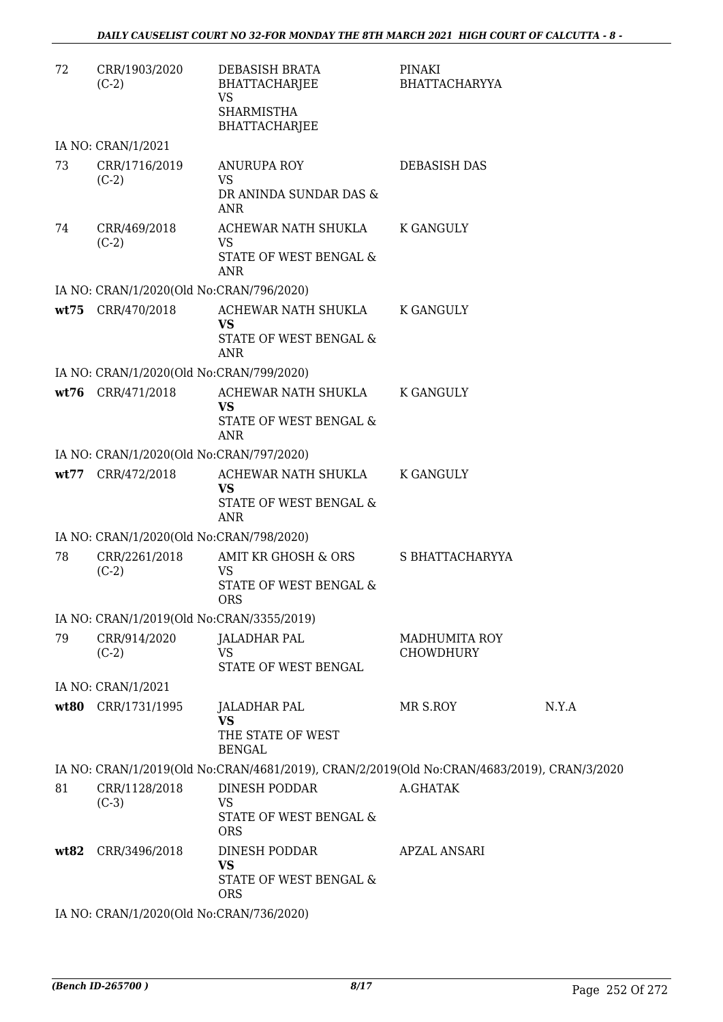| 72   | CRR/1903/2020<br>$(C-2)$                  | DEBASISH BRATA<br>BHATTACHARJEE<br><b>VS</b><br><b>SHARMISTHA</b><br>BHATTACHARJEE         | PINAKI<br><b>BHATTACHARYYA</b> |       |
|------|-------------------------------------------|--------------------------------------------------------------------------------------------|--------------------------------|-------|
|      | IA NO: CRAN/1/2021                        |                                                                                            |                                |       |
| 73   | CRR/1716/2019<br>$(C-2)$                  | <b>ANURUPA ROY</b><br><b>VS</b><br>DR ANINDA SUNDAR DAS &<br>ANR                           | DEBASISH DAS                   |       |
| 74   | CRR/469/2018<br>$(C-2)$                   | ACHEWAR NATH SHUKLA<br><b>VS</b><br>STATE OF WEST BENGAL &<br><b>ANR</b>                   | <b>K GANGULY</b>               |       |
|      | IA NO: CRAN/1/2020(Old No:CRAN/796/2020)  |                                                                                            |                                |       |
|      | wt75 CRR/470/2018                         | ACHEWAR NATH SHUKLA<br><b>VS</b><br><b>STATE OF WEST BENGAL &amp;</b>                      | K GANGULY                      |       |
|      |                                           | <b>ANR</b>                                                                                 |                                |       |
|      | IA NO: CRAN/1/2020(Old No:CRAN/799/2020)  |                                                                                            |                                |       |
|      | wt76 CRR/471/2018                         | ACHEWAR NATH SHUKLA<br><b>VS</b>                                                           | K GANGULY                      |       |
|      |                                           | STATE OF WEST BENGAL &<br><b>ANR</b>                                                       |                                |       |
|      | IA NO: CRAN/1/2020(Old No:CRAN/797/2020)  |                                                                                            |                                |       |
|      | wt77 CRR/472/2018                         | ACHEWAR NATH SHUKLA                                                                        | K GANGULY                      |       |
|      |                                           | VS<br>STATE OF WEST BENGAL &<br><b>ANR</b>                                                 |                                |       |
|      | IA NO: CRAN/1/2020(Old No:CRAN/798/2020)  |                                                                                            |                                |       |
| 78   | CRR/2261/2018<br>$(C-2)$                  | AMIT KR GHOSH & ORS<br><b>VS</b><br><b>STATE OF WEST BENGAL &amp;</b><br>ORS.              | S BHATTACHARYYA                |       |
|      | IA NO: CRAN/1/2019(Old No:CRAN/3355/2019) |                                                                                            |                                |       |
| 79   | CRR/914/2020                              | JALADHAR PAL                                                                               | <b>MADHUMITA ROY</b>           |       |
|      | $(C-2)$                                   | <b>VS</b><br>STATE OF WEST BENGAL                                                          | <b>CHOWDHURY</b>               |       |
|      | IA NO: CRAN/1/2021                        |                                                                                            |                                |       |
|      | wt80 CRR/1731/1995                        | JALADHAR PAL<br><b>VS</b><br>THE STATE OF WEST                                             | MR S.ROY                       | N.Y.A |
|      |                                           | <b>BENGAL</b>                                                                              |                                |       |
|      |                                           | IA NO: CRAN/1/2019(Old No:CRAN/4681/2019), CRAN/2/2019(Old No:CRAN/4683/2019), CRAN/3/2020 |                                |       |
| 81   | CRR/1128/2018<br>$(C-3)$                  | DINESH PODDAR<br>VS<br>STATE OF WEST BENGAL &<br><b>ORS</b>                                | A.GHATAK                       |       |
| wt82 | CRR/3496/2018                             | DINESH PODDAR<br><b>VS</b><br>STATE OF WEST BENGAL &                                       | <b>APZAL ANSARI</b>            |       |
|      | IA NO: CRAN/1/2020(Old No:CRAN/736/2020)  | <b>ORS</b>                                                                                 |                                |       |
|      |                                           |                                                                                            |                                |       |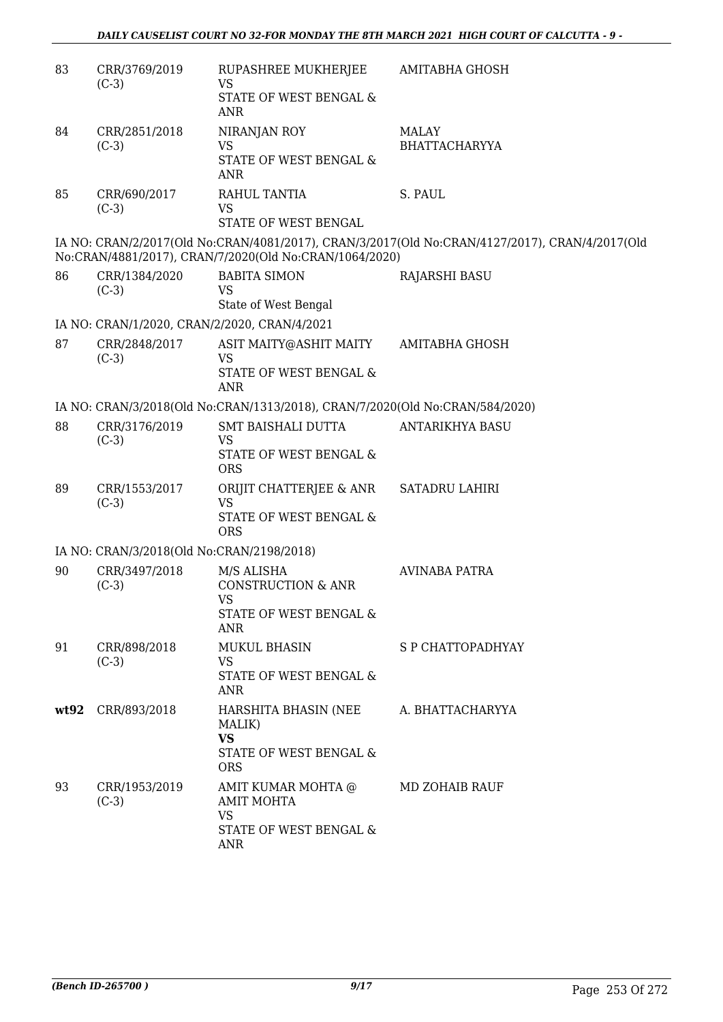| 83 | CRR/3769/2019<br>$(C-3)$                     | RUPASHREE MUKHERJEE<br><b>VS</b><br>STATE OF WEST BENGAL &<br><b>ANR</b>                             | AMITABHA GHOSH                                                                                 |
|----|----------------------------------------------|------------------------------------------------------------------------------------------------------|------------------------------------------------------------------------------------------------|
| 84 | CRR/2851/2018<br>$(C-3)$                     | NIRANJAN ROY<br>VS<br>STATE OF WEST BENGAL &<br>ANR                                                  | MALAY<br><b>BHATTACHARYYA</b>                                                                  |
| 85 | CRR/690/2017<br>$(C-3)$                      | RAHUL TANTIA<br><b>VS</b><br>STATE OF WEST BENGAL                                                    | S. PAUL                                                                                        |
|    |                                              | No:CRAN/4881/2017), CRAN/7/2020(Old No:CRAN/1064/2020)                                               | IA NO: CRAN/2/2017(Old No:CRAN/4081/2017), CRAN/3/2017(Old No:CRAN/4127/2017), CRAN/4/2017(Old |
| 86 | CRR/1384/2020<br>$(C-3)$                     | <b>BABITA SIMON</b><br><b>VS</b><br>State of West Bengal                                             | RAJARSHI BASU                                                                                  |
|    | IA NO: CRAN/1/2020, CRAN/2/2020, CRAN/4/2021 |                                                                                                      |                                                                                                |
| 87 | CRR/2848/2017<br>$(C-3)$                     | ASIT MAITY@ASHIT MAITY<br><b>VS</b><br>STATE OF WEST BENGAL &<br><b>ANR</b>                          | <b>AMITABHA GHOSH</b>                                                                          |
|    |                                              | IA NO: CRAN/3/2018(Old No:CRAN/1313/2018), CRAN/7/2020(Old No:CRAN/584/2020)                         |                                                                                                |
| 88 | CRR/3176/2019<br>$(C-3)$                     | SMT BAISHALI DUTTA<br><b>VS</b><br>STATE OF WEST BENGAL &<br><b>ORS</b>                              | ANTARIKHYA BASU                                                                                |
| 89 | CRR/1553/2017<br>$(C-3)$                     | ORIJIT CHATTERJEE & ANR<br><b>VS</b><br>STATE OF WEST BENGAL &<br><b>ORS</b>                         | <b>SATADRU LAHIRI</b>                                                                          |
|    | IA NO: CRAN/3/2018(Old No:CRAN/2198/2018)    |                                                                                                      |                                                                                                |
| 90 | CRR/3497/2018<br>$(C-3)$                     | M/S ALISHA<br><b>CONSTRUCTION &amp; ANR</b><br><b>VS</b><br>STATE OF WEST BENGAL &<br>ANR            | <b>AVINABA PATRA</b>                                                                           |
| 91 | CRR/898/2018<br>$(C-3)$                      | <b>MUKUL BHASIN</b><br>VS<br>STATE OF WEST BENGAL &<br>ANR                                           | S P CHATTOPADHYAY                                                                              |
|    | wt92 CRR/893/2018                            | HARSHITA BHASIN (NEE A. BHATTACHARYYA<br>MALIK)<br><b>VS</b><br>STATE OF WEST BENGAL &<br><b>ORS</b> |                                                                                                |
| 93 | CRR/1953/2019<br>$(C-3)$                     | AMIT KUMAR MOHTA @<br><b>AMIT MOHTA</b><br><b>VS</b><br>STATE OF WEST BENGAL &<br>ANR                | MD ZOHAIB RAUF                                                                                 |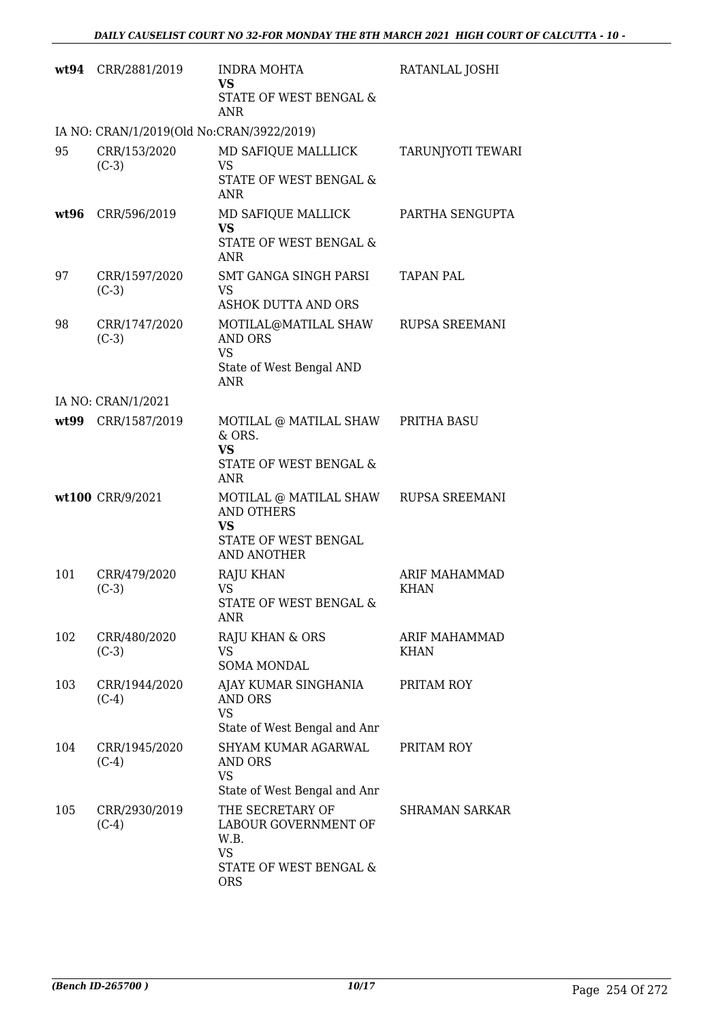|      | wt94 CRR/2881/2019                        | <b>INDRA MOHTA</b><br><b>VS</b><br>STATE OF WEST BENGAL &<br>ANR                                                      | RATANLAL JOSHI                      |
|------|-------------------------------------------|-----------------------------------------------------------------------------------------------------------------------|-------------------------------------|
|      | IA NO: CRAN/1/2019(Old No:CRAN/3922/2019) |                                                                                                                       |                                     |
| 95   | CRR/153/2020<br>$(C-3)$                   | MD SAFIQUE MALLLICK<br>VS<br>STATE OF WEST BENGAL &<br><b>ANR</b>                                                     | TARUNJYOTI TEWARI                   |
| wt96 | CRR/596/2019                              | MD SAFIQUE MALLICK<br><b>VS</b><br>STATE OF WEST BENGAL &<br>ANR                                                      | PARTHA SENGUPTA                     |
| 97   | CRR/1597/2020<br>$(C-3)$                  | SMT GANGA SINGH PARSI<br><b>VS</b><br><b>ASHOK DUTTA AND ORS</b>                                                      | <b>TAPAN PAL</b>                    |
| 98   | CRR/1747/2020<br>$(C-3)$                  | MOTILAL@MATILAL SHAW RUPSA SREEMANI<br><b>AND ORS</b><br><b>VS</b><br>State of West Bengal AND<br><b>ANR</b>          |                                     |
|      | IA NO: CRAN/1/2021                        |                                                                                                                       |                                     |
|      | wt99 CRR/1587/2019                        | MOTILAL @ MATILAL SHAW PRITHA BASU<br>& ORS.<br><b>VS</b><br>STATE OF WEST BENGAL &<br><b>ANR</b>                     |                                     |
|      | wt100 CRR/9/2021                          | MOTILAL @ MATILAL SHAW RUPSA SREEMANI<br><b>AND OTHERS</b><br><b>VS</b><br>STATE OF WEST BENGAL<br><b>AND ANOTHER</b> |                                     |
| 101  | CRR/479/2020<br>$(C-3)$                   | <b>RAJU KHAN</b><br>VS<br>STATE OF WEST BENGAL &<br><b>ANR</b>                                                        | <b>ARIF MAHAMMAD</b><br><b>KHAN</b> |
| 102  | CRR/480/2020<br>$(C-3)$                   | RAJU KHAN & ORS<br><b>VS</b><br><b>SOMA MONDAL</b>                                                                    | <b>ARIF MAHAMMAD</b><br><b>KHAN</b> |
| 103  | CRR/1944/2020<br>$(C-4)$                  | AJAY KUMAR SINGHANIA<br><b>AND ORS</b><br><b>VS</b><br>State of West Bengal and Anr                                   | PRITAM ROY                          |
| 104  | CRR/1945/2020<br>$(C-4)$                  | SHYAM KUMAR AGARWAL<br>AND ORS<br>VS<br>State of West Bengal and Anr                                                  | PRITAM ROY                          |
| 105  | CRR/2930/2019<br>$(C-4)$                  | THE SECRETARY OF<br>LABOUR GOVERNMENT OF<br>W.B.<br><b>VS</b><br>STATE OF WEST BENGAL &<br><b>ORS</b>                 | <b>SHRAMAN SARKAR</b>               |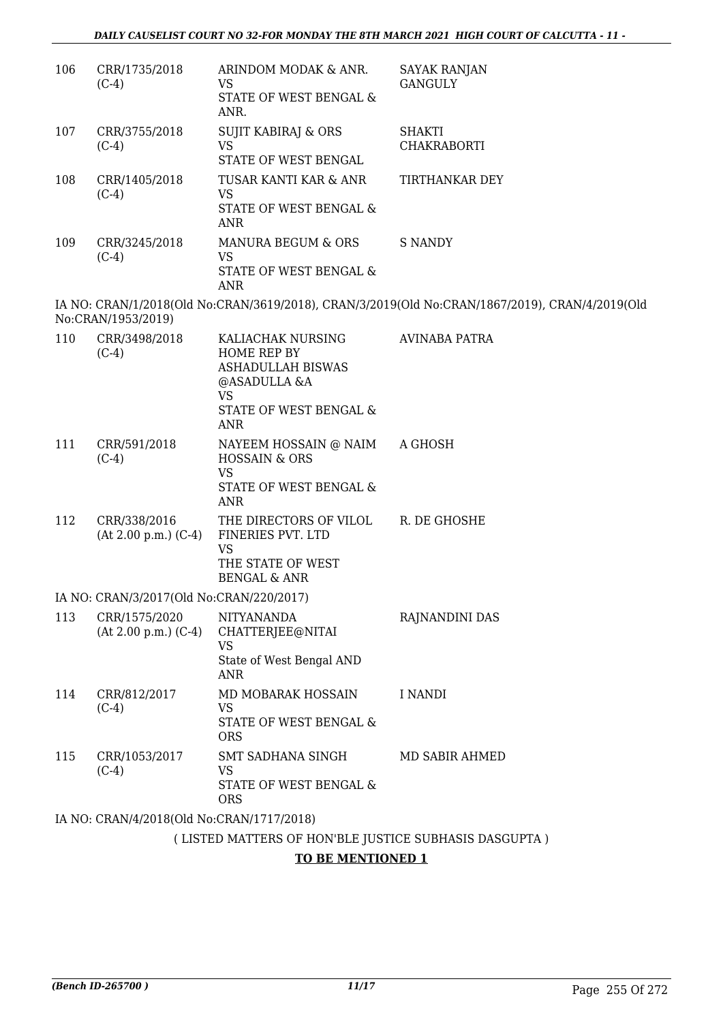| 106 | CRR/1735/2018<br>$(C-4)$                  | ARINDOM MODAK & ANR.<br><b>VS</b>                                                                        | <b>SAYAK RANJAN</b><br><b>GANGULY</b>                                                          |
|-----|-------------------------------------------|----------------------------------------------------------------------------------------------------------|------------------------------------------------------------------------------------------------|
|     |                                           | STATE OF WEST BENGAL &<br>ANR.                                                                           |                                                                                                |
| 107 | CRR/3755/2018<br>$(C-4)$                  | <b>SUJIT KABIRAJ &amp; ORS</b><br><b>VS</b>                                                              | <b>SHAKTI</b><br><b>CHAKRABORTI</b>                                                            |
|     |                                           | STATE OF WEST BENGAL                                                                                     |                                                                                                |
| 108 | CRR/1405/2018<br>$(C-4)$                  | TUSAR KANTI KAR & ANR<br><b>VS</b>                                                                       | TIRTHANKAR DEY                                                                                 |
|     |                                           | STATE OF WEST BENGAL &<br>ANR                                                                            |                                                                                                |
| 109 | CRR/3245/2018<br>$(C-4)$                  | MANURA BEGUM & ORS<br><b>VS</b><br>STATE OF WEST BENGAL &<br>ANR                                         | <b>S NANDY</b>                                                                                 |
|     |                                           |                                                                                                          | IA NO: CRAN/1/2018(Old No:CRAN/3619/2018), CRAN/3/2019(Old No:CRAN/1867/2019), CRAN/4/2019(Old |
|     | No:CRAN/1953/2019)                        |                                                                                                          |                                                                                                |
| 110 | CRR/3498/2018<br>$(C-4)$                  | KALIACHAK NURSING<br>HOME REP BY<br><b>ASHADULLAH BISWAS</b><br>@ASADULLA &A<br><b>VS</b>                | AVINABA PATRA                                                                                  |
|     |                                           | STATE OF WEST BENGAL &<br>ANR                                                                            |                                                                                                |
| 111 | CRR/591/2018<br>$(C-4)$                   | NAYEEM HOSSAIN @ NAIM<br><b>HOSSAIN &amp; ORS</b><br><b>VS</b><br>STATE OF WEST BENGAL &<br><b>ANR</b>   | A GHOSH                                                                                        |
| 112 | CRR/338/2016<br>$(At 2.00 p.m.) (C-4)$    | THE DIRECTORS OF VILOL<br>FINERIES PVT. LTD<br><b>VS</b><br>THE STATE OF WEST<br><b>BENGAL &amp; ANR</b> | R. DE GHOSHE                                                                                   |
|     | IA NO: CRAN/3/2017(Old No:CRAN/220/2017)  |                                                                                                          |                                                                                                |
| 113 | CRR/1575/2020<br>$(At 2.00 p.m.) (C-4)$   | <b>NITYANANDA</b><br>CHATTERJEE@NITAI<br><b>VS</b><br>State of West Bengal AND                           | RAJNANDINI DAS                                                                                 |
|     |                                           | <b>ANR</b>                                                                                               |                                                                                                |
| 114 | CRR/812/2017<br>$(C-4)$                   | MD MOBARAK HOSSAIN<br>VS.                                                                                | I NANDI                                                                                        |
|     |                                           | STATE OF WEST BENGAL &<br><b>ORS</b>                                                                     |                                                                                                |
| 115 | CRR/1053/2017<br>$(C-4)$                  | <b>SMT SADHANA SINGH</b><br>VS                                                                           | MD SABIR AHMED                                                                                 |
|     |                                           | STATE OF WEST BENGAL &<br><b>ORS</b>                                                                     |                                                                                                |
|     | IA NO: CRAN/4/2018(Old No:CRAN/1717/2018) |                                                                                                          |                                                                                                |
|     |                                           | (LISTED MATTERS OF HON'BLE JUSTICE SUBHASIS DASGUPTA)                                                    |                                                                                                |

#### **TO BE MENTIONED 1**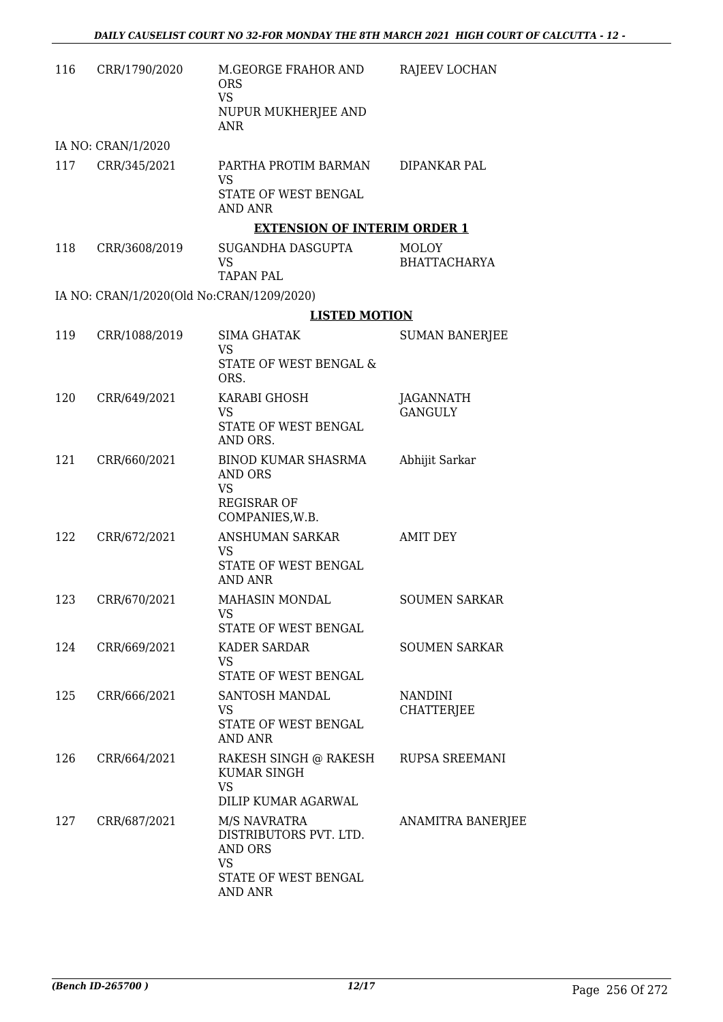| 116 | CRR/1790/2020                             | M.GEORGE FRAHOR AND<br><b>ORS</b><br><b>VS</b><br>NUPUR MUKHERJEE AND<br><b>ANR</b> | RAJEEV LOCHAN                       |
|-----|-------------------------------------------|-------------------------------------------------------------------------------------|-------------------------------------|
|     | IA NO: CRAN/1/2020                        |                                                                                     |                                     |
| 117 | CRR/345/2021                              | PARTHA PROTIM BARMAN<br><b>VS</b>                                                   | DIPANKAR PAL                        |
|     |                                           | STATE OF WEST BENGAL<br><b>AND ANR</b>                                              |                                     |
|     |                                           | <b>EXTENSION OF INTERIM ORDER 1</b>                                                 |                                     |
| 118 | CRR/3608/2019                             | SUGANDHA DASGUPTA<br>VS<br>TAPAN PAL                                                | <b>MOLOY</b><br><b>BHATTACHARYA</b> |
|     | IA NO: CRAN/1/2020(Old No:CRAN/1209/2020) |                                                                                     |                                     |
|     |                                           | <b>LISTED MOTION</b>                                                                |                                     |
| 119 | CRR/1088/2019                             | SIMA GHATAK<br><b>VS</b>                                                            | <b>SUMAN BANERJEE</b>               |
|     |                                           | STATE OF WEST BENGAL &<br>ORS.                                                      |                                     |
| 120 | CRR/649/2021                              | KARABI GHOSH                                                                        | JAGANNATH                           |
|     |                                           | <b>VS</b><br>STATE OF WEST BENGAL<br>AND ORS.                                       | <b>GANGULY</b>                      |
| 121 | CRR/660/2021                              | <b>BINOD KUMAR SHASRMA</b><br><b>AND ORS</b><br><b>VS</b>                           | Abhijit Sarkar                      |
|     |                                           | <b>REGISRAR OF</b><br>COMPANIES, W.B.                                               |                                     |
| 122 | CRR/672/2021                              | ANSHUMAN SARKAR                                                                     | <b>AMIT DEY</b>                     |
|     |                                           | VS<br>STATE OF WEST BENGAL<br><b>AND ANR</b>                                        |                                     |
| 123 | CRR/670/2021                              | MAHASIN MONDAL<br>VS                                                                | <b>SOUMEN SARKAR</b>                |
|     |                                           | STATE OF WEST BENGAL                                                                |                                     |
| 124 | CRR/669/2021                              | KADER SARDAR<br>VS<br>STATE OF WEST BENGAL                                          | <b>SOUMEN SARKAR</b>                |
| 125 | CRR/666/2021                              | SANTOSH MANDAL                                                                      | <b>NANDINI</b>                      |
|     |                                           | VS.<br>STATE OF WEST BENGAL<br>AND ANR                                              | <b>CHATTERJEE</b>                   |
| 126 | CRR/664/2021                              | RAKESH SINGH @ RAKESH<br><b>KUMAR SINGH</b><br><b>VS</b><br>DILIP KUMAR AGARWAL     | RUPSA SREEMANI                      |
| 127 | CRR/687/2021                              | M/S NAVRATRA<br>DISTRIBUTORS PVT. LTD.<br>AND ORS<br><b>VS</b>                      | ANAMITRA BANERJEE                   |
|     |                                           | STATE OF WEST BENGAL<br>AND ANR                                                     |                                     |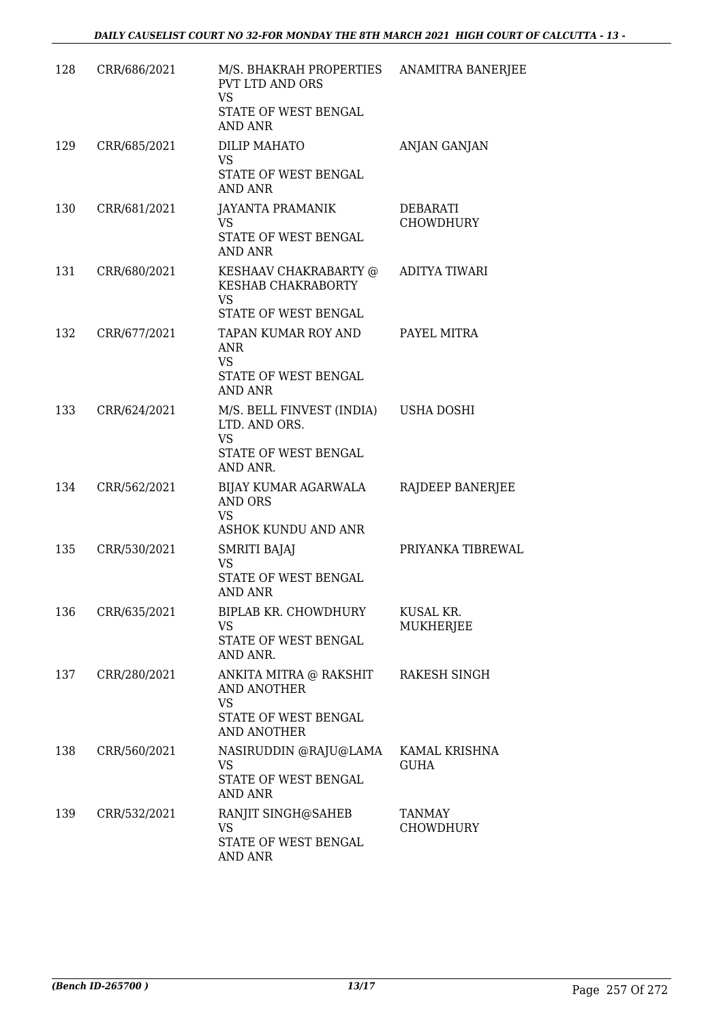| 128 | CRR/686/2021 | M/S. BHAKRAH PROPERTIES<br>PVT LTD AND ORS<br><b>VS</b><br>STATE OF WEST BENGAL<br><b>AND ANR</b> | ANAMITRA BANERJEE            |
|-----|--------------|---------------------------------------------------------------------------------------------------|------------------------------|
| 129 | CRR/685/2021 | <b>DILIP MAHATO</b><br><b>VS</b><br>STATE OF WEST BENGAL<br>AND ANR                               | ANJAN GANJAN                 |
| 130 | CRR/681/2021 | <b>JAYANTA PRAMANIK</b><br><b>VS</b><br>STATE OF WEST BENGAL<br><b>AND ANR</b>                    | DEBARATI<br><b>CHOWDHURY</b> |
| 131 | CRR/680/2021 | KESHAAV CHAKRABARTY @<br>KESHAB CHAKRABORTY<br><b>VS</b><br>STATE OF WEST BENGAL                  | ADITYA TIWARI                |
| 132 | CRR/677/2021 | TAPAN KUMAR ROY AND<br><b>ANR</b><br><b>VS</b><br>STATE OF WEST BENGAL<br>AND ANR                 | PAYEL MITRA                  |
| 133 | CRR/624/2021 | M/S. BELL FINVEST (INDIA)<br>LTD. AND ORS.<br><b>VS</b><br>STATE OF WEST BENGAL<br>AND ANR.       | <b>USHA DOSHI</b>            |
| 134 | CRR/562/2021 | BIJAY KUMAR AGARWALA<br>AND ORS<br><b>VS</b><br>ASHOK KUNDU AND ANR                               | RAJDEEP BANERJEE             |
| 135 | CRR/530/2021 | SMRITI BAJAJ<br><b>VS</b><br>STATE OF WEST BENGAL<br><b>AND ANR</b>                               | PRIYANKA TIBREWAL            |
| 136 | CRR/635/2021 | BIPLAB KR. CHOWDHURY<br><b>VS</b><br>STATE OF WEST BENGAL<br>AND ANR.                             | KUSAL KR.<br>MUKHERJEE       |
| 137 | CRR/280/2021 | ANKITA MITRA @ RAKSHIT<br>AND ANOTHER<br><b>VS</b><br>STATE OF WEST BENGAL<br><b>AND ANOTHER</b>  | RAKESH SINGH                 |
| 138 | CRR/560/2021 | NASIRUDDIN @RAJU@LAMA<br>VS<br>STATE OF WEST BENGAL<br><b>AND ANR</b>                             | KAMAL KRISHNA<br><b>GUHA</b> |
| 139 | CRR/532/2021 | RANJIT SINGH@SAHEB<br><b>VS</b><br>STATE OF WEST BENGAL<br>AND ANR                                | TANMAY<br><b>CHOWDHURY</b>   |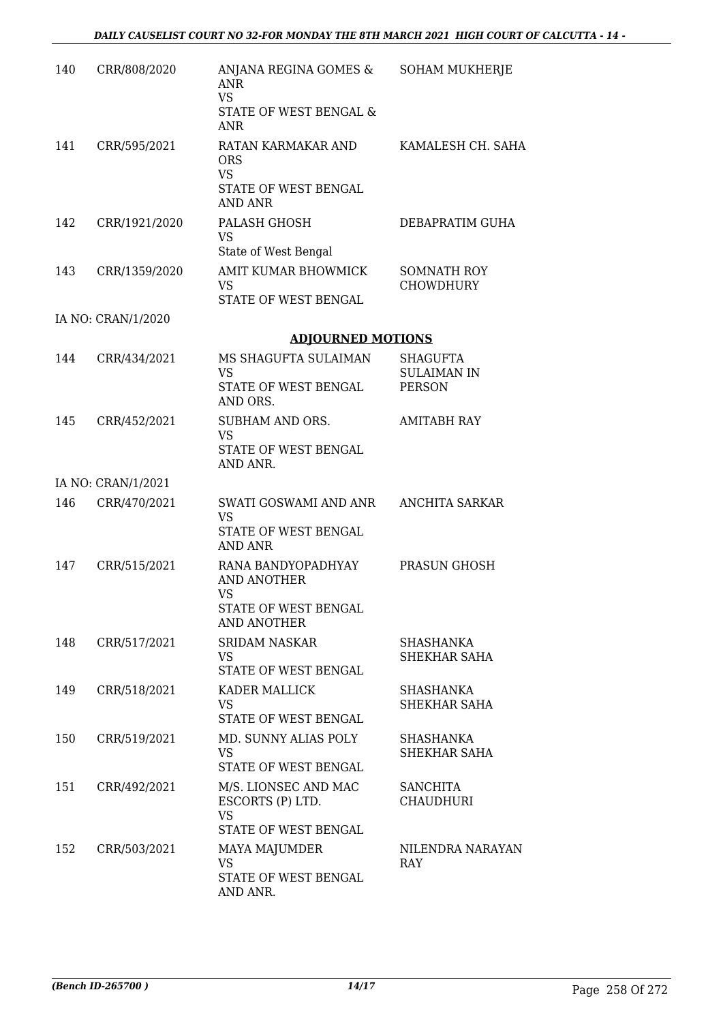| 140 | CRR/808/2020       | ANJANA REGINA GOMES &<br>ANR<br><b>VS</b><br>STATE OF WEST BENGAL &<br><b>ANR</b>                   | <b>SOHAM MUKHERJE</b>                           |
|-----|--------------------|-----------------------------------------------------------------------------------------------------|-------------------------------------------------|
| 141 | CRR/595/2021       | RATAN KARMAKAR AND<br><b>ORS</b><br><b>VS</b><br>STATE OF WEST BENGAL<br>AND ANR                    | KAMALESH CH. SAHA                               |
| 142 | CRR/1921/2020      | PALASH GHOSH<br><b>VS</b><br>State of West Bengal                                                   | DEBAPRATIM GUHA                                 |
| 143 | CRR/1359/2020      | AMIT KUMAR BHOWMICK<br>VS<br>STATE OF WEST BENGAL                                                   | <b>SOMNATH ROY</b><br><b>CHOWDHURY</b>          |
|     | IA NO: CRAN/1/2020 |                                                                                                     |                                                 |
|     |                    | <b>ADJOURNED MOTIONS</b>                                                                            |                                                 |
| 144 | CRR/434/2021       | MS SHAGUFTA SULAIMAN<br><b>VS</b><br>STATE OF WEST BENGAL<br>AND ORS.                               | SHAGUFTA<br><b>SULAIMAN IN</b><br><b>PERSON</b> |
| 145 | CRR/452/2021       | SUBHAM AND ORS.<br><b>VS</b><br>STATE OF WEST BENGAL<br>AND ANR.                                    | <b>AMITABH RAY</b>                              |
|     | IA NO: CRAN/1/2021 |                                                                                                     |                                                 |
| 146 | CRR/470/2021       | SWATI GOSWAMI AND ANR<br><b>VS</b><br>STATE OF WEST BENGAL<br>AND ANR                               | <b>ANCHITA SARKAR</b>                           |
| 147 | CRR/515/2021       | RANA BANDYOPADHYAY<br><b>AND ANOTHER</b><br><b>VS</b><br>STATE OF WEST BENGAL<br><b>AND ANOTHER</b> | PRASUN GHOSH                                    |
| 148 | CRR/517/2021       | <b>SRIDAM NASKAR</b><br><b>VS</b><br>STATE OF WEST BENGAL                                           | SHASHANKA<br>SHEKHAR SAHA                       |
| 149 | CRR/518/2021       | KADER MALLICK<br>VS<br>STATE OF WEST BENGAL                                                         | SHASHANKA<br>SHEKHAR SAHA                       |
| 150 | CRR/519/2021       | MD. SUNNY ALIAS POLY<br><b>VS</b><br>STATE OF WEST BENGAL                                           | SHASHANKA<br>SHEKHAR SAHA                       |
| 151 | CRR/492/2021       | M/S. LIONSEC AND MAC<br>ESCORTS (P) LTD.<br><b>VS</b><br>STATE OF WEST BENGAL                       | <b>SANCHITA</b><br>CHAUDHURI                    |
| 152 | CRR/503/2021       | MAYA MAJUMDER<br><b>VS</b><br>STATE OF WEST BENGAL<br>AND ANR.                                      | NILENDRA NARAYAN<br>RAY                         |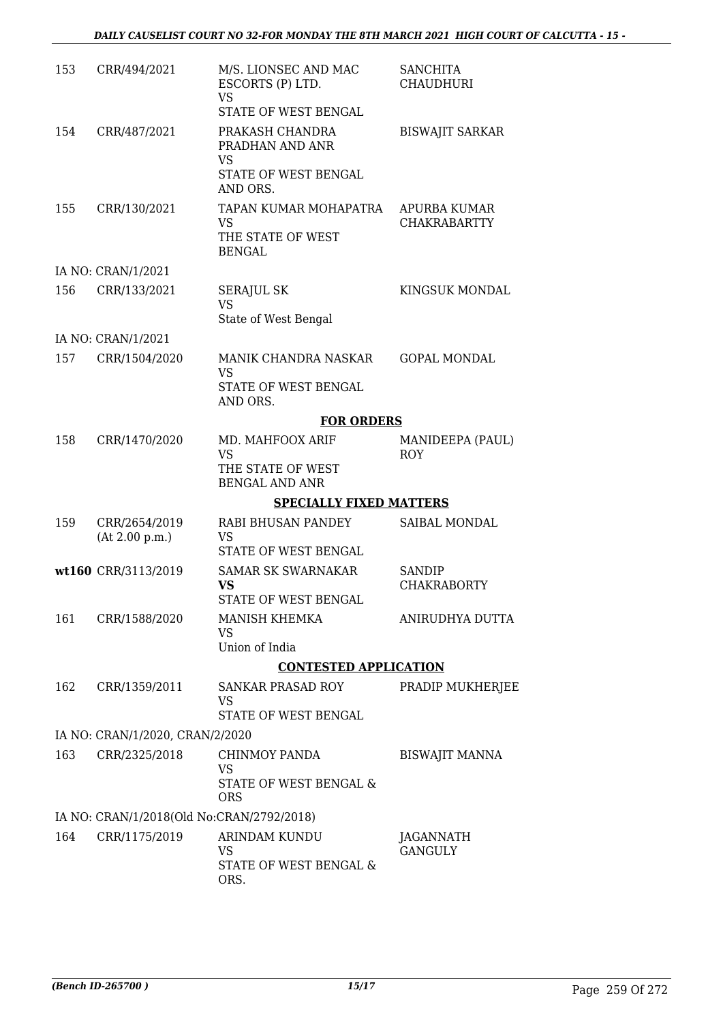| 153 | CRR/494/2021                              | M/S. LIONSEC AND MAC<br>ESCORTS (P) LTD.<br><b>VS</b><br>STATE OF WEST BENGAL | <b>SANCHITA</b><br><b>CHAUDHURI</b> |
|-----|-------------------------------------------|-------------------------------------------------------------------------------|-------------------------------------|
| 154 | CRR/487/2021                              | PRAKASH CHANDRA<br>PRADHAN AND ANR                                            | <b>BISWAJIT SARKAR</b>              |
|     |                                           | VS<br>STATE OF WEST BENGAL<br>AND ORS.                                        |                                     |
| 155 | CRR/130/2021                              | TAPAN KUMAR MOHAPATRA<br>VS<br>THE STATE OF WEST<br><b>BENGAL</b>             | APURBA KUMAR<br><b>CHAKRABARTTY</b> |
|     | IA NO: CRAN/1/2021                        |                                                                               |                                     |
| 156 | CRR/133/2021                              | <b>SERAJUL SK</b><br><b>VS</b><br>State of West Bengal                        | <b>KINGSUK MONDAL</b>               |
|     | IA NO: CRAN/1/2021                        |                                                                               |                                     |
| 157 | CRR/1504/2020                             | MANIK CHANDRA NASKAR<br><b>VS</b>                                             | <b>GOPAL MONDAL</b>                 |
|     |                                           | STATE OF WEST BENGAL<br>AND ORS.                                              |                                     |
|     |                                           | <b>FOR ORDERS</b>                                                             |                                     |
| 158 | CRR/1470/2020                             | MD. MAHFOOX ARIF<br><b>VS</b>                                                 | MANIDEEPA (PAUL)<br><b>ROY</b>      |
|     |                                           | THE STATE OF WEST<br><b>BENGAL AND ANR</b>                                    |                                     |
|     |                                           | <b>SPECIALLY FIXED MATTERS</b>                                                |                                     |
| 159 | CRR/2654/2019<br>(At 2.00 p.m.)           | RABI BHUSAN PANDEY<br><b>VS</b>                                               | SAIBAL MONDAL                       |
|     |                                           | STATE OF WEST BENGAL                                                          |                                     |
|     | wt160 CRR/3113/2019                       | <b>SAMAR SK SWARNAKAR</b><br><b>VS</b><br>STATE OF WEST BENGAL                | <b>SANDIP</b><br><b>CHAKRABORTY</b> |
| 161 | CRR/1588/2020                             | MANISH KHEMKA<br>VS                                                           | ANIRUDHYA DUTTA                     |
|     |                                           | Union of India                                                                |                                     |
|     |                                           | <b>CONTESTED APPLICATION</b>                                                  |                                     |
| 162 | CRR/1359/2011                             | SANKAR PRASAD ROY<br>VS<br>STATE OF WEST BENGAL                               | PRADIP MUKHERJEE                    |
|     | IA NO: CRAN/1/2020, CRAN/2/2020           |                                                                               |                                     |
| 163 | CRR/2325/2018                             | CHINMOY PANDA                                                                 | <b>BISWAJIT MANNA</b>               |
|     |                                           | <b>VS</b><br>STATE OF WEST BENGAL &<br><b>ORS</b>                             |                                     |
|     | IA NO: CRAN/1/2018(Old No:CRAN/2792/2018) |                                                                               |                                     |
| 164 | CRR/1175/2019                             | ARINDAM KUNDU<br>VS                                                           | JAGANNATH<br><b>GANGULY</b>         |
|     |                                           | STATE OF WEST BENGAL &<br>ORS.                                                |                                     |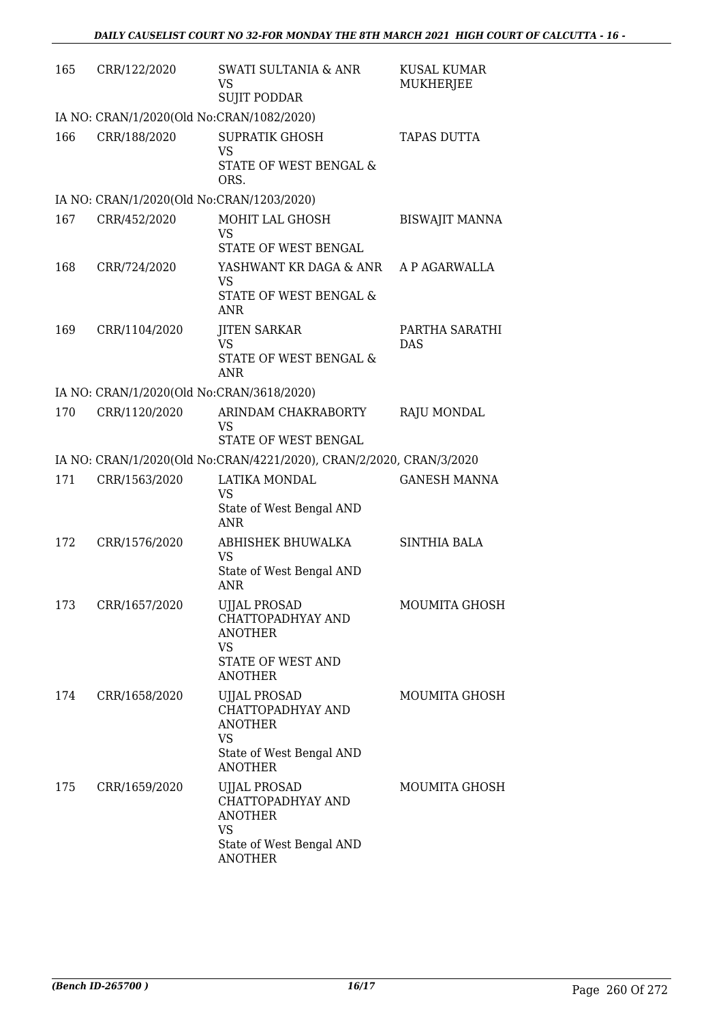| 165 | CRR/122/2020                              | <b>SWATI SULTANIA &amp; ANR</b><br><b>VS</b><br><b>SUJIT PODDAR</b>                                            | <b>KUSAL KUMAR</b><br><b>MUKHERJEE</b> |  |  |  |  |
|-----|-------------------------------------------|----------------------------------------------------------------------------------------------------------------|----------------------------------------|--|--|--|--|
|     | IA NO: CRAN/1/2020(Old No:CRAN/1082/2020) |                                                                                                                |                                        |  |  |  |  |
| 166 | CRR/188/2020                              | <b>SUPRATIK GHOSH</b><br><b>VS</b><br>STATE OF WEST BENGAL &<br>ORS.                                           | <b>TAPAS DUTTA</b>                     |  |  |  |  |
|     | IA NO: CRAN/1/2020(Old No:CRAN/1203/2020) |                                                                                                                |                                        |  |  |  |  |
| 167 | CRR/452/2020                              | MOHIT LAL GHOSH<br><b>VS</b><br>STATE OF WEST BENGAL                                                           | <b>BISWAJIT MANNA</b>                  |  |  |  |  |
| 168 | CRR/724/2020                              | YASHWANT KR DAGA & ANR A P AGARWALLA<br><b>VS</b><br>STATE OF WEST BENGAL &<br><b>ANR</b>                      |                                        |  |  |  |  |
| 169 | CRR/1104/2020                             | <b>JITEN SARKAR</b><br><b>VS</b><br>STATE OF WEST BENGAL &<br><b>ANR</b>                                       | PARTHA SARATHI<br><b>DAS</b>           |  |  |  |  |
|     | IA NO: CRAN/1/2020(Old No:CRAN/3618/2020) |                                                                                                                |                                        |  |  |  |  |
| 170 | CRR/1120/2020                             | ARINDAM CHAKRABORTY<br><b>VS</b>                                                                               | <b>RAJU MONDAL</b>                     |  |  |  |  |
|     |                                           | STATE OF WEST BENGAL<br>IA NO: CRAN/1/2020(Old No:CRAN/4221/2020), CRAN/2/2020, CRAN/3/2020                    |                                        |  |  |  |  |
| 171 | CRR/1563/2020                             | LATIKA MONDAL                                                                                                  | <b>GANESH MANNA</b>                    |  |  |  |  |
|     |                                           | <b>VS</b><br>State of West Bengal AND<br><b>ANR</b>                                                            |                                        |  |  |  |  |
| 172 | CRR/1576/2020                             | ABHISHEK BHUWALKA<br><b>VS</b><br>State of West Bengal AND<br><b>ANR</b>                                       | <b>SINTHIA BALA</b>                    |  |  |  |  |
|     | 173 CRR/1657/2020                         | <b>UJJAL PROSAD</b><br>CHATTOPADHYAY AND<br><b>ANOTHER</b><br>VS<br>STATE OF WEST AND<br><b>ANOTHER</b>        | MOUMITA GHOSH                          |  |  |  |  |
| 174 | CRR/1658/2020                             | <b>UJJAL PROSAD</b><br>CHATTOPADHYAY AND<br><b>ANOTHER</b><br>VS<br>State of West Bengal AND<br><b>ANOTHER</b> | MOUMITA GHOSH                          |  |  |  |  |
| 175 | CRR/1659/2020                             | UJJAL PROSAD<br>CHATTOPADHYAY AND<br><b>ANOTHER</b><br><b>VS</b><br>State of West Bengal AND<br><b>ANOTHER</b> | MOUMITA GHOSH                          |  |  |  |  |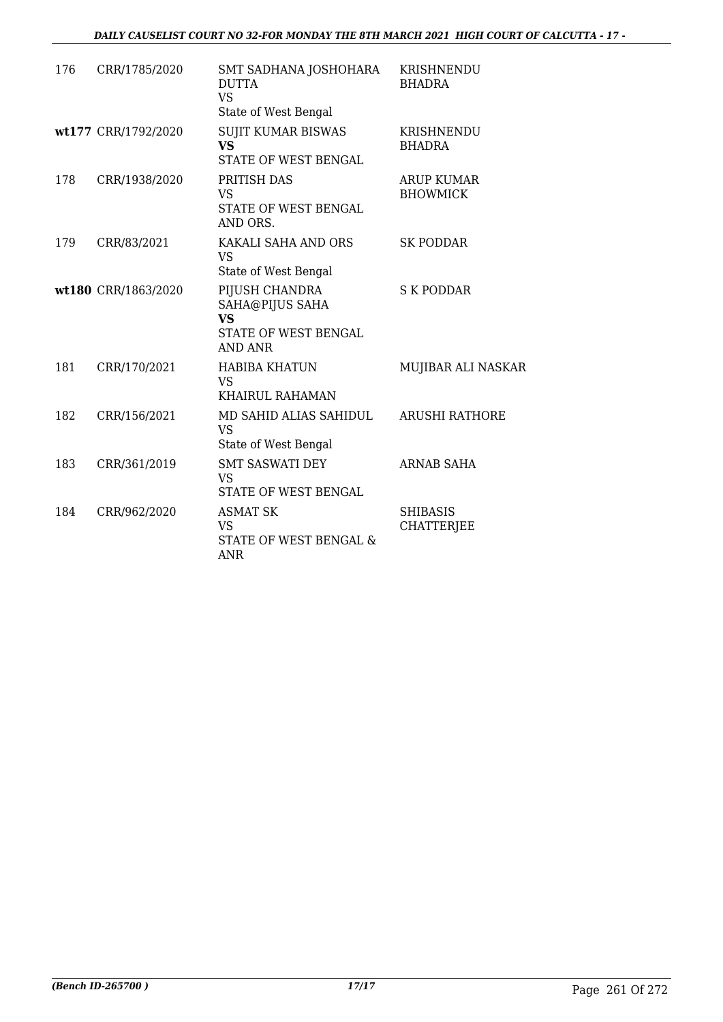| 176 | CRR/1785/2020       | SMT SADHANA JOSHOHARA<br><b>DUTTA</b><br><b>VS</b><br>State of West Bengal        | KRISHNENDU<br><b>BHADRA</b>          |
|-----|---------------------|-----------------------------------------------------------------------------------|--------------------------------------|
|     | wt177 CRR/1792/2020 | <b>SUJIT KUMAR BISWAS</b><br><b>VS</b><br>STATE OF WEST BENGAL                    | KRISHNENDU<br><b>BHADRA</b>          |
| 178 | CRR/1938/2020       | PRITISH DAS<br>VS<br>STATE OF WEST BENGAL<br>AND ORS.                             | <b>ARUP KUMAR</b><br><b>BHOWMICK</b> |
| 179 | CRR/83/2021         | KAKALI SAHA AND ORS<br>VS<br>State of West Bengal                                 | <b>SK PODDAR</b>                     |
|     | wt180 CRR/1863/2020 | PIJUSH CHANDRA<br>SAHA@PIJUS SAHA<br><b>VS</b><br>STATE OF WEST BENGAL<br>AND ANR | <b>S K PODDAR</b>                    |
| 181 | CRR/170/2021        | <b>HABIBA KHATUN</b><br><b>VS</b><br><b>KHAIRUL RAHAMAN</b>                       | MUJIBAR ALI NASKAR                   |
| 182 | CRR/156/2021        | MD SAHID ALIAS SAHIDUL<br>VS<br>State of West Bengal                              | <b>ARUSHI RATHORE</b>                |
| 183 | CRR/361/2019        | <b>SMT SASWATI DEY</b><br><b>VS</b><br>STATE OF WEST BENGAL                       | <b>ARNAB SAHA</b>                    |
| 184 | CRR/962/2020        | <b>ASMAT SK</b><br>VS<br>STATE OF WEST BENGAL &<br>ANR                            | <b>SHIBASIS</b><br><b>CHATTERJEE</b> |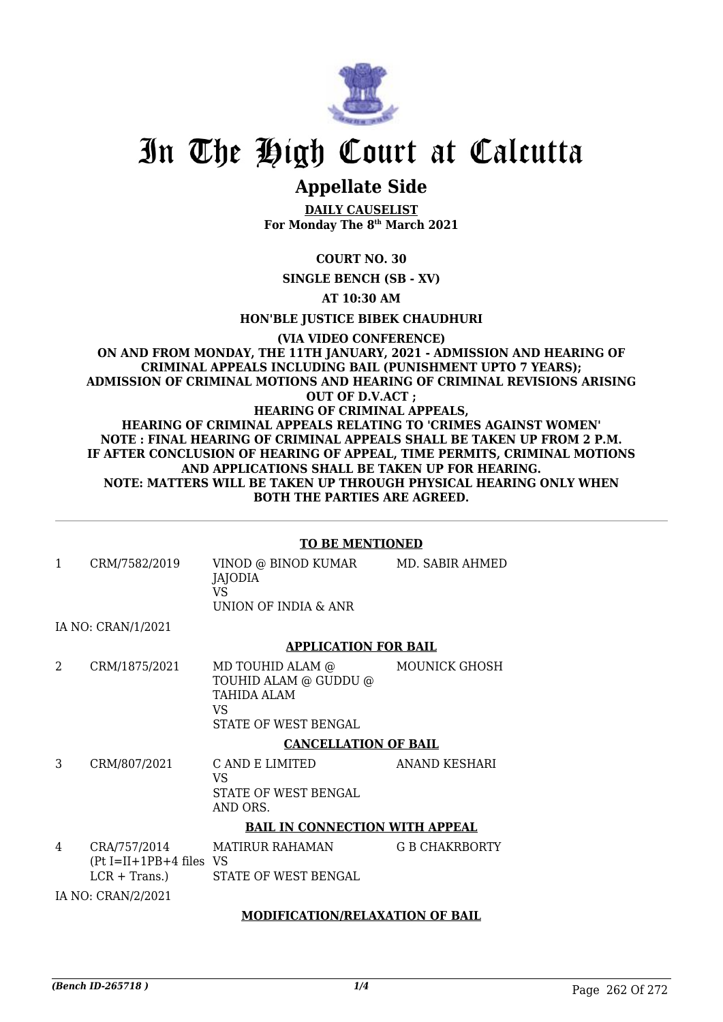

## In The High Court at Calcutta

## **Appellate Side**

**DAILY CAUSELIST For Monday The 8th March 2021**

**COURT NO. 30**

**SINGLE BENCH (SB - XV)**

**AT 10:30 AM**

**HON'BLE JUSTICE BIBEK CHAUDHURI**

#### **(VIA VIDEO CONFERENCE) ON AND FROM MONDAY, THE 11TH JANUARY, 2021 - ADMISSION AND HEARING OF CRIMINAL APPEALS INCLUDING BAIL (PUNISHMENT UPTO 7 YEARS); ADMISSION OF CRIMINAL MOTIONS AND HEARING OF CRIMINAL REVISIONS ARISING OUT OF D.V.ACT ; HEARING OF CRIMINAL APPEALS, HEARING OF CRIMINAL APPEALS RELATING TO 'CRIMES AGAINST WOMEN' NOTE : FINAL HEARING OF CRIMINAL APPEALS SHALL BE TAKEN UP FROM 2 P.M. IF AFTER CONCLUSION OF HEARING OF APPEAL, TIME PERMITS, CRIMINAL MOTIONS AND APPLICATIONS SHALL BE TAKEN UP FOR HEARING. NOTE: MATTERS WILL BE TAKEN UP THROUGH PHYSICAL HEARING ONLY WHEN BOTH THE PARTIES ARE AGREED.**

#### **TO BE MENTIONED**

1 CRM/7582/2019 VINOD @ BINOD KUMAR JAJODIA VS UNION OF INDIA & ANR MD. SABIR AHMED

IA NO: CRAN/1/2021

#### **APPLICATION FOR BAIL**

2 CRM/1875/2021 MD TOUHID ALAM @ TOUHID ALAM @ GUDDU @ TAHIDA ALAM VS STATE OF WEST BENGAL MOUNICK GHOSH

#### **CANCELLATION OF BAIL**

3 CRM/807/2021 C AND E LIMITED VS STATE OF WEST BENGAL AND ORS. ANAND KESHARI

#### **BAIL IN CONNECTION WITH APPEAL**

4 CRA/757/2014 (Pt I=II+1PB+4 files VS  $LCR + Trans.$ ) MATIRUR RAHAMAN STATE OF WEST BENGAL G B CHAKRBORTY

IA NO: CRAN/2/2021

#### **MODIFICATION/RELAXATION OF BAIL**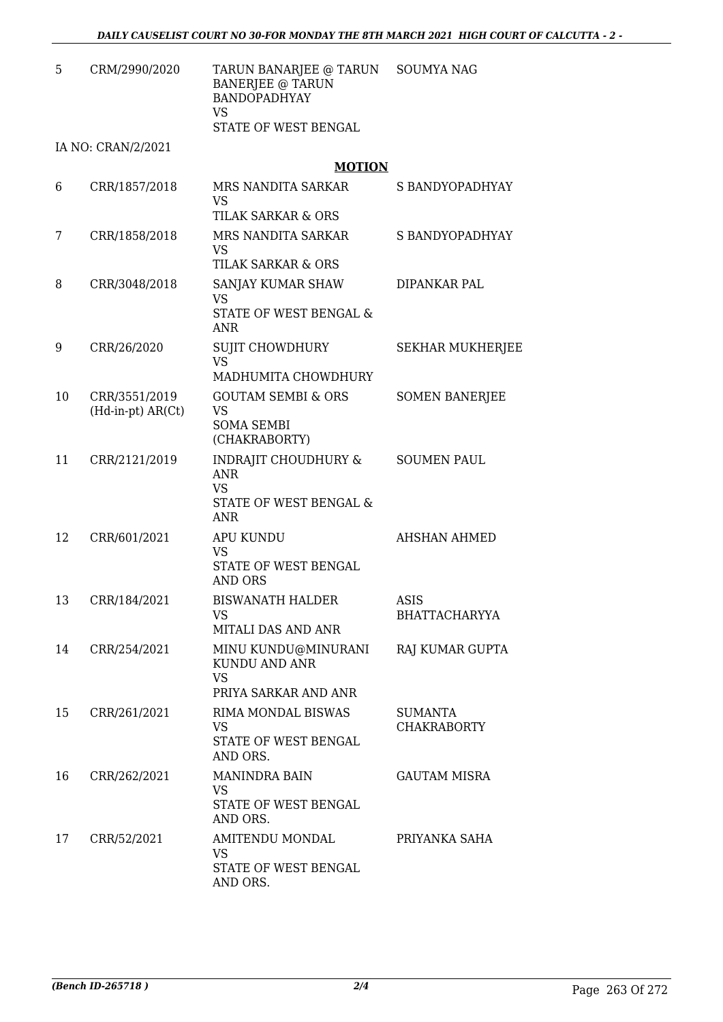| 5. | CRM/2990/2020 | TARUN BANARJEE @ TARUN SOUMYA NAG |  |
|----|---------------|-----------------------------------|--|
|    |               | BANERJEE @ TARUN                  |  |
|    |               | <b>BANDOPADHYAY</b>               |  |
|    |               | VS                                |  |
|    |               | STATE OF WEST BENGAL              |  |

IA NO: CRAN/2/2021

**MOTION**

| 6  | CRR/1857/2018                      | MRS NANDITA SARKAR<br><b>VS</b><br><b>TILAK SARKAR &amp; ORS</b>                                   | S BANDYOPADHYAY                      |
|----|------------------------------------|----------------------------------------------------------------------------------------------------|--------------------------------------|
| 7  | CRR/1858/2018                      | MRS NANDITA SARKAR<br>VS<br>TILAK SARKAR & ORS                                                     | S BANDYOPADHYAY                      |
| 8  | CRR/3048/2018                      | SANJAY KUMAR SHAW<br>VS<br>STATE OF WEST BENGAL &<br><b>ANR</b>                                    | DIPANKAR PAL                         |
| 9  | CRR/26/2020                        | <b>SUJIT CHOWDHURY</b><br><b>VS</b><br>MADHUMITA CHOWDHURY                                         | <b>SEKHAR MUKHERJEE</b>              |
| 10 | CRR/3551/2019<br>(Hd-in-pt) AR(Ct) | <b>GOUTAM SEMBI &amp; ORS</b><br><b>VS</b><br><b>SOMA SEMBI</b><br>(CHAKRABORTY)                   | <b>SOMEN BANERJEE</b>                |
| 11 | CRR/2121/2019                      | <b>INDRAJIT CHOUDHURY &amp;</b><br><b>ANR</b><br><b>VS</b><br>STATE OF WEST BENGAL &<br><b>ANR</b> | <b>SOUMEN PAUL</b>                   |
| 12 | CRR/601/2021                       | <b>APU KUNDU</b><br>VS<br>STATE OF WEST BENGAL<br>AND ORS                                          | <b>AHSHAN AHMED</b>                  |
| 13 | CRR/184/2021                       | <b>BISWANATH HALDER</b><br><b>VS</b><br>MITALI DAS AND ANR                                         | ASIS<br><b>BHATTACHARYYA</b>         |
| 14 | CRR/254/2021                       | MINU KUNDU@MINURANI<br>KUNDU AND ANR<br><b>VS</b><br>PRIYA SARKAR AND ANR                          | RAJ KUMAR GUPTA                      |
| 15 | CRR/261/2021                       | RIMA MONDAL BISWAS<br>VS<br>STATE OF WEST BENGAL<br>AND ORS.                                       | <b>SUMANTA</b><br><b>CHAKRABORTY</b> |
| 16 | CRR/262/2021                       | <b>MANINDRA BAIN</b><br><b>VS</b><br>STATE OF WEST BENGAL<br>AND ORS.                              | <b>GAUTAM MISRA</b>                  |
| 17 | CRR/52/2021                        | AMITENDU MONDAL<br>VS<br>STATE OF WEST BENGAL<br>AND ORS.                                          | PRIYANKA SAHA                        |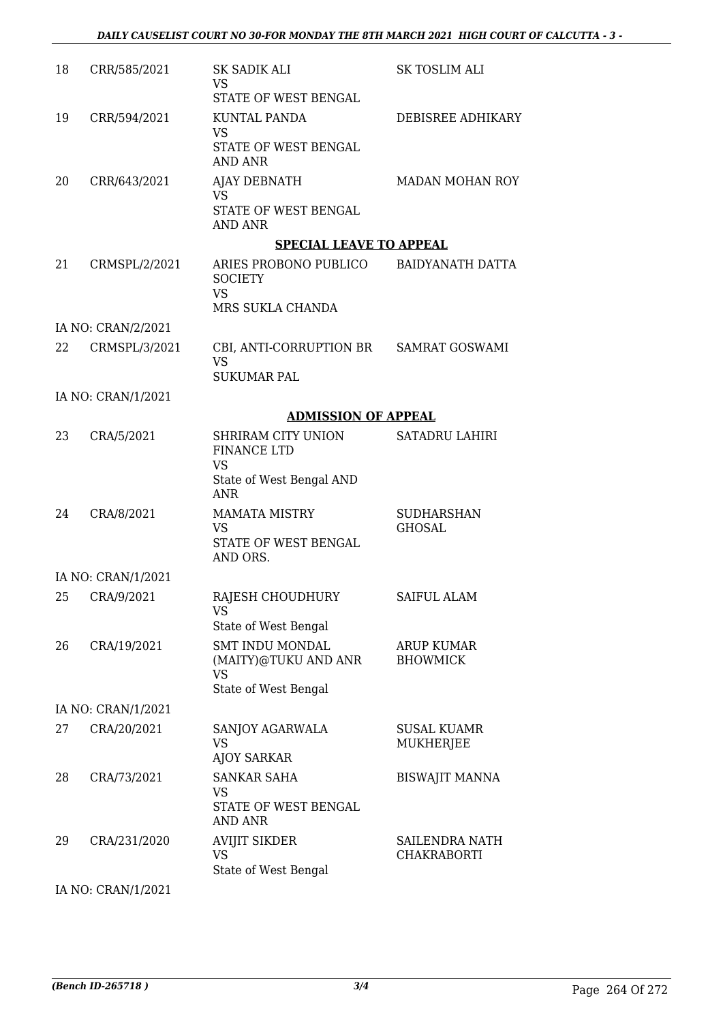| 18 | CRR/585/2021       | SK SADIK ALI<br>VS                                                                | SK TOSLIM ALI                               |
|----|--------------------|-----------------------------------------------------------------------------------|---------------------------------------------|
|    |                    | STATE OF WEST BENGAL                                                              |                                             |
| 19 | CRR/594/2021       | <b>KUNTAL PANDA</b><br><b>VS</b><br>STATE OF WEST BENGAL<br><b>AND ANR</b>        | DEBISREE ADHIKARY                           |
| 20 | CRR/643/2021       | AJAY DEBNATH<br><b>VS</b><br>STATE OF WEST BENGAL<br><b>AND ANR</b>               | MADAN MOHAN ROY                             |
|    |                    | <b>SPECIAL LEAVE TO APPEAL</b>                                                    |                                             |
| 21 | CRMSPL/2/2021      | ARIES PROBONO PUBLICO<br><b>SOCIETY</b><br><b>VS</b><br>MRS SUKLA CHANDA          | BAIDYANATH DATTA                            |
|    | IA NO: CRAN/2/2021 |                                                                                   |                                             |
| 22 | CRMSPL/3/2021      | CBI, ANTI-CORRUPTION BR SAMRAT GOSWAMI<br><b>VS</b><br><b>SUKUMAR PAL</b>         |                                             |
|    | IA NO: CRAN/1/2021 |                                                                                   |                                             |
|    |                    | <b>ADMISSION OF APPEAL</b>                                                        |                                             |
| 23 | CRA/5/2021         | SHRIRAM CITY UNION<br><b>FINANCE LTD</b><br><b>VS</b><br>State of West Bengal AND | <b>SATADRU LAHIRI</b>                       |
|    |                    | <b>ANR</b>                                                                        |                                             |
| 24 | CRA/8/2021         | <b>MAMATA MISTRY</b><br>VS<br>STATE OF WEST BENGAL<br>AND ORS.                    | <b>SUDHARSHAN</b><br><b>GHOSAL</b>          |
|    | IA NO: CRAN/1/2021 |                                                                                   |                                             |
|    | 25 CRA/9/2021      | RAJESH CHOUDHURY<br>VS.                                                           | SAIFUL ALAM                                 |
|    |                    | State of West Bengal                                                              |                                             |
| 26 | CRA/19/2021        | <b>SMT INDU MONDAL</b><br>(MAITY)@TUKU AND ANR<br>VS<br>State of West Bengal      | <b>ARUP KUMAR</b><br><b>BHOWMICK</b>        |
|    | IA NO: CRAN/1/2021 |                                                                                   |                                             |
| 27 | CRA/20/2021        | SANJOY AGARWALA<br><b>VS</b><br><b>AJOY SARKAR</b>                                | <b>SUSAL KUAMR</b><br><b>MUKHERJEE</b>      |
| 28 | CRA/73/2021        | <b>SANKAR SAHA</b><br>VS<br>STATE OF WEST BENGAL<br>AND ANR                       | <b>BISWAJIT MANNA</b>                       |
| 29 | CRA/231/2020       | <b>AVIJIT SIKDER</b><br><b>VS</b><br>State of West Bengal                         | <b>SAILENDRA NATH</b><br><b>CHAKRABORTI</b> |
|    | IA NO: CRAN/1/2021 |                                                                                   |                                             |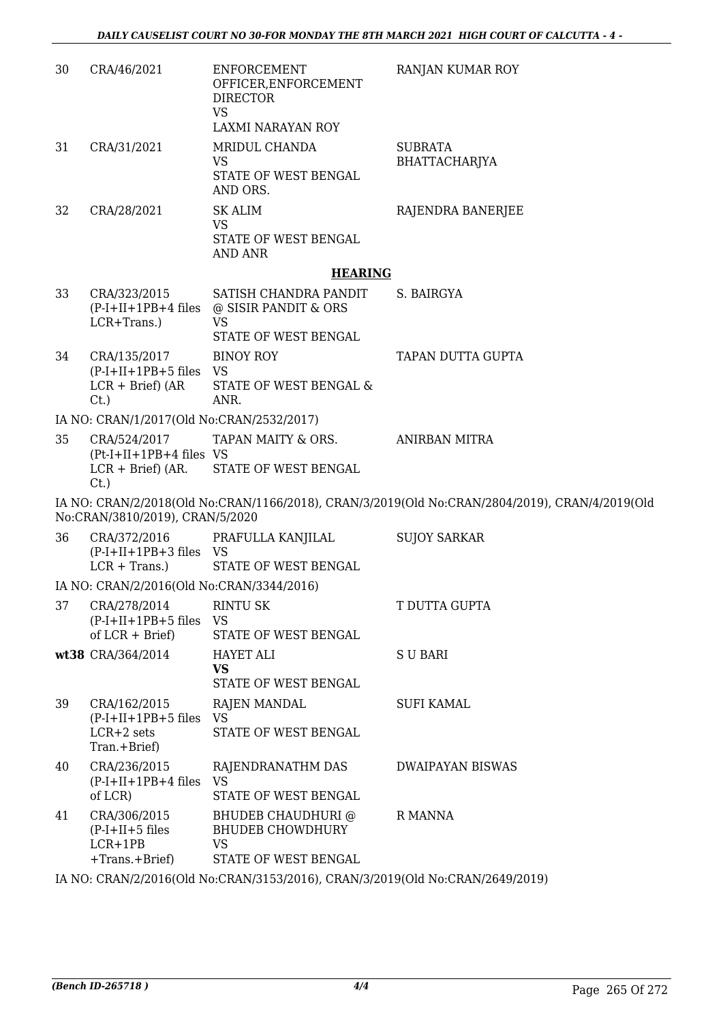| 30 | CRA/46/2021                                                                    | ENFORCEMENT<br>OFFICER, ENFORCEMENT<br><b>DIRECTOR</b><br><b>VS</b><br><b>LAXMI NARAYAN ROY</b> | RANJAN KUMAR ROY                                                                               |
|----|--------------------------------------------------------------------------------|-------------------------------------------------------------------------------------------------|------------------------------------------------------------------------------------------------|
| 31 | CRA/31/2021                                                                    | MRIDUL CHANDA<br><b>VS</b><br>STATE OF WEST BENGAL<br>AND ORS.                                  | <b>SUBRATA</b><br>BHATTACHARJYA                                                                |
| 32 | CRA/28/2021                                                                    | <b>SK ALIM</b><br><b>VS</b><br>STATE OF WEST BENGAL<br>AND ANR                                  | RAJENDRA BANERJEE                                                                              |
|    |                                                                                | <b>HEARING</b>                                                                                  |                                                                                                |
| 33 | CRA/323/2015<br>$(P-I+II+1PB+4$ files<br>LCR+Trans.)                           | SATISH CHANDRA PANDIT<br>@ SISIR PANDIT & ORS<br><b>VS</b>                                      | S. BAIRGYA                                                                                     |
|    |                                                                                | STATE OF WEST BENGAL                                                                            |                                                                                                |
| 34 | CRA/135/2017<br>$(P-I+II+1PB+5$ files VS                                       | <b>BINOY ROY</b>                                                                                | TAPAN DUTTA GUPTA                                                                              |
|    | $LCR + Brief)$ (AR<br>$C_{t}$ .)                                               | STATE OF WEST BENGAL &<br>ANR.                                                                  |                                                                                                |
|    | IA NO: CRAN/1/2017(Old No:CRAN/2532/2017)                                      |                                                                                                 |                                                                                                |
| 35 | CRA/524/2017<br>$(Pt-I+II+1PB+4$ files VS<br>$LCR + Brief)$ (AR.<br>$C_{t}$ .) | TAPAN MAITY & ORS.<br>STATE OF WEST BENGAL                                                      | ANIRBAN MITRA                                                                                  |
|    | No:CRAN/3810/2019), CRAN/5/2020                                                |                                                                                                 | IA NO: CRAN/2/2018(Old No:CRAN/1166/2018), CRAN/3/2019(Old No:CRAN/2804/2019), CRAN/4/2019(Old |
| 36 | CRA/372/2016<br>$(P-I+II+1PB+3$ files VS<br>$LCR + Trans.$ )                   | PRAFULLA KANJILAL<br>STATE OF WEST BENGAL                                                       | <b>SUJOY SARKAR</b>                                                                            |
|    | IA NO: CRAN/2/2016(Old No:CRAN/3344/2016)                                      |                                                                                                 |                                                                                                |
| 37 | CRA/278/2014<br>$(P-I+II+1PB+5$ files<br>of $LCR + Brief$                      | <b>RINTU SK</b><br>VS<br>STATE OF WEST BENGAL                                                   | T DUTTA GUPTA                                                                                  |
|    | wt38 CRA/364/2014                                                              | <b>HAYET ALI</b><br><b>VS</b><br>STATE OF WEST BENGAL                                           | S U BARI                                                                                       |
| 39 | CRA/162/2015<br>$(P-I+II+1PB+5$ files<br>$LCR+2$ sets<br>Tran.+Brief)          | <b>RAJEN MANDAL</b><br><b>VS</b><br>STATE OF WEST BENGAL                                        | <b>SUFI KAMAL</b>                                                                              |
| 40 | CRA/236/2015<br>$(P-I+II+1PB+4$ files<br>of LCR)                               | RAJENDRANATHM DAS<br><b>VS</b><br>STATE OF WEST BENGAL                                          | <b>DWAIPAYAN BISWAS</b>                                                                        |
| 41 | CRA/306/2015<br>$(P-I+II+5$ files<br>$LCR+1PB$<br>+Trans.+Brief)               | BHUDEB CHAUDHURI @<br><b>BHUDEB CHOWDHURY</b><br><b>VS</b><br>STATE OF WEST BENGAL              | R MANNA                                                                                        |

IA NO: CRAN/2/2016(Old No:CRAN/3153/2016), CRAN/3/2019(Old No:CRAN/2649/2019)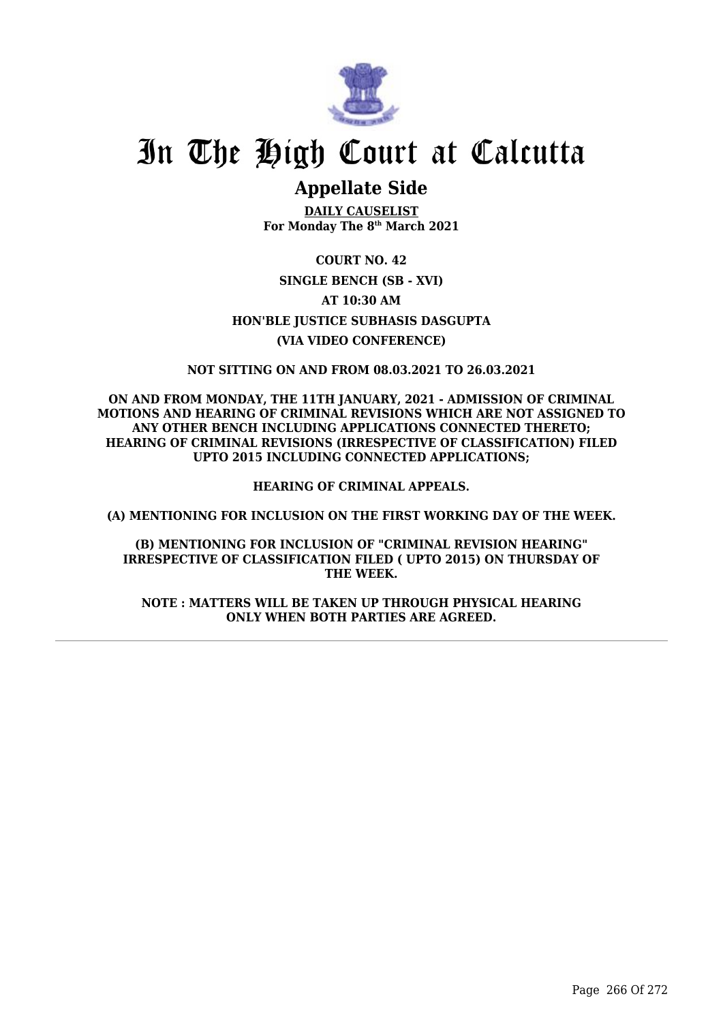

# In The High Court at Calcutta

### **Appellate Side**

**DAILY CAUSELIST For Monday The 8th March 2021**

**COURT NO. 42 SINGLE BENCH (SB - XVI) AT 10:30 AM HON'BLE JUSTICE SUBHASIS DASGUPTA (VIA VIDEO CONFERENCE)**

**NOT SITTING ON AND FROM 08.03.2021 TO 26.03.2021**

**ON AND FROM MONDAY, THE 11TH JANUARY, 2021 - ADMISSION OF CRIMINAL MOTIONS AND HEARING OF CRIMINAL REVISIONS WHICH ARE NOT ASSIGNED TO ANY OTHER BENCH INCLUDING APPLICATIONS CONNECTED THERETO; HEARING OF CRIMINAL REVISIONS (IRRESPECTIVE OF CLASSIFICATION) FILED UPTO 2015 INCLUDING CONNECTED APPLICATIONS;**

**HEARING OF CRIMINAL APPEALS.**

**(A) MENTIONING FOR INCLUSION ON THE FIRST WORKING DAY OF THE WEEK.**

**(B) MENTIONING FOR INCLUSION OF "CRIMINAL REVISION HEARING" IRRESPECTIVE OF CLASSIFICATION FILED ( UPTO 2015) ON THURSDAY OF THE WEEK.**

**NOTE : MATTERS WILL BE TAKEN UP THROUGH PHYSICAL HEARING ONLY WHEN BOTH PARTIES ARE AGREED.**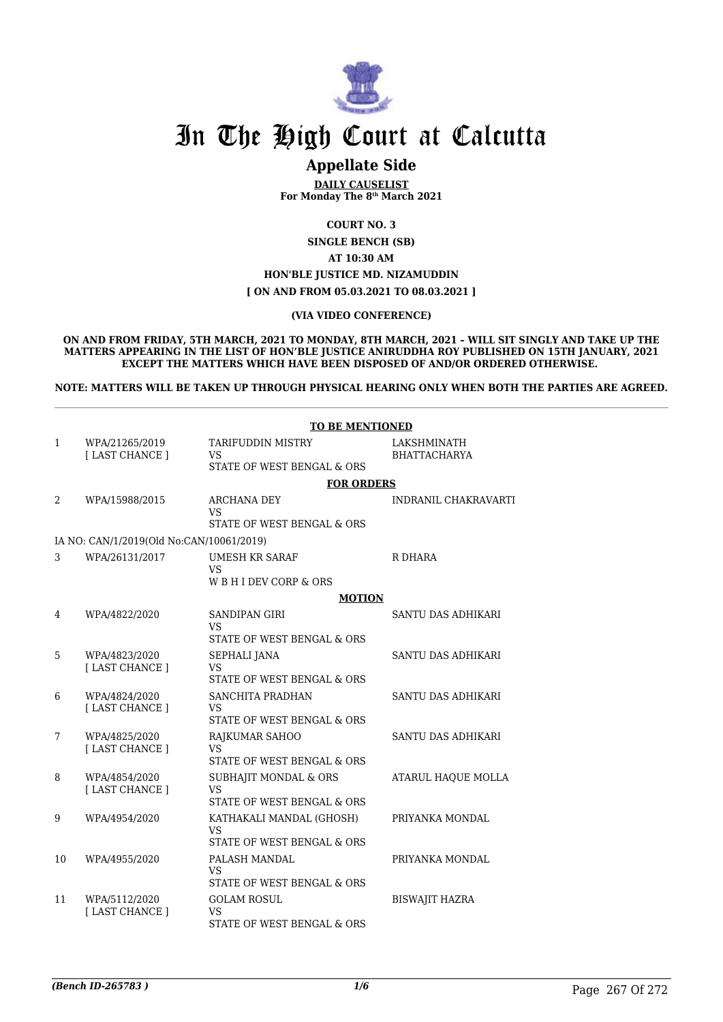

## In The High Court at Calcutta

### **Appellate Side**

**DAILY CAUSELIST For Monday The 8th March 2021**

**COURT NO. 3**

**SINGLE BENCH (SB)**

**AT 10:30 AM**

#### **HON'BLE JUSTICE MD. NIZAMUDDIN**

**[ ON AND FROM 05.03.2021 TO 08.03.2021 ]**

#### **(VIA VIDEO CONFERENCE)**

**ON AND FROM FRIDAY, 5TH MARCH, 2021 TO MONDAY, 8TH MARCH, 2021 – WILL SIT SINGLY AND TAKE UP THE MATTERS APPEARING IN THE LIST OF HON'BLE JUSTICE ANIRUDDHA ROY PUBLISHED ON 15TH JANUARY, 2021 EXCEPT THE MATTERS WHICH HAVE BEEN DISPOSED OF AND/OR ORDERED OTHERWISE.** 

**NOTE: MATTERS WILL BE TAKEN UP THROUGH PHYSICAL HEARING ONLY WHEN BOTH THE PARTIES ARE AGREED.**

|    | <b>TO BE MENTIONED</b>                   |                                                  |                       |  |  |
|----|------------------------------------------|--------------------------------------------------|-----------------------|--|--|
| 1  | WPA/21265/2019                           | <b>TARIFUDDIN MISTRY</b>                         | LAKSHMINATH           |  |  |
|    | [ LAST CHANCE ]                          | VS<br>STATE OF WEST BENGAL & ORS                 | <b>BHATTACHARYA</b>   |  |  |
|    |                                          | <b>FOR ORDERS</b>                                |                       |  |  |
| 2  | WPA/15988/2015                           | ARCHANA DEY                                      | INDRANIL CHAKRAVARTI  |  |  |
|    |                                          | VS.<br>STATE OF WEST BENGAL & ORS                |                       |  |  |
|    | IA NO: CAN/1/2019(Old No:CAN/10061/2019) |                                                  |                       |  |  |
| 3  | WPA/26131/2017                           | <b>UMESH KR SARAF</b>                            | R DHARA               |  |  |
|    |                                          | <b>VS</b><br>WBHIDEV CORP & ORS                  |                       |  |  |
|    |                                          | <b>MOTION</b>                                    |                       |  |  |
| 4  | WPA/4822/2020                            | <b>SANDIPAN GIRI</b>                             | SANTU DAS ADHIKARI    |  |  |
|    |                                          | VS<br>STATE OF WEST BENGAL & ORS                 |                       |  |  |
| 5  | WPA/4823/2020                            | SEPHALI JANA                                     | SANTU DAS ADHIKARI    |  |  |
|    | [ LAST CHANCE ]                          | <b>VS</b>                                        |                       |  |  |
|    |                                          | STATE OF WEST BENGAL & ORS                       |                       |  |  |
| 6  | WPA/4824/2020<br>[ LAST CHANCE ]         | SANCHITA PRADHAN<br><b>VS</b>                    | SANTU DAS ADHIKARI    |  |  |
|    |                                          | STATE OF WEST BENGAL & ORS                       |                       |  |  |
| 7  | WPA/4825/2020<br>[LAST CHANCE]           | RAJKUMAR SAHOO<br>VS.                            | SANTU DAS ADHIKARI    |  |  |
|    |                                          | STATE OF WEST BENGAL & ORS                       |                       |  |  |
| 8  | WPA/4854/2020                            | SUBHAJIT MONDAL & ORS                            | ATARUL HAQUE MOLLA    |  |  |
|    | [ LAST CHANCE ]                          | VS<br>STATE OF WEST BENGAL & ORS                 |                       |  |  |
| 9  | WPA/4954/2020                            | KATHAKALI MANDAL (GHOSH)                         | PRIYANKA MONDAL       |  |  |
|    |                                          | <b>VS</b><br>STATE OF WEST BENGAL & ORS          |                       |  |  |
| 10 | WPA/4955/2020                            | PALASH MANDAL                                    | PRIYANKA MONDAL       |  |  |
|    |                                          | VS                                               |                       |  |  |
| 11 | WPA/5112/2020                            | STATE OF WEST BENGAL & ORS<br><b>GOLAM ROSUL</b> | <b>BISWAJIT HAZRA</b> |  |  |
|    | [ LAST CHANCE ]                          | <b>VS</b>                                        |                       |  |  |
|    |                                          | STATE OF WEST BENGAL & ORS                       |                       |  |  |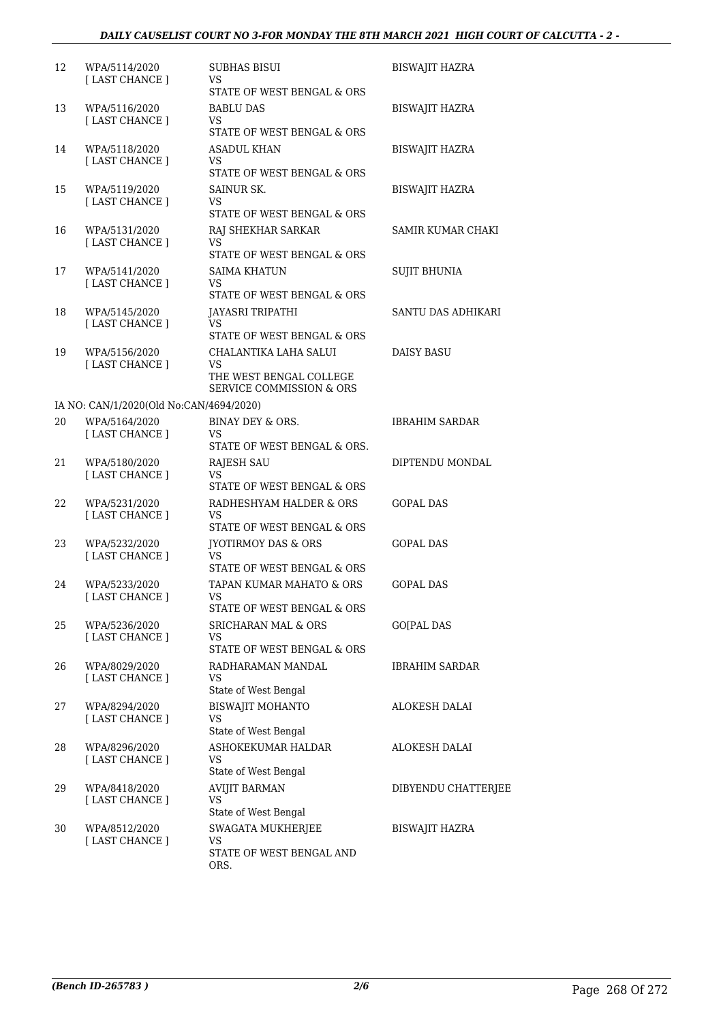#### *DAILY CAUSELIST COURT NO 3-FOR MONDAY THE 8TH MARCH 2021 HIGH COURT OF CALCUTTA - 2 -*

| 12 | WPA/5114/2020<br>[ LAST CHANCE ]        | <b>SUBHAS BISUI</b><br>VS<br>STATE OF WEST BENGAL & ORS                            | <b>BISWAJIT HAZRA</b> |
|----|-----------------------------------------|------------------------------------------------------------------------------------|-----------------------|
| 13 | WPA/5116/2020<br>[LAST CHANCE]          | <b>BABLU DAS</b><br>VS<br>STATE OF WEST BENGAL & ORS                               | BISWAJIT HAZRA        |
| 14 | WPA/5118/2020<br>[ LAST CHANCE ]        | ASADUL KHAN<br>VS<br>STATE OF WEST BENGAL & ORS                                    | BISWAJIT HAZRA        |
| 15 | WPA/5119/2020<br>[ LAST CHANCE ]        | SAINUR SK.<br>VS<br>STATE OF WEST BENGAL & ORS                                     | <b>BISWAJIT HAZRA</b> |
| 16 | WPA/5131/2020<br>[ LAST CHANCE ]        | RAJ SHEKHAR SARKAR<br>VS<br>STATE OF WEST BENGAL & ORS                             | SAMIR KUMAR CHAKI     |
| 17 | WPA/5141/2020<br>[LAST CHANCE]          | SAIMA KHATUN<br>VS<br>STATE OF WEST BENGAL & ORS                                   | <b>SUJIT BHUNIA</b>   |
| 18 | WPA/5145/2020<br>[LAST CHANCE]          | JAYASRI TRIPATHI<br>VS<br>STATE OF WEST BENGAL & ORS                               | SANTU DAS ADHIKARI    |
| 19 | WPA/5156/2020<br>[ LAST CHANCE ]        | CHALANTIKA LAHA SALUI<br>VS<br>THE WEST BENGAL COLLEGE<br>SERVICE COMMISSION & ORS | <b>DAISY BASU</b>     |
|    | IA NO: CAN/1/2020(Old No:CAN/4694/2020) |                                                                                    |                       |
| 20 | WPA/5164/2020<br>[LAST CHANCE]          | BINAY DEY & ORS.<br>VS<br>STATE OF WEST BENGAL & ORS.                              | <b>IBRAHIM SARDAR</b> |
| 21 | WPA/5180/2020<br>[ LAST CHANCE ]        | RAJESH SAU<br>VS<br>STATE OF WEST BENGAL & ORS                                     | DIPTENDU MONDAL       |
| 22 | WPA/5231/2020<br>[ LAST CHANCE ]        | RADHESHYAM HALDER & ORS<br>VS<br>STATE OF WEST BENGAL & ORS                        | <b>GOPAL DAS</b>      |
| 23 | WPA/5232/2020<br>[ LAST CHANCE ]        | <b>IYOTIRMOY DAS &amp; ORS</b><br>VS<br>STATE OF WEST BENGAL & ORS                 | <b>GOPAL DAS</b>      |
| 24 | WPA/5233/2020<br>[ LAST CHANCE ]        | TAPAN KUMAR MAHATO & ORS<br>VS<br>STATE OF WEST BENGAL & ORS                       | <b>GOPAL DAS</b>      |
| 25 | WPA/5236/2020<br>[ LAST CHANCE ]        | <b>SRICHARAN MAL &amp; ORS</b><br>VS<br>STATE OF WEST BENGAL & ORS                 | GO[PAL DAS            |
| 26 | WPA/8029/2020<br>[LAST CHANCE]          | RADHARAMAN MANDAL<br>VS<br>State of West Bengal                                    | <b>IBRAHIM SARDAR</b> |
| 27 | WPA/8294/2020<br>[LAST CHANCE]          | <b>BISWAJIT MOHANTO</b><br>VS<br>State of West Bengal                              | ALOKESH DALAI         |
| 28 | WPA/8296/2020<br>[LAST CHANCE]          | ASHOKEKUMAR HALDAR<br>VS<br>State of West Bengal                                   | ALOKESH DALAI         |
| 29 | WPA/8418/2020<br>[LAST CHANCE]          | <b>AVIJIT BARMAN</b><br>VS<br>State of West Bengal                                 | DIBYENDU CHATTERJEE   |
| 30 | WPA/8512/2020<br>[LAST CHANCE ]         | SWAGATA MUKHERJEE<br>VS<br>STATE OF WEST BENGAL AND<br>ORS.                        | BISWAJIT HAZRA        |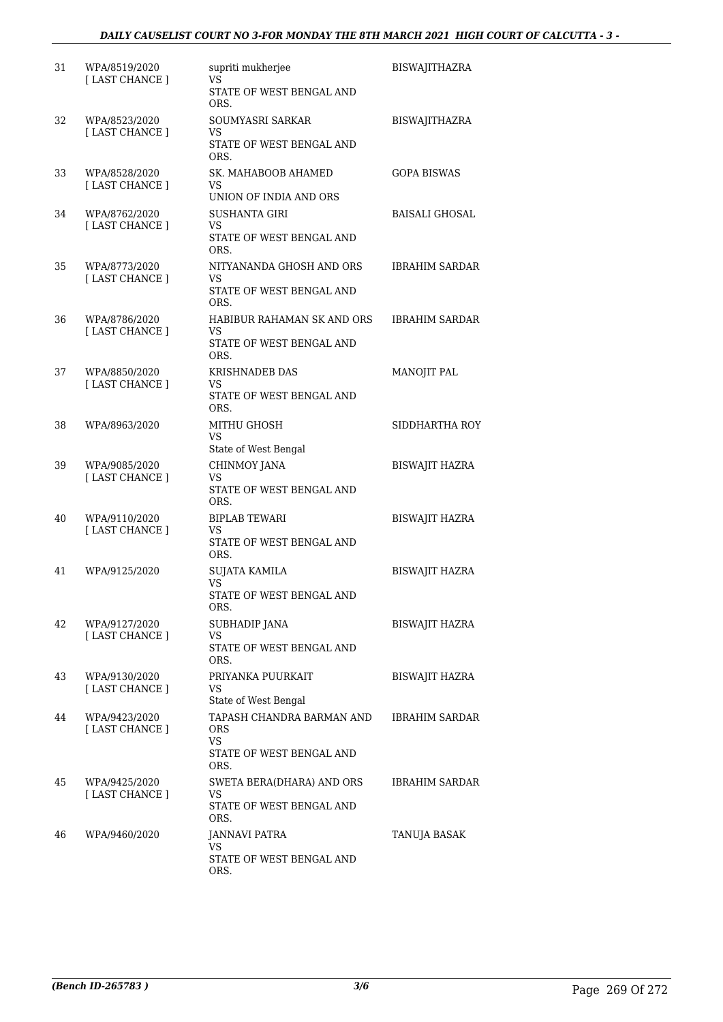| 31 | WPA/8519/2020<br>[ LAST CHANCE ] | supriti mukherjee<br>VS                                     | <b>BISWAJITHAZRA</b>  |
|----|----------------------------------|-------------------------------------------------------------|-----------------------|
|    |                                  | STATE OF WEST BENGAL AND<br>ORS.                            |                       |
| 32 | WPA/8523/2020<br>[LAST CHANCE]   | SOUMYASRI SARKAR<br>VS                                      | BISWAJITHAZRA         |
|    |                                  | STATE OF WEST BENGAL AND<br>ORS.                            |                       |
| 33 | WPA/8528/2020<br>[LAST CHANCE]   | SK. MAHABOOB AHAMED<br>VS.<br>UNION OF INDIA AND ORS        | GOPA BISWAS           |
| 34 | WPA/8762/2020                    | <b>SUSHANTA GIRI</b>                                        | BAISALI GHOSAL        |
|    | [ LAST CHANCE ]                  | VS<br>STATE OF WEST BENGAL AND<br>ORS.                      |                       |
| 35 | WPA/8773/2020                    | NITYANANDA GHOSH AND ORS                                    | <b>IBRAHIM SARDAR</b> |
|    | [LAST CHANCE]                    | VS.<br>STATE OF WEST BENGAL AND<br>ORS.                     |                       |
| 36 | WPA/8786/2020<br>[ LAST CHANCE ] | HABIBUR RAHAMAN SK AND ORS<br>VS.                           | IBRAHIM SARDAR        |
|    |                                  | STATE OF WEST BENGAL AND<br>ORS.                            |                       |
| 37 | WPA/8850/2020<br>[ LAST CHANCE ] | KRISHNADEB DAS<br>VS                                        | MANOJIT PAL           |
|    |                                  | STATE OF WEST BENGAL AND<br>ORS.                            |                       |
| 38 | WPA/8963/2020                    | MITHU GHOSH<br>VS.<br>State of West Bengal                  | SIDDHARTHA ROY        |
| 39 | WPA/9085/2020                    | CHINMOY JANA                                                | <b>BISWAJIT HAZRA</b> |
|    | [LAST CHANCE]                    | VS<br>STATE OF WEST BENGAL AND<br>ORS.                      |                       |
| 40 | WPA/9110/2020                    | <b>BIPLAB TEWARI</b>                                        | <b>BISWAJIT HAZRA</b> |
|    | [LAST CHANCE]                    | VS.<br>STATE OF WEST BENGAL AND<br>ORS.                     |                       |
| 41 | WPA/9125/2020                    | <b>SUJATA KAMILA</b>                                        | <b>BISWAJIT HAZRA</b> |
|    |                                  | VS<br>STATE OF WEST BENGAL AND<br>ORS.                      |                       |
| 42 | WPA/9127/2020<br>[LAST CHANCE]   | SUBHADIP JANA<br>VS                                         | BISWAJIT HAZRA        |
|    |                                  | STATE OF WEST BENGAL AND<br>ORS.                            |                       |
| 43 | WPA/9130/2020<br>[ LAST CHANCE ] | PRIYANKA PUURKAIT<br>VS                                     | BISWAJIT HAZRA        |
|    |                                  | State of West Bengal                                        |                       |
| 44 | WPA/9423/2020<br>[LAST CHANCE]   | TAPASH CHANDRA BARMAN AND<br>ORS<br><b>VS</b>               | <b>IBRAHIM SARDAR</b> |
|    |                                  | STATE OF WEST BENGAL AND<br>ORS.                            |                       |
| 45 | WPA/9425/2020<br>[LAST CHANCE]   | SWETA BERA(DHARA) AND ORS<br>VS<br>STATE OF WEST BENGAL AND | <b>IBRAHIM SARDAR</b> |
|    |                                  | ORS.                                                        |                       |
| 46 | WPA/9460/2020                    | JANNAVI PATRA<br>VS<br>STATE OF WEST BENGAL AND             | TANUJA BASAK          |
|    |                                  | ORS.                                                        |                       |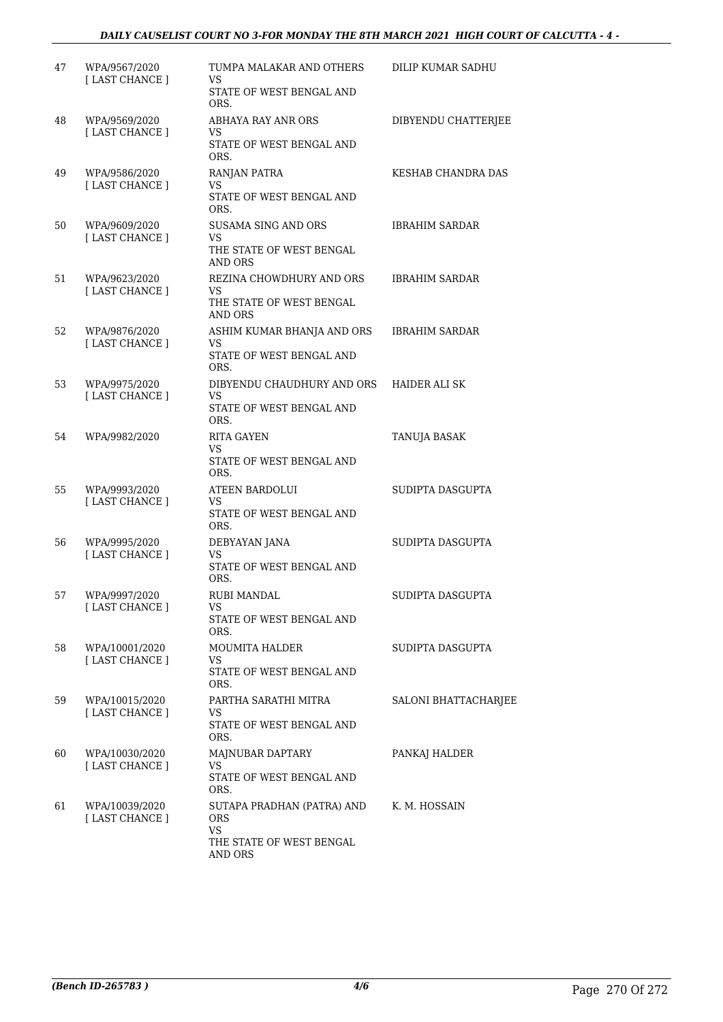| 47 | WPA/9567/2020<br>[ LAST CHANCE ] | TUMPA MALAKAR AND OTHERS<br>VS<br>STATE OF WEST BENGAL AND<br>ORS.                           | DILIP KUMAR SADHU     |
|----|----------------------------------|----------------------------------------------------------------------------------------------|-----------------------|
| 48 | WPA/9569/2020<br>[ LAST CHANCE ] | ABHAYA RAY ANR ORS<br>VS<br>STATE OF WEST BENGAL AND<br>ORS.                                 | DIBYENDU CHATTERJEE   |
| 49 | WPA/9586/2020<br>[ LAST CHANCE ] | RANJAN PATRA<br>VS<br>STATE OF WEST BENGAL AND<br>ORS.                                       | KESHAB CHANDRA DAS    |
| 50 | WPA/9609/2020<br>[LAST CHANCE]   | SUSAMA SING AND ORS<br>VS<br>THE STATE OF WEST BENGAL<br>AND ORS                             | <b>IBRAHIM SARDAR</b> |
| 51 | WPA/9623/2020<br>[ LAST CHANCE ] | REZINA CHOWDHURY AND ORS<br>VS<br>THE STATE OF WEST BENGAL<br>AND ORS                        | <b>IBRAHIM SARDAR</b> |
| 52 | WPA/9876/2020<br>[ LAST CHANCE ] | ASHIM KUMAR BHANJA AND ORS<br>VS<br>STATE OF WEST BENGAL AND<br>ORS.                         | <b>IBRAHIM SARDAR</b> |
| 53 | WPA/9975/2020<br>[LAST CHANCE]   | DIBYENDU CHAUDHURY AND ORS<br>VS<br>STATE OF WEST BENGAL AND<br>ORS.                         | <b>HAIDER ALI SK</b>  |
| 54 | WPA/9982/2020                    | <b>RITA GAYEN</b><br>VS<br>STATE OF WEST BENGAL AND<br>ORS.                                  | TANUJA BASAK          |
| 55 | WPA/9993/2020<br>[LAST CHANCE]   | <b>ATEEN BARDOLUI</b><br>VS<br>STATE OF WEST BENGAL AND<br>ORS.                              | SUDIPTA DASGUPTA      |
| 56 | WPA/9995/2020<br>[LAST CHANCE]   | DEBYAYAN JANA<br>VS<br>STATE OF WEST BENGAL AND<br>ORS.                                      | SUDIPTA DASGUPTA      |
| 57 | WPA/9997/2020<br>[ LAST CHANCE ] | RUBI MANDAL<br>VS<br>STATE OF WEST BENGAL AND<br>ORS.                                        | SUDIPTA DASGUPTA      |
| 58 | WPA/10001/2020<br>[LAST CHANCE ] | <b>MOUMITA HALDER</b><br>VS.<br>STATE OF WEST BENGAL AND<br>ORS.                             | SUDIPTA DASGUPTA      |
| 59 | WPA/10015/2020<br>[LAST CHANCE]  | PARTHA SARATHI MITRA<br>VS.<br>STATE OF WEST BENGAL AND<br>ORS.                              | SALONI BHATTACHARJEE  |
| 60 | WPA/10030/2020<br>[LAST CHANCE]  | MAJNUBAR DAPTARY<br>VS.<br>STATE OF WEST BENGAL AND<br>ORS.                                  | PANKAJ HALDER         |
| 61 | WPA/10039/2020<br>[LAST CHANCE]  | SUTAPA PRADHAN (PATRA) AND<br><b>ORS</b><br><b>VS</b><br>THE STATE OF WEST BENGAL<br>AND ORS | K. M. HOSSAIN         |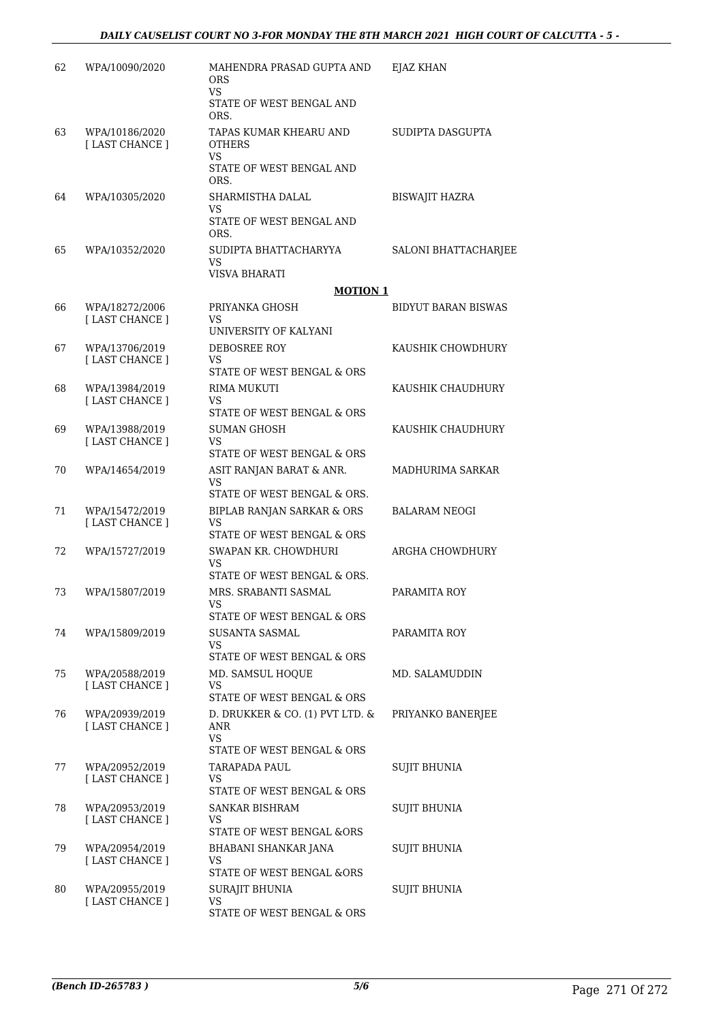| 62 | WPA/10090/2020                    | MAHENDRA PRASAD GUPTA AND<br><b>ORS</b><br>VS.<br>STATE OF WEST BENGAL AND<br>ORS.       | EJAZ KHAN                  |
|----|-----------------------------------|------------------------------------------------------------------------------------------|----------------------------|
| 63 | WPA/10186/2020<br>[LAST CHANCE]   | TAPAS KUMAR KHEARU AND<br><b>OTHERS</b><br><b>VS</b><br>STATE OF WEST BENGAL AND<br>ORS. | SUDIPTA DASGUPTA           |
| 64 | WPA/10305/2020                    | SHARMISTHA DALAL<br>VS<br>STATE OF WEST BENGAL AND<br>ORS.                               | <b>BISWAJIT HAZRA</b>      |
| 65 | WPA/10352/2020                    | SUDIPTA BHATTACHARYYA<br>VS<br>VISVA BHARATI                                             | SALONI BHATTACHARJEE       |
|    |                                   | <b>MOTION 1</b>                                                                          |                            |
| 66 | WPA/18272/2006<br>[LAST CHANCE]   | PRIYANKA GHOSH<br>VS<br>UNIVERSITY OF KALYANI                                            | <b>BIDYUT BARAN BISWAS</b> |
| 67 | WPA/13706/2019                    | DEBOSREE ROY                                                                             | KAUSHIK CHOWDHURY          |
|    | [ LAST CHANCE ]                   | VS                                                                                       |                            |
|    | WPA/13984/2019                    | STATE OF WEST BENGAL & ORS                                                               | KAUSHIK CHAUDHURY          |
| 68 | [LAST CHANCE]                     | RIMA MUKUTI<br>VS                                                                        |                            |
|    |                                   | STATE OF WEST BENGAL & ORS                                                               |                            |
| 69 | WPA/13988/2019<br>[ LAST CHANCE ] | <b>SUMAN GHOSH</b><br>VS                                                                 | KAUSHIK CHAUDHURY          |
|    |                                   | STATE OF WEST BENGAL & ORS                                                               |                            |
| 70 | WPA/14654/2019                    | ASIT RANJAN BARAT & ANR.<br>VS<br>STATE OF WEST BENGAL & ORS.                            | MADHURIMA SARKAR           |
| 71 | WPA/15472/2019                    | BIPLAB RANJAN SARKAR & ORS                                                               | BALARAM NEOGI              |
|    | [LAST CHANCE]                     | VS<br>STATE OF WEST BENGAL & ORS                                                         |                            |
| 72 | WPA/15727/2019                    | SWAPAN KR. CHOWDHURI                                                                     | ARGHA CHOWDHURY            |
|    |                                   | VS<br>STATE OF WEST BENGAL & ORS.                                                        |                            |
| 73 | WPA/15807/2019                    | MRS. SRABANTI SASMAL                                                                     | PARAMITA ROY               |
|    |                                   | STATE OF WEST BENGAL & ORS                                                               |                            |
| 74 | WPA/15809/2019                    | SUSANTA SASMAL                                                                           | PARAMITA ROY               |
|    |                                   | VS                                                                                       |                            |
|    |                                   | STATE OF WEST BENGAL & ORS                                                               |                            |
| 75 | WPA/20588/2019<br>[ LAST CHANCE ] | MD. SAMSUL HOQUE<br>VS                                                                   | MD. SALAMUDDIN             |
|    |                                   | STATE OF WEST BENGAL & ORS                                                               |                            |
| 76 | WPA/20939/2019<br>[ LAST CHANCE ] | D. DRUKKER & CO. (1) PVT LTD. &<br>ANR<br>VS.                                            | PRIYANKO BANERJEE          |
| 77 | WPA/20952/2019                    | STATE OF WEST BENGAL & ORS<br>TARAPADA PAUL                                              | <b>SUJIT BHUNIA</b>        |
|    | [LAST CHANCE]                     | VS.<br>STATE OF WEST BENGAL & ORS                                                        |                            |
| 78 | WPA/20953/2019                    | SANKAR BISHRAM                                                                           | SUJIT BHUNIA               |
|    | [LAST CHANCE]                     | VS<br>STATE OF WEST BENGAL &ORS                                                          |                            |
| 79 | WPA/20954/2019                    | BHABANI SHANKAR JANA                                                                     | <b>SUJIT BHUNIA</b>        |
|    | [LAST CHANCE]                     | VS                                                                                       |                            |
|    |                                   | STATE OF WEST BENGAL &ORS                                                                |                            |
| 80 | WPA/20955/2019<br>[LAST CHANCE]   | <b>SURAJIT BHUNIA</b><br>VS                                                              | <b>SUJIT BHUNIA</b>        |
|    |                                   | STATE OF WEST BENGAL & ORS                                                               |                            |